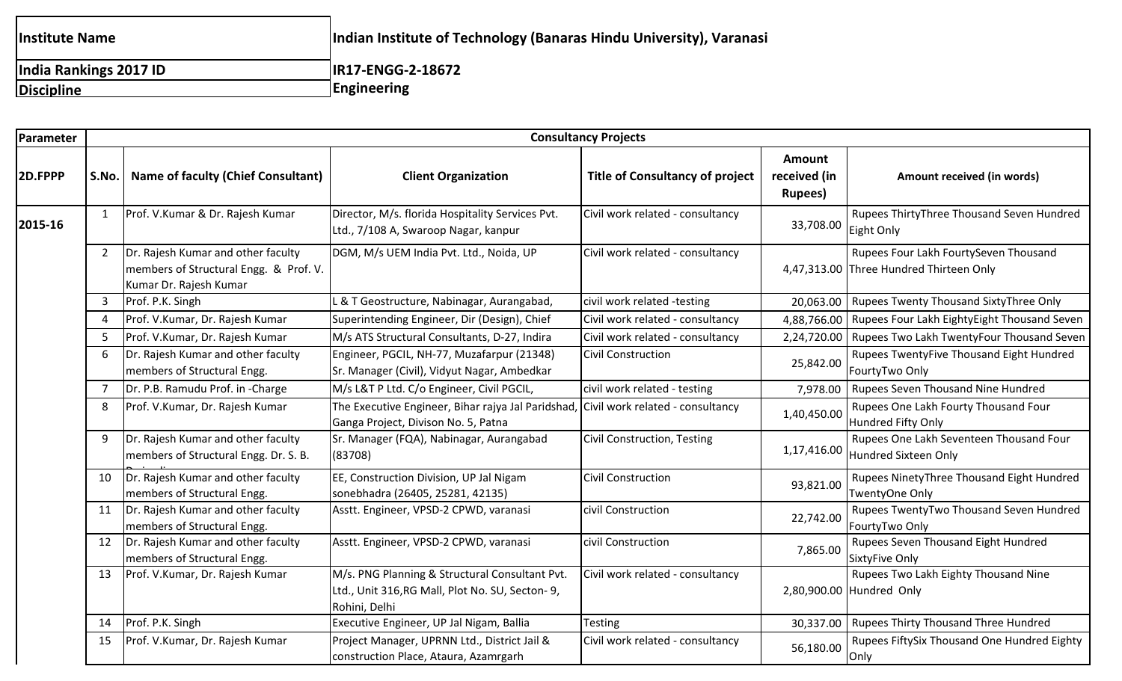| <b>Institute Name</b>  | Indian Institute of Technology (Banaras Hindu University), Varanasi |
|------------------------|---------------------------------------------------------------------|
| India Rankings 2017 ID | IR17-ENGG-2-18672                                                   |
| Discipline             | <b>Engineering</b>                                                  |

| Parameter | <b>Consultancy Projects</b> |                                                                                                        |                                                                                                                            |                                        |                                                  |                                                                                  |
|-----------|-----------------------------|--------------------------------------------------------------------------------------------------------|----------------------------------------------------------------------------------------------------------------------------|----------------------------------------|--------------------------------------------------|----------------------------------------------------------------------------------|
| 2D.FPPP   |                             | S.No.   Name of faculty (Chief Consultant)                                                             | <b>Client Organization</b>                                                                                                 | <b>Title of Consultancy of project</b> | <b>Amount</b><br>received (in<br><b>Rupees</b> ) | Amount received (in words)                                                       |
| 2015-16   | 1                           | Prof. V.Kumar & Dr. Rajesh Kumar                                                                       | Director, M/s. florida Hospitality Services Pvt.<br>Ltd., 7/108 A, Swaroop Nagar, kanpur                                   | Civil work related - consultancy       | 33,708.00                                        | Rupees ThirtyThree Thousand Seven Hundred<br>Eight Only                          |
|           | $\mathbf{2}$                | Dr. Rajesh Kumar and other faculty<br>members of Structural Engg. & Prof. V.<br>Kumar Dr. Rajesh Kumar | DGM, M/s UEM India Pvt. Ltd., Noida, UP                                                                                    | Civil work related - consultancy       |                                                  | Rupees Four Lakh FourtySeven Thousand<br>4,47,313.00 Three Hundred Thirteen Only |
|           |                             | Prof. P.K. Singh                                                                                       | L & T Geostructure, Nabinagar, Aurangabad,                                                                                 | civil work related -testing            | 20,063.00                                        | Rupees Twenty Thousand SixtyThree Only                                           |
|           |                             | Prof. V.Kumar, Dr. Rajesh Kumar                                                                        | Superintending Engineer, Dir (Design), Chief                                                                               | Civil work related - consultancy       | 4,88,766.00                                      | Rupees Four Lakh EightyEight Thousand Seven                                      |
|           |                             | Prof. V.Kumar, Dr. Rajesh Kumar                                                                        | M/s ATS Structural Consultants, D-27, Indira                                                                               | Civil work related - consultancy       | 2,24,720.00                                      | Rupees Two Lakh TwentyFour Thousand Seven                                        |
|           | 6                           | Dr. Rajesh Kumar and other faculty<br>members of Structural Engg.                                      | Engineer, PGCIL, NH-77, Muzafarpur (21348)<br>Sr. Manager (Civil), Vidyut Nagar, Ambedkar                                  | <b>Civil Construction</b>              | 25,842.00                                        | Rupees TwentyFive Thousand Eight Hundred<br>FourtyTwo Only                       |
|           |                             | Dr. P.B. Ramudu Prof. in -Charge                                                                       | M/s L&T P Ltd. C/o Engineer, Civil PGCIL,                                                                                  | civil work related - testing           | 7,978.00                                         | Rupees Seven Thousand Nine Hundred                                               |
|           | 8                           | Prof. V.Kumar, Dr. Rajesh Kumar                                                                        | The Executive Engineer, Bihar rajya Jal Paridshad, Civil work related - consultancy<br>Ganga Project, Divison No. 5, Patna |                                        | 1,40,450.00                                      | Rupees One Lakh Fourty Thousand Four<br>Hundred Fifty Only                       |
|           |                             | Dr. Rajesh Kumar and other faculty<br>members of Structural Engg. Dr. S. B.                            | Sr. Manager (FQA), Nabinagar, Aurangabad<br>(83708)                                                                        | Civil Construction, Testing            | 1,17,416.00                                      | Rupees One Lakh Seventeen Thousand Four<br>Hundred Sixteen Only                  |
|           | 10                          | Dr. Rajesh Kumar and other faculty<br>members of Structural Engg.                                      | EE, Construction Division, UP Jal Nigam<br>sonebhadra (26405, 25281, 42135)                                                | <b>Civil Construction</b>              | 93,821.00                                        | Rupees NinetyThree Thousand Eight Hundred<br>TwentyOne Only                      |
|           | 11                          | Dr. Rajesh Kumar and other faculty<br>members of Structural Engg.                                      | Asstt. Engineer, VPSD-2 CPWD, varanasi                                                                                     | civil Construction                     | 22,742.00                                        | Rupees TwentyTwo Thousand Seven Hundred<br>FourtyTwo Only                        |
|           | 12                          | Dr. Rajesh Kumar and other faculty<br>members of Structural Engg.                                      | Asstt. Engineer, VPSD-2 CPWD, varanasi                                                                                     | civil Construction                     | 7,865.00                                         | Rupees Seven Thousand Eight Hundred<br><b>SixtyFive Only</b>                     |
|           | 13                          | Prof. V.Kumar, Dr. Rajesh Kumar                                                                        | M/s. PNG Planning & Structural Consultant Pvt.<br>Ltd., Unit 316, RG Mall, Plot No. SU, Secton- 9,<br>Rohini, Delhi        | Civil work related - consultancy       |                                                  | Rupees Two Lakh Eighty Thousand Nine<br>2,80,900.00 Hundred Only                 |
|           | 14                          | Prof. P.K. Singh                                                                                       | Executive Engineer, UP Jal Nigam, Ballia                                                                                   | <b>Testing</b>                         | 30,337.00                                        | <b>Rupees Thirty Thousand Three Hundred</b>                                      |
|           | 15                          | Prof. V.Kumar, Dr. Rajesh Kumar                                                                        | Project Manager, UPRNN Ltd., District Jail &<br>construction Place, Ataura, Azamrgarh                                      | Civil work related - consultancy       | 56,180.00                                        | Rupees FiftySix Thousand One Hundred Eighty<br>Only                              |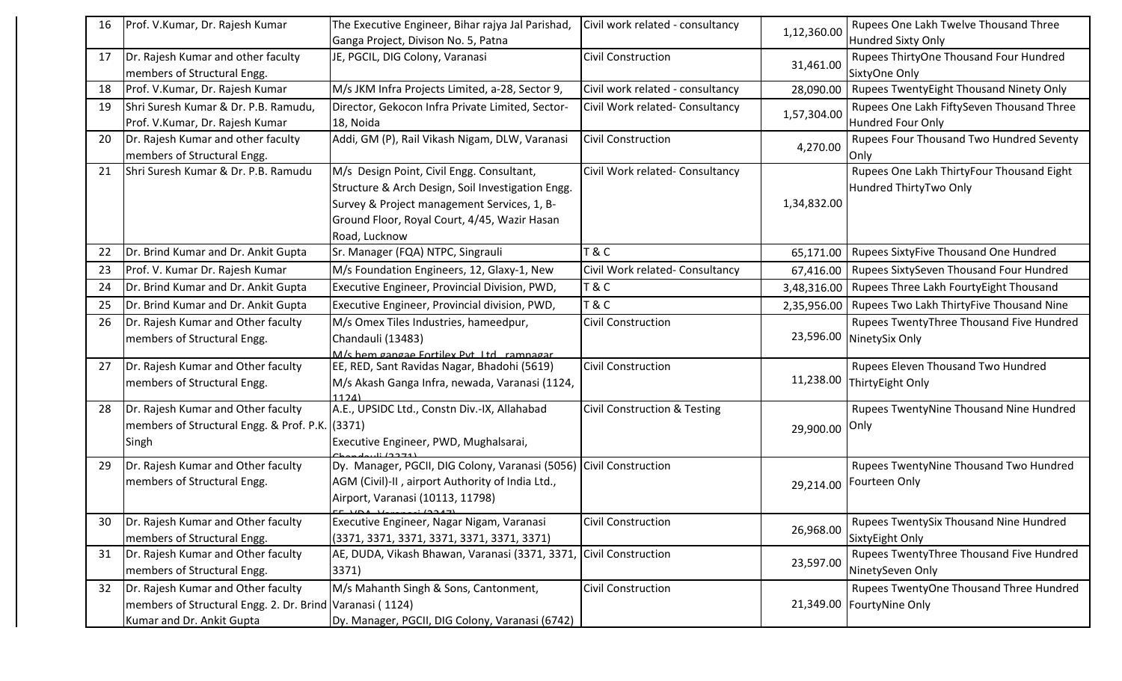| 16 | Prof. V.Kumar, Dr. Rajesh Kumar                          | The Executive Engineer, Bihar rajya Jal Parishad,                                        | Civil work related - consultancy        |             | Rupees One Lakh Twelve Thousand Three          |
|----|----------------------------------------------------------|------------------------------------------------------------------------------------------|-----------------------------------------|-------------|------------------------------------------------|
|    |                                                          | Ganga Project, Divison No. 5, Patna                                                      |                                         | 1,12,360.00 | <b>Hundred Sixty Only</b>                      |
| 17 | Dr. Rajesh Kumar and other faculty                       | JE, PGCIL, DIG Colony, Varanasi                                                          | <b>Civil Construction</b>               |             | Rupees ThirtyOne Thousand Four Hundred         |
|    | members of Structural Engg.                              |                                                                                          |                                         | 31,461.00   | SixtyOne Only                                  |
| 18 | Prof. V.Kumar, Dr. Rajesh Kumar                          | M/s JKM Infra Projects Limited, a-28, Sector 9,                                          | Civil work related - consultancy        | 28,090.00   | <b>Rupees TwentyEight Thousand Ninety Only</b> |
| 19 | Shri Suresh Kumar & Dr. P.B. Ramudu,                     | Director, Gekocon Infra Private Limited, Sector-                                         | Civil Work related- Consultancy         | 1,57,304.00 | Rupees One Lakh FiftySeven Thousand Three      |
|    | Prof. V.Kumar, Dr. Rajesh Kumar                          | 18, Noida                                                                                |                                         |             | <b>Hundred Four Only</b>                       |
| 20 | Dr. Rajesh Kumar and other faculty                       | Addi, GM (P), Rail Vikash Nigam, DLW, Varanasi                                           | <b>Civil Construction</b>               | 4,270.00    | Rupees Four Thousand Two Hundred Seventy       |
|    | members of Structural Engg.                              |                                                                                          |                                         |             | Only                                           |
| 21 | Shri Suresh Kumar & Dr. P.B. Ramudu                      | M/s Design Point, Civil Engg. Consultant,                                                | Civil Work related- Consultancy         |             | Rupees One Lakh ThirtyFour Thousand Eight      |
|    |                                                          | Structure & Arch Design, Soil Investigation Engg.                                        |                                         |             | Hundred ThirtyTwo Only                         |
|    |                                                          | Survey & Project management Services, 1, B-                                              |                                         | 1,34,832.00 |                                                |
|    |                                                          | Ground Floor, Royal Court, 4/45, Wazir Hasan                                             |                                         |             |                                                |
|    |                                                          | Road, Lucknow                                                                            |                                         |             |                                                |
| 22 | Dr. Brind Kumar and Dr. Ankit Gupta                      | Sr. Manager (FQA) NTPC, Singrauli                                                        | T & C                                   | 65,171.00   | <b>Rupees SixtyFive Thousand One Hundred</b>   |
| 23 | Prof. V. Kumar Dr. Rajesh Kumar                          | M/s Foundation Engineers, 12, Glaxy-1, New                                               | Civil Work related- Consultancy         | 67,416.00   | Rupees SixtySeven Thousand Four Hundred        |
| 24 | Dr. Brind Kumar and Dr. Ankit Gupta                      | Executive Engineer, Provincial Division, PWD,                                            | <b>T&amp;C</b>                          | 3,48,316.00 | Rupees Three Lakh FourtyEight Thousand         |
| 25 | Dr. Brind Kumar and Dr. Ankit Gupta                      | Executive Engineer, Provincial division, PWD,                                            | T & C                                   | 2,35,956.00 | Rupees Two Lakh ThirtyFive Thousand Nine       |
| 26 | Dr. Rajesh Kumar and Other faculty                       | M/s Omex Tiles Industries, hameedpur,                                                    | <b>Civil Construction</b>               |             | Rupees TwentyThree Thousand Five Hundred       |
|    | members of Structural Engg.                              | Chandauli (13483)                                                                        |                                         | 23,596.00   | NinetySix Only                                 |
|    |                                                          | M/s hem gangae Fortilex Pyt Itd ramnagar                                                 |                                         |             |                                                |
| 27 | Dr. Rajesh Kumar and Other faculty                       | EE, RED, Sant Ravidas Nagar, Bhadohi (5619)                                              | <b>Civil Construction</b>               |             | Rupees Eleven Thousand Two Hundred             |
|    | members of Structural Engg.                              | M/s Akash Ganga Infra, newada, Varanasi (1124,                                           |                                         |             | 11,238.00 ThirtyEight Only                     |
| 28 | Dr. Rajesh Kumar and Other faculty                       | 11つパ<br>A.E., UPSIDC Ltd., Constn Div.-IX, Allahabad                                     | <b>Civil Construction &amp; Testing</b> |             | Rupees TwentyNine Thousand Nine Hundred        |
|    | members of Structural Engg. & Prof. P.K. (3371)          |                                                                                          |                                         |             | Only                                           |
|    | Singh                                                    | Executive Engineer, PWD, Mughalsarai,                                                    |                                         | 29,900.00   |                                                |
|    |                                                          |                                                                                          |                                         |             |                                                |
| 29 | Dr. Rajesh Kumar and Other faculty                       | Dy. Manager, PGCII, DIG Colony, Varanasi (5056) Civil Construction                       |                                         |             | Rupees TwentyNine Thousand Two Hundred         |
|    | members of Structural Engg.                              | AGM (Civil)-II, airport Authority of India Ltd.,                                         |                                         | 29,214.00   | Fourteen Only                                  |
|    |                                                          | Airport, Varanasi (10113, 11798)                                                         |                                         |             |                                                |
| 30 | Dr. Rajesh Kumar and Other faculty                       | $T \sim 100$ $\mu_{\text{measured}}$ (2247)<br>Executive Engineer, Nagar Nigam, Varanasi | <b>Civil Construction</b>               |             | Rupees TwentySix Thousand Nine Hundred         |
|    | members of Structural Engg.                              | (3371, 3371, 3371, 3371, 3371, 3371, 3371)                                               |                                         | 26,968.00   | SixtyEight Only                                |
| 31 | Dr. Rajesh Kumar and Other faculty                       | AE, DUDA, Vikash Bhawan, Varanasi (3371, 3371, Civil Construction                        |                                         |             | Rupees TwentyThree Thousand Five Hundred       |
|    | members of Structural Engg.                              | 3371)                                                                                    |                                         | 23,597.00   | NinetySeven Only                               |
| 32 | Dr. Rajesh Kumar and Other faculty                       | M/s Mahanth Singh & Sons, Cantonment,                                                    | <b>Civil Construction</b>               |             | Rupees TwentyOne Thousand Three Hundred        |
|    | members of Structural Engg. 2. Dr. Brind Varanasi (1124) |                                                                                          |                                         |             | 21,349.00 FourtyNine Only                      |
|    | Kumar and Dr. Ankit Gupta                                | Dy. Manager, PGCII, DIG Colony, Varanasi (6742)                                          |                                         |             |                                                |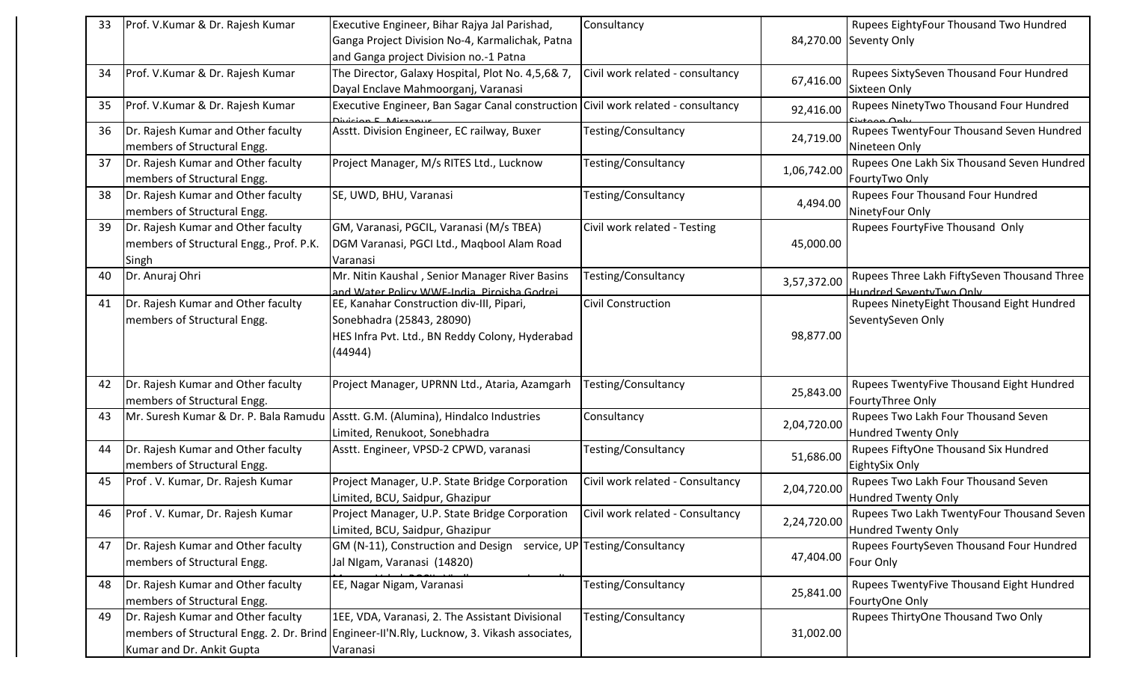| 33 | Prof. V.Kumar & Dr. Rajesh Kumar                                  | Executive Engineer, Bihar Rajya Jal Parishad,                                                           | Consultancy                      |             | Rupees EightyFour Thousand Two Hundred                       |
|----|-------------------------------------------------------------------|---------------------------------------------------------------------------------------------------------|----------------------------------|-------------|--------------------------------------------------------------|
|    |                                                                   | Ganga Project Division No-4, Karmalichak, Patna                                                         |                                  |             | 84,270.00 Seventy Only                                       |
|    |                                                                   | and Ganga project Division no.-1 Patna                                                                  |                                  |             |                                                              |
| 34 | Prof. V.Kumar & Dr. Rajesh Kumar                                  | The Director, Galaxy Hospital, Plot No. 4,5,6& 7,                                                       | Civil work related - consultancy |             | Rupees SixtySeven Thousand Four Hundred                      |
|    |                                                                   | Dayal Enclave Mahmoorganj, Varanasi                                                                     |                                  | 67,416.00   | Sixteen Only                                                 |
| 35 | Prof. V.Kumar & Dr. Rajesh Kumar                                  | Executive Engineer, Ban Sagar Canal construction Civil work related - consultancy<br>Division E Mirzanu |                                  | 92,416.00   | Rupees NinetyTwo Thousand Four Hundred                       |
| 36 | Dr. Rajesh Kumar and Other faculty<br>members of Structural Engg. | Asstt. Division Engineer, EC railway, Buxer                                                             | Testing/Consultancy              | 24,719.00   | Rupees TwentyFour Thousand Seven Hundred<br>Nineteen Only    |
| 37 | Dr. Rajesh Kumar and Other faculty<br>members of Structural Engg. | Project Manager, M/s RITES Ltd., Lucknow                                                                | Testing/Consultancy              | 1,06,742.00 | Rupees One Lakh Six Thousand Seven Hundred<br>FourtyTwo Only |
| 38 | Dr. Rajesh Kumar and Other faculty<br>members of Structural Engg. | SE, UWD, BHU, Varanasi                                                                                  | Testing/Consultancy              | 4,494.00    | Rupees Four Thousand Four Hundred<br>NinetyFour Only         |
| 39 | Dr. Rajesh Kumar and Other faculty                                | GM, Varanasi, PGCIL, Varanasi (M/s TBEA)                                                                | Civil work related - Testing     |             | Rupees FourtyFive Thousand Only                              |
|    | members of Structural Engg., Prof. P.K.                           | DGM Varanasi, PGCI Ltd., Maqbool Alam Road                                                              |                                  | 45,000.00   |                                                              |
|    | Singh                                                             | Varanasi                                                                                                |                                  |             |                                                              |
| 40 | Dr. Anuraj Ohri                                                   | Mr. Nitin Kaushal, Senior Manager River Basins                                                          | Testing/Consultancy              | 3,57,372.00 | Rupees Three Lakh FiftySeven Thousand Three                  |
|    |                                                                   | and Water Policy WWF-India, Piroisha Godrei                                                             |                                  |             | Hundred SeventyTwo Only                                      |
| 41 | Dr. Rajesh Kumar and Other faculty                                | EE, Kanahar Construction div-III, Pipari,                                                               | <b>Civil Construction</b>        |             | Rupees NinetyEight Thousand Eight Hundred                    |
|    | members of Structural Engg.                                       | Sonebhadra (25843, 28090)                                                                               |                                  |             | SeventySeven Only                                            |
|    |                                                                   | HES Infra Pvt. Ltd., BN Reddy Colony, Hyderabad                                                         |                                  | 98,877.00   |                                                              |
|    |                                                                   | (44944)                                                                                                 |                                  |             |                                                              |
| 42 | Dr. Rajesh Kumar and Other faculty                                | Project Manager, UPRNN Ltd., Ataria, Azamgarh                                                           | Testing/Consultancy              |             | Rupees TwentyFive Thousand Eight Hundred                     |
|    | members of Structural Engg.                                       |                                                                                                         |                                  | 25,843.00   | FourtyThree Only                                             |
| 43 | Mr. Suresh Kumar & Dr. P. Bala Ramudu                             | Asstt. G.M. (Alumina), Hindalco Industries                                                              | Consultancy                      |             | Rupees Two Lakh Four Thousand Seven                          |
|    |                                                                   | Limited, Renukoot, Sonebhadra                                                                           |                                  | 2,04,720.00 | <b>Hundred Twenty Only</b>                                   |
| 44 | Dr. Rajesh Kumar and Other faculty                                | Asstt. Engineer, VPSD-2 CPWD, varanasi                                                                  | Testing/Consultancy              |             | Rupees FiftyOne Thousand Six Hundred                         |
|    | members of Structural Engg.                                       |                                                                                                         |                                  | 51,686.00   | EightySix Only                                               |
| 45 | Prof. V. Kumar, Dr. Rajesh Kumar                                  | Project Manager, U.P. State Bridge Corporation                                                          | Civil work related - Consultancy |             | Rupees Two Lakh Four Thousand Seven                          |
|    |                                                                   | Limited, BCU, Saidpur, Ghazipur                                                                         |                                  | 2,04,720.00 | Hundred Twenty Only                                          |
| 46 | Prof. V. Kumar, Dr. Rajesh Kumar                                  | Project Manager, U.P. State Bridge Corporation                                                          | Civil work related - Consultancy |             | Rupees Two Lakh TwentyFour Thousand Seven                    |
|    |                                                                   | Limited, BCU, Saidpur, Ghazipur                                                                         |                                  | 2,24,720.00 | Hundred Twenty Only                                          |
| 47 | Dr. Rajesh Kumar and Other faculty                                | GM (N-11), Construction and Design service, UP Testing/Consultancy                                      |                                  |             | Rupees FourtySeven Thousand Four Hundred                     |
|    | members of Structural Engg.                                       | Jal NIgam, Varanasi (14820)                                                                             |                                  | 47,404.00   | Four Only                                                    |
|    |                                                                   |                                                                                                         |                                  |             |                                                              |
| 48 | Dr. Rajesh Kumar and Other faculty                                | EE, Nagar Nigam, Varanasi                                                                               | Testing/Consultancy              | 25,841.00   | Rupees TwentyFive Thousand Eight Hundred                     |
|    | members of Structural Engg.                                       |                                                                                                         |                                  |             | FourtyOne Only                                               |
| 49 | Dr. Rajesh Kumar and Other faculty                                | 1EE, VDA, Varanasi, 2. The Assistant Divisional                                                         | Testing/Consultancy              |             | Rupees ThirtyOne Thousand Two Only                           |
|    |                                                                   | members of Structural Engg. 2. Dr. Brind Engineer-II'N.Rly, Lucknow, 3. Vikash associates,              |                                  | 31,002.00   |                                                              |
|    | Kumar and Dr. Ankit Gupta                                         | Varanasi                                                                                                |                                  |             |                                                              |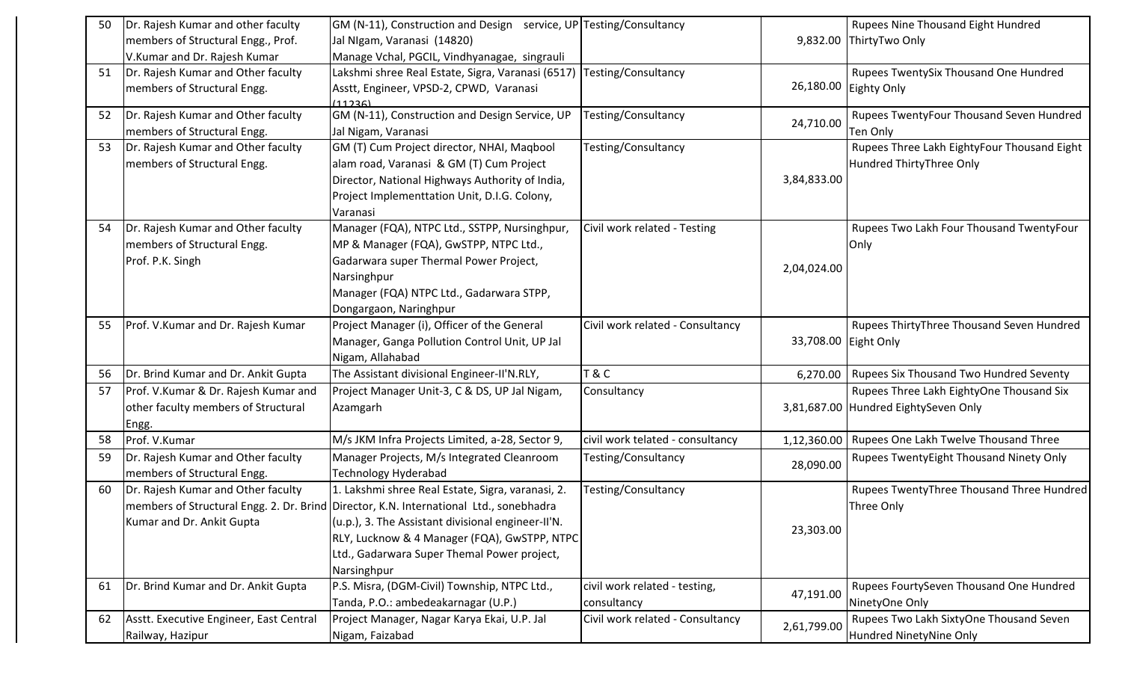| 50 | Dr. Rajesh Kumar and other faculty      | GM (N-11), Construction and Design service, UP Testing/Consultancy                     |                                  |                      | Rupees Nine Thousand Eight Hundred             |
|----|-----------------------------------------|----------------------------------------------------------------------------------------|----------------------------------|----------------------|------------------------------------------------|
|    | members of Structural Engg., Prof.      | Jal NIgam, Varanasi (14820)                                                            |                                  |                      | 9,832.00 ThirtyTwo Only                        |
|    | V.Kumar and Dr. Rajesh Kumar            | Manage Vchal, PGCIL, Vindhyanagae, singrauli                                           |                                  |                      |                                                |
| 51 | Dr. Rajesh Kumar and Other faculty      | Lakshmi shree Real Estate, Sigra, Varanasi (6517)                                      | Testing/Consultancy              |                      | Rupees TwentySix Thousand One Hundred          |
|    | members of Structural Engg.             | Asstt, Engineer, VPSD-2, CPWD, Varanasi                                                |                                  | 26,180.00            | Eighty Only                                    |
|    |                                         | (11236)                                                                                |                                  |                      |                                                |
| 52 | Dr. Rajesh Kumar and Other faculty      | GM (N-11), Construction and Design Service, UP                                         | Testing/Consultancy              | 24,710.00            | Rupees TwentyFour Thousand Seven Hundred       |
|    | members of Structural Engg.             | Jal Nigam, Varanasi                                                                    |                                  |                      | Ten Only                                       |
| 53 | Dr. Rajesh Kumar and Other faculty      | GM (T) Cum Project director, NHAI, Maqbool                                             | Testing/Consultancy              |                      | Rupees Three Lakh EightyFour Thousand Eight    |
|    | members of Structural Engg.             | alam road, Varanasi & GM (T) Cum Project                                               |                                  |                      | Hundred ThirtyThree Only                       |
|    |                                         | Director, National Highways Authority of India,                                        |                                  | 3,84,833.00          |                                                |
|    |                                         | Project Implementtation Unit, D.I.G. Colony,                                           |                                  |                      |                                                |
|    |                                         | Varanasi                                                                               |                                  |                      |                                                |
| 54 | Dr. Rajesh Kumar and Other faculty      | Manager (FQA), NTPC Ltd., SSTPP, Nursinghpur,                                          | Civil work related - Testing     |                      | Rupees Two Lakh Four Thousand TwentyFour       |
|    | members of Structural Engg.             | MP & Manager (FQA), GwSTPP, NTPC Ltd.,                                                 |                                  |                      | Only                                           |
|    | Prof. P.K. Singh                        | Gadarwara super Thermal Power Project,                                                 |                                  | 2,04,024.00          |                                                |
|    |                                         | Narsinghpur                                                                            |                                  |                      |                                                |
|    |                                         | Manager (FQA) NTPC Ltd., Gadarwara STPP,                                               |                                  |                      |                                                |
|    |                                         | Dongargaon, Naringhpur                                                                 |                                  |                      |                                                |
| 55 | Prof. V.Kumar and Dr. Rajesh Kumar      | Project Manager (i), Officer of the General                                            | Civil work related - Consultancy |                      | Rupees ThirtyThree Thousand Seven Hundred      |
|    |                                         | Manager, Ganga Pollution Control Unit, UP Jal                                          |                                  | 33,708.00 Eight Only |                                                |
|    |                                         | Nigam, Allahabad                                                                       |                                  |                      |                                                |
| 56 | Dr. Brind Kumar and Dr. Ankit Gupta     | The Assistant divisional Engineer-II'N.RLY,                                            | T & C                            | 6,270.00             | <b>Rupees Six Thousand Two Hundred Seventy</b> |
| 57 | Prof. V.Kumar & Dr. Rajesh Kumar and    | Project Manager Unit-3, C & DS, UP Jal Nigam,                                          | Consultancy                      |                      | Rupees Three Lakh EightyOne Thousand Six       |
|    | other faculty members of Structural     | Azamgarh                                                                               |                                  |                      | 3,81,687.00 Hundred EightySeven Only           |
|    | Engg.                                   |                                                                                        |                                  |                      |                                                |
| 58 | Prof. V.Kumar                           | M/s JKM Infra Projects Limited, a-28, Sector 9,                                        | civil work telated - consultancy | 1,12,360.00          | Rupees One Lakh Twelve Thousand Three          |
| 59 | Dr. Rajesh Kumar and Other faculty      | Manager Projects, M/s Integrated Cleanroom                                             | Testing/Consultancy              | 28,090.00            | Rupees TwentyEight Thousand Ninety Only        |
|    | members of Structural Engg.             | <b>Technology Hyderabad</b>                                                            |                                  |                      |                                                |
| 60 | Dr. Rajesh Kumar and Other faculty      | 1. Lakshmi shree Real Estate, Sigra, varanasi, 2.                                      | Testing/Consultancy              |                      | Rupees TwentyThree Thousand Three Hundred      |
|    |                                         | members of Structural Engg. 2. Dr. Brind Director, K.N. International Ltd., sonebhadra |                                  |                      | Three Only                                     |
|    | Kumar and Dr. Ankit Gupta               | (u.p.), 3. The Assistant divisional engineer-Il'N.                                     |                                  | 23,303.00            |                                                |
|    |                                         | RLY, Lucknow & 4 Manager (FQA), GwSTPP, NTPC                                           |                                  |                      |                                                |
|    |                                         | Ltd., Gadarwara Super Themal Power project,                                            |                                  |                      |                                                |
|    |                                         | Narsinghpur                                                                            |                                  |                      |                                                |
| 61 | Dr. Brind Kumar and Dr. Ankit Gupta     | P.S. Misra, (DGM-Civil) Township, NTPC Ltd.,                                           | civil work related - testing,    | 47,191.00            | Rupees FourtySeven Thousand One Hundred        |
|    |                                         | Tanda, P.O.: ambedeakarnagar (U.P.)                                                    | consultancy                      |                      | NinetyOne Only                                 |
| 62 | Asstt. Executive Engineer, East Central | Project Manager, Nagar Karya Ekai, U.P. Jal                                            | Civil work related - Consultancy | 2,61,799.00          | Rupees Two Lakh SixtyOne Thousand Seven        |
|    | Railway, Hazipur                        | Nigam, Faizabad                                                                        |                                  |                      | Hundred NinetyNine Only                        |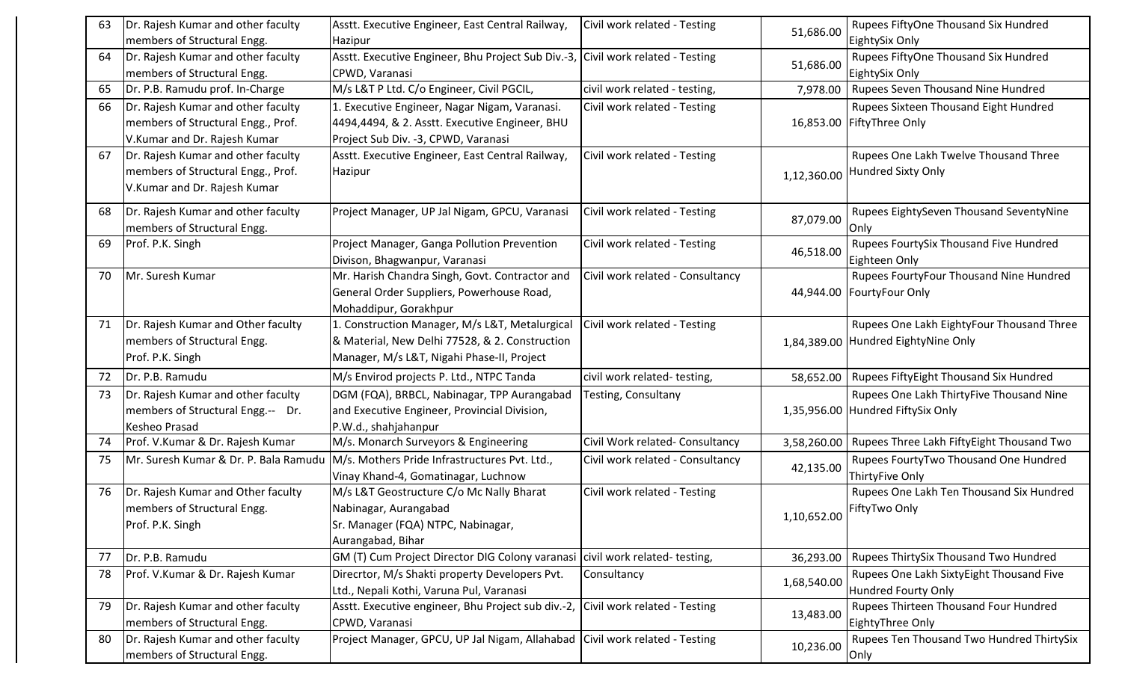| 63 | Dr. Rajesh Kumar and other faculty    | Asstt. Executive Engineer, East Central Railway,                                | Civil work related - Testing     |             | Rupees FiftyOne Thousand Six Hundred      |
|----|---------------------------------------|---------------------------------------------------------------------------------|----------------------------------|-------------|-------------------------------------------|
|    | members of Structural Engg.           | Hazipur                                                                         |                                  | 51,686.00   | EightySix Only                            |
| 64 | Dr. Rajesh Kumar and other faculty    | Asstt. Executive Engineer, Bhu Project Sub Div.-3, Civil work related - Testing |                                  |             | Rupees FiftyOne Thousand Six Hundred      |
|    | members of Structural Engg.           | CPWD, Varanasi                                                                  |                                  | 51,686.00   | EightySix Only                            |
| 65 | Dr. P.B. Ramudu prof. In-Charge       | M/s L&T P Ltd. C/o Engineer, Civil PGCIL,                                       | civil work related - testing,    | 7,978.00    | Rupees Seven Thousand Nine Hundred        |
| 66 | Dr. Rajesh Kumar and other faculty    | 1. Executive Engineer, Nagar Nigam, Varanasi.                                   | Civil work related - Testing     |             | Rupees Sixteen Thousand Eight Hundred     |
|    | members of Structural Engg., Prof.    | 4494,4494, & 2. Asstt. Executive Engineer, BHU                                  |                                  |             | 16,853.00 FiftyThree Only                 |
|    | V.Kumar and Dr. Rajesh Kumar          | Project Sub Div. - 3, CPWD, Varanasi                                            |                                  |             |                                           |
| 67 | Dr. Rajesh Kumar and other faculty    | Asstt. Executive Engineer, East Central Railway,                                | Civil work related - Testing     |             | Rupees One Lakh Twelve Thousand Three     |
|    | members of Structural Engg., Prof.    | Hazipur                                                                         |                                  | 1,12,360.00 | Hundred Sixty Only                        |
|    | V.Kumar and Dr. Rajesh Kumar          |                                                                                 |                                  |             |                                           |
| 68 | Dr. Rajesh Kumar and other faculty    | Project Manager, UP Jal Nigam, GPCU, Varanasi                                   | Civil work related - Testing     |             | Rupees EightySeven Thousand SeventyNine   |
|    | members of Structural Engg.           |                                                                                 |                                  | 87,079.00   | Only                                      |
| 69 | Prof. P.K. Singh                      | Project Manager, Ganga Pollution Prevention                                     | Civil work related - Testing     |             | Rupees FourtySix Thousand Five Hundred    |
|    |                                       | Divison, Bhagwanpur, Varanasi                                                   |                                  | 46,518.00   | Eighteen Only                             |
| 70 | Mr. Suresh Kumar                      | Mr. Harish Chandra Singh, Govt. Contractor and                                  | Civil work related - Consultancy |             | Rupees FourtyFour Thousand Nine Hundred   |
|    |                                       | General Order Suppliers, Powerhouse Road,                                       |                                  |             | 44,944.00 FourtyFour Only                 |
|    |                                       | Mohaddipur, Gorakhpur                                                           |                                  |             |                                           |
| 71 | Dr. Rajesh Kumar and Other faculty    | 1. Construction Manager, M/s L&T, Metalurgical                                  | Civil work related - Testing     |             | Rupees One Lakh EightyFour Thousand Three |
|    | members of Structural Engg.           | & Material, New Delhi 77528, & 2. Construction                                  |                                  |             | 1,84,389.00 Hundred EightyNine Only       |
|    | Prof. P.K. Singh                      | Manager, M/s L&T, Nigahi Phase-II, Project                                      |                                  |             |                                           |
| 72 | Dr. P.B. Ramudu                       | M/s Envirod projects P. Ltd., NTPC Tanda                                        | civil work related-testing,      | 58,652.00   | Rupees FiftyEight Thousand Six Hundred    |
| 73 | Dr. Rajesh Kumar and other faculty    | DGM (FQA), BRBCL, Nabinagar, TPP Aurangabad                                     | Testing, Consultany              |             | Rupees One Lakh ThirtyFive Thousand Nine  |
|    | members of Structural Engg.-- Dr.     | and Executive Engineer, Provincial Division,                                    |                                  |             | 1,35,956.00 Hundred FiftySix Only         |
|    | Kesheo Prasad                         | P.W.d., shahjahanpur                                                            |                                  |             |                                           |
| 74 | Prof. V.Kumar & Dr. Rajesh Kumar      | M/s. Monarch Surveyors & Engineering                                            | Civil Work related- Consultancy  | 3,58,260.00 | Rupees Three Lakh FiftyEight Thousand Two |
| 75 | Mr. Suresh Kumar & Dr. P. Bala Ramudu | M/s. Mothers Pride Infrastructures Pvt. Ltd.,                                   | Civil work related - Consultancy | 42,135.00   | Rupees FourtyTwo Thousand One Hundred     |
|    |                                       | Vinay Khand-4, Gomatinagar, Luchnow                                             |                                  |             | ThirtyFive Only                           |
| 76 | Dr. Rajesh Kumar and Other faculty    | M/s L&T Geostructure C/o Mc Nally Bharat                                        | Civil work related - Testing     |             | Rupees One Lakh Ten Thousand Six Hundred  |
|    | members of Structural Engg.           | Nabinagar, Aurangabad                                                           |                                  | 1,10,652.00 | FiftyTwo Only                             |
|    | Prof. P.K. Singh                      | Sr. Manager (FQA) NTPC, Nabinagar,                                              |                                  |             |                                           |
|    |                                       | Aurangabad, Bihar                                                               |                                  |             |                                           |
| 77 | Dr. P.B. Ramudu                       | GM (T) Cum Project Director DIG Colony varanasi civil work related-testing,     |                                  | 36,293.00   | Rupees ThirtySix Thousand Two Hundred     |
| 78 | Prof. V.Kumar & Dr. Rajesh Kumar      | Direcrtor, M/s Shakti property Developers Pvt.                                  | Consultancy                      | 1,68,540.00 | Rupees One Lakh SixtyEight Thousand Five  |
|    |                                       | Ltd., Nepali Kothi, Varuna Pul, Varanasi                                        |                                  |             | <b>Hundred Fourty Only</b>                |
| 79 | Dr. Rajesh Kumar and other faculty    | Asstt. Executive engineer, Bhu Project sub div.-2, Civil work related - Testing |                                  | 13,483.00   | Rupees Thirteen Thousand Four Hundred     |
|    | members of Structural Engg.           | CPWD, Varanasi                                                                  |                                  |             | EightyThree Only                          |
| 80 | Dr. Rajesh Kumar and other faculty    | Project Manager, GPCU, UP Jal Nigam, Allahabad Civil work related - Testing     |                                  | 10,236.00   | Rupees Ten Thousand Two Hundred ThirtySix |
|    | members of Structural Engg.           |                                                                                 |                                  |             | Only                                      |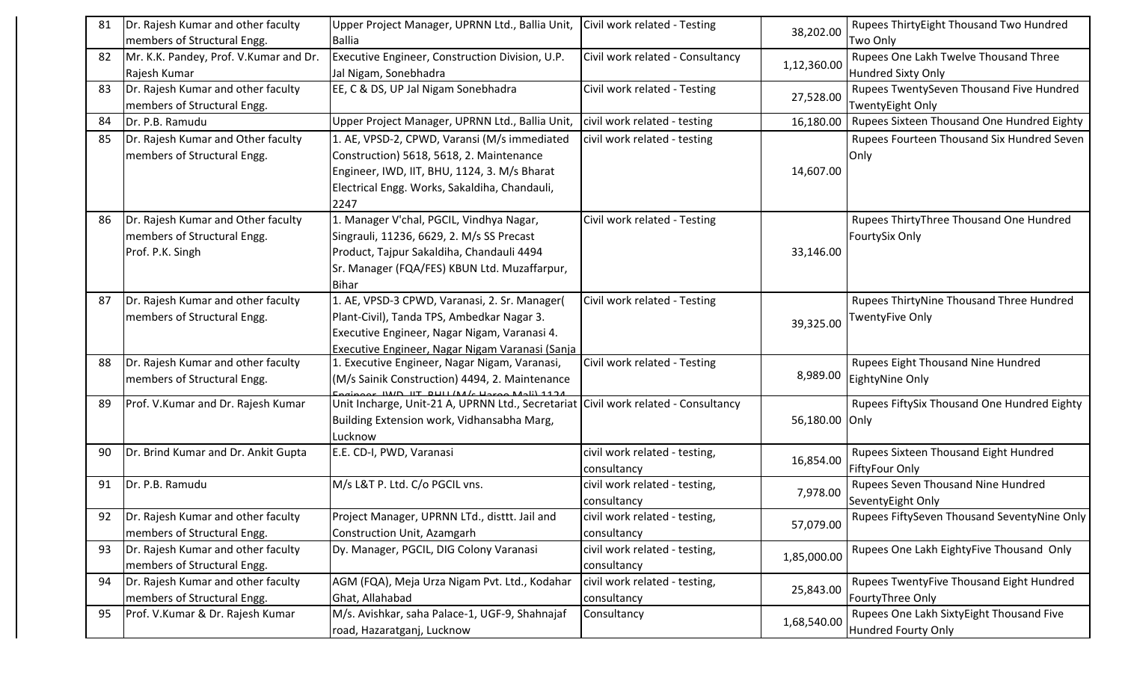| 81 | Dr. Rajesh Kumar and other faculty      | Upper Project Manager, UPRNN Ltd., Ballia Unit,                                                                                                  | Civil work related - Testing     | 38,202.00   | Rupees ThirtyEight Thousand Two Hundred     |
|----|-----------------------------------------|--------------------------------------------------------------------------------------------------------------------------------------------------|----------------------------------|-------------|---------------------------------------------|
|    | members of Structural Engg.             | <b>Ballia</b>                                                                                                                                    |                                  |             | Two Only                                    |
| 82 | Mr. K.K. Pandey, Prof. V. Kumar and Dr. | Executive Engineer, Construction Division, U.P.                                                                                                  | Civil work related - Consultancy | 1,12,360.00 | Rupees One Lakh Twelve Thousand Three       |
|    | Rajesh Kumar                            | Jal Nigam, Sonebhadra                                                                                                                            |                                  |             | <b>Hundred Sixty Only</b>                   |
| 83 | Dr. Rajesh Kumar and other faculty      | EE, C & DS, UP Jal Nigam Sonebhadra                                                                                                              | Civil work related - Testing     | 27,528.00   | Rupees TwentySeven Thousand Five Hundred    |
|    | members of Structural Engg.             |                                                                                                                                                  |                                  |             | <b>TwentyEight Only</b>                     |
| 84 | Dr. P.B. Ramudu                         | Upper Project Manager, UPRNN Ltd., Ballia Unit,                                                                                                  | civil work related - testing     | 16,180.00   | Rupees Sixteen Thousand One Hundred Eighty  |
| 85 | Dr. Rajesh Kumar and Other faculty      | 1. AE, VPSD-2, CPWD, Varansi (M/s immediated                                                                                                     | civil work related - testing     |             | Rupees Fourteen Thousand Six Hundred Seven  |
|    | members of Structural Engg.             | Construction) 5618, 5618, 2. Maintenance                                                                                                         |                                  |             | Only                                        |
|    |                                         | Engineer, IWD, IIT, BHU, 1124, 3. M/s Bharat                                                                                                     |                                  | 14,607.00   |                                             |
|    |                                         | Electrical Engg. Works, Sakaldiha, Chandauli,                                                                                                    |                                  |             |                                             |
|    |                                         | 2247                                                                                                                                             |                                  |             |                                             |
| 86 | Dr. Rajesh Kumar and Other faculty      | 1. Manager V'chal, PGCIL, Vindhya Nagar,                                                                                                         | Civil work related - Testing     |             | Rupees ThirtyThree Thousand One Hundred     |
|    | members of Structural Engg.             | Singrauli, 11236, 6629, 2. M/s SS Precast                                                                                                        |                                  |             | FourtySix Only                              |
|    | Prof. P.K. Singh                        | Product, Tajpur Sakaldiha, Chandauli 4494                                                                                                        |                                  | 33,146.00   |                                             |
|    |                                         | Sr. Manager (FQA/FES) KBUN Ltd. Muzaffarpur,                                                                                                     |                                  |             |                                             |
|    |                                         | <b>Bihar</b>                                                                                                                                     |                                  |             |                                             |
| 87 | Dr. Rajesh Kumar and other faculty      | 1. AE, VPSD-3 CPWD, Varanasi, 2. Sr. Manager(                                                                                                    | Civil work related - Testing     |             | Rupees ThirtyNine Thousand Three Hundred    |
|    | members of Structural Engg.             | Plant-Civil), Tanda TPS, Ambedkar Nagar 3.                                                                                                       |                                  | 39,325.00   | TwentyFive Only                             |
|    |                                         | Executive Engineer, Nagar Nigam, Varanasi 4.                                                                                                     |                                  |             |                                             |
|    |                                         | Executive Engineer, Nagar Nigam Varanasi (Sanja                                                                                                  |                                  |             |                                             |
| 88 | Dr. Rajesh Kumar and other faculty      | 1. Executive Engineer, Nagar Nigam, Varanasi,                                                                                                    | Civil work related - Testing     | 8,989.00    | Rupees Eight Thousand Nine Hundred          |
|    | members of Structural Engg.             | (M/s Sainik Construction) 4494, 2. Maintenance                                                                                                   |                                  |             | EightyNine Only                             |
| 89 | Prof. V.Kumar and Dr. Rajesh Kumar      | <u>1174 (المهدم موردان) الله عليه الله الموطنة عن المو</u><br>Unit Incharge, Unit-21 A, UPRNN Ltd., Secretariat Civil work related - Consultancy |                                  |             | Rupees FiftySix Thousand One Hundred Eighty |
|    |                                         | Building Extension work, Vidhansabha Marg,                                                                                                       |                                  | 56,180.00   | Only                                        |
|    |                                         | Lucknow                                                                                                                                          |                                  |             |                                             |
| 90 | Dr. Brind Kumar and Dr. Ankit Gupta     | E.E. CD-I, PWD, Varanasi                                                                                                                         | civil work related - testing,    |             | Rupees Sixteen Thousand Eight Hundred       |
|    |                                         |                                                                                                                                                  | consultancy                      | 16,854.00   | FiftyFour Only                              |
| 91 | Dr. P.B. Ramudu                         | M/s L&T P. Ltd. C/o PGCIL vns.                                                                                                                   | civil work related - testing,    | 7,978.00    | Rupees Seven Thousand Nine Hundred          |
|    |                                         |                                                                                                                                                  | consultancy                      |             | SeventyEight Only                           |
|    | 92   Dr. Rajesh Kumar and other faculty | Project Manager, UPRNN LTd., disttt. Jail and                                                                                                    | civil work related - testing,    | 57,079.00   | Rupees FiftySeven Thousand SeventyNine Only |
|    | members of Structural Engg.             | Construction Unit, Azamgarh                                                                                                                      | consultancy                      |             |                                             |
| 93 | Dr. Rajesh Kumar and other faculty      | Dy. Manager, PGCIL, DIG Colony Varanasi                                                                                                          | civil work related - testing,    | 1,85,000.00 | Rupees One Lakh EightyFive Thousand Only    |
|    | members of Structural Engg.             |                                                                                                                                                  | consultancy                      |             |                                             |
| 94 | Dr. Rajesh Kumar and other faculty      | AGM (FQA), Meja Urza Nigam Pvt. Ltd., Kodahar                                                                                                    | civil work related - testing,    | 25,843.00   | Rupees TwentyFive Thousand Eight Hundred    |
|    | members of Structural Engg.             | Ghat, Allahabad                                                                                                                                  | consultancy                      |             | FourtyThree Only                            |
| 95 | Prof. V.Kumar & Dr. Rajesh Kumar        | M/s. Avishkar, saha Palace-1, UGF-9, Shahnajaf                                                                                                   | Consultancy                      | 1,68,540.00 | Rupees One Lakh SixtyEight Thousand Five    |
|    |                                         | road, Hazaratganj, Lucknow                                                                                                                       |                                  |             | <b>Hundred Fourty Only</b>                  |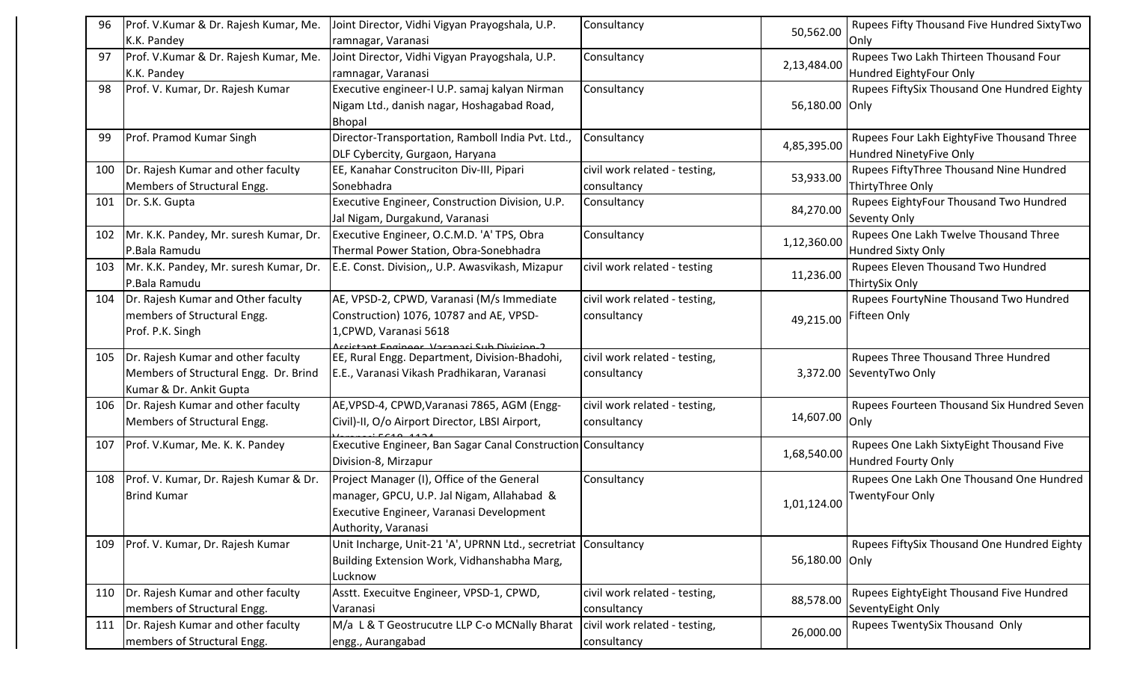| 96  | Prof. V.Kumar & Dr. Rajesh Kumar, Me.        | Joint Director, Vidhi Vigyan Prayogshala, U.P.                                             | Consultancy                   |             | Rupees Fifty Thousand Five Hundred SixtyTwo |
|-----|----------------------------------------------|--------------------------------------------------------------------------------------------|-------------------------------|-------------|---------------------------------------------|
|     | K.K. Pandey                                  | ramnagar, Varanasi                                                                         |                               | 50,562.00   | Only                                        |
| 97  | Prof. V.Kumar & Dr. Rajesh Kumar, Me.        | Joint Director, Vidhi Vigyan Prayogshala, U.P.                                             | Consultancy                   | 2,13,484.00 | Rupees Two Lakh Thirteen Thousand Four      |
|     | K.K. Pandey                                  | ramnagar, Varanasi                                                                         |                               |             | Hundred EightyFour Only                     |
| 98  | Prof. V. Kumar, Dr. Rajesh Kumar             | Executive engineer-I U.P. samaj kalyan Nirman                                              | Consultancy                   |             | Rupees FiftySix Thousand One Hundred Eighty |
|     |                                              | Nigam Ltd., danish nagar, Hoshagabad Road,                                                 |                               | 56,180.00   | Only                                        |
|     |                                              | <b>Bhopal</b>                                                                              |                               |             |                                             |
| 99  | Prof. Pramod Kumar Singh                     | Director-Transportation, Ramboll India Pvt. Ltd.,                                          | Consultancy                   | 4,85,395.00 | Rupees Four Lakh EightyFive Thousand Three  |
|     |                                              | DLF Cybercity, Gurgaon, Haryana                                                            |                               |             | Hundred NinetyFive Only                     |
| 100 | Dr. Rajesh Kumar and other faculty           | EE, Kanahar Construciton Div-III, Pipari                                                   | civil work related - testing, | 53,933.00   | Rupees FiftyThree Thousand Nine Hundred     |
|     | Members of Structural Engg.                  | Sonebhadra                                                                                 | consultancy                   |             | ThirtyThree Only                            |
| 101 | Dr. S.K. Gupta                               | Executive Engineer, Construction Division, U.P.                                            | Consultancy                   | 84,270.00   | Rupees EightyFour Thousand Two Hundred      |
|     |                                              | Jal Nigam, Durgakund, Varanasi                                                             |                               |             | Seventy Only                                |
|     | 102   Mr. K.K. Pandey, Mr. suresh Kumar, Dr. | Executive Engineer, O.C.M.D. 'A' TPS, Obra                                                 | Consultancy                   | 1,12,360.00 | Rupees One Lakh Twelve Thousand Three       |
|     | P.Bala Ramudu                                | Thermal Power Station, Obra-Sonebhadra                                                     |                               |             | <b>Hundred Sixty Only</b>                   |
| 103 | Mr. K.K. Pandey, Mr. suresh Kumar, Dr.       | E.E. Const. Division,, U.P. Awasvikash, Mizapur                                            | civil work related - testing  | 11,236.00   | Rupees Eleven Thousand Two Hundred          |
|     | P.Bala Ramudu                                |                                                                                            |                               |             | ThirtySix Only                              |
| 104 | Dr. Rajesh Kumar and Other faculty           | AE, VPSD-2, CPWD, Varanasi (M/s Immediate                                                  | civil work related - testing, |             | Rupees FourtyNine Thousand Two Hundred      |
|     | members of Structural Engg.                  | Construction) 1076, 10787 and AE, VPSD-                                                    | consultancy                   | 49,215.00   | Fifteen Only                                |
|     | Prof. P.K. Singh                             | L,CPWD, Varanasi 5618                                                                      |                               |             |                                             |
| 105 | Dr. Rajesh Kumar and other faculty           | ccictant Engineer Varanaci Sub Divicion.2<br>EE, Rural Engg. Department, Division-Bhadohi, | civil work related - testing, |             | Rupees Three Thousand Three Hundred         |
|     | Members of Structural Engg. Dr. Brind        | E.E., Varanasi Vikash Pradhikaran, Varanasi                                                | consultancy                   |             | 3,372.00 SeventyTwo Only                    |
|     | Kumar & Dr. Ankit Gupta                      |                                                                                            |                               |             |                                             |
| 106 | Dr. Rajesh Kumar and other faculty           | AE, VPSD-4, CPWD, Varanasi 7865, AGM (Engg-                                                | civil work related - testing, |             | Rupees Fourteen Thousand Six Hundred Seven  |
|     | Members of Structural Engg.                  | Civil)-II, O/o Airport Director, LBSI Airport,                                             | consultancy                   | 14,607.00   | Only                                        |
|     |                                              |                                                                                            |                               |             |                                             |
| 107 | Prof. V.Kumar, Me. K. K. Pandey              | Executive Engineer, Ban Sagar Canal Construction Consultancy                               |                               | 1,68,540.00 | Rupees One Lakh SixtyEight Thousand Five    |
|     |                                              | Division-8, Mirzapur                                                                       |                               |             | Hundred Fourty Only                         |
| 108 | Prof. V. Kumar, Dr. Rajesh Kumar & Dr.       | Project Manager (I), Office of the General                                                 | Consultancy                   |             | Rupees One Lakh One Thousand One Hundred    |
|     | <b>Brind Kumar</b>                           | manager, GPCU, U.P. Jal Nigam, Allahabad &                                                 |                               | 1,01,124.00 | TwentyFour Only                             |
|     |                                              | Executive Engineer, Varanasi Development                                                   |                               |             |                                             |
|     |                                              | Authority, Varanasi                                                                        |                               |             |                                             |
| 109 | Prof. V. Kumar, Dr. Rajesh Kumar             | Unit Incharge, Unit-21 'A', UPRNN Ltd., secretriat Consultancy                             |                               |             | Rupees FiftySix Thousand One Hundred Eighty |
|     |                                              | Building Extension Work, Vidhanshabha Marg,                                                |                               | 56,180.00   | Only                                        |
|     |                                              | Lucknow                                                                                    |                               |             |                                             |
| 110 | Dr. Rajesh Kumar and other faculty           | Asstt. Execuitve Engineer, VPSD-1, CPWD,                                                   | civil work related - testing, | 88,578.00   | Rupees EightyEight Thousand Five Hundred    |
|     | members of Structural Engg.                  | Varanasi                                                                                   | consultancy                   |             | SeventyEight Only                           |
| 111 | Dr. Rajesh Kumar and other faculty           | M/a L & T Geostrucutre LLP C-o MCNally Bharat                                              | civil work related - testing, | 26,000.00   | Rupees TwentySix Thousand Only              |
|     | members of Structural Engg.                  | engg., Aurangabad                                                                          | consultancy                   |             |                                             |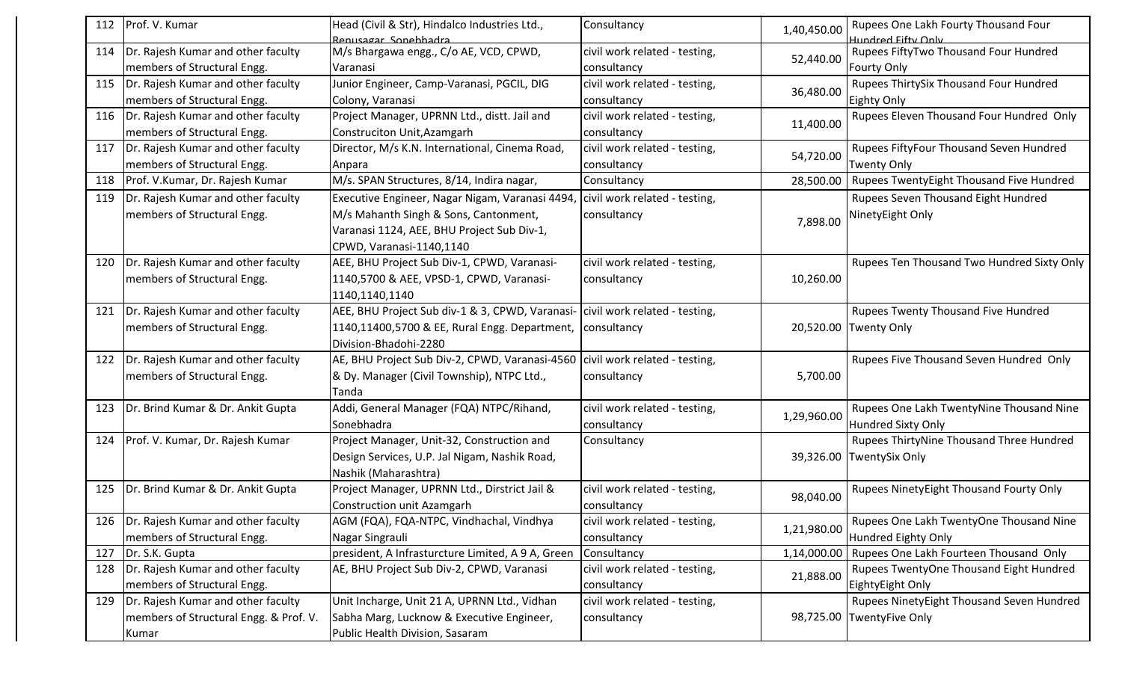| 112 | Prof. V. Kumar                           | Head (Civil & Str), Hindalco Industries Ltd.,                                | Consultancy                   | 1,40,450.00 | Rupees One Lakh Fourty Thousand Four       |
|-----|------------------------------------------|------------------------------------------------------------------------------|-------------------------------|-------------|--------------------------------------------|
|     |                                          | Renusagar Sonebhadra                                                         |                               |             | Hundred Fifty Only                         |
| 114 | Dr. Rajesh Kumar and other faculty       | M/s Bhargawa engg., C/o AE, VCD, CPWD,                                       | civil work related - testing, | 52,440.00   | Rupees FiftyTwo Thousand Four Hundred      |
|     | members of Structural Engg.              | Varanasi                                                                     | consultancy                   |             | <b>Fourty Only</b>                         |
| 115 | Dr. Rajesh Kumar and other faculty       | Junior Engineer, Camp-Varanasi, PGCIL, DIG                                   | civil work related - testing, | 36,480.00   | Rupees ThirtySix Thousand Four Hundred     |
|     | members of Structural Engg.              | Colony, Varanasi                                                             | consultancy                   |             | Eighty Only                                |
| 116 | Dr. Rajesh Kumar and other faculty       | Project Manager, UPRNN Ltd., distt. Jail and                                 | civil work related - testing, | 11,400.00   | Rupees Eleven Thousand Four Hundred Only   |
|     | members of Structural Engg.              | Construciton Unit, Azamgarh                                                  | consultancy                   |             |                                            |
| 117 | Dr. Rajesh Kumar and other faculty       | Director, M/s K.N. International, Cinema Road,                               | civil work related - testing, | 54,720.00   | Rupees FiftyFour Thousand Seven Hundred    |
|     | members of Structural Engg.              | Anpara                                                                       | consultancy                   |             | <b>Twenty Only</b>                         |
| 118 | Prof. V.Kumar, Dr. Rajesh Kumar          | M/s. SPAN Structures, 8/14, Indira nagar,                                    | Consultancy                   | 28,500.00   | Rupees TwentyEight Thousand Five Hundred   |
| 119 | Dr. Rajesh Kumar and other faculty       | Executive Engineer, Nagar Nigam, Varanasi 4494,                              | civil work related - testing, |             | Rupees Seven Thousand Eight Hundred        |
|     | members of Structural Engg.              | M/s Mahanth Singh & Sons, Cantonment,                                        | consultancy                   |             | NinetyEight Only                           |
|     |                                          | Varanasi 1124, AEE, BHU Project Sub Div-1,                                   |                               | 7,898.00    |                                            |
|     |                                          | CPWD, Varanasi-1140,1140                                                     |                               |             |                                            |
| 120 | Dr. Rajesh Kumar and other faculty       | AEE, BHU Project Sub Div-1, CPWD, Varanasi-                                  | civil work related - testing, |             | Rupees Ten Thousand Two Hundred Sixty Only |
|     | members of Structural Engg.              | 1140,5700 & AEE, VPSD-1, CPWD, Varanasi-                                     | consultancy                   | 10,260.00   |                                            |
|     |                                          | 1140,1140,1140                                                               |                               |             |                                            |
| 121 | Dr. Rajesh Kumar and other faculty       | AEE, BHU Project Sub div-1 & 3, CPWD, Varanasi-                              | civil work related - testing, |             | Rupees Twenty Thousand Five Hundred        |
|     | members of Structural Engg.              | 1140,11400,5700 & EE, Rural Engg. Department,   consultancy                  |                               |             | 20,520.00 Twenty Only                      |
|     |                                          | Division-Bhadohi-2280                                                        |                               |             |                                            |
|     | 122   Dr. Rajesh Kumar and other faculty | AE, BHU Project Sub Div-2, CPWD, Varanasi-4560 civil work related - testing, |                               |             | Rupees Five Thousand Seven Hundred Only    |
|     | members of Structural Engg.              | & Dy. Manager (Civil Township), NTPC Ltd.,                                   | consultancy                   | 5,700.00    |                                            |
|     |                                          | Tanda                                                                        |                               |             |                                            |
| 123 | Dr. Brind Kumar & Dr. Ankit Gupta        | Addi, General Manager (FQA) NTPC/Rihand,                                     | civil work related - testing, |             | Rupees One Lakh TwentyNine Thousand Nine   |
|     |                                          | Sonebhadra                                                                   | consultancy                   | 1,29,960.00 | Hundred Sixty Only                         |
| 124 | Prof. V. Kumar, Dr. Rajesh Kumar         | Project Manager, Unit-32, Construction and                                   | Consultancy                   |             | Rupees ThirtyNine Thousand Three Hundred   |
|     |                                          | Design Services, U.P. Jal Nigam, Nashik Road,                                |                               |             | 39,326.00 TwentySix Only                   |
|     |                                          | Nashik (Maharashtra)                                                         |                               |             |                                            |
| 125 | Dr. Brind Kumar & Dr. Ankit Gupta        | Project Manager, UPRNN Ltd., Dirstrict Jail &                                | civil work related - testing, |             | Rupees NinetyEight Thousand Fourty Only    |
|     |                                          | Construction unit Azamgarh                                                   | consultancy                   | 98,040.00   |                                            |
|     | 126   Dr. Rajesh Kumar and other faculty | AGM (FQA), FQA-NTPC, Vindhachal, Vindhya                                     | civil work related - testing, |             | Rupees One Lakh TwentyOne Thousand Nine    |
|     | members of Structural Engg.              | Nagar Singrauli                                                              | consultancy                   | 1,21,980.00 | Hundred Eighty Only                        |
| 127 | Dr. S.K. Gupta                           | president, A Infrasturcture Limited, A 9 A, Green                            | Consultancy                   | 1,14,000.00 | Rupees One Lakh Fourteen Thousand Only     |
| 128 | Dr. Rajesh Kumar and other faculty       | AE, BHU Project Sub Div-2, CPWD, Varanasi                                    | civil work related - testing, | 21,888.00   | Rupees TwentyOne Thousand Eight Hundred    |
|     | members of Structural Engg.              |                                                                              | consultancy                   |             | EightyEight Only                           |
| 129 | Dr. Rajesh Kumar and other faculty       | Unit Incharge, Unit 21 A, UPRNN Ltd., Vidhan                                 | civil work related - testing, |             | Rupees NinetyEight Thousand Seven Hundred  |
|     | members of Structural Engg. & Prof. V.   | Sabha Marg, Lucknow & Executive Engineer,                                    | consultancy                   |             | 98,725.00 TwentyFive Only                  |
|     | Kumar                                    | Public Health Division, Sasaram                                              |                               |             |                                            |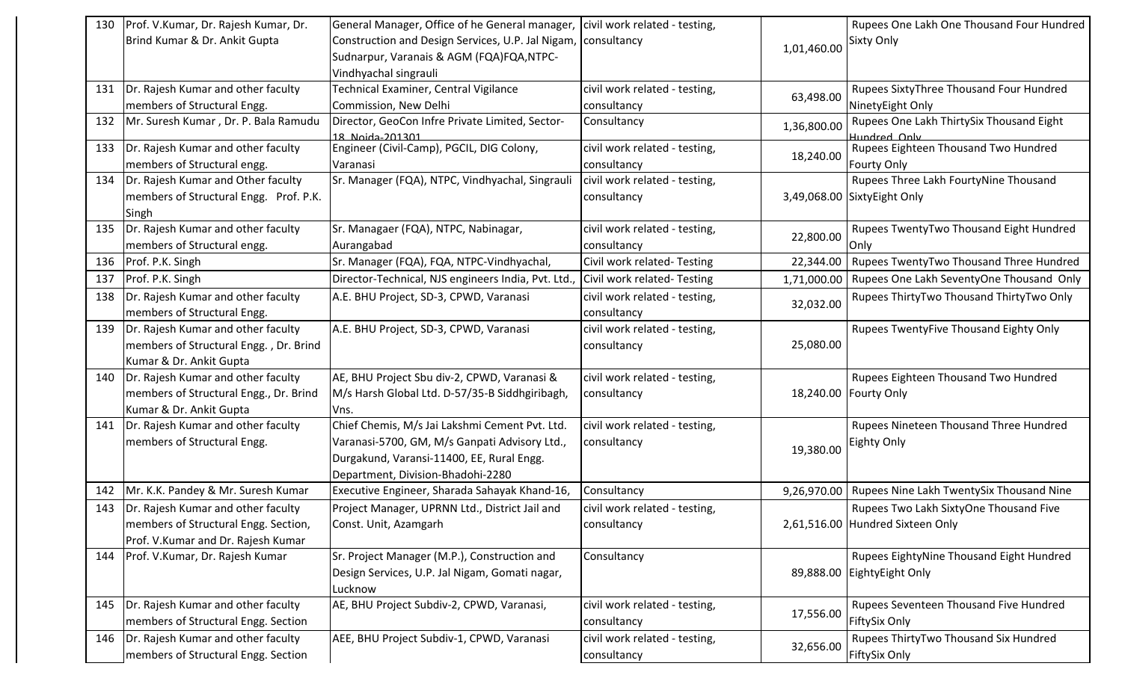| Brind Kumar & Dr. Ankit Gupta<br>Construction and Design Services, U.P. Jal Nigam,<br><b>Sixty Only</b><br>consultancy<br>1,01,460.00<br>Sudnarpur, Varanais & AGM (FQA)FQA,NTPC-<br>Vindhyachal singrauli<br>Dr. Rajesh Kumar and other faculty<br>Technical Examiner, Central Vigilance<br>civil work related - testing,<br>Rupees SixtyThree Thousand Four Hundred<br>131<br>63,498.00<br>members of Structural Engg.<br>Commission, New Delhi<br>NinetyEight Only<br>consultancy<br>Mr. Suresh Kumar, Dr. P. Bala Ramudu<br>Director, GeoCon Infre Private Limited, Sector-<br>Rupees One Lakh ThirtySix Thousand Eight<br>132<br>Consultancy<br>1,36,800.00<br>18 Noida-201301<br>Jundred Only<br>Dr. Rajesh Kumar and other faculty<br>Rupees Eighteen Thousand Two Hundred<br>Engineer (Civil-Camp), PGCIL, DIG Colony,<br>civil work related - testing,<br>133<br>18,240.00<br>members of Structural engg.<br>consultancy<br><b>Fourty Only</b><br>Varanasi<br>Dr. Rajesh Kumar and Other faculty<br>Sr. Manager (FQA), NTPC, Vindhyachal, Singraul<br>Rupees Three Lakh FourtyNine Thousand<br>civil work related - testing,<br>134<br>members of Structural Engg. Prof. P.K.<br>3,49,068.00 SixtyEight Only<br>consultancy<br>Singh<br>Dr. Rajesh Kumar and other faculty<br>Sr. Managaer (FQA), NTPC, Nabinagar,<br>civil work related - testing,<br>Rupees TwentyTwo Thousand Eight Hundred<br>135<br>22,800.00<br>members of Structural engg.<br>Aurangabad<br>consultancy<br>Only<br>Rupees TwentyTwo Thousand Three Hundred<br>Sr. Manager (FQA), FQA, NTPC-Vindhyachal,<br>Civil work related-Testing<br>136<br>Prof. P.K. Singh<br>22,344.00<br>Prof. P.K. Singh<br>Director-Technical, NJS engineers India, Pvt. Ltd.<br>Civil work related-Testing<br>Rupees One Lakh SeventyOne Thousand Only<br>137<br>1,71,000.00<br>Dr. Rajesh Kumar and other faculty<br>A.E. BHU Project, SD-3, CPWD, Varanasi<br>Rupees ThirtyTwo Thousand ThirtyTwo Only<br>138<br>civil work related - testing,<br>32,032.00<br>members of Structural Engg.<br>consultancy<br>Rupees TwentyFive Thousand Eighty Only<br>Dr. Rajesh Kumar and other faculty<br>A.E. BHU Project, SD-3, CPWD, Varanasi<br>civil work related - testing,<br>139<br>members of Structural Engg., Dr. Brind<br>25,080.00<br>consultancy<br>Kumar & Dr. Ankit Gupta<br>AE, BHU Project Sbu div-2, CPWD, Varanasi &<br>Dr. Rajesh Kumar and other faculty<br>civil work related - testing,<br>Rupees Eighteen Thousand Two Hundred<br>140<br>members of Structural Engg., Dr. Brind<br>M/s Harsh Global Ltd. D-57/35-B Siddhgiribagh,<br>18,240.00 Fourty Only<br>consultancy<br>Kumar & Dr. Ankit Gupta<br>vns.<br>Dr. Rajesh Kumar and other faculty<br>Rupees Nineteen Thousand Three Hundred<br>Chief Chemis, M/s Jai Lakshmi Cement Pvt. Ltd.<br>civil work related - testing,<br>141<br>members of Structural Engg.<br>Varanasi-5700, GM, M/s Ganpati Advisory Ltd.,<br>consultancy<br>Eighty Only<br>19,380.00<br>Durgakund, Varansi-11400, EE, Rural Engg.<br>Department, Division-Bhadohi-2280<br>Mr. K.K. Pandey & Mr. Suresh Kumar<br>Executive Engineer, Sharada Sahayak Khand-16,<br>Rupees Nine Lakh TwentySix Thousand Nine<br>142<br>Consultancy<br>9,26,970.00<br>Dr. Rajesh Kumar and other faculty<br>Project Manager, UPRNN Ltd., District Jail and<br>Rupees Two Lakh SixtyOne Thousand Five<br>143<br>civil work related - testing,<br>2,61,516.00 Hundred Sixteen Only<br>members of Structural Engg. Section,<br>Const. Unit, Azamgarh<br>consultancy<br>Prof. V.Kumar and Dr. Rajesh Kumar<br>Sr. Project Manager (M.P.), Construction and<br>Rupees EightyNine Thousand Eight Hundred<br>Prof. V.Kumar, Dr. Rajesh Kumar<br>Consultancy<br>144<br>89,888.00<br>Design Services, U.P. Jal Nigam, Gomati nagar,<br>EightyEight Only<br>Lucknow<br>AE, BHU Project Subdiv-2, CPWD, Varanasi,<br>civil work related - testing,<br>Rupees Seventeen Thousand Five Hundred<br>Dr. Rajesh Kumar and other faculty<br>145<br>17,556.00<br>FiftySix Only<br>members of Structural Engg. Section<br>consultancy<br>Dr. Rajesh Kumar and other faculty<br>Rupees ThirtyTwo Thousand Six Hundred<br>AEE, BHU Project Subdiv-1, CPWD, Varanasi<br>civil work related - testing,<br>146<br>32,656.00<br>FiftySix Only<br>members of Structural Engg. Section<br>consultancy | 130 | Prof. V.Kumar, Dr. Rajesh Kumar, Dr. | General Manager, Office of he General manager, | civil work related - testing, | Rupees One Lakh One Thousand Four Hundred |
|--------------------------------------------------------------------------------------------------------------------------------------------------------------------------------------------------------------------------------------------------------------------------------------------------------------------------------------------------------------------------------------------------------------------------------------------------------------------------------------------------------------------------------------------------------------------------------------------------------------------------------------------------------------------------------------------------------------------------------------------------------------------------------------------------------------------------------------------------------------------------------------------------------------------------------------------------------------------------------------------------------------------------------------------------------------------------------------------------------------------------------------------------------------------------------------------------------------------------------------------------------------------------------------------------------------------------------------------------------------------------------------------------------------------------------------------------------------------------------------------------------------------------------------------------------------------------------------------------------------------------------------------------------------------------------------------------------------------------------------------------------------------------------------------------------------------------------------------------------------------------------------------------------------------------------------------------------------------------------------------------------------------------------------------------------------------------------------------------------------------------------------------------------------------------------------------------------------------------------------------------------------------------------------------------------------------------------------------------------------------------------------------------------------------------------------------------------------------------------------------------------------------------------------------------------------------------------------------------------------------------------------------------------------------------------------------------------------------------------------------------------------------------------------------------------------------------------------------------------------------------------------------------------------------------------------------------------------------------------------------------------------------------------------------------------------------------------------------------------------------------------------------------------------------------------------------------------------------------------------------------------------------------------------------------------------------------------------------------------------------------------------------------------------------------------------------------------------------------------------------------------------------------------------------------------------------------------------------------------------------------------------------------------------------------------------------------------------------------------------------------------------------------------------------------------------------------------------------------------------------------------------------------------------------------------------------------------------------------------------------------------------------------------------------------------------------------------------------------------------------------------------------------------------------------------------------------------------------------------------------------------------------------------------------------------------------------------------------------------------|-----|--------------------------------------|------------------------------------------------|-------------------------------|-------------------------------------------|
|                                                                                                                                                                                                                                                                                                                                                                                                                                                                                                                                                                                                                                                                                                                                                                                                                                                                                                                                                                                                                                                                                                                                                                                                                                                                                                                                                                                                                                                                                                                                                                                                                                                                                                                                                                                                                                                                                                                                                                                                                                                                                                                                                                                                                                                                                                                                                                                                                                                                                                                                                                                                                                                                                                                                                                                                                                                                                                                                                                                                                                                                                                                                                                                                                                                                                                                                                                                                                                                                                                                                                                                                                                                                                                                                                                                                                                                                                                                                                                                                                                                                                                                                                                                                                                                                                                                                                              |     |                                      |                                                |                               |                                           |
|                                                                                                                                                                                                                                                                                                                                                                                                                                                                                                                                                                                                                                                                                                                                                                                                                                                                                                                                                                                                                                                                                                                                                                                                                                                                                                                                                                                                                                                                                                                                                                                                                                                                                                                                                                                                                                                                                                                                                                                                                                                                                                                                                                                                                                                                                                                                                                                                                                                                                                                                                                                                                                                                                                                                                                                                                                                                                                                                                                                                                                                                                                                                                                                                                                                                                                                                                                                                                                                                                                                                                                                                                                                                                                                                                                                                                                                                                                                                                                                                                                                                                                                                                                                                                                                                                                                                                              |     |                                      |                                                |                               |                                           |
|                                                                                                                                                                                                                                                                                                                                                                                                                                                                                                                                                                                                                                                                                                                                                                                                                                                                                                                                                                                                                                                                                                                                                                                                                                                                                                                                                                                                                                                                                                                                                                                                                                                                                                                                                                                                                                                                                                                                                                                                                                                                                                                                                                                                                                                                                                                                                                                                                                                                                                                                                                                                                                                                                                                                                                                                                                                                                                                                                                                                                                                                                                                                                                                                                                                                                                                                                                                                                                                                                                                                                                                                                                                                                                                                                                                                                                                                                                                                                                                                                                                                                                                                                                                                                                                                                                                                                              |     |                                      |                                                |                               |                                           |
|                                                                                                                                                                                                                                                                                                                                                                                                                                                                                                                                                                                                                                                                                                                                                                                                                                                                                                                                                                                                                                                                                                                                                                                                                                                                                                                                                                                                                                                                                                                                                                                                                                                                                                                                                                                                                                                                                                                                                                                                                                                                                                                                                                                                                                                                                                                                                                                                                                                                                                                                                                                                                                                                                                                                                                                                                                                                                                                                                                                                                                                                                                                                                                                                                                                                                                                                                                                                                                                                                                                                                                                                                                                                                                                                                                                                                                                                                                                                                                                                                                                                                                                                                                                                                                                                                                                                                              |     |                                      |                                                |                               |                                           |
|                                                                                                                                                                                                                                                                                                                                                                                                                                                                                                                                                                                                                                                                                                                                                                                                                                                                                                                                                                                                                                                                                                                                                                                                                                                                                                                                                                                                                                                                                                                                                                                                                                                                                                                                                                                                                                                                                                                                                                                                                                                                                                                                                                                                                                                                                                                                                                                                                                                                                                                                                                                                                                                                                                                                                                                                                                                                                                                                                                                                                                                                                                                                                                                                                                                                                                                                                                                                                                                                                                                                                                                                                                                                                                                                                                                                                                                                                                                                                                                                                                                                                                                                                                                                                                                                                                                                                              |     |                                      |                                                |                               |                                           |
|                                                                                                                                                                                                                                                                                                                                                                                                                                                                                                                                                                                                                                                                                                                                                                                                                                                                                                                                                                                                                                                                                                                                                                                                                                                                                                                                                                                                                                                                                                                                                                                                                                                                                                                                                                                                                                                                                                                                                                                                                                                                                                                                                                                                                                                                                                                                                                                                                                                                                                                                                                                                                                                                                                                                                                                                                                                                                                                                                                                                                                                                                                                                                                                                                                                                                                                                                                                                                                                                                                                                                                                                                                                                                                                                                                                                                                                                                                                                                                                                                                                                                                                                                                                                                                                                                                                                                              |     |                                      |                                                |                               |                                           |
|                                                                                                                                                                                                                                                                                                                                                                                                                                                                                                                                                                                                                                                                                                                                                                                                                                                                                                                                                                                                                                                                                                                                                                                                                                                                                                                                                                                                                                                                                                                                                                                                                                                                                                                                                                                                                                                                                                                                                                                                                                                                                                                                                                                                                                                                                                                                                                                                                                                                                                                                                                                                                                                                                                                                                                                                                                                                                                                                                                                                                                                                                                                                                                                                                                                                                                                                                                                                                                                                                                                                                                                                                                                                                                                                                                                                                                                                                                                                                                                                                                                                                                                                                                                                                                                                                                                                                              |     |                                      |                                                |                               |                                           |
|                                                                                                                                                                                                                                                                                                                                                                                                                                                                                                                                                                                                                                                                                                                                                                                                                                                                                                                                                                                                                                                                                                                                                                                                                                                                                                                                                                                                                                                                                                                                                                                                                                                                                                                                                                                                                                                                                                                                                                                                                                                                                                                                                                                                                                                                                                                                                                                                                                                                                                                                                                                                                                                                                                                                                                                                                                                                                                                                                                                                                                                                                                                                                                                                                                                                                                                                                                                                                                                                                                                                                                                                                                                                                                                                                                                                                                                                                                                                                                                                                                                                                                                                                                                                                                                                                                                                                              |     |                                      |                                                |                               |                                           |
|                                                                                                                                                                                                                                                                                                                                                                                                                                                                                                                                                                                                                                                                                                                                                                                                                                                                                                                                                                                                                                                                                                                                                                                                                                                                                                                                                                                                                                                                                                                                                                                                                                                                                                                                                                                                                                                                                                                                                                                                                                                                                                                                                                                                                                                                                                                                                                                                                                                                                                                                                                                                                                                                                                                                                                                                                                                                                                                                                                                                                                                                                                                                                                                                                                                                                                                                                                                                                                                                                                                                                                                                                                                                                                                                                                                                                                                                                                                                                                                                                                                                                                                                                                                                                                                                                                                                                              |     |                                      |                                                |                               |                                           |
|                                                                                                                                                                                                                                                                                                                                                                                                                                                                                                                                                                                                                                                                                                                                                                                                                                                                                                                                                                                                                                                                                                                                                                                                                                                                                                                                                                                                                                                                                                                                                                                                                                                                                                                                                                                                                                                                                                                                                                                                                                                                                                                                                                                                                                                                                                                                                                                                                                                                                                                                                                                                                                                                                                                                                                                                                                                                                                                                                                                                                                                                                                                                                                                                                                                                                                                                                                                                                                                                                                                                                                                                                                                                                                                                                                                                                                                                                                                                                                                                                                                                                                                                                                                                                                                                                                                                                              |     |                                      |                                                |                               |                                           |
|                                                                                                                                                                                                                                                                                                                                                                                                                                                                                                                                                                                                                                                                                                                                                                                                                                                                                                                                                                                                                                                                                                                                                                                                                                                                                                                                                                                                                                                                                                                                                                                                                                                                                                                                                                                                                                                                                                                                                                                                                                                                                                                                                                                                                                                                                                                                                                                                                                                                                                                                                                                                                                                                                                                                                                                                                                                                                                                                                                                                                                                                                                                                                                                                                                                                                                                                                                                                                                                                                                                                                                                                                                                                                                                                                                                                                                                                                                                                                                                                                                                                                                                                                                                                                                                                                                                                                              |     |                                      |                                                |                               |                                           |
|                                                                                                                                                                                                                                                                                                                                                                                                                                                                                                                                                                                                                                                                                                                                                                                                                                                                                                                                                                                                                                                                                                                                                                                                                                                                                                                                                                                                                                                                                                                                                                                                                                                                                                                                                                                                                                                                                                                                                                                                                                                                                                                                                                                                                                                                                                                                                                                                                                                                                                                                                                                                                                                                                                                                                                                                                                                                                                                                                                                                                                                                                                                                                                                                                                                                                                                                                                                                                                                                                                                                                                                                                                                                                                                                                                                                                                                                                                                                                                                                                                                                                                                                                                                                                                                                                                                                                              |     |                                      |                                                |                               |                                           |
|                                                                                                                                                                                                                                                                                                                                                                                                                                                                                                                                                                                                                                                                                                                                                                                                                                                                                                                                                                                                                                                                                                                                                                                                                                                                                                                                                                                                                                                                                                                                                                                                                                                                                                                                                                                                                                                                                                                                                                                                                                                                                                                                                                                                                                                                                                                                                                                                                                                                                                                                                                                                                                                                                                                                                                                                                                                                                                                                                                                                                                                                                                                                                                                                                                                                                                                                                                                                                                                                                                                                                                                                                                                                                                                                                                                                                                                                                                                                                                                                                                                                                                                                                                                                                                                                                                                                                              |     |                                      |                                                |                               |                                           |
|                                                                                                                                                                                                                                                                                                                                                                                                                                                                                                                                                                                                                                                                                                                                                                                                                                                                                                                                                                                                                                                                                                                                                                                                                                                                                                                                                                                                                                                                                                                                                                                                                                                                                                                                                                                                                                                                                                                                                                                                                                                                                                                                                                                                                                                                                                                                                                                                                                                                                                                                                                                                                                                                                                                                                                                                                                                                                                                                                                                                                                                                                                                                                                                                                                                                                                                                                                                                                                                                                                                                                                                                                                                                                                                                                                                                                                                                                                                                                                                                                                                                                                                                                                                                                                                                                                                                                              |     |                                      |                                                |                               |                                           |
|                                                                                                                                                                                                                                                                                                                                                                                                                                                                                                                                                                                                                                                                                                                                                                                                                                                                                                                                                                                                                                                                                                                                                                                                                                                                                                                                                                                                                                                                                                                                                                                                                                                                                                                                                                                                                                                                                                                                                                                                                                                                                                                                                                                                                                                                                                                                                                                                                                                                                                                                                                                                                                                                                                                                                                                                                                                                                                                                                                                                                                                                                                                                                                                                                                                                                                                                                                                                                                                                                                                                                                                                                                                                                                                                                                                                                                                                                                                                                                                                                                                                                                                                                                                                                                                                                                                                                              |     |                                      |                                                |                               |                                           |
|                                                                                                                                                                                                                                                                                                                                                                                                                                                                                                                                                                                                                                                                                                                                                                                                                                                                                                                                                                                                                                                                                                                                                                                                                                                                                                                                                                                                                                                                                                                                                                                                                                                                                                                                                                                                                                                                                                                                                                                                                                                                                                                                                                                                                                                                                                                                                                                                                                                                                                                                                                                                                                                                                                                                                                                                                                                                                                                                                                                                                                                                                                                                                                                                                                                                                                                                                                                                                                                                                                                                                                                                                                                                                                                                                                                                                                                                                                                                                                                                                                                                                                                                                                                                                                                                                                                                                              |     |                                      |                                                |                               |                                           |
|                                                                                                                                                                                                                                                                                                                                                                                                                                                                                                                                                                                                                                                                                                                                                                                                                                                                                                                                                                                                                                                                                                                                                                                                                                                                                                                                                                                                                                                                                                                                                                                                                                                                                                                                                                                                                                                                                                                                                                                                                                                                                                                                                                                                                                                                                                                                                                                                                                                                                                                                                                                                                                                                                                                                                                                                                                                                                                                                                                                                                                                                                                                                                                                                                                                                                                                                                                                                                                                                                                                                                                                                                                                                                                                                                                                                                                                                                                                                                                                                                                                                                                                                                                                                                                                                                                                                                              |     |                                      |                                                |                               |                                           |
|                                                                                                                                                                                                                                                                                                                                                                                                                                                                                                                                                                                                                                                                                                                                                                                                                                                                                                                                                                                                                                                                                                                                                                                                                                                                                                                                                                                                                                                                                                                                                                                                                                                                                                                                                                                                                                                                                                                                                                                                                                                                                                                                                                                                                                                                                                                                                                                                                                                                                                                                                                                                                                                                                                                                                                                                                                                                                                                                                                                                                                                                                                                                                                                                                                                                                                                                                                                                                                                                                                                                                                                                                                                                                                                                                                                                                                                                                                                                                                                                                                                                                                                                                                                                                                                                                                                                                              |     |                                      |                                                |                               |                                           |
|                                                                                                                                                                                                                                                                                                                                                                                                                                                                                                                                                                                                                                                                                                                                                                                                                                                                                                                                                                                                                                                                                                                                                                                                                                                                                                                                                                                                                                                                                                                                                                                                                                                                                                                                                                                                                                                                                                                                                                                                                                                                                                                                                                                                                                                                                                                                                                                                                                                                                                                                                                                                                                                                                                                                                                                                                                                                                                                                                                                                                                                                                                                                                                                                                                                                                                                                                                                                                                                                                                                                                                                                                                                                                                                                                                                                                                                                                                                                                                                                                                                                                                                                                                                                                                                                                                                                                              |     |                                      |                                                |                               |                                           |
|                                                                                                                                                                                                                                                                                                                                                                                                                                                                                                                                                                                                                                                                                                                                                                                                                                                                                                                                                                                                                                                                                                                                                                                                                                                                                                                                                                                                                                                                                                                                                                                                                                                                                                                                                                                                                                                                                                                                                                                                                                                                                                                                                                                                                                                                                                                                                                                                                                                                                                                                                                                                                                                                                                                                                                                                                                                                                                                                                                                                                                                                                                                                                                                                                                                                                                                                                                                                                                                                                                                                                                                                                                                                                                                                                                                                                                                                                                                                                                                                                                                                                                                                                                                                                                                                                                                                                              |     |                                      |                                                |                               |                                           |
|                                                                                                                                                                                                                                                                                                                                                                                                                                                                                                                                                                                                                                                                                                                                                                                                                                                                                                                                                                                                                                                                                                                                                                                                                                                                                                                                                                                                                                                                                                                                                                                                                                                                                                                                                                                                                                                                                                                                                                                                                                                                                                                                                                                                                                                                                                                                                                                                                                                                                                                                                                                                                                                                                                                                                                                                                                                                                                                                                                                                                                                                                                                                                                                                                                                                                                                                                                                                                                                                                                                                                                                                                                                                                                                                                                                                                                                                                                                                                                                                                                                                                                                                                                                                                                                                                                                                                              |     |                                      |                                                |                               |                                           |
|                                                                                                                                                                                                                                                                                                                                                                                                                                                                                                                                                                                                                                                                                                                                                                                                                                                                                                                                                                                                                                                                                                                                                                                                                                                                                                                                                                                                                                                                                                                                                                                                                                                                                                                                                                                                                                                                                                                                                                                                                                                                                                                                                                                                                                                                                                                                                                                                                                                                                                                                                                                                                                                                                                                                                                                                                                                                                                                                                                                                                                                                                                                                                                                                                                                                                                                                                                                                                                                                                                                                                                                                                                                                                                                                                                                                                                                                                                                                                                                                                                                                                                                                                                                                                                                                                                                                                              |     |                                      |                                                |                               |                                           |
|                                                                                                                                                                                                                                                                                                                                                                                                                                                                                                                                                                                                                                                                                                                                                                                                                                                                                                                                                                                                                                                                                                                                                                                                                                                                                                                                                                                                                                                                                                                                                                                                                                                                                                                                                                                                                                                                                                                                                                                                                                                                                                                                                                                                                                                                                                                                                                                                                                                                                                                                                                                                                                                                                                                                                                                                                                                                                                                                                                                                                                                                                                                                                                                                                                                                                                                                                                                                                                                                                                                                                                                                                                                                                                                                                                                                                                                                                                                                                                                                                                                                                                                                                                                                                                                                                                                                                              |     |                                      |                                                |                               |                                           |
|                                                                                                                                                                                                                                                                                                                                                                                                                                                                                                                                                                                                                                                                                                                                                                                                                                                                                                                                                                                                                                                                                                                                                                                                                                                                                                                                                                                                                                                                                                                                                                                                                                                                                                                                                                                                                                                                                                                                                                                                                                                                                                                                                                                                                                                                                                                                                                                                                                                                                                                                                                                                                                                                                                                                                                                                                                                                                                                                                                                                                                                                                                                                                                                                                                                                                                                                                                                                                                                                                                                                                                                                                                                                                                                                                                                                                                                                                                                                                                                                                                                                                                                                                                                                                                                                                                                                                              |     |                                      |                                                |                               |                                           |
|                                                                                                                                                                                                                                                                                                                                                                                                                                                                                                                                                                                                                                                                                                                                                                                                                                                                                                                                                                                                                                                                                                                                                                                                                                                                                                                                                                                                                                                                                                                                                                                                                                                                                                                                                                                                                                                                                                                                                                                                                                                                                                                                                                                                                                                                                                                                                                                                                                                                                                                                                                                                                                                                                                                                                                                                                                                                                                                                                                                                                                                                                                                                                                                                                                                                                                                                                                                                                                                                                                                                                                                                                                                                                                                                                                                                                                                                                                                                                                                                                                                                                                                                                                                                                                                                                                                                                              |     |                                      |                                                |                               |                                           |
|                                                                                                                                                                                                                                                                                                                                                                                                                                                                                                                                                                                                                                                                                                                                                                                                                                                                                                                                                                                                                                                                                                                                                                                                                                                                                                                                                                                                                                                                                                                                                                                                                                                                                                                                                                                                                                                                                                                                                                                                                                                                                                                                                                                                                                                                                                                                                                                                                                                                                                                                                                                                                                                                                                                                                                                                                                                                                                                                                                                                                                                                                                                                                                                                                                                                                                                                                                                                                                                                                                                                                                                                                                                                                                                                                                                                                                                                                                                                                                                                                                                                                                                                                                                                                                                                                                                                                              |     |                                      |                                                |                               |                                           |
|                                                                                                                                                                                                                                                                                                                                                                                                                                                                                                                                                                                                                                                                                                                                                                                                                                                                                                                                                                                                                                                                                                                                                                                                                                                                                                                                                                                                                                                                                                                                                                                                                                                                                                                                                                                                                                                                                                                                                                                                                                                                                                                                                                                                                                                                                                                                                                                                                                                                                                                                                                                                                                                                                                                                                                                                                                                                                                                                                                                                                                                                                                                                                                                                                                                                                                                                                                                                                                                                                                                                                                                                                                                                                                                                                                                                                                                                                                                                                                                                                                                                                                                                                                                                                                                                                                                                                              |     |                                      |                                                |                               |                                           |
|                                                                                                                                                                                                                                                                                                                                                                                                                                                                                                                                                                                                                                                                                                                                                                                                                                                                                                                                                                                                                                                                                                                                                                                                                                                                                                                                                                                                                                                                                                                                                                                                                                                                                                                                                                                                                                                                                                                                                                                                                                                                                                                                                                                                                                                                                                                                                                                                                                                                                                                                                                                                                                                                                                                                                                                                                                                                                                                                                                                                                                                                                                                                                                                                                                                                                                                                                                                                                                                                                                                                                                                                                                                                                                                                                                                                                                                                                                                                                                                                                                                                                                                                                                                                                                                                                                                                                              |     |                                      |                                                |                               |                                           |
|                                                                                                                                                                                                                                                                                                                                                                                                                                                                                                                                                                                                                                                                                                                                                                                                                                                                                                                                                                                                                                                                                                                                                                                                                                                                                                                                                                                                                                                                                                                                                                                                                                                                                                                                                                                                                                                                                                                                                                                                                                                                                                                                                                                                                                                                                                                                                                                                                                                                                                                                                                                                                                                                                                                                                                                                                                                                                                                                                                                                                                                                                                                                                                                                                                                                                                                                                                                                                                                                                                                                                                                                                                                                                                                                                                                                                                                                                                                                                                                                                                                                                                                                                                                                                                                                                                                                                              |     |                                      |                                                |                               |                                           |
|                                                                                                                                                                                                                                                                                                                                                                                                                                                                                                                                                                                                                                                                                                                                                                                                                                                                                                                                                                                                                                                                                                                                                                                                                                                                                                                                                                                                                                                                                                                                                                                                                                                                                                                                                                                                                                                                                                                                                                                                                                                                                                                                                                                                                                                                                                                                                                                                                                                                                                                                                                                                                                                                                                                                                                                                                                                                                                                                                                                                                                                                                                                                                                                                                                                                                                                                                                                                                                                                                                                                                                                                                                                                                                                                                                                                                                                                                                                                                                                                                                                                                                                                                                                                                                                                                                                                                              |     |                                      |                                                |                               |                                           |
|                                                                                                                                                                                                                                                                                                                                                                                                                                                                                                                                                                                                                                                                                                                                                                                                                                                                                                                                                                                                                                                                                                                                                                                                                                                                                                                                                                                                                                                                                                                                                                                                                                                                                                                                                                                                                                                                                                                                                                                                                                                                                                                                                                                                                                                                                                                                                                                                                                                                                                                                                                                                                                                                                                                                                                                                                                                                                                                                                                                                                                                                                                                                                                                                                                                                                                                                                                                                                                                                                                                                                                                                                                                                                                                                                                                                                                                                                                                                                                                                                                                                                                                                                                                                                                                                                                                                                              |     |                                      |                                                |                               |                                           |
|                                                                                                                                                                                                                                                                                                                                                                                                                                                                                                                                                                                                                                                                                                                                                                                                                                                                                                                                                                                                                                                                                                                                                                                                                                                                                                                                                                                                                                                                                                                                                                                                                                                                                                                                                                                                                                                                                                                                                                                                                                                                                                                                                                                                                                                                                                                                                                                                                                                                                                                                                                                                                                                                                                                                                                                                                                                                                                                                                                                                                                                                                                                                                                                                                                                                                                                                                                                                                                                                                                                                                                                                                                                                                                                                                                                                                                                                                                                                                                                                                                                                                                                                                                                                                                                                                                                                                              |     |                                      |                                                |                               |                                           |
|                                                                                                                                                                                                                                                                                                                                                                                                                                                                                                                                                                                                                                                                                                                                                                                                                                                                                                                                                                                                                                                                                                                                                                                                                                                                                                                                                                                                                                                                                                                                                                                                                                                                                                                                                                                                                                                                                                                                                                                                                                                                                                                                                                                                                                                                                                                                                                                                                                                                                                                                                                                                                                                                                                                                                                                                                                                                                                                                                                                                                                                                                                                                                                                                                                                                                                                                                                                                                                                                                                                                                                                                                                                                                                                                                                                                                                                                                                                                                                                                                                                                                                                                                                                                                                                                                                                                                              |     |                                      |                                                |                               |                                           |
|                                                                                                                                                                                                                                                                                                                                                                                                                                                                                                                                                                                                                                                                                                                                                                                                                                                                                                                                                                                                                                                                                                                                                                                                                                                                                                                                                                                                                                                                                                                                                                                                                                                                                                                                                                                                                                                                                                                                                                                                                                                                                                                                                                                                                                                                                                                                                                                                                                                                                                                                                                                                                                                                                                                                                                                                                                                                                                                                                                                                                                                                                                                                                                                                                                                                                                                                                                                                                                                                                                                                                                                                                                                                                                                                                                                                                                                                                                                                                                                                                                                                                                                                                                                                                                                                                                                                                              |     |                                      |                                                |                               |                                           |
|                                                                                                                                                                                                                                                                                                                                                                                                                                                                                                                                                                                                                                                                                                                                                                                                                                                                                                                                                                                                                                                                                                                                                                                                                                                                                                                                                                                                                                                                                                                                                                                                                                                                                                                                                                                                                                                                                                                                                                                                                                                                                                                                                                                                                                                                                                                                                                                                                                                                                                                                                                                                                                                                                                                                                                                                                                                                                                                                                                                                                                                                                                                                                                                                                                                                                                                                                                                                                                                                                                                                                                                                                                                                                                                                                                                                                                                                                                                                                                                                                                                                                                                                                                                                                                                                                                                                                              |     |                                      |                                                |                               |                                           |
|                                                                                                                                                                                                                                                                                                                                                                                                                                                                                                                                                                                                                                                                                                                                                                                                                                                                                                                                                                                                                                                                                                                                                                                                                                                                                                                                                                                                                                                                                                                                                                                                                                                                                                                                                                                                                                                                                                                                                                                                                                                                                                                                                                                                                                                                                                                                                                                                                                                                                                                                                                                                                                                                                                                                                                                                                                                                                                                                                                                                                                                                                                                                                                                                                                                                                                                                                                                                                                                                                                                                                                                                                                                                                                                                                                                                                                                                                                                                                                                                                                                                                                                                                                                                                                                                                                                                                              |     |                                      |                                                |                               |                                           |
|                                                                                                                                                                                                                                                                                                                                                                                                                                                                                                                                                                                                                                                                                                                                                                                                                                                                                                                                                                                                                                                                                                                                                                                                                                                                                                                                                                                                                                                                                                                                                                                                                                                                                                                                                                                                                                                                                                                                                                                                                                                                                                                                                                                                                                                                                                                                                                                                                                                                                                                                                                                                                                                                                                                                                                                                                                                                                                                                                                                                                                                                                                                                                                                                                                                                                                                                                                                                                                                                                                                                                                                                                                                                                                                                                                                                                                                                                                                                                                                                                                                                                                                                                                                                                                                                                                                                                              |     |                                      |                                                |                               |                                           |
|                                                                                                                                                                                                                                                                                                                                                                                                                                                                                                                                                                                                                                                                                                                                                                                                                                                                                                                                                                                                                                                                                                                                                                                                                                                                                                                                                                                                                                                                                                                                                                                                                                                                                                                                                                                                                                                                                                                                                                                                                                                                                                                                                                                                                                                                                                                                                                                                                                                                                                                                                                                                                                                                                                                                                                                                                                                                                                                                                                                                                                                                                                                                                                                                                                                                                                                                                                                                                                                                                                                                                                                                                                                                                                                                                                                                                                                                                                                                                                                                                                                                                                                                                                                                                                                                                                                                                              |     |                                      |                                                |                               |                                           |
|                                                                                                                                                                                                                                                                                                                                                                                                                                                                                                                                                                                                                                                                                                                                                                                                                                                                                                                                                                                                                                                                                                                                                                                                                                                                                                                                                                                                                                                                                                                                                                                                                                                                                                                                                                                                                                                                                                                                                                                                                                                                                                                                                                                                                                                                                                                                                                                                                                                                                                                                                                                                                                                                                                                                                                                                                                                                                                                                                                                                                                                                                                                                                                                                                                                                                                                                                                                                                                                                                                                                                                                                                                                                                                                                                                                                                                                                                                                                                                                                                                                                                                                                                                                                                                                                                                                                                              |     |                                      |                                                |                               |                                           |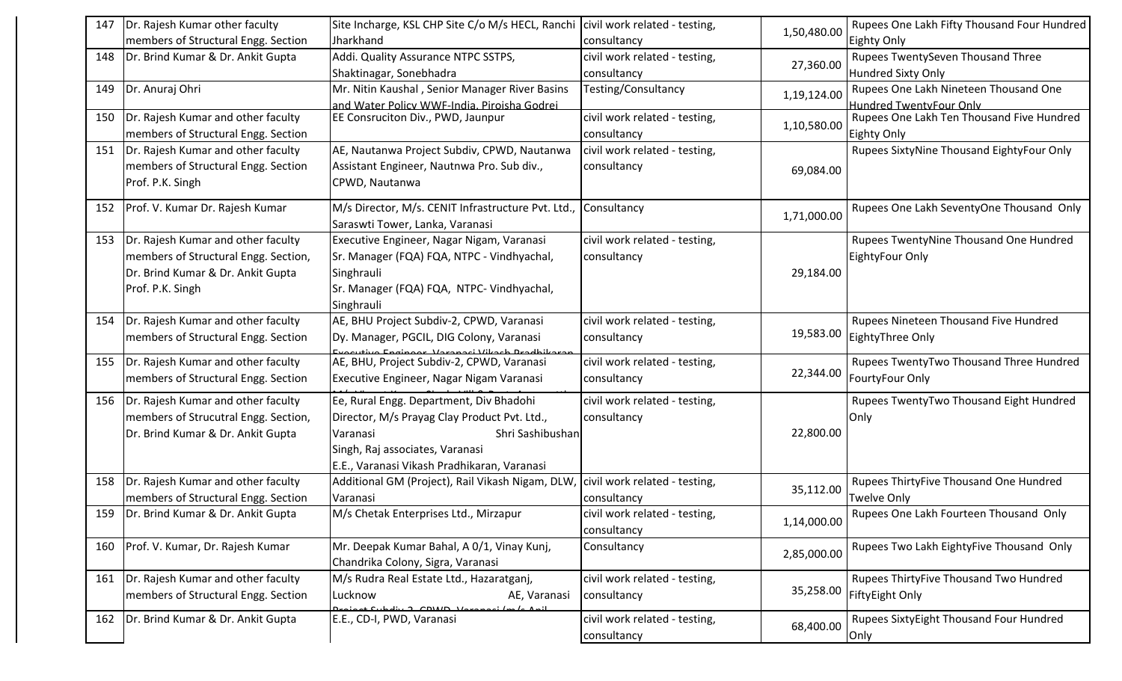| 147 | Dr. Rajesh Kumar other faculty          | Site Incharge, KSL CHP Site C/o M/s HECL, Ranchi   civil work related - testing, |                               |             | Rupees One Lakh Fifty Thousand Four Hundred |
|-----|-----------------------------------------|----------------------------------------------------------------------------------|-------------------------------|-------------|---------------------------------------------|
|     | members of Structural Engg. Section     | Jharkhand                                                                        | consultancy                   | 1,50,480.00 | Eighty Only                                 |
| 148 | Dr. Brind Kumar & Dr. Ankit Gupta       | Addi. Quality Assurance NTPC SSTPS,                                              | civil work related - testing, |             | Rupees TwentySeven Thousand Three           |
|     |                                         | Shaktinagar, Sonebhadra                                                          | consultancy                   | 27,360.00   | Hundred Sixty Only                          |
| 149 | Dr. Anuraj Ohri                         | Mr. Nitin Kaushal, Senior Manager River Basins                                   | Testing/Consultancy           | 1,19,124.00 | Rupees One Lakh Nineteen Thousand One       |
|     |                                         | and Water Policy WWF-India. Piroisha Godrei                                      |                               |             | Hundred TwentyFour Only                     |
| 150 | Dr. Rajesh Kumar and other faculty      | EE Consruciton Div., PWD, Jaunpur                                                | civil work related - testing, | 1,10,580.00 | Rupees One Lakh Ten Thousand Five Hundred   |
|     | members of Structural Engg. Section     |                                                                                  | consultancy                   |             | Eighty Only                                 |
| 151 | Dr. Rajesh Kumar and other faculty      | AE, Nautanwa Project Subdiv, CPWD, Nautanwa                                      | civil work related - testing, |             | Rupees SixtyNine Thousand EightyFour Only   |
|     | members of Structural Engg. Section     | Assistant Engineer, Nautnwa Pro. Sub div.,                                       | consultancy                   | 69,084.00   |                                             |
|     | Prof. P.K. Singh                        | CPWD, Nautanwa                                                                   |                               |             |                                             |
|     | 152   Prof. V. Kumar Dr. Rajesh Kumar   | M/s Director, M/s. CENIT Infrastructure Pvt. Ltd.,                               | Consultancy                   |             | Rupees One Lakh SeventyOne Thousand Only    |
|     |                                         | Saraswti Tower, Lanka, Varanasi                                                  |                               | 1,71,000.00 |                                             |
| 153 | Dr. Rajesh Kumar and other faculty      | Executive Engineer, Nagar Nigam, Varanasi                                        | civil work related - testing, |             | Rupees TwentyNine Thousand One Hundred      |
|     | members of Structural Engg. Section,    | Sr. Manager (FQA) FQA, NTPC - Vindhyachal,                                       | consultancy                   |             | EightyFour Only                             |
|     | Dr. Brind Kumar & Dr. Ankit Gupta       | Singhrauli                                                                       |                               | 29,184.00   |                                             |
|     | Prof. P.K. Singh                        | Sr. Manager (FQA) FQA, NTPC- Vindhyachal,                                        |                               |             |                                             |
|     |                                         | Singhrauli                                                                       |                               |             |                                             |
| 154 | Dr. Rajesh Kumar and other faculty      | AE, BHU Project Subdiv-2, CPWD, Varanasi                                         | civil work related - testing, |             | Rupees Nineteen Thousand Five Hundred       |
|     | members of Structural Engg. Section     | Dy. Manager, PGCIL, DIG Colony, Varanasi                                         | consultancy                   | 19,583.00   | EightyThree Only                            |
|     |                                         | <u>vocutivo Engineer, Vereneci Vikeck</u>                                        |                               |             |                                             |
| 155 | Dr. Rajesh Kumar and other faculty      | AE, BHU, Project Subdiv-2, CPWD, Varanasi                                        | civil work related - testing, | 22,344.00   | Rupees TwentyTwo Thousand Three Hundred     |
|     | members of Structural Engg. Section     | Executive Engineer, Nagar Nigam Varanasi                                         | consultancy                   |             | FourtyFour Only                             |
| 156 | Dr. Rajesh Kumar and other faculty      | Ee, Rural Engg. Department, Div Bhadohi                                          | civil work related - testing, |             | Rupees TwentyTwo Thousand Eight Hundred     |
|     | members of Strucutral Engg. Section,    | Director, M/s Prayag Clay Product Pvt. Ltd.,                                     | consultancy                   |             | Only                                        |
|     | Dr. Brind Kumar & Dr. Ankit Gupta       | Varanasi<br>Shri Sashibushan                                                     |                               | 22,800.00   |                                             |
|     |                                         | Singh, Raj associates, Varanasi                                                  |                               |             |                                             |
|     |                                         | E.E., Varanasi Vikash Pradhikaran, Varanasi                                      |                               |             |                                             |
| 158 | Dr. Rajesh Kumar and other faculty      | Additional GM (Project), Rail Vikash Nigam, DLW, civil work related - testing,   |                               | 35,112.00   | Rupees ThirtyFive Thousand One Hundred      |
|     | members of Structural Engg. Section     | Varanasi                                                                         | consultancy                   |             | <b>Twelve Only</b>                          |
|     | 159   Dr. Brind Kumar & Dr. Ankit Gupta | M/s Chetak Enterprises Ltd., Mirzapur                                            | civil work related - testing, | 1,14,000.00 | Rupees One Lakh Fourteen Thousand Only      |
|     |                                         |                                                                                  | consultancy                   |             |                                             |
| 160 | Prof. V. Kumar, Dr. Rajesh Kumar        | Mr. Deepak Kumar Bahal, A 0/1, Vinay Kunj,                                       | Consultancy                   | 2,85,000.00 | Rupees Two Lakh EightyFive Thousand Only    |
|     |                                         | Chandrika Colony, Sigra, Varanasi                                                |                               |             |                                             |
| 161 | Dr. Rajesh Kumar and other faculty      | M/s Rudra Real Estate Ltd., Hazaratganj,                                         | civil work related - testing, |             | Rupees ThirtyFive Thousand Two Hundred      |
|     | members of Structural Engg. Section     | AE, Varanasi<br>Lucknow                                                          | consultancy                   | 35,258.00   | FiftyEight Only                             |
|     | 162   Dr. Brind Kumar & Dr. Ankit Gupta | $2$ CDIAID $U$<br>E.E., CD-I, PWD, Varanasi                                      | civil work related - testing, |             | Rupees SixtyEight Thousand Four Hundred     |
|     |                                         |                                                                                  | consultancy                   | 68,400.00   | Only                                        |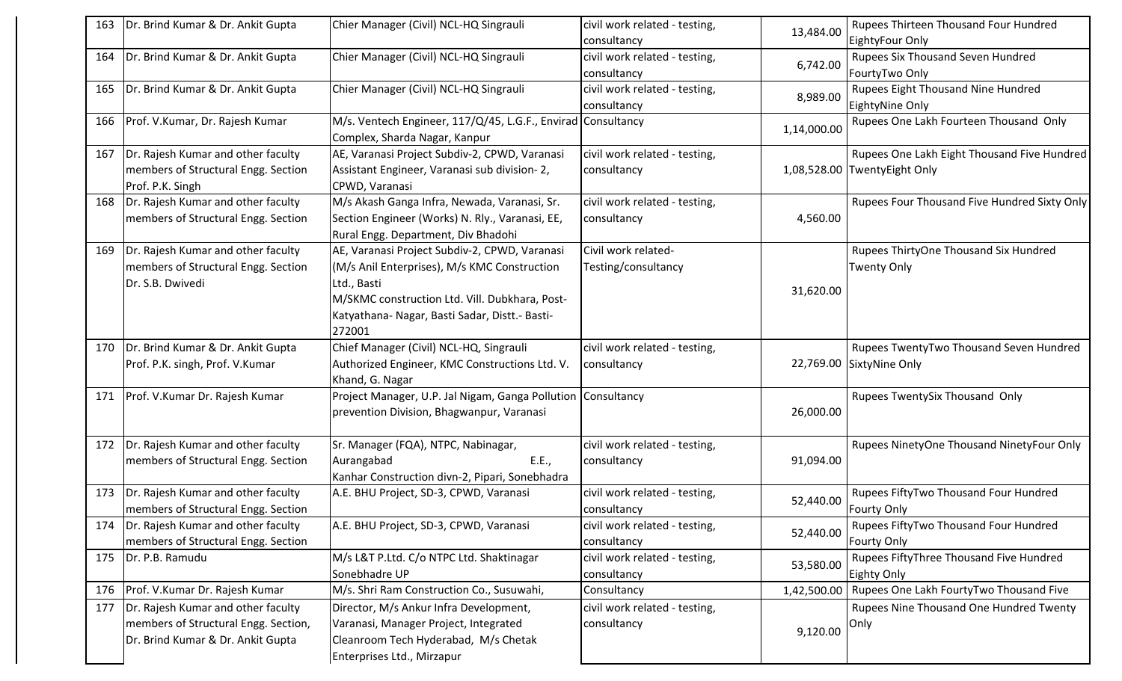| 163 | Dr. Brind Kumar & Dr. Ankit Gupta       | Chier Manager (Civil) NCL-HQ Singrauli                       | civil work related - testing, | 13,484.00   | Rupees Thirteen Thousand Four Hundred        |
|-----|-----------------------------------------|--------------------------------------------------------------|-------------------------------|-------------|----------------------------------------------|
|     |                                         |                                                              | consultancy                   |             | EightyFour Only                              |
| 164 | Dr. Brind Kumar & Dr. Ankit Gupta       | Chier Manager (Civil) NCL-HQ Singrauli                       | civil work related - testing, | 6,742.00    | Rupees Six Thousand Seven Hundred            |
|     |                                         |                                                              | consultancy                   |             | FourtyTwo Only                               |
| 165 | Dr. Brind Kumar & Dr. Ankit Gupta       | Chier Manager (Civil) NCL-HQ Singrauli                       | civil work related - testing, | 8,989.00    | Rupees Eight Thousand Nine Hundred           |
|     |                                         |                                                              | consultancy                   |             | EightyNine Only                              |
| 166 | Prof. V.Kumar, Dr. Rajesh Kumar         | M/s. Ventech Engineer, 117/Q/45, L.G.F., Envirad Consultancy |                               | 1,14,000.00 | Rupees One Lakh Fourteen Thousand Only       |
|     |                                         | Complex, Sharda Nagar, Kanpur                                |                               |             |                                              |
| 167 | Dr. Rajesh Kumar and other faculty      | AE, Varanasi Project Subdiv-2, CPWD, Varanasi                | civil work related - testing, |             | Rupees One Lakh Eight Thousand Five Hundred  |
|     | members of Structural Engg. Section     | Assistant Engineer, Varanasi sub division-2,                 | consultancy                   |             | 1,08,528.00 TwentyEight Only                 |
|     | Prof. P.K. Singh                        | CPWD, Varanasi                                               |                               |             |                                              |
| 168 | Dr. Rajesh Kumar and other faculty      | M/s Akash Ganga Infra, Newada, Varanasi, Sr.                 | civil work related - testing, |             | Rupees Four Thousand Five Hundred Sixty Only |
|     | members of Structural Engg. Section     | Section Engineer (Works) N. Rly., Varanasi, EE,              | consultancy                   | 4,560.00    |                                              |
|     |                                         | Rural Engg. Department, Div Bhadohi                          |                               |             |                                              |
| 169 | Dr. Rajesh Kumar and other faculty      | AE, Varanasi Project Subdiv-2, CPWD, Varanasi                | Civil work related-           |             | Rupees ThirtyOne Thousand Six Hundred        |
|     | members of Structural Engg. Section     | (M/s Anil Enterprises), M/s KMC Construction                 | Testing/consultancy           |             | <b>Twenty Only</b>                           |
|     | Dr. S.B. Dwivedi                        | Ltd., Basti                                                  |                               |             |                                              |
|     |                                         | M/SKMC construction Ltd. Vill. Dubkhara, Post-               |                               | 31,620.00   |                                              |
|     |                                         | Katyathana- Nagar, Basti Sadar, Distt.- Basti-               |                               |             |                                              |
|     |                                         | 272001                                                       |                               |             |                                              |
|     | 170   Dr. Brind Kumar & Dr. Ankit Gupta | Chief Manager (Civil) NCL-HQ, Singrauli                      | civil work related - testing, |             | Rupees TwentyTwo Thousand Seven Hundred      |
|     | Prof. P.K. singh, Prof. V.Kumar         | Authorized Engineer, KMC Constructions Ltd. V.               | consultancy                   |             | 22,769.00 SixtyNine Only                     |
|     |                                         | Khand, G. Nagar                                              |                               |             |                                              |
| 171 | Prof. V.Kumar Dr. Rajesh Kumar          | Project Manager, U.P. Jal Nigam, Ganga Pollution Consultancy |                               |             | Rupees TwentySix Thousand Only               |
|     |                                         | prevention Division, Bhagwanpur, Varanasi                    |                               | 26,000.00   |                                              |
|     |                                         |                                                              |                               |             |                                              |
| 172 | Dr. Rajesh Kumar and other faculty      | Sr. Manager (FQA), NTPC, Nabinagar,                          | civil work related - testing, |             | Rupees NinetyOne Thousand NinetyFour Only    |
|     | members of Structural Engg. Section     | Aurangabad<br>E.E.,                                          | consultancy                   | 91,094.00   |                                              |
|     |                                         | Kanhar Construction divn-2, Pipari, Sonebhadra               |                               |             |                                              |
| 173 | Dr. Rajesh Kumar and other faculty      | A.E. BHU Project, SD-3, CPWD, Varanasi                       | civil work related - testing, |             | Rupees FiftyTwo Thousand Four Hundred        |
|     | members of Structural Engg. Section     |                                                              | consultancy                   | 52,440.00   | <b>Fourty Only</b>                           |
| 174 | Dr. Rajesh Kumar and other faculty      | A.E. BHU Project, SD-3, CPWD, Varanasi                       | civil work related - testing, |             | Rupees FiftyTwo Thousand Four Hundred        |
|     | members of Structural Engg. Section     |                                                              | consultancy                   | 52,440.00   | <b>Fourty Only</b>                           |
| 175 | Dr. P.B. Ramudu                         | M/s L&T P.Ltd. C/o NTPC Ltd. Shaktinagar                     | civil work related - testing, |             | Rupees FiftyThree Thousand Five Hundred      |
|     |                                         | Sonebhadre UP                                                | consultancy                   | 53,580.00   | <b>Eighty Only</b>                           |
| 176 | Prof. V.Kumar Dr. Rajesh Kumar          | M/s. Shri Ram Construction Co., Susuwahi,                    | Consultancy                   | 1,42,500.00 | Rupees One Lakh FourtyTwo Thousand Five      |
| 177 | Dr. Rajesh Kumar and other faculty      | Director, M/s Ankur Infra Development,                       | civil work related - testing, |             | Rupees Nine Thousand One Hundred Twenty      |
|     | members of Structural Engg. Section,    | Varanasi, Manager Project, Integrated                        | consultancy                   |             | Only                                         |
|     | Dr. Brind Kumar & Dr. Ankit Gupta       | Cleanroom Tech Hyderabad, M/s Chetak                         |                               | 9,120.00    |                                              |
|     |                                         | Enterprises Ltd., Mirzapur                                   |                               |             |                                              |
|     |                                         |                                                              |                               |             |                                              |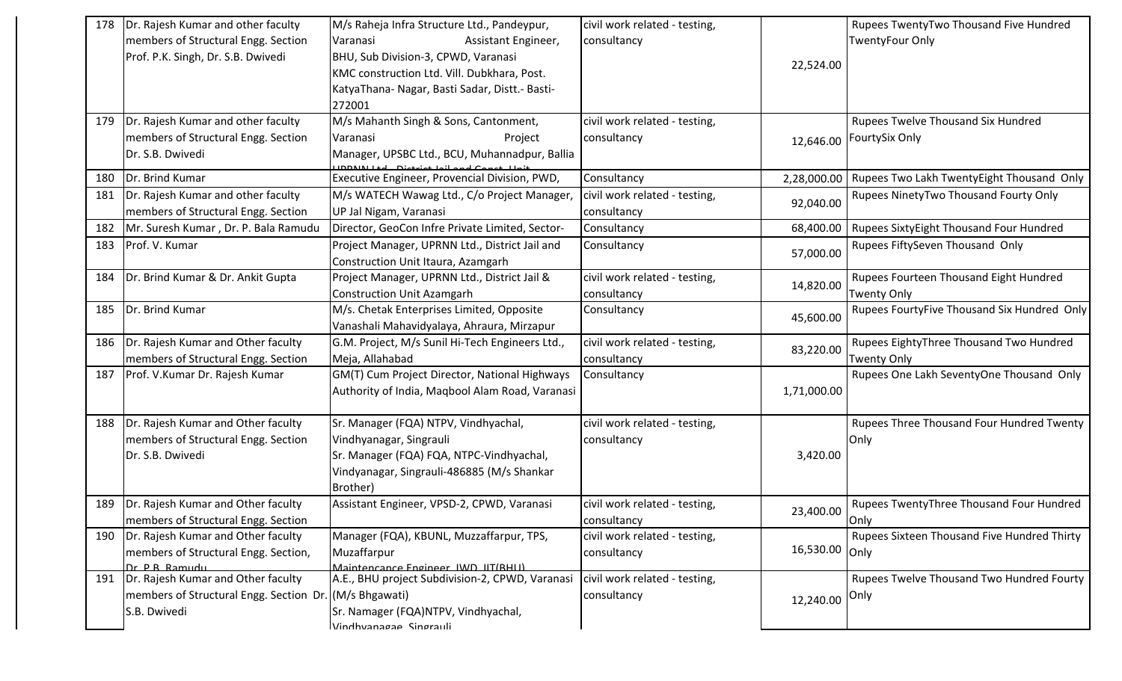| 178 | Dr. Rajesh Kumar and other faculty                      | M/s Raheja Infra Structure Ltd., Pandeypur,            | civil work related - testing, |                | Rupees TwentyTwo Thousand Five Hundred      |
|-----|---------------------------------------------------------|--------------------------------------------------------|-------------------------------|----------------|---------------------------------------------|
|     | members of Structural Engg. Section                     | Assistant Engineer,<br>Varanasi                        | consultancy                   |                | <b>TwentyFour Only</b>                      |
|     | Prof. P.K. Singh, Dr. S.B. Dwivedi                      | BHU, Sub Division-3, CPWD, Varanasi                    |                               |                |                                             |
|     |                                                         | KMC construction Ltd. Vill. Dubkhara, Post.            |                               | 22,524.00      |                                             |
|     |                                                         | KatyaThana- Nagar, Basti Sadar, Distt.- Basti-         |                               |                |                                             |
|     |                                                         | 272001                                                 |                               |                |                                             |
| 179 | Dr. Rajesh Kumar and other faculty                      | M/s Mahanth Singh & Sons, Cantonment,                  | civil work related - testing, |                | Rupees Twelve Thousand Six Hundred          |
|     | members of Structural Engg. Section                     | Varanasi<br>Project                                    | consultancy                   | 12,646.00      | <b>FourtySix Only</b>                       |
|     | Dr. S.B. Dwivedi                                        | Manager, UPSBC Ltd., BCU, Muhannadpur, Ballia          |                               |                |                                             |
| 180 | Dr. Brind Kumar                                         | Executive Engineer, Provencial Division, PWD,          | Consultancy                   | 2,28,000.00    | Rupees Two Lakh TwentyEight Thousand Only   |
| 181 | Dr. Rajesh Kumar and other faculty                      | M/s WATECH Wawag Ltd., C/o Project Manager,            | civil work related - testing, | 92,040.00      | Rupees NinetyTwo Thousand Fourty Only       |
|     | members of Structural Engg. Section                     | UP Jal Nigam, Varanasi                                 | consultancy                   |                |                                             |
| 182 | Mr. Suresh Kumar, Dr. P. Bala Ramudu                    | Director, GeoCon Infre Private Limited, Sector-        | Consultancy                   | 68,400.00      | Rupees SixtyEight Thousand Four Hundred     |
| 183 | Prof. V. Kumar                                          | Project Manager, UPRNN Ltd., District Jail and         | Consultancy                   | 57,000.00      | Rupees FiftySeven Thousand Only             |
|     |                                                         | Construction Unit Itaura, Azamgarh                     |                               |                |                                             |
| 184 | Dr. Brind Kumar & Dr. Ankit Gupta                       | Project Manager, UPRNN Ltd., District Jail &           | civil work related - testing, | 14,820.00      | Rupees Fourteen Thousand Eight Hundred      |
|     |                                                         | <b>Construction Unit Azamgarh</b>                      | consultancy                   |                | <b>Twenty Only</b>                          |
| 185 | Dr. Brind Kumar                                         | M/s. Chetak Enterprises Limited, Opposite              | Consultancy                   | 45,600.00      | Rupees FourtyFive Thousand Six Hundred Only |
|     |                                                         | Vanashali Mahavidyalaya, Ahraura, Mirzapur             |                               |                |                                             |
| 186 | Dr. Rajesh Kumar and Other faculty                      | G.M. Project, M/s Sunil Hi-Tech Engineers Ltd.,        | civil work related - testing, | 83,220.00      | Rupees EightyThree Thousand Two Hundred     |
|     | members of Structural Engg. Section                     | Meja, Allahabad                                        | consultancy                   |                | Twenty Only                                 |
| 187 | Prof. V.Kumar Dr. Rajesh Kumar                          | GM(T) Cum Project Director, National Highways          | Consultancy                   |                | Rupees One Lakh SeventyOne Thousand Only    |
|     |                                                         | Authority of India, Maqbool Alam Road, Varanasi        |                               | 1,71,000.00    |                                             |
|     |                                                         |                                                        |                               |                |                                             |
| 188 | Dr. Rajesh Kumar and Other faculty                      | Sr. Manager (FQA) NTPV, Vindhyachal,                   | civil work related - testing, |                | Rupees Three Thousand Four Hundred Twenty   |
|     | members of Structural Engg. Section<br>Dr. S.B. Dwivedi | Vindhyanagar, Singrauli                                | consultancy                   |                | Only                                        |
|     |                                                         | Sr. Manager (FQA) FQA, NTPC-Vindhyachal,               |                               | 3,420.00       |                                             |
|     |                                                         | Vindyanagar, Singrauli-486885 (M/s Shankar<br>Brother) |                               |                |                                             |
| 189 | Dr. Rajesh Kumar and Other faculty                      | Assistant Engineer, VPSD-2, CPWD, Varanasi             | civil work related - testing, |                | Rupees TwentyThree Thousand Four Hundred    |
|     | members of Structural Engg. Section                     |                                                        | consultancy                   | 23,400.00      | Only                                        |
| 190 | Dr. Rajesh Kumar and Other faculty                      | Manager (FQA), KBUNL, Muzzaffarpur, TPS,               | civil work related - testing, |                | Rupees Sixteen Thousand Five Hundred Thirty |
|     | members of Structural Engg. Section,                    | Muzaffarpur                                            | consultancy                   | 16,530.00 Only |                                             |
|     | Dr. P. R. Ramudu                                        | Maintencance Engineer IWD IIT(RHII)                    |                               |                |                                             |
| 191 | Dr. Rajesh Kumar and Other faculty                      | A.E., BHU project Subdivision-2, CPWD, Varanasi        | civil work related - testing, |                | Rupees Twelve Thousand Two Hundred Fourty   |
|     | members of Structural Engg. Section Dr. (M/s Bhgawati)  |                                                        | consultancy                   | 12,240.00      | <b>Only</b>                                 |
|     | S.B. Dwivedi                                            | Sr. Namager (FQA)NTPV, Vindhyachal,                    |                               |                |                                             |
|     |                                                         | Vindhyanagaa Singrauli                                 |                               |                |                                             |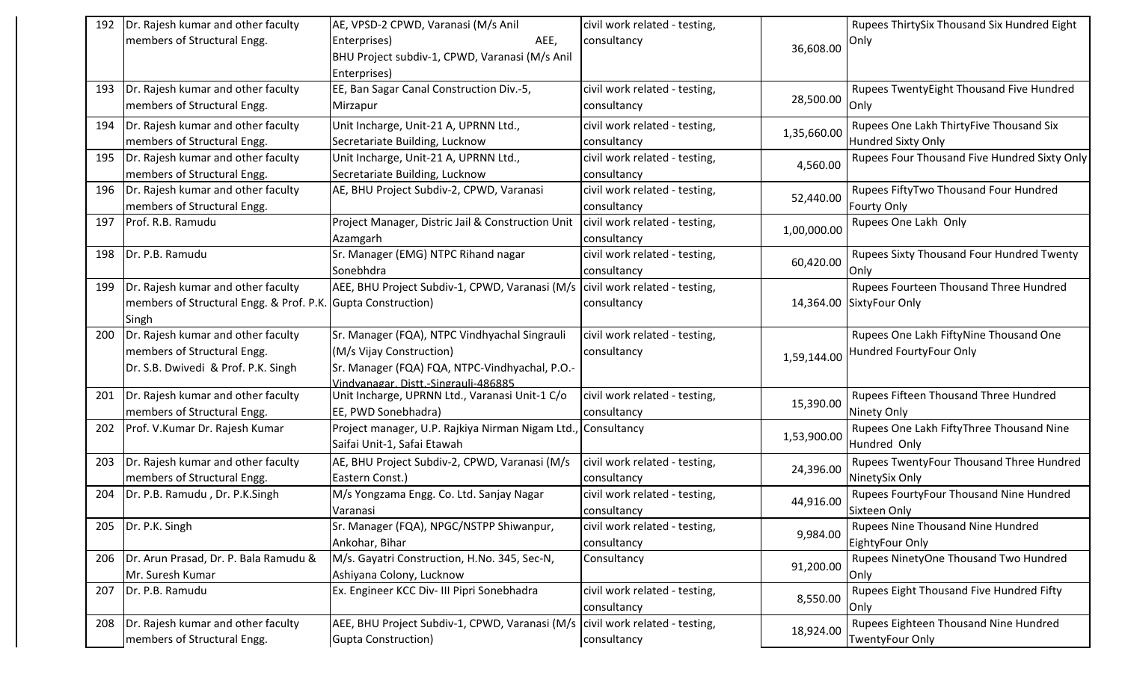| members of Structural Engg.<br>AEE,<br>consultancy<br>Enterprises)<br>Only<br>36,608.00<br>BHU Project subdiv-1, CPWD, Varanasi (M/s Anil<br>Enterprises)<br>Dr. Rajesh kumar and other faculty<br>EE, Ban Sagar Canal Construction Div.-5,<br>civil work related - testing,<br>Rupees TwentyEight Thousand Five Hundred<br>193<br>28,500.00<br>members of Structural Engg.<br>Only<br>Mirzapur<br>consultancy<br>Dr. Rajesh kumar and other faculty<br>Unit Incharge, Unit-21 A, UPRNN Ltd.,<br>Rupees One Lakh ThirtyFive Thousand Six<br>civil work related - testing,<br>194<br>1,35,660.00<br><b>Hundred Sixty Only</b><br>members of Structural Engg.<br>Secretariate Building, Lucknow<br>consultancy<br>Dr. Rajesh kumar and other faculty<br>195<br>Unit Incharge, Unit-21 A, UPRNN Ltd.,<br>civil work related - testing,<br>Rupees Four Thousand Five Hundred Sixty Only<br>4,560.00<br>members of Structural Engg.<br>Secretariate Building, Lucknow<br>consultancy<br>Rupees FiftyTwo Thousand Four Hundred<br>196<br>Dr. Rajesh kumar and other faculty<br>AE, BHU Project Subdiv-2, CPWD, Varanasi<br>civil work related - testing,<br>52,440.00 |  |
|-----------------------------------------------------------------------------------------------------------------------------------------------------------------------------------------------------------------------------------------------------------------------------------------------------------------------------------------------------------------------------------------------------------------------------------------------------------------------------------------------------------------------------------------------------------------------------------------------------------------------------------------------------------------------------------------------------------------------------------------------------------------------------------------------------------------------------------------------------------------------------------------------------------------------------------------------------------------------------------------------------------------------------------------------------------------------------------------------------------------------------------------------------------------|--|
|                                                                                                                                                                                                                                                                                                                                                                                                                                                                                                                                                                                                                                                                                                                                                                                                                                                                                                                                                                                                                                                                                                                                                                 |  |
|                                                                                                                                                                                                                                                                                                                                                                                                                                                                                                                                                                                                                                                                                                                                                                                                                                                                                                                                                                                                                                                                                                                                                                 |  |
|                                                                                                                                                                                                                                                                                                                                                                                                                                                                                                                                                                                                                                                                                                                                                                                                                                                                                                                                                                                                                                                                                                                                                                 |  |
|                                                                                                                                                                                                                                                                                                                                                                                                                                                                                                                                                                                                                                                                                                                                                                                                                                                                                                                                                                                                                                                                                                                                                                 |  |
|                                                                                                                                                                                                                                                                                                                                                                                                                                                                                                                                                                                                                                                                                                                                                                                                                                                                                                                                                                                                                                                                                                                                                                 |  |
|                                                                                                                                                                                                                                                                                                                                                                                                                                                                                                                                                                                                                                                                                                                                                                                                                                                                                                                                                                                                                                                                                                                                                                 |  |
|                                                                                                                                                                                                                                                                                                                                                                                                                                                                                                                                                                                                                                                                                                                                                                                                                                                                                                                                                                                                                                                                                                                                                                 |  |
|                                                                                                                                                                                                                                                                                                                                                                                                                                                                                                                                                                                                                                                                                                                                                                                                                                                                                                                                                                                                                                                                                                                                                                 |  |
|                                                                                                                                                                                                                                                                                                                                                                                                                                                                                                                                                                                                                                                                                                                                                                                                                                                                                                                                                                                                                                                                                                                                                                 |  |
|                                                                                                                                                                                                                                                                                                                                                                                                                                                                                                                                                                                                                                                                                                                                                                                                                                                                                                                                                                                                                                                                                                                                                                 |  |
| members of Structural Engg.<br><b>Fourty Only</b><br>consultancy                                                                                                                                                                                                                                                                                                                                                                                                                                                                                                                                                                                                                                                                                                                                                                                                                                                                                                                                                                                                                                                                                                |  |
| Prof. R.B. Ramudu<br>Project Manager, Distric Jail & Construction Unit<br>civil work related - testing,<br>Rupees One Lakh Only<br>197                                                                                                                                                                                                                                                                                                                                                                                                                                                                                                                                                                                                                                                                                                                                                                                                                                                                                                                                                                                                                          |  |
| 1,00,000.00<br>consultancy<br>Azamgarh                                                                                                                                                                                                                                                                                                                                                                                                                                                                                                                                                                                                                                                                                                                                                                                                                                                                                                                                                                                                                                                                                                                          |  |
| Sr. Manager (EMG) NTPC Rihand nagar<br>Dr. P.B. Ramudu<br>civil work related - testing,<br>Rupees Sixty Thousand Four Hundred Twenty<br>198                                                                                                                                                                                                                                                                                                                                                                                                                                                                                                                                                                                                                                                                                                                                                                                                                                                                                                                                                                                                                     |  |
| 60,420.00<br>Sonebhdra<br>consultancy<br>Only                                                                                                                                                                                                                                                                                                                                                                                                                                                                                                                                                                                                                                                                                                                                                                                                                                                                                                                                                                                                                                                                                                                   |  |
| Dr. Rajesh kumar and other faculty<br>AEE, BHU Project Subdiv-1, CPWD, Varanasi (M/s   civil work related - testing,<br>Rupees Fourteen Thousand Three Hundred<br>199                                                                                                                                                                                                                                                                                                                                                                                                                                                                                                                                                                                                                                                                                                                                                                                                                                                                                                                                                                                           |  |
| members of Structural Engg. & Prof. P.K.<br><b>Gupta Construction)</b><br>14,364.00 SixtyFour Only<br>consultancy                                                                                                                                                                                                                                                                                                                                                                                                                                                                                                                                                                                                                                                                                                                                                                                                                                                                                                                                                                                                                                               |  |
| Singh                                                                                                                                                                                                                                                                                                                                                                                                                                                                                                                                                                                                                                                                                                                                                                                                                                                                                                                                                                                                                                                                                                                                                           |  |
| Dr. Rajesh kumar and other faculty<br>Sr. Manager (FQA), NTPC Vindhyachal Singrauli<br>Rupees One Lakh FiftyNine Thousand One<br>civil work related - testing,<br>200                                                                                                                                                                                                                                                                                                                                                                                                                                                                                                                                                                                                                                                                                                                                                                                                                                                                                                                                                                                           |  |
| (M/s Vijay Construction)<br>members of Structural Engg.<br>Hundred FourtyFour Only<br>consultancy<br>1,59,144.00                                                                                                                                                                                                                                                                                                                                                                                                                                                                                                                                                                                                                                                                                                                                                                                                                                                                                                                                                                                                                                                |  |
| Sr. Manager (FQA) FQA, NTPC-Vindhyachal, P.O.-<br>Dr. S.B. Dwivedi & Prof. P.K. Singh                                                                                                                                                                                                                                                                                                                                                                                                                                                                                                                                                                                                                                                                                                                                                                                                                                                                                                                                                                                                                                                                           |  |
| Vindvanagar, Distt -Singrauli-486885                                                                                                                                                                                                                                                                                                                                                                                                                                                                                                                                                                                                                                                                                                                                                                                                                                                                                                                                                                                                                                                                                                                            |  |
| Unit Incharge, UPRNN Ltd., Varanasi Unit-1 C/o<br>civil work related - testing,<br>201  Dr. Rajesh kumar and other faculty<br>Rupees Fifteen Thousand Three Hundred<br>15,390.00                                                                                                                                                                                                                                                                                                                                                                                                                                                                                                                                                                                                                                                                                                                                                                                                                                                                                                                                                                                |  |
| members of Structural Engg.<br>Ninety Only<br>EE, PWD Sonebhadra)<br>consultancy                                                                                                                                                                                                                                                                                                                                                                                                                                                                                                                                                                                                                                                                                                                                                                                                                                                                                                                                                                                                                                                                                |  |
| Rupees One Lakh FiftyThree Thousand Nine<br>Prof. V.Kumar Dr. Rajesh Kumar<br>Project manager, U.P. Rajkiya Nirman Nigam Ltd.<br>, Consultancy<br>202                                                                                                                                                                                                                                                                                                                                                                                                                                                                                                                                                                                                                                                                                                                                                                                                                                                                                                                                                                                                           |  |
| 1,53,900.00<br>Saifai Unit-1, Safai Etawah<br>Hundred Only                                                                                                                                                                                                                                                                                                                                                                                                                                                                                                                                                                                                                                                                                                                                                                                                                                                                                                                                                                                                                                                                                                      |  |
| AE, BHU Project Subdiv-2, CPWD, Varanasi (M/s<br>Rupees TwentyFour Thousand Three Hundred<br>203<br>Dr. Rajesh kumar and other faculty<br>civil work related - testing,                                                                                                                                                                                                                                                                                                                                                                                                                                                                                                                                                                                                                                                                                                                                                                                                                                                                                                                                                                                         |  |
| 24,396.00<br>members of Structural Engg.<br>Eastern Const.)<br>consultancy<br>NinetySix Only                                                                                                                                                                                                                                                                                                                                                                                                                                                                                                                                                                                                                                                                                                                                                                                                                                                                                                                                                                                                                                                                    |  |
| civil work related - testing,<br>Dr. P.B. Ramudu, Dr. P.K.Singh<br>M/s Yongzama Engg. Co. Ltd. Sanjay Nagar<br>Rupees FourtyFour Thousand Nine Hundred<br>204                                                                                                                                                                                                                                                                                                                                                                                                                                                                                                                                                                                                                                                                                                                                                                                                                                                                                                                                                                                                   |  |
| 44,916.00<br>Sixteen Only<br>consultancy<br>Varanasi                                                                                                                                                                                                                                                                                                                                                                                                                                                                                                                                                                                                                                                                                                                                                                                                                                                                                                                                                                                                                                                                                                            |  |
| civil work related - testing,<br>Rupees Nine Thousand Nine Hundred<br>Dr. P.K. Singh<br>Sr. Manager (FQA), NPGC/NSTPP Shiwanpur,<br>205                                                                                                                                                                                                                                                                                                                                                                                                                                                                                                                                                                                                                                                                                                                                                                                                                                                                                                                                                                                                                         |  |
| 9,984.00<br>Ankohar, Bihar<br>EightyFour Only<br>consultancy                                                                                                                                                                                                                                                                                                                                                                                                                                                                                                                                                                                                                                                                                                                                                                                                                                                                                                                                                                                                                                                                                                    |  |
| Dr. Arun Prasad, Dr. P. Bala Ramudu &<br>M/s. Gayatri Construction, H.No. 345, Sec-N,<br>Rupees NinetyOne Thousand Two Hundred<br>Consultancy<br>206                                                                                                                                                                                                                                                                                                                                                                                                                                                                                                                                                                                                                                                                                                                                                                                                                                                                                                                                                                                                            |  |
| 91,200.00<br>Mr. Suresh Kumar<br>Ashiyana Colony, Lucknow<br>Only                                                                                                                                                                                                                                                                                                                                                                                                                                                                                                                                                                                                                                                                                                                                                                                                                                                                                                                                                                                                                                                                                               |  |
| Rupees Eight Thousand Five Hundred Fifty<br>Dr. P.B. Ramudu<br>Ex. Engineer KCC Div- III Pipri Sonebhadra<br>207<br>civil work related - testing,                                                                                                                                                                                                                                                                                                                                                                                                                                                                                                                                                                                                                                                                                                                                                                                                                                                                                                                                                                                                               |  |
| 8,550.00<br>consultancy<br>Only                                                                                                                                                                                                                                                                                                                                                                                                                                                                                                                                                                                                                                                                                                                                                                                                                                                                                                                                                                                                                                                                                                                                 |  |
| Dr. Rajesh kumar and other faculty<br>Rupees Eighteen Thousand Nine Hundred<br>AEE, BHU Project Subdiv-1, CPWD, Varanasi (M/s   civil work related - testing,<br>208                                                                                                                                                                                                                                                                                                                                                                                                                                                                                                                                                                                                                                                                                                                                                                                                                                                                                                                                                                                            |  |
| 18,924.00<br>members of Structural Engg.<br><b>Gupta Construction)</b><br>TwentyFour Only<br>consultancy                                                                                                                                                                                                                                                                                                                                                                                                                                                                                                                                                                                                                                                                                                                                                                                                                                                                                                                                                                                                                                                        |  |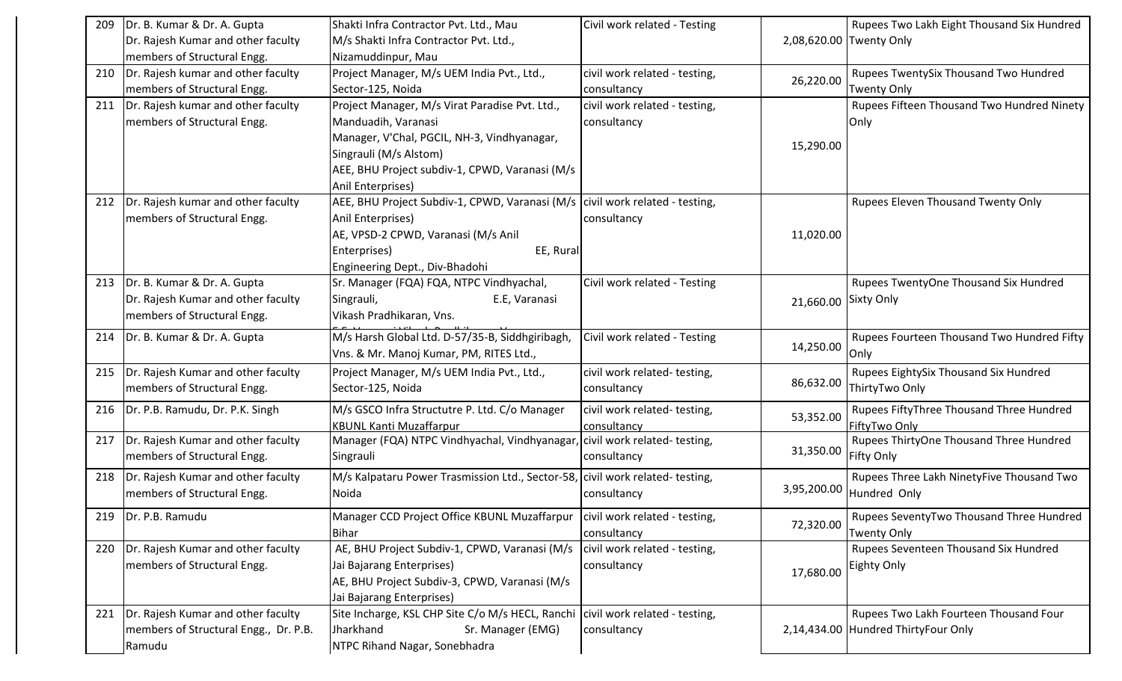| 209 | Dr. B. Kumar & Dr. A. Gupta              | Shakti Infra Contractor Pvt. Ltd., Mau                                         | Civil work related - Testing  |             | Rupees Two Lakh Eight Thousand Six Hundred |
|-----|------------------------------------------|--------------------------------------------------------------------------------|-------------------------------|-------------|--------------------------------------------|
|     | Dr. Rajesh Kumar and other faculty       | M/s Shakti Infra Contractor Pvt. Ltd.,                                         |                               |             | 2,08,620.00 Twenty Only                    |
|     | members of Structural Engg.              | Nizamuddinpur, Mau                                                             |                               |             |                                            |
| 210 | Dr. Rajesh kumar and other faculty       | Project Manager, M/s UEM India Pvt., Ltd.,                                     | civil work related - testing, | 26,220.00   | Rupees TwentySix Thousand Two Hundred      |
|     | members of Structural Engg.              | Sector-125, Noida                                                              | consultancy                   |             | <b>Twenty Only</b>                         |
| 211 | Dr. Rajesh kumar and other faculty       | Project Manager, M/s Virat Paradise Pvt. Ltd.,                                 | civil work related - testing, |             | Rupees Fifteen Thousand Two Hundred Ninety |
|     | members of Structural Engg.              | Manduadih, Varanasi                                                            | consultancy                   |             | Only                                       |
|     |                                          | Manager, V'Chal, PGCIL, NH-3, Vindhyanagar,                                    |                               | 15,290.00   |                                            |
|     |                                          | Singrauli (M/s Alstom)                                                         |                               |             |                                            |
|     |                                          | AEE, BHU Project subdiv-1, CPWD, Varanasi (M/s                                 |                               |             |                                            |
|     |                                          | Anil Enterprises)                                                              |                               |             |                                            |
|     | 212  Dr. Rajesh kumar and other faculty  | AEE, BHU Project Subdiv-1, CPWD, Varanasi (M/s   civil work related - testing, |                               |             | Rupees Eleven Thousand Twenty Only         |
|     | members of Structural Engg.              | Anil Enterprises)                                                              | consultancy                   |             |                                            |
|     |                                          | AE, VPSD-2 CPWD, Varanasi (M/s Anil                                            |                               | 11,020.00   |                                            |
|     |                                          | Enterprises)<br>EE, Rural                                                      |                               |             |                                            |
|     |                                          | Engineering Dept., Div-Bhadohi                                                 |                               |             |                                            |
|     | 213   Dr. B. Kumar & Dr. A. Gupta        | Sr. Manager (FQA) FQA, NTPC Vindhyachal,                                       | Civil work related - Testing  |             | Rupees TwentyOne Thousand Six Hundred      |
|     | Dr. Rajesh Kumar and other faculty       | Singrauli,<br>E.E, Varanasi                                                    |                               | 21,660.00   | Sixty Only                                 |
|     | members of Structural Engg.              | Vikash Pradhikaran, Vns.                                                       |                               |             |                                            |
| 214 | Dr. B. Kumar & Dr. A. Gupta              | M/s Harsh Global Ltd. D-57/35-B, Siddhgiribagh,                                | Civil work related - Testing  |             | Rupees Fourteen Thousand Two Hundred Fifty |
|     |                                          | Vns. & Mr. Manoj Kumar, PM, RITES Ltd.,                                        |                               | 14,250.00   | Only                                       |
| 215 | Dr. Rajesh Kumar and other faculty       | Project Manager, M/s UEM India Pvt., Ltd.,                                     | civil work related-testing,   |             | Rupees EightySix Thousand Six Hundred      |
|     | members of Structural Engg.              | Sector-125, Noida                                                              | consultancy                   | 86,632.00   | ThirtyTwo Only                             |
| 216 | Dr. P.B. Ramudu, Dr. P.K. Singh          | M/s GSCO Infra Structutre P. Ltd. C/o Manager                                  | civil work related-testing,   |             | Rupees FiftyThree Thousand Three Hundred   |
|     |                                          | <b>KBUNL Kanti Muzaffarpur</b>                                                 | consultancy                   | 53,352.00   | FiftyTwo Only                              |
| 217 | Dr. Rajesh Kumar and other faculty       | Manager (FQA) NTPC Vindhyachal, Vindhyanagar, civil work related-testing,      |                               |             | Rupees ThirtyOne Thousand Three Hundred    |
|     | members of Structural Engg.              | Singrauli                                                                      | consultancy                   | 31,350.00   | Fifty Only                                 |
| 218 | Dr. Rajesh Kumar and other faculty       | M/s Kalpataru Power Trasmission Ltd., Sector-58, civil work related-testing,   |                               |             | Rupees Three Lakh NinetyFive Thousand Two  |
|     | members of Structural Engg.              | Noida                                                                          | consultancy                   | 3,95,200.00 | Hundred Only                               |
|     |                                          |                                                                                |                               |             |                                            |
|     | 219   Dr. P.B. Ramudu                    | Manager CCD Project Office KBUNL Muzaffarpur   civil work related - testing,   |                               | 72,320.00   | Rupees SeventyTwo Thousand Three Hundred   |
|     |                                          | Bihar                                                                          | consultancy                   |             | <b>Twenty Only</b>                         |
|     | 220   Dr. Rajesh Kumar and other faculty | AE, BHU Project Subdiv-1, CPWD, Varanasi (M/s   civil work related - testing,  |                               |             | Rupees Seventeen Thousand Six Hundred      |
|     | members of Structural Engg.              | Jai Bajarang Enterprises)                                                      | consultancy                   | 17,680.00   | <b>Eighty Only</b>                         |
|     |                                          | AE, BHU Project Subdiv-3, CPWD, Varanasi (M/s                                  |                               |             |                                            |
|     |                                          | Jai Bajarang Enterprises)                                                      |                               |             |                                            |
|     | 221   Dr. Rajesh Kumar and other faculty | Site Incharge, KSL CHP Site C/o M/s HECL, Ranchi civil work related - testing, |                               |             | Rupees Two Lakh Fourteen Thousand Four     |
|     | members of Structural Engg., Dr. P.B.    | Jharkhand<br>Sr. Manager (EMG)                                                 | consultancy                   |             | 2,14,434.00 Hundred ThirtyFour Only        |
|     | Ramudu                                   | NTPC Rihand Nagar, Sonebhadra                                                  |                               |             |                                            |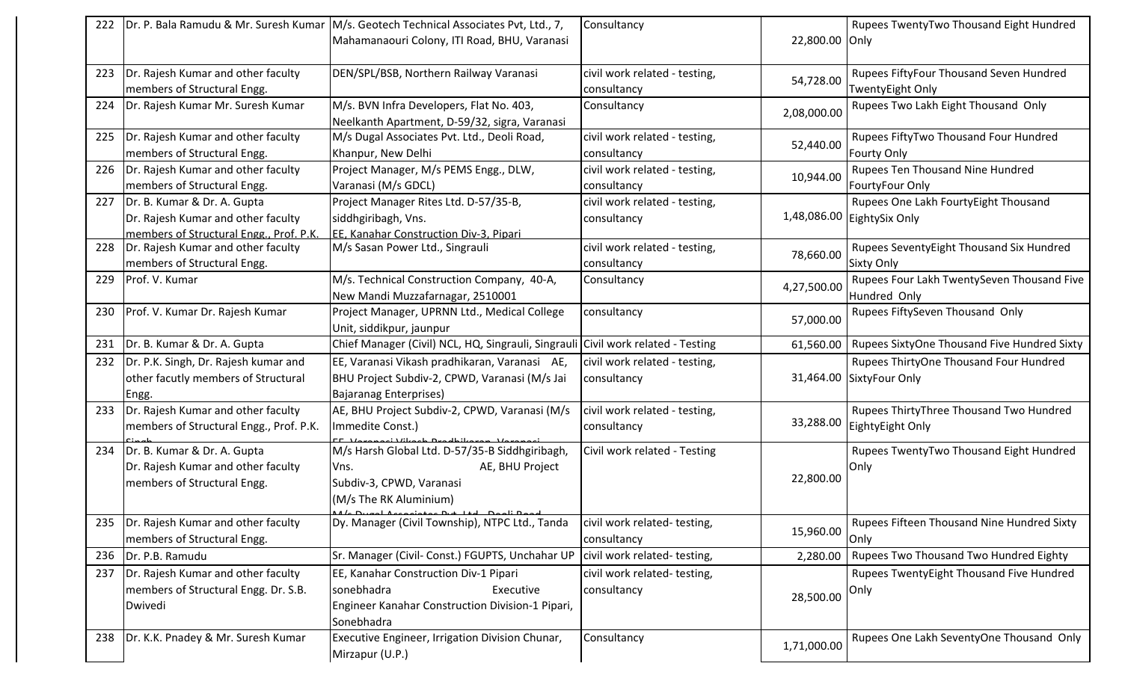| 22,800.00 Only<br>Mahamanaouri Colony, ITI Road, BHU, Varanasi<br>Dr. Rajesh Kumar and other faculty<br>DEN/SPL/BSB, Northern Railway Varanasi<br>Rupees FiftyFour Thousand Seven Hundred<br>civil work related - testing,<br>223<br>54,728.00<br>members of Structural Engg.<br>consultancy<br><b>TwentyEight Only</b><br>Rupees Two Lakh Eight Thousand Only<br>Dr. Rajesh Kumar Mr. Suresh Kumar<br>M/s. BVN Infra Developers, Flat No. 403,<br>Consultancy<br>224<br>2,08,000.00<br>Neelkanth Apartment, D-59/32, sigra, Varanasi<br>Dr. Rajesh Kumar and other faculty<br>M/s Dugal Associates Pvt. Ltd., Deoli Road,<br>civil work related - testing,<br>Rupees FiftyTwo Thousand Four Hundred<br>225<br>52,440.00<br>members of Structural Engg.<br>Khanpur, New Delhi<br>consultancy<br><b>Fourty Only</b><br>Dr. Rajesh Kumar and other faculty<br>Rupees Ten Thousand Nine Hundred<br>Project Manager, M/s PEMS Engg., DLW,<br>civil work related - testing,<br>226<br>10,944.00<br>members of Structural Engg.<br>Varanasi (M/s GDCL)<br>FourtyFour Only<br>consultancy<br>Dr. B. Kumar & Dr. A. Gupta<br>Rupees One Lakh FourtyEight Thousand<br>Project Manager Rites Ltd. D-57/35-B,<br>civil work related - testing,<br>227<br>1,48,086.00 EightySix Only<br>Dr. Rajesh Kumar and other faculty<br>siddhgiribagh, Vns.<br>consultancy<br>members of Structural Engg., Prof. P.K.<br>EE. Kanahar Construction Div-3. Pipari<br>Dr. Rajesh Kumar and other faculty<br>M/s Sasan Power Ltd., Singrauli<br>civil work related - testing,<br>Rupees SeventyEight Thousand Six Hundred<br>228<br>78,660.00<br>members of Structural Engg.<br>consultancy<br><b>Sixty Only</b><br>Rupees Four Lakh TwentySeven Thousand Five<br>Prof. V. Kumar<br>M/s. Technical Construction Company, 40-A,<br>Consultancy<br>229<br>4,27,500.00<br>New Mandi Muzzafarnagar, 2510001<br>Hundred Only<br>Rupees FiftySeven Thousand Only<br>Prof. V. Kumar Dr. Rajesh Kumar<br>Project Manager, UPRNN Ltd., Medical College<br>consultancy<br>230<br>57,000.00<br>Unit, siddikpur, jaunpur<br>Dr. B. Kumar & Dr. A. Gupta<br>Chief Manager (Civil) NCL, HQ, Singrauli, Singraul<br>Civil work related - Testing<br>Rupees SixtyOne Thousand Five Hundred Sixty<br>61,560.00<br>231<br>Dr. P.K. Singh, Dr. Rajesh kumar and<br>EE, Varanasi Vikash pradhikaran, Varanasi AE,<br>civil work related - testing,<br>Rupees ThirtyOne Thousand Four Hundred<br>232<br>other facutly members of Structural<br>BHU Project Subdiv-2, CPWD, Varanasi (M/s Jai<br>31,464.00 SixtyFour Only<br>consultancy<br><b>Bajaranag Enterprises)</b><br>Engg.<br>Dr. Rajesh Kumar and other faculty<br>AE, BHU Project Subdiv-2, CPWD, Varanasi (M/s<br>Rupees ThirtyThree Thousand Two Hundred<br>civil work related - testing,<br>233<br>33,288.00<br>EightyEight Only<br>members of Structural Engg., Prof. P.K.<br>Immedite Const.)<br>consultancy<br>M/s Harsh Global Ltd. D-57/35-B Siddhgiribagh,<br>Dr. B. Kumar & Dr. A. Gupta<br>Civil work related - Testing<br>Rupees TwentyTwo Thousand Eight Hundred<br>234<br>Dr. Rajesh Kumar and other faculty<br>AE, BHU Project<br>Only<br>Vns.<br>22,800.00<br>members of Structural Engg.<br>Subdiv-3, CPWD, Varanasi<br>(M/s The RK Aluminium)<br>منلجحه للمغا<br>Dr. Rajesh Kumar and other faculty<br>Dy. Manager (Civil Township), NTPC Ltd., Tanda<br>Rupees Fifteen Thousand Nine Hundred Sixty<br>235<br>civil work related-testing,<br>15,960.00<br>members of Structural Engg.<br>consultancy<br>Only<br>Sr. Manager (Civil- Const.) FGUPTS, Unchahar UP<br>Rupees Two Thousand Two Hundred Eighty<br>civil work related-testing,<br>236<br>Dr. P.B. Ramudu<br>2,280.00<br>Dr. Rajesh Kumar and other faculty<br>Rupees TwentyEight Thousand Five Hundred<br>237<br>EE, Kanahar Construction Div-1 Pipari<br>civil work related-testing,<br>members of Structural Engg. Dr. S.B.<br>Executive<br>sonebhadra<br>consultancy<br>Only<br>28,500.00<br>Engineer Kanahar Construction Division-1 Pipari,<br>Dwivedi<br>Sonebhadra<br>Rupees One Lakh SeventyOne Thousand Only<br>Dr. K.K. Pnadey & Mr. Suresh Kumar<br>Executive Engineer, Irrigation Division Chunar,<br>Consultancy<br>238<br>1,71,000.00 | Dr. P. Bala Ramudu & Mr. Suresh Kumar | M/s. Geotech Technical Associates Pvt, Ltd., 7, | Consultancy | Rupees TwentyTwo Thousand Eight Hundred |
|-------------------------------------------------------------------------------------------------------------------------------------------------------------------------------------------------------------------------------------------------------------------------------------------------------------------------------------------------------------------------------------------------------------------------------------------------------------------------------------------------------------------------------------------------------------------------------------------------------------------------------------------------------------------------------------------------------------------------------------------------------------------------------------------------------------------------------------------------------------------------------------------------------------------------------------------------------------------------------------------------------------------------------------------------------------------------------------------------------------------------------------------------------------------------------------------------------------------------------------------------------------------------------------------------------------------------------------------------------------------------------------------------------------------------------------------------------------------------------------------------------------------------------------------------------------------------------------------------------------------------------------------------------------------------------------------------------------------------------------------------------------------------------------------------------------------------------------------------------------------------------------------------------------------------------------------------------------------------------------------------------------------------------------------------------------------------------------------------------------------------------------------------------------------------------------------------------------------------------------------------------------------------------------------------------------------------------------------------------------------------------------------------------------------------------------------------------------------------------------------------------------------------------------------------------------------------------------------------------------------------------------------------------------------------------------------------------------------------------------------------------------------------------------------------------------------------------------------------------------------------------------------------------------------------------------------------------------------------------------------------------------------------------------------------------------------------------------------------------------------------------------------------------------------------------------------------------------------------------------------------------------------------------------------------------------------------------------------------------------------------------------------------------------------------------------------------------------------------------------------------------------------------------------------------------------------------------------------------------------------------------------------------------------------------------------------------------------------------------------------------------------------------------------------------------------------------------------------------------------------------------------------------------------------------------------------------------------------------------------------------------------------------------------------------------------------------------------------------------------------------------------------------------------------------------------------------------------------------------------------|---------------------------------------|-------------------------------------------------|-------------|-----------------------------------------|
|                                                                                                                                                                                                                                                                                                                                                                                                                                                                                                                                                                                                                                                                                                                                                                                                                                                                                                                                                                                                                                                                                                                                                                                                                                                                                                                                                                                                                                                                                                                                                                                                                                                                                                                                                                                                                                                                                                                                                                                                                                                                                                                                                                                                                                                                                                                                                                                                                                                                                                                                                                                                                                                                                                                                                                                                                                                                                                                                                                                                                                                                                                                                                                                                                                                                                                                                                                                                                                                                                                                                                                                                                                                                                                                                                                                                                                                                                                                                                                                                                                                                                                                                                                                                                                           |                                       |                                                 |             |                                         |
|                                                                                                                                                                                                                                                                                                                                                                                                                                                                                                                                                                                                                                                                                                                                                                                                                                                                                                                                                                                                                                                                                                                                                                                                                                                                                                                                                                                                                                                                                                                                                                                                                                                                                                                                                                                                                                                                                                                                                                                                                                                                                                                                                                                                                                                                                                                                                                                                                                                                                                                                                                                                                                                                                                                                                                                                                                                                                                                                                                                                                                                                                                                                                                                                                                                                                                                                                                                                                                                                                                                                                                                                                                                                                                                                                                                                                                                                                                                                                                                                                                                                                                                                                                                                                                           |                                       |                                                 |             |                                         |
|                                                                                                                                                                                                                                                                                                                                                                                                                                                                                                                                                                                                                                                                                                                                                                                                                                                                                                                                                                                                                                                                                                                                                                                                                                                                                                                                                                                                                                                                                                                                                                                                                                                                                                                                                                                                                                                                                                                                                                                                                                                                                                                                                                                                                                                                                                                                                                                                                                                                                                                                                                                                                                                                                                                                                                                                                                                                                                                                                                                                                                                                                                                                                                                                                                                                                                                                                                                                                                                                                                                                                                                                                                                                                                                                                                                                                                                                                                                                                                                                                                                                                                                                                                                                                                           |                                       |                                                 |             |                                         |
|                                                                                                                                                                                                                                                                                                                                                                                                                                                                                                                                                                                                                                                                                                                                                                                                                                                                                                                                                                                                                                                                                                                                                                                                                                                                                                                                                                                                                                                                                                                                                                                                                                                                                                                                                                                                                                                                                                                                                                                                                                                                                                                                                                                                                                                                                                                                                                                                                                                                                                                                                                                                                                                                                                                                                                                                                                                                                                                                                                                                                                                                                                                                                                                                                                                                                                                                                                                                                                                                                                                                                                                                                                                                                                                                                                                                                                                                                                                                                                                                                                                                                                                                                                                                                                           |                                       |                                                 |             |                                         |
|                                                                                                                                                                                                                                                                                                                                                                                                                                                                                                                                                                                                                                                                                                                                                                                                                                                                                                                                                                                                                                                                                                                                                                                                                                                                                                                                                                                                                                                                                                                                                                                                                                                                                                                                                                                                                                                                                                                                                                                                                                                                                                                                                                                                                                                                                                                                                                                                                                                                                                                                                                                                                                                                                                                                                                                                                                                                                                                                                                                                                                                                                                                                                                                                                                                                                                                                                                                                                                                                                                                                                                                                                                                                                                                                                                                                                                                                                                                                                                                                                                                                                                                                                                                                                                           |                                       |                                                 |             |                                         |
|                                                                                                                                                                                                                                                                                                                                                                                                                                                                                                                                                                                                                                                                                                                                                                                                                                                                                                                                                                                                                                                                                                                                                                                                                                                                                                                                                                                                                                                                                                                                                                                                                                                                                                                                                                                                                                                                                                                                                                                                                                                                                                                                                                                                                                                                                                                                                                                                                                                                                                                                                                                                                                                                                                                                                                                                                                                                                                                                                                                                                                                                                                                                                                                                                                                                                                                                                                                                                                                                                                                                                                                                                                                                                                                                                                                                                                                                                                                                                                                                                                                                                                                                                                                                                                           |                                       |                                                 |             |                                         |
|                                                                                                                                                                                                                                                                                                                                                                                                                                                                                                                                                                                                                                                                                                                                                                                                                                                                                                                                                                                                                                                                                                                                                                                                                                                                                                                                                                                                                                                                                                                                                                                                                                                                                                                                                                                                                                                                                                                                                                                                                                                                                                                                                                                                                                                                                                                                                                                                                                                                                                                                                                                                                                                                                                                                                                                                                                                                                                                                                                                                                                                                                                                                                                                                                                                                                                                                                                                                                                                                                                                                                                                                                                                                                                                                                                                                                                                                                                                                                                                                                                                                                                                                                                                                                                           |                                       |                                                 |             |                                         |
|                                                                                                                                                                                                                                                                                                                                                                                                                                                                                                                                                                                                                                                                                                                                                                                                                                                                                                                                                                                                                                                                                                                                                                                                                                                                                                                                                                                                                                                                                                                                                                                                                                                                                                                                                                                                                                                                                                                                                                                                                                                                                                                                                                                                                                                                                                                                                                                                                                                                                                                                                                                                                                                                                                                                                                                                                                                                                                                                                                                                                                                                                                                                                                                                                                                                                                                                                                                                                                                                                                                                                                                                                                                                                                                                                                                                                                                                                                                                                                                                                                                                                                                                                                                                                                           |                                       |                                                 |             |                                         |
|                                                                                                                                                                                                                                                                                                                                                                                                                                                                                                                                                                                                                                                                                                                                                                                                                                                                                                                                                                                                                                                                                                                                                                                                                                                                                                                                                                                                                                                                                                                                                                                                                                                                                                                                                                                                                                                                                                                                                                                                                                                                                                                                                                                                                                                                                                                                                                                                                                                                                                                                                                                                                                                                                                                                                                                                                                                                                                                                                                                                                                                                                                                                                                                                                                                                                                                                                                                                                                                                                                                                                                                                                                                                                                                                                                                                                                                                                                                                                                                                                                                                                                                                                                                                                                           |                                       |                                                 |             |                                         |
|                                                                                                                                                                                                                                                                                                                                                                                                                                                                                                                                                                                                                                                                                                                                                                                                                                                                                                                                                                                                                                                                                                                                                                                                                                                                                                                                                                                                                                                                                                                                                                                                                                                                                                                                                                                                                                                                                                                                                                                                                                                                                                                                                                                                                                                                                                                                                                                                                                                                                                                                                                                                                                                                                                                                                                                                                                                                                                                                                                                                                                                                                                                                                                                                                                                                                                                                                                                                                                                                                                                                                                                                                                                                                                                                                                                                                                                                                                                                                                                                                                                                                                                                                                                                                                           |                                       |                                                 |             |                                         |
|                                                                                                                                                                                                                                                                                                                                                                                                                                                                                                                                                                                                                                                                                                                                                                                                                                                                                                                                                                                                                                                                                                                                                                                                                                                                                                                                                                                                                                                                                                                                                                                                                                                                                                                                                                                                                                                                                                                                                                                                                                                                                                                                                                                                                                                                                                                                                                                                                                                                                                                                                                                                                                                                                                                                                                                                                                                                                                                                                                                                                                                                                                                                                                                                                                                                                                                                                                                                                                                                                                                                                                                                                                                                                                                                                                                                                                                                                                                                                                                                                                                                                                                                                                                                                                           |                                       |                                                 |             |                                         |
|                                                                                                                                                                                                                                                                                                                                                                                                                                                                                                                                                                                                                                                                                                                                                                                                                                                                                                                                                                                                                                                                                                                                                                                                                                                                                                                                                                                                                                                                                                                                                                                                                                                                                                                                                                                                                                                                                                                                                                                                                                                                                                                                                                                                                                                                                                                                                                                                                                                                                                                                                                                                                                                                                                                                                                                                                                                                                                                                                                                                                                                                                                                                                                                                                                                                                                                                                                                                                                                                                                                                                                                                                                                                                                                                                                                                                                                                                                                                                                                                                                                                                                                                                                                                                                           |                                       |                                                 |             |                                         |
|                                                                                                                                                                                                                                                                                                                                                                                                                                                                                                                                                                                                                                                                                                                                                                                                                                                                                                                                                                                                                                                                                                                                                                                                                                                                                                                                                                                                                                                                                                                                                                                                                                                                                                                                                                                                                                                                                                                                                                                                                                                                                                                                                                                                                                                                                                                                                                                                                                                                                                                                                                                                                                                                                                                                                                                                                                                                                                                                                                                                                                                                                                                                                                                                                                                                                                                                                                                                                                                                                                                                                                                                                                                                                                                                                                                                                                                                                                                                                                                                                                                                                                                                                                                                                                           |                                       |                                                 |             |                                         |
|                                                                                                                                                                                                                                                                                                                                                                                                                                                                                                                                                                                                                                                                                                                                                                                                                                                                                                                                                                                                                                                                                                                                                                                                                                                                                                                                                                                                                                                                                                                                                                                                                                                                                                                                                                                                                                                                                                                                                                                                                                                                                                                                                                                                                                                                                                                                                                                                                                                                                                                                                                                                                                                                                                                                                                                                                                                                                                                                                                                                                                                                                                                                                                                                                                                                                                                                                                                                                                                                                                                                                                                                                                                                                                                                                                                                                                                                                                                                                                                                                                                                                                                                                                                                                                           |                                       |                                                 |             |                                         |
|                                                                                                                                                                                                                                                                                                                                                                                                                                                                                                                                                                                                                                                                                                                                                                                                                                                                                                                                                                                                                                                                                                                                                                                                                                                                                                                                                                                                                                                                                                                                                                                                                                                                                                                                                                                                                                                                                                                                                                                                                                                                                                                                                                                                                                                                                                                                                                                                                                                                                                                                                                                                                                                                                                                                                                                                                                                                                                                                                                                                                                                                                                                                                                                                                                                                                                                                                                                                                                                                                                                                                                                                                                                                                                                                                                                                                                                                                                                                                                                                                                                                                                                                                                                                                                           |                                       |                                                 |             |                                         |
|                                                                                                                                                                                                                                                                                                                                                                                                                                                                                                                                                                                                                                                                                                                                                                                                                                                                                                                                                                                                                                                                                                                                                                                                                                                                                                                                                                                                                                                                                                                                                                                                                                                                                                                                                                                                                                                                                                                                                                                                                                                                                                                                                                                                                                                                                                                                                                                                                                                                                                                                                                                                                                                                                                                                                                                                                                                                                                                                                                                                                                                                                                                                                                                                                                                                                                                                                                                                                                                                                                                                                                                                                                                                                                                                                                                                                                                                                                                                                                                                                                                                                                                                                                                                                                           |                                       |                                                 |             |                                         |
|                                                                                                                                                                                                                                                                                                                                                                                                                                                                                                                                                                                                                                                                                                                                                                                                                                                                                                                                                                                                                                                                                                                                                                                                                                                                                                                                                                                                                                                                                                                                                                                                                                                                                                                                                                                                                                                                                                                                                                                                                                                                                                                                                                                                                                                                                                                                                                                                                                                                                                                                                                                                                                                                                                                                                                                                                                                                                                                                                                                                                                                                                                                                                                                                                                                                                                                                                                                                                                                                                                                                                                                                                                                                                                                                                                                                                                                                                                                                                                                                                                                                                                                                                                                                                                           |                                       |                                                 |             |                                         |
|                                                                                                                                                                                                                                                                                                                                                                                                                                                                                                                                                                                                                                                                                                                                                                                                                                                                                                                                                                                                                                                                                                                                                                                                                                                                                                                                                                                                                                                                                                                                                                                                                                                                                                                                                                                                                                                                                                                                                                                                                                                                                                                                                                                                                                                                                                                                                                                                                                                                                                                                                                                                                                                                                                                                                                                                                                                                                                                                                                                                                                                                                                                                                                                                                                                                                                                                                                                                                                                                                                                                                                                                                                                                                                                                                                                                                                                                                                                                                                                                                                                                                                                                                                                                                                           |                                       |                                                 |             |                                         |
|                                                                                                                                                                                                                                                                                                                                                                                                                                                                                                                                                                                                                                                                                                                                                                                                                                                                                                                                                                                                                                                                                                                                                                                                                                                                                                                                                                                                                                                                                                                                                                                                                                                                                                                                                                                                                                                                                                                                                                                                                                                                                                                                                                                                                                                                                                                                                                                                                                                                                                                                                                                                                                                                                                                                                                                                                                                                                                                                                                                                                                                                                                                                                                                                                                                                                                                                                                                                                                                                                                                                                                                                                                                                                                                                                                                                                                                                                                                                                                                                                                                                                                                                                                                                                                           |                                       |                                                 |             |                                         |
|                                                                                                                                                                                                                                                                                                                                                                                                                                                                                                                                                                                                                                                                                                                                                                                                                                                                                                                                                                                                                                                                                                                                                                                                                                                                                                                                                                                                                                                                                                                                                                                                                                                                                                                                                                                                                                                                                                                                                                                                                                                                                                                                                                                                                                                                                                                                                                                                                                                                                                                                                                                                                                                                                                                                                                                                                                                                                                                                                                                                                                                                                                                                                                                                                                                                                                                                                                                                                                                                                                                                                                                                                                                                                                                                                                                                                                                                                                                                                                                                                                                                                                                                                                                                                                           |                                       |                                                 |             |                                         |
|                                                                                                                                                                                                                                                                                                                                                                                                                                                                                                                                                                                                                                                                                                                                                                                                                                                                                                                                                                                                                                                                                                                                                                                                                                                                                                                                                                                                                                                                                                                                                                                                                                                                                                                                                                                                                                                                                                                                                                                                                                                                                                                                                                                                                                                                                                                                                                                                                                                                                                                                                                                                                                                                                                                                                                                                                                                                                                                                                                                                                                                                                                                                                                                                                                                                                                                                                                                                                                                                                                                                                                                                                                                                                                                                                                                                                                                                                                                                                                                                                                                                                                                                                                                                                                           |                                       |                                                 |             |                                         |
|                                                                                                                                                                                                                                                                                                                                                                                                                                                                                                                                                                                                                                                                                                                                                                                                                                                                                                                                                                                                                                                                                                                                                                                                                                                                                                                                                                                                                                                                                                                                                                                                                                                                                                                                                                                                                                                                                                                                                                                                                                                                                                                                                                                                                                                                                                                                                                                                                                                                                                                                                                                                                                                                                                                                                                                                                                                                                                                                                                                                                                                                                                                                                                                                                                                                                                                                                                                                                                                                                                                                                                                                                                                                                                                                                                                                                                                                                                                                                                                                                                                                                                                                                                                                                                           |                                       |                                                 |             |                                         |
|                                                                                                                                                                                                                                                                                                                                                                                                                                                                                                                                                                                                                                                                                                                                                                                                                                                                                                                                                                                                                                                                                                                                                                                                                                                                                                                                                                                                                                                                                                                                                                                                                                                                                                                                                                                                                                                                                                                                                                                                                                                                                                                                                                                                                                                                                                                                                                                                                                                                                                                                                                                                                                                                                                                                                                                                                                                                                                                                                                                                                                                                                                                                                                                                                                                                                                                                                                                                                                                                                                                                                                                                                                                                                                                                                                                                                                                                                                                                                                                                                                                                                                                                                                                                                                           |                                       |                                                 |             |                                         |
|                                                                                                                                                                                                                                                                                                                                                                                                                                                                                                                                                                                                                                                                                                                                                                                                                                                                                                                                                                                                                                                                                                                                                                                                                                                                                                                                                                                                                                                                                                                                                                                                                                                                                                                                                                                                                                                                                                                                                                                                                                                                                                                                                                                                                                                                                                                                                                                                                                                                                                                                                                                                                                                                                                                                                                                                                                                                                                                                                                                                                                                                                                                                                                                                                                                                                                                                                                                                                                                                                                                                                                                                                                                                                                                                                                                                                                                                                                                                                                                                                                                                                                                                                                                                                                           |                                       |                                                 |             |                                         |
|                                                                                                                                                                                                                                                                                                                                                                                                                                                                                                                                                                                                                                                                                                                                                                                                                                                                                                                                                                                                                                                                                                                                                                                                                                                                                                                                                                                                                                                                                                                                                                                                                                                                                                                                                                                                                                                                                                                                                                                                                                                                                                                                                                                                                                                                                                                                                                                                                                                                                                                                                                                                                                                                                                                                                                                                                                                                                                                                                                                                                                                                                                                                                                                                                                                                                                                                                                                                                                                                                                                                                                                                                                                                                                                                                                                                                                                                                                                                                                                                                                                                                                                                                                                                                                           |                                       |                                                 |             |                                         |
|                                                                                                                                                                                                                                                                                                                                                                                                                                                                                                                                                                                                                                                                                                                                                                                                                                                                                                                                                                                                                                                                                                                                                                                                                                                                                                                                                                                                                                                                                                                                                                                                                                                                                                                                                                                                                                                                                                                                                                                                                                                                                                                                                                                                                                                                                                                                                                                                                                                                                                                                                                                                                                                                                                                                                                                                                                                                                                                                                                                                                                                                                                                                                                                                                                                                                                                                                                                                                                                                                                                                                                                                                                                                                                                                                                                                                                                                                                                                                                                                                                                                                                                                                                                                                                           |                                       |                                                 |             |                                         |
|                                                                                                                                                                                                                                                                                                                                                                                                                                                                                                                                                                                                                                                                                                                                                                                                                                                                                                                                                                                                                                                                                                                                                                                                                                                                                                                                                                                                                                                                                                                                                                                                                                                                                                                                                                                                                                                                                                                                                                                                                                                                                                                                                                                                                                                                                                                                                                                                                                                                                                                                                                                                                                                                                                                                                                                                                                                                                                                                                                                                                                                                                                                                                                                                                                                                                                                                                                                                                                                                                                                                                                                                                                                                                                                                                                                                                                                                                                                                                                                                                                                                                                                                                                                                                                           |                                       |                                                 |             |                                         |
|                                                                                                                                                                                                                                                                                                                                                                                                                                                                                                                                                                                                                                                                                                                                                                                                                                                                                                                                                                                                                                                                                                                                                                                                                                                                                                                                                                                                                                                                                                                                                                                                                                                                                                                                                                                                                                                                                                                                                                                                                                                                                                                                                                                                                                                                                                                                                                                                                                                                                                                                                                                                                                                                                                                                                                                                                                                                                                                                                                                                                                                                                                                                                                                                                                                                                                                                                                                                                                                                                                                                                                                                                                                                                                                                                                                                                                                                                                                                                                                                                                                                                                                                                                                                                                           |                                       |                                                 |             |                                         |
|                                                                                                                                                                                                                                                                                                                                                                                                                                                                                                                                                                                                                                                                                                                                                                                                                                                                                                                                                                                                                                                                                                                                                                                                                                                                                                                                                                                                                                                                                                                                                                                                                                                                                                                                                                                                                                                                                                                                                                                                                                                                                                                                                                                                                                                                                                                                                                                                                                                                                                                                                                                                                                                                                                                                                                                                                                                                                                                                                                                                                                                                                                                                                                                                                                                                                                                                                                                                                                                                                                                                                                                                                                                                                                                                                                                                                                                                                                                                                                                                                                                                                                                                                                                                                                           |                                       |                                                 |             |                                         |
|                                                                                                                                                                                                                                                                                                                                                                                                                                                                                                                                                                                                                                                                                                                                                                                                                                                                                                                                                                                                                                                                                                                                                                                                                                                                                                                                                                                                                                                                                                                                                                                                                                                                                                                                                                                                                                                                                                                                                                                                                                                                                                                                                                                                                                                                                                                                                                                                                                                                                                                                                                                                                                                                                                                                                                                                                                                                                                                                                                                                                                                                                                                                                                                                                                                                                                                                                                                                                                                                                                                                                                                                                                                                                                                                                                                                                                                                                                                                                                                                                                                                                                                                                                                                                                           |                                       |                                                 |             |                                         |
|                                                                                                                                                                                                                                                                                                                                                                                                                                                                                                                                                                                                                                                                                                                                                                                                                                                                                                                                                                                                                                                                                                                                                                                                                                                                                                                                                                                                                                                                                                                                                                                                                                                                                                                                                                                                                                                                                                                                                                                                                                                                                                                                                                                                                                                                                                                                                                                                                                                                                                                                                                                                                                                                                                                                                                                                                                                                                                                                                                                                                                                                                                                                                                                                                                                                                                                                                                                                                                                                                                                                                                                                                                                                                                                                                                                                                                                                                                                                                                                                                                                                                                                                                                                                                                           |                                       |                                                 |             |                                         |
|                                                                                                                                                                                                                                                                                                                                                                                                                                                                                                                                                                                                                                                                                                                                                                                                                                                                                                                                                                                                                                                                                                                                                                                                                                                                                                                                                                                                                                                                                                                                                                                                                                                                                                                                                                                                                                                                                                                                                                                                                                                                                                                                                                                                                                                                                                                                                                                                                                                                                                                                                                                                                                                                                                                                                                                                                                                                                                                                                                                                                                                                                                                                                                                                                                                                                                                                                                                                                                                                                                                                                                                                                                                                                                                                                                                                                                                                                                                                                                                                                                                                                                                                                                                                                                           |                                       |                                                 |             |                                         |
|                                                                                                                                                                                                                                                                                                                                                                                                                                                                                                                                                                                                                                                                                                                                                                                                                                                                                                                                                                                                                                                                                                                                                                                                                                                                                                                                                                                                                                                                                                                                                                                                                                                                                                                                                                                                                                                                                                                                                                                                                                                                                                                                                                                                                                                                                                                                                                                                                                                                                                                                                                                                                                                                                                                                                                                                                                                                                                                                                                                                                                                                                                                                                                                                                                                                                                                                                                                                                                                                                                                                                                                                                                                                                                                                                                                                                                                                                                                                                                                                                                                                                                                                                                                                                                           |                                       |                                                 |             |                                         |
|                                                                                                                                                                                                                                                                                                                                                                                                                                                                                                                                                                                                                                                                                                                                                                                                                                                                                                                                                                                                                                                                                                                                                                                                                                                                                                                                                                                                                                                                                                                                                                                                                                                                                                                                                                                                                                                                                                                                                                                                                                                                                                                                                                                                                                                                                                                                                                                                                                                                                                                                                                                                                                                                                                                                                                                                                                                                                                                                                                                                                                                                                                                                                                                                                                                                                                                                                                                                                                                                                                                                                                                                                                                                                                                                                                                                                                                                                                                                                                                                                                                                                                                                                                                                                                           |                                       |                                                 |             |                                         |
|                                                                                                                                                                                                                                                                                                                                                                                                                                                                                                                                                                                                                                                                                                                                                                                                                                                                                                                                                                                                                                                                                                                                                                                                                                                                                                                                                                                                                                                                                                                                                                                                                                                                                                                                                                                                                                                                                                                                                                                                                                                                                                                                                                                                                                                                                                                                                                                                                                                                                                                                                                                                                                                                                                                                                                                                                                                                                                                                                                                                                                                                                                                                                                                                                                                                                                                                                                                                                                                                                                                                                                                                                                                                                                                                                                                                                                                                                                                                                                                                                                                                                                                                                                                                                                           |                                       |                                                 |             |                                         |
|                                                                                                                                                                                                                                                                                                                                                                                                                                                                                                                                                                                                                                                                                                                                                                                                                                                                                                                                                                                                                                                                                                                                                                                                                                                                                                                                                                                                                                                                                                                                                                                                                                                                                                                                                                                                                                                                                                                                                                                                                                                                                                                                                                                                                                                                                                                                                                                                                                                                                                                                                                                                                                                                                                                                                                                                                                                                                                                                                                                                                                                                                                                                                                                                                                                                                                                                                                                                                                                                                                                                                                                                                                                                                                                                                                                                                                                                                                                                                                                                                                                                                                                                                                                                                                           |                                       |                                                 |             |                                         |
|                                                                                                                                                                                                                                                                                                                                                                                                                                                                                                                                                                                                                                                                                                                                                                                                                                                                                                                                                                                                                                                                                                                                                                                                                                                                                                                                                                                                                                                                                                                                                                                                                                                                                                                                                                                                                                                                                                                                                                                                                                                                                                                                                                                                                                                                                                                                                                                                                                                                                                                                                                                                                                                                                                                                                                                                                                                                                                                                                                                                                                                                                                                                                                                                                                                                                                                                                                                                                                                                                                                                                                                                                                                                                                                                                                                                                                                                                                                                                                                                                                                                                                                                                                                                                                           |                                       |                                                 |             |                                         |
|                                                                                                                                                                                                                                                                                                                                                                                                                                                                                                                                                                                                                                                                                                                                                                                                                                                                                                                                                                                                                                                                                                                                                                                                                                                                                                                                                                                                                                                                                                                                                                                                                                                                                                                                                                                                                                                                                                                                                                                                                                                                                                                                                                                                                                                                                                                                                                                                                                                                                                                                                                                                                                                                                                                                                                                                                                                                                                                                                                                                                                                                                                                                                                                                                                                                                                                                                                                                                                                                                                                                                                                                                                                                                                                                                                                                                                                                                                                                                                                                                                                                                                                                                                                                                                           |                                       |                                                 |             |                                         |
|                                                                                                                                                                                                                                                                                                                                                                                                                                                                                                                                                                                                                                                                                                                                                                                                                                                                                                                                                                                                                                                                                                                                                                                                                                                                                                                                                                                                                                                                                                                                                                                                                                                                                                                                                                                                                                                                                                                                                                                                                                                                                                                                                                                                                                                                                                                                                                                                                                                                                                                                                                                                                                                                                                                                                                                                                                                                                                                                                                                                                                                                                                                                                                                                                                                                                                                                                                                                                                                                                                                                                                                                                                                                                                                                                                                                                                                                                                                                                                                                                                                                                                                                                                                                                                           |                                       | Mirzapur (U.P.)                                 |             |                                         |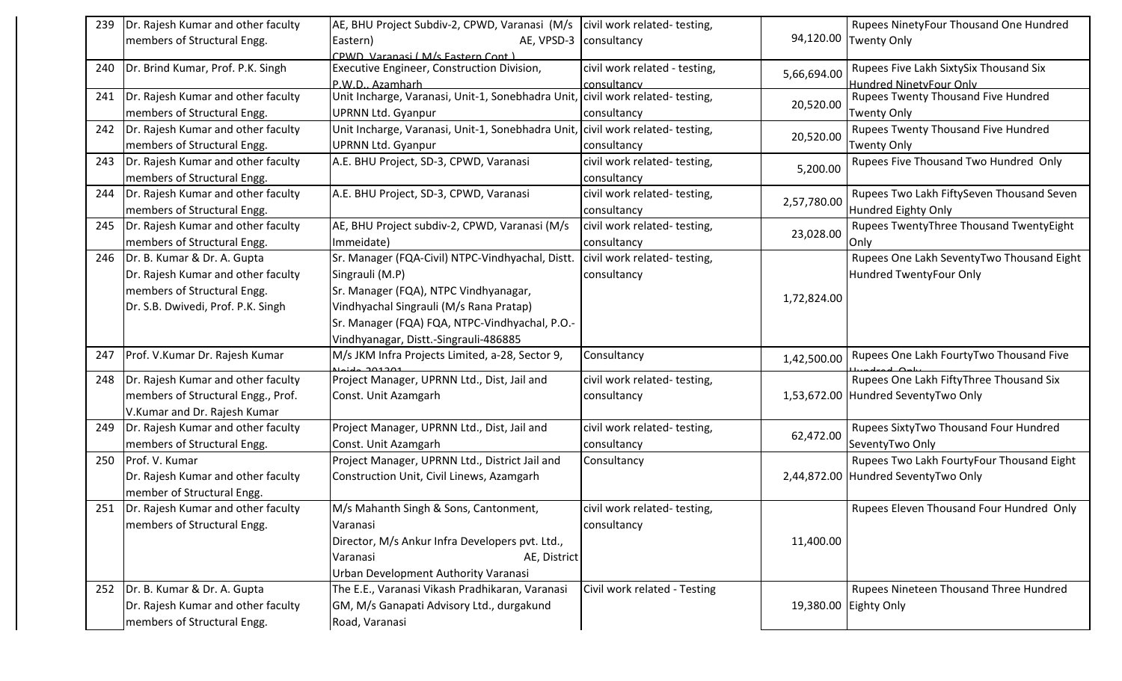| 239 | Dr. Rajesh Kumar and other faculty       | AE, BHU Project Subdiv-2, CPWD, Varanasi (M/s   civil work related-testing,   |                               |             | Rupees NinetyFour Thousand One Hundred    |
|-----|------------------------------------------|-------------------------------------------------------------------------------|-------------------------------|-------------|-------------------------------------------|
|     | members of Structural Engg.              | Eastern)<br>AE, VPSD-3   consultancy                                          |                               | 94,120.00   | <b>Twenty Only</b>                        |
|     |                                          | CPWD Varanasi (M/s Eastern Cont)                                              |                               |             |                                           |
| 240 | Dr. Brind Kumar, Prof. P.K. Singh        | Executive Engineer, Construction Division,                                    | civil work related - testing, | 5,66,694.00 | Rupees Five Lakh SixtySix Thousand Six    |
|     |                                          | P.W.D., Azamharh                                                              | consultancy                   |             | <b>Hundred NinetvFour Only</b>            |
| 241 | Dr. Rajesh Kumar and other faculty       | Unit Incharge, Varanasi, Unit-1, Sonebhadra Unit, civil work related-testing, |                               | 20,520.00   | Rupees Twenty Thousand Five Hundred       |
|     | members of Structural Engg.              | UPRNN Ltd. Gyanpur                                                            | consultancy                   |             | <b>Twenty Only</b>                        |
| 242 | Dr. Rajesh Kumar and other faculty       | Unit Incharge, Varanasi, Unit-1, Sonebhadra Unit, civil work related-testing, |                               | 20,520.00   | Rupees Twenty Thousand Five Hundred       |
|     | members of Structural Engg.              | UPRNN Ltd. Gyanpur                                                            | consultancy                   |             | <b>Twenty Only</b>                        |
| 243 | Dr. Rajesh Kumar and other faculty       | A.E. BHU Project, SD-3, CPWD, Varanasi                                        | civil work related-testing,   | 5,200.00    | Rupees Five Thousand Two Hundred Only     |
|     | members of Structural Engg.              |                                                                               | consultancy                   |             |                                           |
| 244 | Dr. Rajesh Kumar and other faculty       | A.E. BHU Project, SD-3, CPWD, Varanasi                                        | civil work related-testing,   | 2,57,780.00 | Rupees Two Lakh FiftySeven Thousand Seven |
|     | members of Structural Engg.              |                                                                               | consultancy                   |             | Hundred Eighty Only                       |
| 245 | Dr. Rajesh Kumar and other faculty       | AE, BHU Project subdiv-2, CPWD, Varanasi (M/s                                 | civil work related-testing,   |             | Rupees TwentyThree Thousand TwentyEight   |
|     | members of Structural Engg.              | Immeidate)                                                                    | consultancy                   | 23,028.00   | Only                                      |
| 246 | Dr. B. Kumar & Dr. A. Gupta              | Sr. Manager (FQA-Civil) NTPC-Vindhyachal, Distt.                              | civil work related-testing,   |             | Rupees One Lakh SeventyTwo Thousand Eight |
|     | Dr. Rajesh Kumar and other faculty       | Singrauli (M.P)                                                               | consultancy                   |             | Hundred TwentyFour Only                   |
|     | members of Structural Engg.              | Sr. Manager (FQA), NTPC Vindhyanagar,                                         |                               |             |                                           |
|     | Dr. S.B. Dwivedi, Prof. P.K. Singh       | Vindhyachal Singrauli (M/s Rana Pratap)                                       |                               | 1,72,824.00 |                                           |
|     |                                          | Sr. Manager (FQA) FQA, NTPC-Vindhyachal, P.O.-                                |                               |             |                                           |
|     |                                          | Vindhyanagar, Distt.-Singrauli-486885                                         |                               |             |                                           |
| 247 | Prof. V.Kumar Dr. Rajesh Kumar           | M/s JKM Infra Projects Limited, a-28, Sector 9,                               | Consultancy                   |             | Rupees One Lakh FourtyTwo Thousand Five   |
|     |                                          |                                                                               |                               | 1,42,500.00 |                                           |
| 248 | Dr. Rajesh Kumar and other faculty       | Project Manager, UPRNN Ltd., Dist, Jail and                                   | civil work related-testing,   |             | Rupees One Lakh FiftyThree Thousand Six   |
|     | members of Structural Engg., Prof.       | Const. Unit Azamgarh                                                          | consultancy                   |             | 1,53,672.00 Hundred SeventyTwo Only       |
|     | V.Kumar and Dr. Rajesh Kumar             |                                                                               |                               |             |                                           |
|     | 249   Dr. Rajesh Kumar and other faculty | Project Manager, UPRNN Ltd., Dist, Jail and                                   | civil work related-testing,   | 62,472.00   | Rupees SixtyTwo Thousand Four Hundred     |
|     | members of Structural Engg.              | Const. Unit Azamgarh                                                          | consultancy                   |             | SeventyTwo Only                           |
| 250 | Prof. V. Kumar                           | Project Manager, UPRNN Ltd., District Jail and                                | Consultancy                   |             | Rupees Two Lakh FourtyFour Thousand Eight |
|     | Dr. Rajesh Kumar and other faculty       | Construction Unit, Civil Linews, Azamgarh                                     |                               |             | 2,44,872.00 Hundred SeventyTwo Only       |
|     | member of Structural Engg.               |                                                                               |                               |             |                                           |
|     | 251   Dr. Rajesh Kumar and other faculty | M/s Mahanth Singh & Sons, Cantonment,                                         | civil work related-testing,   |             | Rupees Eleven Thousand Four Hundred Only  |
|     | members of Structural Engg.              | Varanasi                                                                      | consultancy                   |             |                                           |
|     |                                          | Director, M/s Ankur Infra Developers pvt. Ltd.,                               |                               | 11,400.00   |                                           |
|     |                                          | Varanasi<br>AE, District                                                      |                               |             |                                           |
|     |                                          | Urban Development Authority Varanasi                                          |                               |             |                                           |
|     | 252 Dr. B. Kumar & Dr. A. Gupta          | The E.E., Varanasi Vikash Pradhikaran, Varanasi                               | Civil work related - Testing  |             | Rupees Nineteen Thousand Three Hundred    |
|     | Dr. Rajesh Kumar and other faculty       | GM, M/s Ganapati Advisory Ltd., durgakund                                     |                               | 19,380.00   | Eighty Only                               |
|     | members of Structural Engg.              | Road, Varanasi                                                                |                               |             |                                           |
|     |                                          |                                                                               |                               |             |                                           |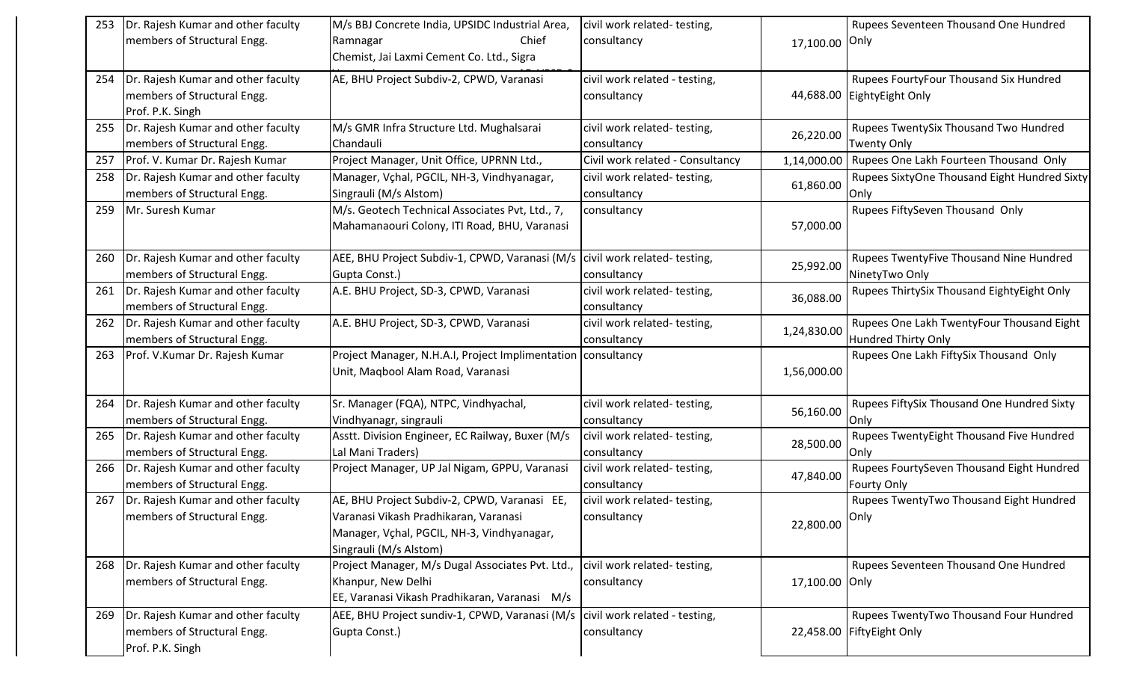| 253 | Dr. Rajesh Kumar and other faculty      | M/s BBJ Concrete India, UPSIDC Industrial Area,                                | civil work related-testing,      |                | Rupees Seventeen Thousand One Hundred        |
|-----|-----------------------------------------|--------------------------------------------------------------------------------|----------------------------------|----------------|----------------------------------------------|
|     | members of Structural Engg.             | Chief<br>Ramnagar                                                              | consultancy                      | 17,100.00 Only |                                              |
|     |                                         | Chemist, Jai Laxmi Cement Co. Ltd., Sigra                                      |                                  |                |                                              |
| 254 | Dr. Rajesh Kumar and other faculty      | AE, BHU Project Subdiv-2, CPWD, Varanasi                                       | civil work related - testing,    |                | Rupees FourtyFour Thousand Six Hundred       |
|     | members of Structural Engg.             |                                                                                | consultancy                      |                | 44,688.00 EightyEight Only                   |
|     | Prof. P.K. Singh                        |                                                                                |                                  |                |                                              |
|     | 255  Dr. Rajesh Kumar and other faculty | M/s GMR Infra Structure Ltd. Mughalsarai                                       | civil work related-testing,      |                | Rupees TwentySix Thousand Two Hundred        |
|     | members of Structural Engg.             | Chandauli                                                                      | consultancy                      | 26,220.00      | Twenty Only                                  |
| 257 | Prof. V. Kumar Dr. Rajesh Kumar         | Project Manager, Unit Office, UPRNN Ltd.,                                      | Civil work related - Consultancy | 1,14,000.00    | Rupees One Lakh Fourteen Thousand Only       |
| 258 | Dr. Rajesh Kumar and other faculty      | Manager, Vçhal, PGCIL, NH-3, Vindhyanagar,                                     | civil work related-testing,      | 61,860.00      | Rupees SixtyOne Thousand Eight Hundred Sixty |
|     | members of Structural Engg.             | Singrauli (M/s Alstom)                                                         | consultancy                      |                | Only                                         |
| 259 | Mr. Suresh Kumar                        | M/s. Geotech Technical Associates Pvt, Ltd., 7,                                | consultancy                      |                | Rupees FiftySeven Thousand Only              |
|     |                                         | Mahamanaouri Colony, ITI Road, BHU, Varanasi                                   |                                  | 57,000.00      |                                              |
|     |                                         |                                                                                |                                  |                |                                              |
| 260 | Dr. Rajesh Kumar and other faculty      | AEE, BHU Project Subdiv-1, CPWD, Varanasi (M/s                                 | civil work related-testing,      | 25,992.00      | Rupees TwentyFive Thousand Nine Hundred      |
|     | members of Structural Engg.             | Gupta Const.)                                                                  | consultancy                      |                | NinetyTwo Only                               |
| 261 | Dr. Rajesh Kumar and other faculty      | A.E. BHU Project, SD-3, CPWD, Varanasi                                         | civil work related-testing,      | 36,088.00      | Rupees ThirtySix Thousand EightyEight Only   |
|     | members of Structural Engg.             |                                                                                | consultancy                      |                |                                              |
| 262 | Dr. Rajesh Kumar and other faculty      | A.E. BHU Project, SD-3, CPWD, Varanasi                                         | civil work related-testing,      | 1,24,830.00    | Rupees One Lakh TwentyFour Thousand Eight    |
|     | members of Structural Engg.             |                                                                                | consultancy                      |                | Hundred Thirty Only                          |
| 263 | Prof. V.Kumar Dr. Rajesh Kumar          | Project Manager, N.H.A.I, Project Implimentation consultancy                   |                                  |                | Rupees One Lakh FiftySix Thousand Only       |
|     |                                         | Unit, Maqbool Alam Road, Varanasi                                              |                                  | 1,56,000.00    |                                              |
| 264 | Dr. Rajesh Kumar and other faculty      | Sr. Manager (FQA), NTPC, Vindhyachal,                                          | civil work related-testing,      |                | Rupees FiftySix Thousand One Hundred Sixty   |
|     | members of Structural Engg.             | Vindhyanagr, singrauli                                                         | consultancy                      | 56,160.00      | Only                                         |
| 265 | Dr. Rajesh Kumar and other faculty      | Asstt. Division Engineer, EC Railway, Buxer (M/s                               | civil work related-testing,      |                | Rupees TwentyEight Thousand Five Hundred     |
|     | members of Structural Engg.             | Lal Mani Traders)                                                              | consultancy                      | 28,500.00      | <b>Only</b>                                  |
| 266 | Dr. Rajesh Kumar and other faculty      | Project Manager, UP Jal Nigam, GPPU, Varanasi                                  | civil work related-testing,      |                | Rupees FourtySeven Thousand Eight Hundred    |
|     | members of Structural Engg.             |                                                                                | consultancy                      | 47,840.00      | <b>Fourty Only</b>                           |
| 267 | Dr. Rajesh Kumar and other faculty      | AE, BHU Project Subdiv-2, CPWD, Varanasi EE,                                   | civil work related-testing,      |                | Rupees TwentyTwo Thousand Eight Hundred      |
|     | members of Structural Engg.             | Varanasi Vikash Pradhikaran, Varanasi                                          | consultancy                      |                |                                              |
|     |                                         | Manager, Vçhal, PGCIL, NH-3, Vindhyanagar,                                     |                                  | 22,800.00 Only |                                              |
|     |                                         | Singrauli (M/s Alstom)                                                         |                                  |                |                                              |
|     | 268  Dr. Rajesh Kumar and other faculty | Project Manager, M/s Dugal Associates Pvt. Ltd.,                               | civil work related-testing,      |                | Rupees Seventeen Thousand One Hundred        |
|     | members of Structural Engg.             | Khanpur, New Delhi                                                             | consultancy                      | 17,100.00 Only |                                              |
|     |                                         | EE, Varanasi Vikash Pradhikaran, Varanasi M/s                                  |                                  |                |                                              |
| 269 | Dr. Rajesh Kumar and other faculty      | AEE, BHU Project sundiv-1, CPWD, Varanasi (M/s   civil work related - testing, |                                  |                | Rupees TwentyTwo Thousand Four Hundred       |
|     | members of Structural Engg.             | Gupta Const.)                                                                  | consultancy                      |                | 22,458.00 FiftyEight Only                    |
|     | Prof. P.K. Singh                        |                                                                                |                                  |                |                                              |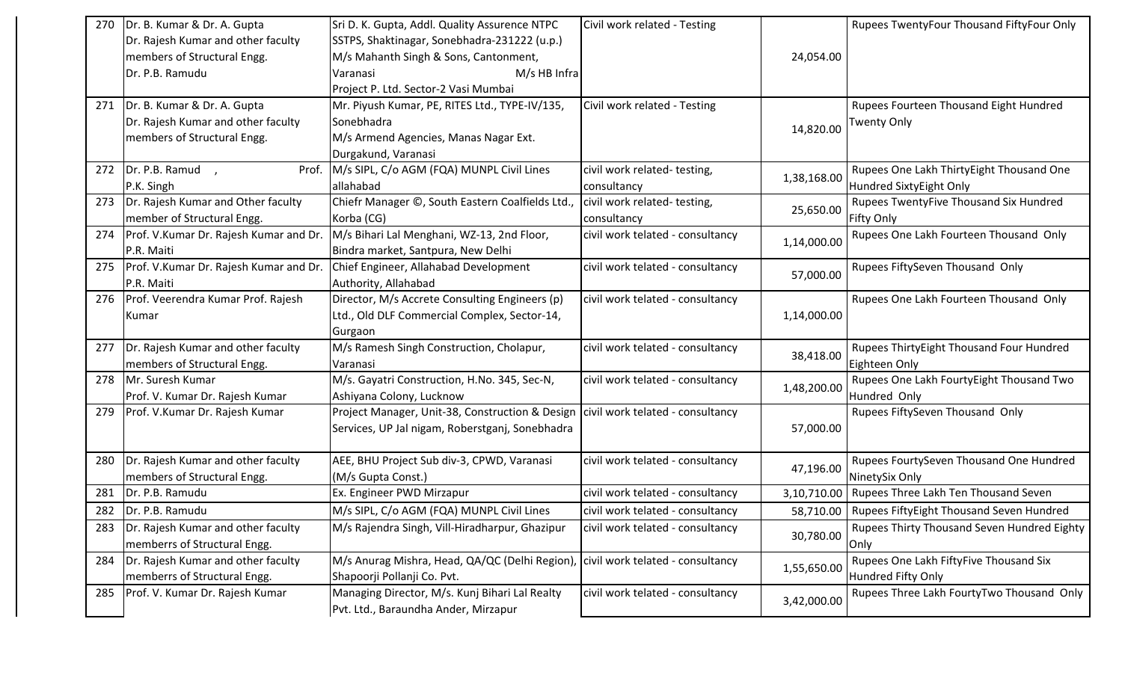| Dr. B. Kumar & Dr. A. Gupta<br>Sri D. K. Gupta, Addl. Quality Assurence NTPC<br>Civil work related - Testing<br>Rupees TwentyFour Thousand FiftyFour Only<br>270<br>Dr. Rajesh Kumar and other faculty<br>SSTPS, Shaktinagar, Sonebhadra-231222 (u.p.)<br>members of Structural Engg.<br>M/s Mahanth Singh & Sons, Cantonment,<br>24,054.00<br>Dr. P.B. Ramudu<br>M/s HB Infra<br>Varanasi<br>Project P. Ltd. Sector-2 Vasi Mumbai<br>271   Dr. B. Kumar & Dr. A. Gupta<br>Civil work related - Testing<br>Mr. Piyush Kumar, PE, RITES Ltd., TYPE-IV/135,<br>Rupees Fourteen Thousand Eight Hundred<br>Dr. Rajesh Kumar and other faculty<br>Sonebhadra<br><b>Twenty Only</b><br>14,820.00<br>members of Structural Engg.<br>M/s Armend Agencies, Manas Nagar Ext.<br>Durgakund, Varanasi<br>Rupees One Lakh ThirtyEight Thousand One<br>272 $Dr. P.B. Ramud$ ,<br>M/s SIPL, C/o AGM (FQA) MUNPL Civil Lines<br>civil work related-testing,<br>Prof.<br>1,38,168.00<br>allahabad<br>Hundred SixtyEight Only<br>P.K. Singh<br>consultancy<br>273   Dr. Rajesh Kumar and Other faculty<br>Chiefr Manager ©, South Eastern Coalfields Ltd.,<br>civil work related-testing,<br>Rupees TwentyFive Thousand Six Hundred<br>25,650.00<br>member of Structural Engg.<br>Korba (CG)<br>consultancy<br><b>Fifty Only</b><br>Prof. V.Kumar Dr. Rajesh Kumar and Dr.<br>M/s Bihari Lal Menghani, WZ-13, 2nd Floor,<br>civil work telated - consultancy<br>Rupees One Lakh Fourteen Thousand Only<br>274<br>1,14,000.00<br>P.R. Maiti<br>Bindra market, Santpura, New Delhi<br>Prof. V.Kumar Dr. Rajesh Kumar and Dr.<br>Chief Engineer, Allahabad Development<br>Rupees FiftySeven Thousand Only<br>civil work telated - consultancy<br>275 |  |
|---------------------------------------------------------------------------------------------------------------------------------------------------------------------------------------------------------------------------------------------------------------------------------------------------------------------------------------------------------------------------------------------------------------------------------------------------------------------------------------------------------------------------------------------------------------------------------------------------------------------------------------------------------------------------------------------------------------------------------------------------------------------------------------------------------------------------------------------------------------------------------------------------------------------------------------------------------------------------------------------------------------------------------------------------------------------------------------------------------------------------------------------------------------------------------------------------------------------------------------------------------------------------------------------------------------------------------------------------------------------------------------------------------------------------------------------------------------------------------------------------------------------------------------------------------------------------------------------------------------------------------------------------------------------------------------------------------------------------------|--|
|                                                                                                                                                                                                                                                                                                                                                                                                                                                                                                                                                                                                                                                                                                                                                                                                                                                                                                                                                                                                                                                                                                                                                                                                                                                                                                                                                                                                                                                                                                                                                                                                                                                                                                                                 |  |
|                                                                                                                                                                                                                                                                                                                                                                                                                                                                                                                                                                                                                                                                                                                                                                                                                                                                                                                                                                                                                                                                                                                                                                                                                                                                                                                                                                                                                                                                                                                                                                                                                                                                                                                                 |  |
|                                                                                                                                                                                                                                                                                                                                                                                                                                                                                                                                                                                                                                                                                                                                                                                                                                                                                                                                                                                                                                                                                                                                                                                                                                                                                                                                                                                                                                                                                                                                                                                                                                                                                                                                 |  |
|                                                                                                                                                                                                                                                                                                                                                                                                                                                                                                                                                                                                                                                                                                                                                                                                                                                                                                                                                                                                                                                                                                                                                                                                                                                                                                                                                                                                                                                                                                                                                                                                                                                                                                                                 |  |
|                                                                                                                                                                                                                                                                                                                                                                                                                                                                                                                                                                                                                                                                                                                                                                                                                                                                                                                                                                                                                                                                                                                                                                                                                                                                                                                                                                                                                                                                                                                                                                                                                                                                                                                                 |  |
|                                                                                                                                                                                                                                                                                                                                                                                                                                                                                                                                                                                                                                                                                                                                                                                                                                                                                                                                                                                                                                                                                                                                                                                                                                                                                                                                                                                                                                                                                                                                                                                                                                                                                                                                 |  |
|                                                                                                                                                                                                                                                                                                                                                                                                                                                                                                                                                                                                                                                                                                                                                                                                                                                                                                                                                                                                                                                                                                                                                                                                                                                                                                                                                                                                                                                                                                                                                                                                                                                                                                                                 |  |
|                                                                                                                                                                                                                                                                                                                                                                                                                                                                                                                                                                                                                                                                                                                                                                                                                                                                                                                                                                                                                                                                                                                                                                                                                                                                                                                                                                                                                                                                                                                                                                                                                                                                                                                                 |  |
|                                                                                                                                                                                                                                                                                                                                                                                                                                                                                                                                                                                                                                                                                                                                                                                                                                                                                                                                                                                                                                                                                                                                                                                                                                                                                                                                                                                                                                                                                                                                                                                                                                                                                                                                 |  |
|                                                                                                                                                                                                                                                                                                                                                                                                                                                                                                                                                                                                                                                                                                                                                                                                                                                                                                                                                                                                                                                                                                                                                                                                                                                                                                                                                                                                                                                                                                                                                                                                                                                                                                                                 |  |
|                                                                                                                                                                                                                                                                                                                                                                                                                                                                                                                                                                                                                                                                                                                                                                                                                                                                                                                                                                                                                                                                                                                                                                                                                                                                                                                                                                                                                                                                                                                                                                                                                                                                                                                                 |  |
|                                                                                                                                                                                                                                                                                                                                                                                                                                                                                                                                                                                                                                                                                                                                                                                                                                                                                                                                                                                                                                                                                                                                                                                                                                                                                                                                                                                                                                                                                                                                                                                                                                                                                                                                 |  |
|                                                                                                                                                                                                                                                                                                                                                                                                                                                                                                                                                                                                                                                                                                                                                                                                                                                                                                                                                                                                                                                                                                                                                                                                                                                                                                                                                                                                                                                                                                                                                                                                                                                                                                                                 |  |
|                                                                                                                                                                                                                                                                                                                                                                                                                                                                                                                                                                                                                                                                                                                                                                                                                                                                                                                                                                                                                                                                                                                                                                                                                                                                                                                                                                                                                                                                                                                                                                                                                                                                                                                                 |  |
|                                                                                                                                                                                                                                                                                                                                                                                                                                                                                                                                                                                                                                                                                                                                                                                                                                                                                                                                                                                                                                                                                                                                                                                                                                                                                                                                                                                                                                                                                                                                                                                                                                                                                                                                 |  |
| 57,000.00                                                                                                                                                                                                                                                                                                                                                                                                                                                                                                                                                                                                                                                                                                                                                                                                                                                                                                                                                                                                                                                                                                                                                                                                                                                                                                                                                                                                                                                                                                                                                                                                                                                                                                                       |  |
| P.R. Maiti<br>Authority, Allahabad                                                                                                                                                                                                                                                                                                                                                                                                                                                                                                                                                                                                                                                                                                                                                                                                                                                                                                                                                                                                                                                                                                                                                                                                                                                                                                                                                                                                                                                                                                                                                                                                                                                                                              |  |
| Prof. Veerendra Kumar Prof. Rajesh<br>Director, M/s Accrete Consulting Engineers (p)<br>civil work telated - consultancy<br>Rupees One Lakh Fourteen Thousand Only<br>276                                                                                                                                                                                                                                                                                                                                                                                                                                                                                                                                                                                                                                                                                                                                                                                                                                                                                                                                                                                                                                                                                                                                                                                                                                                                                                                                                                                                                                                                                                                                                       |  |
| 1,14,000.00<br>Ltd., Old DLF Commercial Complex, Sector-14,<br>Kumar                                                                                                                                                                                                                                                                                                                                                                                                                                                                                                                                                                                                                                                                                                                                                                                                                                                                                                                                                                                                                                                                                                                                                                                                                                                                                                                                                                                                                                                                                                                                                                                                                                                            |  |
| Gurgaon                                                                                                                                                                                                                                                                                                                                                                                                                                                                                                                                                                                                                                                                                                                                                                                                                                                                                                                                                                                                                                                                                                                                                                                                                                                                                                                                                                                                                                                                                                                                                                                                                                                                                                                         |  |
| 277   Dr. Rajesh Kumar and other faculty<br>Rupees ThirtyEight Thousand Four Hundred<br>M/s Ramesh Singh Construction, Cholapur,<br>civil work telated - consultancy<br>38,418.00                                                                                                                                                                                                                                                                                                                                                                                                                                                                                                                                                                                                                                                                                                                                                                                                                                                                                                                                                                                                                                                                                                                                                                                                                                                                                                                                                                                                                                                                                                                                               |  |
| members of Structural Engg.<br>Eighteen Only<br>Varanasi                                                                                                                                                                                                                                                                                                                                                                                                                                                                                                                                                                                                                                                                                                                                                                                                                                                                                                                                                                                                                                                                                                                                                                                                                                                                                                                                                                                                                                                                                                                                                                                                                                                                        |  |
| Mr. Suresh Kumar<br>M/s. Gayatri Construction, H.No. 345, Sec-N,<br>Rupees One Lakh FourtyEight Thousand Two<br>civil work telated - consultancy<br>278                                                                                                                                                                                                                                                                                                                                                                                                                                                                                                                                                                                                                                                                                                                                                                                                                                                                                                                                                                                                                                                                                                                                                                                                                                                                                                                                                                                                                                                                                                                                                                         |  |
| 1,48,200.00<br>Prof. V. Kumar Dr. Rajesh Kumar<br>Ashiyana Colony, Lucknow<br>Hundred Only                                                                                                                                                                                                                                                                                                                                                                                                                                                                                                                                                                                                                                                                                                                                                                                                                                                                                                                                                                                                                                                                                                                                                                                                                                                                                                                                                                                                                                                                                                                                                                                                                                      |  |
| Project Manager, Unit-38, Construction & Design   civil work telated - consultancy<br>Prof. V.Kumar Dr. Rajesh Kumar<br>Rupees FiftySeven Thousand Only<br>279                                                                                                                                                                                                                                                                                                                                                                                                                                                                                                                                                                                                                                                                                                                                                                                                                                                                                                                                                                                                                                                                                                                                                                                                                                                                                                                                                                                                                                                                                                                                                                  |  |
| Services, UP Jal nigam, Roberstganj, Sonebhadra<br>57,000.00                                                                                                                                                                                                                                                                                                                                                                                                                                                                                                                                                                                                                                                                                                                                                                                                                                                                                                                                                                                                                                                                                                                                                                                                                                                                                                                                                                                                                                                                                                                                                                                                                                                                    |  |
|                                                                                                                                                                                                                                                                                                                                                                                                                                                                                                                                                                                                                                                                                                                                                                                                                                                                                                                                                                                                                                                                                                                                                                                                                                                                                                                                                                                                                                                                                                                                                                                                                                                                                                                                 |  |
| Dr. Rajesh Kumar and other faculty<br>AEE, BHU Project Sub div-3, CPWD, Varanasi<br>civil work telated - consultancy<br>Rupees FourtySeven Thousand One Hundred<br>280                                                                                                                                                                                                                                                                                                                                                                                                                                                                                                                                                                                                                                                                                                                                                                                                                                                                                                                                                                                                                                                                                                                                                                                                                                                                                                                                                                                                                                                                                                                                                          |  |
| 47,196.00<br>members of Structural Engg.<br>(M/s Gupta Const.)<br>NinetySix Only                                                                                                                                                                                                                                                                                                                                                                                                                                                                                                                                                                                                                                                                                                                                                                                                                                                                                                                                                                                                                                                                                                                                                                                                                                                                                                                                                                                                                                                                                                                                                                                                                                                |  |
| Dr. P.B. Ramudu<br>3,10,710.00   Rupees Three Lakh Ten Thousand Seven<br>281<br>Ex. Engineer PWD Mirzapur<br>civil work telated - consultancy                                                                                                                                                                                                                                                                                                                                                                                                                                                                                                                                                                                                                                                                                                                                                                                                                                                                                                                                                                                                                                                                                                                                                                                                                                                                                                                                                                                                                                                                                                                                                                                   |  |
| M/s SIPL, C/o AGM (FQA) MUNPL Civil Lines<br>282<br>Dr. P.B. Ramudu<br>civil work telated - consultancy<br>58,710.00   Rupees FiftyEight Thousand Seven Hundred                                                                                                                                                                                                                                                                                                                                                                                                                                                                                                                                                                                                                                                                                                                                                                                                                                                                                                                                                                                                                                                                                                                                                                                                                                                                                                                                                                                                                                                                                                                                                                 |  |
| Rupees Thirty Thousand Seven Hundred Eighty<br>Dr. Rajesh Kumar and other faculty<br>M/s Rajendra Singh, Vill-Hiradharpur, Ghazipur<br>civil work telated - consultancy<br>283                                                                                                                                                                                                                                                                                                                                                                                                                                                                                                                                                                                                                                                                                                                                                                                                                                                                                                                                                                                                                                                                                                                                                                                                                                                                                                                                                                                                                                                                                                                                                  |  |
| 30,780.00<br>memberrs of Structural Engg.<br> Only                                                                                                                                                                                                                                                                                                                                                                                                                                                                                                                                                                                                                                                                                                                                                                                                                                                                                                                                                                                                                                                                                                                                                                                                                                                                                                                                                                                                                                                                                                                                                                                                                                                                              |  |
| Rupees One Lakh FiftyFive Thousand Six<br>Dr. Rajesh Kumar and other faculty<br>M/s Anurag Mishra, Head, QA/QC (Delhi Region),<br>civil work telated - consultancy<br>284                                                                                                                                                                                                                                                                                                                                                                                                                                                                                                                                                                                                                                                                                                                                                                                                                                                                                                                                                                                                                                                                                                                                                                                                                                                                                                                                                                                                                                                                                                                                                       |  |
| 1,55,650.00<br>memberrs of Structural Engg.<br>Hundred Fifty Only<br>Shapoorji Pollanji Co. Pvt.                                                                                                                                                                                                                                                                                                                                                                                                                                                                                                                                                                                                                                                                                                                                                                                                                                                                                                                                                                                                                                                                                                                                                                                                                                                                                                                                                                                                                                                                                                                                                                                                                                |  |
| Rupees Three Lakh FourtyTwo Thousand Only<br>Prof. V. Kumar Dr. Rajesh Kumar<br>Managing Director, M/s. Kunj Bihari Lal Realty<br>civil work telated - consultancy<br>285                                                                                                                                                                                                                                                                                                                                                                                                                                                                                                                                                                                                                                                                                                                                                                                                                                                                                                                                                                                                                                                                                                                                                                                                                                                                                                                                                                                                                                                                                                                                                       |  |
| 3,42,000.00<br>Pvt. Ltd., Baraundha Ander, Mirzapur                                                                                                                                                                                                                                                                                                                                                                                                                                                                                                                                                                                                                                                                                                                                                                                                                                                                                                                                                                                                                                                                                                                                                                                                                                                                                                                                                                                                                                                                                                                                                                                                                                                                             |  |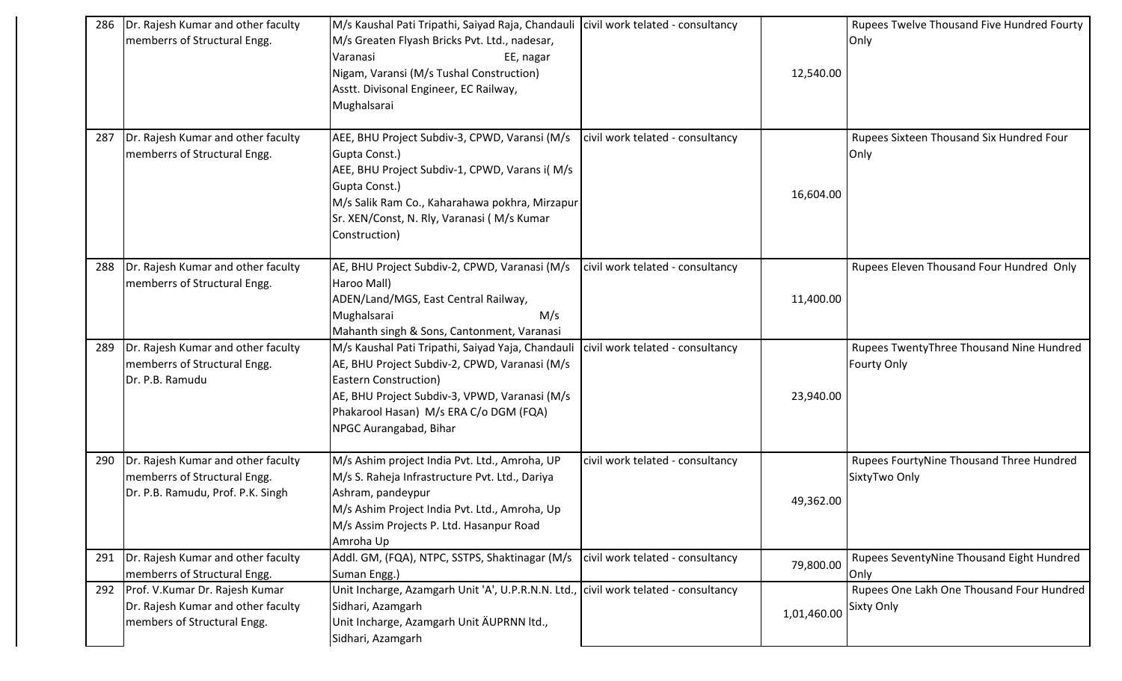| 286 | Dr. Rajesh Kumar and other faculty<br>memberrs of Structural Engg.                                      | M/s Kaushal Pati Tripathi, Saiyad Raja, Chandauli   civil work telated - consultancy<br>M/s Greaten Flyash Bricks Pvt. Ltd., nadesar,<br>Varanasi<br>EE, nagar<br>Nigam, Varansi (M/s Tushal Construction)<br>Asstt. Divisonal Engineer, EC Railway,<br>Mughalsarai |                                  | 12,540.00   | <b>Rupees Twelve Thousand Five Hundred Fourty</b><br>Only      |
|-----|---------------------------------------------------------------------------------------------------------|---------------------------------------------------------------------------------------------------------------------------------------------------------------------------------------------------------------------------------------------------------------------|----------------------------------|-------------|----------------------------------------------------------------|
| 287 | Dr. Rajesh Kumar and other faculty<br>memberrs of Structural Engg.                                      | AEE, BHU Project Subdiv-3, CPWD, Varansi (M/s<br>Gupta Const.)<br>AEE, BHU Project Subdiv-1, CPWD, Varans i(M/s<br>Gupta Const.)<br>M/s Salik Ram Co., Kaharahawa pokhra, Mirzapur<br>Sr. XEN/Const, N. Rly, Varanasi (M/s Kumar<br>Construction)                   | civil work telated - consultancy | 16,604.00   | Rupees Sixteen Thousand Six Hundred Four<br>Only               |
| 288 | Dr. Rajesh Kumar and other faculty<br>memberrs of Structural Engg.                                      | AE, BHU Project Subdiv-2, CPWD, Varanasi (M/s<br>Haroo Mall)<br>ADEN/Land/MGS, East Central Railway,<br>Mughalsarai<br>M/s<br>Mahanth singh & Sons, Cantonment, Varanasi                                                                                            | civil work telated - consultancy | 11,400.00   | Rupees Eleven Thousand Four Hundred Only                       |
| 289 | Dr. Rajesh Kumar and other faculty<br>memberrs of Structural Engg.<br>Dr. P.B. Ramudu                   | M/s Kaushal Pati Tripathi, Saiyad Yaja, Chandauli<br>AE, BHU Project Subdiv-2, CPWD, Varanasi (M/s<br><b>Eastern Construction)</b><br>AE, BHU Project Subdiv-3, VPWD, Varanasi (M/s<br>Phakarool Hasan) M/s ERA C/o DGM (FQA)<br>NPGC Aurangabad, Bihar             | civil work telated - consultancy | 23,940.00   | Rupees TwentyThree Thousand Nine Hundred<br><b>Fourty Only</b> |
| 290 | Dr. Rajesh Kumar and other faculty<br>memberrs of Structural Engg.<br>Dr. P.B. Ramudu, Prof. P.K. Singh | M/s Ashim project India Pvt. Ltd., Amroha, UP<br>M/s S. Raheja Infrastructure Pvt. Ltd., Dariya<br>Ashram, pandeypur<br>M/s Ashim Project India Pvt. Ltd., Amroha, Up<br>M/s Assim Projects P. Ltd. Hasanpur Road<br>Amroha Up                                      | civil work telated - consultancy | 49,362.00   | Rupees FourtyNine Thousand Three Hundred<br>SixtyTwo Only      |
| 291 | Dr. Rajesh Kumar and other faculty<br>memberrs of Structural Engg.                                      | Addl. GM, (FQA), NTPC, SSTPS, Shaktinagar (M/s<br>Suman Engg.)                                                                                                                                                                                                      | civil work telated - consultancy | 79,800.00   | Rupees SeventyNine Thousand Eight Hundred<br>Only              |
|     | 292 Prof. V.Kumar Dr. Rajesh Kumar<br>Dr. Rajesh Kumar and other faculty<br>members of Structural Engg. | Unit Incharge, Azamgarh Unit 'A', U.P.R.N.N. Ltd., civil work telated - consultancy<br>Sidhari, Azamgarh<br>Unit Incharge, Azamgarh Unit ÄUPRNN ltd.,<br>Sidhari, Azamgarh                                                                                          |                                  | 1,01,460.00 | Rupees One Lakh One Thousand Four Hundred<br><b>Sixty Only</b> |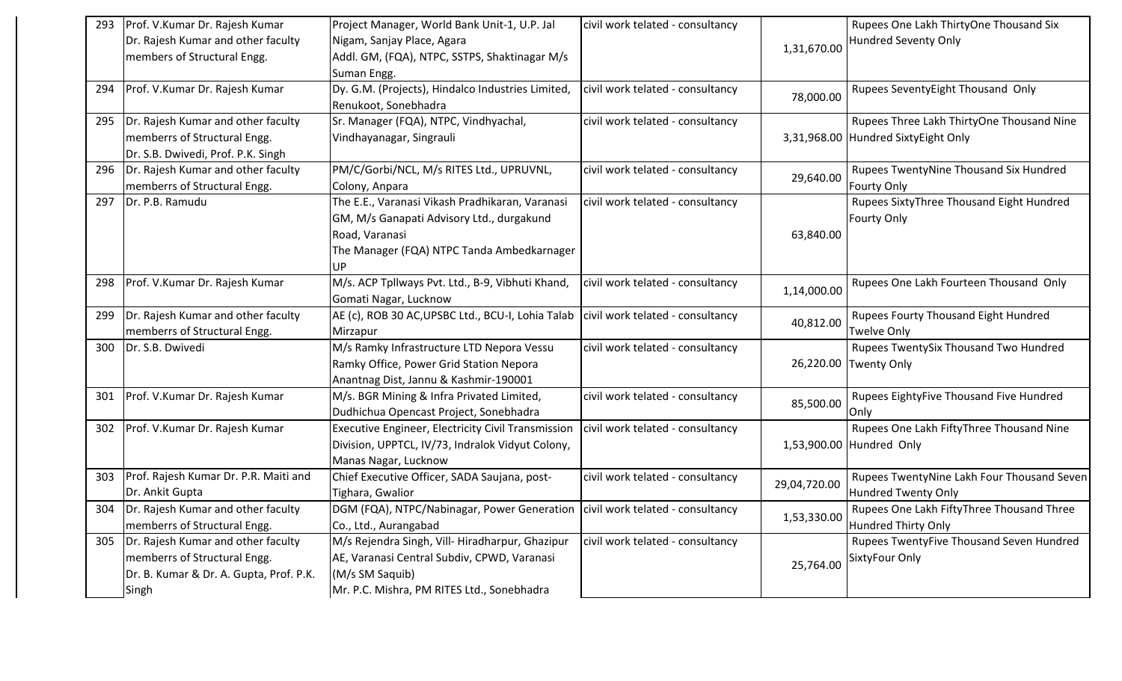| 293 | Prof. V.Kumar Dr. Rajesh Kumar<br>Dr. Rajesh Kumar and other faculty<br>members of Structural Engg.                          | Project Manager, World Bank Unit-1, U.P. Jal<br>Nigam, Sanjay Place, Agara<br>Addl. GM, (FQA), NTPC, SSTPS, Shaktinagar M/s<br>Suman Engg.                         | civil work telated - consultancy | 1,31,670.00  | Rupees One Lakh ThirtyOne Thousand Six<br>Hundred Seventy Only                   |
|-----|------------------------------------------------------------------------------------------------------------------------------|--------------------------------------------------------------------------------------------------------------------------------------------------------------------|----------------------------------|--------------|----------------------------------------------------------------------------------|
| 294 | Prof. V.Kumar Dr. Rajesh Kumar                                                                                               | Dy. G.M. (Projects), Hindalco Industries Limited,<br>Renukoot, Sonebhadra                                                                                          | civil work telated - consultancy | 78,000.00    | Rupees SeventyEight Thousand Only                                                |
| 295 | Dr. Rajesh Kumar and other faculty<br>memberrs of Structural Engg.<br>Dr. S.B. Dwivedi, Prof. P.K. Singh                     | Sr. Manager (FQA), NTPC, Vindhyachal,<br>Vindhayanagar, Singrauli                                                                                                  | civil work telated - consultancy |              | Rupees Three Lakh ThirtyOne Thousand Nine<br>3,31,968.00 Hundred SixtyEight Only |
| 296 | Dr. Rajesh Kumar and other faculty<br>memberrs of Structural Engg.                                                           | PM/C/Gorbi/NCL, M/s RITES Ltd., UPRUVNL,<br>Colony, Anpara                                                                                                         | civil work telated - consultancy | 29,640.00    | Rupees TwentyNine Thousand Six Hundred<br><b>Fourty Only</b>                     |
| 297 | Dr. P.B. Ramudu                                                                                                              | The E.E., Varanasi Vikash Pradhikaran, Varanasi<br>GM, M/s Ganapati Advisory Ltd., durgakund<br>Road, Varanasi<br>The Manager (FQA) NTPC Tanda Ambedkarnager<br>UP | civil work telated - consultancy | 63,840.00    | Rupees SixtyThree Thousand Eight Hundred<br>Fourty Only                          |
| 298 | Prof. V.Kumar Dr. Rajesh Kumar                                                                                               | M/s. ACP Tpllways Pvt. Ltd., B-9, Vibhuti Khand,<br>Gomati Nagar, Lucknow                                                                                          | civil work telated - consultancy | 1,14,000.00  | Rupees One Lakh Fourteen Thousand Only                                           |
| 299 | Dr. Rajesh Kumar and other faculty<br>memberrs of Structural Engg.                                                           | AE (c), ROB 30 AC, UPSBC Ltd., BCU-I, Lohia Talab<br>Mirzapur                                                                                                      | civil work telated - consultancy | 40,812.00    | Rupees Fourty Thousand Eight Hundred<br><b>Twelve Only</b>                       |
| 300 | Dr. S.B. Dwivedi                                                                                                             | M/s Ramky Infrastructure LTD Nepora Vessu<br>Ramky Office, Power Grid Station Nepora<br>Anantnag Dist, Jannu & Kashmir-190001                                      | civil work telated - consultancy |              | Rupees TwentySix Thousand Two Hundred<br>26,220.00 Twenty Only                   |
| 301 | Prof. V.Kumar Dr. Rajesh Kumar                                                                                               | M/s. BGR Mining & Infra Privated Limited,<br>Dudhichua Opencast Project, Sonebhadra                                                                                | civil work telated - consultancy | 85,500.00    | Rupees EightyFive Thousand Five Hundred<br>Only                                  |
| 302 | Prof. V.Kumar Dr. Rajesh Kumar                                                                                               | Executive Engineer, Electricity Civil Transmission<br>Division, UPPTCL, IV/73, Indralok Vidyut Colony,<br>Manas Nagar, Lucknow                                     | civil work telated - consultancy |              | Rupees One Lakh FiftyThree Thousand Nine<br>1,53,900.00 Hundred Only             |
| 303 | Prof. Rajesh Kumar Dr. P.R. Maiti and<br>Dr. Ankit Gupta                                                                     | Chief Executive Officer, SADA Saujana, post-<br>Tighara, Gwalior                                                                                                   | civil work telated - consultancy | 29,04,720.00 | Rupees TwentyNine Lakh Four Thousand Seven<br><b>Hundred Twenty Only</b>         |
| 304 | Dr. Rajesh Kumar and other faculty<br>memberrs of Structural Engg.                                                           | DGM (FQA), NTPC/Nabinagar, Power Generation   civil work telated - consultancy<br>Co., Ltd., Aurangabad                                                            |                                  | 1,53,330.00  | Rupees One Lakh FiftyThree Thousand Three<br><b>Hundred Thirty Only</b>          |
|     | 305   Dr. Rajesh Kumar and other faculty<br>memberrs of Structural Engg.<br>Dr. B. Kumar & Dr. A. Gupta, Prof. P.K.<br>Singh | M/s Rejendra Singh, Vill-Hiradharpur, Ghazipur<br>AE, Varanasi Central Subdiv, CPWD, Varanasi<br>(M/s SM Saquib)<br>Mr. P.C. Mishra, PM RITES Ltd., Sonebhadra     | civil work telated - consultancy | 25,764.00    | Rupees TwentyFive Thousand Seven Hundred<br>SixtyFour Only                       |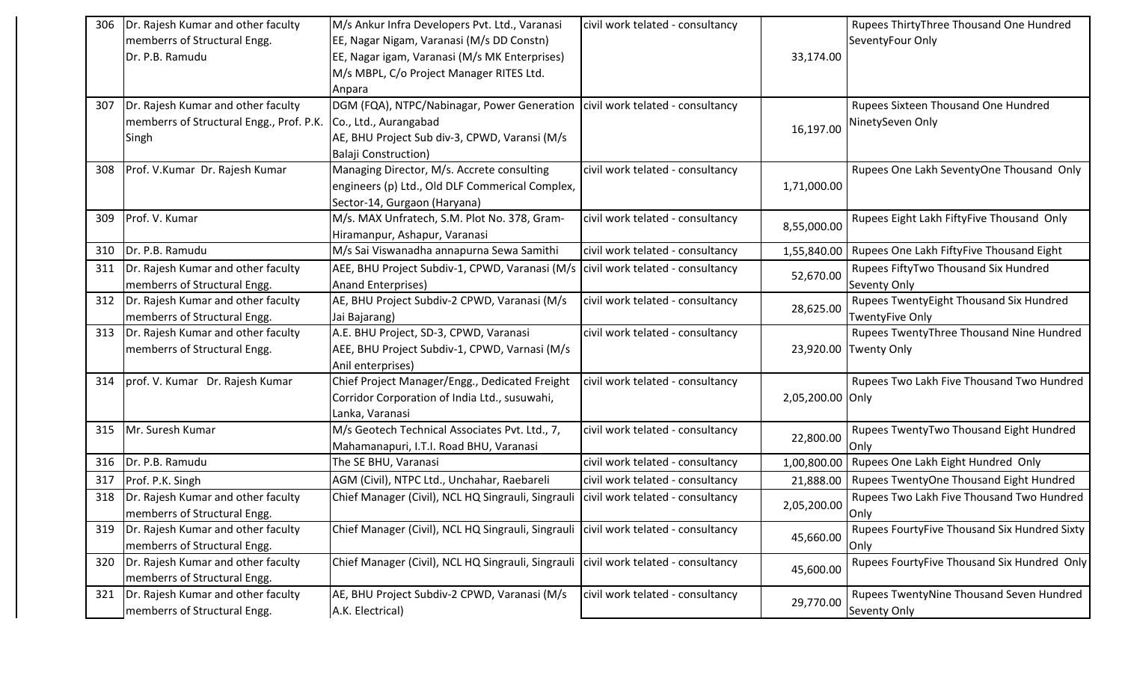| 306 | Dr. Rajesh Kumar and other faculty       | M/s Ankur Infra Developers Pvt. Ltd., Varanasi                                        | civil work telated - consultancy |                  | Rupees ThirtyThree Thousand One Hundred      |
|-----|------------------------------------------|---------------------------------------------------------------------------------------|----------------------------------|------------------|----------------------------------------------|
|     | memberrs of Structural Engg.             | EE, Nagar Nigam, Varanasi (M/s DD Constn)                                             |                                  |                  | SeventyFour Only                             |
|     | Dr. P.B. Ramudu                          | EE, Nagar igam, Varanasi (M/s MK Enterprises)                                         |                                  | 33,174.00        |                                              |
|     |                                          | M/s MBPL, C/o Project Manager RITES Ltd.                                              |                                  |                  |                                              |
|     |                                          | Anpara                                                                                |                                  |                  |                                              |
| 307 | Dr. Rajesh Kumar and other faculty       | DGM (FQA), NTPC/Nabinagar, Power Generation   civil work telated - consultancy        |                                  |                  | Rupees Sixteen Thousand One Hundred          |
|     | memberrs of Structural Engg., Prof. P.K. | Co., Ltd., Aurangabad                                                                 |                                  | 16,197.00        | NinetySeven Only                             |
|     | Singh                                    | AE, BHU Project Sub div-3, CPWD, Varansi (M/s                                         |                                  |                  |                                              |
|     |                                          | Balaji Construction)                                                                  |                                  |                  |                                              |
| 308 | Prof. V.Kumar Dr. Rajesh Kumar           | Managing Director, M/s. Accrete consulting                                            | civil work telated - consultancy |                  | Rupees One Lakh SeventyOne Thousand Only     |
|     |                                          | engineers (p) Ltd., Old DLF Commerical Complex,                                       |                                  | 1,71,000.00      |                                              |
|     |                                          | Sector-14, Gurgaon (Haryana)                                                          |                                  |                  |                                              |
| 309 | Prof. V. Kumar                           | M/s. MAX Unfratech, S.M. Plot No. 378, Gram-                                          | civil work telated - consultancy | 8,55,000.00      | Rupees Eight Lakh FiftyFive Thousand Only    |
|     |                                          | Hiramanpur, Ashapur, Varanasi                                                         |                                  |                  |                                              |
| 310 | Dr. P.B. Ramudu                          | M/s Sai Viswanadha annapurna Sewa Samithi                                             | civil work telated - consultancy | 1,55,840.00      | Rupees One Lakh FiftyFive Thousand Eight     |
| 311 | Dr. Rajesh Kumar and other faculty       | AEE, BHU Project Subdiv-1, CPWD, Varanasi (M/s   civil work telated - consultancy     |                                  | 52,670.00        | Rupees FiftyTwo Thousand Six Hundred         |
|     | memberrs of Structural Engg.             | <b>Anand Enterprises)</b>                                                             |                                  |                  | Seventy Only                                 |
| 312 | Dr. Rajesh Kumar and other faculty       | AE, BHU Project Subdiv-2 CPWD, Varanasi (M/s                                          | civil work telated - consultancy | 28,625.00        | Rupees TwentyEight Thousand Six Hundred      |
|     | memberrs of Structural Engg.             | Jai Bajarang)                                                                         |                                  |                  | <b>TwentyFive Only</b>                       |
| 313 | Dr. Rajesh Kumar and other faculty       | A.E. BHU Project, SD-3, CPWD, Varanasi                                                | civil work telated - consultancy |                  | Rupees TwentyThree Thousand Nine Hundred     |
|     | memberrs of Structural Engg.             | AEE, BHU Project Subdiv-1, CPWD, Varnasi (M/s                                         |                                  |                  | 23,920.00 Twenty Only                        |
|     |                                          | Anil enterprises)                                                                     |                                  |                  |                                              |
| 314 | prof. V. Kumar Dr. Rajesh Kumar          | Chief Project Manager/Engg., Dedicated Freight                                        | civil work telated - consultancy |                  | Rupees Two Lakh Five Thousand Two Hundred    |
|     |                                          | Corridor Corporation of India Ltd., susuwahi,                                         |                                  | 2,05,200.00 Only |                                              |
|     |                                          | Lanka, Varanasi                                                                       |                                  |                  |                                              |
| 315 | Mr. Suresh Kumar                         | M/s Geotech Technical Associates Pvt. Ltd., 7,                                        | civil work telated - consultancy | 22,800.00        | Rupees TwentyTwo Thousand Eight Hundred      |
|     |                                          | Mahamanapuri, I.T.I. Road BHU, Varanasi                                               |                                  |                  | Only                                         |
| 316 | Dr. P.B. Ramudu                          | The SE BHU, Varanasi                                                                  | civil work telated - consultancy | 1,00,800.00      | Rupees One Lakh Eight Hundred Only           |
| 317 | Prof. P.K. Singh                         | AGM (Civil), NTPC Ltd., Unchahar, Raebareli                                           | civil work telated - consultancy | 21,888.00        | Rupees TwentyOne Thousand Eight Hundred      |
| 318 | Dr. Rajesh Kumar and other faculty       | Chief Manager (Civil), NCL HQ Singrauli, Singrauli   civil work telated - consultancy |                                  | 2,05,200.00      | Rupees Two Lakh Five Thousand Two Hundred    |
|     | memberrs of Structural Engg.             |                                                                                       |                                  |                  | Only                                         |
| 319 | Dr. Rajesh Kumar and other faculty       | Chief Manager (Civil), NCL HQ Singrauli, Singrauli civil work telated - consultancy   |                                  | 45,660.00        | Rupees FourtyFive Thousand Six Hundred Sixty |
|     | memberrs of Structural Engg.             |                                                                                       |                                  |                  | Only                                         |
| 320 | Dr. Rajesh Kumar and other faculty       | Chief Manager (Civil), NCL HQ Singrauli, Singrauli   civil work telated - consultancy |                                  | 45,600.00        | Rupees FourtyFive Thousand Six Hundred Only  |
|     | memberrs of Structural Engg.             |                                                                                       |                                  |                  |                                              |
| 321 | Dr. Rajesh Kumar and other faculty       | AE, BHU Project Subdiv-2 CPWD, Varanasi (M/s                                          | civil work telated - consultancy | 29,770.00        | Rupees TwentyNine Thousand Seven Hundred     |
|     | memberrs of Structural Engg.             | A.K. Electrical)                                                                      |                                  |                  | Seventy Only                                 |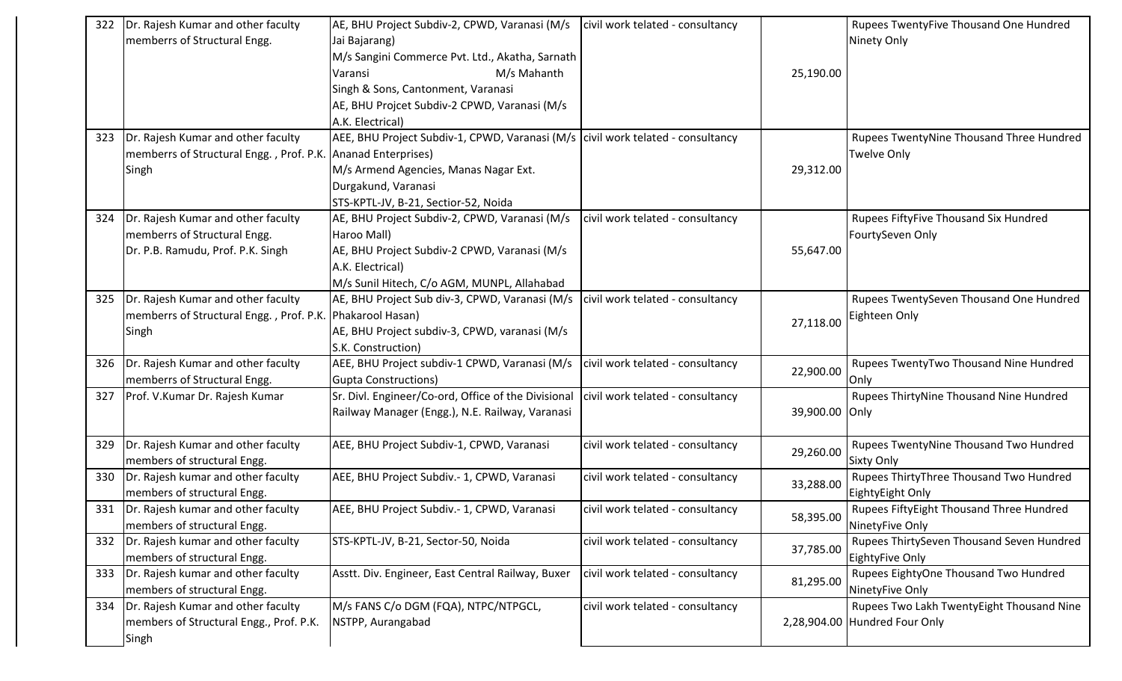| 322 | Dr. Rajesh Kumar and other faculty                        | AE, BHU Project Subdiv-2, CPWD, Varanasi (M/s                                     | civil work telated - consultancy |                | Rupees TwentyFive Thousand One Hundred    |
|-----|-----------------------------------------------------------|-----------------------------------------------------------------------------------|----------------------------------|----------------|-------------------------------------------|
|     | memberrs of Structural Engg.                              | Jai Bajarang)                                                                     |                                  |                | Ninety Only                               |
|     |                                                           | M/s Sangini Commerce Pvt. Ltd., Akatha, Sarnath                                   |                                  |                |                                           |
|     |                                                           | M/s Mahanth<br>Varansi                                                            |                                  | 25,190.00      |                                           |
|     |                                                           | Singh & Sons, Cantonment, Varanasi                                                |                                  |                |                                           |
|     |                                                           | AE, BHU Projcet Subdiv-2 CPWD, Varanasi (M/s                                      |                                  |                |                                           |
|     |                                                           | A.K. Electrical)                                                                  |                                  |                |                                           |
| 323 | Dr. Rajesh Kumar and other faculty                        | AEE, BHU Project Subdiv-1, CPWD, Varanasi (M/s   civil work telated - consultancy |                                  |                | Rupees TwentyNine Thousand Three Hundred  |
|     | memberrs of Structural Engg., Prof. P.K.                  | Ananad Enterprises)                                                               |                                  |                | <b>Twelve Only</b>                        |
|     | Singh                                                     | M/s Armend Agencies, Manas Nagar Ext.                                             |                                  | 29,312.00      |                                           |
|     |                                                           | Durgakund, Varanasi                                                               |                                  |                |                                           |
|     |                                                           | STS-KPTL-JV, B-21, Sectior-52, Noida                                              |                                  |                |                                           |
| 324 | Dr. Rajesh Kumar and other faculty                        | AE, BHU Project Subdiv-2, CPWD, Varanasi (M/s                                     | civil work telated - consultancy |                | Rupees FiftyFive Thousand Six Hundred     |
|     | memberrs of Structural Engg.                              | Haroo Mall)                                                                       |                                  |                | FourtySeven Only                          |
|     | Dr. P.B. Ramudu, Prof. P.K. Singh                         | AE, BHU Project Subdiv-2 CPWD, Varanasi (M/s                                      |                                  | 55,647.00      |                                           |
|     |                                                           | A.K. Electrical)                                                                  |                                  |                |                                           |
|     |                                                           | M/s Sunil Hitech, C/o AGM, MUNPL, Allahabad                                       |                                  |                |                                           |
| 325 | Dr. Rajesh Kumar and other faculty                        | AE, BHU Project Sub div-3, CPWD, Varanasi (M/s                                    | civil work telated - consultancy |                | Rupees TwentySeven Thousand One Hundred   |
|     | memberrs of Structural Engg., Prof. P.K. Phakarool Hasan) |                                                                                   |                                  |                | Eighteen Only                             |
|     | Singh                                                     | AE, BHU Project subdiv-3, CPWD, varanasi (M/s                                     |                                  | 27,118.00      |                                           |
|     |                                                           | S.K. Construction)                                                                |                                  |                |                                           |
| 326 | Dr. Rajesh Kumar and other faculty                        | AEE, BHU Project subdiv-1 CPWD, Varanasi (M/s                                     | civil work telated - consultancy | 22,900.00      | Rupees TwentyTwo Thousand Nine Hundred    |
|     | memberrs of Structural Engg.                              | <b>Gupta Constructions)</b>                                                       |                                  |                | Only                                      |
| 327 | Prof. V.Kumar Dr. Rajesh Kumar                            | Sr. Divl. Engineer/Co-ord, Office of the Divisional                               | civil work telated - consultancy |                | Rupees ThirtyNine Thousand Nine Hundred   |
|     |                                                           | Railway Manager (Engg.), N.E. Railway, Varanasi                                   |                                  | 39,900.00 Only |                                           |
|     |                                                           |                                                                                   |                                  |                |                                           |
| 329 | Dr. Rajesh Kumar and other faculty                        | AEE, BHU Project Subdiv-1, CPWD, Varanasi                                         | civil work telated - consultancy | 29,260.00      | Rupees TwentyNine Thousand Two Hundred    |
|     | members of structural Engg.                               |                                                                                   |                                  |                | <b>Sixty Only</b>                         |
| 330 | Dr. Rajesh kumar and other faculty                        | AEE, BHU Project Subdiv.- 1, CPWD, Varanasi                                       | civil work telated - consultancy | 33,288.00      | Rupees ThirtyThree Thousand Two Hundred   |
|     | members of structural Engg.                               |                                                                                   |                                  |                | EightyEight Only                          |
|     | 331  Dr. Rajesh kumar and other faculty                   | AEE, BHU Project Subdiv.- 1, CPWD, Varanasi                                       | civil work telated - consultancy | 58,395.00      | Rupees FiftyEight Thousand Three Hundred  |
|     | members of structural Engg.                               |                                                                                   |                                  |                | NinetyFive Only                           |
| 332 | Dr. Rajesh kumar and other faculty                        | STS-KPTL-JV, B-21, Sector-50, Noida                                               | civil work telated - consultancy | 37,785.00      | Rupees ThirtySeven Thousand Seven Hundred |
|     | members of structural Engg.                               |                                                                                   |                                  |                | EightyFive Only                           |
| 333 | Dr. Rajesh kumar and other faculty                        | Asstt. Div. Engineer, East Central Railway, Buxer                                 | civil work telated - consultancy | 81,295.00      | Rupees EightyOne Thousand Two Hundred     |
|     | members of structural Engg.                               |                                                                                   |                                  |                | NinetyFive Only                           |
| 334 | Dr. Rajesh Kumar and other faculty                        | M/s FANS C/o DGM (FQA), NTPC/NTPGCL,                                              | civil work telated - consultancy |                | Rupees Two Lakh TwentyEight Thousand Nine |
|     | members of Structural Engg., Prof. P.K.                   | NSTPP, Aurangabad                                                                 |                                  |                | 2,28,904.00 Hundred Four Only             |
|     | Singh                                                     |                                                                                   |                                  |                |                                           |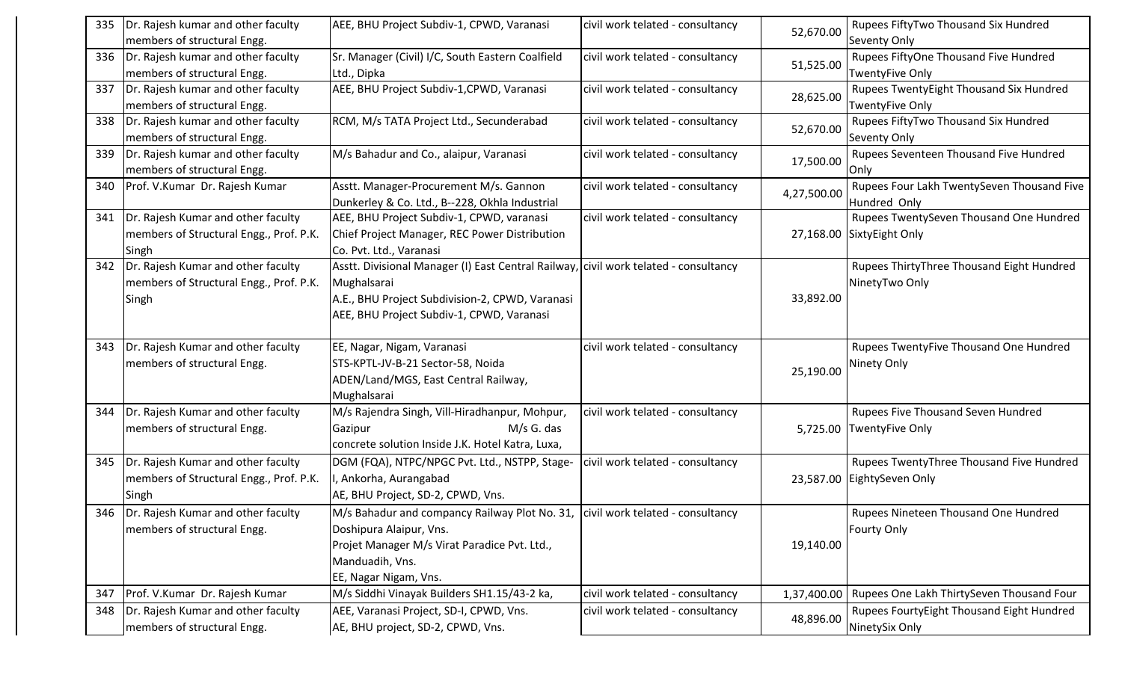| 335 | Dr. Rajesh kumar and other faculty       | AEE, BHU Project Subdiv-1, CPWD, Varanasi                                            | civil work telated - consultancy | 52,670.00   | Rupees FiftyTwo Thousand Six Hundred       |
|-----|------------------------------------------|--------------------------------------------------------------------------------------|----------------------------------|-------------|--------------------------------------------|
|     | members of structural Engg.              |                                                                                      |                                  |             | Seventy Only                               |
| 336 | Dr. Rajesh kumar and other faculty       | Sr. Manager (Civil) I/C, South Eastern Coalfield                                     | civil work telated - consultancy | 51,525.00   | Rupees FiftyOne Thousand Five Hundred      |
|     | members of structural Engg.              | Ltd., Dipka                                                                          |                                  |             | TwentyFive Only                            |
| 337 | Dr. Rajesh kumar and other faculty       | AEE, BHU Project Subdiv-1, CPWD, Varanasi                                            | civil work telated - consultancy | 28,625.00   | Rupees TwentyEight Thousand Six Hundred    |
|     | members of structural Engg.              |                                                                                      |                                  |             | <b>TwentyFive Only</b>                     |
| 338 | Dr. Rajesh kumar and other faculty       | RCM, M/s TATA Project Ltd., Secunderabad                                             | civil work telated - consultancy | 52,670.00   | Rupees FiftyTwo Thousand Six Hundred       |
|     | members of structural Engg.              |                                                                                      |                                  |             | Seventy Only                               |
| 339 | Dr. Rajesh kumar and other faculty       | M/s Bahadur and Co., alaipur, Varanasi                                               | civil work telated - consultancy | 17,500.00   | Rupees Seventeen Thousand Five Hundred     |
|     | members of structural Engg.              |                                                                                      |                                  |             | Only                                       |
| 340 | Prof. V.Kumar Dr. Rajesh Kumar           | Asstt. Manager-Procurement M/s. Gannon                                               | civil work telated - consultancy | 4,27,500.00 | Rupees Four Lakh TwentySeven Thousand Five |
|     |                                          | Dunkerley & Co. Ltd., B--228, Okhla Industrial                                       |                                  |             | Hundred Only                               |
| 341 | Dr. Rajesh Kumar and other faculty       | AEE, BHU Project Subdiv-1, CPWD, varanasi                                            | civil work telated - consultancy |             | Rupees TwentySeven Thousand One Hundred    |
|     | members of Structural Engg., Prof. P.K.  | Chief Project Manager, REC Power Distribution                                        |                                  |             | 27,168.00 SixtyEight Only                  |
|     | Singh                                    | Co. Pvt. Ltd., Varanasi                                                              |                                  |             |                                            |
| 342 | Dr. Rajesh Kumar and other faculty       | Asstt. Divisional Manager (I) East Central Railway, civil work telated - consultancy |                                  |             | Rupees ThirtyThree Thousand Eight Hundred  |
|     | members of Structural Engg., Prof. P.K.  | Mughalsarai                                                                          |                                  |             | NinetyTwo Only                             |
|     | Singh                                    | A.E., BHU Project Subdivision-2, CPWD, Varanasi                                      |                                  | 33,892.00   |                                            |
|     |                                          | AEE, BHU Project Subdiv-1, CPWD, Varanasi                                            |                                  |             |                                            |
|     |                                          |                                                                                      |                                  |             |                                            |
| 343 | Dr. Rajesh Kumar and other faculty       | EE, Nagar, Nigam, Varanasi                                                           | civil work telated - consultancy |             | Rupees TwentyFive Thousand One Hundred     |
|     | members of structural Engg.              | STS-KPTL-JV-B-21 Sector-58, Noida                                                    |                                  | 25,190.00   | Ninety Only                                |
|     |                                          | ADEN/Land/MGS, East Central Railway,                                                 |                                  |             |                                            |
|     |                                          | Mughalsarai                                                                          |                                  |             |                                            |
| 344 | Dr. Rajesh Kumar and other faculty       | M/s Rajendra Singh, Vill-Hiradhanpur, Mohpur,                                        | civil work telated - consultancy |             | Rupees Five Thousand Seven Hundred         |
|     | members of structural Engg.              | M/s G. das<br>Gazipur                                                                |                                  |             | 5,725.00 TwentyFive Only                   |
|     |                                          | concrete solution Inside J.K. Hotel Katra, Luxa,                                     |                                  |             |                                            |
| 345 | Dr. Rajesh Kumar and other faculty       | DGM (FQA), NTPC/NPGC Pvt. Ltd., NSTPP, Stage-                                        | civil work telated - consultancy |             | Rupees TwentyThree Thousand Five Hundred   |
|     | members of Structural Engg., Prof. P.K.  | , Ankorha, Aurangabad                                                                |                                  |             | 23,587.00 EightySeven Only                 |
|     | Singh                                    | AE, BHU Project, SD-2, CPWD, Vns.                                                    |                                  |             |                                            |
|     | 346   Dr. Rajesh Kumar and other faculty | M/s Bahadur and compancy Railway Plot No. 31, civil work telated - consultancy       |                                  |             | Rupees Nineteen Thousand One Hundred       |
|     | members of structural Engg.              | Doshipura Alaipur, Vns.                                                              |                                  |             | <b>Fourty Only</b>                         |
|     |                                          | Projet Manager M/s Virat Paradice Pvt. Ltd.,                                         |                                  | 19,140.00   |                                            |
|     |                                          | Manduadih, Vns.                                                                      |                                  |             |                                            |
|     |                                          | EE, Nagar Nigam, Vns.                                                                |                                  |             |                                            |
| 347 | Prof. V.Kumar Dr. Rajesh Kumar           | M/s Siddhi Vinayak Builders SH1.15/43-2 ka,                                          | civil work telated - consultancy | 1,37,400.00 | Rupees One Lakh ThirtySeven Thousand Four  |
| 348 | Dr. Rajesh Kumar and other faculty       | AEE, Varanasi Project, SD-I, CPWD, Vns.                                              | civil work telated - consultancy |             | Rupees FourtyEight Thousand Eight Hundred  |
|     | members of structural Engg.              | AE, BHU project, SD-2, CPWD, Vns.                                                    |                                  | 48,896.00   | NinetySix Only                             |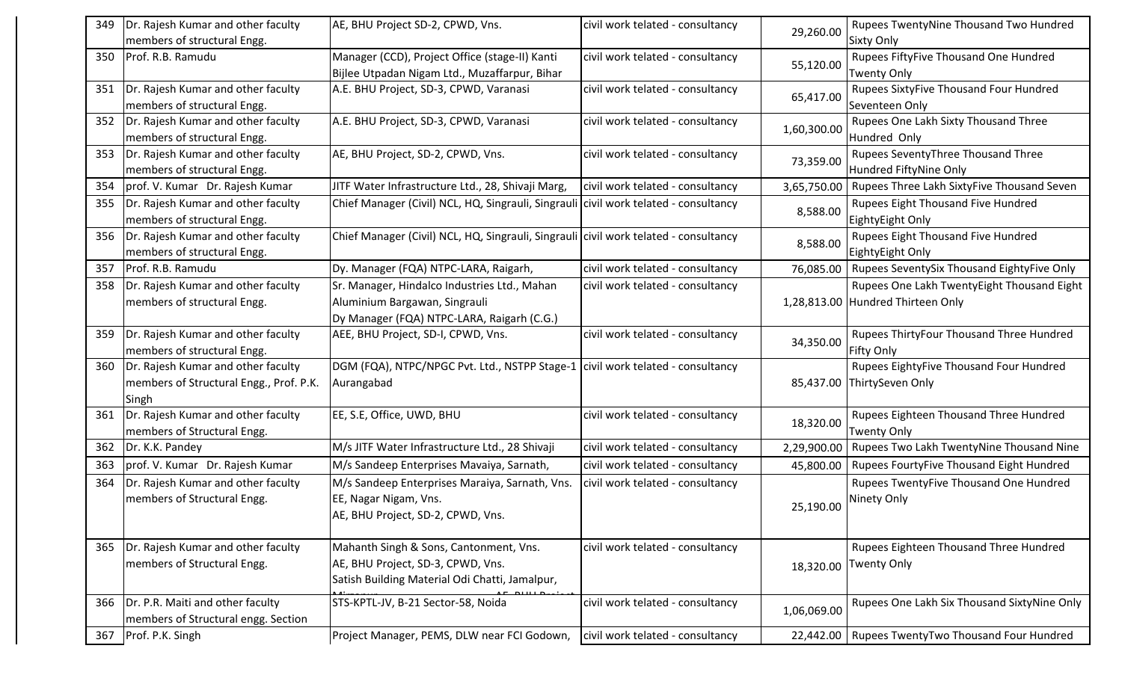| 349 | Dr. Rajesh Kumar and other faculty                                | AE, BHU Project SD-2, CPWD, Vns.                                                                | civil work telated - consultancy | 29,260.00   | Rupees TwentyNine Thousand Two Hundred                      |
|-----|-------------------------------------------------------------------|-------------------------------------------------------------------------------------------------|----------------------------------|-------------|-------------------------------------------------------------|
|     | members of structural Engg.                                       |                                                                                                 |                                  |             | <b>Sixty Only</b>                                           |
| 350 | Prof. R.B. Ramudu                                                 | Manager (CCD), Project Office (stage-II) Kanti<br>Bijlee Utpadan Nigam Ltd., Muzaffarpur, Bihar | civil work telated - consultancy | 55,120.00   | Rupees FiftyFive Thousand One Hundred<br><b>Twenty Only</b> |
| 351 | Dr. Rajesh Kumar and other faculty                                | A.E. BHU Project, SD-3, CPWD, Varanasi                                                          | civil work telated - consultancy | 65,417.00   | Rupees SixtyFive Thousand Four Hundred                      |
|     | members of structural Engg.                                       |                                                                                                 |                                  |             | Seventeen Only                                              |
| 352 | Dr. Rajesh Kumar and other faculty<br>members of structural Engg. | A.E. BHU Project, SD-3, CPWD, Varanasi                                                          | civil work telated - consultancy | 1,60,300.00 | Rupees One Lakh Sixty Thousand Three<br>Hundred Only        |
| 353 | Dr. Rajesh Kumar and other faculty                                | AE, BHU Project, SD-2, CPWD, Vns.                                                               | civil work telated - consultancy |             | Rupees SeventyThree Thousand Three                          |
|     | members of structural Engg.                                       |                                                                                                 |                                  | 73,359.00   | Hundred FiftyNine Only                                      |
| 354 | prof. V. Kumar Dr. Rajesh Kumar                                   | JITF Water Infrastructure Ltd., 28, Shivaji Marg,                                               | civil work telated - consultancy | 3,65,750.00 | Rupees Three Lakh SixtyFive Thousand Seven                  |
| 355 | Dr. Rajesh Kumar and other faculty<br>members of structural Engg. | Chief Manager (Civil) NCL, HQ, Singrauli, Singrauli civil work telated - consultancy            |                                  | 8,588.00    | Rupees Eight Thousand Five Hundred<br>EightyEight Only      |
|     |                                                                   |                                                                                                 |                                  |             |                                                             |
| 356 | Dr. Rajesh Kumar and other faculty<br>members of structural Engg. | Chief Manager (Civil) NCL, HQ, Singrauli, Singrauli civil work telated - consultancy            |                                  | 8,588.00    | Rupees Eight Thousand Five Hundred<br>EightyEight Only      |
| 357 | Prof. R.B. Ramudu                                                 | Dy. Manager (FQA) NTPC-LARA, Raigarh,                                                           | civil work telated - consultancy | 76,085.00   | Rupees SeventySix Thousand EightyFive Only                  |
| 358 | Dr. Rajesh Kumar and other faculty                                | Sr. Manager, Hindalco Industries Ltd., Mahan                                                    | civil work telated - consultancy |             | Rupees One Lakh TwentyEight Thousand Eight                  |
|     | members of structural Engg.                                       | Aluminium Bargawan, Singrauli                                                                   |                                  |             | 1,28,813.00 Hundred Thirteen Only                           |
|     |                                                                   | Dy Manager (FQA) NTPC-LARA, Raigarh (C.G.)                                                      |                                  |             |                                                             |
| 359 | Dr. Rajesh Kumar and other faculty                                | AEE, BHU Project, SD-I, CPWD, Vns.                                                              | civil work telated - consultancy | 34,350.00   | Rupees ThirtyFour Thousand Three Hundred                    |
|     | members of structural Engg.                                       |                                                                                                 |                                  |             | <b>Fifty Only</b>                                           |
| 360 | Dr. Rajesh Kumar and other faculty                                | DGM (FQA), NTPC/NPGC Pvt. Ltd., NSTPP Stage-1 civil work telated - consultancy                  |                                  |             | Rupees EightyFive Thousand Four Hundred                     |
|     | members of Structural Engg., Prof. P.K.                           | Aurangabad                                                                                      |                                  |             | 85,437.00 ThirtySeven Only                                  |
|     | Singh                                                             |                                                                                                 |                                  |             |                                                             |
| 361 | Dr. Rajesh Kumar and other faculty                                | EE, S.E, Office, UWD, BHU                                                                       | civil work telated - consultancy | 18,320.00   | Rupees Eighteen Thousand Three Hundred                      |
|     | members of Structural Engg.                                       |                                                                                                 |                                  |             | <b>Twenty Only</b>                                          |
| 362 | Dr. K.K. Pandey                                                   | M/s JITF Water Infrastructure Ltd., 28 Shivaji                                                  | civil work telated - consultancy | 2,29,900.00 | Rupees Two Lakh TwentyNine Thousand Nine                    |
| 363 | prof. V. Kumar Dr. Rajesh Kumar                                   | M/s Sandeep Enterprises Mavaiya, Sarnath,                                                       | civil work telated - consultancy | 45,800.00   | Rupees FourtyFive Thousand Eight Hundred                    |
| 364 | Dr. Rajesh Kumar and other faculty                                | M/s Sandeep Enterprises Maraiya, Sarnath, Vns.                                                  | civil work telated - consultancy |             | Rupees TwentyFive Thousand One Hundred                      |
|     | members of Structural Engg.                                       | EE, Nagar Nigam, Vns.                                                                           |                                  | 25,190.00   | Ninety Only                                                 |
|     |                                                                   | AE, BHU Project, SD-2, CPWD, Vns.                                                               |                                  |             |                                                             |
|     |                                                                   |                                                                                                 |                                  |             |                                                             |
| 365 | Dr. Rajesh Kumar and other faculty                                | Mahanth Singh & Sons, Cantonment, Vns.                                                          | civil work telated - consultancy |             | Rupees Eighteen Thousand Three Hundred                      |
|     | members of Structural Engg.                                       | AE, BHU Project, SD-3, CPWD, Vns.                                                               |                                  | 18,320.00   | Twenty Only                                                 |
|     |                                                                   | Satish Building Material Odi Chatti, Jamalpur,                                                  |                                  |             |                                                             |
| 366 | Dr. P.R. Maiti and other faculty                                  | STS-KPTL-JV, B-21 Sector-58, Noida                                                              | civil work telated - consultancy | 1,06,069.00 | Rupees One Lakh Six Thousand SixtyNine Only                 |
|     | members of Structural engg. Section                               |                                                                                                 |                                  |             |                                                             |
| 367 | Prof. P.K. Singh                                                  | Project Manager, PEMS, DLW near FCI Godown,                                                     | civil work telated - consultancy | 22,442.00   | Rupees TwentyTwo Thousand Four Hundred                      |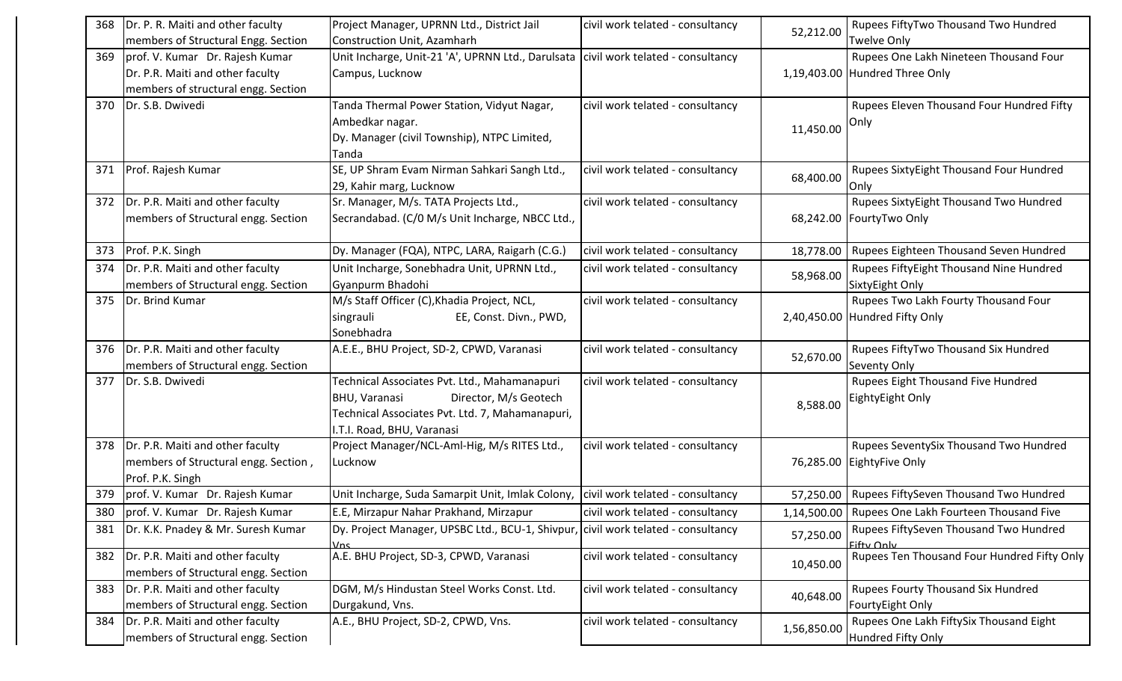| 368 | Dr. P. R. Maiti and other faculty    | Project Manager, UPRNN Ltd., District Jail                                           | civil work telated - consultancy | 52,212.00   | Rupees FiftyTwo Thousand Two Hundred                 |
|-----|--------------------------------------|--------------------------------------------------------------------------------------|----------------------------------|-------------|------------------------------------------------------|
|     | members of Structural Engg. Section  | Construction Unit, Azamharh                                                          |                                  |             | <b>Twelve Only</b>                                   |
| 369 | prof. V. Kumar Dr. Rajesh Kumar      | Unit Incharge, Unit-21 'A', UPRNN Ltd., Darulsata   civil work telated - consultancy |                                  |             | Rupees One Lakh Nineteen Thousand Four               |
|     | Dr. P.R. Maiti and other faculty     | Campus, Lucknow                                                                      |                                  |             | 1,19,403.00 Hundred Three Only                       |
|     | members of structural engg. Section  |                                                                                      |                                  |             |                                                      |
| 370 | Dr. S.B. Dwivedi                     | Tanda Thermal Power Station, Vidyut Nagar,                                           | civil work telated - consultancy |             | Rupees Eleven Thousand Four Hundred Fifty            |
|     |                                      | Ambedkar nagar.                                                                      |                                  | 11,450.00   | Only                                                 |
|     |                                      | Dy. Manager (civil Township), NTPC Limited,                                          |                                  |             |                                                      |
|     |                                      | Tanda                                                                                |                                  |             |                                                      |
| 371 | Prof. Rajesh Kumar                   | SE, UP Shram Evam Nirman Sahkari Sangh Ltd.,                                         | civil work telated - consultancy | 68,400.00   | Rupees SixtyEight Thousand Four Hundred              |
|     |                                      | 29, Kahir marg, Lucknow                                                              |                                  |             | Only                                                 |
| 372 | Dr. P.R. Maiti and other faculty     | Sr. Manager, M/s. TATA Projects Ltd.,                                                | civil work telated - consultancy |             | Rupees SixtyEight Thousand Two Hundred               |
|     | members of Structural engg. Section  | Secrandabad. (C/0 M/s Unit Incharge, NBCC Ltd.,                                      |                                  |             | 68,242.00 FourtyTwo Only                             |
| 373 | Prof. P.K. Singh                     | Dy. Manager (FQA), NTPC, LARA, Raigarh (C.G.)                                        | civil work telated - consultancy |             | 18,778.00   Rupees Eighteen Thousand Seven Hundred   |
| 374 | Dr. P.R. Maiti and other faculty     | Unit Incharge, Sonebhadra Unit, UPRNN Ltd.,                                          | civil work telated - consultancy |             | Rupees FiftyEight Thousand Nine Hundred              |
|     | members of Structural engg. Section  | Gyanpurm Bhadohi                                                                     |                                  | 58,968.00   | SixtyEight Only                                      |
| 375 | Dr. Brind Kumar                      | M/s Staff Officer (C), Khadia Project, NCL,                                          | civil work telated - consultancy |             | Rupees Two Lakh Fourty Thousand Four                 |
|     |                                      | singrauli<br>EE, Const. Divn., PWD,                                                  |                                  |             | 2,40,450.00 Hundred Fifty Only                       |
|     |                                      | Sonebhadra                                                                           |                                  |             |                                                      |
| 376 | Dr. P.R. Maiti and other faculty     | A.E.E., BHU Project, SD-2, CPWD, Varanasi                                            | civil work telated - consultancy | 52,670.00   | Rupees FiftyTwo Thousand Six Hundred                 |
|     | members of Structural engg. Section  |                                                                                      |                                  |             | <b>Seventy Only</b>                                  |
| 377 | Dr. S.B. Dwivedi                     | Technical Associates Pvt. Ltd., Mahamanapuri                                         | civil work telated - consultancy |             | Rupees Eight Thousand Five Hundred                   |
|     |                                      | Director, M/s Geotech<br><b>BHU, Varanasi</b>                                        |                                  | 8,588.00    | EightyEight Only                                     |
|     |                                      | Technical Associates Pvt. Ltd. 7, Mahamanapuri,                                      |                                  |             |                                                      |
|     |                                      | .T.I. Road, BHU, Varanasi                                                            |                                  |             |                                                      |
| 378 | Dr. P.R. Maiti and other faculty     | Project Manager/NCL-Aml-Hig, M/s RITES Ltd.,                                         | civil work telated - consultancy |             | Rupees SeventySix Thousand Two Hundred               |
|     | members of Structural engg. Section, | Lucknow                                                                              |                                  |             | 76,285.00 EightyFive Only                            |
|     | Prof. P.K. Singh                     |                                                                                      |                                  |             |                                                      |
| 379 | prof. V. Kumar Dr. Rajesh Kumar      | Unit Incharge, Suda Samarpit Unit, Imlak Colony,                                     | civil work telated - consultancy |             | 57,250.00   Rupees FiftySeven Thousand Two Hundred   |
| 380 | prof. V. Kumar Dr. Rajesh Kumar      | E.E, Mirzapur Nahar Prakhand, Mirzapur                                               | civil work telated - consultancy |             | 1,14,500.00   Rupees One Lakh Fourteen Thousand Five |
| 381 | Dr. K.K. Pnadey & Mr. Suresh Kumar   | Dy. Project Manager, UPSBC Ltd., BCU-1, Shivpur, civil work telated - consultancy    |                                  | 57,250.00   | Rupees FiftySeven Thousand Two Hundred<br>Fifty Only |
| 382 | Dr. P.R. Maiti and other faculty     | A.E. BHU Project, SD-3, CPWD, Varanasi                                               | civil work telated - consultancy | 10,450.00   | Rupees Ten Thousand Four Hundred Fifty Only          |
|     | members of Structural engg. Section  |                                                                                      |                                  |             |                                                      |
| 383 | Dr. P.R. Maiti and other faculty     | DGM, M/s Hindustan Steel Works Const. Ltd.                                           | civil work telated - consultancy | 40,648.00   | Rupees Fourty Thousand Six Hundred                   |
|     | members of Structural engg. Section  | Durgakund, Vns.                                                                      |                                  |             | FourtyEight Only                                     |
| 384 | Dr. P.R. Maiti and other faculty     | A.E., BHU Project, SD-2, CPWD, Vns.                                                  | civil work telated - consultancy | 1,56,850.00 | Rupees One Lakh FiftySix Thousand Eight              |
|     | members of Structural engg. Section  |                                                                                      |                                  |             | Hundred Fifty Only                                   |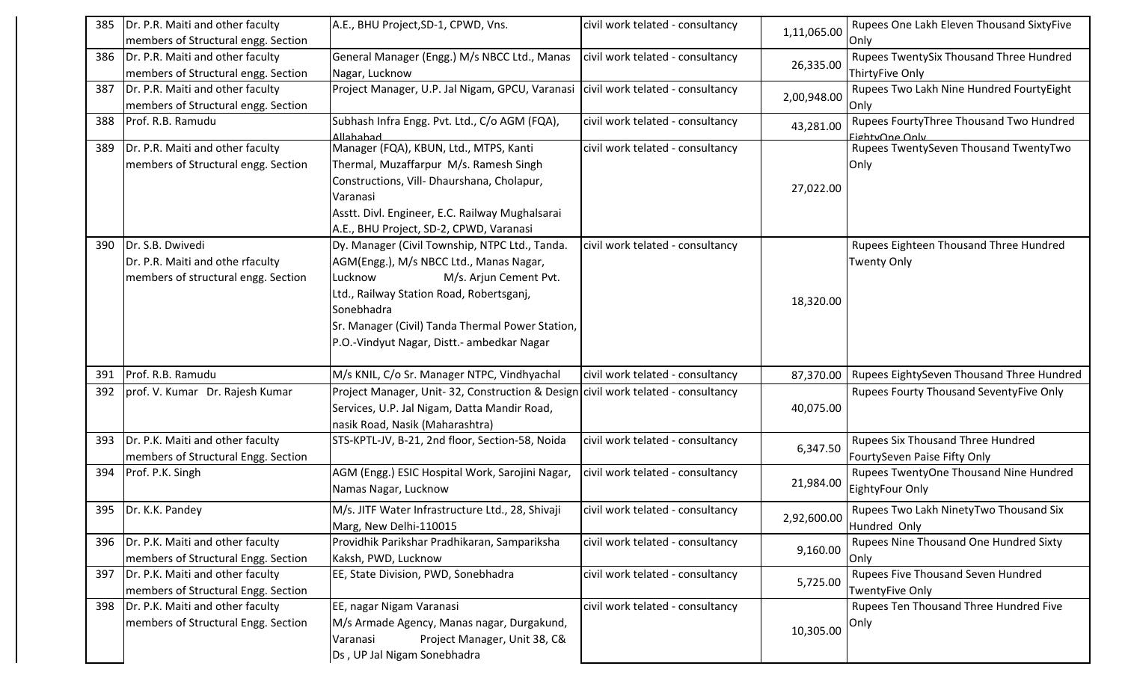| 385 | Dr. P.R. Maiti and other faculty<br>members of Structural engg. Section                     | A.E., BHU Project, SD-1, CPWD, Vns.                                                                                                                                                                                                                                                        | civil work telated - consultancy | 1,11,065.00 | Rupees One Lakh Eleven Thousand SixtyFive<br>Only                 |
|-----|---------------------------------------------------------------------------------------------|--------------------------------------------------------------------------------------------------------------------------------------------------------------------------------------------------------------------------------------------------------------------------------------------|----------------------------------|-------------|-------------------------------------------------------------------|
| 386 | Dr. P.R. Maiti and other faculty<br>members of Structural engg. Section                     | General Manager (Engg.) M/s NBCC Ltd., Manas<br>Nagar, Lucknow                                                                                                                                                                                                                             | civil work telated - consultancy | 26,335.00   | Rupees TwentySix Thousand Three Hundred<br>ThirtyFive Only        |
| 387 | Dr. P.R. Maiti and other faculty<br>members of Structural engg. Section                     | Project Manager, U.P. Jal Nigam, GPCU, Varanasi                                                                                                                                                                                                                                            | civil work telated - consultancy | 2,00,948.00 | Rupees Two Lakh Nine Hundred FourtyEight<br>Only                  |
| 388 | Prof. R.B. Ramudu                                                                           | Subhash Infra Engg. Pvt. Ltd., C/o AGM (FQA),<br>hededell                                                                                                                                                                                                                                  | civil work telated - consultancy | 43,281.00   | Rupees FourtyThree Thousand Two Hundred<br>FightyOne Only         |
| 389 | Dr. P.R. Maiti and other faculty<br>members of Structural engg. Section                     | Manager (FQA), KBUN, Ltd., MTPS, Kanti<br>Thermal, Muzaffarpur M/s. Ramesh Singh<br>Constructions, Vill- Dhaurshana, Cholapur,<br>Varanasi<br>Asstt. Divl. Engineer, E.C. Railway Mughalsarai<br>A.E., BHU Project, SD-2, CPWD, Varanasi                                                   | civil work telated - consultancy | 27,022.00   | Rupees TwentySeven Thousand TwentyTwo<br>Only                     |
| 390 | Dr. S.B. Dwivedi<br>Dr. P.R. Maiti and othe rfaculty<br>members of structural engg. Section | Dy. Manager (Civil Township, NTPC Ltd., Tanda.<br>AGM(Engg.), M/s NBCC Ltd., Manas Nagar,<br>M/s. Arjun Cement Pvt.<br>Lucknow<br>Ltd., Railway Station Road, Robertsganj,<br>Sonebhadra<br>Sr. Manager (Civil) Tanda Thermal Power Station,<br>P.O.-Vindyut Nagar, Distt.- ambedkar Nagar | civil work telated - consultancy | 18,320.00   | Rupees Eighteen Thousand Three Hundred<br><b>Twenty Only</b>      |
| 391 | Prof. R.B. Ramudu                                                                           | M/s KNIL, C/o Sr. Manager NTPC, Vindhyachal                                                                                                                                                                                                                                                | civil work telated - consultancy | 87,370.00   | Rupees EightySeven Thousand Three Hundred                         |
| 392 | prof. V. Kumar Dr. Rajesh Kumar                                                             | Project Manager, Unit-32, Construction & Design civil work telated - consultancy<br>Services, U.P. Jal Nigam, Datta Mandir Road,<br>nasik Road, Nasik (Maharashtra)                                                                                                                        |                                  | 40,075.00   | Rupees Fourty Thousand SeventyFive Only                           |
| 393 | Dr. P.K. Maiti and other faculty<br>members of Structural Engg. Section                     | STS-KPTL-JV, B-21, 2nd floor, Section-58, Noida                                                                                                                                                                                                                                            | civil work telated - consultancy | 6,347.50    | Rupees Six Thousand Three Hundred<br>FourtySeven Paise Fifty Only |
| 394 | Prof. P.K. Singh                                                                            | AGM (Engg.) ESIC Hospital Work, Sarojini Nagar,<br>Namas Nagar, Lucknow                                                                                                                                                                                                                    | civil work telated - consultancy | 21,984.00   | Rupees TwentyOne Thousand Nine Hundred<br>EightyFour Only         |
| 395 | Dr. K.K. Pandey                                                                             | M/s. JITF Water Infrastructure Ltd., 28, Shivaji<br>Marg, New Delhi-110015                                                                                                                                                                                                                 | civil work telated - consultancy | 2,92,600.00 | Rupees Two Lakh NinetyTwo Thousand Six<br>Hundred Only            |
| 396 | Dr. P.K. Maiti and other faculty<br>members of Structural Engg. Section                     | Providhik Parikshar Pradhikaran, Sampariksha<br>Kaksh, PWD, Lucknow                                                                                                                                                                                                                        | civil work telated - consultancy | 9,160.00    | Rupees Nine Thousand One Hundred Sixty<br>Only                    |
| 397 | Dr. P.K. Maiti and other faculty<br>members of Structural Engg. Section                     | EE, State Division, PWD, Sonebhadra                                                                                                                                                                                                                                                        | civil work telated - consultancy | 5,725.00    | Rupees Five Thousand Seven Hundred<br><b>TwentyFive Only</b>      |
| 398 | Dr. P.K. Maiti and other faculty<br>members of Structural Engg. Section                     | EE, nagar Nigam Varanasi<br>M/s Armade Agency, Manas nagar, Durgakund,<br>Project Manager, Unit 38, C&<br>Varanasi<br>Ds, UP Jal Nigam Sonebhadra                                                                                                                                          | civil work telated - consultancy | 10,305.00   | Rupees Ten Thousand Three Hundred Five<br> Only                   |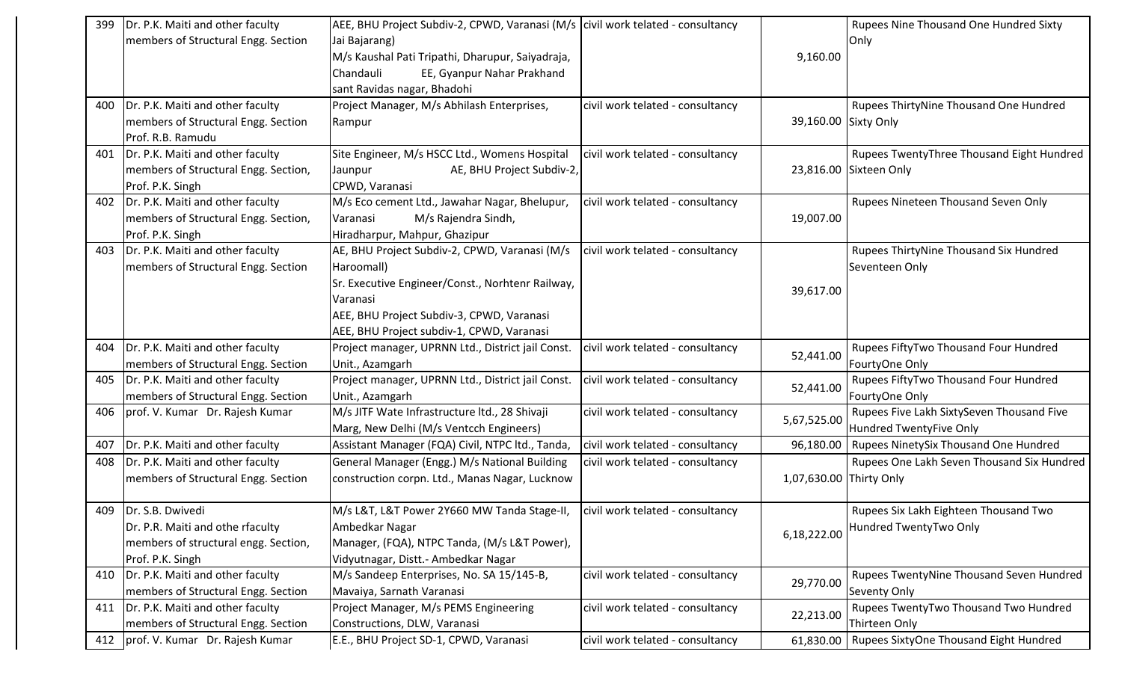| 399 | Dr. P.K. Maiti and other faculty       | AEE, BHU Project Subdiv-2, CPWD, Varanasi (M/s civil work telated - consultancy |                                  |                         | Rupees Nine Thousand One Hundred Sixty     |
|-----|----------------------------------------|---------------------------------------------------------------------------------|----------------------------------|-------------------------|--------------------------------------------|
|     | members of Structural Engg. Section    | Jai Bajarang)                                                                   |                                  |                         | Only                                       |
|     |                                        | M/s Kaushal Pati Tripathi, Dharupur, Saiyadraja,                                |                                  | 9,160.00                |                                            |
|     |                                        | EE, Gyanpur Nahar Prakhand<br>Chandauli                                         |                                  |                         |                                            |
|     |                                        | sant Ravidas nagar, Bhadohi                                                     |                                  |                         |                                            |
| 400 | Dr. P.K. Maiti and other faculty       | Project Manager, M/s Abhilash Enterprises,                                      | civil work telated - consultancy |                         | Rupees ThirtyNine Thousand One Hundred     |
|     | members of Structural Engg. Section    | Rampur                                                                          |                                  | 39,160.00 Sixty Only    |                                            |
|     | Prof. R.B. Ramudu                      |                                                                                 |                                  |                         |                                            |
|     | 401   Dr. P.K. Maiti and other faculty | Site Engineer, M/s HSCC Ltd., Womens Hospital                                   | civil work telated - consultancy |                         | Rupees TwentyThree Thousand Eight Hundred  |
|     | members of Structural Engg. Section,   | AE, BHU Project Subdiv-2,<br>Jaunpur                                            |                                  |                         | 23,816.00 Sixteen Only                     |
|     | Prof. P.K. Singh                       | CPWD, Varanasi                                                                  |                                  |                         |                                            |
|     | 402   Dr. P.K. Maiti and other faculty | M/s Eco cement Ltd., Jawahar Nagar, Bhelupur,                                   | civil work telated - consultancy |                         | Rupees Nineteen Thousand Seven Only        |
|     | members of Structural Engg. Section,   | M/s Rajendra Sindh,<br>Varanasi                                                 |                                  | 19,007.00               |                                            |
|     | Prof. P.K. Singh                       | Hiradharpur, Mahpur, Ghazipur                                                   |                                  |                         |                                            |
| 403 | Dr. P.K. Maiti and other faculty       | AE, BHU Project Subdiv-2, CPWD, Varanasi (M/s                                   | civil work telated - consultancy |                         | Rupees ThirtyNine Thousand Six Hundred     |
|     | members of Structural Engg. Section    | Haroomall)                                                                      |                                  |                         | Seventeen Only                             |
|     |                                        | Sr. Executive Engineer/Const., Norhtenr Railway,                                |                                  | 39,617.00               |                                            |
|     |                                        | Varanasi                                                                        |                                  |                         |                                            |
|     |                                        | AEE, BHU Project Subdiv-3, CPWD, Varanasi                                       |                                  |                         |                                            |
|     |                                        | AEE, BHU Project subdiv-1, CPWD, Varanasi                                       |                                  |                         |                                            |
| 404 | Dr. P.K. Maiti and other faculty       | Project manager, UPRNN Ltd., District jail Const.                               | civil work telated - consultancy | 52,441.00               | Rupees FiftyTwo Thousand Four Hundred      |
|     | members of Structural Engg. Section    | Unit., Azamgarh                                                                 |                                  |                         | FourtyOne Only                             |
| 405 | Dr. P.K. Maiti and other faculty       | Project manager, UPRNN Ltd., District jail Const.                               | civil work telated - consultancy | 52,441.00               | Rupees FiftyTwo Thousand Four Hundred      |
|     | members of Structural Engg. Section    | Unit., Azamgarh                                                                 |                                  |                         | FourtyOne Only                             |
| 406 | prof. V. Kumar Dr. Rajesh Kumar        | M/s JITF Wate Infrastructure ltd., 28 Shivaji                                   | civil work telated - consultancy | 5,67,525.00             | Rupees Five Lakh SixtySeven Thousand Five  |
|     |                                        | Marg, New Delhi (M/s Ventcch Engineers)                                         |                                  |                         | Hundred TwentyFive Only                    |
| 407 | Dr. P.K. Maiti and other faculty       | Assistant Manager (FQA) Civil, NTPC ltd., Tanda,                                | civil work telated - consultancy | 96,180.00               | Rupees NinetySix Thousand One Hundred      |
| 408 | Dr. P.K. Maiti and other faculty       | General Manager (Engg.) M/s National Building                                   | civil work telated - consultancy |                         | Rupees One Lakh Seven Thousand Six Hundred |
|     | members of Structural Engg. Section    | construction corpn. Ltd., Manas Nagar, Lucknow                                  |                                  | 1,07,630.00 Thirty Only |                                            |
|     |                                        |                                                                                 |                                  |                         |                                            |
|     | 409   Dr. S.B. Dwivedi                 | M/s L&T, L&T Power 2Y660 MW Tanda Stage-II,                                     | civil work telated - consultancy |                         | Rupees Six Lakh Eighteen Thousand Two      |
|     | Dr. P.R. Maiti and othe rfaculty       | Ambedkar Nagar                                                                  |                                  | 6,18,222.00             | Hundred TwentyTwo Only                     |
|     | members of structural engg. Section,   | Manager, (FQA), NTPC Tanda, (M/s L&T Power),                                    |                                  |                         |                                            |
|     | Prof. P.K. Singh                       | Vidyutnagar, Distt.- Ambedkar Nagar                                             |                                  |                         |                                            |
| 410 | Dr. P.K. Maiti and other faculty       | M/s Sandeep Enterprises, No. SA 15/145-B,                                       | civil work telated - consultancy | 29,770.00               | Rupees TwentyNine Thousand Seven Hundred   |
|     | members of Structural Engg. Section    | Mavaiya, Sarnath Varanasi                                                       |                                  |                         | <b>Seventy Only</b>                        |
| 411 | Dr. P.K. Maiti and other faculty       | Project Manager, M/s PEMS Engineering                                           | civil work telated - consultancy | 22,213.00               | Rupees TwentyTwo Thousand Two Hundred      |
|     | members of Structural Engg. Section    | Constructions, DLW, Varanasi                                                    |                                  |                         | Thirteen Only                              |
|     | 412   prof. V. Kumar Dr. Rajesh Kumar  | E.E., BHU Project SD-1, CPWD, Varanasi                                          | civil work telated - consultancy | 61,830.00               | Rupees SixtyOne Thousand Eight Hundred     |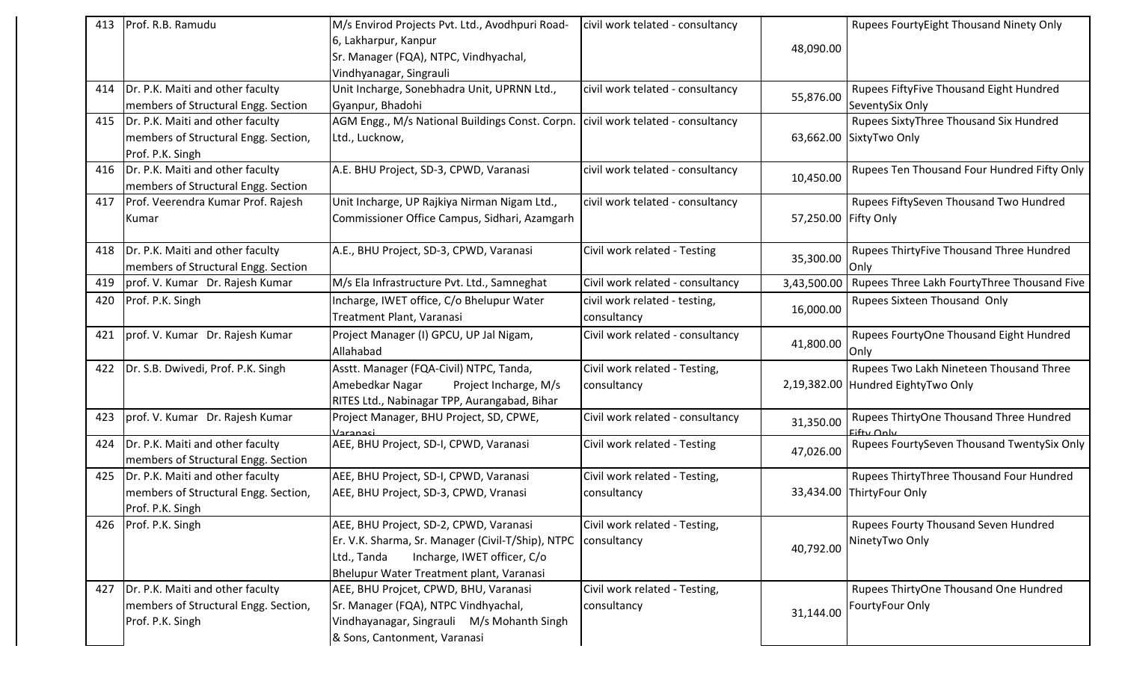| 413 | Prof. R.B. Ramudu                        | M/s Envirod Projects Pvt. Ltd., Avodhpuri Road-                                  | civil work telated - consultancy |                      | Rupees FourtyEight Thousand Ninety Only                   |
|-----|------------------------------------------|----------------------------------------------------------------------------------|----------------------------------|----------------------|-----------------------------------------------------------|
|     |                                          | 6, Lakharpur, Kanpur                                                             |                                  |                      |                                                           |
|     |                                          | Sr. Manager (FQA), NTPC, Vindhyachal,                                            |                                  | 48,090.00            |                                                           |
|     |                                          | Vindhyanagar, Singrauli                                                          |                                  |                      |                                                           |
| 414 | Dr. P.K. Maiti and other faculty         | Unit Incharge, Sonebhadra Unit, UPRNN Ltd.,                                      | civil work telated - consultancy |                      | Rupees FiftyFive Thousand Eight Hundred                   |
|     | members of Structural Engg. Section      | Gyanpur, Bhadohi                                                                 |                                  | 55,876.00            | SeventySix Only                                           |
|     | 415  Dr. P.K. Maiti and other faculty    | AGM Engg., M/s National Buildings Const. Corpn. civil work telated - consultancy |                                  |                      | Rupees SixtyThree Thousand Six Hundred                    |
|     | members of Structural Engg. Section,     | Ltd., Lucknow,                                                                   |                                  |                      | 63,662.00 SixtyTwo Only                                   |
|     | Prof. P.K. Singh                         |                                                                                  |                                  |                      |                                                           |
|     | 416   Dr. P.K. Maiti and other faculty   | A.E. BHU Project, SD-3, CPWD, Varanasi                                           | civil work telated - consultancy | 10,450.00            | Rupees Ten Thousand Four Hundred Fifty Only               |
|     | members of Structural Engg. Section      |                                                                                  |                                  |                      |                                                           |
|     | 417   Prof. Veerendra Kumar Prof. Rajesh | Unit Incharge, UP Rajkiya Nirman Nigam Ltd.,                                     | civil work telated - consultancy |                      | Rupees FiftySeven Thousand Two Hundred                    |
|     | Kumar                                    | Commissioner Office Campus, Sidhari, Azamgarh                                    |                                  | 57,250.00 Fifty Only |                                                           |
|     |                                          |                                                                                  |                                  |                      |                                                           |
| 418 | Dr. P.K. Maiti and other faculty         | A.E., BHU Project, SD-3, CPWD, Varanasi                                          | Civil work related - Testing     |                      | Rupees ThirtyFive Thousand Three Hundred                  |
|     | members of Structural Engg. Section      |                                                                                  |                                  | 35,300.00            | Only                                                      |
|     | 419   prof. V. Kumar Dr. Rajesh Kumar    | M/s Ela Infrastructure Pvt. Ltd., Samneghat                                      | Civil work related - consultancy |                      | 3,43,500.00   Rupees Three Lakh FourtyThree Thousand Five |
| 420 | Prof. P.K. Singh                         | Incharge, IWET office, C/o Bhelupur Water                                        | civil work related - testing,    |                      | Rupees Sixteen Thousand Only                              |
|     |                                          | Treatment Plant, Varanasi                                                        | consultancy                      | 16,000.00            |                                                           |
| 421 | prof. V. Kumar Dr. Rajesh Kumar          | Project Manager (I) GPCU, UP Jal Nigam,                                          | Civil work related - consultancy |                      | Rupees FourtyOne Thousand Eight Hundred                   |
|     |                                          | Allahabad                                                                        |                                  | 41,800.00            | Only                                                      |
| 422 | Dr. S.B. Dwivedi, Prof. P.K. Singh       | Asstt. Manager (FQA-Civil) NTPC, Tanda,                                          | Civil work related - Testing,    |                      | Rupees Two Lakh Nineteen Thousand Three                   |
|     |                                          | Amebedkar Nagar<br>Project Incharge, M/s                                         | consultancy                      |                      | 2,19,382.00 Hundred EightyTwo Only                        |
|     |                                          | RITES Ltd., Nabinagar TPP, Aurangabad, Bihar                                     |                                  |                      |                                                           |
| 423 | prof. V. Kumar Dr. Rajesh Kumar          | Project Manager, BHU Project, SD, CPWE,                                          | Civil work related - consultancy | 31,350.00            | Rupees ThirtyOne Thousand Three Hundred                   |
|     |                                          | Varanasi                                                                         |                                  |                      | <b>Fifty Only</b>                                         |
| 424 | Dr. P.K. Maiti and other faculty         | AEE, BHU Project, SD-I, CPWD, Varanasi                                           | Civil work related - Testing     | 47,026.00            | Rupees FourtySeven Thousand TwentySix Only                |
|     | members of Structural Engg. Section      |                                                                                  |                                  |                      |                                                           |
| 425 | Dr. P.K. Maiti and other faculty         | AEE, BHU Project, SD-I, CPWD, Varanasi                                           | Civil work related - Testing,    |                      | Rupees ThirtyThree Thousand Four Hundred                  |
|     | members of Structural Engg. Section,     | AEE, BHU Project, SD-3, CPWD, Vranasi                                            | consultancy                      |                      | 33,434.00 ThirtyFour Only                                 |
|     | Prof. P.K. Singh                         |                                                                                  |                                  |                      |                                                           |
|     | 426 Prof. P.K. Singh                     | AEE, BHU Project, SD-2, CPWD, Varanasi                                           | Civil work related - Testing,    |                      | Rupees Fourty Thousand Seven Hundred                      |
|     |                                          | Er. V.K. Sharma, Sr. Manager (Civil-T/Ship), NTPC                                | consultancy                      | 40,792.00            | NinetyTwo Only                                            |
|     |                                          | Incharge, IWET officer, C/o<br>Ltd., Tanda                                       |                                  |                      |                                                           |
|     |                                          | Bhelupur Water Treatment plant, Varanasi                                         |                                  |                      |                                                           |
| 427 | Dr. P.K. Maiti and other faculty         | AEE, BHU Projcet, CPWD, BHU, Varanasi                                            | Civil work related - Testing,    |                      | Rupees ThirtyOne Thousand One Hundred                     |
|     | members of Structural Engg. Section,     | Sr. Manager (FQA), NTPC Vindhyachal,                                             | consultancy                      | 31,144.00            | FourtyFour Only                                           |
|     | Prof. P.K. Singh                         | Vindhayanagar, Singrauli M/s Mohanth Singh                                       |                                  |                      |                                                           |
|     |                                          | & Sons, Cantonment, Varanasi                                                     |                                  |                      |                                                           |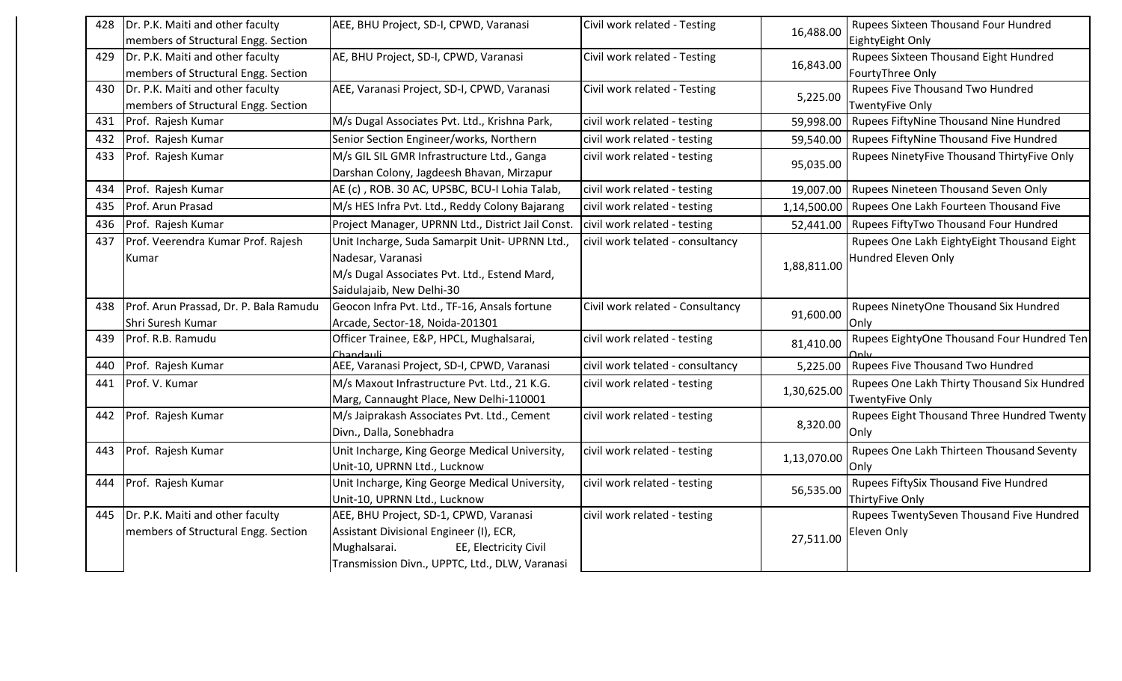| 428 | Dr. P.K. Maiti and other faculty       | AEE, BHU Project, SD-I, CPWD, Varanasi            | Civil work related - Testing     | 16,488.00   | Rupees Sixteen Thousand Four Hundred        |
|-----|----------------------------------------|---------------------------------------------------|----------------------------------|-------------|---------------------------------------------|
|     | members of Structural Engg. Section    |                                                   |                                  |             | EightyEight Only                            |
| 429 | Dr. P.K. Maiti and other faculty       | AE, BHU Project, SD-I, CPWD, Varanasi             | Civil work related - Testing     | 16,843.00   | Rupees Sixteen Thousand Eight Hundred       |
|     | members of Structural Engg. Section    |                                                   |                                  |             | FourtyThree Only                            |
| 430 | Dr. P.K. Maiti and other faculty       | AEE, Varanasi Project, SD-I, CPWD, Varanasi       | Civil work related - Testing     | 5,225.00    | <b>Rupees Five Thousand Two Hundred</b>     |
|     | members of Structural Engg. Section    |                                                   |                                  |             | <b>TwentyFive Only</b>                      |
| 431 | Prof. Rajesh Kumar                     | M/s Dugal Associates Pvt. Ltd., Krishna Park,     | civil work related - testing     | 59,998.00   | Rupees FiftyNine Thousand Nine Hundred      |
| 432 | Prof. Rajesh Kumar                     | Senior Section Engineer/works, Northern           | civil work related - testing     | 59,540.00   | Rupees FiftyNine Thousand Five Hundred      |
| 433 | Prof. Rajesh Kumar                     | M/s GIL SIL GMR Infrastructure Ltd., Ganga        | civil work related - testing     | 95,035.00   | Rupees NinetyFive Thousand ThirtyFive Only  |
|     |                                        | Darshan Colony, Jagdeesh Bhavan, Mirzapur         |                                  |             |                                             |
| 434 | Prof. Rajesh Kumar                     | AE (c), ROB. 30 AC, UPSBC, BCU-I Lohia Talab,     | civil work related - testing     | 19,007.00   | Rupees Nineteen Thousand Seven Only         |
| 435 | Prof. Arun Prasad                      | M/s HES Infra Pvt. Ltd., Reddy Colony Bajarang    | civil work related - testing     | 1,14,500.00 | Rupees One Lakh Fourteen Thousand Five      |
| 436 | Prof. Rajesh Kumar                     | Project Manager, UPRNN Ltd., District Jail Const. | civil work related - testing     | 52,441.00   | Rupees FiftyTwo Thousand Four Hundred       |
| 437 | Prof. Veerendra Kumar Prof. Rajesh     | Unit Incharge, Suda Samarpit Unit- UPRNN Ltd.,    | civil work telated - consultancy |             | Rupees One Lakh EightyEight Thousand Eight  |
|     | Kumar                                  | Nadesar, Varanasi                                 |                                  | 1,88,811.00 | Hundred Eleven Only                         |
|     |                                        | M/s Dugal Associates Pvt. Ltd., Estend Mard,      |                                  |             |                                             |
|     |                                        | Saidulajaib, New Delhi-30                         |                                  |             |                                             |
| 438 | Prof. Arun Prassad, Dr. P. Bala Ramudu | Geocon Infra Pvt. Ltd., TF-16, Ansals fortune     | Civil work related - Consultancy | 91,600.00   | Rupees NinetyOne Thousand Six Hundred       |
|     | Shri Suresh Kumar                      | Arcade, Sector-18, Noida-201301                   |                                  |             | Only                                        |
| 439 | Prof. R.B. Ramudu                      | Officer Trainee, E&P, HPCL, Mughalsarai,          | civil work related - testing     | 81,410.00   | Rupees EightyOne Thousand Four Hundred Ten  |
|     |                                        | Chandauli                                         |                                  |             |                                             |
| 440 | Prof. Rajesh Kumar                     | AEE, Varanasi Project, SD-I, CPWD, Varanasi       | civil work telated - consultancy | 5,225.00    | Rupees Five Thousand Two Hundred            |
| 441 | Prof. V. Kumar                         | M/s Maxout Infrastructure Pvt. Ltd., 21 K.G.      | civil work related - testing     | 1,30,625.00 | Rupees One Lakh Thirty Thousand Six Hundred |
|     |                                        | Marg, Cannaught Place, New Delhi-110001           |                                  |             | <b>TwentyFive Only</b>                      |
| 442 | Prof. Rajesh Kumar                     | M/s Jaiprakash Associates Pvt. Ltd., Cement       | civil work related - testing     | 8,320.00    | Rupees Eight Thousand Three Hundred Twenty  |
|     |                                        | Divn., Dalla, Sonebhadra                          |                                  |             | Only                                        |
| 443 | Prof. Rajesh Kumar                     | Unit Incharge, King George Medical University,    | civil work related - testing     | 1,13,070.00 | Rupees One Lakh Thirteen Thousand Seventy   |
|     |                                        | Unit-10, UPRNN Ltd., Lucknow                      |                                  |             | Only                                        |
| 444 | Prof. Rajesh Kumar                     | Unit Incharge, King George Medical University,    | civil work related - testing     | 56,535.00   | Rupees FiftySix Thousand Five Hundred       |
|     |                                        | Unit-10, UPRNN Ltd., Lucknow                      |                                  |             | ThirtyFive Only                             |
| 445 | Dr. P.K. Maiti and other faculty       | AEE, BHU Project, SD-1, CPWD, Varanasi            | civil work related - testing     |             | Rupees TwentySeven Thousand Five Hundred    |
|     | members of Structural Engg. Section    | Assistant Divisional Engineer (I), ECR,           |                                  | 27,511.00   | Eleven Only                                 |
|     |                                        | Mughalsarai.<br>EE, Electricity Civil             |                                  |             |                                             |
|     |                                        | Transmission Divn., UPPTC, Ltd., DLW, Varanasi    |                                  |             |                                             |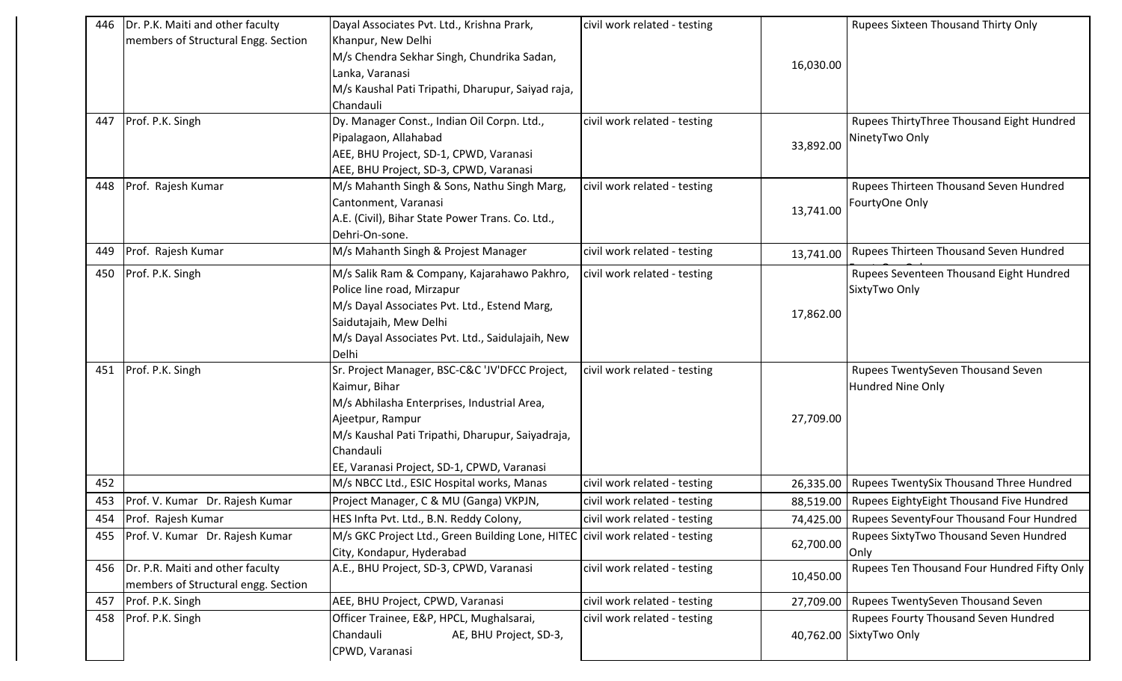| 446 | Dr. P.K. Maiti and other faculty      | Dayal Associates Pvt. Ltd., Krishna Prark,                                    | civil work related - testing |           | Rupees Sixteen Thousand Thirty Only                  |
|-----|---------------------------------------|-------------------------------------------------------------------------------|------------------------------|-----------|------------------------------------------------------|
|     | members of Structural Engg. Section   | Khanpur, New Delhi                                                            |                              |           |                                                      |
|     |                                       | M/s Chendra Sekhar Singh, Chundrika Sadan,                                    |                              | 16,030.00 |                                                      |
|     |                                       | Lanka, Varanasi                                                               |                              |           |                                                      |
|     |                                       | M/s Kaushal Pati Tripathi, Dharupur, Saiyad raja,                             |                              |           |                                                      |
|     |                                       | Chandauli                                                                     |                              |           |                                                      |
| 447 | Prof. P.K. Singh                      | Dy. Manager Const., Indian Oil Corpn. Ltd.,                                   | civil work related - testing |           | Rupees ThirtyThree Thousand Eight Hundred            |
|     |                                       | Pipalagaon, Allahabad                                                         |                              | 33,892.00 | NinetyTwo Only                                       |
|     |                                       | AEE, BHU Project, SD-1, CPWD, Varanasi                                        |                              |           |                                                      |
|     |                                       | AEE, BHU Project, SD-3, CPWD, Varanasi                                        |                              |           |                                                      |
|     | 448 Prof. Rajesh Kumar                | M/s Mahanth Singh & Sons, Nathu Singh Marg,                                   | civil work related - testing |           | Rupees Thirteen Thousand Seven Hundred               |
|     |                                       | Cantonment, Varanasi                                                          |                              | 13,741.00 | FourtyOne Only                                       |
|     |                                       | A.E. (Civil), Bihar State Power Trans. Co. Ltd.,                              |                              |           |                                                      |
|     |                                       | Dehri-On-sone.                                                                |                              |           |                                                      |
| 449 | Prof. Rajesh Kumar                    | M/s Mahanth Singh & Projest Manager                                           | civil work related - testing | 13,741.00 | Rupees Thirteen Thousand Seven Hundred               |
| 450 | Prof. P.K. Singh                      | M/s Salik Ram & Company, Kajarahawo Pakhro,                                   | civil work related - testing |           | Rupees Seventeen Thousand Eight Hundred              |
|     |                                       | Police line road, Mirzapur                                                    |                              |           | SixtyTwo Only                                        |
|     |                                       | M/s Dayal Associates Pvt. Ltd., Estend Marg,                                  |                              |           |                                                      |
|     |                                       | Saidutajaih, Mew Delhi                                                        |                              | 17,862.00 |                                                      |
|     |                                       | M/s Dayal Associates Pvt. Ltd., Saidulajaih, New                              |                              |           |                                                      |
|     |                                       | Delhi                                                                         |                              |           |                                                      |
|     | 451 Prof. P.K. Singh                  | Sr. Project Manager, BSC-C&C 'JV'DFCC Project,                                | civil work related - testing |           | Rupees TwentySeven Thousand Seven                    |
|     |                                       | Kaimur, Bihar                                                                 |                              |           | Hundred Nine Only                                    |
|     |                                       | M/s Abhilasha Enterprises, Industrial Area,                                   |                              |           |                                                      |
|     |                                       | Ajeetpur, Rampur                                                              |                              | 27,709.00 |                                                      |
|     |                                       | M/s Kaushal Pati Tripathi, Dharupur, Saiyadraja,                              |                              |           |                                                      |
|     |                                       | Chandauli                                                                     |                              |           |                                                      |
|     |                                       | EE, Varanasi Project, SD-1, CPWD, Varanasi                                    |                              |           |                                                      |
| 452 |                                       | M/s NBCC Ltd., ESIC Hospital works, Manas                                     | civil work related - testing | 26,335.00 | Rupees TwentySix Thousand Three Hundred              |
| 453 | Prof. V. Kumar Dr. Rajesh Kumar       | Project Manager, C & MU (Ganga) VKPJN,                                        | civil work related - testing | 88,519.00 | Rupees EightyEight Thousand Five Hundred             |
| 454 | <b>Prof.</b> Rajesh Kumar             | HES Infta Pvt. Ltd., B.N. Reddy Colony,                                       | civil work related - testing |           | 74,425.00   Rupees SeventyFour Thousand Four Hundred |
|     | 455   Prof. V. Kumar Dr. Rajesh Kumar | M/s GKC Project Ltd., Green Building Lone, HITEC civil work related - testing |                              | 62,700.00 | Rupees SixtyTwo Thousand Seven Hundred               |
|     |                                       | City, Kondapur, Hyderabad                                                     |                              |           | Only                                                 |
| 456 | Dr. P.R. Maiti and other faculty      | A.E., BHU Project, SD-3, CPWD, Varanasi                                       | civil work related - testing | 10,450.00 | Rupees Ten Thousand Four Hundred Fifty Only          |
|     | members of Structural engg. Section   |                                                                               |                              |           |                                                      |
| 457 | Prof. P.K. Singh                      | AEE, BHU Project, CPWD, Varanasi                                              | civil work related - testing | 27,709.00 | Rupees TwentySeven Thousand Seven                    |
| 458 | Prof. P.K. Singh                      | Officer Trainee, E&P, HPCL, Mughalsarai,                                      | civil work related - testing |           | Rupees Fourty Thousand Seven Hundred                 |
|     |                                       | Chandauli<br>AE, BHU Project, SD-3,                                           |                              |           | 40,762.00 SixtyTwo Only                              |
|     |                                       | CPWD, Varanasi                                                                |                              |           |                                                      |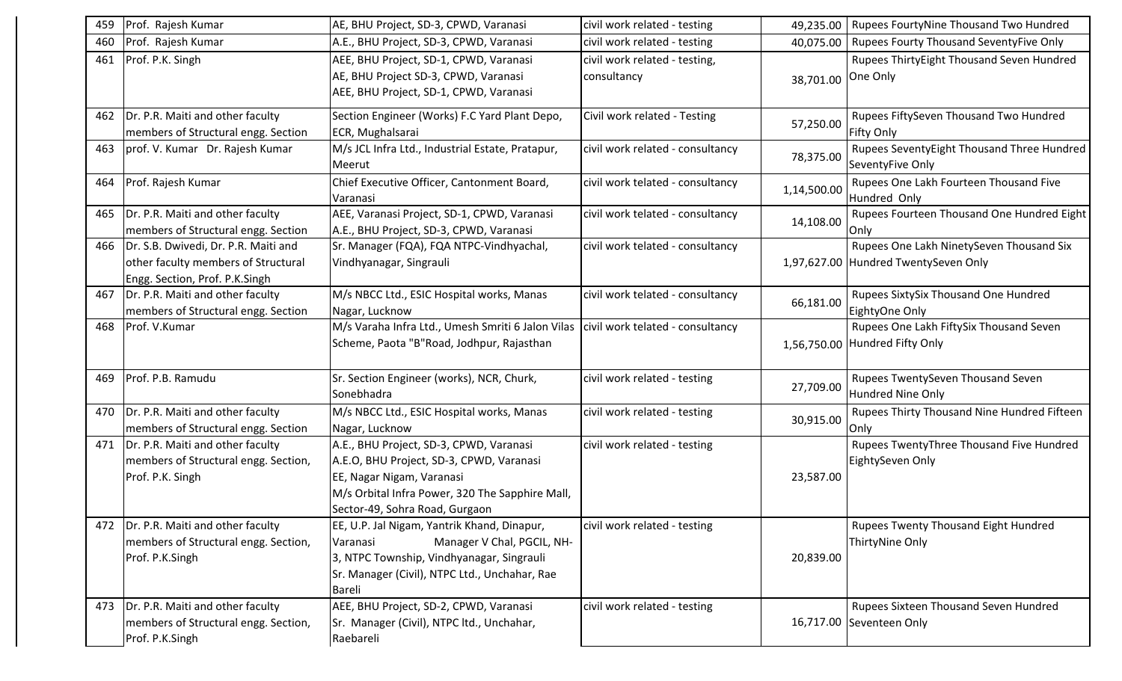| 459 | Prof. Rajesh Kumar                                                                                                  | AE, BHU Project, SD-3, CPWD, Varanasi                                                                                                                                                                 | civil work related - testing                 | 49,235.00   | Rupees FourtyNine Thousand Two Hundred                                           |
|-----|---------------------------------------------------------------------------------------------------------------------|-------------------------------------------------------------------------------------------------------------------------------------------------------------------------------------------------------|----------------------------------------------|-------------|----------------------------------------------------------------------------------|
| 460 | Prof. Rajesh Kumar                                                                                                  | A.E., BHU Project, SD-3, CPWD, Varanasi                                                                                                                                                               | civil work related - testing                 | 40,075.00   | Rupees Fourty Thousand SeventyFive Only                                          |
| 461 | Prof. P.K. Singh                                                                                                    | AEE, BHU Project, SD-1, CPWD, Varanasi<br>AE, BHU Project SD-3, CPWD, Varanasi<br>AEE, BHU Project, SD-1, CPWD, Varanasi                                                                              | civil work related - testing,<br>consultancy | 38,701.00   | Rupees ThirtyEight Thousand Seven Hundred<br>One Only                            |
|     | 462   Dr. P.R. Maiti and other faculty<br>members of Structural engg. Section                                       | Section Engineer (Works) F.C Yard Plant Depo,<br>ECR, Mughalsarai                                                                                                                                     | Civil work related - Testing                 | 57,250.00   | Rupees FiftySeven Thousand Two Hundred<br>Fifty Only                             |
| 463 | prof. V. Kumar Dr. Rajesh Kumar                                                                                     | M/s JCL Infra Ltd., Industrial Estate, Pratapur,<br>Meerut                                                                                                                                            | civil work related - consultancy             | 78,375.00   | Rupees SeventyEight Thousand Three Hundred<br>SeventyFive Only                   |
|     | 464 Prof. Rajesh Kumar                                                                                              | Chief Executive Officer, Cantonment Board,<br>Varanasi                                                                                                                                                | civil work telated - consultancy             | 1,14,500.00 | Rupees One Lakh Fourteen Thousand Five<br>Hundred Only                           |
| 465 | Dr. P.R. Maiti and other faculty<br>members of Structural engg. Section                                             | AEE, Varanasi Project, SD-1, CPWD, Varanasi<br>A.E., BHU Project, SD-3, CPWD, Varanasi                                                                                                                | civil work telated - consultancy             | 14,108.00   | Rupees Fourteen Thousand One Hundred Eight<br>Only                               |
|     | 466   Dr. S.B. Dwivedi, Dr. P.R. Maiti and<br>other faculty members of Structural<br>Engg. Section, Prof. P.K.Singh | Sr. Manager (FQA), FQA NTPC-Vindhyachal,<br>Vindhyanagar, Singrauli                                                                                                                                   | civil work telated - consultancy             |             | Rupees One Lakh NinetySeven Thousand Six<br>1,97,627.00 Hundred TwentySeven Only |
|     | 467 Dr. P.R. Maiti and other faculty<br>members of Structural engg. Section                                         | M/s NBCC Ltd., ESIC Hospital works, Manas<br>Nagar, Lucknow                                                                                                                                           | civil work telated - consultancy             | 66,181.00   | Rupees SixtySix Thousand One Hundred<br>EightyOne Only                           |
| 468 | Prof. V.Kumar                                                                                                       | M/s Varaha Infra Ltd., Umesh Smriti 6 Jalon Vilas   civil work telated - consultancy<br>Scheme, Paota "B"Road, Jodhpur, Rajasthan                                                                     |                                              |             | Rupees One Lakh FiftySix Thousand Seven<br>1,56,750.00 Hundred Fifty Only        |
| 469 | Prof. P.B. Ramudu                                                                                                   | Sr. Section Engineer (works), NCR, Churk,<br>Sonebhadra                                                                                                                                               | civil work related - testing                 | 27,709.00   | Rupees TwentySeven Thousand Seven<br>Hundred Nine Only                           |
| 470 | Dr. P.R. Maiti and other faculty<br>members of Structural engg. Section                                             | M/s NBCC Ltd., ESIC Hospital works, Manas<br>Nagar, Lucknow                                                                                                                                           | civil work related - testing                 | 30,915.00   | Rupees Thirty Thousand Nine Hundred Fifteen<br>Only                              |
| 471 | Dr. P.R. Maiti and other faculty<br>members of Structural engg. Section,<br>Prof. P.K. Singh                        | A.E., BHU Project, SD-3, CPWD, Varanasi<br>A.E.O, BHU Project, SD-3, CPWD, Varanasi<br>EE, Nagar Nigam, Varanasi<br>M/s Orbital Infra Power, 320 The Sapphire Mall,<br>Sector-49, Sohra Road, Gurgaon | civil work related - testing                 | 23,587.00   | Rupees TwentyThree Thousand Five Hundred<br>EightySeven Only                     |
| 472 | Dr. P.R. Maiti and other faculty<br>members of Structural engg. Section,<br>Prof. P.K.Singh                         | EE, U.P. Jal Nigam, Yantrik Khand, Dinapur,<br>Manager V Chal, PGCIL, NH-<br>Varanasi<br>3, NTPC Township, Vindhyanagar, Singrauli<br>Sr. Manager (Civil), NTPC Ltd., Unchahar, Rae<br><b>Bareli</b>  | civil work related - testing                 | 20,839.00   | Rupees Twenty Thousand Eight Hundred<br>ThirtyNine Only                          |
|     | 473 Dr. P.R. Maiti and other faculty<br>members of Structural engg. Section,<br>Prof. P.K.Singh                     | AEE, BHU Project, SD-2, CPWD, Varanasi<br>Sr. Manager (Civil), NTPC ltd., Unchahar,<br>Raebareli                                                                                                      | civil work related - testing                 |             | Rupees Sixteen Thousand Seven Hundred<br>16,717.00 Seventeen Only                |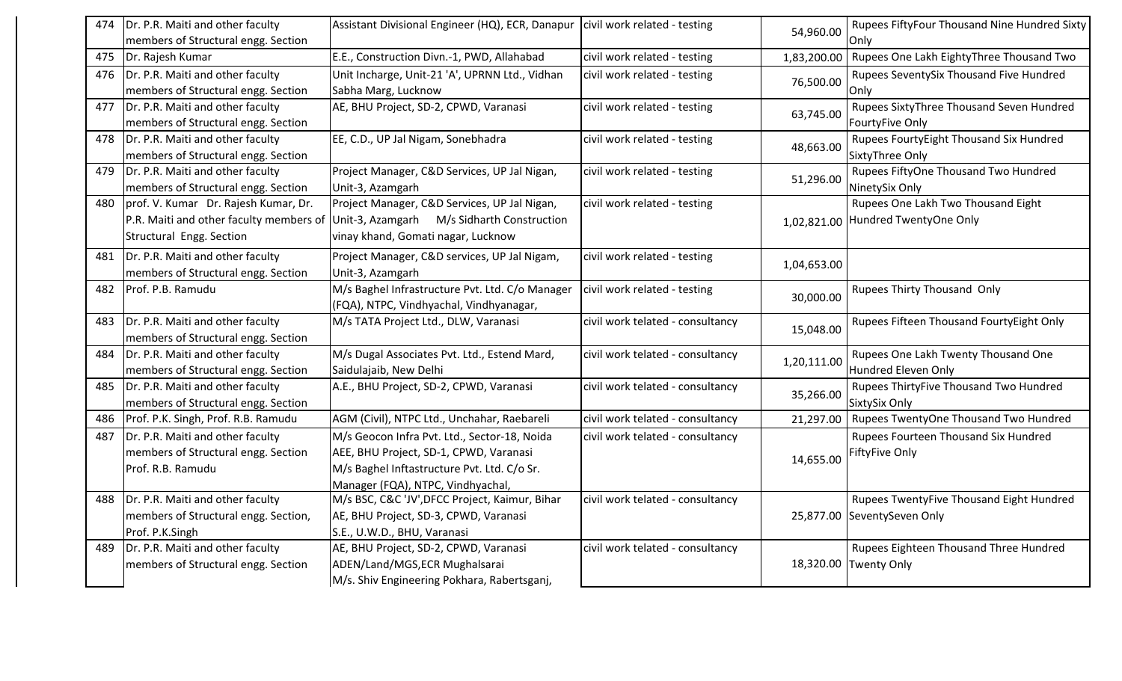| 474 | Dr. P.R. Maiti and other faculty        | Assistant Divisional Engineer (HQ), ECR, Danapur   civil work related - testing |                                  | 54,960.00   | Rupees FiftyFour Thousand Nine Hundred Sixty |
|-----|-----------------------------------------|---------------------------------------------------------------------------------|----------------------------------|-------------|----------------------------------------------|
|     | members of Structural engg. Section     |                                                                                 |                                  |             | Only                                         |
| 475 | Dr. Rajesh Kumar                        | E.E., Construction Divn.-1, PWD, Allahabad                                      | civil work related - testing     | 1,83,200.00 | Rupees One Lakh EightyThree Thousand Two     |
| 476 | Dr. P.R. Maiti and other faculty        | Unit Incharge, Unit-21 'A', UPRNN Ltd., Vidhan                                  | civil work related - testing     | 76,500.00   | Rupees SeventySix Thousand Five Hundred      |
|     | members of Structural engg. Section     | Sabha Marg, Lucknow                                                             |                                  |             | Only                                         |
| 477 | Dr. P.R. Maiti and other faculty        | AE, BHU Project, SD-2, CPWD, Varanasi                                           | civil work related - testing     | 63,745.00   | Rupees SixtyThree Thousand Seven Hundred     |
|     | members of Structural engg. Section     |                                                                                 |                                  |             | FourtyFive Only                              |
| 478 | Dr. P.R. Maiti and other faculty        | EE, C.D., UP Jal Nigam, Sonebhadra                                              | civil work related - testing     | 48,663.00   | Rupees FourtyEight Thousand Six Hundred      |
|     | members of Structural engg. Section     |                                                                                 |                                  |             | SixtyThree Only                              |
| 479 | Dr. P.R. Maiti and other faculty        | Project Manager, C&D Services, UP Jal Nigan,                                    | civil work related - testing     | 51,296.00   | Rupees FiftyOne Thousand Two Hundred         |
|     | members of Structural engg. Section     | Unit-3, Azamgarh                                                                |                                  |             | NinetySix Only                               |
| 480 | prof. V. Kumar Dr. Rajesh Kumar, Dr.    | Project Manager, C&D Services, UP Jal Nigan,                                    | civil work related - testing     |             | Rupees One Lakh Two Thousand Eight           |
|     | P.R. Maiti and other faculty members of | Unit-3, Azamgarh M/s Sidharth Construction                                      |                                  |             | 1,02,821.00 Hundred TwentyOne Only           |
|     | Structural Engg. Section                | vinay khand, Gomati nagar, Lucknow                                              |                                  |             |                                              |
| 481 | Dr. P.R. Maiti and other faculty        | Project Manager, C&D services, UP Jal Nigam,                                    | civil work related - testing     |             |                                              |
|     | members of Structural engg. Section     | Unit-3, Azamgarh                                                                |                                  | 1,04,653.00 |                                              |
| 482 | Prof. P.B. Ramudu                       | M/s Baghel Infrastructure Pvt. Ltd. C/o Manager                                 | civil work related - testing     |             | Rupees Thirty Thousand Only                  |
|     |                                         | (FQA), NTPC, Vindhyachal, Vindhyanagar,                                         |                                  | 30,000.00   |                                              |
| 483 | Dr. P.R. Maiti and other faculty        | M/s TATA Project Ltd., DLW, Varanasi                                            | civil work telated - consultancy |             | Rupees Fifteen Thousand FourtyEight Only     |
|     | members of Structural engg. Section     |                                                                                 |                                  | 15,048.00   |                                              |
| 484 | Dr. P.R. Maiti and other faculty        | M/s Dugal Associates Pvt. Ltd., Estend Mard,                                    | civil work telated - consultancy |             | Rupees One Lakh Twenty Thousand One          |
|     | members of Structural engg. Section     | Saidulajaib, New Delhi                                                          |                                  | 1,20,111.00 | Hundred Eleven Only                          |
| 485 | Dr. P.R. Maiti and other faculty        | A.E., BHU Project, SD-2, CPWD, Varanasi                                         | civil work telated - consultancy |             | Rupees ThirtyFive Thousand Two Hundred       |
|     | members of Structural engg. Section     |                                                                                 |                                  | 35,266.00   | SixtySix Only                                |
| 486 | Prof. P.K. Singh, Prof. R.B. Ramudu     | AGM (Civil), NTPC Ltd., Unchahar, Raebareli                                     | civil work telated - consultancy | 21,297.00   | Rupees TwentyOne Thousand Two Hundred        |
| 487 | Dr. P.R. Maiti and other faculty        | M/s Geocon Infra Pvt. Ltd., Sector-18, Noida                                    | civil work telated - consultancy |             | Rupees Fourteen Thousand Six Hundred         |
|     | members of Structural engg. Section     | AEE, BHU Project, SD-1, CPWD, Varanasi                                          |                                  | 14,655.00   | FiftyFive Only                               |
|     | Prof. R.B. Ramudu                       | M/s Baghel Inftastructure Pvt. Ltd. C/o Sr.                                     |                                  |             |                                              |
|     |                                         | Manager (FQA), NTPC, Vindhyachal,                                               |                                  |             |                                              |
| 488 | Dr. P.R. Maiti and other faculty        | M/s BSC, C&C 'JV', DFCC Project, Kaimur, Bihar                                  | civil work telated - consultancy |             | Rupees TwentyFive Thousand Eight Hundred     |
|     | members of Structural engg. Section,    | AE, BHU Project, SD-3, CPWD, Varanasi                                           |                                  |             | 25,877.00 SeventySeven Only                  |
|     | Prof. P.K.Singh                         | S.E., U.W.D., BHU, Varanasi                                                     |                                  |             |                                              |
| 489 | Dr. P.R. Maiti and other faculty        | AE, BHU Project, SD-2, CPWD, Varanasi                                           | civil work telated - consultancy |             | Rupees Eighteen Thousand Three Hundred       |
|     | members of Structural engg. Section     | ADEN/Land/MGS, ECR Mughalsarai                                                  |                                  |             | 18,320.00 Twenty Only                        |
|     |                                         | M/s. Shiv Engineering Pokhara, Rabertsganj,                                     |                                  |             |                                              |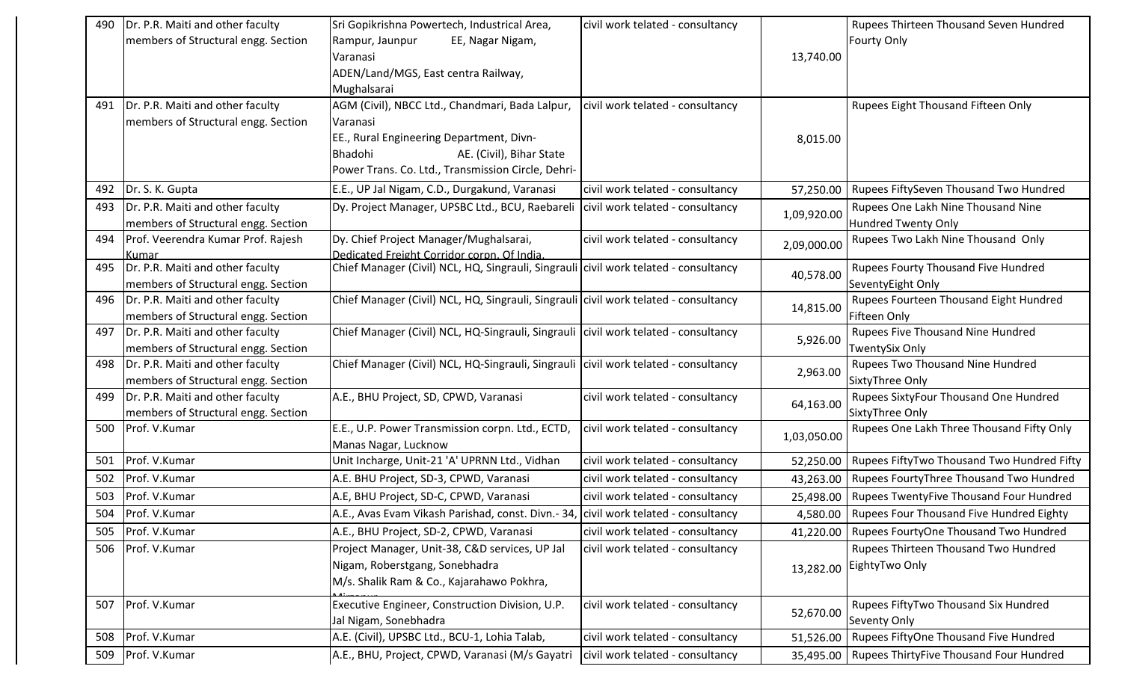| 490 | Dr. P.R. Maiti and other faculty                                        | Sri Gopikrishna Powertech, Industrical Area,                                         | civil work telated - consultancy |             | Rupees Thirteen Thousand Seven Hundred                      |
|-----|-------------------------------------------------------------------------|--------------------------------------------------------------------------------------|----------------------------------|-------------|-------------------------------------------------------------|
|     | members of Structural engg. Section                                     | Rampur, Jaunpur<br>EE, Nagar Nigam,                                                  |                                  |             | <b>Fourty Only</b>                                          |
|     |                                                                         | Varanasi                                                                             |                                  | 13,740.00   |                                                             |
|     |                                                                         | ADEN/Land/MGS, East centra Railway,                                                  |                                  |             |                                                             |
|     |                                                                         | Mughalsarai                                                                          |                                  |             |                                                             |
| 491 | Dr. P.R. Maiti and other faculty                                        | AGM (Civil), NBCC Ltd., Chandmari, Bada Lalpur,                                      | civil work telated - consultancy |             | Rupees Eight Thousand Fifteen Only                          |
|     | members of Structural engg. Section                                     | Varanasi                                                                             |                                  |             |                                                             |
|     |                                                                         | EE., Rural Engineering Department, Divn-                                             |                                  | 8,015.00    |                                                             |
|     |                                                                         | AE. (Civil), Bihar State<br>Bhadohi                                                  |                                  |             |                                                             |
|     |                                                                         | Power Trans. Co. Ltd., Transmission Circle, Dehri-                                   |                                  |             |                                                             |
| 492 | Dr. S. K. Gupta                                                         | E.E., UP Jal Nigam, C.D., Durgakund, Varanasi                                        | civil work telated - consultancy | 57,250.00   | Rupees FiftySeven Thousand Two Hundred                      |
| 493 | Dr. P.R. Maiti and other faculty                                        | Dy. Project Manager, UPSBC Ltd., BCU, Raebareli                                      | civil work telated - consultancy | 1,09,920.00 | Rupees One Lakh Nine Thousand Nine                          |
|     | members of Structural engg. Section                                     |                                                                                      |                                  |             | <b>Hundred Twenty Only</b>                                  |
| 494 | Prof. Veerendra Kumar Prof. Rajesh                                      | Dy. Chief Project Manager/Mughalsarai,                                               | civil work telated - consultancy | 2,09,000.00 | Rupees Two Lakh Nine Thousand Only                          |
|     | Kumar                                                                   | Dedicated Freight Corridor corpn. Of India.                                          |                                  |             |                                                             |
| 495 | Dr. P.R. Maiti and other faculty                                        | Chief Manager (Civil) NCL, HQ, Singrauli, Singrauli civil work telated - consultancy |                                  | 40,578.00   | Rupees Fourty Thousand Five Hundred                         |
| 496 | members of Structural engg. Section<br>Dr. P.R. Maiti and other faculty | Chief Manager (Civil) NCL, HQ, Singrauli, Singrauli civil work telated - consultancy |                                  |             | SeventyEight Only<br>Rupees Fourteen Thousand Eight Hundred |
|     | members of Structural engg. Section                                     |                                                                                      |                                  | 14,815.00   | Fifteen Only                                                |
| 497 | Dr. P.R. Maiti and other faculty                                        | Chief Manager (Civil) NCL, HQ-Singrauli, Singrauli civil work telated - consultancy  |                                  |             | Rupees Five Thousand Nine Hundred                           |
|     | members of Structural engg. Section                                     |                                                                                      |                                  | 5,926.00    | <b>TwentySix Only</b>                                       |
| 498 | Dr. P.R. Maiti and other faculty                                        | Chief Manager (Civil) NCL, HQ-Singrauli, Singrauli civil work telated - consultancy  |                                  |             | Rupees Two Thousand Nine Hundred                            |
|     | members of Structural engg. Section                                     |                                                                                      |                                  | 2,963.00    | SixtyThree Only                                             |
| 499 | Dr. P.R. Maiti and other faculty                                        | A.E., BHU Project, SD, CPWD, Varanasi                                                | civil work telated - consultancy |             | Rupees SixtyFour Thousand One Hundred                       |
|     | members of Structural engg. Section                                     |                                                                                      |                                  | 64,163.00   | SixtyThree Only                                             |
| 500 | Prof. V.Kumar                                                           | E.E., U.P. Power Transmission corpn. Ltd., ECTD,                                     | civil work telated - consultancy |             | Rupees One Lakh Three Thousand Fifty Only                   |
|     |                                                                         | Manas Nagar, Lucknow                                                                 |                                  | 1,03,050.00 |                                                             |
| 501 | Prof. V.Kumar                                                           | Unit Incharge, Unit-21 'A' UPRNN Ltd., Vidhan                                        | civil work telated - consultancy | 52,250.00   | Rupees FiftyTwo Thousand Two Hundred Fifty                  |
| 502 | Prof. V.Kumar                                                           | A.E. BHU Project, SD-3, CPWD, Varanasi                                               | civil work telated - consultancy | 43,263.00   | Rupees FourtyThree Thousand Two Hundred                     |
| 503 | Prof. V.Kumar                                                           | A.E, BHU Project, SD-C, CPWD, Varanasi                                               | civil work telated - consultancy | 25,498.00   | Rupees TwentyFive Thousand Four Hundred                     |
| 504 | Prof. V.Kumar                                                           | A.E., Avas Evam Vikash Parishad, const. Divn.- 34, civil work telated - consultancy  |                                  |             | 4,580.00   Rupees Four Thousand Five Hundred Eighty         |
| 505 | Prof. V.Kumar                                                           | A.E., BHU Project, SD-2, CPWD, Varanasi                                              | civil work telated - consultancy |             | 41,220.00   Rupees FourtyOne Thousand Two Hundred           |
| 506 | Prof. V.Kumar                                                           | Project Manager, Unit-38, C&D services, UP Jal                                       | civil work telated - consultancy |             | Rupees Thirteen Thousand Two Hundred                        |
|     |                                                                         | Nigam, Roberstgang, Sonebhadra                                                       |                                  | 13,282.00   | EightyTwo Only                                              |
|     |                                                                         | M/s. Shalik Ram & Co., Kajarahawo Pokhra,                                            |                                  |             |                                                             |
| 507 | Prof. V.Kumar                                                           | Executive Engineer, Construction Division, U.P.                                      | civil work telated - consultancy |             | Rupees FiftyTwo Thousand Six Hundred                        |
|     |                                                                         | Jal Nigam, Sonebhadra                                                                |                                  | 52,670.00   | Seventy Only                                                |
| 508 | Prof. V.Kumar                                                           | A.E. (Civil), UPSBC Ltd., BCU-1, Lohia Talab,                                        | civil work telated - consultancy | 51,526.00   | Rupees FiftyOne Thousand Five Hundred                       |
| 509 | Prof. V.Kumar                                                           | A.E., BHU, Project, CPWD, Varanasi (M/s Gayatri                                      | civil work telated - consultancy |             | 35,495.00   Rupees ThirtyFive Thousand Four Hundred         |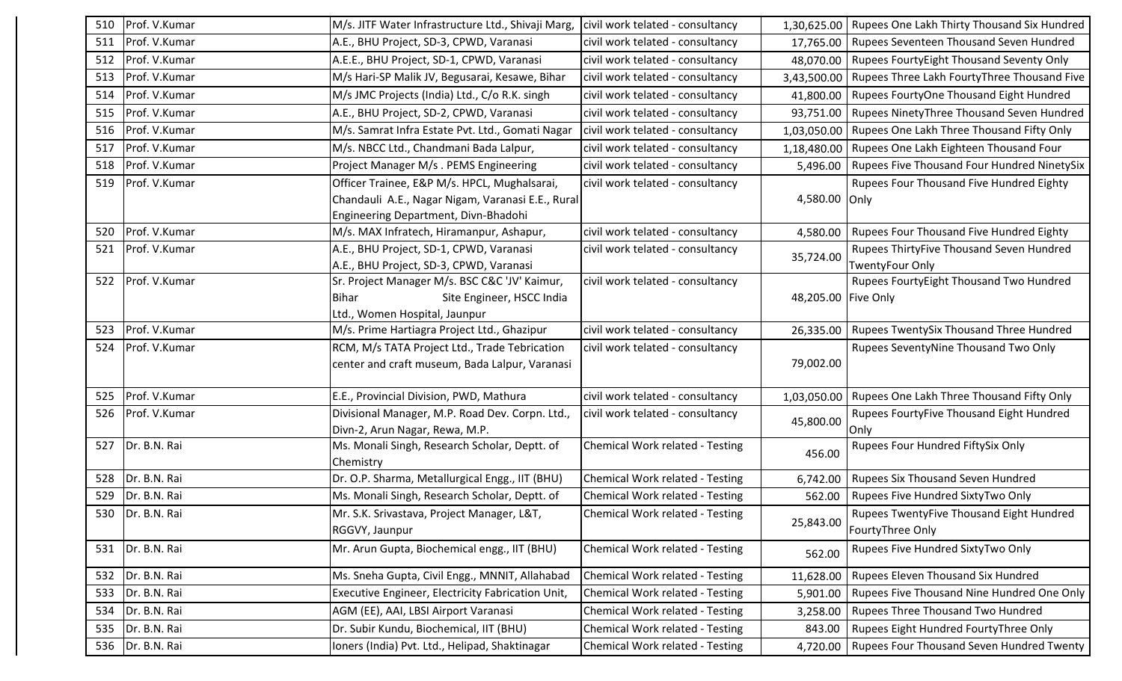| 510 | Prof. V.Kumar      | M/s. JITF Water Infrastructure Ltd., Shivaji Marg,                  | civil work telated - consultancy | 1,30,625.00         | Rupees One Lakh Thirty Thousand Six Hundred |
|-----|--------------------|---------------------------------------------------------------------|----------------------------------|---------------------|---------------------------------------------|
| 511 | Prof. V.Kumar      | A.E., BHU Project, SD-3, CPWD, Varanasi                             | civil work telated - consultancy | 17,765.00           | Rupees Seventeen Thousand Seven Hundred     |
| 512 | Prof. V.Kumar      | A.E.E., BHU Project, SD-1, CPWD, Varanasi                           | civil work telated - consultancy | 48,070.00           | Rupees FourtyEight Thousand Seventy Only    |
| 513 | Prof. V.Kumar      | M/s Hari-SP Malik JV, Begusarai, Kesawe, Bihar                      | civil work telated - consultancy | 3,43,500.00         | Rupees Three Lakh FourtyThree Thousand Five |
| 514 | Prof. V.Kumar      | M/s JMC Projects (India) Ltd., C/o R.K. singh                       | civil work telated - consultancy | 41,800.00           | Rupees FourtyOne Thousand Eight Hundred     |
| 515 | Prof. V.Kumar      | A.E., BHU Project, SD-2, CPWD, Varanasi                             | civil work telated - consultancy | 93,751.00           | Rupees NinetyThree Thousand Seven Hundred   |
| 516 | Prof. V.Kumar      | M/s. Samrat Infra Estate Pvt. Ltd., Gomati Nagar                    | civil work telated - consultancy | 1,03,050.00         | Rupees One Lakh Three Thousand Fifty Only   |
| 517 | Prof. V.Kumar      | M/s. NBCC Ltd., Chandmani Bada Lalpur,                              | civil work telated - consultancy | 1,18,480.00         | Rupees One Lakh Eighteen Thousand Four      |
| 518 | Prof. V.Kumar      | Project Manager M/s . PEMS Engineering                              | civil work telated - consultancy | 5,496.00            | Rupees Five Thousand Four Hundred NinetySix |
| 519 | Prof. V.Kumar      | Officer Trainee, E&P M/s. HPCL, Mughalsarai,                        | civil work telated - consultancy |                     | Rupees Four Thousand Five Hundred Eighty    |
|     |                    | Chandauli A.E., Nagar Nigam, Varanasi E.E., Rural                   |                                  | 4,580.00            | Only                                        |
|     |                    | Engineering Department, Divn-Bhadohi                                |                                  |                     |                                             |
| 520 | Prof. V.Kumar      | M/s. MAX Infratech, Hiramanpur, Ashapur,                            | civil work telated - consultancy | 4,580.00            | Rupees Four Thousand Five Hundred Eighty    |
| 521 | Prof. V.Kumar      | A.E., BHU Project, SD-1, CPWD, Varanasi                             | civil work telated - consultancy | 35,724.00           | Rupees ThirtyFive Thousand Seven Hundred    |
|     |                    | A.E., BHU Project, SD-3, CPWD, Varanasi                             |                                  |                     | <b>TwentyFour Only</b>                      |
| 522 | Prof. V.Kumar      | Sr. Project Manager M/s. BSC C&C 'JV' Kaimur,                       | civil work telated - consultancy |                     | Rupees FourtyEight Thousand Two Hundred     |
|     |                    | Bihar<br>Site Engineer, HSCC India<br>Ltd., Women Hospital, Jaunpur |                                  | 48,205.00 Five Only |                                             |
| 523 | Prof. V.Kumar      | M/s. Prime Hartiagra Project Ltd., Ghazipur                         | civil work telated - consultancy | 26,335.00           | Rupees TwentySix Thousand Three Hundred     |
| 524 | Prof. V.Kumar      | RCM, M/s TATA Project Ltd., Trade Tebrication                       | civil work telated - consultancy |                     | Rupees SeventyNine Thousand Two Only        |
|     |                    | center and craft museum, Bada Lalpur, Varanasi                      |                                  | 79,002.00           |                                             |
|     |                    |                                                                     |                                  |                     |                                             |
| 525 | Prof. V.Kumar      | E.E., Provincial Division, PWD, Mathura                             | civil work telated - consultancy | 1,03,050.00         | Rupees One Lakh Three Thousand Fifty Only   |
| 526 | Prof. V.Kumar      | Divisional Manager, M.P. Road Dev. Corpn. Ltd.,                     | civil work telated - consultancy | 45,800.00           | Rupees FourtyFive Thousand Eight Hundred    |
|     |                    | Divn-2, Arun Nagar, Rewa, M.P.                                      |                                  |                     | Only                                        |
| 527 | Dr. B.N. Rai       | Ms. Monali Singh, Research Scholar, Deptt. of                       | Chemical Work related - Testing  | 456.00              | Rupees Four Hundred FiftySix Only           |
|     |                    | Chemistry                                                           |                                  |                     |                                             |
| 528 | Dr. B.N. Rai       | Dr. O.P. Sharma, Metallurgical Engg., IIT (BHU)                     | Chemical Work related - Testing  | 6,742.00            | Rupees Six Thousand Seven Hundred           |
| 529 | Dr. B.N. Rai       | Ms. Monali Singh, Research Scholar, Deptt. of                       | Chemical Work related - Testing  | 562.00              | Rupees Five Hundred SixtyTwo Only           |
| 530 | Dr. B.N. Rai       | Mr. S.K. Srivastava, Project Manager, L&T,                          | Chemical Work related - Testing  | 25,843.00           | Rupees TwentyFive Thousand Eight Hundred    |
|     |                    | RGGVY, Jaunpur                                                      |                                  |                     | FourtyThree Only                            |
|     | 531   Dr. B.N. Rai | Mr. Arun Gupta, Biochemical engg., IIT (BHU)                        | Chemical Work related - Testing  | 562.00              | Rupees Five Hundred SixtyTwo Only           |
| 532 | Dr. B.N. Rai       | Ms. Sneha Gupta, Civil Engg., MNNIT, Allahabad                      | Chemical Work related - Testing  | 11,628.00           | Rupees Eleven Thousand Six Hundred          |
| 533 | Dr. B.N. Rai       | Executive Engineer, Electricity Fabrication Unit,                   | Chemical Work related - Testing  | 5,901.00            | Rupees Five Thousand Nine Hundred One Only  |
| 534 | Dr. B.N. Rai       | AGM (EE), AAI, LBSI Airport Varanasi                                | Chemical Work related - Testing  | 3,258.00            | Rupees Three Thousand Two Hundred           |
| 535 | Dr. B.N. Rai       | Dr. Subir Kundu, Biochemical, IIT (BHU)                             | Chemical Work related - Testing  | 843.00              | Rupees Eight Hundred FourtyThree Only       |
| 536 | Dr. B.N. Rai       | Ioners (India) Pvt. Ltd., Helipad, Shaktinagar                      | Chemical Work related - Testing  | 4,720.00            | Rupees Four Thousand Seven Hundred Twenty   |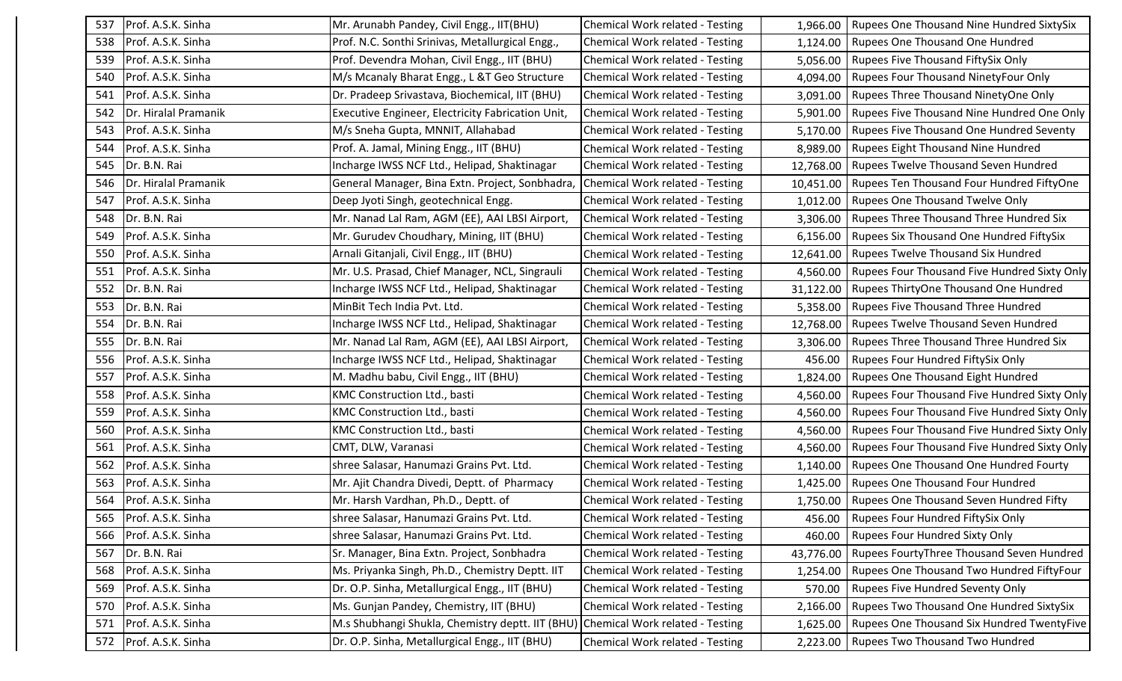| 537 | Prof. A.S.K. Sinha   | Mr. Arunabh Pandey, Civil Engg., IIT(BHU)         | Chemical Work related - Testing        | 1,966.00  | <b>Rupees One Thousand Nine Hundred SixtySix</b> |
|-----|----------------------|---------------------------------------------------|----------------------------------------|-----------|--------------------------------------------------|
| 538 | Prof. A.S.K. Sinha   | Prof. N.C. Sonthi Srinivas, Metallurgical Engg.,  | Chemical Work related - Testing        | 1,124.00  | <b>Rupees One Thousand One Hundred</b>           |
| 539 | Prof. A.S.K. Sinha   | Prof. Devendra Mohan, Civil Engg., IIT (BHU)      | Chemical Work related - Testing        | 5,056.00  | Rupees Five Thousand FiftySix Only               |
| 540 | Prof. A.S.K. Sinha   | M/s Mcanaly Bharat Engg., L &T Geo Structure      | Chemical Work related - Testing        | 4,094.00  | <b>Rupees Four Thousand NinetyFour Only</b>      |
| 541 | Prof. A.S.K. Sinha   | Dr. Pradeep Srivastava, Biochemical, IIT (BHU)    | Chemical Work related - Testing        | 3,091.00  | <b>Rupees Three Thousand NinetyOne Only</b>      |
| 542 | Dr. Hiralal Pramanik | Executive Engineer, Electricity Fabrication Unit, | Chemical Work related - Testing        | 5,901.00  | Rupees Five Thousand Nine Hundred One Only       |
| 543 | Prof. A.S.K. Sinha   | M/s Sneha Gupta, MNNIT, Allahabad                 | Chemical Work related - Testing        | 5,170.00  | <b>Rupees Five Thousand One Hundred Seventy</b>  |
| 544 | Prof. A.S.K. Sinha   | Prof. A. Jamal, Mining Engg., IIT (BHU)           | Chemical Work related - Testing        | 8,989.00  | <b>Rupees Eight Thousand Nine Hundred</b>        |
| 545 | Dr. B.N. Rai         | Incharge IWSS NCF Ltd., Helipad, Shaktinagar      | Chemical Work related - Testing        | 12,768.00 | Rupees Twelve Thousand Seven Hundred             |
| 546 | Dr. Hiralal Pramanik | General Manager, Bina Extn. Project, Sonbhadra,   | Chemical Work related - Testing        | 10,451.00 | Rupees Ten Thousand Four Hundred FiftyOne        |
| 547 | Prof. A.S.K. Sinha   | Deep Jyoti Singh, geotechnical Engg.              | Chemical Work related - Testing        | 1,012.00  | <b>Rupees One Thousand Twelve Only</b>           |
| 548 | Dr. B.N. Rai         | Mr. Nanad Lal Ram, AGM (EE), AAI LBSI Airport,    | Chemical Work related - Testing        | 3,306.00  | Rupees Three Thousand Three Hundred Six          |
| 549 | Prof. A.S.K. Sinha   | Mr. Gurudev Choudhary, Mining, IIT (BHU)          | Chemical Work related - Testing        | 6,156.00  | <b>Rupees Six Thousand One Hundred FiftySix</b>  |
| 550 | Prof. A.S.K. Sinha   | Arnali Gitanjali, Civil Engg., IIT (BHU)          | Chemical Work related - Testing        | 12,641.00 | <b>Rupees Twelve Thousand Six Hundred</b>        |
| 551 | Prof. A.S.K. Sinha   | Mr. U.S. Prasad, Chief Manager, NCL, Singrauli    | Chemical Work related - Testing        | 4,560.00  | Rupees Four Thousand Five Hundred Sixty Only     |
| 552 | Dr. B.N. Rai         | Incharge IWSS NCF Ltd., Helipad, Shaktinagar      | Chemical Work related - Testing        | 31,122.00 | Rupees ThirtyOne Thousand One Hundred            |
| 553 | Dr. B.N. Rai         | MinBit Tech India Pvt. Ltd.                       | Chemical Work related - Testing        | 5,358.00  | Rupees Five Thousand Three Hundred               |
| 554 | Dr. B.N. Rai         | Incharge IWSS NCF Ltd., Helipad, Shaktinagar      | Chemical Work related - Testing        | 12,768.00 | <b>Rupees Twelve Thousand Seven Hundred</b>      |
| 555 | Dr. B.N. Rai         | Mr. Nanad Lal Ram, AGM (EE), AAI LBSI Airport,    | Chemical Work related - Testing        | 3,306.00  | Rupees Three Thousand Three Hundred Six          |
| 556 | Prof. A.S.K. Sinha   | Incharge IWSS NCF Ltd., Helipad, Shaktinagar      | Chemical Work related - Testing        | 456.00    | Rupees Four Hundred FiftySix Only                |
| 557 | Prof. A.S.K. Sinha   | M. Madhu babu, Civil Engg., IIT (BHU)             | Chemical Work related - Testing        | 1,824.00  | Rupees One Thousand Eight Hundred                |
| 558 | Prof. A.S.K. Sinha   | KMC Construction Ltd., basti                      | Chemical Work related - Testing        | 4,560.00  | Rupees Four Thousand Five Hundred Sixty Only     |
| 559 | Prof. A.S.K. Sinha   | KMC Construction Ltd., basti                      | Chemical Work related - Testing        | 4,560.00  | Rupees Four Thousand Five Hundred Sixty Only     |
| 560 | Prof. A.S.K. Sinha   | KMC Construction Ltd., basti                      | Chemical Work related - Testing        | 4,560.00  | Rupees Four Thousand Five Hundred Sixty Only     |
| 561 | Prof. A.S.K. Sinha   | CMT, DLW, Varanasi                                | <b>Chemical Work related - Testing</b> | 4,560.00  | Rupees Four Thousand Five Hundred Sixty Only     |
| 562 | Prof. A.S.K. Sinha   | shree Salasar, Hanumazi Grains Pvt. Ltd.          | Chemical Work related - Testing        | 1,140.00  | Rupees One Thousand One Hundred Fourty           |
| 563 | Prof. A.S.K. Sinha   | Mr. Ajit Chandra Divedi, Deptt. of Pharmacy       | Chemical Work related - Testing        | 1,425.00  | <b>Rupees One Thousand Four Hundred</b>          |
| 564 | Prof. A.S.K. Sinha   | Mr. Harsh Vardhan, Ph.D., Deptt. of               | Chemical Work related - Testing        | 1,750.00  | Rupees One Thousand Seven Hundred Fifty          |
| 565 | Prof. A.S.K. Sinha   | shree Salasar, Hanumazi Grains Pvt. Ltd.          | Chemical Work related - Testing        | 456.00    | Rupees Four Hundred FiftySix Only                |
| 566 | Prof. A.S.K. Sinha   | shree Salasar, Hanumazi Grains Pvt. Ltd.          | Chemical Work related - Testing        | 460.00    | <b>Rupees Four Hundred Sixty Only</b>            |
| 567 | Dr. B.N. Rai         | Sr. Manager, Bina Extn. Project, Sonbhadra        | Chemical Work related - Testing        | 43,776.00 | Rupees FourtyThree Thousand Seven Hundred        |
| 568 | Prof. A.S.K. Sinha   | Ms. Priyanka Singh, Ph.D., Chemistry Deptt. IIT   | Chemical Work related - Testing        | 1,254.00  | Rupees One Thousand Two Hundred FiftyFour        |
| 569 | Prof. A.S.K. Sinha   | Dr. O.P. Sinha, Metallurgical Engg., IIT (BHU)    | Chemical Work related - Testing        | 570.00    | <b>Rupees Five Hundred Seventy Only</b>          |
| 570 | Prof. A.S.K. Sinha   | Ms. Gunjan Pandey, Chemistry, IIT (BHU)           | Chemical Work related - Testing        | 2,166.00  | Rupees Two Thousand One Hundred SixtySix         |
| 571 | Prof. A.S.K. Sinha   | M.s Shubhangi Shukla, Chemistry deptt. IIT (BHU)  | Chemical Work related - Testing        | 1,625.00  | Rupees One Thousand Six Hundred TwentyFive       |
| 572 | Prof. A.S.K. Sinha   | Dr. O.P. Sinha, Metallurgical Engg., IIT (BHU)    | Chemical Work related - Testing        | 2,223.00  | <b>Rupees Two Thousand Two Hundred</b>           |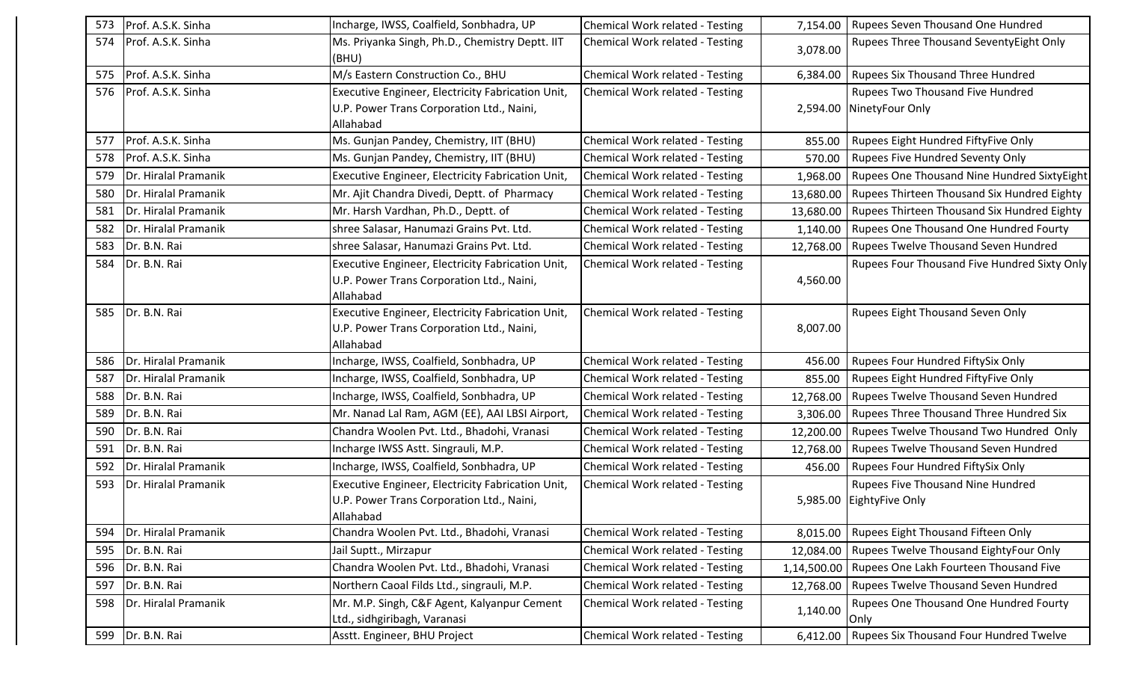| 573 | Prof. A.S.K. Sinha   | Incharge, IWSS, Coalfield, Sonbhadra, UP                 | Chemical Work related - Testing | 7,154.00    | Rupees Seven Thousand One Hundred            |
|-----|----------------------|----------------------------------------------------------|---------------------------------|-------------|----------------------------------------------|
| 574 | Prof. A.S.K. Sinha   | Ms. Priyanka Singh, Ph.D., Chemistry Deptt. IIT<br>(BHU) | Chemical Work related - Testing | 3,078.00    | Rupees Three Thousand SeventyEight Only      |
| 575 | Prof. A.S.K. Sinha   | M/s Eastern Construction Co., BHU                        | Chemical Work related - Testing | 6,384.00    | Rupees Six Thousand Three Hundred            |
| 576 | Prof. A.S.K. Sinha   | Executive Engineer, Electricity Fabrication Unit,        | Chemical Work related - Testing |             | Rupees Two Thousand Five Hundred             |
|     |                      | U.P. Power Trans Corporation Ltd., Naini,                |                                 | 2,594.00    | NinetyFour Only                              |
|     |                      | Allahabad                                                |                                 |             |                                              |
| 577 | Prof. A.S.K. Sinha   | Ms. Gunjan Pandey, Chemistry, IIT (BHU)                  | Chemical Work related - Testing | 855.00      | Rupees Eight Hundred FiftyFive Only          |
| 578 | Prof. A.S.K. Sinha   | Ms. Gunjan Pandey, Chemistry, IIT (BHU)                  | Chemical Work related - Testing | 570.00      | <b>Rupees Five Hundred Seventy Only</b>      |
| 579 | Dr. Hiralal Pramanik | Executive Engineer, Electricity Fabrication Unit,        | Chemical Work related - Testing | 1,968.00    | Rupees One Thousand Nine Hundred SixtyEight  |
| 580 | Dr. Hiralal Pramanik | Mr. Ajit Chandra Divedi, Deptt. of Pharmacy              | Chemical Work related - Testing | 13,680.00   | Rupees Thirteen Thousand Six Hundred Eighty  |
| 581 | Dr. Hiralal Pramanik | Mr. Harsh Vardhan, Ph.D., Deptt. of                      | Chemical Work related - Testing | 13,680.00   | Rupees Thirteen Thousand Six Hundred Eighty  |
| 582 | Dr. Hiralal Pramanik | shree Salasar, Hanumazi Grains Pvt. Ltd.                 | Chemical Work related - Testing | 1,140.00    | Rupees One Thousand One Hundred Fourty       |
| 583 | Dr. B.N. Rai         | shree Salasar, Hanumazi Grains Pvt. Ltd.                 | Chemical Work related - Testing | 12,768.00   | Rupees Twelve Thousand Seven Hundred         |
| 584 | Dr. B.N. Rai         | Executive Engineer, Electricity Fabrication Unit,        | Chemical Work related - Testing |             | Rupees Four Thousand Five Hundred Sixty Only |
|     |                      | U.P. Power Trans Corporation Ltd., Naini,                |                                 | 4,560.00    |                                              |
|     |                      | Allahabad                                                |                                 |             |                                              |
| 585 | Dr. B.N. Rai         | Executive Engineer, Electricity Fabrication Unit,        | Chemical Work related - Testing |             | <b>Rupees Eight Thousand Seven Only</b>      |
|     |                      | U.P. Power Trans Corporation Ltd., Naini,                |                                 | 8,007.00    |                                              |
|     |                      | Allahabad                                                |                                 |             |                                              |
| 586 | Dr. Hiralal Pramanik | Incharge, IWSS, Coalfield, Sonbhadra, UP                 | Chemical Work related - Testing | 456.00      | Rupees Four Hundred FiftySix Only            |
| 587 | Dr. Hiralal Pramanik | Incharge, IWSS, Coalfield, Sonbhadra, UP                 | Chemical Work related - Testing | 855.00      | Rupees Eight Hundred FiftyFive Only          |
| 588 | Dr. B.N. Rai         | Incharge, IWSS, Coalfield, Sonbhadra, UP                 | Chemical Work related - Testing | 12,768.00   | Rupees Twelve Thousand Seven Hundred         |
| 589 | Dr. B.N. Rai         | Mr. Nanad Lal Ram, AGM (EE), AAI LBSI Airport,           | Chemical Work related - Testing | 3,306.00    | Rupees Three Thousand Three Hundred Six      |
| 590 | Dr. B.N. Rai         | Chandra Woolen Pvt. Ltd., Bhadohi, Vranasi               | Chemical Work related - Testing | 12,200.00   | Rupees Twelve Thousand Two Hundred Only      |
| 591 | Dr. B.N. Rai         | Incharge IWSS Astt. Singrauli, M.P.                      | Chemical Work related - Testing | 12,768.00   | Rupees Twelve Thousand Seven Hundred         |
| 592 | Dr. Hiralal Pramanik | Incharge, IWSS, Coalfield, Sonbhadra, UP                 | Chemical Work related - Testing | 456.00      | Rupees Four Hundred FiftySix Only            |
| 593 | Dr. Hiralal Pramanik | Executive Engineer, Electricity Fabrication Unit,        | Chemical Work related - Testing |             | Rupees Five Thousand Nine Hundred            |
|     |                      | U.P. Power Trans Corporation Ltd., Naini,                |                                 | 5,985.00    | EightyFive Only                              |
|     |                      | Allahabad                                                |                                 |             |                                              |
| 594 | Dr. Hiralal Pramanik | Chandra Woolen Pvt. Ltd., Bhadohi, Vranasi               | Chemical Work related - Testing | 8,015.00    | Rupees Eight Thousand Fifteen Only           |
| 595 | Dr. B.N. Rai         | Jail Suptt., Mirzapur                                    | Chemical Work related - Testing | 12,084.00   | Rupees Twelve Thousand EightyFour Only       |
| 596 | Dr. B.N. Rai         | Chandra Woolen Pvt. Ltd., Bhadohi, Vranasi               | Chemical Work related - Testing | 1,14,500.00 | Rupees One Lakh Fourteen Thousand Five       |
| 597 | Dr. B.N. Rai         | Northern Caoal Filds Ltd., singrauli, M.P.               | Chemical Work related - Testing | 12,768.00   | <b>Rupees Twelve Thousand Seven Hundred</b>  |
| 598 | Dr. Hiralal Pramanik | Mr. M.P. Singh, C&F Agent, Kalyanpur Cement              | Chemical Work related - Testing | 1,140.00    | Rupees One Thousand One Hundred Fourty       |
|     |                      | Ltd., sidhgiribagh, Varanasi                             |                                 |             | Only                                         |
| 599 | Dr. B.N. Rai         | Asstt. Engineer, BHU Project                             | Chemical Work related - Testing | 6,412.00    | Rupees Six Thousand Four Hundred Twelve      |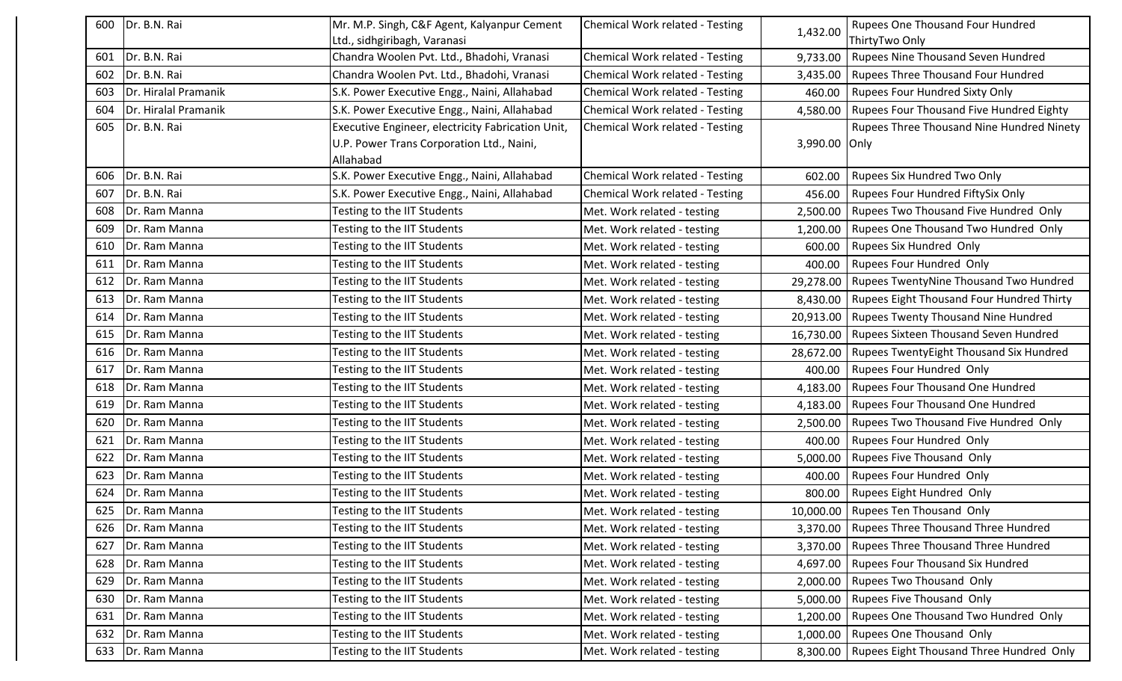| 600 | Dr. B.N. Rai         | Mr. M.P. Singh, C&F Agent, Kalyanpur Cement       | Chemical Work related - Testing |               | <b>Rupees One Thousand Four Hundred</b>              |
|-----|----------------------|---------------------------------------------------|---------------------------------|---------------|------------------------------------------------------|
|     |                      | Ltd., sidhgiribagh, Varanasi                      |                                 | 1,432.00      | ThirtyTwo Only                                       |
| 601 | Dr. B.N. Rai         | Chandra Woolen Pvt. Ltd., Bhadohi, Vranasi        | Chemical Work related - Testing | 9,733.00      | <b>Rupees Nine Thousand Seven Hundred</b>            |
| 602 | Dr. B.N. Rai         | Chandra Woolen Pvt. Ltd., Bhadohi, Vranasi        | Chemical Work related - Testing |               | 3,435.00   Rupees Three Thousand Four Hundred        |
| 603 | Dr. Hiralal Pramanik | S.K. Power Executive Engg., Naini, Allahabad      | Chemical Work related - Testing | 460.00        | <b>Rupees Four Hundred Sixty Only</b>                |
| 604 | Dr. Hiralal Pramanik | S.K. Power Executive Engg., Naini, Allahabad      | Chemical Work related - Testing | 4,580.00      | Rupees Four Thousand Five Hundred Eighty             |
| 605 | Dr. B.N. Rai         | Executive Engineer, electricity Fabrication Unit, | Chemical Work related - Testing |               | Rupees Three Thousand Nine Hundred Ninety            |
|     |                      | U.P. Power Trans Corporation Ltd., Naini,         |                                 | 3,990.00 Only |                                                      |
|     |                      | Allahabad                                         |                                 |               |                                                      |
| 606 | Dr. B.N. Rai         | S.K. Power Executive Engg., Naini, Allahabad      | Chemical Work related - Testing | 602.00        | Rupees Six Hundred Two Only                          |
| 607 | Dr. B.N. Rai         | S.K. Power Executive Engg., Naini, Allahabad      | Chemical Work related - Testing |               | 456.00   Rupees Four Hundred FiftySix Only           |
| 608 | Dr. Ram Manna        | Testing to the IIT Students                       | Met. Work related - testing     |               | 2,500.00   Rupees Two Thousand Five Hundred Only     |
| 609 | Dr. Ram Manna        | Testing to the IIT Students                       | Met. Work related - testing     | 1,200.00      | Rupees One Thousand Two Hundred Only                 |
| 610 | Dr. Ram Manna        | Testing to the IIT Students                       | Met. Work related - testing     |               | 600.00   Rupees Six Hundred Only                     |
| 611 | Dr. Ram Manna        | <b>Testing to the IIT Students</b>                | Met. Work related - testing     | 400.00        | Rupees Four Hundred Only                             |
| 612 | Dr. Ram Manna        | Testing to the IIT Students                       | Met. Work related - testing     |               | 29,278.00   Rupees TwentyNine Thousand Two Hundred   |
| 613 | Dr. Ram Manna        | Testing to the IIT Students                       | Met. Work related - testing     |               | 8,430.00   Rupees Eight Thousand Four Hundred Thirty |
| 614 | Dr. Ram Manna        | <b>Testing to the IIT Students</b>                | Met. Work related - testing     |               | 20,913.00   Rupees Twenty Thousand Nine Hundred      |
| 615 | Dr. Ram Manna        | Testing to the IIT Students                       | Met. Work related - testing     |               | 16,730.00   Rupees Sixteen Thousand Seven Hundred    |
| 616 | Dr. Ram Manna        | Testing to the IIT Students                       | Met. Work related - testing     | 28,672.00     | Rupees TwentyEight Thousand Six Hundred              |
| 617 | Dr. Ram Manna        | Testing to the IIT Students                       | Met. Work related - testing     | 400.00        | <b>Rupees Four Hundred Only</b>                      |
| 618 | Dr. Ram Manna        | Testing to the IIT Students                       | Met. Work related - testing     |               | 4,183.00   Rupees Four Thousand One Hundred          |
| 619 | Dr. Ram Manna        | Testing to the IIT Students                       | Met. Work related - testing     | 4,183.00      | <b>Rupees Four Thousand One Hundred</b>              |
| 620 | Dr. Ram Manna        | Testing to the IIT Students                       | Met. Work related - testing     |               | 2,500.00   Rupees Two Thousand Five Hundred Only     |
| 621 | Dr. Ram Manna        | Testing to the IIT Students                       | Met. Work related - testing     |               | 400.00   Rupees Four Hundred Only                    |
| 622 | Dr. Ram Manna        | Testing to the IIT Students                       | Met. Work related - testing     |               | 5,000.00   Rupees Five Thousand Only                 |
| 623 | Dr. Ram Manna        | Testing to the IIT Students                       | Met. Work related - testing     |               | 400.00   Rupees Four Hundred Only                    |
| 624 | Dr. Ram Manna        | Testing to the IIT Students                       | Met. Work related - testing     |               | 800.00   Rupees Eight Hundred Only                   |
| 625 | Dr. Ram Manna        | Testing to the IIT Students                       | Met. Work related - testing     |               | 10,000.00   Rupees Ten Thousand Only                 |
| 626 | Dr. Ram Manna        | Testing to the IIT Students                       | Met. Work related - testing     |               | 3,370.00   Rupees Three Thousand Three Hundred       |
| 627 | Dr. Ram Manna        | Testing to the IIT Students                       | Met. Work related - testing     |               | 3,370.00   Rupees Three Thousand Three Hundred       |
| 628 | Dr. Ram Manna        | Testing to the IIT Students                       | Met. Work related - testing     |               | 4,697.00   Rupees Four Thousand Six Hundred          |
| 629 | Dr. Ram Manna        | Testing to the IIT Students                       | Met. Work related - testing     |               | 2,000.00   Rupees Two Thousand Only                  |
| 630 | Dr. Ram Manna        | Testing to the IIT Students                       | Met. Work related - testing     |               | 5,000.00   Rupees Five Thousand Only                 |
| 631 | Dr. Ram Manna        | Testing to the IIT Students                       | Met. Work related - testing     |               | 1,200.00   Rupees One Thousand Two Hundred Only      |
| 632 | Dr. Ram Manna        | Testing to the IIT Students                       | Met. Work related - testing     |               | 1,000.00   Rupees One Thousand Only                  |
|     | 633   Dr. Ram Manna  | Testing to the IIT Students                       | Met. Work related - testing     |               | 8,300.00   Rupees Eight Thousand Three Hundred Only  |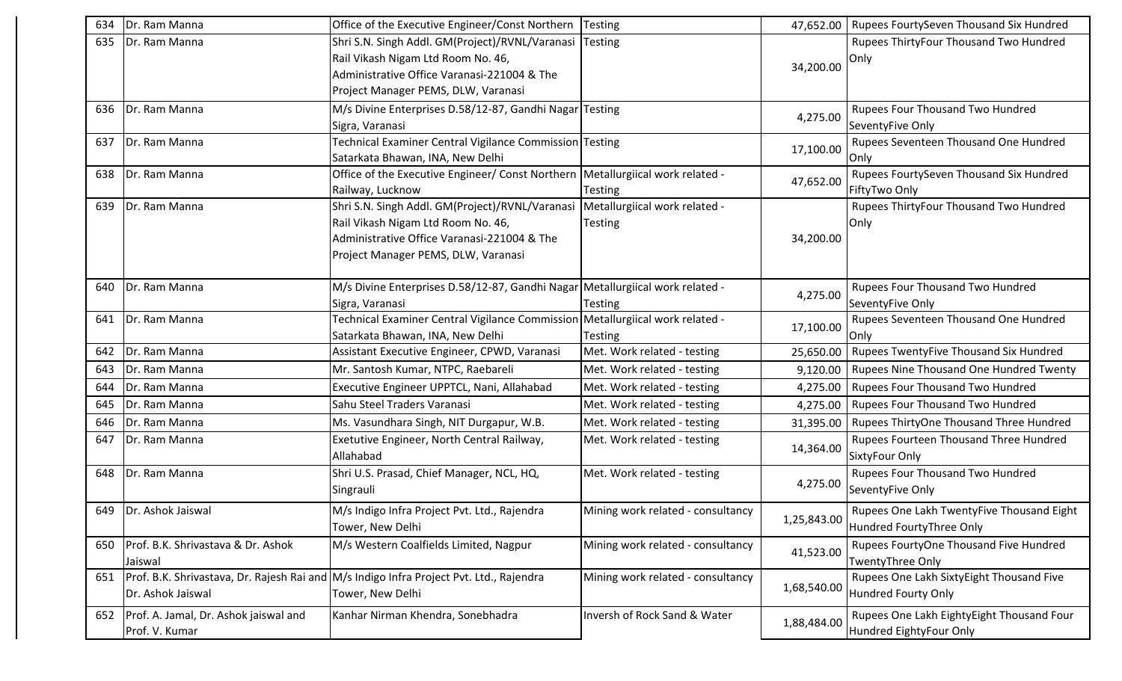| 634 | Dr. Ram Manna                                                 | Office of the Executive Engineer/Const Northern   Testing                                                                                                                   |                                          |             | 47,652.00   Rupees FourtySeven Thousand Six Hundred                   |
|-----|---------------------------------------------------------------|-----------------------------------------------------------------------------------------------------------------------------------------------------------------------------|------------------------------------------|-------------|-----------------------------------------------------------------------|
| 635 | Dr. Ram Manna                                                 | Shri S.N. Singh Addl. GM(Project)/RVNL/Varanasi<br>Rail Vikash Nigam Ltd Room No. 46,<br>Administrative Office Varanasi-221004 & The<br>Project Manager PEMS, DLW, Varanasi | Testing                                  | 34,200.00   | Rupees ThirtyFour Thousand Two Hundred<br>Only                        |
|     | 636   Dr. Ram Manna                                           | M/s Divine Enterprises D.58/12-87, Gandhi Nagar Testing<br>Sigra, Varanasi                                                                                                  |                                          | 4,275.00    | Rupees Four Thousand Two Hundred<br>SeventyFive Only                  |
| 637 | Dr. Ram Manna                                                 | Fechnical Examiner Central Vigilance Commission Testing<br>Satarkata Bhawan, INA, New Delhi                                                                                 |                                          | 17,100.00   | Rupees Seventeen Thousand One Hundred<br>Only                         |
| 638 | Dr. Ram Manna                                                 | Office of the Executive Engineer/ Const Northern   Metallurgiical work related -<br>Railway, Lucknow                                                                        | <b>Testing</b>                           | 47,652.00   | Rupees FourtySeven Thousand Six Hundred<br>FiftyTwo Only              |
| 639 | Dr. Ram Manna                                                 | Shri S.N. Singh Addl. GM(Project)/RVNL/Varanasi<br>Rail Vikash Nigam Ltd Room No. 46,<br>Administrative Office Varanasi-221004 & The<br>Project Manager PEMS, DLW, Varanasi | Metallurgiical work related -<br>Testing | 34,200.00   | Rupees ThirtyFour Thousand Two Hundred<br>Only                        |
| 640 | Dr. Ram Manna                                                 | M/s Divine Enterprises D.58/12-87, Gandhi Nagar Metallurgiical work related -<br>Sigra, Varanasi                                                                            | Testing                                  | 4,275.00    | Rupees Four Thousand Two Hundred<br>SeventyFive Only                  |
| 641 | Dr. Ram Manna                                                 | Technical Examiner Central Vigilance Commission Metallurgiical work related -<br>Satarkata Bhawan, INA, New Delhi                                                           | <b>Testing</b>                           | 17,100.00   | Rupees Seventeen Thousand One Hundred<br>Only                         |
| 642 | Dr. Ram Manna                                                 | Assistant Executive Engineer, CPWD, Varanasi                                                                                                                                | Met. Work related - testing              | 25,650.00   | Rupees TwentyFive Thousand Six Hundred                                |
| 643 | Dr. Ram Manna                                                 | Mr. Santosh Kumar, NTPC, Raebareli                                                                                                                                          | Met. Work related - testing              | 9,120.00    | Rupees Nine Thousand One Hundred Twenty                               |
| 644 | Dr. Ram Manna                                                 | Executive Engineer UPPTCL, Nani, Allahabad                                                                                                                                  | Met. Work related - testing              | 4,275.00    | Rupees Four Thousand Two Hundred                                      |
| 645 | Dr. Ram Manna                                                 | Sahu Steel Traders Varanasi                                                                                                                                                 | Met. Work related - testing              | 4,275.00    | Rupees Four Thousand Two Hundred                                      |
| 646 | Dr. Ram Manna                                                 | Ms. Vasundhara Singh, NIT Durgapur, W.B.                                                                                                                                    | Met. Work related - testing              | 31,395.00   | Rupees ThirtyOne Thousand Three Hundred                               |
| 647 | Dr. Ram Manna                                                 | Exetutive Engineer, North Central Railway,<br>Allahabad                                                                                                                     | Met. Work related - testing              | 14,364.00   | Rupees Fourteen Thousand Three Hundred<br>SixtyFour Only              |
| 648 | Dr. Ram Manna                                                 | Shri U.S. Prasad, Chief Manager, NCL, HQ,<br>Singrauli                                                                                                                      | Met. Work related - testing              | 4,275.00    | Rupees Four Thousand Two Hundred<br>SeventyFive Only                  |
|     | 649   Dr. Ashok Jaiswal                                       | M/s Indigo Infra Project Pvt. Ltd., Rajendra<br>Tower, New Delhi                                                                                                            | Mining work related - consultancy        | 1,25,843.00 | Rupees One Lakh TwentyFive Thousand Eight<br>Hundred FourtyThree Only |
| 650 | Prof. B.K. Shrivastava & Dr. Ashok<br>Jaiswal                 | M/s Western Coalfields Limited, Nagpur                                                                                                                                      | Mining work related - consultancy        | 41,523.00   | Rupees FourtyOne Thousand Five Hundred<br>TwentyThree Only            |
|     | Dr. Ashok Jaiswal                                             | 651   Prof. B.K. Shrivastava, Dr. Rajesh Rai and M/s Indigo Infra Project Pvt. Ltd., Rajendra<br>Tower, New Delhi                                                           | Mining work related - consultancy        | 1,68,540.00 | Rupees One Lakh SixtyEight Thousand Five<br>Hundred Fourty Only       |
|     | 652   Prof. A. Jamal, Dr. Ashok jaiswal and<br>Prof. V. Kumar | Kanhar Nirman Khendra, Sonebhadra                                                                                                                                           | Inversh of Rock Sand & Water             | 1,88,484.00 | Rupees One Lakh EightyEight Thousand Four<br>Hundred EightyFour Only  |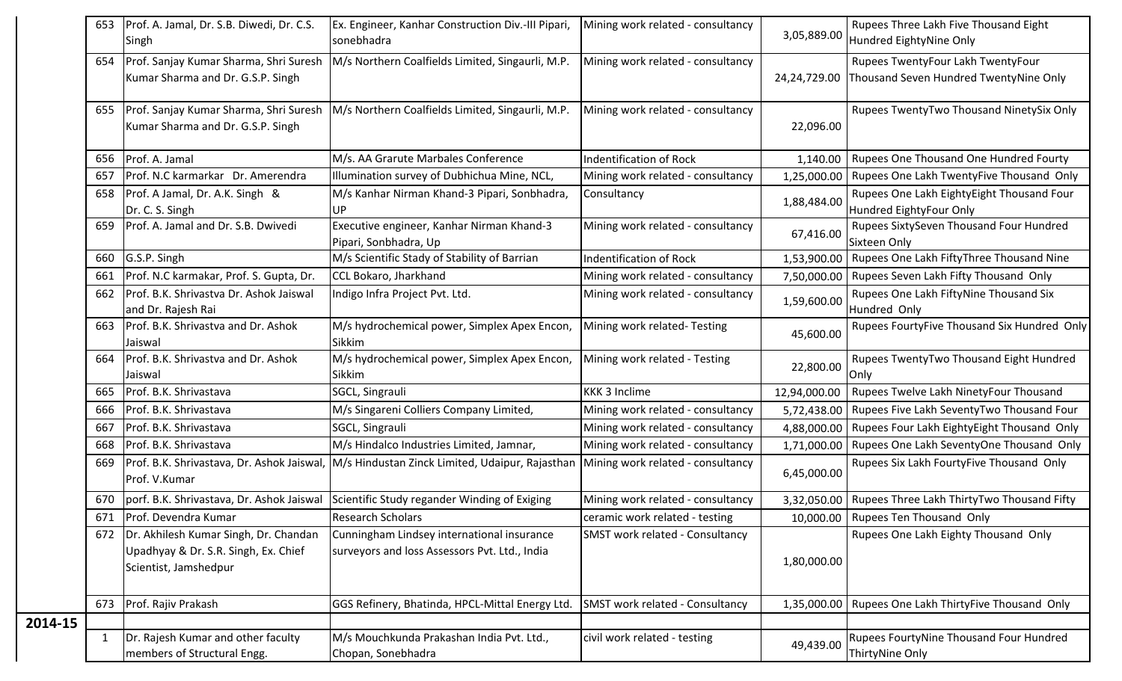|         | 653 | Prof. A. Jamal, Dr. S.B. Diwedi, Dr. C.S.<br>Singh                                                           | Ex. Engineer, Kanhar Construction Div.-III Pipari,<br>sonebhadra                            | Mining work related - consultancy      | 3,05,889.00  | Rupees Three Lakh Five Thousand Eight<br>Hundred EightyNine Only            |
|---------|-----|--------------------------------------------------------------------------------------------------------------|---------------------------------------------------------------------------------------------|----------------------------------------|--------------|-----------------------------------------------------------------------------|
|         |     | 654   Prof. Sanjay Kumar Sharma, Shri Suresh<br>Kumar Sharma and Dr. G.S.P. Singh                            | M/s Northern Coalfields Limited, Singaurli, M.P.                                            | Mining work related - consultancy      | 24,24,729.00 | Rupees TwentyFour Lakh TwentyFour<br>Thousand Seven Hundred TwentyNine Only |
|         | 655 | Prof. Sanjay Kumar Sharma, Shri Suresh<br>Kumar Sharma and Dr. G.S.P. Singh                                  | M/s Northern Coalfields Limited, Singaurli, M.P.                                            | Mining work related - consultancy      | 22,096.00    | Rupees TwentyTwo Thousand NinetySix Only                                    |
|         | 656 | Prof. A. Jamal                                                                                               | M/s. AA Grarute Marbales Conference                                                         | Indentification of Rock                | 1,140.00     | Rupees One Thousand One Hundred Fourty                                      |
|         | 657 | Prof. N.C karmarkar Dr. Amerendra                                                                            | Illumination survey of Dubhichua Mine, NCL,                                                 | Mining work related - consultancy      | 1,25,000.00  | Rupees One Lakh TwentyFive Thousand Only                                    |
|         | 658 | Prof. A Jamal, Dr. A.K. Singh &<br>Dr. C. S. Singh                                                           | M/s Kanhar Nirman Khand-3 Pipari, Sonbhadra,                                                | Consultancy                            | 1,88,484.00  | Rupees One Lakh EightyEight Thousand Four<br>Hundred EightyFour Only        |
|         | 659 | Prof. A. Jamal and Dr. S.B. Dwivedi                                                                          | Executive engineer, Kanhar Nirman Khand-3<br>Pipari, Sonbhadra, Up                          | Mining work related - consultancy      | 67,416.00    | Rupees SixtySeven Thousand Four Hundred<br>Sixteen Only                     |
|         |     | 660 G.S.P. Singh                                                                                             | M/s Scientific Stady of Stability of Barrian                                                | Indentification of Rock                | 1,53,900.00  | Rupees One Lakh FiftyThree Thousand Nine                                    |
|         | 661 | Prof. N.C karmakar, Prof. S. Gupta, Dr.                                                                      | <b>CCL Bokaro, Jharkhand</b>                                                                | Mining work related - consultancy      |              | 7,50,000.00   Rupees Seven Lakh Fifty Thousand Only                         |
|         | 662 | Prof. B.K. Shrivastva Dr. Ashok Jaiswal<br>and Dr. Rajesh Rai                                                | Indigo Infra Project Pvt. Ltd.                                                              | Mining work related - consultancy      | 1,59,600.00  | Rupees One Lakh FiftyNine Thousand Six<br>Hundred Only                      |
|         | 663 | Prof. B.K. Shrivastva and Dr. Ashok<br>Jaiswal                                                               | M/s hydrochemical power, Simplex Apex Encon,<br>Sikkim                                      | Mining work related-Testing            | 45,600.00    | Rupees FourtyFive Thousand Six Hundred Only                                 |
|         | 664 | Prof. B.K. Shrivastva and Dr. Ashok<br>Jaiswal                                                               | M/s hydrochemical power, Simplex Apex Encon,<br>Sikkim                                      | Mining work related - Testing          | 22,800.00    | Rupees TwentyTwo Thousand Eight Hundred<br>Only                             |
|         | 665 | Prof. B.K. Shrivastava                                                                                       | SGCL, Singrauli                                                                             | <b>KKK 3 Inclime</b>                   | 12,94,000.00 | Rupees Twelve Lakh NinetyFour Thousand                                      |
|         | 666 | Prof. B.K. Shrivastava                                                                                       | M/s Singareni Colliers Company Limited,                                                     | Mining work related - consultancy      | 5,72,438.00  | Rupees Five Lakh SeventyTwo Thousand Four                                   |
|         | 667 | Prof. B.K. Shrivastava                                                                                       | SGCL, Singrauli                                                                             | Mining work related - consultancy      |              | 4,88,000.00   Rupees Four Lakh EightyEight Thousand Only                    |
|         | 668 | Prof. B.K. Shrivastava                                                                                       | M/s Hindalco Industries Limited, Jamnar,                                                    | Mining work related - consultancy      | 1,71,000.00  | Rupees One Lakh SeventyOne Thousand Only                                    |
|         | 669 | Prof. B.K. Shrivastava, Dr. Ashok Jaiswal,<br>Prof. V.Kumar                                                  | M/s Hindustan Zinck Limited, Udaipur, Rajasthan                                             | Mining work related - consultancy      | 6,45,000.00  | Rupees Six Lakh FourtyFive Thousand Only                                    |
|         | 670 | porf. B.K. Shrivastava, Dr. Ashok Jaiswal                                                                    | Scientific Study regander Winding of Exiging                                                | Mining work related - consultancy      |              | 3,32,050.00   Rupees Three Lakh ThirtyTwo Thousand Fifty                    |
|         | 671 | <b>Prof. Devendra Kumar</b>                                                                                  | Research Scholars                                                                           | ceramic work related - testing         |              | 10,000.00   Rupees Ten Thousand Only                                        |
|         |     | 672   Dr. Akhilesh Kumar Singh, Dr. Chandan<br>Upadhyay & Dr. S.R. Singh, Ex. Chief<br>Scientist, Jamshedpur | Cunningham Lindsey international insurance<br>surveyors and loss Assessors Pvt. Ltd., India | <b>SMST work related - Consultancy</b> | 1,80,000.00  | Rupees One Lakh Eighty Thousand Only                                        |
|         | 673 | Prof. Rajiv Prakash                                                                                          | GGS Refinery, Bhatinda, HPCL-Mittal Energy Ltd.                                             | <b>SMST work related - Consultancy</b> |              | 1,35,000.00   Rupees One Lakh ThirtyFive Thousand Only                      |
| 2014-15 |     |                                                                                                              |                                                                                             |                                        |              |                                                                             |
|         | 1   | Dr. Rajesh Kumar and other faculty<br>members of Structural Engg.                                            | M/s Mouchkunda Prakashan India Pvt. Ltd.,<br>Chopan, Sonebhadra                             | civil work related - testing           | 49,439.00    | Rupees FourtyNine Thousand Four Hundred<br>ThirtyNine Only                  |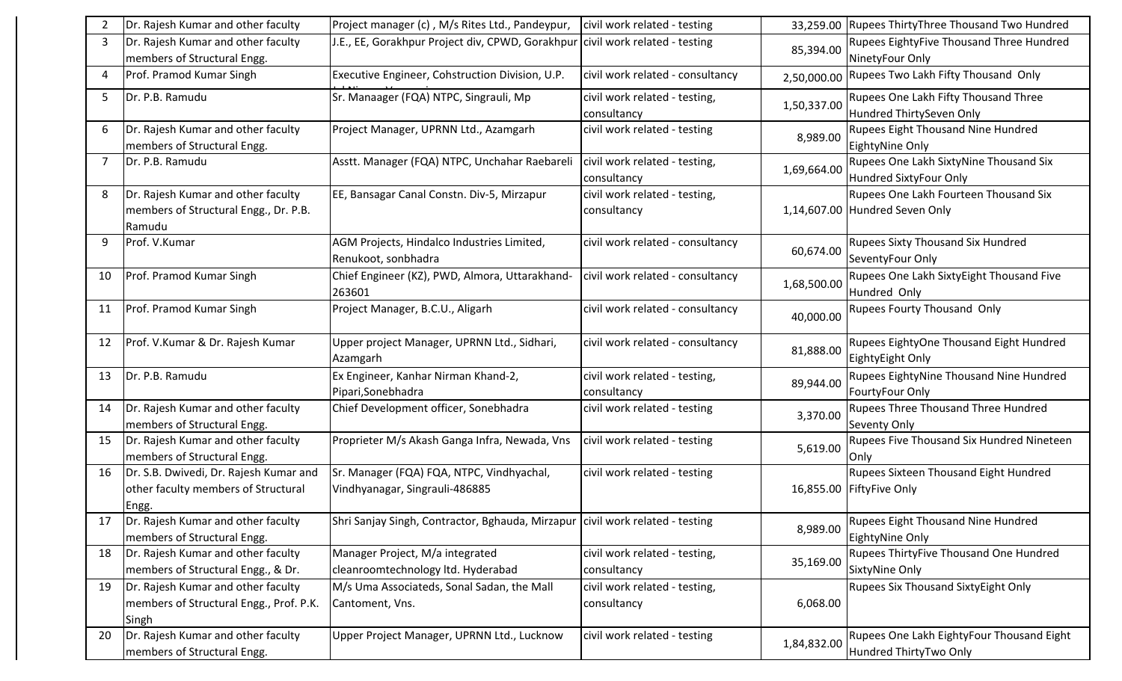|    | Dr. Rajesh Kumar and other faculty                                                     | Project manager (c), M/s Rites Ltd., Pandeypur,                                 | civil work related - testing                 |             | 33,259.00 Rupees ThirtyThree Thousand Two Hundred                        |
|----|----------------------------------------------------------------------------------------|---------------------------------------------------------------------------------|----------------------------------------------|-------------|--------------------------------------------------------------------------|
| 3  | Dr. Rajesh Kumar and other faculty<br>members of Structural Engg.                      | J.E., EE, Gorakhpur Project div, CPWD, Gorakhpur civil work related - testing   |                                              | 85,394.00   | Rupees EightyFive Thousand Three Hundred<br>NinetyFour Only              |
| 4  | Prof. Pramod Kumar Singh                                                               | Executive Engineer, Cohstruction Division, U.P.                                 | civil work related - consultancy             | 2,50,000.00 | Rupees Two Lakh Fifty Thousand Only                                      |
| 5  | Dr. P.B. Ramudu                                                                        | Sr. Manaager (FQA) NTPC, Singrauli, Mp                                          | civil work related - testing,<br>consultancy | 1,50,337.00 | Rupees One Lakh Fifty Thousand Three<br>Hundred ThirtySeven Only         |
| 6  | Dr. Rajesh Kumar and other faculty<br>members of Structural Engg.                      | Project Manager, UPRNN Ltd., Azamgarh                                           | civil work related - testing                 | 8,989.00    | Rupees Eight Thousand Nine Hundred<br>EightyNine Only                    |
|    | Dr. P.B. Ramudu                                                                        | Asstt. Manager (FQA) NTPC, Unchahar Raebareli                                   | civil work related - testing,<br>consultancy | 1,69,664.00 | Rupees One Lakh SixtyNine Thousand Six<br>Hundred SixtyFour Only         |
| 8  | Dr. Rajesh Kumar and other faculty<br>members of Structural Engg., Dr. P.B.<br>Ramudu  | EE, Bansagar Canal Constn. Div-5, Mirzapur                                      | civil work related - testing,<br>consultancy |             | Rupees One Lakh Fourteen Thousand Six<br>1,14,607.00 Hundred Seven Only  |
| 9  | Prof. V.Kumar                                                                          | AGM Projects, Hindalco Industries Limited,<br>Renukoot, sonbhadra               | civil work related - consultancy             | 60,674.00   | <b>Rupees Sixty Thousand Six Hundred</b><br>SeventyFour Only             |
| 10 | Prof. Pramod Kumar Singh                                                               | Chief Engineer (KZ), PWD, Almora, Uttarakhand-<br>263601                        | civil work related - consultancy             | 1,68,500.00 | Rupees One Lakh SixtyEight Thousand Five<br>Hundred Only                 |
| 11 | Prof. Pramod Kumar Singh                                                               | Project Manager, B.C.U., Aligarh                                                | civil work related - consultancy             | 40,000.00   | <b>Rupees Fourty Thousand Only</b>                                       |
| 12 | Prof. V.Kumar & Dr. Rajesh Kumar                                                       | Upper project Manager, UPRNN Ltd., Sidhari,<br>Azamgarh                         | civil work related - consultancy             | 81,888.00   | Rupees EightyOne Thousand Eight Hundred<br>EightyEight Only              |
| 13 | Dr. P.B. Ramudu                                                                        | Ex Engineer, Kanhar Nirman Khand-2,<br>Pipari, Sonebhadra                       | civil work related - testing,<br>consultancy | 89,944.00   | Rupees EightyNine Thousand Nine Hundred<br>FourtyFour Only               |
| 14 | Dr. Rajesh Kumar and other faculty<br>members of Structural Engg.                      | Chief Development officer, Sonebhadra                                           | civil work related - testing                 | 3,370.00    | <b>Rupees Three Thousand Three Hundred</b><br><b>Seventy Only</b>        |
| 15 | Dr. Rajesh Kumar and other faculty<br>members of Structural Engg.                      | Proprieter M/s Akash Ganga Infra, Newada, Vns                                   | civil work related - testing                 | 5,619.00    | Rupees Five Thousand Six Hundred Nineteen<br> Only                       |
| 16 | Dr. S.B. Dwivedi, Dr. Rajesh Kumar and<br>other faculty members of Structural<br>Engg. | Sr. Manager (FQA) FQA, NTPC, Vindhyachal,<br>Vindhyanagar, Singrauli-486885     | civil work related - testing                 |             | <b>Rupees Sixteen Thousand Eight Hundred</b><br>16,855.00 FiftyFive Only |
| 17 | Dr. Rajesh Kumar and other faculty<br>members of Structural Engg.                      | Shri Sanjay Singh, Contractor, Bghauda, Mirzapur   civil work related - testing |                                              | 8,989.00    | Rupees Eight Thousand Nine Hundred<br>EightyNine Only                    |
| 18 | Dr. Rajesh Kumar and other faculty<br>members of Structural Engg., & Dr.               | Manager Project, M/a integrated<br>cleanroomtechnology ltd. Hyderabad           | civil work related - testing,<br>consultancy | 35,169.00   | <b>Rupees ThirtyFive Thousand One Hundred</b><br>SixtyNine Only          |
| 19 | Dr. Rajesh Kumar and other faculty<br>members of Structural Engg., Prof. P.K.<br>Singh | M/s Uma Associateds, Sonal Sadan, the Mall<br>Cantoment, Vns.                   | civil work related - testing,<br>consultancy | 6,068.00    | <b>Rupees Six Thousand SixtyEight Only</b>                               |
| 20 | Dr. Rajesh Kumar and other faculty<br>members of Structural Engg.                      | Upper Project Manager, UPRNN Ltd., Lucknow                                      | civil work related - testing                 | 1,84,832.00 | Rupees One Lakh EightyFour Thousand Eight<br>Hundred ThirtyTwo Only      |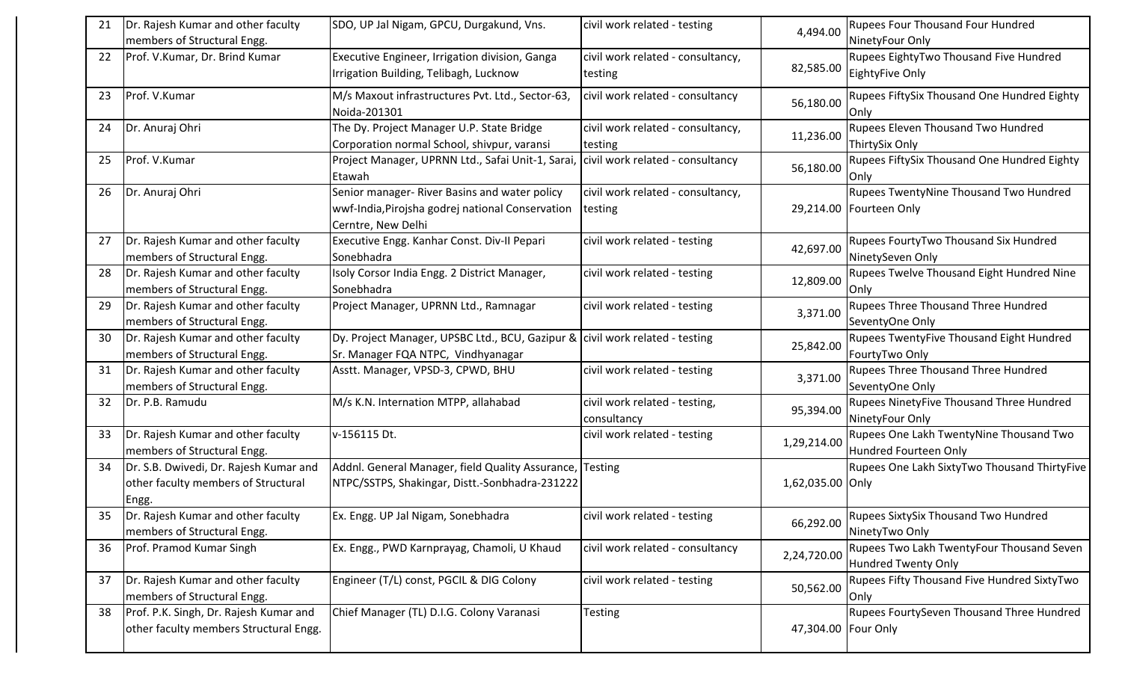| 21 | Dr. Rajesh Kumar and other faculty                                                     | SDO, UP Jal Nigam, GPCU, Durgakund, Vns.                                                                                | civil work related - testing                 | 4,494.00            | Rupees Four Thousand Four Hundred                                       |
|----|----------------------------------------------------------------------------------------|-------------------------------------------------------------------------------------------------------------------------|----------------------------------------------|---------------------|-------------------------------------------------------------------------|
|    | members of Structural Engg.                                                            |                                                                                                                         |                                              |                     | NinetyFour Only                                                         |
| 22 | Prof. V.Kumar, Dr. Brind Kumar                                                         | Executive Engineer, Irrigation division, Ganga<br>Irrigation Building, Telibagh, Lucknow                                | civil work related - consultancy,<br>testing | 82,585.00           | Rupees EightyTwo Thousand Five Hundred<br>EightyFive Only               |
| 23 | Prof. V.Kumar                                                                          | M/s Maxout infrastructures Pvt. Ltd., Sector-63,<br>Noida-201301                                                        | civil work related - consultancy             | 56,180.00           | Rupees FiftySix Thousand One Hundred Eighty<br>Only                     |
| 24 | Dr. Anuraj Ohri                                                                        | The Dy. Project Manager U.P. State Bridge<br>Corporation normal School, shivpur, varansi                                | civil work related - consultancy,<br>testing | 11,236.00           | Rupees Eleven Thousand Two Hundred<br>ThirtySix Only                    |
| 25 | Prof. V.Kumar                                                                          | Project Manager, UPRNN Ltd., Safai Unit-1, Sarai, civil work related - consultancy<br>Etawah                            |                                              | 56,180.00           | Rupees FiftySix Thousand One Hundred Eighty<br>Only                     |
| 26 | Dr. Anuraj Ohri                                                                        | Senior manager- River Basins and water policy<br>wwf-India, Pirojsha godrej national Conservation<br>Cerntre, New Delhi | civil work related - consultancy,<br>testing |                     | Rupees TwentyNine Thousand Two Hundred<br>29,214.00 Fourteen Only       |
| 27 | Dr. Rajesh Kumar and other faculty<br>members of Structural Engg.                      | Executive Engg. Kanhar Const. Div-II Pepari<br>Sonebhadra                                                               | civil work related - testing                 | 42,697.00           | Rupees FourtyTwo Thousand Six Hundred<br>NinetySeven Only               |
| 28 | Dr. Rajesh Kumar and other faculty<br>members of Structural Engg.                      | Isoly Corsor India Engg. 2 District Manager,<br>Sonebhadra                                                              | civil work related - testing                 | 12,809.00           | Rupees Twelve Thousand Eight Hundred Nine<br>Only                       |
| 29 | Dr. Rajesh Kumar and other faculty<br>members of Structural Engg.                      | Project Manager, UPRNN Ltd., Ramnagar                                                                                   | civil work related - testing                 | 3,371.00            | Rupees Three Thousand Three Hundred<br>SeventyOne Only                  |
| 30 | Dr. Rajesh Kumar and other faculty<br>members of Structural Engg.                      | Dy. Project Manager, UPSBC Ltd., BCU, Gazipur & civil work related - testing<br>Sr. Manager FQA NTPC, Vindhyanagar      |                                              | 25,842.00           | Rupees TwentyFive Thousand Eight Hundred<br>FourtyTwo Only              |
| 31 | Dr. Rajesh Kumar and other faculty<br>members of Structural Engg.                      | Asstt. Manager, VPSD-3, CPWD, BHU                                                                                       | civil work related - testing                 | 3,371.00            | Rupees Three Thousand Three Hundred<br>SeventyOne Only                  |
| 32 | Dr. P.B. Ramudu                                                                        | M/s K.N. Internation MTPP, allahabad                                                                                    | civil work related - testing,<br>consultancy | 95,394.00           | Rupees NinetyFive Thousand Three Hundred<br>NinetyFour Only             |
| 33 | Dr. Rajesh Kumar and other faculty<br>members of Structural Engg.                      | v-156115 Dt.                                                                                                            | civil work related - testing                 | 1,29,214.00         | Rupees One Lakh TwentyNine Thousand Two<br>Hundred Fourteen Only        |
| 34 | Dr. S.B. Dwivedi, Dr. Rajesh Kumar and<br>other faculty members of Structural<br>Engg. | Addnl. General Manager, field Quality Assurance, Testing<br>NTPC/SSTPS, Shakingar, Distt.-Sonbhadra-231222              |                                              | 1,62,035.00 Only    | Rupees One Lakh SixtyTwo Thousand ThirtyFive                            |
| 35 | Dr. Rajesh Kumar and other faculty<br>members of Structural Engg.                      | Ex. Engg. UP Jal Nigam, Sonebhadra                                                                                      | civil work related - testing                 | 66,292.00           | Rupees SixtySix Thousand Two Hundred<br>NinetyTwo Only                  |
| 36 | Prof. Pramod Kumar Singh                                                               | Ex. Engg., PWD Karnprayag, Chamoli, U Khaud                                                                             | civil work related - consultancy             | 2,24,720.00         | Rupees Two Lakh TwentyFour Thousand Seven<br><b>Hundred Twenty Only</b> |
| 37 | Dr. Rajesh Kumar and other faculty<br>members of Structural Engg.                      | Engineer (T/L) const, PGCIL & DIG Colony                                                                                | civil work related - testing                 | 50,562.00           | Rupees Fifty Thousand Five Hundred SixtyTwo<br>Only                     |
| 38 | Prof. P.K. Singh, Dr. Rajesh Kumar and<br>other faculty members Structural Engg.       | Chief Manager (TL) D.I.G. Colony Varanasi                                                                               | Testing                                      | 47,304.00 Four Only | Rupees FourtySeven Thousand Three Hundred                               |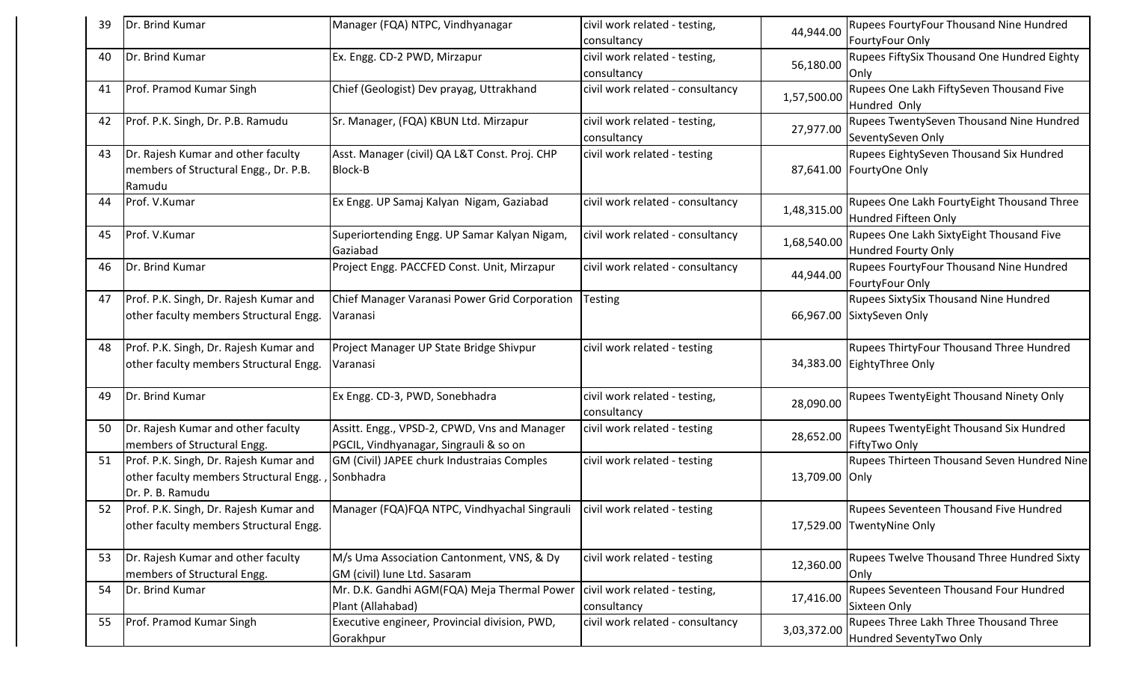| 39 | Dr. Brind Kumar                                                                                      | Manager (FQA) NTPC, Vindhyanagar                                                       | civil work related - testing,<br>consultancy | 44,944.00      | <b>Rupees FourtyFour Thousand Nine Hundred</b><br>FourtyFour Only          |
|----|------------------------------------------------------------------------------------------------------|----------------------------------------------------------------------------------------|----------------------------------------------|----------------|----------------------------------------------------------------------------|
| 40 | Dr. Brind Kumar                                                                                      | Ex. Engg. CD-2 PWD, Mirzapur                                                           | civil work related - testing,<br>consultancy | 56,180.00      | Rupees FiftySix Thousand One Hundred Eighty<br>Only                        |
| 41 | Prof. Pramod Kumar Singh                                                                             | Chief (Geologist) Dev prayag, Uttrakhand                                               | civil work related - consultancy             | 1,57,500.00    | Rupees One Lakh FiftySeven Thousand Five<br>Hundred Only                   |
| 42 | Prof. P.K. Singh, Dr. P.B. Ramudu                                                                    | Sr. Manager, (FQA) KBUN Ltd. Mirzapur                                                  | civil work related - testing,<br>consultancy | 27,977.00      | Rupees TwentySeven Thousand Nine Hundred<br>SeventySeven Only              |
| 43 | Dr. Rajesh Kumar and other faculty<br>members of Structural Engg., Dr. P.B.<br>Ramudu                | Asst. Manager (civil) QA L&T Const. Proj. CHP<br><b>Block-B</b>                        | civil work related - testing                 |                | Rupees EightySeven Thousand Six Hundred<br>87,641.00 FourtyOne Only        |
| 44 | Prof. V.Kumar                                                                                        | Ex Engg. UP Samaj Kalyan Nigam, Gaziabad                                               | civil work related - consultancy             | 1,48,315.00    | Rupees One Lakh FourtyEight Thousand Three<br>Hundred Fifteen Only         |
| 45 | Prof. V.Kumar                                                                                        | Superiortending Engg. UP Samar Kalyan Nigam,<br>Gaziabad                               | civil work related - consultancy             | 1,68,540.00    | Rupees One Lakh SixtyEight Thousand Five<br>Hundred Fourty Only            |
| 46 | Dr. Brind Kumar                                                                                      | Project Engg. PACCFED Const. Unit, Mirzapur                                            | civil work related - consultancy             | 44,944.00      | Rupees FourtyFour Thousand Nine Hundred<br>FourtyFour Only                 |
| 47 | Prof. P.K. Singh, Dr. Rajesh Kumar and<br>other faculty members Structural Engg.                     | Chief Manager Varanasi Power Grid Corporation<br>Varanasi                              | <b>Testing</b>                               |                | <b>Rupees SixtySix Thousand Nine Hundred</b><br>66,967.00 SixtySeven Only  |
| 48 | Prof. P.K. Singh, Dr. Rajesh Kumar and<br>other faculty members Structural Engg.                     | Project Manager UP State Bridge Shivpur<br>Varanasi                                    | civil work related - testing                 |                | Rupees ThirtyFour Thousand Three Hundred<br>34,383.00 EightyThree Only     |
| 49 | Dr. Brind Kumar                                                                                      | Ex Engg. CD-3, PWD, Sonebhadra                                                         | civil work related - testing,<br>consultancy | 28,090.00      | Rupees TwentyEight Thousand Ninety Only                                    |
| 50 | Dr. Rajesh Kumar and other faculty<br>members of Structural Engg.                                    | Assitt. Engg., VPSD-2, CPWD, Vns and Manager<br>PGCIL, Vindhyanagar, Singrauli & so on | civil work related - testing                 | 28,652.00      | Rupees TwentyEight Thousand Six Hundred<br>FiftyTwo Only                   |
| 51 | Prof. P.K. Singh, Dr. Rajesh Kumar and<br>other faculty members Structural Engg.<br>Dr. P. B. Ramudu | GM (Civil) JAPEE churk Industraias Comples<br>Sonbhadra                                | civil work related - testing                 | 13,709.00 Only | Rupees Thirteen Thousand Seven Hundred Nine                                |
| 52 | Prof. P.K. Singh, Dr. Rajesh Kumar and<br>other faculty members Structural Engg.                     | Manager (FQA)FQA NTPC, Vindhyachal Singrauli   civil work related - testing            |                                              |                | <b>Rupees Seventeen Thousand Five Hundred</b><br>17,529.00 TwentyNine Only |
| 53 | Dr. Rajesh Kumar and other faculty<br>members of Structural Engg.                                    | M/s Uma Association Cantonment, VNS, & Dy<br>GM (civil) lune Ltd. Sasaram              | civil work related - testing                 | 12,360.00      | Rupees Twelve Thousand Three Hundred Sixty<br>Only                         |
| 54 | Dr. Brind Kumar                                                                                      | Mr. D.K. Gandhi AGM(FQA) Meja Thermal Power<br>Plant (Allahabad)                       | civil work related - testing,<br>consultancy | 17,416.00      | Rupees Seventeen Thousand Four Hundred<br>Sixteen Only                     |
| 55 | Prof. Pramod Kumar Singh                                                                             | Executive engineer, Provincial division, PWD,<br>Gorakhpur                             | civil work related - consultancy             | 3,03,372.00    | Rupees Three Lakh Three Thousand Three<br>Hundred SeventyTwo Only          |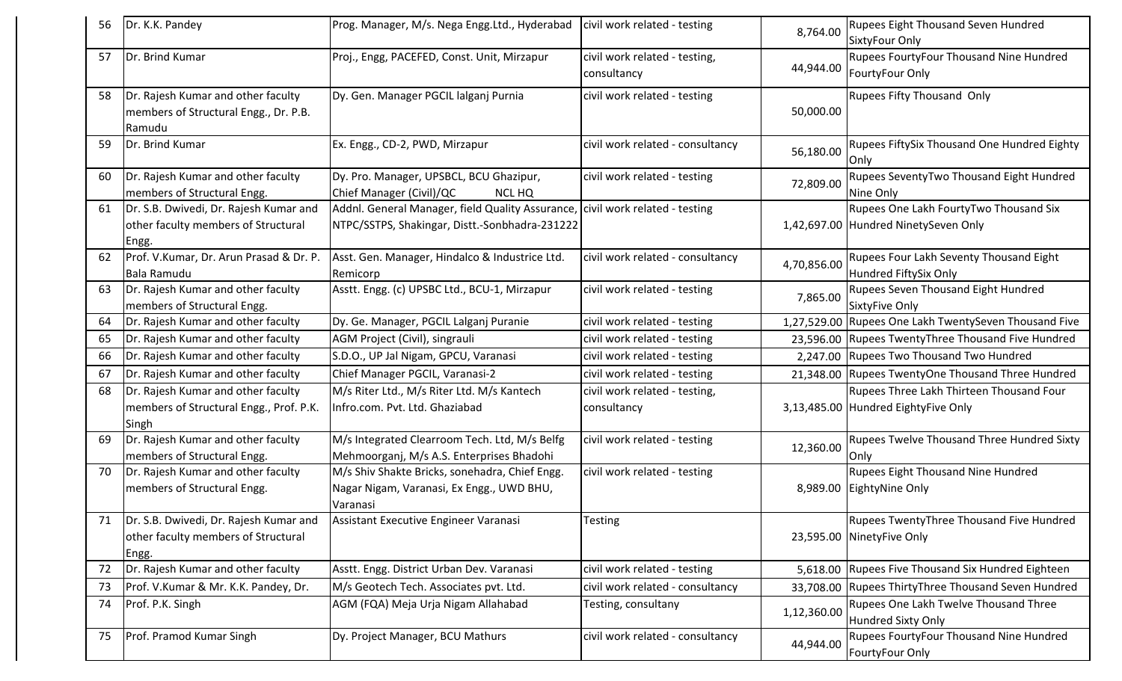|     | Dr. K.K. Pandey                                                                        | Prog. Manager, M/s. Nega Engg.Ltd., Hyderabad                                                                                   | civil work related - testing                 | 8,764.00    | <b>Rupees Eight Thousand Seven Hundred</b><br>SixtyFour Only                    |
|-----|----------------------------------------------------------------------------------------|---------------------------------------------------------------------------------------------------------------------------------|----------------------------------------------|-------------|---------------------------------------------------------------------------------|
| -57 | Dr. Brind Kumar                                                                        | Proj., Engg, PACEFED, Const. Unit, Mirzapur                                                                                     | civil work related - testing,<br>consultancy | 44,944.00   | <b>Rupees FourtyFour Thousand Nine Hundred</b><br>FourtyFour Only               |
| 58  | Dr. Rajesh Kumar and other faculty<br>members of Structural Engg., Dr. P.B.<br>Ramudu  | Dy. Gen. Manager PGCIL lalganj Purnia                                                                                           | civil work related - testing                 | 50,000.00   | <b>Rupees Fifty Thousand Only</b>                                               |
| 59  | Dr. Brind Kumar                                                                        | Ex. Engg., CD-2, PWD, Mirzapur                                                                                                  | civil work related - consultancy             | 56,180.00   | Rupees FiftySix Thousand One Hundred Eighty<br>Only                             |
| 60  | Dr. Rajesh Kumar and other faculty<br>members of Structural Engg.                      | Dy. Pro. Manager, UPSBCL, BCU Ghazipur,<br>Chief Manager (Civil)/QC<br><b>NCL HQ</b>                                            | civil work related - testing                 | 72,809.00   | Rupees SeventyTwo Thousand Eight Hundred<br>Nine Only                           |
| 61  | Dr. S.B. Dwivedi, Dr. Rajesh Kumar and<br>other faculty members of Structural<br>Engg. | Addnl. General Manager, field Quality Assurance, civil work related - testing<br>NTPC/SSTPS, Shakingar, Distt.-Sonbhadra-231222 |                                              |             | Rupees One Lakh FourtyTwo Thousand Six<br>1,42,697.00 Hundred NinetySeven Only  |
| 62  | Prof. V.Kumar, Dr. Arun Prasad & Dr. P.<br>Bala Ramudu                                 | Asst. Gen. Manager, Hindalco & Industrice Ltd.<br>Remicorp                                                                      | civil work related - consultancy             | 4,70,856.00 | Rupees Four Lakh Seventy Thousand Eight<br>Hundred FiftySix Only                |
| 63  | Dr. Rajesh Kumar and other faculty<br>members of Structural Engg.                      | Asstt. Engg. (c) UPSBC Ltd., BCU-1, Mirzapur                                                                                    | civil work related - testing                 | 7,865.00    | Rupees Seven Thousand Eight Hundred<br><b>SixtyFive Only</b>                    |
| 64  | Dr. Rajesh Kumar and other faculty                                                     | Dy. Ge. Manager, PGCIL Lalganj Puranie                                                                                          | civil work related - testing                 |             | 1,27,529.00 Rupees One Lakh TwentySeven Thousand Five                           |
| 65  | Dr. Rajesh Kumar and other faculty                                                     | AGM Project (Civil), singrauli                                                                                                  | civil work related - testing                 |             | 23,596.00 Rupees TwentyThree Thousand Five Hundred                              |
| 66  | Dr. Rajesh Kumar and other faculty                                                     | S.D.O., UP Jal Nigam, GPCU, Varanasi                                                                                            | civil work related - testing                 |             | 2,247.00 Rupees Two Thousand Two Hundred                                        |
| 67  | Dr. Rajesh Kumar and other faculty                                                     | Chief Manager PGCIL, Varanasi-2                                                                                                 | civil work related - testing                 |             | 21,348.00   Rupees Twenty One Thousand Three Hundred                            |
| 68  | Dr. Rajesh Kumar and other faculty<br>members of Structural Engg., Prof. P.K.<br>Singh | M/s Riter Ltd., M/s Riter Ltd. M/s Kantech<br>Infro.com. Pvt. Ltd. Ghaziabad                                                    | civil work related - testing,<br>consultancy |             | Rupees Three Lakh Thirteen Thousand Four<br>3,13,485.00 Hundred EightyFive Only |
| 69  | Dr. Rajesh Kumar and other faculty<br>members of Structural Engg.                      | M/s Integrated Clearroom Tech. Ltd, M/s Belfg<br>Mehmoorganj, M/s A.S. Enterprises Bhadohi                                      | civil work related - testing                 | 12,360.00   | Rupees Twelve Thousand Three Hundred Sixty<br>Only                              |
| 70  | Dr. Rajesh Kumar and other faculty<br>members of Structural Engg.                      | M/s Shiv Shakte Bricks, sonehadra, Chief Engg.<br>Nagar Nigam, Varanasi, Ex Engg., UWD BHU,<br>Varanasi                         | civil work related - testing                 |             | <b>Rupees Eight Thousand Nine Hundred</b><br>8,989.00 EightyNine Only           |
| 71  | Dr. S.B. Dwivedi, Dr. Rajesh Kumar and<br>other faculty members of Structural<br>Engg. | Assistant Executive Engineer Varanasi                                                                                           | <b>Testing</b>                               |             | Rupees TwentyThree Thousand Five Hundred<br>23,595.00 NinetyFive Only           |
| 72  | Dr. Rajesh Kumar and other faculty                                                     | Asstt. Engg. District Urban Dev. Varanasi                                                                                       | civil work related - testing                 | 5,618.00    | Rupees Five Thousand Six Hundred Eighteen                                       |
| 73  | Prof. V.Kumar & Mr. K.K. Pandey, Dr.                                                   | M/s Geotech Tech. Associates pvt. Ltd.                                                                                          | civil work related - consultancy             |             | 33,708.00 Rupees ThirtyThree Thousand Seven Hundred                             |
| 74  | Prof. P.K. Singh                                                                       | AGM (FQA) Meja Urja Nigam Allahabad                                                                                             | Testing, consultany                          | 1,12,360.00 | Rupees One Lakh Twelve Thousand Three<br><b>Hundred Sixty Only</b>              |
| 75  | Prof. Pramod Kumar Singh                                                               | Dy. Project Manager, BCU Mathurs                                                                                                | civil work related - consultancy             | 44,944.00   | Rupees FourtyFour Thousand Nine Hundred<br>FourtyFour Only                      |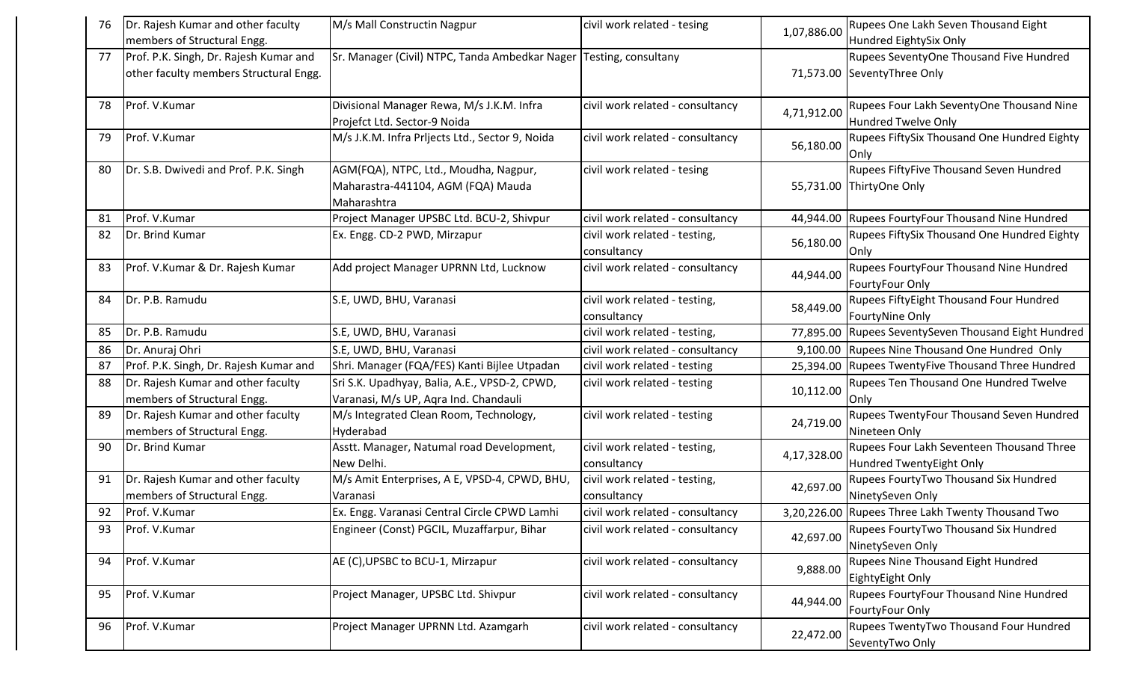| 76 | Dr. Rajesh Kumar and other faculty<br>members of Structural Engg.                | M/s Mall Constructin Nagpur                                                                | civil work related - tesing                  | 1,07,886.00 | Rupees One Lakh Seven Thousand Eight<br>Hundred EightySix Only         |
|----|----------------------------------------------------------------------------------|--------------------------------------------------------------------------------------------|----------------------------------------------|-------------|------------------------------------------------------------------------|
| 77 | Prof. P.K. Singh, Dr. Rajesh Kumar and<br>other faculty members Structural Engg. | Sr. Manager (Civil) NTPC, Tanda Ambedkar Nager Testing, consultany                         |                                              |             | Rupees SeventyOne Thousand Five Hundred<br>71,573.00 SeventyThree Only |
| 78 | Prof. V.Kumar                                                                    | Divisional Manager Rewa, M/s J.K.M. Infra<br>Projefct Ltd. Sector-9 Noida                  | civil work related - consultancy             | 4,71,912.00 | Rupees Four Lakh SeventyOne Thousand Nine<br>Hundred Twelve Only       |
| 79 | Prof. V.Kumar                                                                    | M/s J.K.M. Infra Prljects Ltd., Sector 9, Noida                                            | civil work related - consultancy             | 56,180.00   | Rupees FiftySix Thousand One Hundred Eighty<br>Only                    |
| 80 | Dr. S.B. Dwivedi and Prof. P.K. Singh                                            | AGM(FQA), NTPC, Ltd., Moudha, Nagpur,<br>Maharastra-441104, AGM (FQA) Mauda<br>Maharashtra | civil work related - tesing                  |             | Rupees FiftyFive Thousand Seven Hundred<br>55,731.00 ThirtyOne Only    |
| 81 | Prof. V.Kumar                                                                    | Project Manager UPSBC Ltd. BCU-2, Shivpur                                                  | civil work related - consultancy             | 44,944.00   | Rupees FourtyFour Thousand Nine Hundred                                |
| 82 | Dr. Brind Kumar                                                                  | Ex. Engg. CD-2 PWD, Mirzapur                                                               | civil work related - testing,<br>consultancy | 56,180.00   | Rupees FiftySix Thousand One Hundred Eighty<br>Only                    |
| 83 | Prof. V.Kumar & Dr. Rajesh Kumar                                                 | Add project Manager UPRNN Ltd, Lucknow                                                     | civil work related - consultancy             | 44,944.00   | Rupees FourtyFour Thousand Nine Hundred<br>FourtyFour Only             |
| 84 | Dr. P.B. Ramudu                                                                  | S.E, UWD, BHU, Varanasi                                                                    | civil work related - testing,<br>consultancy | 58,449.00   | <b>Rupees FiftyEight Thousand Four Hundred</b><br>FourtyNine Only      |
| 85 | Dr. P.B. Ramudu                                                                  | S.E, UWD, BHU, Varanasi                                                                    | civil work related - testing,                | 77,895.00   | Rupees SeventySeven Thousand Eight Hundred                             |
| 86 | Dr. Anuraj Ohri                                                                  | S.E, UWD, BHU, Varanasi                                                                    | civil work related - consultancy             | 9,100.00    | Rupees Nine Thousand One Hundred Only                                  |
| 87 | Prof. P.K. Singh, Dr. Rajesh Kumar and                                           | Shri. Manager (FQA/FES) Kanti Bijlee Utpadan                                               | civil work related - testing                 | 25,394.00   | Rupees TwentyFive Thousand Three Hundred                               |
| 88 | Dr. Rajesh Kumar and other faculty<br>members of Structural Engg.                | Sri S.K. Upadhyay, Balia, A.E., VPSD-2, CPWD,<br>Varanasi, M/s UP, Aqra Ind. Chandauli     | civil work related - testing                 | 10,112.00   | <b>Rupees Ten Thousand One Hundred Twelve</b><br>IOnlv                 |
| 89 | Dr. Rajesh Kumar and other faculty<br>members of Structural Engg.                | M/s Integrated Clean Room, Technology,<br>Hyderabad                                        | civil work related - testing                 | 24,719.00   | Rupees TwentyFour Thousand Seven Hundred<br>Nineteen Only              |
| 90 | Dr. Brind Kumar                                                                  | Asstt. Manager, Natumal road Development,<br>New Delhi.                                    | civil work related - testing,<br>consultancy | 4,17,328.00 | Rupees Four Lakh Seventeen Thousand Three<br>Hundred TwentyEight Only  |
| 91 | Dr. Rajesh Kumar and other faculty<br>members of Structural Engg.                | M/s Amit Enterprises, A E, VPSD-4, CPWD, BHU,<br>Varanasi                                  | civil work related - testing,<br>consultancy | 42,697.00   | Rupees FourtyTwo Thousand Six Hundred<br>NinetySeven Only              |
| 92 | Prof. V.Kumar                                                                    | Ex. Engg. Varanasi Central Circle CPWD Lamhi                                               | civil work related - consultancy             |             | 3,20,226.00 Rupees Three Lakh Twenty Thousand Two                      |
| 93 | Prof. V.Kumar                                                                    | Engineer (Const) PGCIL, Muzaffarpur, Bihar                                                 | civil work related - consultancy             | 42,697.00   | Rupees FourtyTwo Thousand Six Hundred<br>NinetySeven Only              |
| 94 | Prof. V.Kumar                                                                    | AE (C), UPSBC to BCU-1, Mirzapur                                                           | civil work related - consultancy             | 9,888.00    | <b>Rupees Nine Thousand Eight Hundred</b><br>EightyEight Only          |
| 95 | Prof. V.Kumar                                                                    | Project Manager, UPSBC Ltd. Shivpur                                                        | civil work related - consultancy             | 44,944.00   | Rupees FourtyFour Thousand Nine Hundred<br>FourtyFour Only             |
| 96 | Prof. V.Kumar                                                                    | Project Manager UPRNN Ltd. Azamgarh                                                        | civil work related - consultancy             | 22,472.00   | Rupees TwentyTwo Thousand Four Hundred<br>SeventyTwo Only              |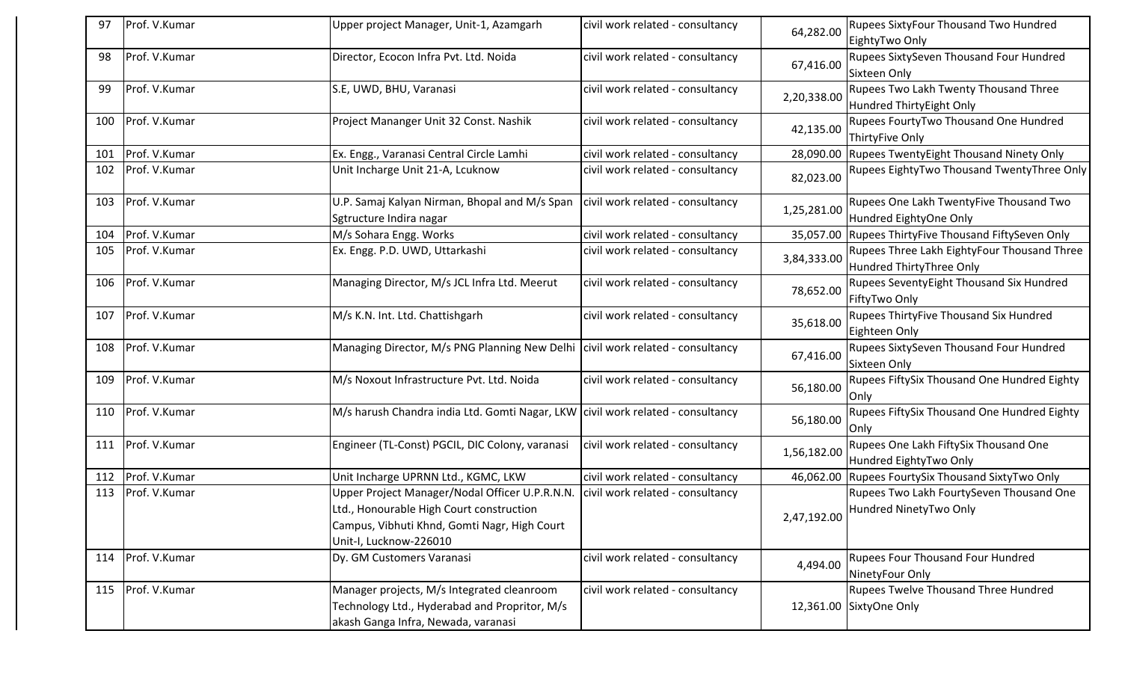| 97  | Prof. V.Kumar     | Upper project Manager, Unit-1, Azamgarh                                                                                                                              | civil work related - consultancy | 64,282.00   | Rupees SixtyFour Thousand Two Hundred<br>EightyTwo Only                        |
|-----|-------------------|----------------------------------------------------------------------------------------------------------------------------------------------------------------------|----------------------------------|-------------|--------------------------------------------------------------------------------|
| 98  | Prof. V.Kumar     | Director, Ecocon Infra Pvt. Ltd. Noida                                                                                                                               | civil work related - consultancy | 67,416.00   | Rupees SixtySeven Thousand Four Hundred<br>Sixteen Only                        |
| 99  | Prof. V.Kumar     | S.E, UWD, BHU, Varanasi                                                                                                                                              | civil work related - consultancy | 2,20,338.00 | Rupees Two Lakh Twenty Thousand Three<br>Hundred ThirtyEight Only              |
| 100 | Prof. V.Kumar     | Project Mananger Unit 32 Const. Nashik                                                                                                                               | civil work related - consultancy | 42,135.00   | Rupees FourtyTwo Thousand One Hundred<br>ThirtyFive Only                       |
| 101 | Prof. V.Kumar     | Ex. Engg., Varanasi Central Circle Lamhi                                                                                                                             | civil work related - consultancy | 28,090.00   | Rupees TwentyEight Thousand Ninety Only                                        |
| 102 | Prof. V.Kumar     | Unit Incharge Unit 21-A, Lcuknow                                                                                                                                     | civil work related - consultancy | 82,023.00   | Rupees EightyTwo Thousand TwentyThree Only                                     |
| 103 | Prof. V.Kumar     | U.P. Samaj Kalyan Nirman, Bhopal and M/s Span<br>Sgtructure Indira nagar                                                                                             | civil work related - consultancy | 1,25,281.00 | Rupees One Lakh TwentyFive Thousand Two<br>Hundred EightyOne Only              |
| 104 | Prof. V.Kumar     | M/s Sohara Engg. Works                                                                                                                                               | civil work related - consultancy | 35,057.00   | Rupees ThirtyFive Thousand FiftySeven Only                                     |
| 105 | Prof. V.Kumar     | Ex. Engg. P.D. UWD, Uttarkashi                                                                                                                                       | civil work related - consultancy | 3,84,333.00 | Rupees Three Lakh EightyFour Thousand Three<br>Hundred ThirtyThree Only        |
| 106 | Prof. V.Kumar     | Managing Director, M/s JCL Infra Ltd. Meerut                                                                                                                         | civil work related - consultancy | 78,652.00   | Rupees SeventyEight Thousand Six Hundred<br>FiftyTwo Only                      |
| 107 | Prof. V.Kumar     | M/s K.N. Int. Ltd. Chattishgarh                                                                                                                                      | civil work related - consultancy | 35,618.00   | Rupees ThirtyFive Thousand Six Hundred<br>Eighteen Only                        |
| 108 | Prof. V.Kumar     | Managing Director, M/s PNG Planning New Delhi civil work related - consultancy                                                                                       |                                  | 67,416.00   | Rupees SixtySeven Thousand Four Hundred<br>Sixteen Only                        |
| 109 | Prof. V.Kumar     | M/s Noxout Infrastructure Pvt. Ltd. Noida                                                                                                                            | civil work related - consultancy | 56,180.00   | Rupees FiftySix Thousand One Hundred Eighty<br>Only                            |
| 110 | Prof. V.Kumar     | M/s harush Chandra india Ltd. Gomti Nagar, LKW civil work related - consultancy                                                                                      |                                  | 56,180.00   | Rupees FiftySix Thousand One Hundred Eighty<br><b>IOnly</b>                    |
| 111 | Prof. V.Kumar     | Engineer (TL-Const) PGCIL, DIC Colony, varanasi                                                                                                                      | civil work related - consultancy | 1,56,182.00 | Rupees One Lakh FiftySix Thousand One<br>Hundred EightyTwo Only                |
| 112 | Prof. V.Kumar     | Unit Incharge UPRNN Ltd., KGMC, LKW                                                                                                                                  | civil work related - consultancy | 46,062.00   | Rupees FourtySix Thousand SixtyTwo Only                                        |
| 113 | Prof. V.Kumar     | Upper Project Manager/Nodal Officer U.P.R.N.N.<br>Ltd., Honourable High Court construction<br>Campus, Vibhuti Khnd, Gomti Nagr, High Court<br>Unit-I, Lucknow-226010 | civil work related - consultancy |             | Rupees Two Lakh FourtySeven Thousand One<br>2,47,192.00 Hundred NinetyTwo Only |
|     | 114 Prof. V.Kumar | Dy. GM Customers Varanasi                                                                                                                                            | civil work related - consultancy | 4,494.00    | <b>Rupees Four Thousand Four Hundred</b><br>NinetyFour Only                    |
|     | 115 Prof. V.Kumar | Manager projects, M/s Integrated cleanroom<br>Technology Ltd., Hyderabad and Propritor, M/s<br>akash Ganga Infra, Newada, varanasi                                   | civil work related - consultancy |             | Rupees Twelve Thousand Three Hundred<br>12,361.00 SixtyOne Only                |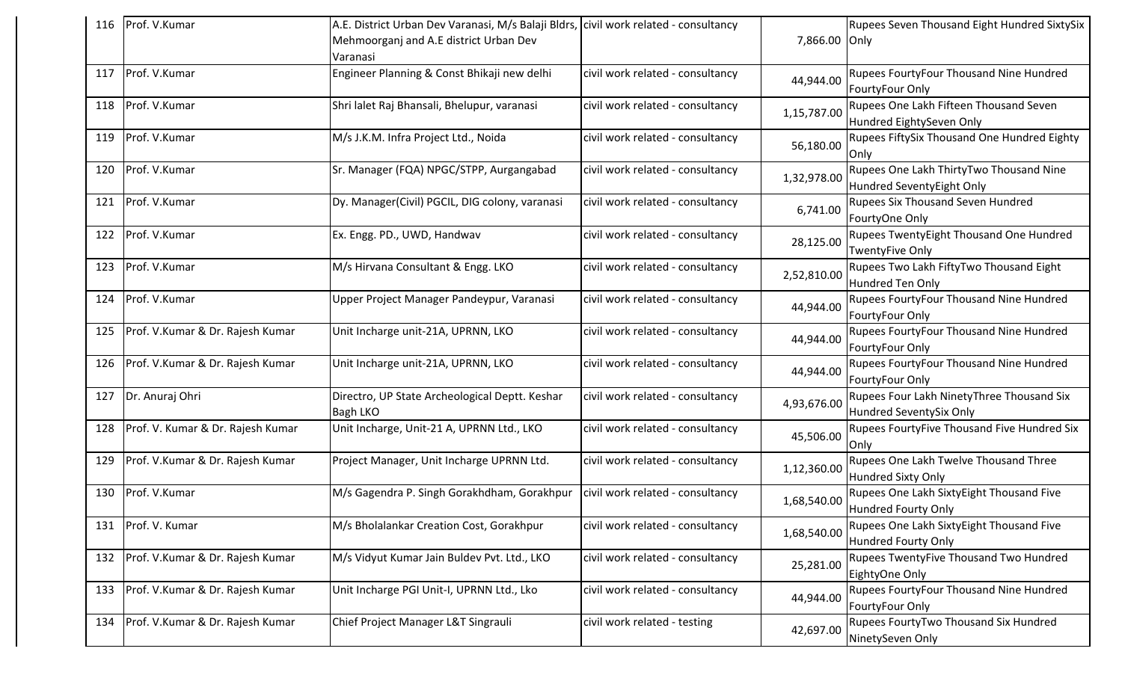| 116 | Prof. V.Kumar                     | A.E. District Urban Dev Varanasi, M/s Balaji Bldrs, civil work related - consultancy |                                  |               | Rupees Seven Thousand Eight Hundred SixtySix |
|-----|-----------------------------------|--------------------------------------------------------------------------------------|----------------------------------|---------------|----------------------------------------------|
|     |                                   | Mehmoorganj and A.E district Urban Dev                                               |                                  | 7,866.00 Only |                                              |
|     |                                   | Varanasi                                                                             |                                  |               |                                              |
| 117 | Prof. V.Kumar                     | Engineer Planning & Const Bhikaji new delhi                                          | civil work related - consultancy |               | Rupees FourtyFour Thousand Nine Hundred      |
|     |                                   |                                                                                      |                                  | 44,944.00     | FourtyFour Only                              |
| 118 | Prof. V.Kumar                     | Shri lalet Raj Bhansali, Bhelupur, varanasi                                          | civil work related - consultancy |               | Rupees One Lakh Fifteen Thousand Seven       |
|     |                                   |                                                                                      |                                  | 1,15,787.00   | Hundred EightySeven Only                     |
| 119 | Prof. V.Kumar                     | M/s J.K.M. Infra Project Ltd., Noida                                                 | civil work related - consultancy |               | Rupees FiftySix Thousand One Hundred Eighty  |
|     |                                   |                                                                                      |                                  | 56,180.00     | Only                                         |
| 120 | Prof. V.Kumar                     | Sr. Manager (FQA) NPGC/STPP, Aurgangabad                                             | civil work related - consultancy |               | Rupees One Lakh ThirtyTwo Thousand Nine      |
|     |                                   |                                                                                      |                                  | 1,32,978.00   | Hundred SeventyEight Only                    |
| 121 | Prof. V.Kumar                     | Dy. Manager(Civil) PGCIL, DIG colony, varanasi                                       | civil work related - consultancy |               | Rupees Six Thousand Seven Hundred            |
|     |                                   |                                                                                      |                                  | 6,741.00      | FourtyOne Only                               |
| 122 | Prof. V.Kumar                     | Ex. Engg. PD., UWD, Handwav                                                          | civil work related - consultancy | 28,125.00     | Rupees TwentyEight Thousand One Hundred      |
|     |                                   |                                                                                      |                                  |               | <b>TwentyFive Only</b>                       |
| 123 | Prof. V.Kumar                     | M/s Hirvana Consultant & Engg. LKO                                                   | civil work related - consultancy | 2,52,810.00   | Rupees Two Lakh FiftyTwo Thousand Eight      |
|     |                                   |                                                                                      |                                  |               | <b>Hundred Ten Only</b>                      |
| 124 | Prof. V.Kumar                     | Upper Project Manager Pandeypur, Varanasi                                            | civil work related - consultancy | 44,944.00     | Rupees FourtyFour Thousand Nine Hundred      |
|     |                                   |                                                                                      |                                  |               | FourtyFour Only                              |
| 125 | Prof. V.Kumar & Dr. Rajesh Kumar  | Unit Incharge unit-21A, UPRNN, LKO                                                   | civil work related - consultancy | 44,944.00     | Rupees FourtyFour Thousand Nine Hundred      |
|     |                                   |                                                                                      |                                  |               | FourtyFour Only                              |
| 126 | Prof. V.Kumar & Dr. Rajesh Kumar  | Unit Incharge unit-21A, UPRNN, LKO                                                   | civil work related - consultancy | 44,944.00     | Rupees FourtyFour Thousand Nine Hundred      |
|     |                                   |                                                                                      |                                  |               | FourtyFour Only                              |
| 127 | Dr. Anuraj Ohri                   | Directro, UP State Archeological Deptt. Keshar                                       | civil work related - consultancy | 4,93,676.00   | Rupees Four Lakh NinetyThree Thousand Six    |
|     |                                   | <b>Bagh LKO</b>                                                                      |                                  |               | Hundred SeventySix Only                      |
| 128 | Prof. V. Kumar & Dr. Rajesh Kumar | Unit Incharge, Unit-21 A, UPRNN Ltd., LKO                                            | civil work related - consultancy | 45,506.00     | Rupees FourtyFive Thousand Five Hundred Six  |
|     |                                   |                                                                                      |                                  |               | Only                                         |
| 129 | Prof. V.Kumar & Dr. Rajesh Kumar  | Project Manager, Unit Incharge UPRNN Ltd.                                            | civil work related - consultancy | 1,12,360.00   | Rupees One Lakh Twelve Thousand Three        |
|     |                                   |                                                                                      |                                  |               | <b>Hundred Sixty Only</b>                    |
| 130 | Prof. V.Kumar                     | M/s Gagendra P. Singh Gorakhdham, Gorakhpur                                          | civil work related - consultancy | 1,68,540.00   | Rupees One Lakh SixtyEight Thousand Five     |
|     |                                   |                                                                                      |                                  |               | <b>Hundred Fourty Only</b>                   |
| 131 | Prof. V. Kumar                    | M/s Bholalankar Creation Cost, Gorakhpur                                             | civil work related - consultancy | 1,68,540.00   | Rupees One Lakh SixtyEight Thousand Five     |
|     |                                   |                                                                                      |                                  |               | <b>Hundred Fourty Only</b>                   |
| 132 | Prof. V.Kumar & Dr. Rajesh Kumar  | M/s Vidyut Kumar Jain Buldev Pvt. Ltd., LKO                                          | civil work related - consultancy | 25,281.00     | Rupees TwentyFive Thousand Two Hundred       |
|     |                                   |                                                                                      |                                  |               | EightyOne Only                               |
| 133 | Prof. V.Kumar & Dr. Rajesh Kumar  | Unit Incharge PGI Unit-I, UPRNN Ltd., Lko                                            | civil work related - consultancy | 44,944.00     | Rupees FourtyFour Thousand Nine Hundred      |
|     |                                   |                                                                                      |                                  |               | FourtyFour Only                              |
| 134 | Prof. V.Kumar & Dr. Rajesh Kumar  | Chief Project Manager L&T Singrauli                                                  | civil work related - testing     | 42,697.00     | Rupees FourtyTwo Thousand Six Hundred        |
|     |                                   |                                                                                      |                                  |               | NinetySeven Only                             |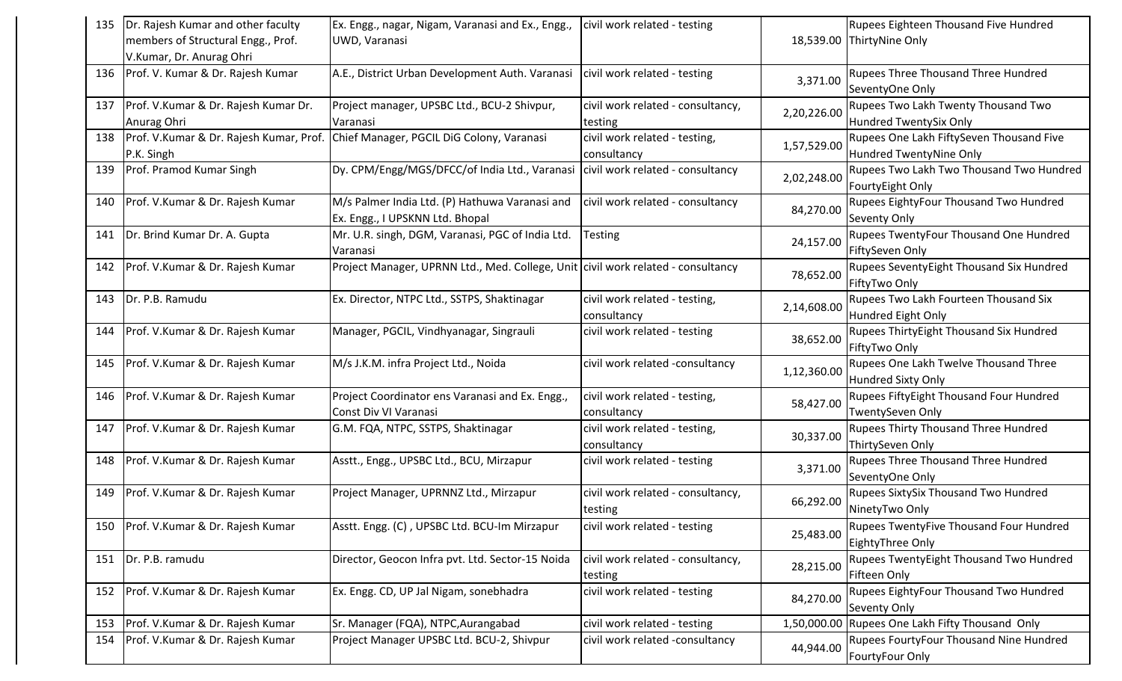| 135 | Dr. Rajesh Kumar and other faculty      | Ex. Engg., nagar, Nigam, Varanasi and Ex., Engg.                                 | civil work related - testing      |             | Rupees Eighteen Thousand Five Hundred       |
|-----|-----------------------------------------|----------------------------------------------------------------------------------|-----------------------------------|-------------|---------------------------------------------|
|     | members of Structural Engg., Prof.      | UWD, Varanasi                                                                    |                                   |             | 18,539.00 ThirtyNine Only                   |
|     | V.Kumar, Dr. Anurag Ohri                |                                                                                  |                                   |             |                                             |
|     | 136   Prof. V. Kumar & Dr. Rajesh Kumar | A.E., District Urban Development Auth. Varanasi                                  | civil work related - testing      | 3,371.00    | Rupees Three Thousand Three Hundred         |
|     |                                         |                                                                                  |                                   |             | SeventyOne Only                             |
| 137 | Prof. V.Kumar & Dr. Rajesh Kumar Dr.    | Project manager, UPSBC Ltd., BCU-2 Shivpur,                                      | civil work related - consultancy, | 2,20,226.00 | Rupees Two Lakh Twenty Thousand Two         |
|     | Anurag Ohri                             | Varanasi                                                                         | testing                           |             | <b>Hundred TwentySix Only</b>               |
| 138 | Prof. V.Kumar & Dr. Rajesh Kumar, Prof. | Chief Manager, PGCIL DiG Colony, Varanasi                                        | civil work related - testing,     | 1,57,529.00 | Rupees One Lakh FiftySeven Thousand Five    |
|     | P.K. Singh                              |                                                                                  | consultancy                       |             | Hundred TwentyNine Only                     |
| 139 | Prof. Pramod Kumar Singh                | Dy. CPM/Engg/MGS/DFCC/of India Ltd., Varanasi                                    | civil work related - consultancy  |             | Rupees Two Lakh Two Thousand Two Hundred    |
|     |                                         |                                                                                  |                                   | 2,02,248.00 | FourtyEight Only                            |
| 140 | Prof. V.Kumar & Dr. Rajesh Kumar        | M/s Palmer India Ltd. (P) Hathuwa Varanasi and                                   | civil work related - consultancy  | 84,270.00   | Rupees EightyFour Thousand Two Hundred      |
|     |                                         | Ex. Engg., I UPSKNN Ltd. Bhopal                                                  |                                   |             | Seventy Only                                |
| 141 | Dr. Brind Kumar Dr. A. Gupta            | Mr. U.R. singh, DGM, Varanasi, PGC of India Ltd.                                 | <b>Testing</b>                    | 24,157.00   | Rupees TwentyFour Thousand One Hundred      |
|     |                                         | Varanasi                                                                         |                                   |             | FiftySeven Only                             |
| 142 | Prof. V.Kumar & Dr. Rajesh Kumar        | Project Manager, UPRNN Ltd., Med. College, Unit civil work related - consultancy |                                   | 78,652.00   | Rupees SeventyEight Thousand Six Hundred    |
|     |                                         |                                                                                  |                                   |             | FiftyTwo Only                               |
| 143 | Dr. P.B. Ramudu                         | Ex. Director, NTPC Ltd., SSTPS, Shaktinagar                                      | civil work related - testing,     | 2,14,608.00 | Rupees Two Lakh Fourteen Thousand Six       |
|     |                                         |                                                                                  | consultancy                       |             | Hundred Eight Only                          |
| 144 | Prof. V.Kumar & Dr. Rajesh Kumar        | Manager, PGCIL, Vindhyanagar, Singrauli                                          | civil work related - testing      |             | Rupees ThirtyEight Thousand Six Hundred     |
|     |                                         |                                                                                  |                                   | 38,652.00   | FiftyTwo Only                               |
| 145 | Prof. V.Kumar & Dr. Rajesh Kumar        | M/s J.K.M. infra Project Ltd., Noida                                             | civil work related -consultancy   | 1,12,360.00 | Rupees One Lakh Twelve Thousand Three       |
|     |                                         |                                                                                  |                                   |             | <b>Hundred Sixty Only</b>                   |
| 146 | Prof. V.Kumar & Dr. Rajesh Kumar        | Project Coordinator ens Varanasi and Ex. Engg.,                                  | civil work related - testing,     | 58,427.00   | Rupees FiftyEight Thousand Four Hundred     |
|     |                                         | Const Div VI Varanasi                                                            | consultancy                       |             | TwentySeven Only                            |
| 147 | Prof. V.Kumar & Dr. Rajesh Kumar        | G.M. FQA, NTPC, SSTPS, Shaktinagar                                               | civil work related - testing,     | 30,337.00   | Rupees Thirty Thousand Three Hundred        |
|     |                                         |                                                                                  | consultancy                       |             | ThirtySeven Only                            |
| 148 | Prof. V.Kumar & Dr. Rajesh Kumar        | Asstt., Engg., UPSBC Ltd., BCU, Mirzapur                                         | civil work related - testing      | 3,371.00    | Rupees Three Thousand Three Hundred         |
|     |                                         |                                                                                  |                                   |             | SeventyOne Only                             |
| 149 | Prof. V.Kumar & Dr. Rajesh Kumar        | Project Manager, UPRNNZ Ltd., Mirzapur                                           | civil work related - consultancy, |             | <b>Rupees SixtySix Thousand Two Hundred</b> |
|     |                                         |                                                                                  | testing                           | 66,292.00   | NinetyTwo Only                              |
| 150 | Prof. V.Kumar & Dr. Rajesh Kumar        | Asstt. Engg. (C), UPSBC Ltd. BCU-Im Mirzapur                                     | civil work related - testing      |             | Rupees TwentyFive Thousand Four Hundred     |
|     |                                         |                                                                                  |                                   | 25,483.00   | EightyThree Only                            |
| 151 | Dr. P.B. ramudu                         | Director, Geocon Infra pvt. Ltd. Sector-15 Noida                                 | civil work related - consultancy, |             | Rupees TwentyEight Thousand Two Hundred     |
|     |                                         |                                                                                  | testing                           | 28,215.00   | Fifteen Only                                |
| 152 | Prof. V.Kumar & Dr. Rajesh Kumar        | Ex. Engg. CD, UP Jal Nigam, sonebhadra                                           | civil work related - testing      |             | Rupees EightyFour Thousand Two Hundred      |
|     |                                         |                                                                                  |                                   | 84,270.00   | Seventy Only                                |
| 153 | Prof. V.Kumar & Dr. Rajesh Kumar        | Sr. Manager (FQA), NTPC, Aurangabad                                              | civil work related - testing      | 1,50,000.00 | Rupees One Lakh Fifty Thousand Only         |
| 154 | Prof. V.Kumar & Dr. Rajesh Kumar        | Project Manager UPSBC Ltd. BCU-2, Shivpur                                        | civil work related -consultancy   |             | Rupees FourtyFour Thousand Nine Hundred     |
|     |                                         |                                                                                  |                                   | 44,944.00   | FourtyFour Only                             |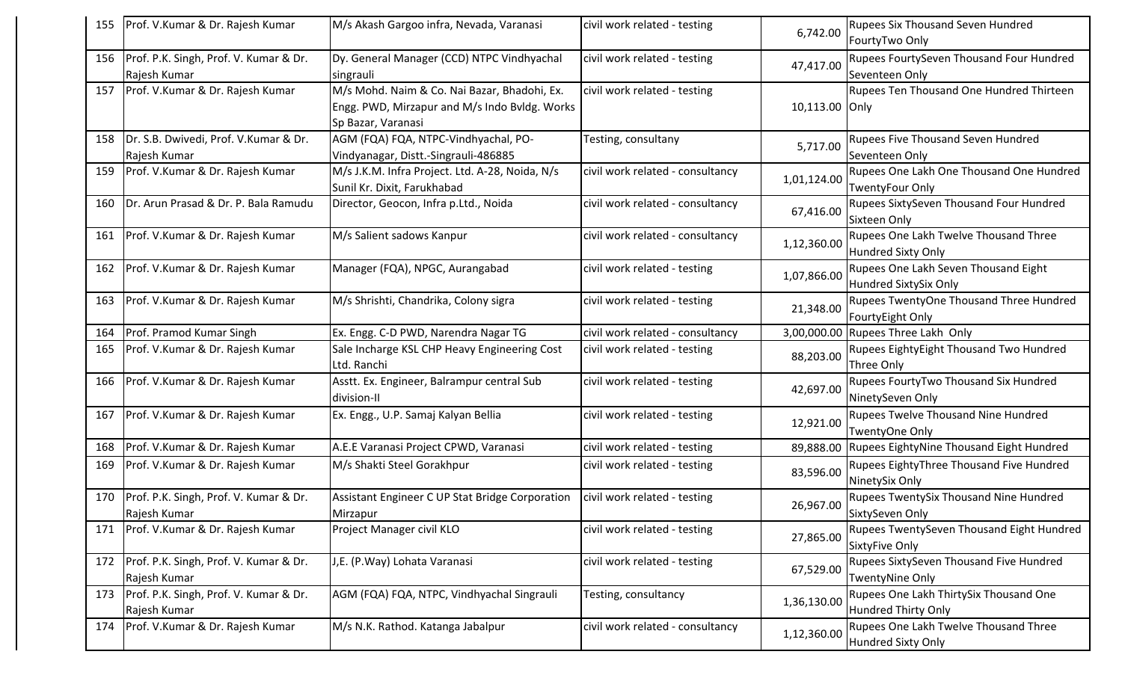| 155 | Prof. V.Kumar & Dr. Rajesh Kumar                       | M/s Akash Gargoo infra, Nevada, Varanasi                                                                            | civil work related - testing     | 6,742.00       | <b>Rupees Six Thousand Seven Hundred</b><br>FourtyTwo Only         |
|-----|--------------------------------------------------------|---------------------------------------------------------------------------------------------------------------------|----------------------------------|----------------|--------------------------------------------------------------------|
| 156 | Prof. P.K. Singh, Prof. V. Kumar & Dr.<br>Rajesh Kumar | Dy. General Manager (CCD) NTPC Vindhyachal<br>singrauli                                                             | civil work related - testing     | 47,417.00      | Rupees FourtySeven Thousand Four Hundred<br>Seventeen Only         |
| 157 | Prof. V.Kumar & Dr. Rajesh Kumar                       | M/s Mohd. Naim & Co. Nai Bazar, Bhadohi, Ex.<br>Engg. PWD, Mirzapur and M/s Indo Bvldg. Works<br>Sp Bazar, Varanasi | civil work related - testing     | 10,113.00 Only | Rupees Ten Thousand One Hundred Thirteen                           |
| 158 | Dr. S.B. Dwivedi, Prof. V.Kumar & Dr.<br>Rajesh Kumar  | AGM (FQA) FQA, NTPC-Vindhyachal, PO-<br>Vindyanagar, Distt.-Singrauli-486885                                        | Testing, consultany              | 5,717.00       | Rupees Five Thousand Seven Hundred<br>Seventeen Only               |
| 159 | Prof. V.Kumar & Dr. Rajesh Kumar                       | M/s J.K.M. Infra Project. Ltd. A-28, Noida, N/s<br>Sunil Kr. Dixit, Farukhabad                                      | civil work related - consultancy | 1,01,124.00    | Rupees One Lakh One Thousand One Hundred<br><b>TwentyFour Only</b> |
| 160 | Dr. Arun Prasad & Dr. P. Bala Ramudu                   | Director, Geocon, Infra p.Ltd., Noida                                                                               | civil work related - consultancy | 67,416.00      | Rupees SixtySeven Thousand Four Hundred<br>Sixteen Only            |
| 161 | Prof. V.Kumar & Dr. Rajesh Kumar                       | M/s Salient sadows Kanpur                                                                                           | civil work related - consultancy | 1,12,360.00    | Rupees One Lakh Twelve Thousand Three<br><b>Hundred Sixty Only</b> |
| 162 | Prof. V.Kumar & Dr. Rajesh Kumar                       | Manager (FQA), NPGC, Aurangabad                                                                                     | civil work related - testing     | 1,07,866.00    | Rupees One Lakh Seven Thousand Eight<br>Hundred SixtySix Only      |
| 163 | Prof. V.Kumar & Dr. Rajesh Kumar                       | M/s Shrishti, Chandrika, Colony sigra                                                                               | civil work related - testing     | 21,348.00      | Rupees TwentyOne Thousand Three Hundred<br>FourtyEight Only        |
| 164 | Prof. Pramod Kumar Singh                               | Ex. Engg. C-D PWD, Narendra Nagar TG                                                                                | civil work related - consultancy | 3,00,000.00    | Rupees Three Lakh Only                                             |
| 165 | Prof. V.Kumar & Dr. Rajesh Kumar                       | Sale Incharge KSL CHP Heavy Engineering Cost<br>Ltd. Ranchi                                                         | civil work related - testing     | 88,203.00      | Rupees EightyEight Thousand Two Hundred<br>Three Only              |
| 166 | Prof. V.Kumar & Dr. Rajesh Kumar                       | Asstt. Ex. Engineer, Balrampur central Sub<br>division-II                                                           | civil work related - testing     | 42,697.00      | Rupees FourtyTwo Thousand Six Hundred<br>NinetySeven Only          |
| 167 | Prof. V.Kumar & Dr. Rajesh Kumar                       | Ex. Engg., U.P. Samaj Kalyan Bellia                                                                                 | civil work related - testing     | 12,921.00      | Rupees Twelve Thousand Nine Hundred<br>TwentyOne Only              |
| 168 | Prof. V.Kumar & Dr. Rajesh Kumar                       | A.E.E Varanasi Project CPWD, Varanasi                                                                               | civil work related - testing     | 89,888.00      | Rupees EightyNine Thousand Eight Hundred                           |
| 169 | Prof. V.Kumar & Dr. Rajesh Kumar                       | M/s Shakti Steel Gorakhpur                                                                                          | civil work related - testing     | 83,596.00      | Rupees EightyThree Thousand Five Hundred<br>NinetySix Only         |
| 170 | Prof. P.K. Singh, Prof. V. Kumar & Dr.<br>Rajesh Kumar | Assistant Engineer C UP Stat Bridge Corporation<br>Mirzapur                                                         | civil work related - testing     | 26,967.00      | Rupees TwentySix Thousand Nine Hundred<br>SixtySeven Only          |
| 171 | Prof. V.Kumar & Dr. Rajesh Kumar                       | Project Manager civil KLO                                                                                           | civil work related - testing     | 27,865.00      | Rupees TwentySeven Thousand Eight Hundred<br>SixtyFive Only        |
| 172 | Prof. P.K. Singh, Prof. V. Kumar & Dr.<br>Rajesh Kumar | J,E. (P.Way) Lohata Varanasi                                                                                        | civil work related - testing     | 67,529.00      | Rupees SixtySeven Thousand Five Hundred<br><b>TwentyNine Only</b>  |
| 173 | Prof. P.K. Singh, Prof. V. Kumar & Dr.<br>Rajesh Kumar | AGM (FQA) FQA, NTPC, Vindhyachal Singrauli                                                                          | Testing, consultancy             | 1,36,130.00    | Rupees One Lakh ThirtySix Thousand One<br>Hundred Thirty Only      |
| 174 | Prof. V.Kumar & Dr. Rajesh Kumar                       | M/s N.K. Rathod. Katanga Jabalpur                                                                                   | civil work related - consultancy | 1,12,360.00    | Rupees One Lakh Twelve Thousand Three<br><b>Hundred Sixty Only</b> |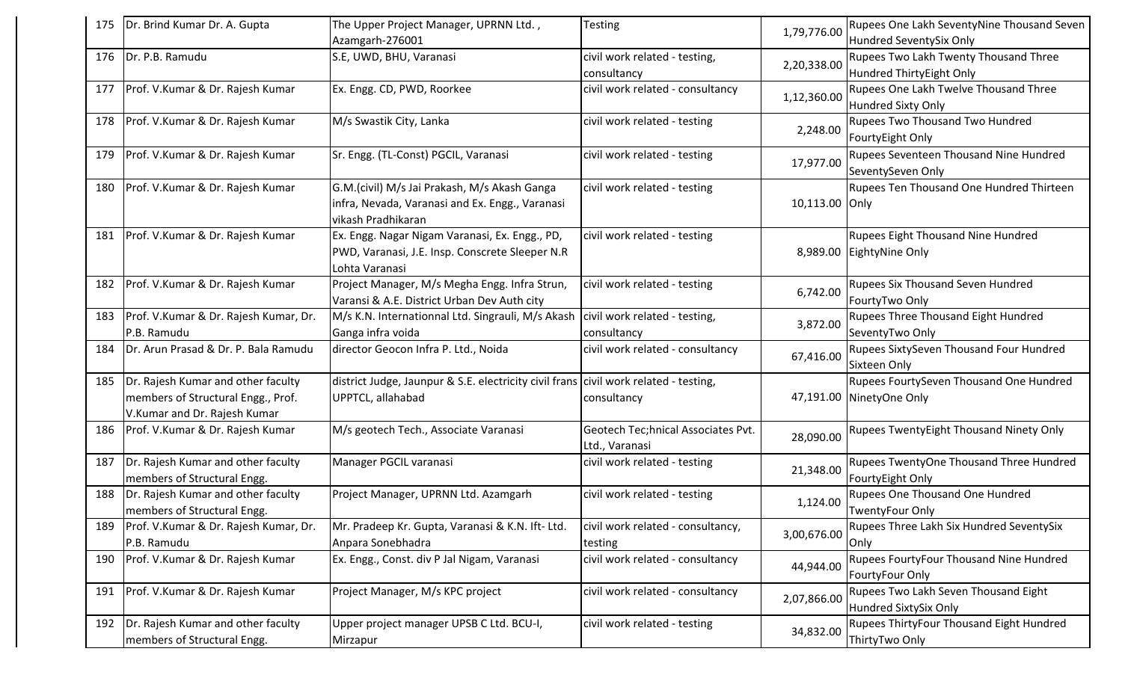| 175 | Dr. Brind Kumar Dr. A. Gupta                                                                             | The Upper Project Manager, UPRNN Ltd.,<br>Azamgarh-276001                                                             | <b>Testing</b>                                       | 1,79,776.00    | Rupees One Lakh SeventyNine Thousand Seven<br>Hundred SeventySix Only |
|-----|----------------------------------------------------------------------------------------------------------|-----------------------------------------------------------------------------------------------------------------------|------------------------------------------------------|----------------|-----------------------------------------------------------------------|
| 176 | Dr. P.B. Ramudu                                                                                          | S.E, UWD, BHU, Varanasi                                                                                               | civil work related - testing,<br>consultancy         | 2,20,338.00    | Rupees Two Lakh Twenty Thousand Three<br>Hundred ThirtyEight Only     |
| 177 | Prof. V.Kumar & Dr. Rajesh Kumar                                                                         | Ex. Engg. CD, PWD, Roorkee                                                                                            | civil work related - consultancy                     | 1,12,360.00    | Rupees One Lakh Twelve Thousand Three<br><b>Hundred Sixty Only</b>    |
| 178 | Prof. V.Kumar & Dr. Rajesh Kumar                                                                         | M/s Swastik City, Lanka                                                                                               | civil work related - testing                         | 2,248.00       | <b>Rupees Two Thousand Two Hundred</b><br>FourtyEight Only            |
| 179 | Prof. V.Kumar & Dr. Rajesh Kumar                                                                         | Sr. Engg. (TL-Const) PGCIL, Varanasi                                                                                  | civil work related - testing                         | 17,977.00      | Rupees Seventeen Thousand Nine Hundred<br>SeventySeven Only           |
| 180 | Prof. V.Kumar & Dr. Rajesh Kumar                                                                         | G.M.(civil) M/s Jai Prakash, M/s Akash Ganga<br>infra, Nevada, Varanasi and Ex. Engg., Varanasi<br>vikash Pradhikaran | civil work related - testing                         | 10,113.00 Only | Rupees Ten Thousand One Hundred Thirteen                              |
| 181 | Prof. V.Kumar & Dr. Rajesh Kumar                                                                         | Ex. Engg. Nagar Nigam Varanasi, Ex. Engg., PD,<br>PWD, Varanasi, J.E. Insp. Conscrete Sleeper N.R<br>Lohta Varanasi   | civil work related - testing                         | 8,989.00       | Rupees Eight Thousand Nine Hundred<br>EightyNine Only                 |
| 182 | Prof. V.Kumar & Dr. Rajesh Kumar                                                                         | Project Manager, M/s Megha Engg. Infra Strun,<br>Varansi & A.E. District Urban Dev Auth city                          | civil work related - testing                         | 6,742.00       | Rupees Six Thousand Seven Hundred<br>FourtyTwo Only                   |
| 183 | Prof. V.Kumar & Dr. Rajesh Kumar, Dr.<br>P.B. Ramudu                                                     | M/s K.N. Internationnal Ltd. Singrauli, M/s Akash   civil work related - testing,<br>Ganga infra voida                | consultancy                                          | 3,872.00       | Rupees Three Thousand Eight Hundred<br>SeventyTwo Only                |
| 184 | Dr. Arun Prasad & Dr. P. Bala Ramudu                                                                     | director Geocon Infra P. Ltd., Noida                                                                                  | civil work related - consultancy                     | 67,416.00      | Rupees SixtySeven Thousand Four Hundred<br>Sixteen Only               |
| 185 | Dr. Rajesh Kumar and other faculty<br>members of Structural Engg., Prof.<br>V.Kumar and Dr. Rajesh Kumar | district Judge, Jaunpur & S.E. electricity civil frans civil work related - testing,<br>UPPTCL, allahabad             | consultancy                                          |                | Rupees FourtySeven Thousand One Hundred<br>47,191.00 NinetyOne Only   |
| 186 | Prof. V.Kumar & Dr. Rajesh Kumar                                                                         | M/s geotech Tech., Associate Varanasi                                                                                 | Geotech Tec;hnical Associates Pvt.<br>Ltd., Varanasi | 28,090.00      | Rupees TwentyEight Thousand Ninety Only                               |
| 187 | Dr. Rajesh Kumar and other faculty<br>members of Structural Engg.                                        | Manager PGCIL varanasi                                                                                                | civil work related - testing                         | 21,348.00      | Rupees TwentyOne Thousand Three Hundred<br>FourtyEight Only           |
| 188 | Dr. Rajesh Kumar and other faculty<br>members of Structural Engg.                                        | Project Manager, UPRNN Ltd. Azamgarh                                                                                  | civil work related - testing                         | 1,124.00       | Rupees One Thousand One Hundred<br><b>TwentyFour Only</b>             |
| 189 | Prof. V.Kumar & Dr. Rajesh Kumar, Dr.<br>P.B. Ramudu                                                     | Mr. Pradeep Kr. Gupta, Varanasi & K.N. Ift- Ltd.<br>Anpara Sonebhadra                                                 | civil work related - consultancy,<br>testing         | 3,00,676.00    | Rupees Three Lakh Six Hundred SeventySix<br>Only                      |
| 190 | Prof. V.Kumar & Dr. Rajesh Kumar                                                                         | Ex. Engg., Const. div P Jal Nigam, Varanasi                                                                           | civil work related - consultancy                     | 44,944.00      | Rupees FourtyFour Thousand Nine Hundred<br>FourtyFour Only            |
| 191 | Prof. V.Kumar & Dr. Rajesh Kumar                                                                         | Project Manager, M/s KPC project                                                                                      | civil work related - consultancy                     | 2,07,866.00    | Rupees Two Lakh Seven Thousand Eight<br>Hundred SixtySix Only         |
| 192 | Dr. Rajesh Kumar and other faculty<br>members of Structural Engg.                                        | Upper project manager UPSB C Ltd. BCU-I,<br>Mirzapur                                                                  | civil work related - testing                         | 34,832.00      | Rupees ThirtyFour Thousand Eight Hundred<br>ThirtyTwo Only            |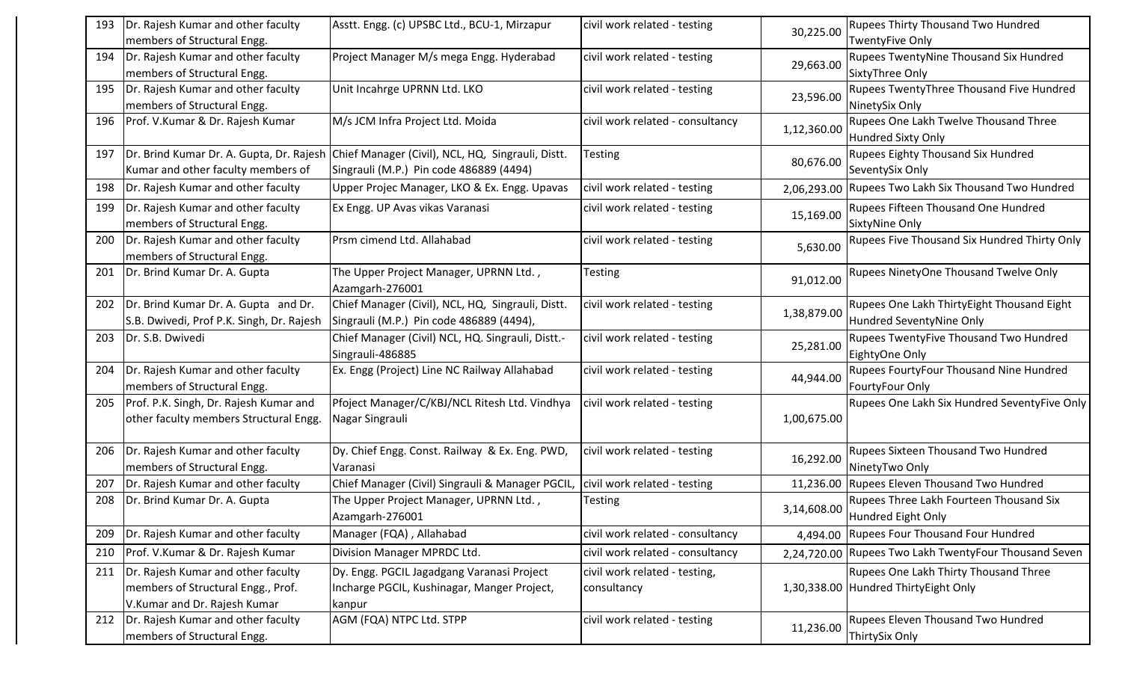| 193 | Dr. Rajesh Kumar and other faculty<br>members of Structural Engg.                                        | Asstt. Engg. (c) UPSBC Ltd., BCU-1, Mirzapur                                                                                          | civil work related - testing                 | 30,225.00   | <b>Rupees Thirty Thousand Two Hundred</b><br><b>TwentyFive Only</b>           |
|-----|----------------------------------------------------------------------------------------------------------|---------------------------------------------------------------------------------------------------------------------------------------|----------------------------------------------|-------------|-------------------------------------------------------------------------------|
| 194 | Dr. Rajesh Kumar and other faculty<br>members of Structural Engg.                                        | Project Manager M/s mega Engg. Hyderabad                                                                                              | civil work related - testing                 | 29,663.00   | <b>Rupees TwentyNine Thousand Six Hundred</b><br>SixtyThree Only              |
| 195 | Dr. Rajesh Kumar and other faculty<br>members of Structural Engg.                                        | Unit Incahrge UPRNN Ltd. LKO                                                                                                          | civil work related - testing                 | 23,596.00   | Rupees TwentyThree Thousand Five Hundred<br>NinetySix Only                    |
| 196 | Prof. V.Kumar & Dr. Rajesh Kumar                                                                         | M/s JCM Infra Project Ltd. Moida                                                                                                      | civil work related - consultancy             | 1,12,360.00 | <b>Rupees One Lakh Twelve Thousand Three</b><br>Hundred Sixty Only            |
| 197 | Kumar and other faculty members of                                                                       | Dr. Brind Kumar Dr. A. Gupta, Dr. Rajesh Chief Manager (Civil), NCL, HQ, Singrauli, Distt.<br>Singrauli (M.P.) Pin code 486889 (4494) | Testing                                      | 80,676.00   | <b>Rupees Eighty Thousand Six Hundred</b><br>SeventySix Only                  |
| 198 | Dr. Rajesh Kumar and other faculty                                                                       | Upper Projec Manager, LKO & Ex. Engg. Upavas                                                                                          | civil work related - testing                 |             | 2,06,293.00 Rupees Two Lakh Six Thousand Two Hundred                          |
| 199 | Dr. Rajesh Kumar and other faculty<br>members of Structural Engg.                                        | Ex Engg. UP Avas vikas Varanasi                                                                                                       | civil work related - testing                 | 15,169.00   | Rupees Fifteen Thousand One Hundred<br>SixtyNine Only                         |
| 200 | Dr. Rajesh Kumar and other faculty<br>members of Structural Engg.                                        | Prsm cimend Ltd. Allahabad                                                                                                            | civil work related - testing                 | 5,630.00    | Rupees Five Thousand Six Hundred Thirty Only                                  |
| 201 | Dr. Brind Kumar Dr. A. Gupta                                                                             | The Upper Project Manager, UPRNN Ltd.,<br>Azamgarh-276001                                                                             | Testing                                      | 91,012.00   | <b>Rupees NinetyOne Thousand Twelve Only</b>                                  |
| 202 | Dr. Brind Kumar Dr. A. Gupta and Dr.<br>S.B. Dwivedi, Prof P.K. Singh, Dr. Rajesh                        | Chief Manager (Civil), NCL, HQ, Singrauli, Distt.<br>Singrauli (M.P.) Pin code 486889 (4494),                                         | civil work related - testing                 | 1,38,879.00 | Rupees One Lakh ThirtyEight Thousand Eight<br>Hundred SeventyNine Only        |
| 203 | Dr. S.B. Dwivedi                                                                                         | Chief Manager (Civil) NCL, HQ. Singrauli, Distt.-<br>Singrauli-486885                                                                 | civil work related - testing                 | 25,281.00   | Rupees TwentyFive Thousand Two Hundred<br>EightyOne Only                      |
| 204 | Dr. Rajesh Kumar and other faculty<br>members of Structural Engg.                                        | Ex. Engg (Project) Line NC Railway Allahabad                                                                                          | civil work related - testing                 | 44,944.00   | Rupees FourtyFour Thousand Nine Hundred<br>FourtyFour Only                    |
| 205 | Prof. P.K. Singh, Dr. Rajesh Kumar and<br>other faculty members Structural Engg.                         | Pfoject Manager/C/KBJ/NCL Ritesh Ltd. Vindhya<br>Nagar Singrauli                                                                      | civil work related - testing                 | 1,00,675.00 | Rupees One Lakh Six Hundred SeventyFive Only                                  |
| 206 | Dr. Rajesh Kumar and other faculty<br>members of Structural Engg.                                        | Dy. Chief Engg. Const. Railway & Ex. Eng. PWD,<br>Varanasi                                                                            | civil work related - testing                 | 16,292.00   | <b>Rupees Sixteen Thousand Two Hundred</b><br>NinetyTwo Only                  |
| 207 | Dr. Rajesh Kumar and other faculty                                                                       | Chief Manager (Civil) Singrauli & Manager PGCIL, civil work related - testing                                                         |                                              |             | 11,236.00 Rupees Eleven Thousand Two Hundred                                  |
| 208 | Dr. Brind Kumar Dr. A. Gupta                                                                             | The Upper Project Manager, UPRNN Ltd.,<br>Azamgarh-276001                                                                             | Testing                                      | 3,14,608.00 | Rupees Three Lakh Fourteen Thousand Six<br>Hundred Eight Only                 |
| 209 | Dr. Rajesh Kumar and other faculty                                                                       | Manager (FQA), Allahabad                                                                                                              | civil work related - consultancy             |             | 4,494.00 Rupees Four Thousand Four Hundred                                    |
| 210 | Prof. V.Kumar & Dr. Rajesh Kumar                                                                         | Division Manager MPRDC Ltd.                                                                                                           | civil work related - consultancy             | 2,24,720.00 | Rupees Two Lakh TwentyFour Thousand Seven                                     |
| 211 | Dr. Rajesh Kumar and other faculty<br>members of Structural Engg., Prof.<br>V.Kumar and Dr. Rajesh Kumar | Dy. Engg. PGCIL Jagadgang Varanasi Project<br>Incharge PGCIL, Kushinagar, Manger Project,<br>kanpur                                   | civil work related - testing,<br>consultancy |             | Rupees One Lakh Thirty Thousand Three<br>1,30,338.00 Hundred ThirtyEight Only |
| 212 | Dr. Rajesh Kumar and other faculty<br>members of Structural Engg.                                        | AGM (FQA) NTPC Ltd. STPP                                                                                                              | civil work related - testing                 | 11,236.00   | <b>Rupees Eleven Thousand Two Hundred</b><br>ThirtySix Only                   |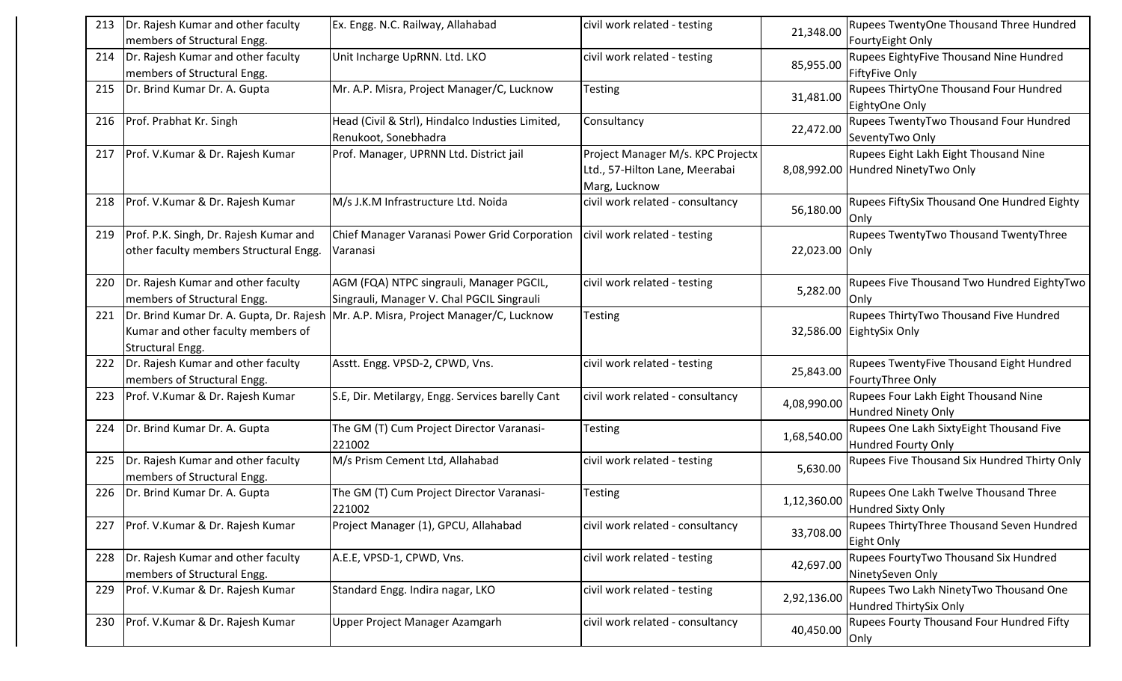| 213 | Dr. Rajesh Kumar and other faculty<br>members of Structural Engg.                                  | Ex. Engg. N.C. Railway, Allahabad                                                      | civil work related - testing                                                         | 21,348.00      | Rupees TwentyOne Thousand Three Hundred<br>FourtyEight Only                 |
|-----|----------------------------------------------------------------------------------------------------|----------------------------------------------------------------------------------------|--------------------------------------------------------------------------------------|----------------|-----------------------------------------------------------------------------|
| 214 | Dr. Rajesh Kumar and other faculty<br>members of Structural Engg.                                  | Unit Incharge UpRNN. Ltd. LKO                                                          | civil work related - testing                                                         | 85,955.00      | Rupees EightyFive Thousand Nine Hundred<br><b>FiftyFive Only</b>            |
| 215 | Dr. Brind Kumar Dr. A. Gupta                                                                       | Mr. A.P. Misra, Project Manager/C, Lucknow                                             | Testing                                                                              | 31,481.00      | Rupees ThirtyOne Thousand Four Hundred<br>EightyOne Only                    |
| 216 | Prof. Prabhat Kr. Singh                                                                            | Head (Civil & Strl), Hindalco Industies Limited,<br>Renukoot, Sonebhadra               | Consultancy                                                                          | 22,472.00      | Rupees TwentyTwo Thousand Four Hundred<br>SeventyTwo Only                   |
| 217 | Prof. V.Kumar & Dr. Rajesh Kumar                                                                   | Prof. Manager, UPRNN Ltd. District jail                                                | Project Manager M/s. KPC Projectx<br>Ltd., 57-Hilton Lane, Meerabai<br>Marg, Lucknow |                | Rupees Eight Lakh Eight Thousand Nine<br>8,08,992.00 Hundred NinetyTwo Only |
| 218 | Prof. V.Kumar & Dr. Rajesh Kumar                                                                   | M/s J.K.M Infrastructure Ltd. Noida                                                    | civil work related - consultancy                                                     | 56,180.00      | Rupees FiftySix Thousand One Hundred Eighty<br>Only                         |
| 219 | Prof. P.K. Singh, Dr. Rajesh Kumar and<br>other faculty members Structural Engg.                   | Chief Manager Varanasi Power Grid Corporation<br>Varanasi                              | civil work related - testing                                                         | 22,023.00 Only | Rupees TwentyTwo Thousand TwentyThree                                       |
| 220 | Dr. Rajesh Kumar and other faculty<br>members of Structural Engg.                                  | AGM (FQA) NTPC singrauli, Manager PGCIL,<br>Singrauli, Manager V. Chal PGCIL Singrauli | civil work related - testing                                                         | 5,282.00       | Rupees Five Thousand Two Hundred EightyTwo<br>Only                          |
| 221 | Dr. Brind Kumar Dr. A. Gupta, Dr. Rajesh<br>Kumar and other faculty members of<br>Structural Engg. | Mr. A.P. Misra, Project Manager/C, Lucknow                                             | Testing                                                                              |                | Rupees ThirtyTwo Thousand Five Hundred<br>32,586.00 EightySix Only          |
| 222 | Dr. Rajesh Kumar and other faculty<br>members of Structural Engg.                                  | Asstt. Engg. VPSD-2, CPWD, Vns.                                                        | civil work related - testing                                                         | 25,843.00      | Rupees TwentyFive Thousand Eight Hundred<br>FourtyThree Only                |
| 223 | Prof. V.Kumar & Dr. Rajesh Kumar                                                                   | S.E, Dir. Metilargy, Engg. Services barelly Cant                                       | civil work related - consultancy                                                     | 4,08,990.00    | Rupees Four Lakh Eight Thousand Nine<br><b>Hundred Ninety Only</b>          |
| 224 | Dr. Brind Kumar Dr. A. Gupta                                                                       | The GM (T) Cum Project Director Varanasi-<br>221002                                    | <b>Testing</b>                                                                       | 1,68,540.00    | Rupees One Lakh SixtyEight Thousand Five<br><b>Hundred Fourty Only</b>      |
| 225 | Dr. Rajesh Kumar and other faculty<br>members of Structural Engg.                                  | M/s Prism Cement Ltd, Allahabad                                                        | civil work related - testing                                                         | 5,630.00       | Rupees Five Thousand Six Hundred Thirty Only                                |
| 226 | Dr. Brind Kumar Dr. A. Gupta                                                                       | The GM (T) Cum Project Director Varanasi-<br>221002                                    | Testing                                                                              | 1,12,360.00    | Rupees One Lakh Twelve Thousand Three<br><b>Hundred Sixty Only</b>          |
| 227 | Prof. V.Kumar & Dr. Rajesh Kumar                                                                   | Project Manager (1), GPCU, Allahabad                                                   | civil work related - consultancy                                                     | 33,708.00      | Rupees ThirtyThree Thousand Seven Hundred<br>Eight Only                     |
| 228 | Dr. Rajesh Kumar and other faculty<br>members of Structural Engg.                                  | A.E.E, VPSD-1, CPWD, Vns.                                                              | civil work related - testing                                                         | 42,697.00      | Rupees FourtyTwo Thousand Six Hundred<br>NinetySeven Only                   |
| 229 | Prof. V.Kumar & Dr. Rajesh Kumar                                                                   | Standard Engg. Indira nagar, LKO                                                       | civil work related - testing                                                         | 2,92,136.00    | Rupees Two Lakh NinetyTwo Thousand One<br>Hundred ThirtySix Only            |
| 230 | Prof. V.Kumar & Dr. Rajesh Kumar                                                                   | Upper Project Manager Azamgarh                                                         | civil work related - consultancy                                                     | 40,450.00      | Rupees Fourty Thousand Four Hundred Fifty<br>Only                           |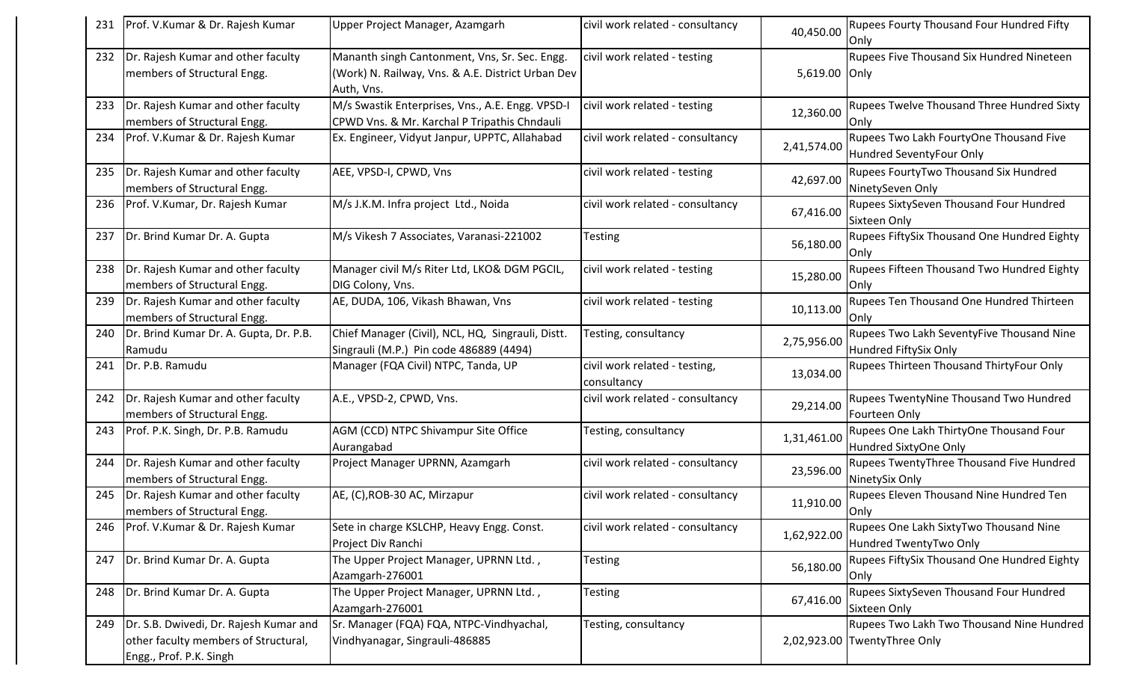|     | Prof. V.Kumar & Dr. Rajesh Kumar                                                                          | Upper Project Manager, Azamgarh                                                                                  | civil work related - consultancy             | 40,450.00     | Rupees Fourty Thousand Four Hundred Fifty<br>Only                         |
|-----|-----------------------------------------------------------------------------------------------------------|------------------------------------------------------------------------------------------------------------------|----------------------------------------------|---------------|---------------------------------------------------------------------------|
| 232 | Dr. Rajesh Kumar and other faculty<br>members of Structural Engg.                                         | Mananth singh Cantonment, Vns, Sr. Sec. Engg.<br>(Work) N. Railway, Vns. & A.E. District Urban Dev<br>Auth, Vns. | civil work related - testing                 | 5,619.00 Only | Rupees Five Thousand Six Hundred Nineteen                                 |
| 233 | Dr. Rajesh Kumar and other faculty<br>members of Structural Engg.                                         | M/s Swastik Enterprises, Vns., A.E. Engg. VPSD-I<br>CPWD Vns. & Mr. Karchal P Tripathis Chndauli                 | civil work related - testing                 | 12,360.00     | Rupees Twelve Thousand Three Hundred Sixty<br>Only                        |
| 234 | Prof. V.Kumar & Dr. Rajesh Kumar                                                                          | Ex. Engineer, Vidyut Janpur, UPPTC, Allahabad                                                                    | civil work related - consultancy             | 2,41,574.00   | Rupees Two Lakh FourtyOne Thousand Five<br>Hundred SeventyFour Only       |
| 235 | Dr. Rajesh Kumar and other faculty<br>members of Structural Engg.                                         | AEE, VPSD-I, CPWD, Vns                                                                                           | civil work related - testing                 | 42,697.00     | Rupees FourtyTwo Thousand Six Hundred<br>NinetySeven Only                 |
| 236 | Prof. V.Kumar, Dr. Rajesh Kumar                                                                           | M/s J.K.M. Infra project Ltd., Noida                                                                             | civil work related - consultancy             | 67,416.00     | Rupees SixtySeven Thousand Four Hundred<br>Sixteen Only                   |
| 237 | Dr. Brind Kumar Dr. A. Gupta                                                                              | M/s Vikesh 7 Associates, Varanasi-221002                                                                         | <b>Testing</b>                               | 56,180.00     | Rupees FiftySix Thousand One Hundred Eighty<br>Only                       |
| 238 | Dr. Rajesh Kumar and other faculty<br>members of Structural Engg.                                         | Manager civil M/s Riter Ltd, LKO& DGM PGCIL,<br>DIG Colony, Vns.                                                 | civil work related - testing                 | 15,280.00     | Rupees Fifteen Thousand Two Hundred Eighty<br>Only                        |
| 239 | Dr. Rajesh Kumar and other faculty<br>members of Structural Engg.                                         | AE, DUDA, 106, Vikash Bhawan, Vns                                                                                | civil work related - testing                 | 10,113.00     | Rupees Ten Thousand One Hundred Thirteen<br>Only                          |
| 240 | Dr. Brind Kumar Dr. A. Gupta, Dr. P.B.<br>Ramudu                                                          | Chief Manager (Civil), NCL, HQ, Singrauli, Distt.<br>Singrauli (M.P.) Pin code 486889 (4494)                     | Testing, consultancy                         | 2,75,956.00   | Rupees Two Lakh SeventyFive Thousand Nine<br>Hundred FiftySix Only        |
| 241 | Dr. P.B. Ramudu                                                                                           | Manager (FQA Civil) NTPC, Tanda, UP                                                                              | civil work related - testing,<br>consultancy | 13,034.00     | Rupees Thirteen Thousand ThirtyFour Only                                  |
| 242 | Dr. Rajesh Kumar and other faculty<br>members of Structural Engg.                                         | A.E., VPSD-2, CPWD, Vns.                                                                                         | civil work related - consultancy             | 29,214.00     | Rupees TwentyNine Thousand Two Hundred<br>Fourteen Only                   |
| 243 | Prof. P.K. Singh, Dr. P.B. Ramudu                                                                         | AGM (CCD) NTPC Shivampur Site Office<br>Aurangabad                                                               | Testing, consultancy                         | 1,31,461.00   | Rupees One Lakh ThirtyOne Thousand Four<br>Hundred SixtyOne Only          |
| 244 | Dr. Rajesh Kumar and other faculty<br>members of Structural Engg.                                         | Project Manager UPRNN, Azamgarh                                                                                  | civil work related - consultancy             | 23,596.00     | Rupees TwentyThree Thousand Five Hundred<br>NinetySix Only                |
| 245 | Dr. Rajesh Kumar and other faculty<br>members of Structural Engg.                                         | AE, (C), ROB-30 AC, Mirzapur                                                                                     | civil work related - consultancy             | 11,910.00     | Rupees Eleven Thousand Nine Hundred Ten<br>Only                           |
| 246 | Prof. V.Kumar & Dr. Rajesh Kumar                                                                          | Sete in charge KSLCHP, Heavy Engg. Const.<br>Project Div Ranchi                                                  | civil work related - consultancy             | 1,62,922.00   | Rupees One Lakh SixtyTwo Thousand Nine<br>Hundred TwentyTwo Only          |
| 247 | Dr. Brind Kumar Dr. A. Gupta                                                                              | The Upper Project Manager, UPRNN Ltd.,<br>Azamgarh-276001                                                        | Testing                                      | 56,180.00     | Rupees FiftySix Thousand One Hundred Eighty<br>Only                       |
| 248 | Dr. Brind Kumar Dr. A. Gupta                                                                              | The Upper Project Manager, UPRNN Ltd.,<br>Azamgarh-276001                                                        | Testing                                      | 67,416.00     | Rupees SixtySeven Thousand Four Hundred<br>Sixteen Only                   |
| 249 | Dr. S.B. Dwivedi, Dr. Rajesh Kumar and<br>other faculty members of Structural,<br>Engg., Prof. P.K. Singh | Sr. Manager (FQA) FQA, NTPC-Vindhyachal,<br>Vindhyanagar, Singrauli-486885                                       | Testing, consultancy                         |               | Rupees Two Lakh Two Thousand Nine Hundred<br>2,02,923.00 TwentyThree Only |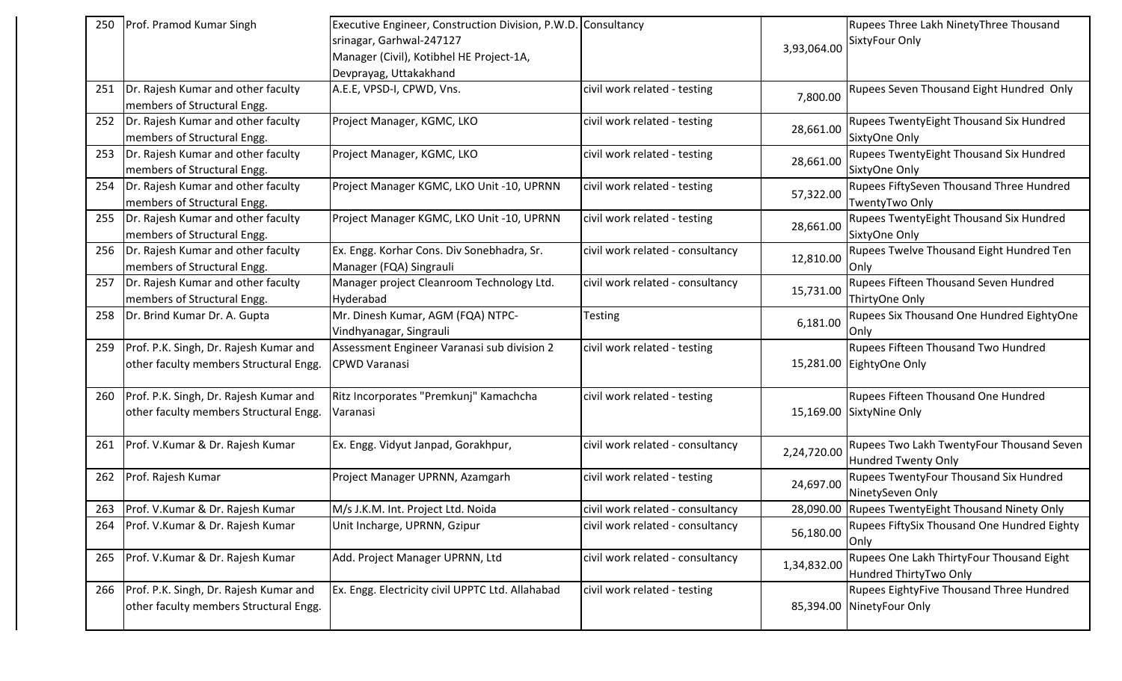| 250 | Prof. Pramod Kumar Singh                                                         | Executive Engineer, Construction Division, P.W.D. Consultancy<br>srinagar, Garhwal-247127<br>Manager (Civil), Kotibhel HE Project-1A,<br>Devprayag, Uttakakhand |                                  | 3,93,064.00 | Rupees Three Lakh NinetyThree Thousand<br>SixtyFour Only              |
|-----|----------------------------------------------------------------------------------|-----------------------------------------------------------------------------------------------------------------------------------------------------------------|----------------------------------|-------------|-----------------------------------------------------------------------|
| 251 | Dr. Rajesh Kumar and other faculty<br>members of Structural Engg.                | A.E.E, VPSD-I, CPWD, Vns.                                                                                                                                       | civil work related - testing     | 7,800.00    | Rupees Seven Thousand Eight Hundred Only                              |
| 252 | Dr. Rajesh Kumar and other faculty<br>members of Structural Engg.                | Project Manager, KGMC, LKO                                                                                                                                      | civil work related - testing     | 28,661.00   | Rupees TwentyEight Thousand Six Hundred<br>SixtyOne Only              |
| 253 | Dr. Rajesh Kumar and other faculty<br>members of Structural Engg.                | Project Manager, KGMC, LKO                                                                                                                                      | civil work related - testing     | 28,661.00   | Rupees TwentyEight Thousand Six Hundred<br>SixtyOne Only              |
| 254 | Dr. Rajesh Kumar and other faculty<br>members of Structural Engg.                | Project Manager KGMC, LKO Unit -10, UPRNN                                                                                                                       | civil work related - testing     | 57,322.00   | Rupees FiftySeven Thousand Three Hundred<br>TwentyTwo Only            |
| 255 | Dr. Rajesh Kumar and other faculty<br>members of Structural Engg.                | Project Manager KGMC, LKO Unit -10, UPRNN                                                                                                                       | civil work related - testing     | 28,661.00   | Rupees TwentyEight Thousand Six Hundred<br>SixtyOne Only              |
| 256 | Dr. Rajesh Kumar and other faculty<br>members of Structural Engg.                | Ex. Engg. Korhar Cons. Div Sonebhadra, Sr.<br>Manager (FQA) Singrauli                                                                                           | civil work related - consultancy | 12,810.00   | Rupees Twelve Thousand Eight Hundred Ten<br>lOnlv                     |
| 257 | Dr. Rajesh Kumar and other faculty<br>members of Structural Engg.                | Manager project Cleanroom Technology Ltd.<br>Hyderabad                                                                                                          | civil work related - consultancy | 15,731.00   | Rupees Fifteen Thousand Seven Hundred<br>ThirtyOne Only               |
| 258 | Dr. Brind Kumar Dr. A. Gupta                                                     | Mr. Dinesh Kumar, AGM (FQA) NTPC-<br>Vindhyanagar, Singrauli                                                                                                    | Testing                          | 6,181.00    | Rupees Six Thousand One Hundred EightyOne<br>Only                     |
| 259 | Prof. P.K. Singh, Dr. Rajesh Kumar and<br>other faculty members Structural Engg. | Assessment Engineer Varanasi sub division 2<br><b>CPWD Varanasi</b>                                                                                             | civil work related - testing     |             | Rupees Fifteen Thousand Two Hundred<br>15,281.00 EightyOne Only       |
| 260 | Prof. P.K. Singh, Dr. Rajesh Kumar and<br>other faculty members Structural Engg. | Ritz Incorporates "Premkunj" Kamachcha<br>Varanasi                                                                                                              | civil work related - testing     |             | Rupees Fifteen Thousand One Hundred<br>15,169.00 SixtyNine Only       |
| 261 | Prof. V.Kumar & Dr. Rajesh Kumar                                                 | Ex. Engg. Vidyut Janpad, Gorakhpur,                                                                                                                             | civil work related - consultancy | 2,24,720.00 | Rupees Two Lakh TwentyFour Thousand Seven<br>Hundred Twenty Only      |
| 262 | Prof. Rajesh Kumar                                                               | Project Manager UPRNN, Azamgarh                                                                                                                                 | civil work related - testing     | 24,697.00   | Rupees TwentyFour Thousand Six Hundred<br>NinetySeven Only            |
| 263 | Prof. V.Kumar & Dr. Rajesh Kumar                                                 | M/s J.K.M. Int. Project Ltd. Noida                                                                                                                              | civil work related - consultancy |             | 28,090.00 Rupees TwentyEight Thousand Ninety Only                     |
| 264 | Prof. V.Kumar & Dr. Rajesh Kumar                                                 | Unit Incharge, UPRNN, Gzipur                                                                                                                                    | civil work related - consultancy | 56,180.00   | Rupees FiftySix Thousand One Hundred Eighty<br><b>Only</b>            |
| 265 | Prof. V.Kumar & Dr. Rajesh Kumar                                                 | Add. Project Manager UPRNN, Ltd                                                                                                                                 | civil work related - consultancy | 1,34,832.00 | Rupees One Lakh ThirtyFour Thousand Eight<br>Hundred ThirtyTwo Only   |
| 266 | Prof. P.K. Singh, Dr. Rajesh Kumar and<br>other faculty members Structural Engg. | Ex. Engg. Electricity civil UPPTC Ltd. Allahabad                                                                                                                | civil work related - testing     |             | Rupees EightyFive Thousand Three Hundred<br>85,394.00 NinetyFour Only |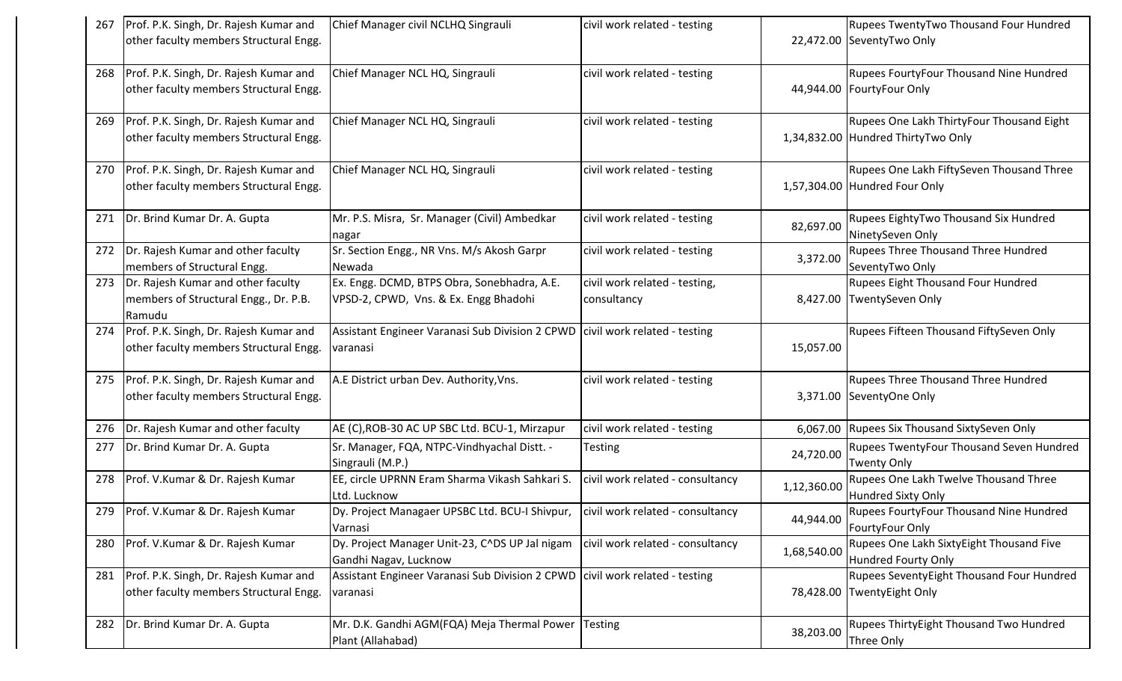| 267 | Prof. P.K. Singh, Dr. Rajesh Kumar and                                                | Chief Manager civil NCLHQ Singrauli                                                      | civil work related - testing                 |             | Rupees TwentyTwo Thousand Four Hundred                                          |
|-----|---------------------------------------------------------------------------------------|------------------------------------------------------------------------------------------|----------------------------------------------|-------------|---------------------------------------------------------------------------------|
|     | other faculty members Structural Engg.                                                |                                                                                          |                                              |             | 22,472.00 SeventyTwo Only                                                       |
| 268 | Prof. P.K. Singh, Dr. Rajesh Kumar and<br>other faculty members Structural Engg.      | Chief Manager NCL HQ, Singrauli                                                          | civil work related - testing                 |             | Rupees FourtyFour Thousand Nine Hundred<br>44,944.00   Fourty Four Only         |
| 269 | Prof. P.K. Singh, Dr. Rajesh Kumar and<br>other faculty members Structural Engg.      | Chief Manager NCL HQ, Singrauli                                                          | civil work related - testing                 |             | Rupees One Lakh ThirtyFour Thousand Eight<br>1,34,832.00 Hundred ThirtyTwo Only |
| 270 | Prof. P.K. Singh, Dr. Rajesh Kumar and<br>other faculty members Structural Engg.      | Chief Manager NCL HQ, Singrauli                                                          | civil work related - testing                 |             | Rupees One Lakh FiftySeven Thousand Three<br>1,57,304.00 Hundred Four Only      |
| 271 | Dr. Brind Kumar Dr. A. Gupta                                                          | Mr. P.S. Misra, Sr. Manager (Civil) Ambedkar<br>nagar                                    | civil work related - testing                 | 82,697.00   | Rupees EightyTwo Thousand Six Hundred<br>NinetySeven Only                       |
| 272 | Dr. Rajesh Kumar and other faculty<br>members of Structural Engg.                     | Sr. Section Engg., NR Vns. M/s Akosh Garpr<br>Newada                                     | civil work related - testing                 | 3,372.00    | <b>Rupees Three Thousand Three Hundred</b><br>SeventyTwo Only                   |
| 273 | Dr. Rajesh Kumar and other faculty<br>members of Structural Engg., Dr. P.B.<br>Ramudu | Ex. Engg. DCMD, BTPS Obra, Sonebhadra, A.E.<br>VPSD-2, CPWD, Vns. & Ex. Engg Bhadohi     | civil work related - testing,<br>consultancy | 8,427.00    | <b>Rupees Eight Thousand Four Hundred</b><br>TwentySeven Only                   |
| 274 | Prof. P.K. Singh, Dr. Rajesh Kumar and<br>other faculty members Structural Engg.      | Assistant Engineer Varanasi Sub Division 2 CPWD civil work related - testing<br>varanasi |                                              | 15,057.00   | Rupees Fifteen Thousand FiftySeven Only                                         |
| 275 | Prof. P.K. Singh, Dr. Rajesh Kumar and<br>other faculty members Structural Engg.      | A.E District urban Dev. Authority, Vns.                                                  | civil work related - testing                 |             | Rupees Three Thousand Three Hundred<br>3,371.00 SeventyOne Only                 |
| 276 | Dr. Rajesh Kumar and other faculty                                                    | AE (C), ROB-30 AC UP SBC Ltd. BCU-1, Mirzapur                                            | civil work related - testing                 |             | 6,067.00 Rupees Six Thousand SixtySeven Only                                    |
| 277 | Dr. Brind Kumar Dr. A. Gupta                                                          | Sr. Manager, FQA, NTPC-Vindhyachal Distt. -<br>Singrauli (M.P.)                          | <b>Testing</b>                               | 24,720.00   | Rupees TwentyFour Thousand Seven Hundred<br><b>Twenty Only</b>                  |
| 278 | Prof. V.Kumar & Dr. Rajesh Kumar                                                      | EE, circle UPRNN Eram Sharma Vikash Sahkari S.<br>Ltd. Lucknow                           | civil work related - consultancy             | 1,12,360.00 | Rupees One Lakh Twelve Thousand Three<br>Hundred Sixty Only                     |
| 279 | Prof. V.Kumar & Dr. Rajesh Kumar                                                      | Dy. Project Managaer UPSBC Ltd. BCU-I Shivpur,<br>Varnasi                                | civil work related - consultancy             | 44,944.00   | <b>Rupees FourtyFour Thousand Nine Hundred</b><br>FourtyFour Only               |
| 280 | Prof. V.Kumar & Dr. Rajesh Kumar                                                      | Dy. Project Manager Unit-23, C^DS UP Jal nigam<br>Gandhi Nagav, Lucknow                  | civil work related - consultancy             | 1,68,540.00 | Rupees One Lakh SixtyEight Thousand Five<br>Hundred Fourty Only                 |
| 281 | Prof. P.K. Singh, Dr. Rajesh Kumar and<br>other faculty members Structural Engg.      | Assistant Engineer Varanasi Sub Division 2 CPWD civil work related - testing<br>varanasi |                                              |             | Rupees SeventyEight Thousand Four Hundred<br>78,428.00 TwentyEight Only         |
| 282 | Dr. Brind Kumar Dr. A. Gupta                                                          | Mr. D.K. Gandhi AGM(FQA) Meja Thermal Power Testing<br>Plant (Allahabad)                 |                                              | 38,203.00   | Rupees ThirtyEight Thousand Two Hundred<br>Three Only                           |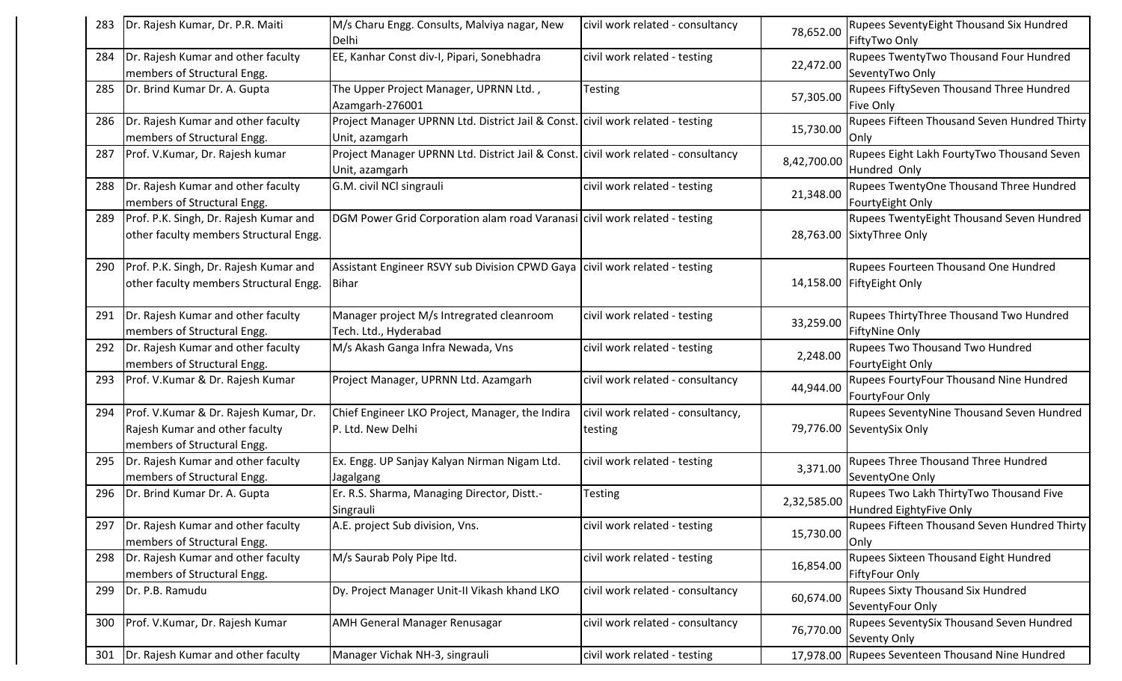| 283 | Dr. Rajesh Kumar, Dr. P.R. Maiti       | M/s Charu Engg. Consults, Malviya nagar, New<br>Delhi                              | civil work related - consultancy  | 78,652.00   | <b>Rupees SeventyEight Thousand Six Hundred</b><br>FiftyTwo Only |
|-----|----------------------------------------|------------------------------------------------------------------------------------|-----------------------------------|-------------|------------------------------------------------------------------|
| 284 | Dr. Rajesh Kumar and other faculty     | EE, Kanhar Const div-I, Pipari, Sonebhadra                                         | civil work related - testing      | 22,472.00   | Rupees TwentyTwo Thousand Four Hundred                           |
|     | members of Structural Engg.            |                                                                                    |                                   |             | SeventyTwo Only                                                  |
| 285 | Dr. Brind Kumar Dr. A. Gupta           | The Upper Project Manager, UPRNN Ltd.,                                             | Testing                           | 57,305.00   | Rupees FiftySeven Thousand Three Hundred                         |
|     |                                        | Azamgarh-276001                                                                    |                                   |             | <b>Five Only</b>                                                 |
| 286 | Dr. Rajesh Kumar and other faculty     | Project Manager UPRNN Ltd. District Jail & Const. civil work related - testing     |                                   | 15,730.00   | Rupees Fifteen Thousand Seven Hundred Thirty                     |
|     | members of Structural Engg.            | Unit, azamgarh                                                                     |                                   |             | <b>Only</b>                                                      |
| 287 | Prof. V.Kumar, Dr. Rajesh kumar        | Project Manager UPRNN Ltd. District Jail & Const. civil work related - consultancy |                                   |             | Rupees Eight Lakh FourtyTwo Thousand Seven                       |
|     |                                        | Unit, azamgarh                                                                     |                                   | 8,42,700.00 | Hundred Only                                                     |
| 288 | Dr. Rajesh Kumar and other faculty     | G.M. civil NCl singrauli                                                           | civil work related - testing      |             | Rupees TwentyOne Thousand Three Hundred                          |
|     | members of Structural Engg.            |                                                                                    |                                   | 21,348.00   | FourtyEight Only                                                 |
| 289 | Prof. P.K. Singh, Dr. Rajesh Kumar and | DGM Power Grid Corporation alam road Varanasi civil work related - testing         |                                   |             | <b>Rupees TwentyEight Thousand Seven Hundred</b>                 |
|     | other faculty members Structural Engg. |                                                                                    |                                   |             | 28,763.00 SixtyThree Only                                        |
|     |                                        |                                                                                    |                                   |             |                                                                  |
| 290 | Prof. P.K. Singh, Dr. Rajesh Kumar and | Assistant Engineer RSVY sub Division CPWD Gaya   civil work related - testing      |                                   |             | <b>Rupees Fourteen Thousand One Hundred</b>                      |
|     | other faculty members Structural Engg. | <b>Bihar</b>                                                                       |                                   |             | 14,158.00 FiftyEight Only                                        |
|     |                                        |                                                                                    |                                   |             |                                                                  |
| 291 | Dr. Rajesh Kumar and other faculty     | Manager project M/s Intregrated cleanroom                                          | civil work related - testing      |             | Rupees ThirtyThree Thousand Two Hundred                          |
|     | members of Structural Engg.            | Tech. Ltd., Hyderabad                                                              |                                   | 33,259.00   | FiftyNine Only                                                   |
| 292 | Dr. Rajesh Kumar and other faculty     | M/s Akash Ganga Infra Newada, Vns                                                  | civil work related - testing      |             | <b>Rupees Two Thousand Two Hundred</b>                           |
|     | members of Structural Engg.            |                                                                                    |                                   | 2,248.00    | FourtyEight Only                                                 |
| 293 | Prof. V.Kumar & Dr. Rajesh Kumar       |                                                                                    |                                   |             | Rupees FourtyFour Thousand Nine Hundred                          |
|     |                                        | Project Manager, UPRNN Ltd. Azamgarh                                               | civil work related - consultancy  | 44,944.00   |                                                                  |
|     |                                        |                                                                                    |                                   |             | FourtyFour Only                                                  |
| 294 | Prof. V.Kumar & Dr. Rajesh Kumar, Dr.  | Chief Engineer LKO Project, Manager, the Indira                                    | civil work related - consultancy, |             | Rupees SeventyNine Thousand Seven Hundred                        |
|     | Rajesh Kumar and other faculty         | P. Ltd. New Delhi                                                                  | testing                           |             | 79,776.00 SeventySix Only                                        |
|     | members of Structural Engg.            |                                                                                    |                                   |             |                                                                  |
| 295 | Dr. Rajesh Kumar and other faculty     | Ex. Engg. UP Sanjay Kalyan Nirman Nigam Ltd.                                       | civil work related - testing      | 3,371.00    | Rupees Three Thousand Three Hundred                              |
|     | members of Structural Engg.            | Jagalgang                                                                          |                                   |             | SeventyOne Only                                                  |
| 296 | Dr. Brind Kumar Dr. A. Gupta           | Er. R.S. Sharma, Managing Director, Distt.-                                        | Testing                           |             | Rupees Two Lakh ThirtyTwo Thousand Five                          |
|     |                                        | Singrauli                                                                          |                                   | 2,32,585.00 | Hundred EightyFive Only                                          |
| 297 | Dr. Rajesh Kumar and other faculty     | A.E. project Sub division, Vns.                                                    | civil work related - testing      |             | Rupees Fifteen Thousand Seven Hundred Thirty                     |
|     | members of Structural Engg.            |                                                                                    |                                   | 15,730.00   | Only                                                             |
| 298 | Dr. Rajesh Kumar and other faculty     | M/s Saurab Poly Pipe Itd.                                                          | civil work related - testing      |             | <b>Rupees Sixteen Thousand Eight Hundred</b>                     |
|     | members of Structural Engg.            |                                                                                    |                                   | 16,854.00   | <b>FiftyFour Only</b>                                            |
| 299 | Dr. P.B. Ramudu                        | Dy. Project Manager Unit-II Vikash khand LKO                                       | civil work related - consultancy  |             | <b>Rupees Sixty Thousand Six Hundred</b>                         |
|     |                                        |                                                                                    |                                   | 60,674.00   | SeventyFour Only                                                 |
|     |                                        |                                                                                    |                                   |             |                                                                  |
| 300 | Prof. V.Kumar, Dr. Rajesh Kumar        | AMH General Manager Renusagar                                                      | civil work related - consultancy  | 76,770.00   | Rupees SeventySix Thousand Seven Hundred                         |
|     |                                        |                                                                                    |                                   |             | <b>Seventy Only</b>                                              |
| 301 | Dr. Rajesh Kumar and other faculty     | Manager Vichak NH-3, singrauli                                                     | civil work related - testing      |             | 17,978.00 Rupees Seventeen Thousand Nine Hundred                 |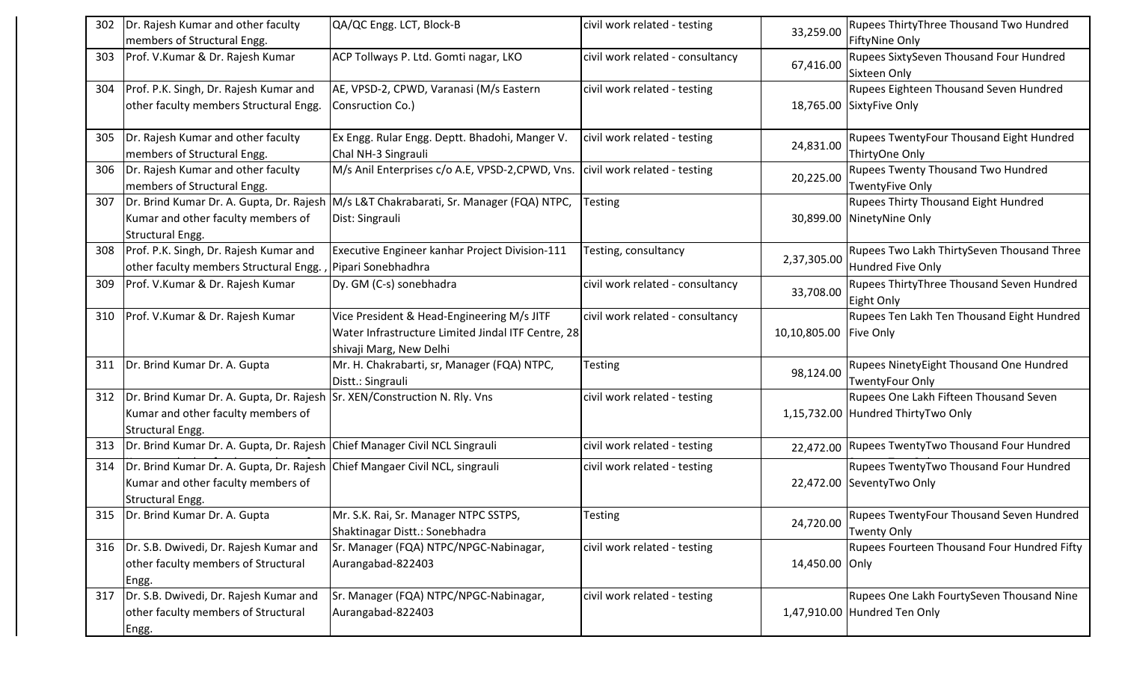| 302 | Dr. Rajesh Kumar and other faculty<br>members of Structural Engg.                                                                     | QA/QC Engg. LCT, Block-B                                                                                                    | civil work related - testing     | 33,259.00              | Rupees ThirtyThree Thousand Two Hundred<br><b>FiftyNine Only</b>             |
|-----|---------------------------------------------------------------------------------------------------------------------------------------|-----------------------------------------------------------------------------------------------------------------------------|----------------------------------|------------------------|------------------------------------------------------------------------------|
| 303 | Prof. V.Kumar & Dr. Rajesh Kumar                                                                                                      | ACP Tollways P. Ltd. Gomti nagar, LKO                                                                                       | civil work related - consultancy | 67,416.00              | Rupees SixtySeven Thousand Four Hundred<br>Sixteen Only                      |
| 304 | Prof. P.K. Singh, Dr. Rajesh Kumar and<br>other faculty members Structural Engg.                                                      | AE, VPSD-2, CPWD, Varanasi (M/s Eastern<br>Consruction Co.)                                                                 | civil work related - testing     |                        | Rupees Eighteen Thousand Seven Hundred<br>18,765.00 SixtyFive Only           |
| 305 | Dr. Rajesh Kumar and other faculty<br>members of Structural Engg.                                                                     | Ex Engg. Rular Engg. Deptt. Bhadohi, Manger V.<br>Chal NH-3 Singrauli                                                       | civil work related - testing     | 24,831.00              | Rupees TwentyFour Thousand Eight Hundred<br>ThirtyOne Only                   |
| 306 | Dr. Rajesh Kumar and other faculty<br>members of Structural Engg.                                                                     | M/s Anil Enterprises c/o A.E, VPSD-2, CPWD, Vns.                                                                            | civil work related - testing     | 20,225.00              | <b>Rupees Twenty Thousand Two Hundred</b><br><b>TwentyFive Only</b>          |
| 307 | Kumar and other faculty members of<br><b>Structural Engg.</b>                                                                         | Dr. Brind Kumar Dr. A. Gupta, Dr. Rajesh M/s L&T Chakrabarati, Sr. Manager (FQA) NTPC,<br>Dist: Singrauli                   | Testing                          |                        | <b>Rupees Thirty Thousand Eight Hundred</b><br>30,899.00 NinetyNine Only     |
| 308 | Prof. P.K. Singh, Dr. Rajesh Kumar and<br>other faculty members Structural Engg., Pipari Sonebhadhra                                  | Executive Engineer kanhar Project Division-111                                                                              | Testing, consultancy             | 2,37,305.00            | Rupees Two Lakh ThirtySeven Thousand Three<br>Hundred Five Only              |
| 309 | Prof. V.Kumar & Dr. Rajesh Kumar                                                                                                      | Dy. GM (C-s) sonebhadra                                                                                                     | civil work related - consultancy | 33,708.00              | Rupees ThirtyThree Thousand Seven Hundred<br>Eight Only                      |
| 310 | Prof. V.Kumar & Dr. Rajesh Kumar                                                                                                      | Vice President & Head-Engineering M/s JITF<br>Water Infrastructure Limited Jindal ITF Centre, 28<br>shivaji Marg, New Delhi | civil work related - consultancy | 10,10,805.00 Five Only | Rupees Ten Lakh Ten Thousand Eight Hundred                                   |
| 311 | Dr. Brind Kumar Dr. A. Gupta                                                                                                          | Mr. H. Chakrabarti, sr, Manager (FQA) NTPC,<br>Distt.: Singrauli                                                            | <b>Testing</b>                   | 98,124.00              | Rupees NinetyEight Thousand One Hundred<br><b>TwentyFour Only</b>            |
| 312 | Dr. Brind Kumar Dr. A. Gupta, Dr. Rajesh Sr. XEN/Construction N. Rly. Vns<br>Kumar and other faculty members of<br>Structural Engg.   |                                                                                                                             | civil work related - testing     |                        | Rupees One Lakh Fifteen Thousand Seven<br>1,15,732.00 Hundred ThirtyTwo Only |
| 313 | Dr. Brind Kumar Dr. A. Gupta, Dr. Rajesh Chief Manager Civil NCL Singrauli                                                            |                                                                                                                             | civil work related - testing     | 22,472.00              | Rupees TwentyTwo Thousand Four Hundred                                       |
| 314 | Dr. Brind Kumar Dr. A. Gupta, Dr. Rajesh Chief Mangaer Civil NCL, singrauli<br>Kumar and other faculty members of<br>Structural Engg. |                                                                                                                             | civil work related - testing     |                        | Rupees TwentyTwo Thousand Four Hundred<br>22,472.00 SeventyTwo Only          |
|     | 315 Dr. Brind Kumar Dr. A. Gupta                                                                                                      | Mr. S.K. Rai, Sr. Manager NTPC SSTPS,<br>Shaktinagar Distt.: Sonebhadra                                                     | Testing                          | 24,720.00              | Rupees TwentyFour Thousand Seven Hundred<br><b>Twenty Only</b>               |
|     | 316   Dr. S.B. Dwivedi, Dr. Rajesh Kumar and<br>other faculty members of Structural<br>Engg.                                          | Sr. Manager (FQA) NTPC/NPGC-Nabinagar,<br>Aurangabad-822403                                                                 | civil work related - testing     | 14,450.00 Only         | Rupees Fourteen Thousand Four Hundred Fifty                                  |
|     | 317   Dr. S.B. Dwivedi, Dr. Rajesh Kumar and<br>other faculty members of Structural<br>Engg.                                          | Sr. Manager (FQA) NTPC/NPGC-Nabinagar,<br>Aurangabad-822403                                                                 | civil work related - testing     |                        | Rupees One Lakh FourtySeven Thousand Nine<br>1,47,910.00 Hundred Ten Only    |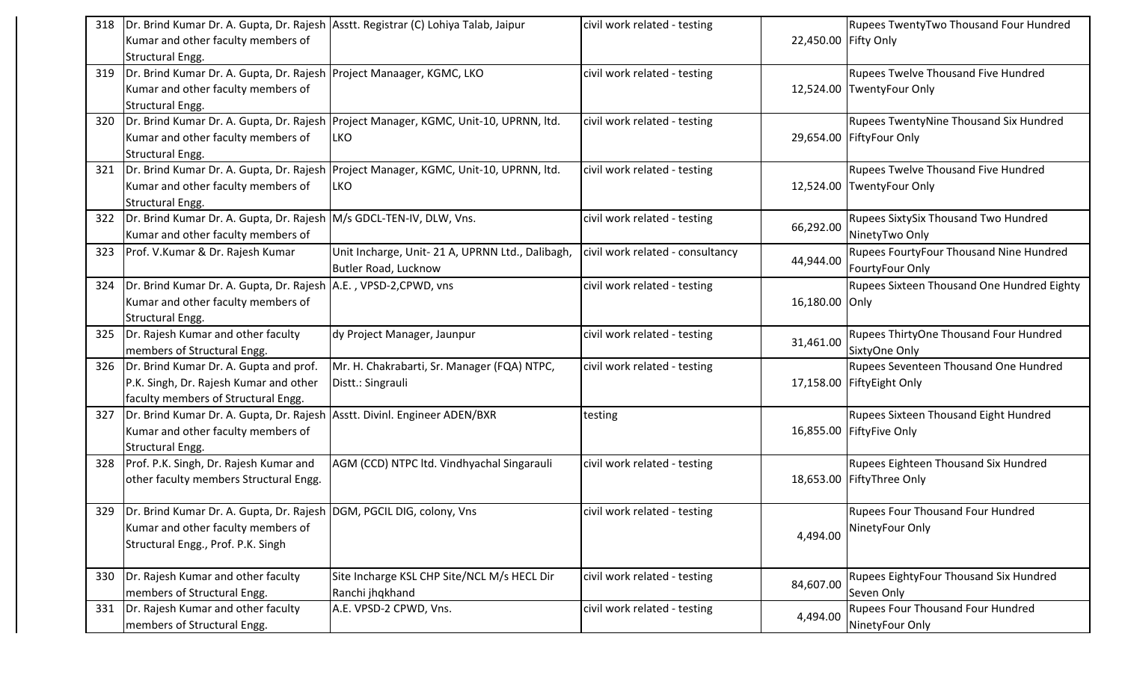| 318 | Dr. Brind Kumar Dr. A. Gupta, Dr. Rajesh Asstt. Registrar (C) Lohiya Talab, Jaipur |                                                                                        | civil work related - testing     |                      | <b>Rupees TwentyTwo Thousand Four Hundred</b> |
|-----|------------------------------------------------------------------------------------|----------------------------------------------------------------------------------------|----------------------------------|----------------------|-----------------------------------------------|
|     | Kumar and other faculty members of                                                 |                                                                                        |                                  | 22,450.00 Fifty Only |                                               |
|     | Structural Engg.                                                                   |                                                                                        |                                  |                      |                                               |
| 319 | Dr. Brind Kumar Dr. A. Gupta, Dr. Rajesh Project Manaager, KGMC, LKO               |                                                                                        | civil work related - testing     |                      | <b>Rupees Twelve Thousand Five Hundred</b>    |
|     | Kumar and other faculty members of                                                 |                                                                                        |                                  |                      | 12,524.00 TwentyFour Only                     |
|     | <b>Structural Engg.</b>                                                            |                                                                                        |                                  |                      |                                               |
| 320 |                                                                                    | Dr. Brind Kumar Dr. A. Gupta, Dr. Rajesh   Project Manager, KGMC, Unit-10, UPRNN, Itd. | civil work related - testing     |                      | <b>Rupees TwentyNine Thousand Six Hundred</b> |
|     | Kumar and other faculty members of                                                 | LKO.                                                                                   |                                  |                      | 29,654.00 FiftyFour Only                      |
|     | Structural Engg.                                                                   |                                                                                        |                                  |                      |                                               |
| 321 |                                                                                    | Dr. Brind Kumar Dr. A. Gupta, Dr. Rajesh Project Manager, KGMC, Unit-10, UPRNN, Itd.   | civil work related - testing     |                      | <b>Rupees Twelve Thousand Five Hundred</b>    |
|     |                                                                                    |                                                                                        |                                  |                      |                                               |
|     | Kumar and other faculty members of                                                 | <b>LKO</b>                                                                             |                                  |                      | 12,524.00 TwentyFour Only                     |
|     | Structural Engg.                                                                   |                                                                                        |                                  |                      |                                               |
| 322 | Dr. Brind Kumar Dr. A. Gupta, Dr. Rajesh M/s GDCL-TEN-IV, DLW, Vns.                |                                                                                        | civil work related - testing     | 66,292.00            | Rupees SixtySix Thousand Two Hundred          |
|     | Kumar and other faculty members of                                                 |                                                                                        |                                  |                      | NinetyTwo Only                                |
| 323 | Prof. V.Kumar & Dr. Rajesh Kumar                                                   | Unit Incharge, Unit- 21 A, UPRNN Ltd., Dalibagh,                                       | civil work related - consultancy |                      | Rupees FourtyFour Thousand Nine Hundred       |
|     |                                                                                    | <b>Butler Road, Lucknow</b>                                                            |                                  | 44,944.00            | FourtyFour Only                               |
| 324 | Dr. Brind Kumar Dr. A. Gupta, Dr. Rajesh A.E., VPSD-2, CPWD, vns                   |                                                                                        | civil work related - testing     |                      | Rupees Sixteen Thousand One Hundred Eighty    |
|     | Kumar and other faculty members of                                                 |                                                                                        |                                  | 16,180.00 Only       |                                               |
|     | Structural Engg.                                                                   |                                                                                        |                                  |                      |                                               |
| 325 | Dr. Rajesh Kumar and other faculty                                                 | dy Project Manager, Jaunpur                                                            | civil work related - testing     |                      | Rupees ThirtyOne Thousand Four Hundred        |
|     | members of Structural Engg.                                                        |                                                                                        |                                  | 31,461.00            | SixtyOne Only                                 |
| 326 | Dr. Brind Kumar Dr. A. Gupta and prof.                                             | Mr. H. Chakrabarti, Sr. Manager (FQA) NTPC,                                            | civil work related - testing     |                      | Rupees Seventeen Thousand One Hundred         |
|     | P.K. Singh, Dr. Rajesh Kumar and other                                             | Distt.: Singrauli                                                                      |                                  |                      | 17,158.00 FiftyEight Only                     |
|     |                                                                                    |                                                                                        |                                  |                      |                                               |
|     | faculty members of Structural Engg.                                                |                                                                                        |                                  |                      |                                               |
| 327 | Dr. Brind Kumar Dr. A. Gupta, Dr. Rajesh                                           | Asstt. Divinl. Engineer ADEN/BXR                                                       | testing                          |                      | <b>Rupees Sixteen Thousand Eight Hundred</b>  |
|     | Kumar and other faculty members of                                                 |                                                                                        |                                  |                      | 16,855.00 FiftyFive Only                      |
|     | <b>Structural Engg.</b>                                                            |                                                                                        |                                  |                      |                                               |
| 328 | Prof. P.K. Singh, Dr. Rajesh Kumar and                                             | AGM (CCD) NTPC ltd. Vindhyachal Singarauli                                             | civil work related - testing     |                      | Rupees Eighteen Thousand Six Hundred          |
|     | other faculty members Structural Engg.                                             |                                                                                        |                                  |                      | 18,653.00 FiftyThree Only                     |
|     |                                                                                    |                                                                                        |                                  |                      |                                               |
|     | 329   Dr. Brind Kumar Dr. A. Gupta, Dr. Rajesh   DGM, PGCIL DIG, colony, Vns       |                                                                                        | civil work related - testing     |                      | Rupees Four Thousand Four Hundred             |
|     | Kumar and other faculty members of                                                 |                                                                                        |                                  | 4,494.00             | NinetyFour Only                               |
|     | Structural Engg., Prof. P.K. Singh                                                 |                                                                                        |                                  |                      |                                               |
|     |                                                                                    |                                                                                        |                                  |                      |                                               |
| 330 | Dr. Rajesh Kumar and other faculty                                                 | Site Incharge KSL CHP Site/NCL M/s HECL Dir                                            | civil work related - testing     |                      | Rupees EightyFour Thousand Six Hundred        |
|     | members of Structural Engg.                                                        | Ranchi jhqkhand                                                                        |                                  | 84,607.00            | Seven Only                                    |
| 331 | Dr. Rajesh Kumar and other faculty                                                 | A.E. VPSD-2 CPWD, Vns.                                                                 | civil work related - testing     |                      | Rupees Four Thousand Four Hundred             |
|     | members of Structural Engg.                                                        |                                                                                        |                                  | 4,494.00             | NinetyFour Only                               |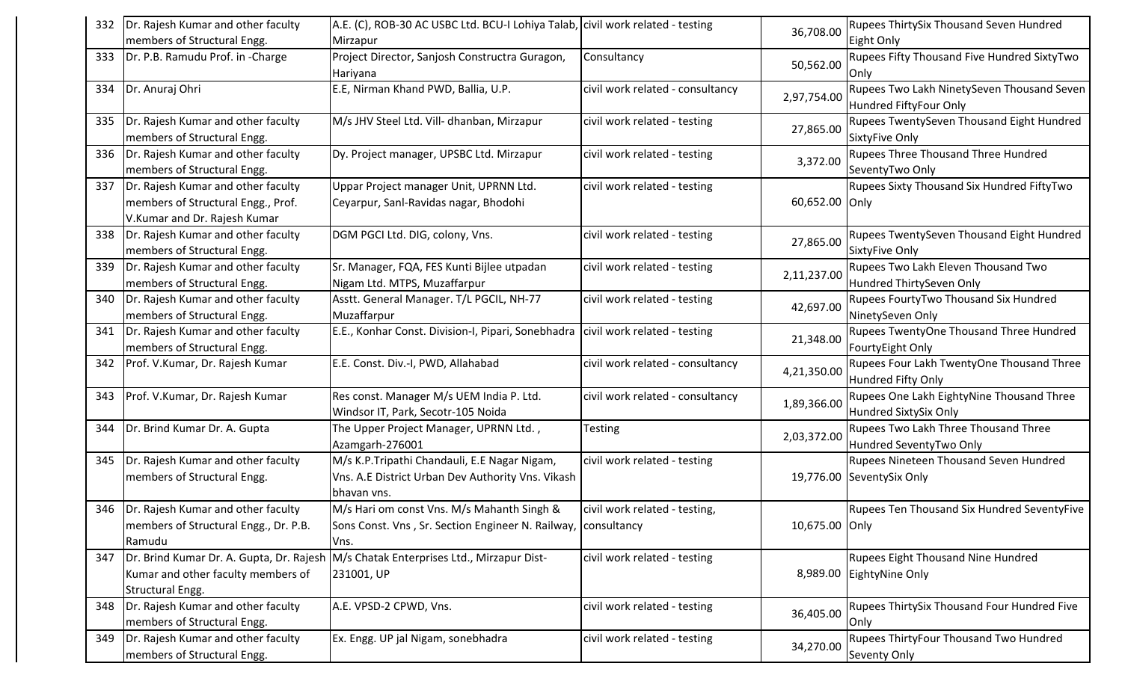| 332 | Dr. Rajesh Kumar and other faculty                                                                       | A.E. (C), ROB-30 AC USBC Ltd. BCU-I Lohiya Talab, civil work related - testing                                      |                                  | 36,708.00      | Rupees ThirtySix Thousand Seven Hundred                              |
|-----|----------------------------------------------------------------------------------------------------------|---------------------------------------------------------------------------------------------------------------------|----------------------------------|----------------|----------------------------------------------------------------------|
|     | members of Structural Engg.                                                                              | Mirzapur                                                                                                            |                                  |                | Eight Only                                                           |
| 333 | Dr. P.B. Ramudu Prof. in -Charge                                                                         | Project Director, Sanjosh Constructra Guragon,<br>Hariyana                                                          | Consultancy                      | 50,562.00      | Rupees Fifty Thousand Five Hundred SixtyTwo<br>Only                  |
|     | 334   Dr. Anuraj Ohri                                                                                    | E.E, Nirman Khand PWD, Ballia, U.P.                                                                                 | civil work related - consultancy | 2,97,754.00    | Rupees Two Lakh NinetySeven Thousand Seven<br>Hundred FiftyFour Only |
| 335 | Dr. Rajesh Kumar and other faculty<br>members of Structural Engg.                                        | M/s JHV Steel Ltd. Vill- dhanban, Mirzapur                                                                          | civil work related - testing     | 27,865.00      | Rupees TwentySeven Thousand Eight Hundred<br>SixtyFive Only          |
|     | 336   Dr. Rajesh Kumar and other faculty<br>members of Structural Engg.                                  | Dy. Project manager, UPSBC Ltd. Mirzapur                                                                            | civil work related - testing     | 3,372.00       | Rupees Three Thousand Three Hundred<br>SeventyTwo Only               |
| 337 | Dr. Rajesh Kumar and other faculty<br>members of Structural Engg., Prof.<br>V.Kumar and Dr. Rajesh Kumar | Uppar Project manager Unit, UPRNN Ltd.<br>Ceyarpur, Sanl-Ravidas nagar, Bhodohi                                     | civil work related - testing     | 60,652.00 Only | Rupees Sixty Thousand Six Hundred FiftyTwo                           |
|     | 338   Dr. Rajesh Kumar and other faculty<br>members of Structural Engg.                                  | DGM PGCI Ltd. DIG, colony, Vns.                                                                                     | civil work related - testing     | 27,865.00      | Rupees TwentySeven Thousand Eight Hundred<br>SixtyFive Only          |
| 339 | Dr. Rajesh Kumar and other faculty<br>members of Structural Engg.                                        | Sr. Manager, FQA, FES Kunti Bijlee utpadan<br>Nigam Ltd. MTPS, Muzaffarpur                                          | civil work related - testing     | 2,11,237.00    | Rupees Two Lakh Eleven Thousand Two<br>Hundred ThirtySeven Only      |
| 340 | Dr. Rajesh Kumar and other faculty<br>members of Structural Engg.                                        | Asstt. General Manager. T/L PGCIL, NH-77<br>Muzaffarpur                                                             | civil work related - testing     | 42,697.00      | Rupees FourtyTwo Thousand Six Hundred<br>NinetySeven Only            |
| 341 | Dr. Rajesh Kumar and other faculty<br>members of Structural Engg.                                        | E.E., Konhar Const. Division-I, Pipari, Sonebhadra   civil work related - testing                                   |                                  | 21,348.00      | Rupees TwentyOne Thousand Three Hundred<br>FourtyEight Only          |
| 342 | Prof. V.Kumar, Dr. Rajesh Kumar                                                                          | E.E. Const. Div.-I, PWD, Allahabad                                                                                  | civil work related - consultancy | 4,21,350.00    | Rupees Four Lakh TwentyOne Thousand Three<br>Hundred Fifty Only      |
| 343 | Prof. V.Kumar, Dr. Rajesh Kumar                                                                          | Res const. Manager M/s UEM India P. Ltd.<br>Windsor IT, Park, Secotr-105 Noida                                      | civil work related - consultancy | 1,89,366.00    | Rupees One Lakh EightyNine Thousand Three<br>Hundred SixtySix Only   |
| 344 | Dr. Brind Kumar Dr. A. Gupta                                                                             | The Upper Project Manager, UPRNN Ltd.,<br>Azamgarh-276001                                                           | Testing                          | 2,03,372.00    | Rupees Two Lakh Three Thousand Three<br>Hundred SeventyTwo Only      |
| 345 | Dr. Rajesh Kumar and other faculty<br>members of Structural Engg.                                        | M/s K.P.Tripathi Chandauli, E.E Nagar Nigam,<br>Vns. A.E District Urban Dev Authority Vns. Vikash<br>bhavan vns.    | civil work related - testing     |                | Rupees Nineteen Thousand Seven Hundred<br>19,776.00 SeventySix Only  |
|     | 346   Dr. Rajesh Kumar and other faculty<br>members of Structural Engg., Dr. P.B.<br>Ramudu              | M/s Hari om const Vns. M/s Mahanth Singh &<br>Sons Const. Vns, Sr. Section Engineer N. Railway, consultancy<br>Vns. | civil work related - testing,    | 10,675.00 Only | <b>Rupees Ten Thousand Six Hundred SeventyFive</b>                   |
| 347 | Dr. Brind Kumar Dr. A. Gupta, Dr. Rajesh<br>Kumar and other faculty members of<br>Structural Engg.       | M/s Chatak Enterprises Ltd., Mirzapur Dist-<br>231001, UP                                                           | civil work related - testing     | 8,989.00       | Rupees Eight Thousand Nine Hundred<br>EightyNine Only                |
| 348 | Dr. Rajesh Kumar and other faculty<br>members of Structural Engg.                                        | A.E. VPSD-2 CPWD, Vns.                                                                                              | civil work related - testing     | 36,405.00      | Rupees ThirtySix Thousand Four Hundred Five<br>Only                  |
| 349 | Dr. Rajesh Kumar and other faculty<br>members of Structural Engg.                                        | Ex. Engg. UP jal Nigam, sonebhadra                                                                                  | civil work related - testing     | 34,270.00      | Rupees ThirtyFour Thousand Two Hundred<br>Seventy Only               |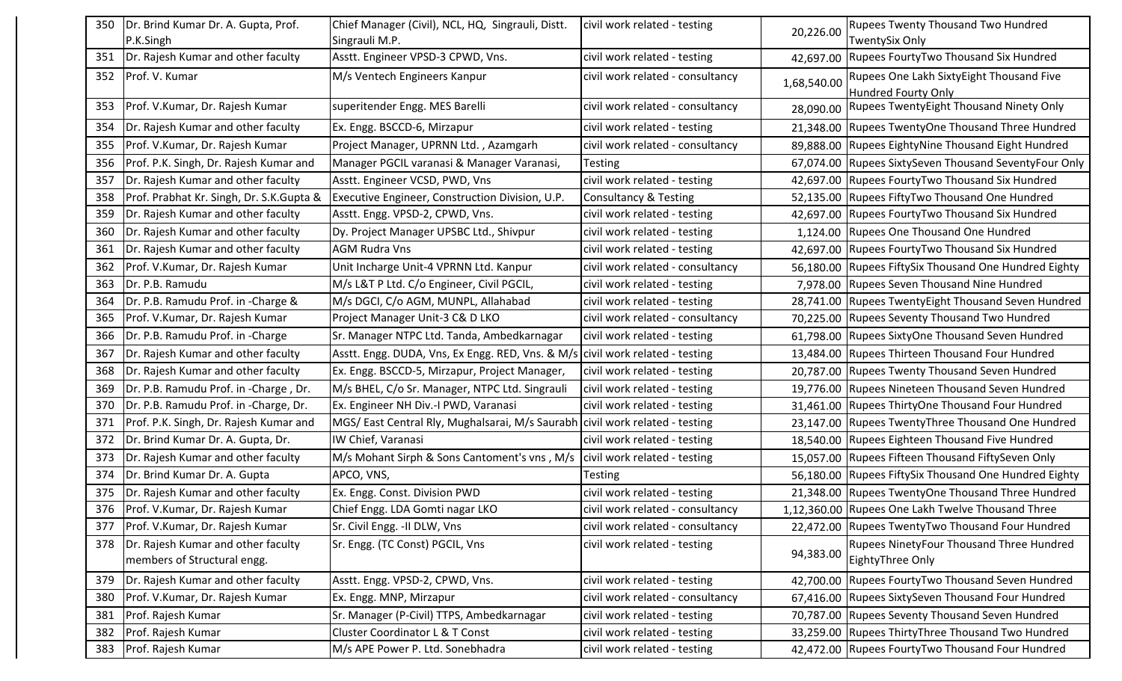| 350 | Dr. Brind Kumar Dr. A. Gupta, Prof.       | Chief Manager (Civil), NCL, HQ, Singrauli, Distt.                               | civil work related - testing     |             | <b>Rupees Twenty Thousand Two Hundred</b>               |
|-----|-------------------------------------------|---------------------------------------------------------------------------------|----------------------------------|-------------|---------------------------------------------------------|
|     | P.K.Singh                                 | Singrauli M.P.                                                                  |                                  | 20,226.00   | <b>TwentySix Only</b>                                   |
| 351 | Dr. Rajesh Kumar and other faculty        | Asstt. Engineer VPSD-3 CPWD, Vns.                                               | civil work related - testing     | 42,697.00   | Rupees FourtyTwo Thousand Six Hundred                   |
| 352 | Prof. V. Kumar                            | M/s Ventech Engineers Kanpur                                                    | civil work related - consultancy | 1,68,540.00 | Rupees One Lakh SixtyEight Thousand Five                |
|     |                                           |                                                                                 |                                  |             | <b>Hundred Fourty Only</b>                              |
| 353 | Prof. V.Kumar, Dr. Rajesh Kumar           | superitender Engg. MES Barelli                                                  | civil work related - consultancy | 28,090.00   | Rupees TwentyEight Thousand Ninety Only                 |
| 354 | Dr. Rajesh Kumar and other faculty        | Ex. Engg. BSCCD-6, Mirzapur                                                     | civil work related - testing     |             | 21,348.00 Rupees TwentyOne Thousand Three Hundred       |
| 355 | Prof. V.Kumar, Dr. Rajesh Kumar           | Project Manager, UPRNN Ltd., Azamgarh                                           | civil work related - consultancy |             | 89,888.00 Rupees EightyNine Thousand Eight Hundred      |
| 356 | Prof. P.K. Singh, Dr. Rajesh Kumar and    | Manager PGCIL varanasi & Manager Varanasi,                                      | Testing                          |             | 67,074.00 Rupees SixtySeven Thousand SeventyFour Only   |
| 357 | Dr. Rajesh Kumar and other faculty        | Asstt. Engineer VCSD, PWD, Vns                                                  | civil work related - testing     |             | 42,697.00 Rupees FourtyTwo Thousand Six Hundred         |
| 358 | Prof. Prabhat Kr. Singh, Dr. S.K. Gupta & | Executive Engineer, Construction Division, U.P.                                 | <b>Consultancy &amp; Testing</b> |             | 52,135.00 Rupees FiftyTwo Thousand One Hundred          |
| 359 | Dr. Rajesh Kumar and other faculty        | Asstt. Engg. VPSD-2, CPWD, Vns.                                                 | civil work related - testing     |             | 42,697.00 Rupees FourtyTwo Thousand Six Hundred         |
| 360 | Dr. Rajesh Kumar and other faculty        | Dy. Project Manager UPSBC Ltd., Shivpur                                         | civil work related - testing     |             | 1,124.00 Rupees One Thousand One Hundred                |
| 361 | Dr. Rajesh Kumar and other faculty        | <b>AGM Rudra Vns</b>                                                            | civil work related - testing     |             | 42,697.00 Rupees FourtyTwo Thousand Six Hundred         |
| 362 | Prof. V.Kumar, Dr. Rajesh Kumar           | Unit Incharge Unit-4 VPRNN Ltd. Kanpur                                          | civil work related - consultancy | 56,180.00   | Rupees FiftySix Thousand One Hundred Eighty             |
| 363 | Dr. P.B. Ramudu                           | M/s L&T P Ltd. C/o Engineer, Civil PGCIL,                                       | civil work related - testing     |             | 7,978.00 Rupees Seven Thousand Nine Hundred             |
| 364 | Dr. P.B. Ramudu Prof. in -Charge &        | M/s DGCI, C/o AGM, MUNPL, Allahabad                                             | civil work related - testing     |             | 28,741.00 Rupees TwentyEight Thousand Seven Hundred     |
| 365 | Prof. V.Kumar, Dr. Rajesh Kumar           | Project Manager Unit-3 C& D LKO                                                 | civil work related - consultancy |             | 70,225.00 Rupees Seventy Thousand Two Hundred           |
| 366 | Dr. P.B. Ramudu Prof. in -Charge          | Sr. Manager NTPC Ltd. Tanda, Ambedkarnagar                                      | civil work related - testing     |             | 61,798.00 Rupees SixtyOne Thousand Seven Hundred        |
| 367 | Dr. Rajesh Kumar and other faculty        | Asstt. Engg. DUDA, Vns, Ex Engg. RED, Vns. & M/s   civil work related - testing |                                  |             | 13,484.00 Rupees Thirteen Thousand Four Hundred         |
| 368 | Dr. Rajesh Kumar and other faculty        | Ex. Engg. BSCCD-5, Mirzapur, Project Manager,                                   | civil work related - testing     |             | 20,787.00 Rupees Twenty Thousand Seven Hundred          |
| 369 | Dr. P.B. Ramudu Prof. in -Charge, Dr.     | M/s BHEL, C/o Sr. Manager, NTPC Ltd. Singrauli                                  | civil work related - testing     |             | 19,776.00 Rupees Nineteen Thousand Seven Hundred        |
| 370 | Dr. P.B. Ramudu Prof. in -Charge, Dr.     | Ex. Engineer NH Div.-I PWD, Varanasi                                            | civil work related - testing     |             | 31,461.00 Rupees ThirtyOne Thousand Four Hundred        |
| 371 | Prof. P.K. Singh, Dr. Rajesh Kumar and    | MGS/ East Central Rly, Mughalsarai, M/s Saurabh civil work related - testing    |                                  |             | 23,147.00 Rupees TwentyThree Thousand One Hundred       |
| 372 | Dr. Brind Kumar Dr. A. Gupta, Dr.         | IW Chief, Varanasi                                                              | civil work related - testing     |             | 18,540.00 Rupees Eighteen Thousand Five Hundred         |
| 373 | Dr. Rajesh Kumar and other faculty        | M/s Mohant Sirph & Sons Cantoment's vns, M/s                                    | civil work related - testing     |             | 15,057.00 Rupees Fifteen Thousand FiftySeven Only       |
| 374 | Dr. Brind Kumar Dr. A. Gupta              | APCO, VNS,                                                                      | Testing                          |             | 56,180.00   Rupees FiftySix Thousand One Hundred Eighty |
| 375 | Dr. Rajesh Kumar and other faculty        | Ex. Engg. Const. Division PWD                                                   | civil work related - testing     |             | 21,348.00 Rupees TwentyOne Thousand Three Hundred       |
| 376 | Prof. V.Kumar, Dr. Rajesh Kumar           | Chief Engg. LDA Gomti nagar LKO                                                 | civil work related - consultancy |             | 1,12,360.00 Rupees One Lakh Twelve Thousand Three       |
| 377 | Prof. V.Kumar, Dr. Rajesh Kumar           | Sr. Civil Engg. - II DLW, Vns                                                   | civil work related - consultancy |             | 22,472.00 Rupees TwentyTwo Thousand Four Hundred        |
| 378 | Dr. Rajesh Kumar and other faculty        | Sr. Engg. (TC Const) PGCIL, Vns                                                 | civil work related - testing     |             | Rupees NinetyFour Thousand Three Hundred                |
|     | members of Structural engg.               |                                                                                 |                                  | 94,383.00   | EightyThree Only                                        |
| 379 | Dr. Rajesh Kumar and other faculty        | Asstt. Engg. VPSD-2, CPWD, Vns.                                                 | civil work related - testing     | 42,700.00   | Rupees FourtyTwo Thousand Seven Hundred                 |
| 380 | Prof. V.Kumar, Dr. Rajesh Kumar           | Ex. Engg. MNP, Mirzapur                                                         | civil work related - consultancy | 67,416.00   | <b>Rupees SixtySeven Thousand Four Hundred</b>          |
| 381 | Prof. Rajesh Kumar                        | Sr. Manager (P-Civil) TTPS, Ambedkarnagar                                       | civil work related - testing     |             | 70,787.00 Rupees Seventy Thousand Seven Hundred         |
| 382 | Prof. Rajesh Kumar                        | <b>Cluster Coordinator L &amp; T Const</b>                                      | civil work related - testing     |             | 33,259.00 Rupees ThirtyThree Thousand Two Hundred       |
| 383 | Prof. Rajesh Kumar                        | M/s APE Power P. Ltd. Sonebhadra                                                | civil work related - testing     |             | 42,472.00 Rupees FourtyTwo Thousand Four Hundred        |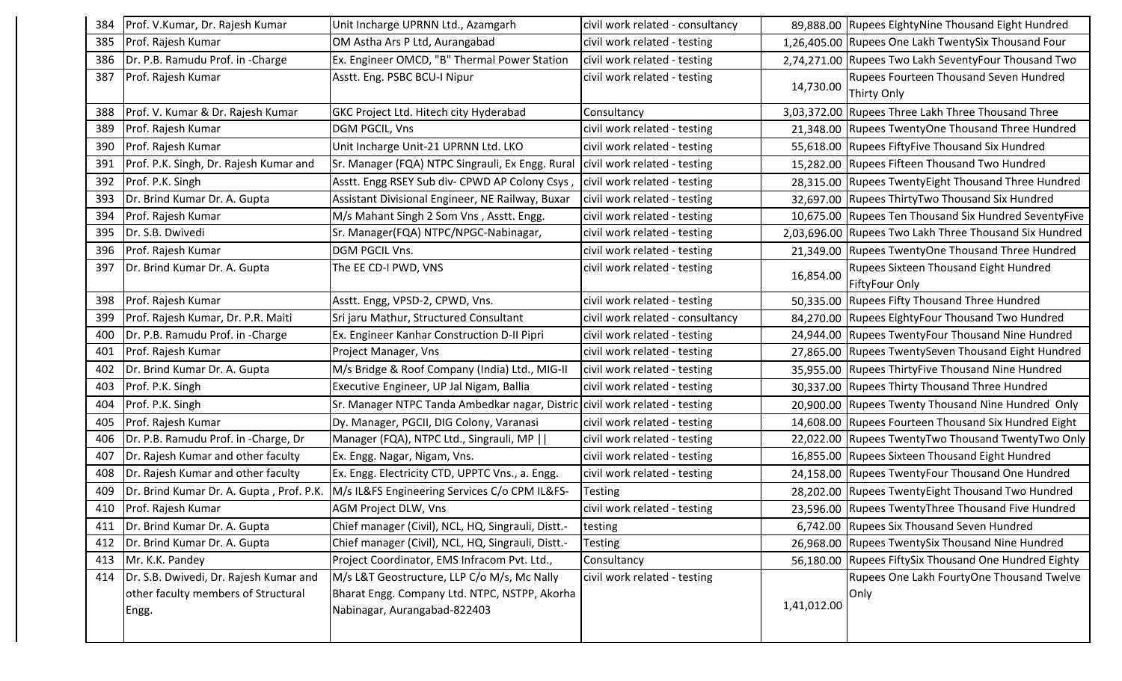| 384 | Prof. V.Kumar, Dr. Rajesh Kumar              | Unit Incharge UPRNN Ltd., Azamgarh                                            | civil work related - consultancy |             | 89,888.00 Rupees EightyNine Thousand Eight Hundred             |
|-----|----------------------------------------------|-------------------------------------------------------------------------------|----------------------------------|-------------|----------------------------------------------------------------|
| 385 | Prof. Rajesh Kumar                           | OM Astha Ars P Ltd, Aurangabad                                                | civil work related - testing     |             | 1,26,405.00 Rupees One Lakh TwentySix Thousand Four            |
| 386 | Dr. P.B. Ramudu Prof. in -Charge             | Ex. Engineer OMCD, "B" Thermal Power Station                                  | civil work related - testing     |             | 2,74,271.00 Rupees Two Lakh SeventyFour Thousand Two           |
| 387 | Prof. Rajesh Kumar                           | Asstt. Eng. PSBC BCU-I Nipur                                                  | civil work related - testing     | 14,730.00   | Rupees Fourteen Thousand Seven Hundred<br>Thirty Only          |
| 388 | Prof. V. Kumar & Dr. Rajesh Kumar            | GKC Project Ltd. Hitech city Hyderabad                                        | Consultancy                      |             | 3,03,372.00 Rupees Three Lakh Three Thousand Three             |
| 389 | Prof. Rajesh Kumar                           | DGM PGCIL, Vns                                                                | civil work related - testing     |             | 21,348.00 Rupees TwentyOne Thousand Three Hundred              |
| 390 | Prof. Rajesh Kumar                           | Unit Incharge Unit-21 UPRNN Ltd. LKO                                          | civil work related - testing     |             | 55,618.00 Rupees FiftyFive Thousand Six Hundred                |
| 391 | Prof. P.K. Singh, Dr. Rajesh Kumar and       | Sr. Manager (FQA) NTPC Singrauli, Ex Engg. Rural                              | civil work related - testing     |             | 15,282.00 Rupees Fifteen Thousand Two Hundred                  |
| 392 | Prof. P.K. Singh                             | Asstt. Engg RSEY Sub div- CPWD AP Colony Csys, civil work related - testing   |                                  |             | 28,315.00 Rupees TwentyEight Thousand Three Hundred            |
| 393 | Dr. Brind Kumar Dr. A. Gupta                 | Assistant Divisional Engineer, NE Railway, Buxar                              | civil work related - testing     |             | 32,697.00 Rupees ThirtyTwo Thousand Six Hundred                |
| 394 | Prof. Rajesh Kumar                           | M/s Mahant Singh 2 Som Vns, Asstt. Engg.                                      | civil work related - testing     |             | 10,675.00 Rupees Ten Thousand Six Hundred SeventyFive          |
| 395 | Dr. S.B. Dwivedi                             | Sr. Manager(FQA) NTPC/NPGC-Nabinagar,                                         | civil work related - testing     |             | 2,03,696.00 Rupees Two Lakh Three Thousand Six Hundred         |
| 396 | Prof. Rajesh Kumar                           | DGM PGCIL Vns.                                                                | civil work related - testing     |             | 21,349.00 Rupees TwentyOne Thousand Three Hundred              |
| 397 | Dr. Brind Kumar Dr. A. Gupta                 | The EE CD-I PWD, VNS                                                          | civil work related - testing     | 16,854.00   | Rupees Sixteen Thousand Eight Hundred<br><b>FiftyFour Only</b> |
| 398 | Prof. Rajesh Kumar                           | Asstt. Engg, VPSD-2, CPWD, Vns.                                               | civil work related - testing     | 50,335.00   | Rupees Fifty Thousand Three Hundred                            |
| 399 | Prof. Rajesh Kumar, Dr. P.R. Maiti           | Sri jaru Mathur, Structured Consultant                                        | civil work related - consultancy |             | 84,270.00 Rupees EightyFour Thousand Two Hundred               |
| 400 | Dr. P.B. Ramudu Prof. in -Charge             | Ex. Engineer Kanhar Construction D-II Pipri                                   | civil work related - testing     |             | 24,944.00 Rupees TwentyFour Thousand Nine Hundred              |
| 401 | Prof. Rajesh Kumar                           | Project Manager, Vns                                                          | civil work related - testing     |             | 27,865.00 Rupees TwentySeven Thousand Eight Hundred            |
| 402 | Dr. Brind Kumar Dr. A. Gupta                 | M/s Bridge & Roof Company (India) Ltd., MIG-II                                | civil work related - testing     |             | 35,955.00 Rupees ThirtyFive Thousand Nine Hundred              |
| 403 | Prof. P.K. Singh                             | Executive Engineer, UP Jal Nigam, Ballia                                      | civil work related - testing     |             | 30,337.00 Rupees Thirty Thousand Three Hundred                 |
| 404 | Prof. P.K. Singh                             | Sr. Manager NTPC Tanda Ambedkar nagar, Distric civil work related - testing   |                                  |             | 20,900.00 Rupees Twenty Thousand Nine Hundred Only             |
| 405 | Prof. Rajesh Kumar                           | Dy. Manager, PGCII, DIG Colony, Varanasi                                      | civil work related - testing     |             | 14,608.00 Rupees Fourteen Thousand Six Hundred Eight           |
| 406 | Dr. P.B. Ramudu Prof. in -Charge, Dr         | Manager (FQA), NTPC Ltd., Singrauli, MP                                       | civil work related - testing     |             | 22,022.00 Rupees TwentyTwo Thousand TwentyTwo Only             |
| 407 | Dr. Rajesh Kumar and other faculty           | Ex. Engg. Nagar, Nigam, Vns.                                                  | civil work related - testing     |             | 16,855.00 Rupees Sixteen Thousand Eight Hundred                |
| 408 | Dr. Rajesh Kumar and other faculty           | Ex. Engg. Electricity CTD, UPPTC Vns., a. Engg.                               | civil work related - testing     |             | 24,158.00 Rupees TwentyFour Thousand One Hundred               |
| 409 | Dr. Brind Kumar Dr. A. Gupta, Prof. P.K.     | M/s IL&FS Engineering Services C/o CPM IL&FS-                                 | Testing                          |             | 28,202.00 Rupees TwentyEight Thousand Two Hundred              |
| 410 | Prof. Rajesh Kumar                           | AGM Project DLW, Vns                                                          | civil work related - testing     |             | 23,596.00 Rupees TwentyThree Thousand Five Hundred             |
| 411 | Dr. Brind Kumar Dr. A. Gupta                 | Chief manager (Civil), NCL, HQ, Singrauli, Distt.-                            | testing                          |             | 6,742.00 Rupees Six Thousand Seven Hundred                     |
| 412 | Dr. Brind Kumar Dr. A. Gupta                 | Chief manager (Civil), NCL, HQ, Singrauli, Distt.-                            | Testing                          |             | 26,968.00 Rupees TwentySix Thousand Nine Hundred               |
| 413 | Mr. K.K. Pandey                              | Project Coordinator, EMS Infracom Pvt. Ltd.,                                  | Consultancy                      | 56,180.00   | Rupees FiftySix Thousand One Hundred Eighty                    |
| 414 | Dr. S.B. Dwivedi, Dr. Rajesh Kumar and       | M/s L&T Geostructure, LLP C/o M/s, Mc Nally                                   | civil work related - testing     |             | Rupees One Lakh FourtyOne Thousand Twelve                      |
|     | other faculty members of Structural<br>Engg. | Bharat Engg. Company Ltd. NTPC, NSTPP, Akorha<br>Nabinagar, Aurangabad-822403 |                                  | 1,41,012.00 | Only                                                           |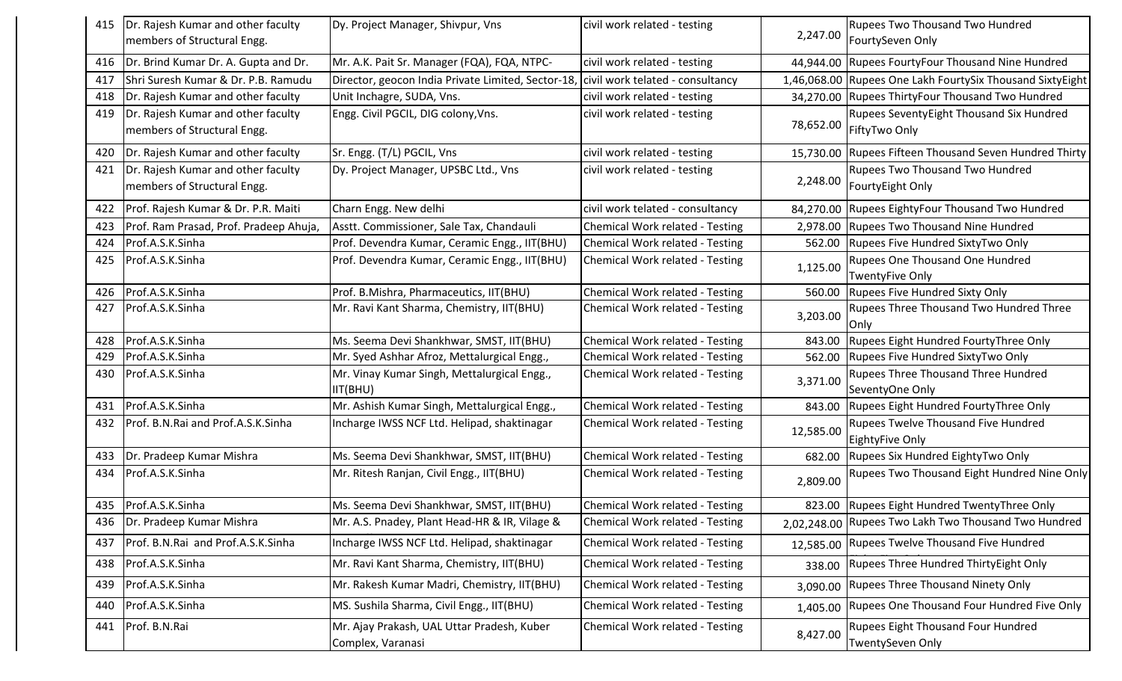| 415 | Dr. Rajesh Kumar and other faculty     | Dy. Project Manager, Shivpur, Vns                                                   | civil work related - testing     |           | Rupees Two Thousand Two Hundred                           |
|-----|----------------------------------------|-------------------------------------------------------------------------------------|----------------------------------|-----------|-----------------------------------------------------------|
|     | members of Structural Engg.            |                                                                                     |                                  | 2,247.00  | FourtySeven Only                                          |
| 416 | Dr. Brind Kumar Dr. A. Gupta and Dr.   | Mr. A.K. Pait Sr. Manager (FQA), FQA, NTPC-                                         | civil work related - testing     | 44,944.00 | Rupees FourtyFour Thousand Nine Hundred                   |
| 417 | Shri Suresh Kumar & Dr. P.B. Ramudu    | Director, geocon India Private Limited, Sector-18, civil work telated - consultancy |                                  |           | 1,46,068.00 Rupees One Lakh FourtySix Thousand SixtyEight |
| 418 | Dr. Rajesh Kumar and other faculty     | Unit Inchagre, SUDA, Vns.                                                           | civil work related - testing     | 34,270.00 | Rupees ThirtyFour Thousand Two Hundred                    |
| 419 | Dr. Rajesh Kumar and other faculty     | Engg. Civil PGCIL, DIG colony, Vns.                                                 | civil work related - testing     |           | Rupees SeventyEight Thousand Six Hundred                  |
|     | members of Structural Engg.            |                                                                                     |                                  | 78,652.00 | FiftyTwo Only                                             |
| 420 | Dr. Rajesh Kumar and other faculty     | Sr. Engg. (T/L) PGCIL, Vns                                                          | civil work related - testing     | 15,730.00 | Rupees Fifteen Thousand Seven Hundred Thirty              |
| 421 | Dr. Rajesh Kumar and other faculty     | Dy. Project Manager, UPSBC Ltd., Vns                                                | civil work related - testing     |           | Rupees Two Thousand Two Hundred                           |
|     | members of Structural Engg.            |                                                                                     |                                  | 2,248.00  | FourtyEight Only                                          |
| 422 | Prof. Rajesh Kumar & Dr. P.R. Maiti    | Charn Engg. New delhi                                                               | civil work telated - consultancy | 84,270.00 | Rupees EightyFour Thousand Two Hundred                    |
| 423 | Prof. Ram Prasad, Prof. Pradeep Ahuja, | Asstt. Commissioner, Sale Tax, Chandauli                                            | Chemical Work related - Testing  | 2,978.00  | <b>Rupees Two Thousand Nine Hundred</b>                   |
| 424 | Prof.A.S.K.Sinha                       | Prof. Devendra Kumar, Ceramic Engg., IIT(BHU)                                       | Chemical Work related - Testing  | 562.00    | Rupees Five Hundred SixtyTwo Only                         |
| 425 | Prof.A.S.K.Sinha                       | Prof. Devendra Kumar, Ceramic Engg., IIT(BHU)                                       | Chemical Work related - Testing  | 1,125.00  | Rupees One Thousand One Hundred                           |
|     |                                        |                                                                                     |                                  |           | <b>TwentyFive Only</b>                                    |
| 426 | Prof.A.S.K.Sinha                       | Prof. B. Mishra, Pharmaceutics, IIT(BHU)                                            | Chemical Work related - Testing  | 560.00    | Rupees Five Hundred Sixty Only                            |
| 427 | Prof.A.S.K.Sinha                       | Mr. Ravi Kant Sharma, Chemistry, IIT(BHU)                                           | Chemical Work related - Testing  | 3,203.00  | Rupees Three Thousand Two Hundred Three<br>Only           |
| 428 | Prof.A.S.K.Sinha                       | Ms. Seema Devi Shankhwar, SMST, IIT(BHU)                                            | Chemical Work related - Testing  | 843.00    | Rupees Eight Hundred FourtyThree Only                     |
| 429 | Prof.A.S.K.Sinha                       | Mr. Syed Ashhar Afroz, Mettalurgical Engg.,                                         | Chemical Work related - Testing  | 562.00    | Rupees Five Hundred SixtyTwo Only                         |
| 430 | Prof.A.S.K.Sinha                       | Mr. Vinay Kumar Singh, Mettalurgical Engg.,                                         | Chemical Work related - Testing  | 3,371.00  | Rupees Three Thousand Three Hundred                       |
|     |                                        | IIT(BHU)                                                                            |                                  |           | SeventyOne Only                                           |
| 431 | Prof.A.S.K.Sinha                       | Mr. Ashish Kumar Singh, Mettalurgical Engg.,                                        | Chemical Work related - Testing  | 843.00    | Rupees Eight Hundred FourtyThree Only                     |
| 432 | Prof. B.N.Rai and Prof.A.S.K.Sinha     | Incharge IWSS NCF Ltd. Helipad, shaktinagar                                         | Chemical Work related - Testing  | 12,585.00 | Rupees Twelve Thousand Five Hundred                       |
|     |                                        |                                                                                     |                                  |           | <b>EightyFive Only</b>                                    |
| 433 | Dr. Pradeep Kumar Mishra               | Ms. Seema Devi Shankhwar, SMST, IIT(BHU)                                            | Chemical Work related - Testing  | 682.00    | Rupees Six Hundred EightyTwo Only                         |
| 434 | Prof.A.S.K.Sinha                       | Mr. Ritesh Ranjan, Civil Engg., IIT(BHU)                                            | Chemical Work related - Testing  | 2,809.00  | Rupees Two Thousand Eight Hundred Nine Only               |
|     | 435 Prof.A.S.K.Sinha                   | Ms. Seema Devi Shankhwar, SMST, IIT(BHU)                                            | Chemical Work related - Testing  |           | 823.00 Rupees Eight Hundred TwentyThree Only              |
| 436 | Dr. Pradeep Kumar Mishra               | Mr. A.S. Pnadey, Plant Head-HR & IR, Vilage &                                       | Chemical Work related - Testing  |           | 2,02,248.00 Rupees Two Lakh Two Thousand Two Hundred      |
| 437 | Prof. B.N.Rai and Prof.A.S.K.Sinha     | Incharge IWSS NCF Ltd. Helipad, shaktinagar                                         | Chemical Work related - Testing  | 12,585.00 | Rupees Twelve Thousand Five Hundred                       |
| 438 | Prof.A.S.K.Sinha                       | Mr. Ravi Kant Sharma, Chemistry, IIT(BHU)                                           | Chemical Work related - Testing  | 338.00    | Rupees Three Hundred ThirtyEight Only                     |
| 439 | Prof.A.S.K.Sinha                       | Mr. Rakesh Kumar Madri, Chemistry, IIT(BHU)                                         | Chemical Work related - Testing  | 3,090.00  | Rupees Three Thousand Ninety Only                         |
| 440 | Prof.A.S.K.Sinha                       | MS. Sushila Sharma, Civil Engg., IIT(BHU)                                           | Chemical Work related - Testing  | 1,405.00  | Rupees One Thousand Four Hundred Five Only                |
| 441 | Prof. B.N.Rai                          | Mr. Ajay Prakash, UAL Uttar Pradesh, Kuber<br>Complex, Varanasi                     | Chemical Work related - Testing  | 8,427.00  | Rupees Eight Thousand Four Hundred<br>TwentySeven Only    |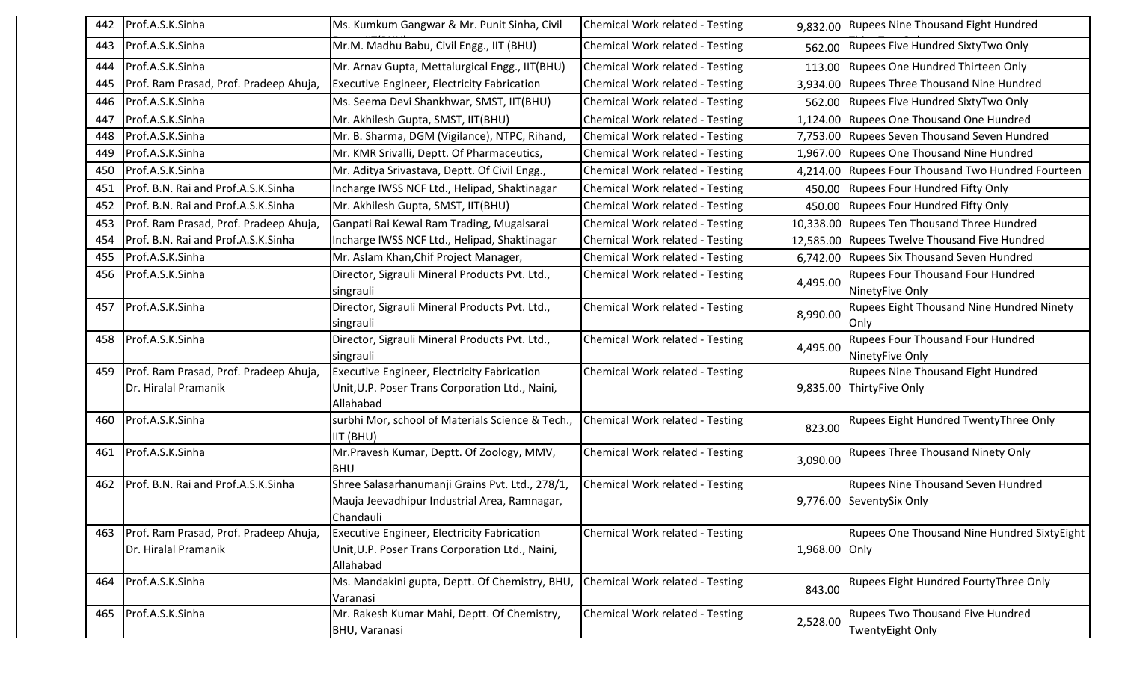| 442 | Prof.A.S.K.Sinha                       | Ms. Kumkum Gangwar & Mr. Punit Sinha, Civil                   | Chemical Work related - Testing | 9,832.00      | <b>Rupees Nine Thousand Eight Hundred</b>          |
|-----|----------------------------------------|---------------------------------------------------------------|---------------------------------|---------------|----------------------------------------------------|
| 443 | Prof.A.S.K.Sinha                       | Mr.M. Madhu Babu, Civil Engg., IIT (BHU)                      | Chemical Work related - Testing | 562.00        | Rupees Five Hundred SixtyTwo Only                  |
| 444 | Prof.A.S.K.Sinha                       | Mr. Arnav Gupta, Mettalurgical Engg., IIT(BHU)                | Chemical Work related - Testing | 113.00        | Rupees One Hundred Thirteen Only                   |
| 445 | Prof. Ram Prasad, Prof. Pradeep Ahuja, | <b>Executive Engineer, Electricity Fabrication</b>            | Chemical Work related - Testing | 3,934.00      | Rupees Three Thousand Nine Hundred                 |
| 446 | Prof.A.S.K.Sinha                       | Ms. Seema Devi Shankhwar, SMST, IIT(BHU)                      | Chemical Work related - Testing | 562.00        | Rupees Five Hundred SixtyTwo Only                  |
| 447 | Prof.A.S.K.Sinha                       | Mr. Akhilesh Gupta, SMST, IIT(BHU)                            | Chemical Work related - Testing |               | 1,124.00 Rupees One Thousand One Hundred           |
| 448 | Prof.A.S.K.Sinha                       | Mr. B. Sharma, DGM (Vigilance), NTPC, Rihand,                 | Chemical Work related - Testing |               | 7,753.00 Rupees Seven Thousand Seven Hundred       |
| 449 | Prof.A.S.K.Sinha                       | Mr. KMR Srivalli, Deptt. Of Pharmaceutics,                    | Chemical Work related - Testing |               | 1,967.00 Rupees One Thousand Nine Hundred          |
| 450 | Prof.A.S.K.Sinha                       | Mr. Aditya Srivastava, Deptt. Of Civil Engg.,                 | Chemical Work related - Testing | 4,214.00      | <b>Rupees Four Thousand Two Hundred Fourteen</b>   |
| 451 | Prof. B.N. Rai and Prof.A.S.K.Sinha    | Incharge IWSS NCF Ltd., Helipad, Shaktinagar                  | Chemical Work related - Testing | 450.00        | <b>Rupees Four Hundred Fifty Only</b>              |
| 452 | Prof. B.N. Rai and Prof.A.S.K.Sinha    | Mr. Akhilesh Gupta, SMST, IIT(BHU)                            | Chemical Work related - Testing | 450.00        | <b>Rupees Four Hundred Fifty Only</b>              |
| 453 | Prof. Ram Prasad, Prof. Pradeep Ahuja, | Ganpati Rai Kewal Ram Trading, Mugalsarai                     | Chemical Work related - Testing |               | 10,338.00 Rupees Ten Thousand Three Hundred        |
| 454 | Prof. B.N. Rai and Prof.A.S.K.Sinha    | Incharge IWSS NCF Ltd., Helipad, Shaktinagar                  | Chemical Work related - Testing | 12,585.00     | Rupees Twelve Thousand Five Hundred                |
| 455 | Prof.A.S.K.Sinha                       | Mr. Aslam Khan, Chif Project Manager,                         | Chemical Work related - Testing | 6,742.00      | <b>Rupees Six Thousand Seven Hundred</b>           |
| 456 | Prof.A.S.K.Sinha                       | Director, Sigrauli Mineral Products Pvt. Ltd.,                | Chemical Work related - Testing | 4,495.00      | Rupees Four Thousand Four Hundred                  |
|     |                                        | singrauli                                                     |                                 |               | NinetyFive Only                                    |
| 457 | Prof.A.S.K.Sinha                       | Director, Sigrauli Mineral Products Pvt. Ltd.,<br>singrauli   | Chemical Work related - Testing | 8,990.00      | Rupees Eight Thousand Nine Hundred Ninety<br> Only |
| 458 | Prof.A.S.K.Sinha                       | Director, Sigrauli Mineral Products Pvt. Ltd.,                | Chemical Work related - Testing |               | Rupees Four Thousand Four Hundred                  |
|     |                                        | singrauli                                                     |                                 | 4,495.00      | NinetyFive Only                                    |
| 459 | Prof. Ram Prasad, Prof. Pradeep Ahuja, | <b>Executive Engineer, Electricity Fabrication</b>            | Chemical Work related - Testing |               | <b>Rupees Nine Thousand Eight Hundred</b>          |
|     | Dr. Hiralal Pramanik                   | Unit, U.P. Poser Trans Corporation Ltd., Naini,               |                                 |               | 9,835.00 ThirtyFive Only                           |
|     |                                        | Allahabad                                                     |                                 |               |                                                    |
| 460 | Prof.A.S.K.Sinha                       | surbhi Mor, school of Materials Science & Tech.,<br>IIT (BHU) | Chemical Work related - Testing | 823.00        | Rupees Eight Hundred TwentyThree Only              |
| 461 | Prof.A.S.K.Sinha                       | Mr.Pravesh Kumar, Deptt. Of Zoology, MMV,                     | Chemical Work related - Testing | 3,090.00      | <b>Rupees Three Thousand Ninety Only</b>           |
|     |                                        | <b>BHU</b>                                                    |                                 |               |                                                    |
| 462 | Prof. B.N. Rai and Prof.A.S.K.Sinha    | Shree Salasarhanumanji Grains Pvt. Ltd., 278/1,               | Chemical Work related - Testing |               | <b>Rupees Nine Thousand Seven Hundred</b>          |
|     |                                        | Mauja Jeevadhipur Industrial Area, Ramnagar,                  |                                 |               | 9,776.00 SeventySix Only                           |
|     |                                        | Chandauli                                                     |                                 |               |                                                    |
| 463 | Prof. Ram Prasad, Prof. Pradeep Ahuja, | <b>Executive Engineer, Electricity Fabrication</b>            | Chemical Work related - Testing |               | <b>Rupees One Thousand Nine Hundred SixtyEight</b> |
|     | Dr. Hiralal Pramanik                   | Unit, U.P. Poser Trans Corporation Ltd., Naini,<br>Allahabad  |                                 | 1,968.00 Only |                                                    |
| 464 | Prof.A.S.K.Sinha                       | Ms. Mandakini gupta, Deptt. Of Chemistry, BHU,                | Chemical Work related - Testing |               | Rupees Eight Hundred FourtyThree Only              |
|     |                                        | Varanasi                                                      |                                 | 843.00        |                                                    |
| 465 | Prof.A.S.K.Sinha                       | Mr. Rakesh Kumar Mahi, Deptt. Of Chemistry,                   | Chemical Work related - Testing | 2,528.00      | <b>Rupees Two Thousand Five Hundred</b>            |
|     |                                        | <b>BHU, Varanasi</b>                                          |                                 |               | TwentyEight Only                                   |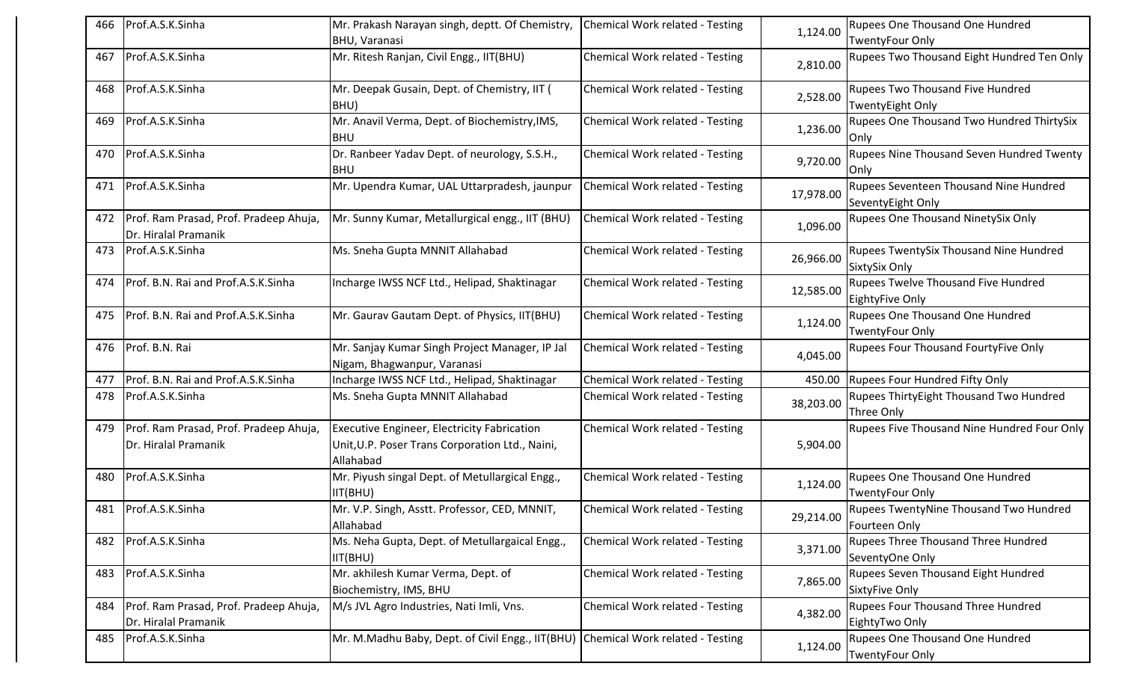| 466 | Prof.A.S.K.Sinha                                               | Mr. Prakash Narayan singh, deptt. Of Chemistry,<br><b>BHU, Varanasi</b>                                     | Chemical Work related - Testing | 1,124.00  | Rupees One Thousand One Hundred<br><b>TwentyFour Only</b>        |
|-----|----------------------------------------------------------------|-------------------------------------------------------------------------------------------------------------|---------------------------------|-----------|------------------------------------------------------------------|
| 467 | Prof.A.S.K.Sinha                                               | Mr. Ritesh Ranjan, Civil Engg., IIT(BHU)                                                                    | Chemical Work related - Testing | 2,810.00  | Rupees Two Thousand Eight Hundred Ten Only                       |
| 468 | Prof.A.S.K.Sinha                                               | Mr. Deepak Gusain, Dept. of Chemistry, IIT (<br>BHU)                                                        | Chemical Work related - Testing | 2,528.00  | <b>Rupees Two Thousand Five Hundred</b><br>TwentyEight Only      |
| 469 | Prof.A.S.K.Sinha                                               | Mr. Anavil Verma, Dept. of Biochemistry, IMS,<br><b>BHU</b>                                                 | Chemical Work related - Testing | 1,236.00  | Rupees One Thousand Two Hundred ThirtySix<br><b>Only</b>         |
| 470 | Prof.A.S.K.Sinha                                               | Dr. Ranbeer Yadav Dept. of neurology, S.S.H.,<br><b>BHU</b>                                                 | Chemical Work related - Testing | 9,720.00  | Rupees Nine Thousand Seven Hundred Twenty<br>Only                |
| 471 | Prof.A.S.K.Sinha                                               | Mr. Upendra Kumar, UAL Uttarpradesh, jaunpur                                                                | Chemical Work related - Testing | 17,978.00 | Rupees Seventeen Thousand Nine Hundred<br>SeventyEight Only      |
| 472 | Prof. Ram Prasad, Prof. Pradeep Ahuja,<br>Dr. Hiralal Pramanik | Mr. Sunny Kumar, Metallurgical engg., IIT (BHU)                                                             | Chemical Work related - Testing | 1,096.00  | Rupees One Thousand NinetySix Only                               |
| 473 | Prof.A.S.K.Sinha                                               | Ms. Sneha Gupta MNNIT Allahabad                                                                             | Chemical Work related - Testing | 26,966.00 | Rupees TwentySix Thousand Nine Hundred<br>SixtySix Only          |
| 474 | Prof. B.N. Rai and Prof.A.S.K.Sinha                            | Incharge IWSS NCF Ltd., Helipad, Shaktinagar                                                                | Chemical Work related - Testing | 12,585.00 | <b>Rupees Twelve Thousand Five Hundred</b><br>EightyFive Only    |
| 475 | Prof. B.N. Rai and Prof.A.S.K.Sinha                            | Mr. Gaurav Gautam Dept. of Physics, IIT(BHU)                                                                | Chemical Work related - Testing | 1,124.00  | <b>Rupees One Thousand One Hundred</b><br><b>TwentyFour Only</b> |
| 476 | Prof. B.N. Rai                                                 | Mr. Sanjay Kumar Singh Project Manager, IP Jal<br>Nigam, Bhagwanpur, Varanasi                               | Chemical Work related - Testing | 4,045.00  | Rupees Four Thousand FourtyFive Only                             |
| 477 | Prof. B.N. Rai and Prof.A.S.K.Sinha                            | Incharge IWSS NCF Ltd., Helipad, Shaktinagar                                                                | Chemical Work related - Testing | 450.00    | Rupees Four Hundred Fifty Only                                   |
| 478 | Prof.A.S.K.Sinha                                               | Ms. Sneha Gupta MNNIT Allahabad                                                                             | Chemical Work related - Testing | 38,203.00 | Rupees ThirtyEight Thousand Two Hundred<br>Three Only            |
| 479 | Prof. Ram Prasad, Prof. Pradeep Ahuja,<br>Dr. Hiralal Pramanik | Executive Engineer, Electricity Fabrication<br>Unit, U.P. Poser Trans Corporation Ltd., Naini,<br>Allahabad | Chemical Work related - Testing | 5,904.00  | Rupees Five Thousand Nine Hundred Four Only                      |
| 480 | Prof.A.S.K.Sinha                                               | Mr. Piyush singal Dept. of Metullargical Engg.,<br>IIT(BHU)                                                 | Chemical Work related - Testing | 1,124.00  | <b>Rupees One Thousand One Hundred</b><br><b>TwentyFour Only</b> |
| 481 | Prof.A.S.K.Sinha                                               | Mr. V.P. Singh, Asstt. Professor, CED, MNNIT,<br>Allahabad                                                  | Chemical Work related - Testing | 29,214.00 | Rupees TwentyNine Thousand Two Hundred<br>Fourteen Only          |
| 482 | Prof.A.S.K.Sinha                                               | Ms. Neha Gupta, Dept. of Metullargaical Engg.,<br>IIT(BHU)                                                  | Chemical Work related - Testing | 3,371.00  | Rupees Three Thousand Three Hundred<br>SeventyOne Only           |
| 483 | Prof.A.S.K.Sinha                                               | Mr. akhilesh Kumar Verma, Dept. of<br>Biochemistry, IMS, BHU                                                | Chemical Work related - Testing | 7,865.00  | Rupees Seven Thousand Eight Hundred<br>SixtyFive Only            |
| 484 | Prof. Ram Prasad, Prof. Pradeep Ahuja,<br>Dr. Hiralal Pramanik | M/s JVL Agro Industries, Nati Imli, Vns.                                                                    | Chemical Work related - Testing | 4,382.00  | <b>Rupees Four Thousand Three Hundred</b><br>EightyTwo Only      |
| 485 | Prof.A.S.K.Sinha                                               | Mr. M.Madhu Baby, Dept. of Civil Engg., IIT(BHU) Chemical Work related - Testing                            |                                 | 1,124.00  | Rupees One Thousand One Hundred<br><b>TwentyFour Only</b>        |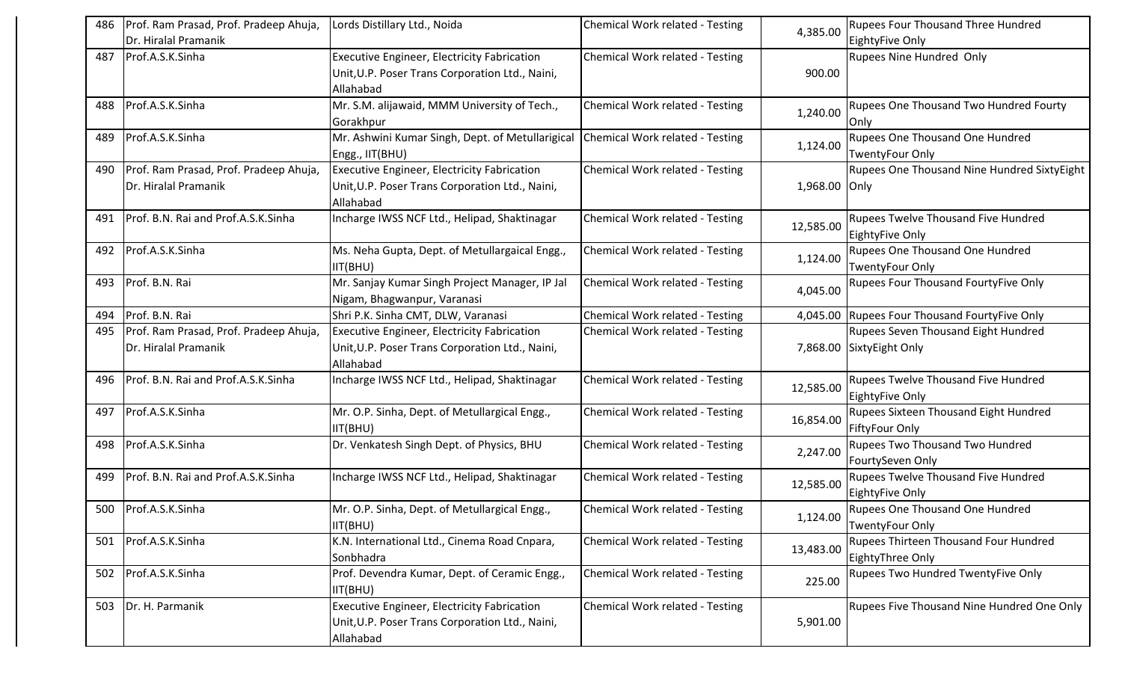| 486 | Prof. Ram Prasad, Prof. Pradeep Ahuja,<br>Dr. Hiralal Pramanik | Lords Distillary Ltd., Noida                                                                                       | Chemical Work related - Testing        | 4,385.00      | <b>Rupees Four Thousand Three Hundred</b><br>EightyFive Only           |
|-----|----------------------------------------------------------------|--------------------------------------------------------------------------------------------------------------------|----------------------------------------|---------------|------------------------------------------------------------------------|
| 487 | Prof.A.S.K.Sinha                                               | <b>Executive Engineer, Electricity Fabrication</b><br>Unit, U.P. Poser Trans Corporation Ltd., Naini,<br>Allahabad | Chemical Work related - Testing        | 900.00        | <b>Rupees Nine Hundred Only</b>                                        |
| 488 | Prof.A.S.K.Sinha                                               | Mr. S.M. alijawaid, MMM University of Tech.,<br>Gorakhpur                                                          | Chemical Work related - Testing        | 1,240.00      | Rupees One Thousand Two Hundred Fourty<br>Only                         |
| 489 | Prof.A.S.K.Sinha                                               | Mr. Ashwini Kumar Singh, Dept. of Metullarigical<br>Engg., IIT(BHU)                                                | Chemical Work related - Testing        | 1,124.00      | <b>Rupees One Thousand One Hundred</b><br><b>TwentyFour Only</b>       |
| 490 | Prof. Ram Prasad, Prof. Pradeep Ahuja,<br>Dr. Hiralal Pramanik | <b>Executive Engineer, Electricity Fabrication</b><br>Unit, U.P. Poser Trans Corporation Ltd., Naini,<br>Allahabad | Chemical Work related - Testing        | 1,968.00 Only | Rupees One Thousand Nine Hundred SixtyEight                            |
| 491 | Prof. B.N. Rai and Prof.A.S.K.Sinha                            | Incharge IWSS NCF Ltd., Helipad, Shaktinagar                                                                       | Chemical Work related - Testing        | 12,585.00     | <b>Rupees Twelve Thousand Five Hundred</b><br>EightyFive Only          |
| 492 | Prof.A.S.K.Sinha                                               | Ms. Neha Gupta, Dept. of Metullargaical Engg.,<br>IIT(BHU)                                                         | Chemical Work related - Testing        | 1,124.00      | Rupees One Thousand One Hundred<br><b>TwentyFour Only</b>              |
| 493 | Prof. B.N. Rai                                                 | Mr. Sanjay Kumar Singh Project Manager, IP Jal<br>Nigam, Bhagwanpur, Varanasi                                      | Chemical Work related - Testing        | 4,045.00      | Rupees Four Thousand FourtyFive Only                                   |
| 494 | Prof. B.N. Rai                                                 | Shri P.K. Sinha CMT, DLW, Varanasi                                                                                 | Chemical Work related - Testing        |               | 4,045.00 Rupees Four Thousand FourtyFive Only                          |
| 495 | Prof. Ram Prasad, Prof. Pradeep Ahuja,<br>Dr. Hiralal Pramanik | <b>Executive Engineer, Electricity Fabrication</b><br>Unit, U.P. Poser Trans Corporation Ltd., Naini,<br>Allahabad | <b>Chemical Work related - Testing</b> |               | <b>Rupees Seven Thousand Eight Hundred</b><br>7,868.00 SixtyEight Only |
| 496 | Prof. B.N. Rai and Prof.A.S.K.Sinha                            | Incharge IWSS NCF Ltd., Helipad, Shaktinagar                                                                       | Chemical Work related - Testing        | 12,585.00     | <b>Rupees Twelve Thousand Five Hundred</b><br>EightyFive Only          |
| 497 | Prof.A.S.K.Sinha                                               | Mr. O.P. Sinha, Dept. of Metullargical Engg.,<br>IIT(BHU)                                                          | Chemical Work related - Testing        | 16,854.00     | Rupees Sixteen Thousand Eight Hundred<br><b>FiftyFour Only</b>         |
| 498 | Prof.A.S.K.Sinha                                               | Dr. Venkatesh Singh Dept. of Physics, BHU                                                                          | Chemical Work related - Testing        | 2,247.00      | <b>Rupees Two Thousand Two Hundred</b><br>FourtySeven Only             |
| 499 | Prof. B.N. Rai and Prof.A.S.K.Sinha                            | Incharge IWSS NCF Ltd., Helipad, Shaktinagar                                                                       | Chemical Work related - Testing        | 12,585.00     | Rupees Twelve Thousand Five Hundred<br>EightyFive Only                 |
|     | 500 Prof.A.S.K.Sinha                                           | Mr. O.P. Sinha, Dept. of Metullargical Engg.,<br>IIT(BHU)                                                          | Chemical Work related - Testing        | 1,124.00      | <b>Rupees One Thousand One Hundred</b><br><b>TwentyFour Only</b>       |
| 501 | Prof.A.S.K.Sinha                                               | K.N. International Ltd., Cinema Road Cnpara,<br>Sonbhadra                                                          | Chemical Work related - Testing        | 13,483.00     | Rupees Thirteen Thousand Four Hundred<br>EightyThree Only              |
| 502 | Prof.A.S.K.Sinha                                               | Prof. Devendra Kumar, Dept. of Ceramic Engg.,<br>IIT(BHU)                                                          | Chemical Work related - Testing        | 225.00        | Rupees Two Hundred TwentyFive Only                                     |
| 503 | Dr. H. Parmanik                                                | <b>Executive Engineer, Electricity Fabrication</b><br>Unit, U.P. Poser Trans Corporation Ltd., Naini,<br>Allahabad | Chemical Work related - Testing        | 5,901.00      | Rupees Five Thousand Nine Hundred One Only                             |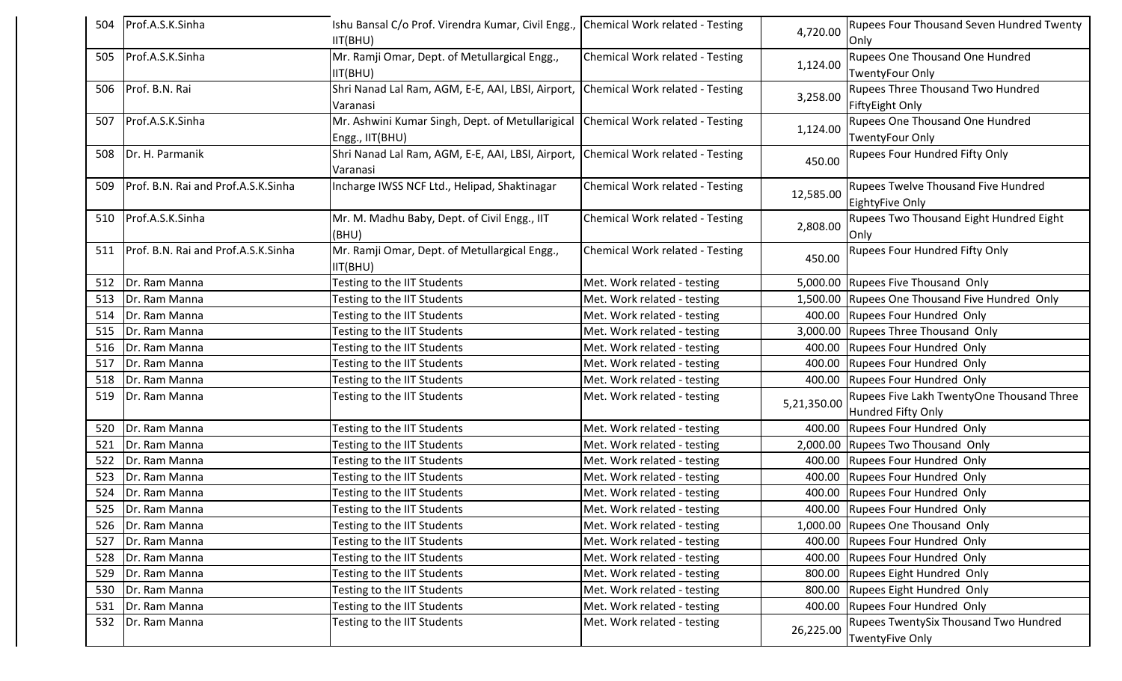| 504 | Prof.A.S.K.Sinha                    | Ishu Bansal C/o Prof. Virendra Kumar, Civil Engg., Chemical Work related - Testing<br>IIT(BHU)      |                                 | 4,720.00    | <b>Rupees Four Thousand Seven Hundred Twenty</b><br>Only        |
|-----|-------------------------------------|-----------------------------------------------------------------------------------------------------|---------------------------------|-------------|-----------------------------------------------------------------|
| 505 | Prof.A.S.K.Sinha                    | Mr. Ramji Omar, Dept. of Metullargical Engg.,<br>IIT(BHU)                                           | Chemical Work related - Testing | 1,124.00    | Rupees One Thousand One Hundred<br><b>TwentyFour Only</b>       |
| 506 | Prof. B.N. Rai                      | Shri Nanad Lal Ram, AGM, E-E, AAI, LBSI, Airport, Chemical Work related - Testing<br>Varanasi       |                                 | 3,258.00    | Rupees Three Thousand Two Hundred<br>FiftyEight Only            |
| 507 | Prof.A.S.K.Sinha                    | Mr. Ashwini Kumar Singh, Dept. of Metullarigical Chemical Work related - Testing<br>Engg., IIT(BHU) |                                 | 1,124.00    | Rupees One Thousand One Hundred<br><b>TwentyFour Only</b>       |
| 508 | Dr. H. Parmanik                     | Shri Nanad Lal Ram, AGM, E-E, AAI, LBSI, Airport, Chemical Work related - Testing<br>Varanasi       |                                 | 450.00      | Rupees Four Hundred Fifty Only                                  |
| 509 | Prof. B.N. Rai and Prof.A.S.K.Sinha | Incharge IWSS NCF Ltd., Helipad, Shaktinagar                                                        | Chemical Work related - Testing | 12,585.00   | <b>Rupees Twelve Thousand Five Hundred</b><br>EightyFive Only   |
| 510 | Prof.A.S.K.Sinha                    | Mr. M. Madhu Baby, Dept. of Civil Engg., IIT<br>(BHU)                                               | Chemical Work related - Testing | 2,808.00    | Rupees Two Thousand Eight Hundred Eight<br>Only                 |
| 511 | Prof. B.N. Rai and Prof.A.S.K.Sinha | Mr. Ramji Omar, Dept. of Metullargical Engg.,<br>IIT(BHU)                                           | Chemical Work related - Testing | 450.00      | Rupees Four Hundred Fifty Only                                  |
| 512 | Dr. Ram Manna                       | Testing to the IIT Students                                                                         | Met. Work related - testing     |             | 5,000.00 Rupees Five Thousand Only                              |
| 513 | Dr. Ram Manna                       | Testing to the IIT Students                                                                         | Met. Work related - testing     | 1,500.00    | Rupees One Thousand Five Hundred Only                           |
| 514 | Dr. Ram Manna                       | Testing to the IIT Students                                                                         | Met. Work related - testing     | 400.00      | Rupees Four Hundred Only                                        |
| 515 | Dr. Ram Manna                       | Testing to the IIT Students                                                                         | Met. Work related - testing     | 3,000.00    | Rupees Three Thousand Only                                      |
| 516 | Dr. Ram Manna                       | Testing to the IIT Students                                                                         | Met. Work related - testing     | 400.00      | Rupees Four Hundred Only                                        |
| 517 | Dr. Ram Manna                       | Testing to the IIT Students                                                                         | Met. Work related - testing     | 400.00      | Rupees Four Hundred Only                                        |
| 518 | Dr. Ram Manna                       | Testing to the IIT Students                                                                         | Met. Work related - testing     | 400.00      | Rupees Four Hundred Only                                        |
| 519 | Dr. Ram Manna                       | Testing to the IIT Students                                                                         | Met. Work related - testing     | 5,21,350.00 | Rupees Five Lakh TwentyOne Thousand Three<br>Hundred Fifty Only |
| 520 | Dr. Ram Manna                       | Testing to the IIT Students                                                                         | Met. Work related - testing     | 400.00      | Rupees Four Hundred Only                                        |
| 521 | Dr. Ram Manna                       | Testing to the IIT Students                                                                         | Met. Work related - testing     | 2,000.00    | Rupees Two Thousand Only                                        |
| 522 | Dr. Ram Manna                       | Testing to the IIT Students                                                                         | Met. Work related - testing     | 400.00      | Rupees Four Hundred Only                                        |
| 523 | Dr. Ram Manna                       | Testing to the IIT Students                                                                         | Met. Work related - testing     | 400.00      | Rupees Four Hundred Only                                        |
| 524 | Dr. Ram Manna                       | Testing to the IIT Students                                                                         | Met. Work related - testing     | 400.00      | Rupees Four Hundred Only                                        |
| 525 | Dr. Ram Manna                       | Testing to the IIT Students                                                                         | Met. Work related - testing     |             | 400.00 Rupees Four Hundred Only                                 |
| 526 | Dr. Ram Manna                       | Testing to the IIT Students                                                                         | Met. Work related - testing     |             | 1,000.00 Rupees One Thousand Only                               |
| 527 | Dr. Ram Manna                       | Testing to the IIT Students                                                                         | Met. Work related - testing     |             | 400.00 Rupees Four Hundred Only                                 |
| 528 | Dr. Ram Manna                       | Testing to the IIT Students                                                                         | Met. Work related - testing     | 400.00      | Rupees Four Hundred Only                                        |
| 529 | Dr. Ram Manna                       | Testing to the IIT Students                                                                         | Met. Work related - testing     | 800.00      | Rupees Eight Hundred Only                                       |
| 530 | Dr. Ram Manna                       | Testing to the IIT Students                                                                         | Met. Work related - testing     | 800.00      | Rupees Eight Hundred Only                                       |
| 531 | Dr. Ram Manna                       | Testing to the IIT Students                                                                         | Met. Work related - testing     | 400.00      | Rupees Four Hundred Only                                        |
| 532 | Dr. Ram Manna                       | Testing to the IIT Students                                                                         | Met. Work related - testing     | 26,225.00   | Rupees TwentySix Thousand Two Hundred<br>TwentyFive Only        |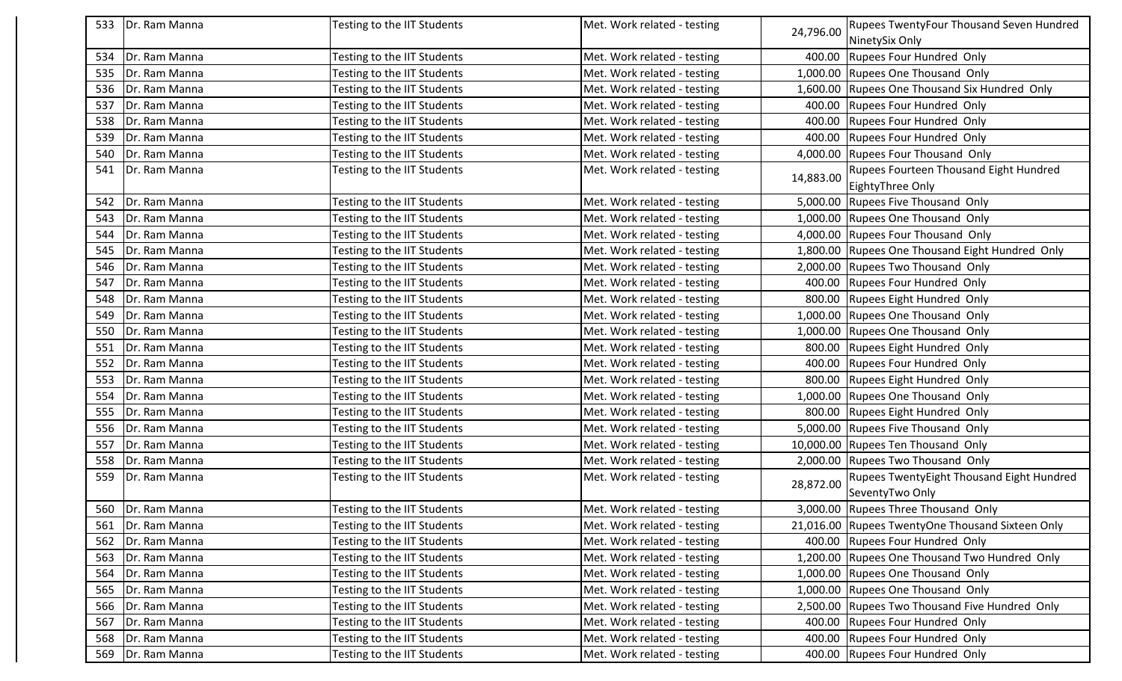| 533 | Dr. Ram Manna       | Testing to the IIT Students | Met. Work related - testing |           | Rupees TwentyFour Thousand Seven Hundred         |
|-----|---------------------|-----------------------------|-----------------------------|-----------|--------------------------------------------------|
|     |                     |                             |                             | 24,796.00 | NinetySix Only                                   |
| 534 | Dr. Ram Manna       | Testing to the IIT Students | Met. Work related - testing | 400.00    | Rupees Four Hundred Only                         |
| 535 | Dr. Ram Manna       | Testing to the IIT Students | Met. Work related - testing | 1,000.00  | Rupees One Thousand Only                         |
| 536 | Dr. Ram Manna       | Testing to the IIT Students | Met. Work related - testing |           | 1,600.00 Rupees One Thousand Six Hundred Only    |
| 537 | Dr. Ram Manna       | Testing to the IIT Students | Met. Work related - testing | 400.00    | Rupees Four Hundred Only                         |
| 538 | Dr. Ram Manna       | Testing to the IIT Students | Met. Work related - testing | 400.00    | Rupees Four Hundred Only                         |
| 539 | Dr. Ram Manna       | Testing to the IIT Students | Met. Work related - testing | 400.00    | Rupees Four Hundred Only                         |
| 540 | Dr. Ram Manna       | Testing to the IIT Students | Met. Work related - testing | 4,000.00  | Rupees Four Thousand Only                        |
| 541 | Dr. Ram Manna       | Testing to the IIT Students | Met. Work related - testing | 14,883.00 | <b>Rupees Fourteen Thousand Eight Hundred</b>    |
|     |                     |                             |                             |           | EightyThree Only                                 |
| 542 | Dr. Ram Manna       | Testing to the IIT Students | Met. Work related - testing |           | 5,000.00 Rupees Five Thousand Only               |
| 543 | Dr. Ram Manna       | Testing to the IIT Students | Met. Work related - testing |           | 1,000.00 Rupees One Thousand Only                |
| 544 | Dr. Ram Manna       | Testing to the IIT Students | Met. Work related - testing |           | 4,000.00 Rupees Four Thousand Only               |
| 545 | Dr. Ram Manna       | Testing to the IIT Students | Met. Work related - testing |           | 1,800.00 Rupees One Thousand Eight Hundred Only  |
| 546 | Dr. Ram Manna       | Testing to the IIT Students | Met. Work related - testing | 2,000.00  | Rupees Two Thousand Only                         |
| 547 | Dr. Ram Manna       | Testing to the IIT Students | Met. Work related - testing | 400.00    | Rupees Four Hundred Only                         |
| 548 | Dr. Ram Manna       | Testing to the IIT Students | Met. Work related - testing | 800.00    | Rupees Eight Hundred Only                        |
| 549 | Dr. Ram Manna       | Testing to the IIT Students | Met. Work related - testing |           | 1,000.00 Rupees One Thousand Only                |
| 550 | Dr. Ram Manna       | Testing to the IIT Students | Met. Work related - testing |           | 1,000.00 Rupees One Thousand Only                |
| 551 | Dr. Ram Manna       | Testing to the IIT Students | Met. Work related - testing |           | 800.00 Rupees Eight Hundred Only                 |
| 552 | Dr. Ram Manna       | Testing to the IIT Students | Met. Work related - testing | 400.00    | Rupees Four Hundred Only                         |
| 553 | Dr. Ram Manna       | Testing to the IIT Students | Met. Work related - testing | 800.00    | Rupees Eight Hundred Only                        |
| 554 | Dr. Ram Manna       | Testing to the IIT Students | Met. Work related - testing |           | 1,000.00 Rupees One Thousand Only                |
| 555 | Dr. Ram Manna       | Testing to the IIT Students | Met. Work related - testing | 800.00    | Rupees Eight Hundred Only                        |
| 556 | Dr. Ram Manna       | Testing to the IIT Students | Met. Work related - testing |           | 5,000.00 Rupees Five Thousand Only               |
| 557 | Dr. Ram Manna       | Testing to the IIT Students | Met. Work related - testing |           | 10,000.00 Rupees Ten Thousand Only               |
| 558 | Dr. Ram Manna       | Testing to the IIT Students | Met. Work related - testing | 2,000.00  | Rupees Two Thousand Only                         |
| 559 | Dr. Ram Manna       | Testing to the IIT Students | Met. Work related - testing | 28,872.00 | <b>Rupees TwentyEight Thousand Eight Hundred</b> |
|     |                     |                             |                             |           | SeventyTwo Only                                  |
|     | 560   Dr. Ram Manna | Testing to the IIT Students | Met. Work related - testing |           | 3,000.00 Rupees Three Thousand Only              |
| 561 | Dr. Ram Manna       | Testing to the IIT Students | Met. Work related - testing |           | 21,016.00 Rupees TwentyOne Thousand Sixteen Only |
| 562 | Dr. Ram Manna       | Testing to the IIT Students | Met. Work related - testing |           | 400.00 Rupees Four Hundred Only                  |
| 563 | Dr. Ram Manna       | Testing to the IIT Students | Met. Work related - testing |           | 1,200.00 Rupees One Thousand Two Hundred Only    |
| 564 | Dr. Ram Manna       | Testing to the IIT Students | Met. Work related - testing | 1,000.00  | Rupees One Thousand Only                         |
| 565 | Dr. Ram Manna       | Testing to the IIT Students | Met. Work related - testing |           | 1,000.00 Rupees One Thousand Only                |
| 566 | Dr. Ram Manna       | Testing to the IIT Students | Met. Work related - testing | 2,500.00  | Rupees Two Thousand Five Hundred Only            |
| 567 | Dr. Ram Manna       | Testing to the IIT Students | Met. Work related - testing | 400.00    | Rupees Four Hundred Only                         |
| 568 | Dr. Ram Manna       | Testing to the IIT Students | Met. Work related - testing | 400.00    | Rupees Four Hundred Only                         |
| 569 | Dr. Ram Manna       | Testing to the IIT Students | Met. Work related - testing |           | 400.00 Rupees Four Hundred Only                  |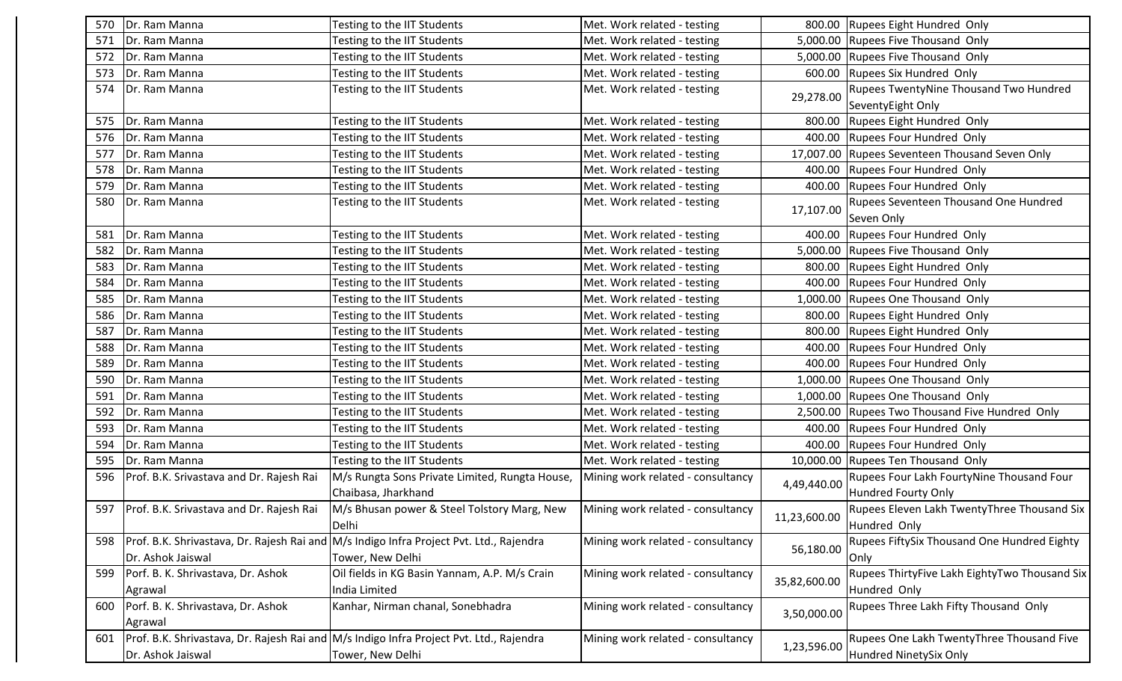| 570 | Dr. Ram Manna                            | Testing to the IIT Students                                                             | Met. Work related - testing       |              | 800.00 Rupees Eight Hundred Only               |
|-----|------------------------------------------|-----------------------------------------------------------------------------------------|-----------------------------------|--------------|------------------------------------------------|
| 571 | Dr. Ram Manna                            | Testing to the IIT Students                                                             | Met. Work related - testing       |              | 5,000.00 Rupees Five Thousand Only             |
| 572 | Dr. Ram Manna                            | <b>Testing to the IIT Students</b>                                                      | Met. Work related - testing       | 5,000.00     | Rupees Five Thousand Only                      |
| 573 | Dr. Ram Manna                            | <b>Testing to the IIT Students</b>                                                      | Met. Work related - testing       | 600.00       | Rupees Six Hundred Only                        |
| 574 | Dr. Ram Manna                            | Testing to the IIT Students                                                             | Met. Work related - testing       |              | Rupees TwentyNine Thousand Two Hundred         |
|     |                                          |                                                                                         |                                   | 29,278.00    | SeventyEight Only                              |
| 575 | Dr. Ram Manna                            | Testing to the IIT Students                                                             | Met. Work related - testing       | 800.00       | Rupees Eight Hundred Only                      |
| 576 | Dr. Ram Manna                            | <b>Testing to the IIT Students</b>                                                      | Met. Work related - testing       | 400.00       | Rupees Four Hundred Only                       |
| 577 | Dr. Ram Manna                            | Testing to the IIT Students                                                             | Met. Work related - testing       |              | 17,007.00 Rupees Seventeen Thousand Seven Only |
| 578 | Dr. Ram Manna                            | <b>Testing to the IIT Students</b>                                                      | Met. Work related - testing       | 400.00       | Rupees Four Hundred Only                       |
| 579 | Dr. Ram Manna                            | Testing to the IIT Students                                                             | Met. Work related - testing       | 400.00       | Rupees Four Hundred Only                       |
| 580 | Dr. Ram Manna                            | Testing to the IIT Students                                                             | Met. Work related - testing       | 17,107.00    | Rupees Seventeen Thousand One Hundred          |
|     |                                          |                                                                                         |                                   |              | Seven Only                                     |
| 581 | Dr. Ram Manna                            | Testing to the IIT Students                                                             | Met. Work related - testing       | 400.00       | Rupees Four Hundred Only                       |
| 582 | Dr. Ram Manna                            | <b>Testing to the IIT Students</b>                                                      | Met. Work related - testing       |              | 5,000.00 Rupees Five Thousand Only             |
| 583 | Dr. Ram Manna                            | Testing to the IIT Students                                                             | Met. Work related - testing       | 800.00       | Rupees Eight Hundred Only                      |
| 584 | Dr. Ram Manna                            | <b>Testing to the IIT Students</b>                                                      | Met. Work related - testing       | 400.00       | Rupees Four Hundred Only                       |
| 585 | Dr. Ram Manna                            | Testing to the IIT Students                                                             | Met. Work related - testing       | 1,000.00     | Rupees One Thousand Only                       |
| 586 | Dr. Ram Manna                            | Testing to the IIT Students                                                             | Met. Work related - testing       | 800.00       | Rupees Eight Hundred Only                      |
| 587 | Dr. Ram Manna                            | <b>Testing to the IIT Students</b>                                                      | Met. Work related - testing       | 800.00       | Rupees Eight Hundred Only                      |
| 588 | Dr. Ram Manna                            | Testing to the IIT Students                                                             | Met. Work related - testing       | 400.00       | Rupees Four Hundred Only                       |
| 589 | Dr. Ram Manna                            | <b>Testing to the IIT Students</b>                                                      | Met. Work related - testing       | 400.00       | Rupees Four Hundred Only                       |
| 590 | Dr. Ram Manna                            | Testing to the IIT Students                                                             | Met. Work related - testing       | 1,000.00     | Rupees One Thousand Only                       |
| 591 | Dr. Ram Manna                            | Testing to the IIT Students                                                             | Met. Work related - testing       | 1,000.00     | Rupees One Thousand Only                       |
| 592 | Dr. Ram Manna                            | Testing to the IIT Students                                                             | Met. Work related - testing       | 2,500.00     | Rupees Two Thousand Five Hundred Only          |
| 593 | Dr. Ram Manna                            | Testing to the IIT Students                                                             | Met. Work related - testing       | 400.00       | Rupees Four Hundred Only                       |
| 594 | Dr. Ram Manna                            | Testing to the IIT Students                                                             | Met. Work related - testing       | 400.00       | Rupees Four Hundred Only                       |
| 595 | Dr. Ram Manna                            | Testing to the IIT Students                                                             | Met. Work related - testing       |              | 10,000.00 Rupees Ten Thousand Only             |
| 596 | Prof. B.K. Srivastava and Dr. Rajesh Rai | M/s Rungta Sons Private Limited, Rungta House,                                          | Mining work related - consultancy | 4,49,440.00  | Rupees Four Lakh FourtyNine Thousand Four      |
|     |                                          | Chaibasa, Jharkhand                                                                     |                                   |              | Hundred Fourty Only                            |
| 597 | Prof. B.K. Srivastava and Dr. Rajesh Rai | M/s Bhusan power & Steel Tolstory Marg, New                                             | Mining work related - consultancy | 11,23,600.00 | Rupees Eleven Lakh TwentyThree Thousand Six    |
|     |                                          | Delhi                                                                                   |                                   |              | Hundred Only                                   |
| 598 |                                          | Prof. B.K. Shrivastava, Dr. Rajesh Rai and M/s Indigo Infra Project Pvt. Ltd., Rajendra | Mining work related - consultancy | 56,180.00    | Rupees FiftySix Thousand One Hundred Eighty    |
|     | Dr. Ashok Jaiswal                        | Tower, New Delhi                                                                        |                                   |              | <b>Only</b>                                    |
| 599 | Porf. B. K. Shrivastava, Dr. Ashok       | Oil fields in KG Basin Yannam, A.P. M/s Crain                                           | Mining work related - consultancy | 35,82,600.00 | Rupees ThirtyFive Lakh EightyTwo Thousand Six  |
|     | Agrawal                                  | India Limited                                                                           |                                   |              | Hundred Only                                   |
| 600 | Porf. B. K. Shrivastava, Dr. Ashok       | Kanhar, Nirman chanal, Sonebhadra                                                       | Mining work related - consultancy |              | Rupees Three Lakh Fifty Thousand Only          |
|     | Agrawal                                  |                                                                                         |                                   | 3,50,000.00  |                                                |
| 601 |                                          | Prof. B.K. Shrivastava, Dr. Rajesh Rai and M/s Indigo Infra Project Pvt. Ltd., Rajendra | Mining work related - consultancy |              | Rupees One Lakh TwentyThree Thousand Five      |
|     | Dr. Ashok Jaiswal                        | Tower, New Delhi                                                                        |                                   | 1,23,596.00  | Hundred NinetySix Only                         |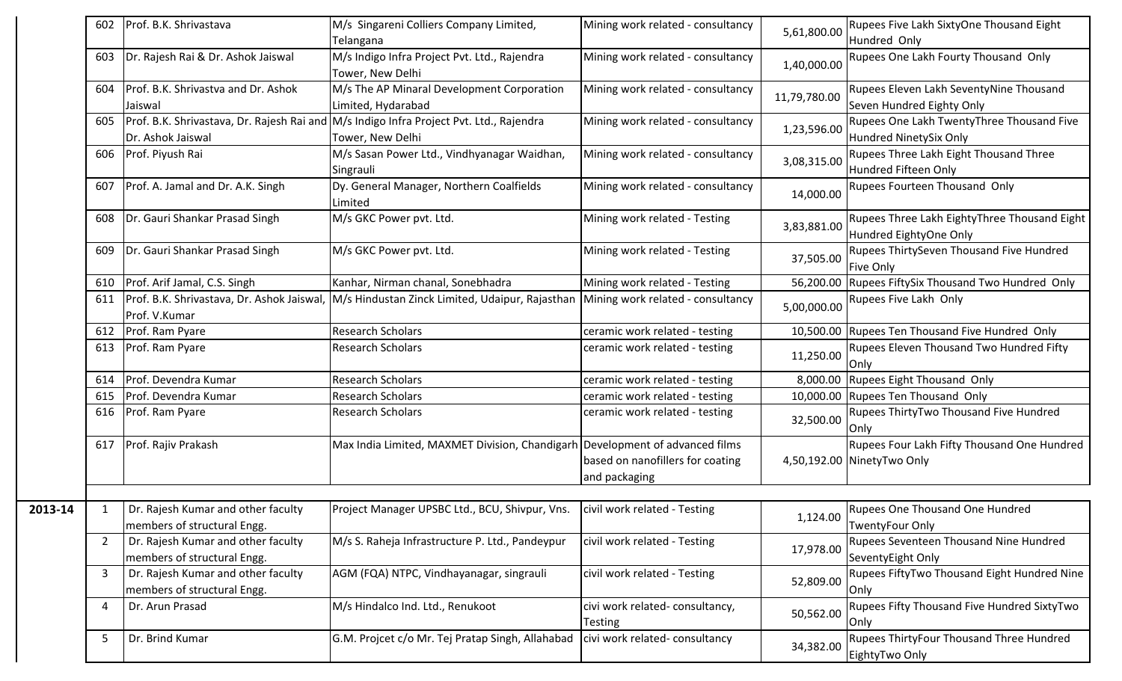|         | 602            | Prof. B.K. Shrivastava              | M/s Singareni Colliers Company Limited,                                                                                      | Mining work related - consultancy | 5,61,800.00  | Rupees Five Lakh SixtyOne Thousand Eight                       |
|---------|----------------|-------------------------------------|------------------------------------------------------------------------------------------------------------------------------|-----------------------------------|--------------|----------------------------------------------------------------|
|         |                |                                     | Telangana                                                                                                                    |                                   |              | Hundred Only                                                   |
|         | 603            | Dr. Rajesh Rai & Dr. Ashok Jaiswal  | M/s Indigo Infra Project Pvt. Ltd., Rajendra<br>Tower, New Delhi                                                             | Mining work related - consultancy | 1,40,000.00  | Rupees One Lakh Fourty Thousand Only                           |
|         | 604            | Prof. B.K. Shrivastva and Dr. Ashok | M/s The AP Minaral Development Corporation                                                                                   | Mining work related - consultancy |              | Rupees Eleven Lakh SeventyNine Thousand                        |
|         |                | Jaiswal                             | Limited, Hydarabad                                                                                                           |                                   | 11,79,780.00 | Seven Hundred Eighty Only                                      |
|         | 605            |                                     | Prof. B.K. Shrivastava, Dr. Rajesh Rai and M/s Indigo Infra Project Pvt. Ltd., Rajendra                                      | Mining work related - consultancy |              | Rupees One Lakh TwentyThree Thousand Five                      |
|         |                | Dr. Ashok Jaiswal                   | Tower, New Delhi                                                                                                             |                                   | 1,23,596.00  | Hundred NinetySix Only                                         |
|         | 606            | Prof. Piyush Rai                    | M/s Sasan Power Ltd., Vindhyanagar Waidhan,                                                                                  | Mining work related - consultancy |              | Rupees Three Lakh Eight Thousand Three                         |
|         |                |                                     | Singrauli                                                                                                                    |                                   | 3,08,315.00  | Hundred Fifteen Only                                           |
|         | 607            | Prof. A. Jamal and Dr. A.K. Singh   | Dy. General Manager, Northern Coalfields                                                                                     | Mining work related - consultancy |              | Rupees Fourteen Thousand Only                                  |
|         |                |                                     | Limited                                                                                                                      |                                   | 14,000.00    |                                                                |
|         | 608            | Dr. Gauri Shankar Prasad Singh      | M/s GKC Power pvt. Ltd.                                                                                                      | Mining work related - Testing     | 3,83,881.00  | Rupees Three Lakh EightyThree Thousand Eight                   |
|         |                |                                     |                                                                                                                              |                                   |              | Hundred EightyOne Only                                         |
|         | 609            | Dr. Gauri Shankar Prasad Singh      | M/s GKC Power pvt. Ltd.                                                                                                      | Mining work related - Testing     | 37,505.00    | Rupees ThirtySeven Thousand Five Hundred                       |
|         |                |                                     |                                                                                                                              |                                   |              | <b>Five Only</b>                                               |
|         | 610            | Prof. Arif Jamal, C.S. Singh        | Kanhar, Nirman chanal, Sonebhadra                                                                                            | Mining work related - Testing     |              | 56,200.00 Rupees FiftySix Thousand Two Hundred Only            |
|         | 611            |                                     | Prof. B.K. Shrivastava, Dr. Ashok Jaiswal, M/s Hindustan Zinck Limited, Udaipur, Rajasthan Mining work related - consultancy |                                   | 5,00,000.00  | Rupees Five Lakh Only                                          |
|         |                | Prof. V.Kumar                       |                                                                                                                              |                                   |              |                                                                |
|         | 612            | Prof. Ram Pyare                     | <b>Research Scholars</b>                                                                                                     | ceramic work related - testing    |              | 10,500.00 Rupees Ten Thousand Five Hundred Only                |
|         | 613            | Prof. Ram Pyare                     | <b>Research Scholars</b>                                                                                                     | ceramic work related - testing    | 11,250.00    | <b>Rupees Eleven Thousand Two Hundred Fifty</b><br><b>Only</b> |
|         | 614            | Prof. Devendra Kumar                | <b>Research Scholars</b>                                                                                                     | ceramic work related - testing    |              | 8,000.00 Rupees Eight Thousand Only                            |
|         | 615            | Prof. Devendra Kumar                | <b>Research Scholars</b>                                                                                                     | ceramic work related - testing    |              | 10,000.00 Rupees Ten Thousand Only                             |
|         | 616            | Prof. Ram Pyare                     | Research Scholars                                                                                                            | ceramic work related - testing    | 32,500.00    | Rupees ThirtyTwo Thousand Five Hundred<br>IOnly                |
|         | 617            | Prof. Rajiv Prakash                 | Max India Limited, MAXMET Division, Chandigarh Development of advanced films                                                 |                                   |              | Rupees Four Lakh Fifty Thousand One Hundred                    |
|         |                |                                     |                                                                                                                              | based on nanofillers for coating  |              | 4,50,192.00 NinetyTwo Only                                     |
|         |                |                                     |                                                                                                                              | and packaging                     |              |                                                                |
|         |                |                                     |                                                                                                                              |                                   |              |                                                                |
| 2013-14 |                | Dr. Rajesh Kumar and other faculty  | Project Manager UPSBC Ltd., BCU, Shivpur, Vns.                                                                               | civil work related - Testing      | 1,124.00     | <b>Rupees One Thousand One Hundred</b>                         |
|         |                | members of structural Engg.         |                                                                                                                              |                                   |              | TwentyFour Only                                                |
|         | $\overline{2}$ | Dr. Rajesh Kumar and other faculty  | M/s S. Raheja Infrastructure P. Ltd., Pandeypur                                                                              | civil work related - Testing      |              | Rupees Seventeen Thousand Nine Hundred                         |
|         |                | members of structural Engg.         |                                                                                                                              |                                   | 17,978.00    | SeventyEight Only                                              |
|         | 3              | Dr. Rajesh Kumar and other faculty  | AGM (FQA) NTPC, Vindhayanagar, singrauli                                                                                     | civil work related - Testing      |              | Rupees FiftyTwo Thousand Eight Hundred Nine                    |
|         |                | members of structural Engg.         |                                                                                                                              |                                   | 52,809.00    | <b>IOnly</b>                                                   |
|         | 4              | Dr. Arun Prasad                     | M/s Hindalco Ind. Ltd., Renukoot                                                                                             | civi work related-consultancy,    |              | Rupees Fifty Thousand Five Hundred SixtyTwo                    |
|         |                |                                     |                                                                                                                              | <b>Testing</b>                    | 50,562.00    | Only                                                           |
|         | 5              | Dr. Brind Kumar                     | G.M. Projcet c/o Mr. Tej Pratap Singh, Allahabad                                                                             | civi work related-consultancy     | 34,382.00    | Rupees ThirtyFour Thousand Three Hundred                       |
|         |                |                                     |                                                                                                                              |                                   |              | EightyTwo Only                                                 |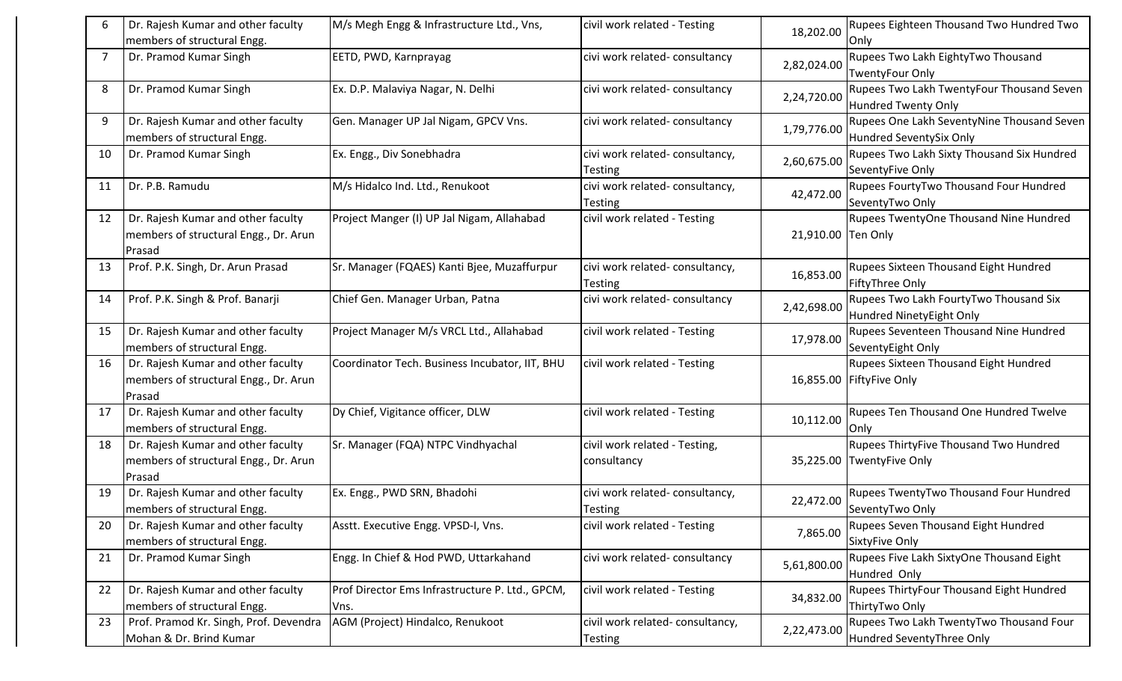|    | Dr. Rajesh Kumar and other faculty<br>members of structural Engg.                     | M/s Megh Engg & Infrastructure Ltd., Vns,               | civil work related - Testing                      | 18,202.00          | <b>Rupees Eighteen Thousand Two Hundred Two</b><br>Only               |
|----|---------------------------------------------------------------------------------------|---------------------------------------------------------|---------------------------------------------------|--------------------|-----------------------------------------------------------------------|
|    | Dr. Pramod Kumar Singh                                                                | EETD, PWD, Karnprayag                                   | civi work related-consultancy                     | 2,82,024.00        | Rupees Two Lakh EightyTwo Thousand<br><b>TwentyFour Only</b>          |
| 8  | Dr. Pramod Kumar Singh                                                                | Ex. D.P. Malaviya Nagar, N. Delhi                       | civi work related-consultancy                     | 2,24,720.00        | Rupees Two Lakh TwentyFour Thousand Seven<br>Hundred Twenty Only      |
| 9  | Dr. Rajesh Kumar and other faculty<br>members of structural Engg.                     | Gen. Manager UP Jal Nigam, GPCV Vns.                    | civi work related-consultancy                     | 1,79,776.00        | Rupees One Lakh SeventyNine Thousand Seven<br>Hundred SeventySix Only |
| 10 | Dr. Pramod Kumar Singh                                                                | Ex. Engg., Div Sonebhadra                               | civi work related-consultancy,<br><b>Testing</b>  | 2,60,675.00        | Rupees Two Lakh Sixty Thousand Six Hundred<br>SeventyFive Only        |
| 11 | Dr. P.B. Ramudu                                                                       | M/s Hidalco Ind. Ltd., Renukoot                         | civi work related-consultancy,<br><b>Testing</b>  | 42,472.00          | Rupees FourtyTwo Thousand Four Hundred<br>SeventyTwo Only             |
| 12 | Dr. Rajesh Kumar and other faculty<br>members of structural Engg., Dr. Arun<br>Prasad | Project Manger (I) UP Jal Nigam, Allahabad              | civil work related - Testing                      | 21,910.00 Ten Only | Rupees TwentyOne Thousand Nine Hundred                                |
| 13 | Prof. P.K. Singh, Dr. Arun Prasad                                                     | Sr. Manager (FQAES) Kanti Bjee, Muzaffurpur             | civi work related-consultancy,<br><b>Testing</b>  | 16,853.00          | Rupees Sixteen Thousand Eight Hundred<br><b>FiftyThree Only</b>       |
| 14 | Prof. P.K. Singh & Prof. Banarji                                                      | Chief Gen. Manager Urban, Patna                         | civi work related-consultancy                     | 2,42,698.00        | Rupees Two Lakh FourtyTwo Thousand Six<br>Hundred NinetyEight Only    |
| 15 | Dr. Rajesh Kumar and other faculty<br>members of structural Engg.                     | Project Manager M/s VRCL Ltd., Allahabad                | civil work related - Testing                      | 17,978.00          | Rupees Seventeen Thousand Nine Hundred<br>SeventyEight Only           |
| 16 | Dr. Rajesh Kumar and other faculty<br>members of structural Engg., Dr. Arun<br>Prasad | Coordinator Tech. Business Incubator, IIT, BHU          | civil work related - Testing                      |                    | Rupees Sixteen Thousand Eight Hundred<br>16,855.00 FiftyFive Only     |
| 17 | Dr. Rajesh Kumar and other faculty<br>members of structural Engg.                     | Dy Chief, Vigitance officer, DLW                        | civil work related - Testing                      | 10,112.00          | Rupees Ten Thousand One Hundred Twelve<br>Only                        |
| 18 | Dr. Rajesh Kumar and other faculty<br>members of structural Engg., Dr. Arun<br>Prasad | Sr. Manager (FQA) NTPC Vindhyachal                      | civil work related - Testing,<br>consultancy      | 35,225.00          | Rupees ThirtyFive Thousand Two Hundred<br>TwentyFive Only             |
| 19 | Dr. Rajesh Kumar and other faculty<br>members of structural Engg.                     | Ex. Engg., PWD SRN, Bhadohi                             | civi work related-consultancy,<br>Testing         | 22,472.00          | Rupees TwentyTwo Thousand Four Hundred<br>SeventyTwo Only             |
| 20 | Dr. Rajesh Kumar and other faculty<br>members of structural Engg.                     | Asstt. Executive Engg. VPSD-I, Vns.                     | civil work related - Testing                      | 7,865.00           | Rupees Seven Thousand Eight Hundred<br>SixtyFive Only                 |
| 21 | Dr. Pramod Kumar Singh                                                                | Engg. In Chief & Hod PWD, Uttarkahand                   | civi work related-consultancy                     | 5,61,800.00        | Rupees Five Lakh SixtyOne Thousand Eight<br>Hundred Only              |
| 22 | Dr. Rajesh Kumar and other faculty<br>members of structural Engg.                     | Prof Director Ems Infrastructure P. Ltd., GPCM,<br>Vns. | civil work related - Testing                      | 34,832.00          | Rupees ThirtyFour Thousand Eight Hundred<br>ThirtyTwo Only            |
| 23 | Prof. Pramod Kr. Singh, Prof. Devendra<br>Mohan & Dr. Brind Kumar                     | AGM (Project) Hindalco, Renukoot                        | civil work related-consultancy,<br><b>Testing</b> | 2,22,473.00        | Rupees Two Lakh TwentyTwo Thousand Four<br>Hundred SeventyThree Only  |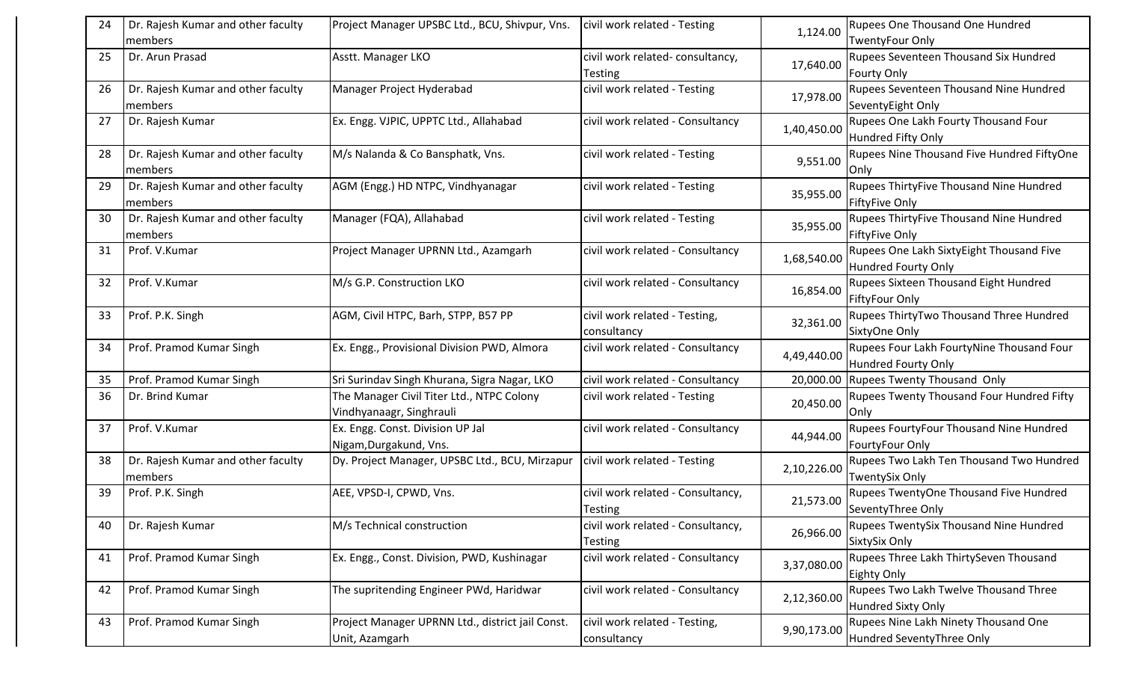| 24  | Dr. Rajesh Kumar and other faculty            | Project Manager UPSBC Ltd., BCU, Shivpur, Vns.                        | civil work related - Testing                        | 1,124.00    | Rupees One Thousand One Hundred                                        |
|-----|-----------------------------------------------|-----------------------------------------------------------------------|-----------------------------------------------------|-------------|------------------------------------------------------------------------|
|     | members                                       |                                                                       |                                                     |             | <b>TwentyFour Only</b>                                                 |
| 25  | Dr. Arun Prasad                               | Asstt. Manager LKO                                                    | civil work related-consultancy,<br>Testing          | 17,640.00   | Rupees Seventeen Thousand Six Hundred<br><b>Fourty Only</b>            |
| 26  | Dr. Rajesh Kumar and other faculty<br>members | Manager Project Hyderabad                                             | civil work related - Testing                        | 17,978.00   | Rupees Seventeen Thousand Nine Hundred<br>SeventyEight Only            |
| 27  | Dr. Rajesh Kumar                              | Ex. Engg. VJPIC, UPPTC Ltd., Allahabad                                | civil work related - Consultancy                    | 1,40,450.00 | Rupees One Lakh Fourty Thousand Four<br><b>Hundred Fifty Only</b>      |
| 28  | Dr. Rajesh Kumar and other faculty<br>members | M/s Nalanda & Co Bansphatk, Vns.                                      | civil work related - Testing                        | 9,551.00    | Rupees Nine Thousand Five Hundred FiftyOne<br>Only                     |
| 29  | Dr. Rajesh Kumar and other faculty<br>members | AGM (Engg.) HD NTPC, Vindhyanagar                                     | civil work related - Testing                        | 35,955.00   | Rupees ThirtyFive Thousand Nine Hundred<br><b>FiftyFive Only</b>       |
| 30  | Dr. Rajesh Kumar and other faculty<br>members | Manager (FQA), Allahabad                                              | civil work related - Testing                        | 35,955.00   | Rupees ThirtyFive Thousand Nine Hundred<br><b>FiftyFive Only</b>       |
| -31 | Prof. V.Kumar                                 | Project Manager UPRNN Ltd., Azamgarh                                  | civil work related - Consultancy                    | 1,68,540.00 | Rupees One Lakh SixtyEight Thousand Five<br><b>Hundred Fourty Only</b> |
| 32  | Prof. V.Kumar                                 | M/s G.P. Construction LKO                                             | civil work related - Consultancy                    | 16,854.00   | Rupees Sixteen Thousand Eight Hundred<br><b>FiftyFour Only</b>         |
| 33  | Prof. P.K. Singh                              | AGM, Civil HTPC, Barh, STPP, B57 PP                                   | civil work related - Testing,<br>consultancy        | 32,361.00   | Rupees ThirtyTwo Thousand Three Hundred<br>SixtyOne Only               |
| 34  | Prof. Pramod Kumar Singh                      | Ex. Engg., Provisional Division PWD, Almora                           | civil work related - Consultancy                    | 4,49,440.00 | Rupees Four Lakh FourtyNine Thousand Four<br>Hundred Fourty Only       |
| 35  | Prof. Pramod Kumar Singh                      | Sri Surindav Singh Khurana, Sigra Nagar, LKO                          | civil work related - Consultancy                    | 20,000.00   | <b>Rupees Twenty Thousand Only</b>                                     |
| 36  | Dr. Brind Kumar                               | The Manager Civil Titer Ltd., NTPC Colony<br>Vindhyanaagr, Singhrauli | civil work related - Testing                        | 20,450.00   | Rupees Twenty Thousand Four Hundred Fifty<br>Only                      |
| 37  | Prof. V.Kumar                                 | Ex. Engg. Const. Division UP Jal<br>Nigam, Durgakund, Vns.            | civil work related - Consultancy                    | 44,944.00   | Rupees FourtyFour Thousand Nine Hundred<br>FourtyFour Only             |
| 38  | Dr. Rajesh Kumar and other faculty<br>members | Dy. Project Manager, UPSBC Ltd., BCU, Mirzapur                        | civil work related - Testing                        | 2,10,226.00 | Rupees Two Lakh Ten Thousand Two Hundred<br><b>TwentySix Only</b>      |
| 39  | Prof. P.K. Singh                              | AEE, VPSD-I, CPWD, Vns.                                               | civil work related - Consultancy,<br><b>Testing</b> | 21,573.00   | Rupees TwentyOne Thousand Five Hundred<br>SeventyThree Only            |
| 40  | Dr. Rajesh Kumar                              | M/s Technical construction                                            | civil work related - Consultancy,<br><b>Testing</b> | 26,966.00   | Rupees TwentySix Thousand Nine Hundred<br>SixtySix Only                |
| 41  | Prof. Pramod Kumar Singh                      | Ex. Engg., Const. Division, PWD, Kushinagar                           | civil work related - Consultancy                    | 3,37,080.00 | Rupees Three Lakh ThirtySeven Thousand<br>Eighty Only                  |
| 42  | Prof. Pramod Kumar Singh                      | The supritending Engineer PWd, Haridwar                               | civil work related - Consultancy                    | 2,12,360.00 | Rupees Two Lakh Twelve Thousand Three<br><b>Hundred Sixty Only</b>     |
| 43  | Prof. Pramod Kumar Singh                      | Project Manager UPRNN Ltd., district jail Const.<br>Unit, Azamgarh    | civil work related - Testing,<br>consultancy        | 9,90,173.00 | Rupees Nine Lakh Ninety Thousand One<br>Hundred SeventyThree Only      |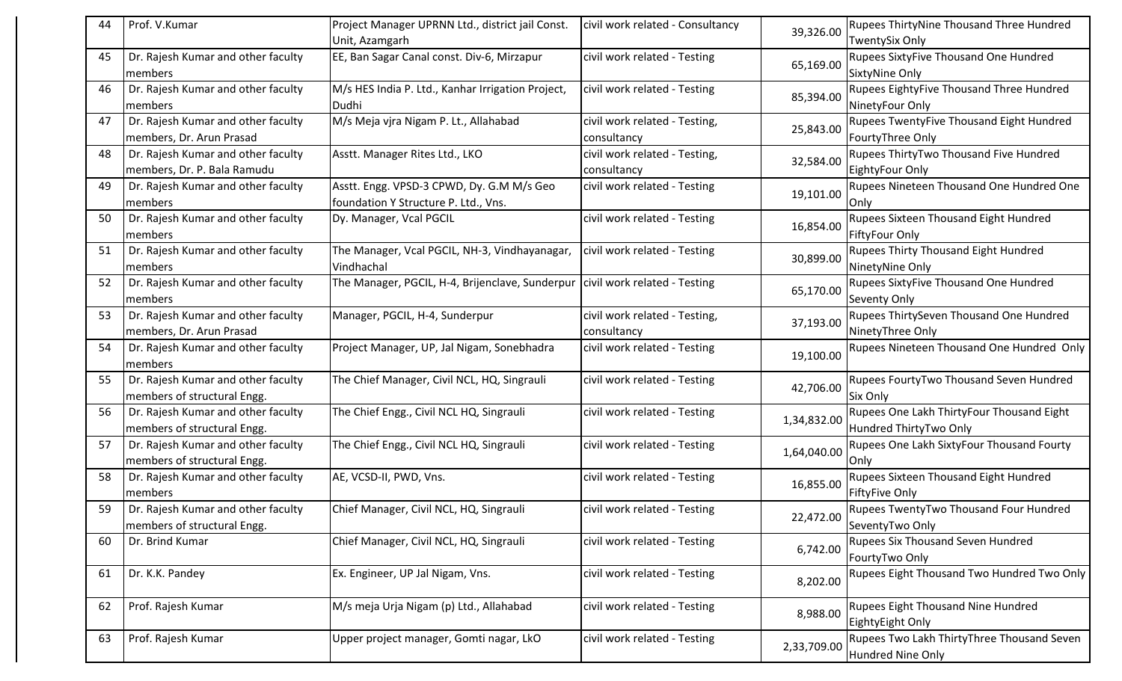| 44  | Prof. V.Kumar                                                     | Project Manager UPRNN Ltd., district jail Const.<br>Unit, Azamgarh                | civil work related - Consultancy             | 39,326.00   | Rupees ThirtyNine Thousand Three Hundred<br><b>TwentySix Only</b>      |
|-----|-------------------------------------------------------------------|-----------------------------------------------------------------------------------|----------------------------------------------|-------------|------------------------------------------------------------------------|
| 45  | Dr. Rajesh Kumar and other faculty<br>members                     | EE, Ban Sagar Canal const. Div-6, Mirzapur                                        | civil work related - Testing                 | 65,169.00   | Rupees SixtyFive Thousand One Hundred<br><b>SixtyNine Only</b>         |
| -46 | Dr. Rajesh Kumar and other faculty<br>members                     | M/s HES India P. Ltd., Kanhar Irrigation Project,<br>Dudhi                        | civil work related - Testing                 | 85,394.00   | Rupees EightyFive Thousand Three Hundred<br>NinetyFour Only            |
| 47  | Dr. Rajesh Kumar and other faculty<br>members, Dr. Arun Prasad    | M/s Meja vjra Nigam P. Lt., Allahabad                                             | civil work related - Testing,<br>consultancy | 25,843.00   | Rupees TwentyFive Thousand Eight Hundred<br>FourtyThree Only           |
| 48  | Dr. Rajesh Kumar and other faculty<br>members, Dr. P. Bala Ramudu | Asstt. Manager Rites Ltd., LKO                                                    | civil work related - Testing,<br>consultancy | 32,584.00   | Rupees ThirtyTwo Thousand Five Hundred<br>EightyFour Only              |
| 49  | Dr. Rajesh Kumar and other faculty<br>members                     | Asstt. Engg. VPSD-3 CPWD, Dy. G.M M/s Geo<br>foundation Y Structure P. Ltd., Vns. | civil work related - Testing                 | 19,101.00   | Rupees Nineteen Thousand One Hundred One<br>Only                       |
| 50  | Dr. Rajesh Kumar and other faculty<br>members                     | Dy. Manager, Vcal PGCIL                                                           | civil work related - Testing                 | 16,854.00   | Rupees Sixteen Thousand Eight Hundred<br><b>FiftyFour Only</b>         |
| 51  | Dr. Rajesh Kumar and other faculty<br>members                     | The Manager, Vcal PGCIL, NH-3, Vindhayanagar,<br>Vindhachal                       | civil work related - Testing                 | 30,899.00   | <b>Rupees Thirty Thousand Eight Hundred</b><br>NinetyNine Only         |
| 52  | Dr. Rajesh Kumar and other faculty<br>members                     | The Manager, PGCIL, H-4, Brijenclave, Sunderpur   civil work related - Testing    |                                              | 65,170.00   | <b>Rupees SixtyFive Thousand One Hundred</b><br><b>Seventy Only</b>    |
| 53  | Dr. Rajesh Kumar and other faculty<br>members, Dr. Arun Prasad    | Manager, PGCIL, H-4, Sunderpur                                                    | civil work related - Testing,<br>consultancy | 37,193.00   | Rupees ThirtySeven Thousand One Hundred<br>NinetyThree Only            |
| 54  | Dr. Rajesh Kumar and other faculty<br>members                     | Project Manager, UP, Jal Nigam, Sonebhadra                                        | civil work related - Testing                 | 19,100.00   | Rupees Nineteen Thousand One Hundred Only                              |
| 55  | Dr. Rajesh Kumar and other faculty<br>members of structural Engg. | The Chief Manager, Civil NCL, HQ, Singrauli                                       | civil work related - Testing                 | 42,706.00   | Rupees FourtyTwo Thousand Seven Hundred<br>Six Only                    |
| 56  | Dr. Rajesh Kumar and other faculty<br>members of structural Engg. | The Chief Engg., Civil NCL HQ, Singrauli                                          | civil work related - Testing                 | 1,34,832.00 | Rupees One Lakh ThirtyFour Thousand Eight<br>Hundred ThirtyTwo Only    |
| 57  | Dr. Rajesh Kumar and other faculty<br>members of structural Engg. | The Chief Engg., Civil NCL HQ, Singrauli                                          | civil work related - Testing                 | 1,64,040.00 | Rupees One Lakh SixtyFour Thousand Fourty<br>Only                      |
| 58  | Dr. Rajesh Kumar and other faculty<br>members                     | AE, VCSD-II, PWD, Vns.                                                            | civil work related - Testing                 | 16,855.00   | Rupees Sixteen Thousand Eight Hundred<br><b>FiftyFive Only</b>         |
| 59  | Dr. Rajesh Kumar and other faculty<br>members of structural Engg. | Chief Manager, Civil NCL, HQ, Singrauli                                           | civil work related - Testing                 | 22,472.00   | <b>Rupees TwentyTwo Thousand Four Hundred</b><br>SeventyTwo Only       |
| 60  | Dr. Brind Kumar                                                   | Chief Manager, Civil NCL, HQ, Singrauli                                           | civil work related - Testing                 | 6,742.00    | Rupees Six Thousand Seven Hundred<br>FourtyTwo Only                    |
| 61  | Dr. K.K. Pandey                                                   | Ex. Engineer, UP Jal Nigam, Vns.                                                  | civil work related - Testing                 | 8,202.00    | Rupees Eight Thousand Two Hundred Two Only                             |
| 62  | Prof. Rajesh Kumar                                                | M/s meja Urja Nigam (p) Ltd., Allahabad                                           | civil work related - Testing                 | 8,988.00    | Rupees Eight Thousand Nine Hundred<br>EightyEight Only                 |
| 63  | Prof. Rajesh Kumar                                                | Upper project manager, Gomti nagar, LkO                                           | civil work related - Testing                 | 2,33,709.00 | Rupees Two Lakh ThirtyThree Thousand Seven<br><b>Hundred Nine Only</b> |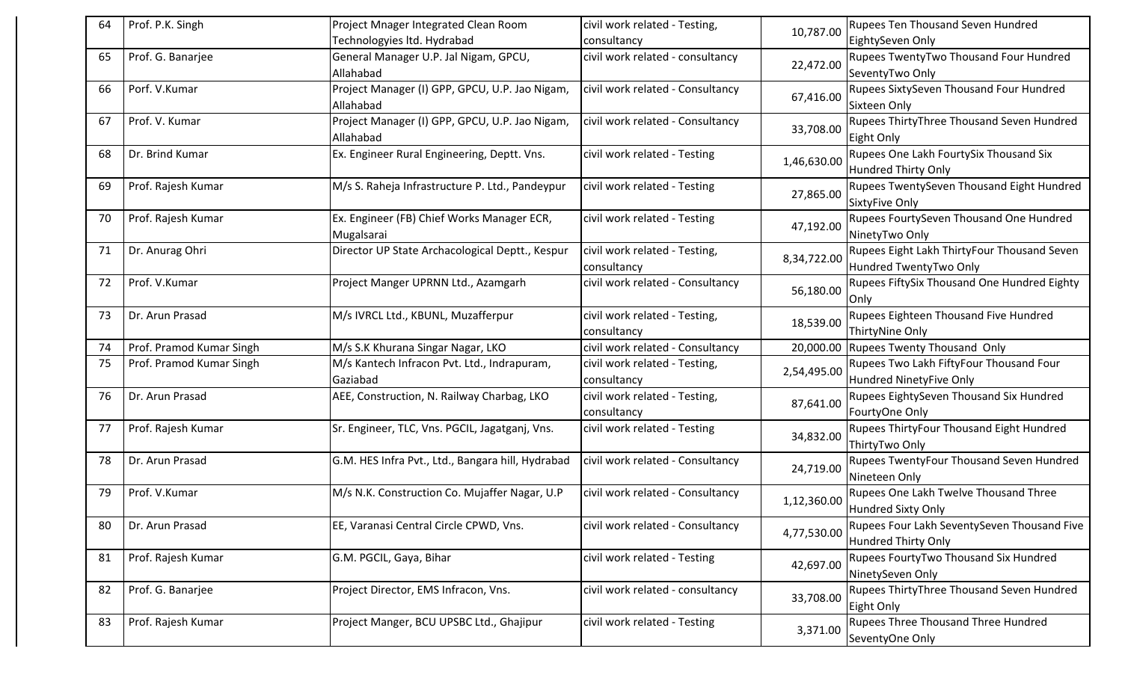| Technologyies ltd. Hydrabad<br>EightySeven Only<br>consultancy<br>Rupees TwentyTwo Thousand Four Hundred<br>General Manager U.P. Jal Nigam, GPCU,<br>civil work related - consultancy<br>Prof. G. Banarjee<br>65<br>22,472.00<br>SeventyTwo Only<br>Allahabad<br>Rupees SixtySeven Thousand Four Hundred<br>Porf. V.Kumar<br>Project Manager (I) GPP, GPCU, U.P. Jao Nigam,<br>civil work related - Consultancy<br>66<br>67,416.00<br>Sixteen Only<br>Allahabad<br>Prof. V. Kumar<br>Project Manager (I) GPP, GPCU, U.P. Jao Nigam,<br>civil work related - Consultancy<br>67<br>33,708.00<br>Allahabad<br>Eight Only<br>Rupees One Lakh FourtySix Thousand Six<br>Dr. Brind Kumar<br>Ex. Engineer Rural Engineering, Deptt. Vns.<br>civil work related - Testing<br>68<br>1,46,630.00<br>Hundred Thirty Only<br>69<br>Prof. Rajesh Kumar<br>M/s S. Raheja Infrastructure P. Ltd., Pandeypur<br>civil work related - Testing<br>27,865.00<br>SixtyFive Only<br>Prof. Rajesh Kumar<br>Ex. Engineer (FB) Chief Works Manager ECR,<br>civil work related - Testing<br>Rupees FourtySeven Thousand One Hundred<br>70<br>47,192.00<br>NinetyTwo Only<br>Mugalsarai<br>Rupees Eight Lakh ThirtyFour Thousand Seven<br>Dr. Anurag Ohri<br>Director UP State Archacological Deptt., Kespur<br>civil work related - Testing,<br>71<br>8,34,722.00<br>Hundred TwentyTwo Only<br>consultancy<br>Rupees FiftySix Thousand One Hundred Eighty<br>Prof. V.Kumar<br>Project Manger UPRNN Ltd., Azamgarh<br>civil work related - Consultancy<br>72<br>56,180.00<br>Only<br>M/s IVRCL Ltd., KBUNL, Muzafferpur<br>Rupees Eighteen Thousand Five Hundred<br>Dr. Arun Prasad<br>civil work related - Testing,<br>73<br>18,539.00<br>ThirtyNine Only<br>consultancy<br>civil work related - Consultancy<br>Prof. Pramod Kumar Singh<br>M/s S.K Khurana Singar Nagar, LKO<br>20,000.00<br><b>Rupees Twenty Thousand Only</b><br>74<br>Prof. Pramod Kumar Singh<br>M/s Kantech Infracon Pvt. Ltd., Indrapuram,<br>civil work related - Testing,<br>Rupees Two Lakh FiftyFour Thousand Four<br>75<br>2,54,495.00<br>Hundred NinetyFive Only<br>Gaziabad<br>consultancy<br>Rupees EightySeven Thousand Six Hundred<br>AEE, Construction, N. Railway Charbag, LKO<br>Dr. Arun Prasad<br>civil work related - Testing,<br>76<br>87,641.00<br>FourtyOne Only<br>consultancy<br>Prof. Rajesh Kumar<br>Sr. Engineer, TLC, Vns. PGCIL, Jagatganj, Vns.<br>Rupees ThirtyFour Thousand Eight Hundred<br>civil work related - Testing<br>77<br>34,832.00<br>ThirtyTwo Only<br>civil work related - Consultancy<br>Rupees TwentyFour Thousand Seven Hundred<br>78<br>Dr. Arun Prasad<br>G.M. HES Infra Pvt., Ltd., Bangara hill, Hydrabad<br>24,719.00<br>Nineteen Only | 64 | Prof. P.K. Singh | Project Mnager Integrated Clean Room | civil work related - Testing, |           | <b>Rupees Ten Thousand Seven Hundred</b>    |
|---------------------------------------------------------------------------------------------------------------------------------------------------------------------------------------------------------------------------------------------------------------------------------------------------------------------------------------------------------------------------------------------------------------------------------------------------------------------------------------------------------------------------------------------------------------------------------------------------------------------------------------------------------------------------------------------------------------------------------------------------------------------------------------------------------------------------------------------------------------------------------------------------------------------------------------------------------------------------------------------------------------------------------------------------------------------------------------------------------------------------------------------------------------------------------------------------------------------------------------------------------------------------------------------------------------------------------------------------------------------------------------------------------------------------------------------------------------------------------------------------------------------------------------------------------------------------------------------------------------------------------------------------------------------------------------------------------------------------------------------------------------------------------------------------------------------------------------------------------------------------------------------------------------------------------------------------------------------------------------------------------------------------------------------------------------------------------------------------------------------------------------------------------------------------------------------------------------------------------------------------------------------------------------------------------------------------------------------------------------------------------------------------------------------------------------------------------------------------------------------------------------------------------------------------------------------------------------------------------------------------------------------------------------------------------------------------------------------------------------|----|------------------|--------------------------------------|-------------------------------|-----------|---------------------------------------------|
|                                                                                                                                                                                                                                                                                                                                                                                                                                                                                                                                                                                                                                                                                                                                                                                                                                                                                                                                                                                                                                                                                                                                                                                                                                                                                                                                                                                                                                                                                                                                                                                                                                                                                                                                                                                                                                                                                                                                                                                                                                                                                                                                                                                                                                                                                                                                                                                                                                                                                                                                                                                                                                                                                                                                       |    |                  |                                      |                               | 10,787.00 |                                             |
|                                                                                                                                                                                                                                                                                                                                                                                                                                                                                                                                                                                                                                                                                                                                                                                                                                                                                                                                                                                                                                                                                                                                                                                                                                                                                                                                                                                                                                                                                                                                                                                                                                                                                                                                                                                                                                                                                                                                                                                                                                                                                                                                                                                                                                                                                                                                                                                                                                                                                                                                                                                                                                                                                                                                       |    |                  |                                      |                               |           |                                             |
|                                                                                                                                                                                                                                                                                                                                                                                                                                                                                                                                                                                                                                                                                                                                                                                                                                                                                                                                                                                                                                                                                                                                                                                                                                                                                                                                                                                                                                                                                                                                                                                                                                                                                                                                                                                                                                                                                                                                                                                                                                                                                                                                                                                                                                                                                                                                                                                                                                                                                                                                                                                                                                                                                                                                       |    |                  |                                      |                               |           |                                             |
|                                                                                                                                                                                                                                                                                                                                                                                                                                                                                                                                                                                                                                                                                                                                                                                                                                                                                                                                                                                                                                                                                                                                                                                                                                                                                                                                                                                                                                                                                                                                                                                                                                                                                                                                                                                                                                                                                                                                                                                                                                                                                                                                                                                                                                                                                                                                                                                                                                                                                                                                                                                                                                                                                                                                       |    |                  |                                      |                               |           |                                             |
|                                                                                                                                                                                                                                                                                                                                                                                                                                                                                                                                                                                                                                                                                                                                                                                                                                                                                                                                                                                                                                                                                                                                                                                                                                                                                                                                                                                                                                                                                                                                                                                                                                                                                                                                                                                                                                                                                                                                                                                                                                                                                                                                                                                                                                                                                                                                                                                                                                                                                                                                                                                                                                                                                                                                       |    |                  |                                      |                               |           |                                             |
|                                                                                                                                                                                                                                                                                                                                                                                                                                                                                                                                                                                                                                                                                                                                                                                                                                                                                                                                                                                                                                                                                                                                                                                                                                                                                                                                                                                                                                                                                                                                                                                                                                                                                                                                                                                                                                                                                                                                                                                                                                                                                                                                                                                                                                                                                                                                                                                                                                                                                                                                                                                                                                                                                                                                       |    |                  |                                      |                               |           | Rupees ThirtyThree Thousand Seven Hundred   |
|                                                                                                                                                                                                                                                                                                                                                                                                                                                                                                                                                                                                                                                                                                                                                                                                                                                                                                                                                                                                                                                                                                                                                                                                                                                                                                                                                                                                                                                                                                                                                                                                                                                                                                                                                                                                                                                                                                                                                                                                                                                                                                                                                                                                                                                                                                                                                                                                                                                                                                                                                                                                                                                                                                                                       |    |                  |                                      |                               |           |                                             |
|                                                                                                                                                                                                                                                                                                                                                                                                                                                                                                                                                                                                                                                                                                                                                                                                                                                                                                                                                                                                                                                                                                                                                                                                                                                                                                                                                                                                                                                                                                                                                                                                                                                                                                                                                                                                                                                                                                                                                                                                                                                                                                                                                                                                                                                                                                                                                                                                                                                                                                                                                                                                                                                                                                                                       |    |                  |                                      |                               |           |                                             |
|                                                                                                                                                                                                                                                                                                                                                                                                                                                                                                                                                                                                                                                                                                                                                                                                                                                                                                                                                                                                                                                                                                                                                                                                                                                                                                                                                                                                                                                                                                                                                                                                                                                                                                                                                                                                                                                                                                                                                                                                                                                                                                                                                                                                                                                                                                                                                                                                                                                                                                                                                                                                                                                                                                                                       |    |                  |                                      |                               |           |                                             |
|                                                                                                                                                                                                                                                                                                                                                                                                                                                                                                                                                                                                                                                                                                                                                                                                                                                                                                                                                                                                                                                                                                                                                                                                                                                                                                                                                                                                                                                                                                                                                                                                                                                                                                                                                                                                                                                                                                                                                                                                                                                                                                                                                                                                                                                                                                                                                                                                                                                                                                                                                                                                                                                                                                                                       |    |                  |                                      |                               |           | Rupees TwentySeven Thousand Eight Hundred   |
|                                                                                                                                                                                                                                                                                                                                                                                                                                                                                                                                                                                                                                                                                                                                                                                                                                                                                                                                                                                                                                                                                                                                                                                                                                                                                                                                                                                                                                                                                                                                                                                                                                                                                                                                                                                                                                                                                                                                                                                                                                                                                                                                                                                                                                                                                                                                                                                                                                                                                                                                                                                                                                                                                                                                       |    |                  |                                      |                               |           |                                             |
|                                                                                                                                                                                                                                                                                                                                                                                                                                                                                                                                                                                                                                                                                                                                                                                                                                                                                                                                                                                                                                                                                                                                                                                                                                                                                                                                                                                                                                                                                                                                                                                                                                                                                                                                                                                                                                                                                                                                                                                                                                                                                                                                                                                                                                                                                                                                                                                                                                                                                                                                                                                                                                                                                                                                       |    |                  |                                      |                               |           |                                             |
|                                                                                                                                                                                                                                                                                                                                                                                                                                                                                                                                                                                                                                                                                                                                                                                                                                                                                                                                                                                                                                                                                                                                                                                                                                                                                                                                                                                                                                                                                                                                                                                                                                                                                                                                                                                                                                                                                                                                                                                                                                                                                                                                                                                                                                                                                                                                                                                                                                                                                                                                                                                                                                                                                                                                       |    |                  |                                      |                               |           |                                             |
|                                                                                                                                                                                                                                                                                                                                                                                                                                                                                                                                                                                                                                                                                                                                                                                                                                                                                                                                                                                                                                                                                                                                                                                                                                                                                                                                                                                                                                                                                                                                                                                                                                                                                                                                                                                                                                                                                                                                                                                                                                                                                                                                                                                                                                                                                                                                                                                                                                                                                                                                                                                                                                                                                                                                       |    |                  |                                      |                               |           |                                             |
|                                                                                                                                                                                                                                                                                                                                                                                                                                                                                                                                                                                                                                                                                                                                                                                                                                                                                                                                                                                                                                                                                                                                                                                                                                                                                                                                                                                                                                                                                                                                                                                                                                                                                                                                                                                                                                                                                                                                                                                                                                                                                                                                                                                                                                                                                                                                                                                                                                                                                                                                                                                                                                                                                                                                       |    |                  |                                      |                               |           |                                             |
|                                                                                                                                                                                                                                                                                                                                                                                                                                                                                                                                                                                                                                                                                                                                                                                                                                                                                                                                                                                                                                                                                                                                                                                                                                                                                                                                                                                                                                                                                                                                                                                                                                                                                                                                                                                                                                                                                                                                                                                                                                                                                                                                                                                                                                                                                                                                                                                                                                                                                                                                                                                                                                                                                                                                       |    |                  |                                      |                               |           |                                             |
|                                                                                                                                                                                                                                                                                                                                                                                                                                                                                                                                                                                                                                                                                                                                                                                                                                                                                                                                                                                                                                                                                                                                                                                                                                                                                                                                                                                                                                                                                                                                                                                                                                                                                                                                                                                                                                                                                                                                                                                                                                                                                                                                                                                                                                                                                                                                                                                                                                                                                                                                                                                                                                                                                                                                       |    |                  |                                      |                               |           |                                             |
|                                                                                                                                                                                                                                                                                                                                                                                                                                                                                                                                                                                                                                                                                                                                                                                                                                                                                                                                                                                                                                                                                                                                                                                                                                                                                                                                                                                                                                                                                                                                                                                                                                                                                                                                                                                                                                                                                                                                                                                                                                                                                                                                                                                                                                                                                                                                                                                                                                                                                                                                                                                                                                                                                                                                       |    |                  |                                      |                               |           |                                             |
|                                                                                                                                                                                                                                                                                                                                                                                                                                                                                                                                                                                                                                                                                                                                                                                                                                                                                                                                                                                                                                                                                                                                                                                                                                                                                                                                                                                                                                                                                                                                                                                                                                                                                                                                                                                                                                                                                                                                                                                                                                                                                                                                                                                                                                                                                                                                                                                                                                                                                                                                                                                                                                                                                                                                       |    |                  |                                      |                               |           |                                             |
|                                                                                                                                                                                                                                                                                                                                                                                                                                                                                                                                                                                                                                                                                                                                                                                                                                                                                                                                                                                                                                                                                                                                                                                                                                                                                                                                                                                                                                                                                                                                                                                                                                                                                                                                                                                                                                                                                                                                                                                                                                                                                                                                                                                                                                                                                                                                                                                                                                                                                                                                                                                                                                                                                                                                       |    |                  |                                      |                               |           |                                             |
|                                                                                                                                                                                                                                                                                                                                                                                                                                                                                                                                                                                                                                                                                                                                                                                                                                                                                                                                                                                                                                                                                                                                                                                                                                                                                                                                                                                                                                                                                                                                                                                                                                                                                                                                                                                                                                                                                                                                                                                                                                                                                                                                                                                                                                                                                                                                                                                                                                                                                                                                                                                                                                                                                                                                       |    |                  |                                      |                               |           |                                             |
|                                                                                                                                                                                                                                                                                                                                                                                                                                                                                                                                                                                                                                                                                                                                                                                                                                                                                                                                                                                                                                                                                                                                                                                                                                                                                                                                                                                                                                                                                                                                                                                                                                                                                                                                                                                                                                                                                                                                                                                                                                                                                                                                                                                                                                                                                                                                                                                                                                                                                                                                                                                                                                                                                                                                       |    |                  |                                      |                               |           |                                             |
|                                                                                                                                                                                                                                                                                                                                                                                                                                                                                                                                                                                                                                                                                                                                                                                                                                                                                                                                                                                                                                                                                                                                                                                                                                                                                                                                                                                                                                                                                                                                                                                                                                                                                                                                                                                                                                                                                                                                                                                                                                                                                                                                                                                                                                                                                                                                                                                                                                                                                                                                                                                                                                                                                                                                       |    |                  |                                      |                               |           |                                             |
|                                                                                                                                                                                                                                                                                                                                                                                                                                                                                                                                                                                                                                                                                                                                                                                                                                                                                                                                                                                                                                                                                                                                                                                                                                                                                                                                                                                                                                                                                                                                                                                                                                                                                                                                                                                                                                                                                                                                                                                                                                                                                                                                                                                                                                                                                                                                                                                                                                                                                                                                                                                                                                                                                                                                       |    |                  |                                      |                               |           |                                             |
|                                                                                                                                                                                                                                                                                                                                                                                                                                                                                                                                                                                                                                                                                                                                                                                                                                                                                                                                                                                                                                                                                                                                                                                                                                                                                                                                                                                                                                                                                                                                                                                                                                                                                                                                                                                                                                                                                                                                                                                                                                                                                                                                                                                                                                                                                                                                                                                                                                                                                                                                                                                                                                                                                                                                       |    |                  |                                      |                               |           |                                             |
|                                                                                                                                                                                                                                                                                                                                                                                                                                                                                                                                                                                                                                                                                                                                                                                                                                                                                                                                                                                                                                                                                                                                                                                                                                                                                                                                                                                                                                                                                                                                                                                                                                                                                                                                                                                                                                                                                                                                                                                                                                                                                                                                                                                                                                                                                                                                                                                                                                                                                                                                                                                                                                                                                                                                       |    |                  |                                      |                               |           |                                             |
|                                                                                                                                                                                                                                                                                                                                                                                                                                                                                                                                                                                                                                                                                                                                                                                                                                                                                                                                                                                                                                                                                                                                                                                                                                                                                                                                                                                                                                                                                                                                                                                                                                                                                                                                                                                                                                                                                                                                                                                                                                                                                                                                                                                                                                                                                                                                                                                                                                                                                                                                                                                                                                                                                                                                       |    |                  |                                      |                               |           |                                             |
|                                                                                                                                                                                                                                                                                                                                                                                                                                                                                                                                                                                                                                                                                                                                                                                                                                                                                                                                                                                                                                                                                                                                                                                                                                                                                                                                                                                                                                                                                                                                                                                                                                                                                                                                                                                                                                                                                                                                                                                                                                                                                                                                                                                                                                                                                                                                                                                                                                                                                                                                                                                                                                                                                                                                       |    |                  |                                      |                               |           |                                             |
|                                                                                                                                                                                                                                                                                                                                                                                                                                                                                                                                                                                                                                                                                                                                                                                                                                                                                                                                                                                                                                                                                                                                                                                                                                                                                                                                                                                                                                                                                                                                                                                                                                                                                                                                                                                                                                                                                                                                                                                                                                                                                                                                                                                                                                                                                                                                                                                                                                                                                                                                                                                                                                                                                                                                       |    |                  |                                      |                               |           |                                             |
| Rupees One Lakh Twelve Thousand Three<br>Prof. V.Kumar<br>M/s N.K. Construction Co. Mujaffer Nagar, U.P<br>civil work related - Consultancy<br>79<br>1,12,360.00                                                                                                                                                                                                                                                                                                                                                                                                                                                                                                                                                                                                                                                                                                                                                                                                                                                                                                                                                                                                                                                                                                                                                                                                                                                                                                                                                                                                                                                                                                                                                                                                                                                                                                                                                                                                                                                                                                                                                                                                                                                                                                                                                                                                                                                                                                                                                                                                                                                                                                                                                                      |    |                  |                                      |                               |           |                                             |
| Hundred Sixty Only                                                                                                                                                                                                                                                                                                                                                                                                                                                                                                                                                                                                                                                                                                                                                                                                                                                                                                                                                                                                                                                                                                                                                                                                                                                                                                                                                                                                                                                                                                                                                                                                                                                                                                                                                                                                                                                                                                                                                                                                                                                                                                                                                                                                                                                                                                                                                                                                                                                                                                                                                                                                                                                                                                                    |    |                  |                                      |                               |           |                                             |
| civil work related - Consultancy<br>Dr. Arun Prasad<br>EE, Varanasi Central Circle CPWD, Vns.<br>80<br>4,77,530.00                                                                                                                                                                                                                                                                                                                                                                                                                                                                                                                                                                                                                                                                                                                                                                                                                                                                                                                                                                                                                                                                                                                                                                                                                                                                                                                                                                                                                                                                                                                                                                                                                                                                                                                                                                                                                                                                                                                                                                                                                                                                                                                                                                                                                                                                                                                                                                                                                                                                                                                                                                                                                    |    |                  |                                      |                               |           | Rupees Four Lakh SeventySeven Thousand Five |
| <b>Hundred Thirty Only</b>                                                                                                                                                                                                                                                                                                                                                                                                                                                                                                                                                                                                                                                                                                                                                                                                                                                                                                                                                                                                                                                                                                                                                                                                                                                                                                                                                                                                                                                                                                                                                                                                                                                                                                                                                                                                                                                                                                                                                                                                                                                                                                                                                                                                                                                                                                                                                                                                                                                                                                                                                                                                                                                                                                            |    |                  |                                      |                               |           |                                             |
| Prof. Rajesh Kumar<br>G.M. PGCIL, Gaya, Bihar<br>civil work related - Testing<br>Rupees FourtyTwo Thousand Six Hundred<br>81<br>42,697.00                                                                                                                                                                                                                                                                                                                                                                                                                                                                                                                                                                                                                                                                                                                                                                                                                                                                                                                                                                                                                                                                                                                                                                                                                                                                                                                                                                                                                                                                                                                                                                                                                                                                                                                                                                                                                                                                                                                                                                                                                                                                                                                                                                                                                                                                                                                                                                                                                                                                                                                                                                                             |    |                  |                                      |                               |           |                                             |
| NinetySeven Only                                                                                                                                                                                                                                                                                                                                                                                                                                                                                                                                                                                                                                                                                                                                                                                                                                                                                                                                                                                                                                                                                                                                                                                                                                                                                                                                                                                                                                                                                                                                                                                                                                                                                                                                                                                                                                                                                                                                                                                                                                                                                                                                                                                                                                                                                                                                                                                                                                                                                                                                                                                                                                                                                                                      |    |                  |                                      |                               |           |                                             |
| 82<br>Prof. G. Banarjee<br>Project Director, EMS Infracon, Vns.<br>civil work related - consultancy                                                                                                                                                                                                                                                                                                                                                                                                                                                                                                                                                                                                                                                                                                                                                                                                                                                                                                                                                                                                                                                                                                                                                                                                                                                                                                                                                                                                                                                                                                                                                                                                                                                                                                                                                                                                                                                                                                                                                                                                                                                                                                                                                                                                                                                                                                                                                                                                                                                                                                                                                                                                                                   |    |                  |                                      |                               |           | Rupees ThirtyThree Thousand Seven Hundred   |
| 33,708.00<br>Eight Only                                                                                                                                                                                                                                                                                                                                                                                                                                                                                                                                                                                                                                                                                                                                                                                                                                                                                                                                                                                                                                                                                                                                                                                                                                                                                                                                                                                                                                                                                                                                                                                                                                                                                                                                                                                                                                                                                                                                                                                                                                                                                                                                                                                                                                                                                                                                                                                                                                                                                                                                                                                                                                                                                                               |    |                  |                                      |                               |           |                                             |
| Prof. Rajesh Kumar<br>Rupees Three Thousand Three Hundred<br>Project Manger, BCU UPSBC Ltd., Ghajipur<br>civil work related - Testing<br>83                                                                                                                                                                                                                                                                                                                                                                                                                                                                                                                                                                                                                                                                                                                                                                                                                                                                                                                                                                                                                                                                                                                                                                                                                                                                                                                                                                                                                                                                                                                                                                                                                                                                                                                                                                                                                                                                                                                                                                                                                                                                                                                                                                                                                                                                                                                                                                                                                                                                                                                                                                                           |    |                  |                                      |                               |           |                                             |
| 3,371.00<br>SeventyOne Only                                                                                                                                                                                                                                                                                                                                                                                                                                                                                                                                                                                                                                                                                                                                                                                                                                                                                                                                                                                                                                                                                                                                                                                                                                                                                                                                                                                                                                                                                                                                                                                                                                                                                                                                                                                                                                                                                                                                                                                                                                                                                                                                                                                                                                                                                                                                                                                                                                                                                                                                                                                                                                                                                                           |    |                  |                                      |                               |           |                                             |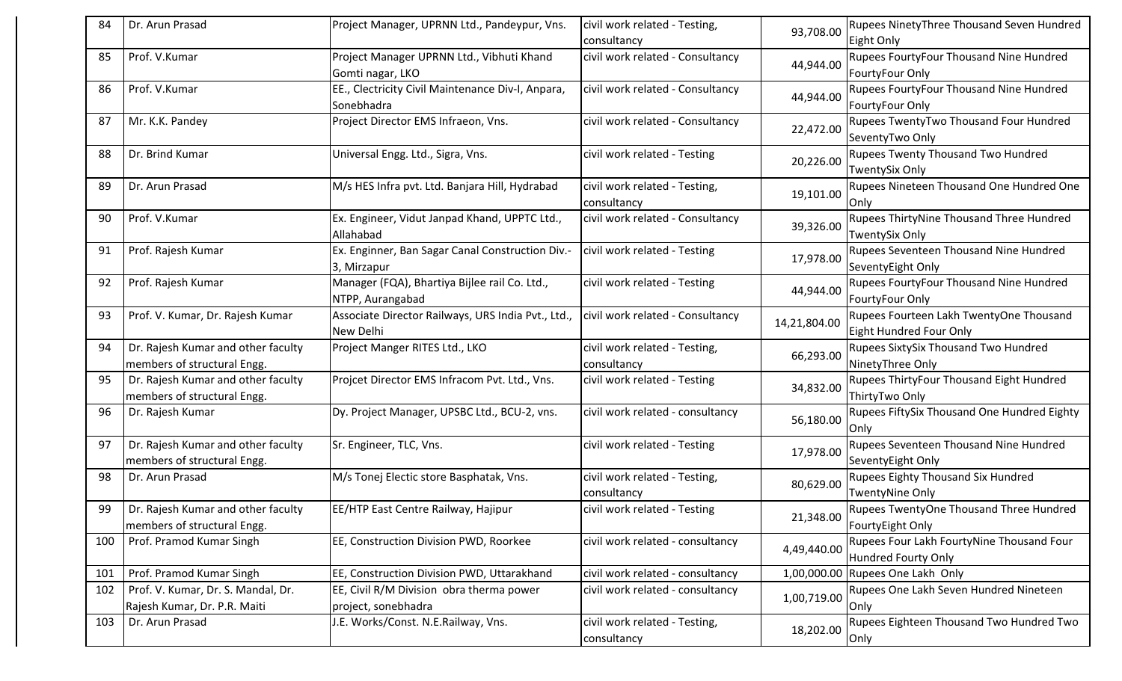| 84  | Dr. Arun Prasad                                                   | Project Manager, UPRNN Ltd., Pandeypur, Vns.                           | civil work related - Testing,                | 93,708.00    | Rupees NinetyThree Thousand Seven Hundred                           |
|-----|-------------------------------------------------------------------|------------------------------------------------------------------------|----------------------------------------------|--------------|---------------------------------------------------------------------|
|     |                                                                   |                                                                        | consultancy                                  |              | Eight Only                                                          |
| 85  | Prof. V.Kumar                                                     | Project Manager UPRNN Ltd., Vibhuti Khand<br>Gomti nagar, LKO          | civil work related - Consultancy             | 44,944.00    | Rupees FourtyFour Thousand Nine Hundred<br>FourtyFour Only          |
| 86  | Prof. V.Kumar                                                     | EE., Clectricity Civil Maintenance Div-I, Anpara,                      | civil work related - Consultancy             |              | Rupees FourtyFour Thousand Nine Hundred                             |
|     |                                                                   | Sonebhadra                                                             |                                              | 44,944.00    | FourtyFour Only                                                     |
| 87  | Mr. K.K. Pandey                                                   | Project Director EMS Infraeon, Vns.                                    | civil work related - Consultancy             | 22,472.00    | Rupees TwentyTwo Thousand Four Hundred<br>SeventyTwo Only           |
| 88  | Dr. Brind Kumar                                                   | Universal Engg. Ltd., Sigra, Vns.                                      | civil work related - Testing                 | 20,226.00    | <b>Rupees Twenty Thousand Two Hundred</b><br><b>TwentySix Only</b>  |
| 89  | Dr. Arun Prasad                                                   | M/s HES Infra pvt. Ltd. Banjara Hill, Hydrabad                         | civil work related - Testing,<br>consultancy | 19,101.00    | Rupees Nineteen Thousand One Hundred One<br>lOnly                   |
| 90  | Prof. V.Kumar                                                     | Ex. Engineer, Vidut Janpad Khand, UPPTC Ltd.,<br>Allahabad             | civil work related - Consultancy             | 39,326.00    | Rupees ThirtyNine Thousand Three Hundred<br><b>TwentySix Only</b>   |
| 91  | Prof. Rajesh Kumar                                                | Ex. Enginner, Ban Sagar Canal Construction Div.-<br>3, Mirzapur        | civil work related - Testing                 | 17,978.00    | Rupees Seventeen Thousand Nine Hundred<br>SeventyEight Only         |
| 92  | Prof. Rajesh Kumar                                                | Manager (FQA), Bhartiya Bijlee rail Co. Ltd.,<br>NTPP, Aurangabad      | civil work related - Testing                 | 44,944.00    | Rupees FourtyFour Thousand Nine Hundred<br>FourtyFour Only          |
| 93  | Prof. V. Kumar, Dr. Rajesh Kumar                                  | Associate Director Railways, URS India Pvt., Ltd.,<br><b>New Delhi</b> | civil work related - Consultancy             | 14,21,804.00 | Rupees Fourteen Lakh TwentyOne Thousand<br>Eight Hundred Four Only  |
| 94  | Dr. Rajesh Kumar and other faculty<br>members of structural Engg. | Project Manger RITES Ltd., LKO                                         | civil work related - Testing,<br>consultancy | 66,293.00    | <b>Rupees SixtySix Thousand Two Hundred</b><br>NinetyThree Only     |
| 95  | Dr. Rajesh Kumar and other faculty<br>members of structural Engg. | Projcet Director EMS Infracom Pvt. Ltd., Vns.                          | civil work related - Testing                 | 34,832.00    | Rupees ThirtyFour Thousand Eight Hundred<br>ThirtyTwo Only          |
| 96  | Dr. Rajesh Kumar                                                  | Dy. Project Manager, UPSBC Ltd., BCU-2, vns.                           | civil work related - consultancy             | 56,180.00    | Rupees FiftySix Thousand One Hundred Eighty<br>lOnly                |
| 97  | Dr. Rajesh Kumar and other faculty<br>members of structural Engg. | Sr. Engineer, TLC, Vns.                                                | civil work related - Testing                 | 17,978.00    | Rupees Seventeen Thousand Nine Hundred<br>SeventyEight Only         |
| 98  | Dr. Arun Prasad                                                   | M/s Tonej Electic store Basphatak, Vns.                                | civil work related - Testing,<br>consultancy | 80,629.00    | <b>Rupees Eighty Thousand Six Hundred</b><br><b>TwentyNine Only</b> |
| 99  | Dr. Rajesh Kumar and other faculty<br>members of structural Engg. | EE/HTP East Centre Railway, Hajipur                                    | civil work related - Testing                 | 21,348.00    | Rupees TwentyOne Thousand Three Hundred<br>FourtyEight Only         |
| 100 | Prof. Pramod Kumar Singh                                          | EE, Construction Division PWD, Roorkee                                 | civil work related - consultancy             | 4,49,440.00  | Rupees Four Lakh FourtyNine Thousand Four<br>Hundred Fourty Only    |
| 101 | Prof. Pramod Kumar Singh                                          | EE, Construction Division PWD, Uttarakhand                             | civil work related - consultancy             | 1,00,000.00  | Rupees One Lakh Only                                                |
| 102 | Prof. V. Kumar, Dr. S. Mandal, Dr.                                | EE, Civil R/M Division obra therma power                               | civil work related - consultancy             | 1,00,719.00  | Rupees One Lakh Seven Hundred Nineteen                              |
|     | Rajesh Kumar, Dr. P.R. Maiti                                      | project, sonebhadra                                                    |                                              |              | Only                                                                |
| 103 | Dr. Arun Prasad                                                   | J.E. Works/Const. N.E.Railway, Vns.                                    | civil work related - Testing,<br>consultancy | 18,202.00    | Rupees Eighteen Thousand Two Hundred Two<br>Only                    |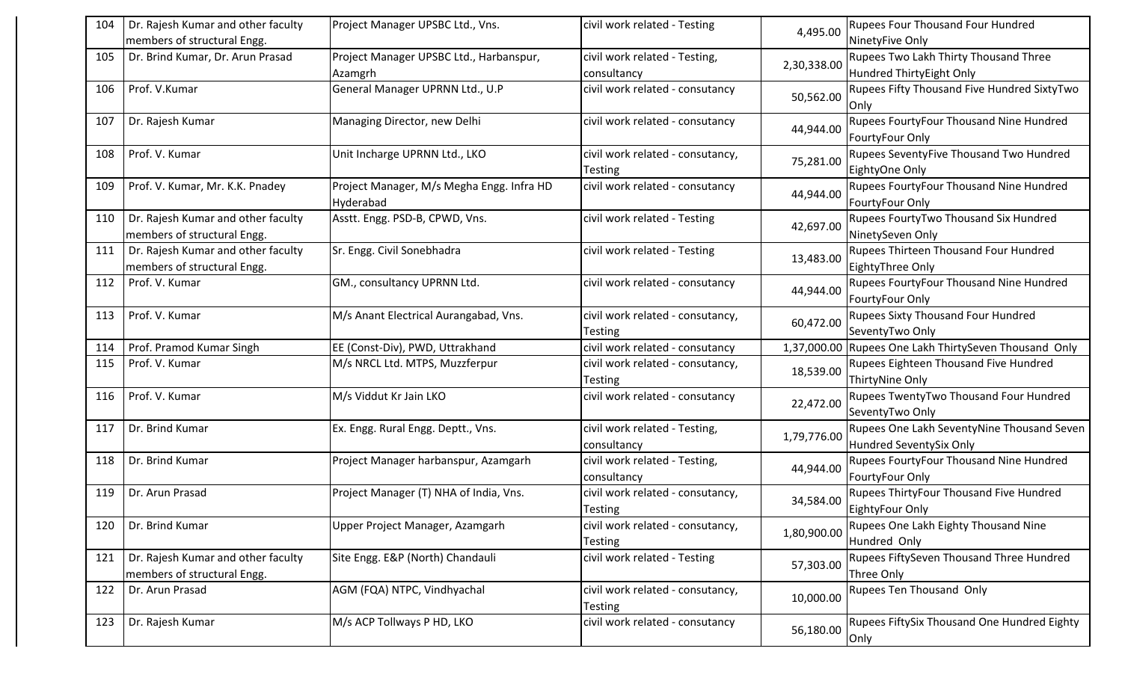| 104 | Dr. Rajesh Kumar and other faculty                                | Project Manager UPSBC Ltd., Vns.                       | civil work related - Testing                       | 4,495.00    | <b>Rupees Four Thousand Four Hundred</b>                              |
|-----|-------------------------------------------------------------------|--------------------------------------------------------|----------------------------------------------------|-------------|-----------------------------------------------------------------------|
|     | members of structural Engg.                                       |                                                        |                                                    |             | NinetyFive Only                                                       |
| 105 | Dr. Brind Kumar, Dr. Arun Prasad                                  | Project Manager UPSBC Ltd., Harbanspur,<br>Azamgrh     | civil work related - Testing,<br>consultancy       | 2,30,338.00 | Rupees Two Lakh Thirty Thousand Three<br>Hundred ThirtyEight Only     |
| 106 | Prof. V.Kumar                                                     | General Manager UPRNN Ltd., U.P                        | civil work related - consutancy                    | 50,562.00   | Rupees Fifty Thousand Five Hundred SixtyTwo<br>Only                   |
| 107 | Dr. Rajesh Kumar                                                  | Managing Director, new Delhi                           | civil work related - consutancy                    | 44,944.00   | Rupees FourtyFour Thousand Nine Hundred<br>FourtyFour Only            |
| 108 | Prof. V. Kumar                                                    | Unit Incharge UPRNN Ltd., LKO                          | civil work related - consutancy,<br><b>Testing</b> | 75,281.00   | Rupees SeventyFive Thousand Two Hundred<br>EightyOne Only             |
| 109 | Prof. V. Kumar, Mr. K.K. Pnadey                                   | Project Manager, M/s Megha Engg. Infra HD<br>Hyderabad | civil work related - consutancy                    | 44,944.00   | Rupees FourtyFour Thousand Nine Hundred<br>FourtyFour Only            |
| 110 | Dr. Rajesh Kumar and other faculty<br>members of structural Engg. | Asstt. Engg. PSD-B, CPWD, Vns.                         | civil work related - Testing                       | 42,697.00   | Rupees FourtyTwo Thousand Six Hundred<br>NinetySeven Only             |
| 111 | Dr. Rajesh Kumar and other faculty<br>members of structural Engg. | Sr. Engg. Civil Sonebhadra                             | civil work related - Testing                       | 13,483.00   | Rupees Thirteen Thousand Four Hundred<br>EightyThree Only             |
| 112 | Prof. V. Kumar                                                    | GM., consultancy UPRNN Ltd.                            | civil work related - consutancy                    | 44,944.00   | Rupees FourtyFour Thousand Nine Hundred<br>FourtyFour Only            |
| 113 | Prof. V. Kumar                                                    | M/s Anant Electrical Aurangabad, Vns.                  | civil work related - consutancy,<br>Testing        | 60,472.00   | <b>Rupees Sixty Thousand Four Hundred</b><br>SeventyTwo Only          |
| 114 | Prof. Pramod Kumar Singh                                          | EE (Const-Div), PWD, Uttrakhand                        | civil work related - consutancy                    | 1,37,000.00 | Rupees One Lakh ThirtySeven Thousand Only                             |
| 115 | Prof. V. Kumar                                                    | M/s NRCL Ltd. MTPS, Muzzferpur                         | civil work related - consutancy,<br><b>Testing</b> | 18,539.00   | Rupees Eighteen Thousand Five Hundred<br>ThirtyNine Only              |
| 116 | Prof. V. Kumar                                                    | M/s Viddut Kr Jain LKO                                 | civil work related - consutancy                    | 22,472.00   | Rupees TwentyTwo Thousand Four Hundred<br>SeventyTwo Only             |
| 117 | Dr. Brind Kumar                                                   | Ex. Engg. Rural Engg. Deptt., Vns.                     | civil work related - Testing,<br>consultancy       | 1,79,776.00 | Rupees One Lakh SeventyNine Thousand Seven<br>Hundred SeventySix Only |
| 118 | Dr. Brind Kumar                                                   | Project Manager harbanspur, Azamgarh                   | civil work related - Testing,<br>consultancy       | 44,944.00   | Rupees FourtyFour Thousand Nine Hundred<br>FourtyFour Only            |
| 119 | Dr. Arun Prasad                                                   | Project Manager (T) NHA of India, Vns.                 | civil work related - consutancy,<br><b>Testing</b> | 34,584.00   | Rupees ThirtyFour Thousand Five Hundred<br>EightyFour Only            |
| 120 | Dr. Brind Kumar                                                   | Upper Project Manager, Azamgarh                        | civil work related - consutancy,<br><b>Testing</b> | 1,80,900.00 | Rupees One Lakh Eighty Thousand Nine<br>Hundred Only                  |
| 121 | Dr. Rajesh Kumar and other faculty<br>members of structural Engg. | Site Engg. E&P (North) Chandauli                       | civil work related - Testing                       | 57,303.00   | Rupees FiftySeven Thousand Three Hundred<br>Three Only                |
| 122 | Dr. Arun Prasad                                                   | AGM (FQA) NTPC, Vindhyachal                            | civil work related - consutancy,<br>Testing        | 10,000.00   | Rupees Ten Thousand Only                                              |
| 123 | Dr. Rajesh Kumar                                                  | M/s ACP Tollways P HD, LKO                             | civil work related - consutancy                    | 56,180.00   | Rupees FiftySix Thousand One Hundred Eighty<br>Only                   |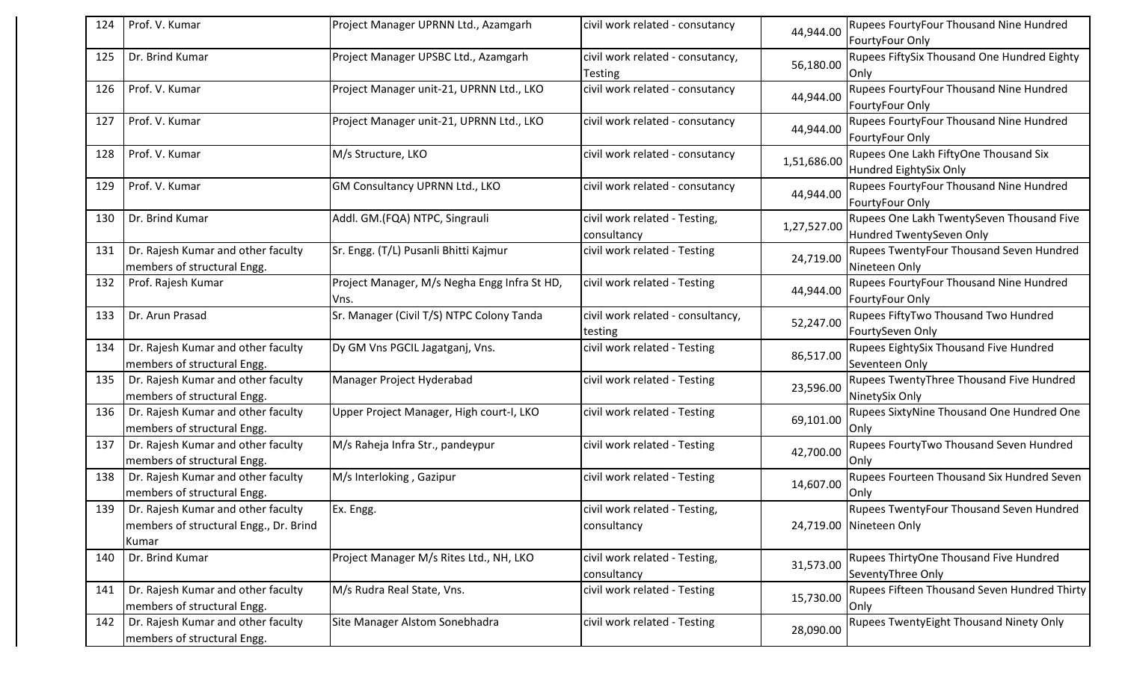| 124 | Prof. V. Kumar                                                                        | Project Manager UPRNN Ltd., Azamgarh                  | civil work related - consutancy                    | 44,944.00   | Rupees FourtyFour Thousand Nine Hundred<br>FourtyFour Only                 |
|-----|---------------------------------------------------------------------------------------|-------------------------------------------------------|----------------------------------------------------|-------------|----------------------------------------------------------------------------|
| 125 | Dr. Brind Kumar                                                                       | Project Manager UPSBC Ltd., Azamgarh                  | civil work related - consutancy,<br><b>Testing</b> | 56,180.00   | Rupees FiftySix Thousand One Hundred Eighty<br>Only                        |
| 126 | Prof. V. Kumar                                                                        | Project Manager unit-21, UPRNN Ltd., LKO              | civil work related - consutancy                    | 44,944.00   | Rupees FourtyFour Thousand Nine Hundred<br>FourtyFour Only                 |
| 127 | Prof. V. Kumar                                                                        | Project Manager unit-21, UPRNN Ltd., LKO              | civil work related - consutancy                    | 44,944.00   | Rupees FourtyFour Thousand Nine Hundred<br>FourtyFour Only                 |
| 128 | Prof. V. Kumar                                                                        | M/s Structure, LKO                                    | civil work related - consutancy                    | 1,51,686.00 | Rupees One Lakh FiftyOne Thousand Six<br>Hundred EightySix Only            |
| 129 | Prof. V. Kumar                                                                        | GM Consultancy UPRNN Ltd., LKO                        | civil work related - consutancy                    | 44,944.00   | Rupees FourtyFour Thousand Nine Hundred<br>FourtyFour Only                 |
| 130 | Dr. Brind Kumar                                                                       | Addl. GM. (FQA) NTPC, Singrauli                       | civil work related - Testing,<br>consultancy       | 1,27,527.00 | Rupees One Lakh TwentySeven Thousand Five<br>Hundred TwentySeven Only      |
| 131 | Dr. Rajesh Kumar and other faculty<br>members of structural Engg.                     | Sr. Engg. (T/L) Pusanli Bhitti Kajmur                 | civil work related - Testing                       | 24,719.00   | Rupees TwentyFour Thousand Seven Hundred<br>Nineteen Only                  |
| 132 | Prof. Rajesh Kumar                                                                    | Project Manager, M/s Negha Engg Infra St HD,<br>IVns. | civil work related - Testing                       | 44,944.00   | Rupees FourtyFour Thousand Nine Hundred<br>FourtyFour Only                 |
| 133 | Dr. Arun Prasad                                                                       | Sr. Manager (Civil T/S) NTPC Colony Tanda             | civil work related - consultancy,<br>testing       | 52,247.00   | Rupees FiftyTwo Thousand Two Hundred<br>FourtySeven Only                   |
| 134 | Dr. Rajesh Kumar and other faculty<br>members of structural Engg.                     | Dy GM Vns PGCIL Jagatganj, Vns.                       | civil work related - Testing                       | 86,517.00   | Rupees EightySix Thousand Five Hundred<br>Seventeen Only                   |
| 135 | Dr. Rajesh Kumar and other faculty<br>members of structural Engg.                     | Manager Project Hyderabad                             | civil work related - Testing                       | 23,596.00   | Rupees TwentyThree Thousand Five Hundred<br>NinetySix Only                 |
| 136 | Dr. Rajesh Kumar and other faculty<br>members of structural Engg.                     | Upper Project Manager, High court-I, LKO              | civil work related - Testing                       | 69,101.00   | Rupees SixtyNine Thousand One Hundred One<br>Only                          |
| 137 | Dr. Rajesh Kumar and other faculty<br>members of structural Engg.                     | M/s Raheja Infra Str., pandeypur                      | civil work related - Testing                       | 42,700.00   | Rupees FourtyTwo Thousand Seven Hundred<br>Only                            |
| 138 | Dr. Rajesh Kumar and other faculty<br>members of structural Engg.                     | M/s Interloking, Gazipur                              | civil work related - Testing                       | 14,607.00   | Rupees Fourteen Thousand Six Hundred Seven<br>Only                         |
| 139 | Dr. Rajesh Kumar and other faculty<br>members of structural Engg., Dr. Brind<br>Kumar | Ex. Engg.                                             | civil work related - Testing,<br>consultancy       |             | <b>Rupees TwentyFour Thousand Seven Hundred</b><br>24,719.00 Nineteen Only |
| 140 | Dr. Brind Kumar                                                                       | Project Manager M/s Rites Ltd., NH, LKO               | civil work related - Testing,<br>consultancy       | 31,573.00   | Rupees ThirtyOne Thousand Five Hundred<br>SeventyThree Only                |
| 141 | Dr. Rajesh Kumar and other faculty<br>members of structural Engg.                     | M/s Rudra Real State, Vns.                            | civil work related - Testing                       | 15,730.00   | Rupees Fifteen Thousand Seven Hundred Thirty<br>Only                       |
| 142 | Dr. Rajesh Kumar and other faculty<br>members of structural Engg.                     | Site Manager Alstom Sonebhadra                        | civil work related - Testing                       | 28,090.00   | Rupees TwentyEight Thousand Ninety Only                                    |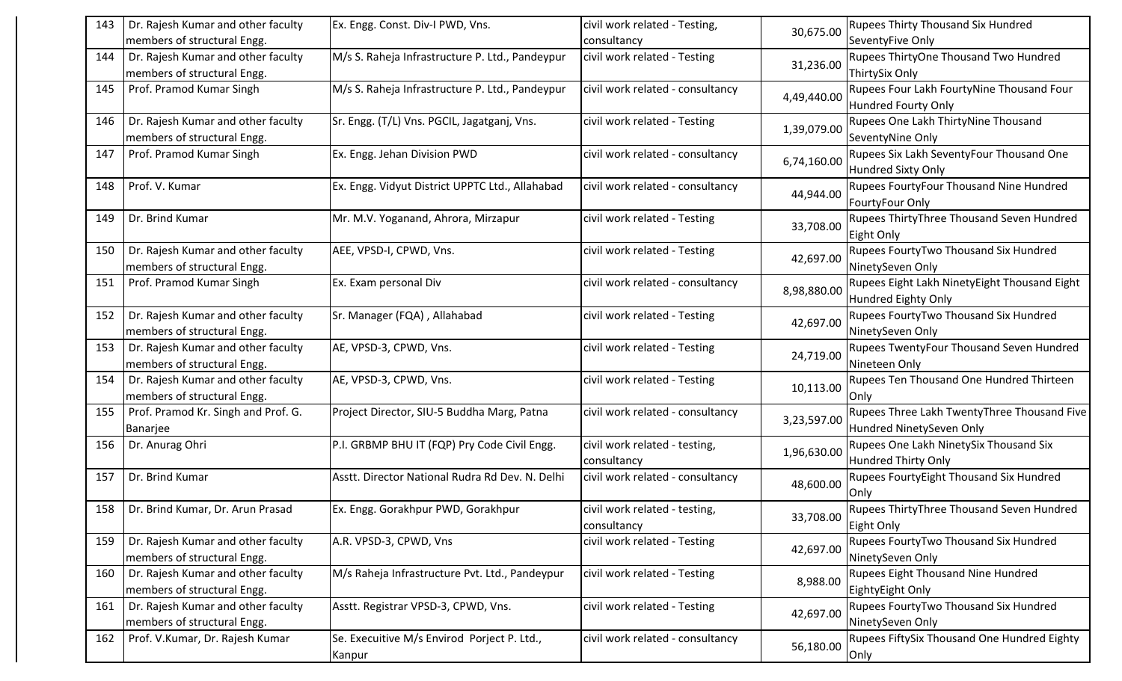| 143 | Dr. Rajesh Kumar and other faculty  | Ex. Engg. Const. Div-I PWD, Vns.                | civil work related - Testing,    |             | <b>Rupees Thirty Thousand Six Hundred</b>        |
|-----|-------------------------------------|-------------------------------------------------|----------------------------------|-------------|--------------------------------------------------|
|     | members of structural Engg.         |                                                 | consultancy                      | 30,675.00   | SeventyFive Only                                 |
| 144 | Dr. Rajesh Kumar and other faculty  | M/s S. Raheja Infrastructure P. Ltd., Pandeypur | civil work related - Testing     | 31,236.00   | Rupees ThirtyOne Thousand Two Hundred            |
|     | members of structural Engg.         |                                                 |                                  |             | ThirtySix Only                                   |
| 145 | Prof. Pramod Kumar Singh            | M/s S. Raheja Infrastructure P. Ltd., Pandeypur | civil work related - consultancy | 4,49,440.00 | Rupees Four Lakh FourtyNine Thousand Four        |
|     |                                     |                                                 |                                  |             | <b>Hundred Fourty Only</b>                       |
| 146 | Dr. Rajesh Kumar and other faculty  | Sr. Engg. (T/L) Vns. PGCIL, Jagatganj, Vns.     | civil work related - Testing     | 1,39,079.00 | Rupees One Lakh ThirtyNine Thousand              |
|     | members of structural Engg.         |                                                 |                                  |             | SeventyNine Only                                 |
| 147 | Prof. Pramod Kumar Singh            | Ex. Engg. Jehan Division PWD                    | civil work related - consultancy | 6,74,160.00 | Rupees Six Lakh SeventyFour Thousand One         |
|     |                                     |                                                 |                                  |             | <b>Hundred Sixty Only</b>                        |
| 148 | Prof. V. Kumar                      | Ex. Engg. Vidyut District UPPTC Ltd., Allahabad | civil work related - consultancy | 44,944.00   | Rupees FourtyFour Thousand Nine Hundred          |
|     |                                     |                                                 |                                  |             | FourtyFour Only                                  |
| 149 | Dr. Brind Kumar                     | Mr. M.V. Yoganand, Ahrora, Mirzapur             | civil work related - Testing     | 33,708.00   | Rupees ThirtyThree Thousand Seven Hundred        |
|     |                                     |                                                 |                                  |             | Eight Only                                       |
| 150 | Dr. Rajesh Kumar and other faculty  | AEE, VPSD-I, CPWD, Vns.                         | civil work related - Testing     | 42,697.00   | Rupees FourtyTwo Thousand Six Hundred            |
|     | members of structural Engg.         |                                                 |                                  |             | NinetySeven Only                                 |
| 151 | Prof. Pramod Kumar Singh            | Ex. Exam personal Div                           | civil work related - consultancy | 8,98,880.00 | Rupees Eight Lakh NinetyEight Thousand Eight     |
|     |                                     |                                                 |                                  |             | <b>Hundred Eighty Only</b>                       |
| 152 | Dr. Rajesh Kumar and other faculty  | Sr. Manager (FQA), Allahabad                    | civil work related - Testing     | 42,697.00   | Rupees FourtyTwo Thousand Six Hundred            |
|     | members of structural Engg.         |                                                 |                                  |             | NinetySeven Only                                 |
| 153 | Dr. Rajesh Kumar and other faculty  | AE, VPSD-3, CPWD, Vns.                          | civil work related - Testing     | 24,719.00   | Rupees TwentyFour Thousand Seven Hundred         |
|     | members of structural Engg.         |                                                 |                                  |             | Nineteen Only                                    |
| 154 | Dr. Rajesh Kumar and other faculty  | AE, VPSD-3, CPWD, Vns.                          | civil work related - Testing     | 10,113.00   | Rupees Ten Thousand One Hundred Thirteen         |
|     | members of structural Engg.         |                                                 |                                  |             | Only                                             |
| 155 | Prof. Pramod Kr. Singh and Prof. G. | Project Director, SIU-5 Buddha Marg, Patna      | civil work related - consultancy | 3,23,597.00 | Rupees Three Lakh TwentyThree Thousand Five      |
|     | Banarjee                            |                                                 |                                  |             | Hundred NinetySeven Only                         |
| 156 | Dr. Anurag Ohri                     | P.I. GRBMP BHU IT (FQP) Pry Code Civil Engg.    | civil work related - testing,    | 1,96,630.00 | Rupees One Lakh NinetySix Thousand Six           |
|     |                                     |                                                 | consultancy                      |             | <b>Hundred Thirty Only</b>                       |
| 157 | Dr. Brind Kumar                     | Asstt. Director National Rudra Rd Dev. N. Delhi | civil work related - consultancy | 48,600.00   | Rupees FourtyEight Thousand Six Hundred          |
|     |                                     |                                                 |                                  |             | Only                                             |
| 158 | Dr. Brind Kumar, Dr. Arun Prasad    | Ex. Engg. Gorakhpur PWD, Gorakhpur              | civil work related - testing,    | 33,708.00   | <b>Rupees ThirtyThree Thousand Seven Hundred</b> |
|     |                                     |                                                 | consultancy                      |             | Eight Only                                       |
| 159 | Dr. Rajesh Kumar and other faculty  | A.R. VPSD-3, CPWD, Vns                          | civil work related - Testing     | 42,697.00   | Rupees FourtyTwo Thousand Six Hundred            |
|     | members of structural Engg.         |                                                 |                                  |             | NinetySeven Only                                 |
| 160 | Dr. Rajesh Kumar and other faculty  | M/s Raheja Infrastructure Pvt. Ltd., Pandeypur  | civil work related - Testing     | 8,988.00    | Rupees Eight Thousand Nine Hundred               |
|     | members of structural Engg.         |                                                 |                                  |             | EightyEight Only                                 |
| 161 | Dr. Rajesh Kumar and other faculty  | Asstt. Registrar VPSD-3, CPWD, Vns.             | civil work related - Testing     | 42,697.00   | Rupees FourtyTwo Thousand Six Hundred            |
|     | members of structural Engg.         |                                                 |                                  |             | NinetySeven Only                                 |
| 162 | Prof. V.Kumar, Dr. Rajesh Kumar     | Se. Execuitive M/s Envirod Porject P. Ltd.,     | civil work related - consultancy | 56,180.00   | Rupees FiftySix Thousand One Hundred Eighty      |
|     |                                     |                                                 |                                  |             |                                                  |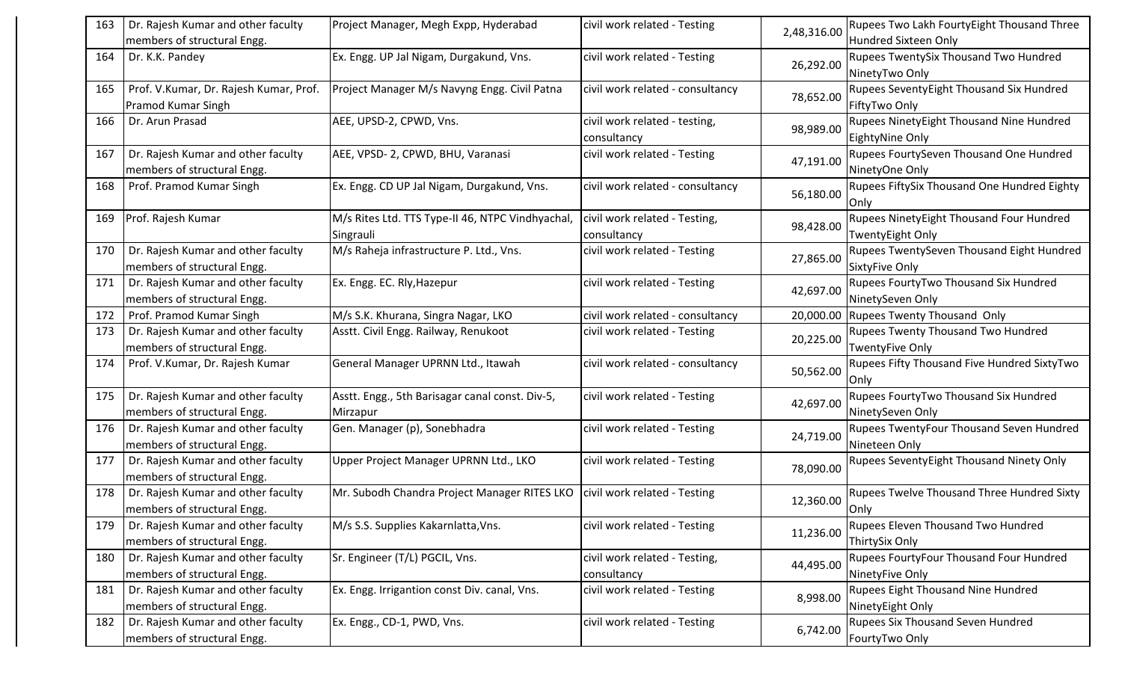| 163 | Dr. Rajesh Kumar and other faculty<br>members of structural Engg. | Project Manager, Megh Expp, Hyderabad                         | civil work related - Testing                 | 2,48,316.00 | <b>Rupees Two Lakh FourtyEight Thousand Three</b><br>Hundred Sixteen Only |
|-----|-------------------------------------------------------------------|---------------------------------------------------------------|----------------------------------------------|-------------|---------------------------------------------------------------------------|
| 164 | Dr. K.K. Pandey                                                   | Ex. Engg. UP Jal Nigam, Durgakund, Vns.                       | civil work related - Testing                 | 26,292.00   | Rupees TwentySix Thousand Two Hundred<br>NinetyTwo Only                   |
| 165 | Prof. V.Kumar, Dr. Rajesh Kumar, Prof.<br>Pramod Kumar Singh      | Project Manager M/s Navyng Engg. Civil Patna                  | civil work related - consultancy             | 78,652.00   | Rupees SeventyEight Thousand Six Hundred<br>FiftyTwo Only                 |
| 166 | Dr. Arun Prasad                                                   | AEE, UPSD-2, CPWD, Vns.                                       | civil work related - testing,<br>consultancy | 98,989.00   | Rupees NinetyEight Thousand Nine Hundred<br>EightyNine Only               |
| 167 | Dr. Rajesh Kumar and other faculty<br>members of structural Engg. | AEE, VPSD-2, CPWD, BHU, Varanasi                              | civil work related - Testing                 | 47,191.00   | Rupees FourtySeven Thousand One Hundred<br>NinetyOne Only                 |
| 168 | Prof. Pramod Kumar Singh                                          | Ex. Engg. CD UP Jal Nigam, Durgakund, Vns.                    | civil work related - consultancy             | 56,180.00   | Rupees FiftySix Thousand One Hundred Eighty<br><b>Only</b>                |
| 169 | Prof. Rajesh Kumar                                                | M/s Rites Ltd. TTS Type-II 46, NTPC Vindhyachal,<br>Singrauli | civil work related - Testing,<br>consultancy | 98,428.00   | Rupees NinetyEight Thousand Four Hundred<br><b>TwentyEight Only</b>       |
| 170 | Dr. Rajesh Kumar and other faculty<br>members of structural Engg. | M/s Raheja infrastructure P. Ltd., Vns.                       | civil work related - Testing                 | 27,865.00   | <b>Rupees TwentySeven Thousand Eight Hundred</b><br><b>SixtyFive Only</b> |
| 171 | Dr. Rajesh Kumar and other faculty<br>members of structural Engg. | Ex. Engg. EC. Rly, Hazepur                                    | civil work related - Testing                 | 42,697.00   | Rupees FourtyTwo Thousand Six Hundred<br>NinetySeven Only                 |
| 172 | Prof. Pramod Kumar Singh                                          | M/s S.K. Khurana, Singra Nagar, LKO                           | civil work related - consultancy             | 20,000.00   | Rupees Twenty Thousand Only                                               |
| 173 | Dr. Rajesh Kumar and other faculty<br>members of structural Engg. | Asstt. Civil Engg. Railway, Renukoot                          | civil work related - Testing                 | 20,225.00   | <b>Rupees Twenty Thousand Two Hundred</b><br><b>TwentyFive Only</b>       |
| 174 | Prof. V.Kumar, Dr. Rajesh Kumar                                   | General Manager UPRNN Ltd., Itawah                            | civil work related - consultancy             | 50,562.00   | Rupees Fifty Thousand Five Hundred SixtyTwo<br><b>Only</b>                |
| 175 | Dr. Rajesh Kumar and other faculty<br>members of structural Engg. | Asstt. Engg., 5th Barisagar canal const. Div-5,<br>Mirzapur   | civil work related - Testing                 | 42,697.00   | Rupees FourtyTwo Thousand Six Hundred<br>NinetySeven Only                 |
| 176 | Dr. Rajesh Kumar and other faculty<br>members of structural Engg. | Gen. Manager (p), Sonebhadra                                  | civil work related - Testing                 | 24,719.00   | Rupees TwentyFour Thousand Seven Hundred<br>Nineteen Only                 |
| 177 | Dr. Rajesh Kumar and other faculty<br>members of structural Engg. | Upper Project Manager UPRNN Ltd., LKO                         | civil work related - Testing                 | 78,090.00   | Rupees SeventyEight Thousand Ninety Only                                  |
| 178 | Dr. Rajesh Kumar and other faculty<br>members of structural Engg. | Mr. Subodh Chandra Project Manager RITES LKO                  | civil work related - Testing                 | 12,360.00   | Rupees Twelve Thousand Three Hundred Sixty<br>Only                        |
| 179 | Dr. Rajesh Kumar and other faculty<br>members of structural Engg. | M/s S.S. Supplies Kakarnlatta, Vns.                           | civil work related - Testing                 | 11,236.00   | <b>Rupees Eleven Thousand Two Hundred</b><br>ThirtySix Only               |
| 180 | Dr. Rajesh Kumar and other faculty<br>members of structural Engg. | Sr. Engineer (T/L) PGCIL, Vns.                                | civil work related - Testing,<br>consultancy | 44,495.00   | Rupees FourtyFour Thousand Four Hundred<br>NinetyFive Only                |
| 181 | Dr. Rajesh Kumar and other faculty<br>members of structural Engg. | Ex. Engg. Irrigantion const Div. canal, Vns.                  | civil work related - Testing                 | 8,998.00    | Rupees Eight Thousand Nine Hundred<br>NinetyEight Only                    |
| 182 | Dr. Rajesh Kumar and other faculty<br>members of structural Engg. | Ex. Engg., CD-1, PWD, Vns.                                    | civil work related - Testing                 | 6,742.00    | Rupees Six Thousand Seven Hundred<br>FourtyTwo Only                       |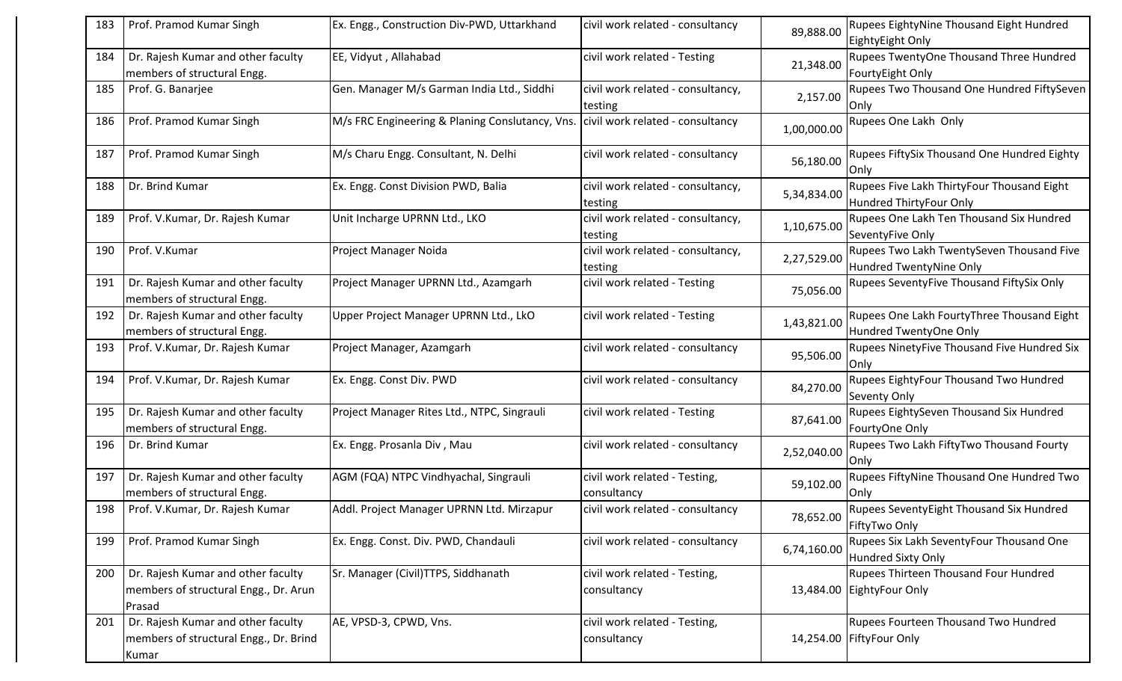| 183 | Prof. Pramod Kumar Singh                                                              | Ex. Engg., Construction Div-PWD, Uttarkhand                                      | civil work related - consultancy             | 89,888.00   | <b>Rupees EightyNine Thousand Eight Hundred</b><br>EightyEight Only   |
|-----|---------------------------------------------------------------------------------------|----------------------------------------------------------------------------------|----------------------------------------------|-------------|-----------------------------------------------------------------------|
| 184 | Dr. Rajesh Kumar and other faculty<br>members of structural Engg.                     | EE, Vidyut, Allahabad                                                            | civil work related - Testing                 | 21,348.00   | Rupees TwentyOne Thousand Three Hundred<br>FourtyEight Only           |
| 185 | Prof. G. Banarjee                                                                     | Gen. Manager M/s Garman India Ltd., Siddhi                                       | civil work related - consultancy,<br>testing | 2,157.00    | Rupees Two Thousand One Hundred FiftySeven<br>Only                    |
| 186 | Prof. Pramod Kumar Singh                                                              | M/s FRC Engineering & Planing Conslutancy, Vns. civil work related - consultancy |                                              | 1,00,000.00 | Rupees One Lakh Only                                                  |
| 187 | Prof. Pramod Kumar Singh                                                              | M/s Charu Engg. Consultant, N. Delhi                                             | civil work related - consultancy             | 56,180.00   | Rupees FiftySix Thousand One Hundred Eighty<br>Only                   |
| 188 | Dr. Brind Kumar                                                                       | Ex. Engg. Const Division PWD, Balia                                              | civil work related - consultancy,<br>testing | 5,34,834.00 | Rupees Five Lakh ThirtyFour Thousand Eight<br>Hundred ThirtyFour Only |
| 189 | Prof. V.Kumar, Dr. Rajesh Kumar                                                       | Unit Incharge UPRNN Ltd., LKO                                                    | civil work related - consultancy,<br>testing | 1,10,675.00 | Rupees One Lakh Ten Thousand Six Hundred<br>SeventyFive Only          |
| 190 | Prof. V.Kumar                                                                         | Project Manager Noida                                                            | civil work related - consultancy,<br>testing | 2,27,529.00 | Rupees Two Lakh TwentySeven Thousand Five<br>Hundred TwentyNine Only  |
| 191 | Dr. Rajesh Kumar and other faculty<br>members of structural Engg.                     | Project Manager UPRNN Ltd., Azamgarh                                             | civil work related - Testing                 | 75,056.00   | Rupees SeventyFive Thousand FiftySix Only                             |
| 192 | Dr. Rajesh Kumar and other faculty<br>members of structural Engg.                     | Upper Project Manager UPRNN Ltd., LkO                                            | civil work related - Testing                 | 1,43,821.00 | Rupees One Lakh FourtyThree Thousand Eight<br>Hundred TwentyOne Only  |
| 193 | Prof. V.Kumar, Dr. Rajesh Kumar                                                       | Project Manager, Azamgarh                                                        | civil work related - consultancy             | 95,506.00   | Rupees NinetyFive Thousand Five Hundred Six<br>Only                   |
| 194 | Prof. V.Kumar, Dr. Rajesh Kumar                                                       | Ex. Engg. Const Div. PWD                                                         | civil work related - consultancy             | 84,270.00   | Rupees EightyFour Thousand Two Hundred<br><b>Seventy Only</b>         |
| 195 | Dr. Rajesh Kumar and other faculty<br>members of structural Engg.                     | Project Manager Rites Ltd., NTPC, Singrauli                                      | civil work related - Testing                 | 87,641.00   | Rupees EightySeven Thousand Six Hundred<br>FourtyOne Only             |
| 196 | Dr. Brind Kumar                                                                       | Ex. Engg. Prosanla Div, Mau                                                      | civil work related - consultancy             | 2,52,040.00 | Rupees Two Lakh FiftyTwo Thousand Fourty<br>Only                      |
| 197 | Dr. Rajesh Kumar and other faculty<br>members of structural Engg.                     | AGM (FQA) NTPC Vindhyachal, Singrauli                                            | civil work related - Testing,<br>consultancy | 59,102.00   | Rupees FiftyNine Thousand One Hundred Two<br>Only                     |
| 198 | Prof. V.Kumar, Dr. Rajesh Kumar                                                       | Addl. Project Manager UPRNN Ltd. Mirzapur                                        | civil work related - consultancy             | 78,652.00   | Rupees SeventyEight Thousand Six Hundred<br>FiftyTwo Only             |
| 199 | Prof. Pramod Kumar Singh                                                              | Ex. Engg. Const. Div. PWD, Chandauli                                             | civil work related - consultancy             | 6,74,160.00 | Rupees Six Lakh SeventyFour Thousand One<br>Hundred Sixty Only        |
| 200 | Dr. Rajesh Kumar and other faculty<br>members of structural Engg., Dr. Arun<br>Prasad | Sr. Manager (Civil)TTPS, Siddhanath                                              | civil work related - Testing,<br>consultancy |             | Rupees Thirteen Thousand Four Hundred<br>13,484.00 EightyFour Only    |
| 201 | Dr. Rajesh Kumar and other faculty<br>members of structural Engg., Dr. Brind<br>Kumar | AE, VPSD-3, CPWD, Vns.                                                           | civil work related - Testing,<br>consultancy |             | Rupees Fourteen Thousand Two Hundred<br>14,254.00 FiftyFour Only      |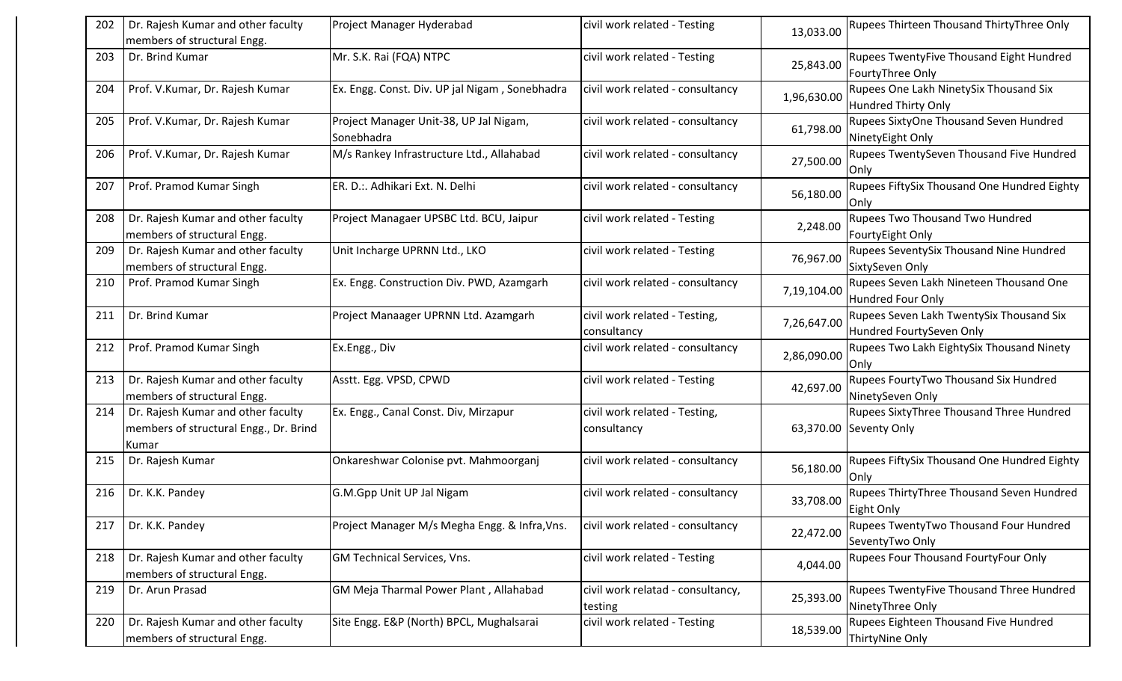| 202 | Dr. Rajesh Kumar and other faculty<br>members of structural Engg.                     | Project Manager Hyderabad                            | civil work related - Testing                 | 13,033.00   | <b>Rupees Thirteen Thousand ThirtyThree Only</b>                     |
|-----|---------------------------------------------------------------------------------------|------------------------------------------------------|----------------------------------------------|-------------|----------------------------------------------------------------------|
| 203 | Dr. Brind Kumar                                                                       | Mr. S.K. Rai (FQA) NTPC                              | civil work related - Testing                 | 25,843.00   | Rupees TwentyFive Thousand Eight Hundred<br>FourtyThree Only         |
| 204 | Prof. V.Kumar, Dr. Rajesh Kumar                                                       | Ex. Engg. Const. Div. UP jal Nigam, Sonebhadra       | civil work related - consultancy             | 1,96,630.00 | Rupees One Lakh NinetySix Thousand Six<br>Hundred Thirty Only        |
| 205 | Prof. V.Kumar, Dr. Rajesh Kumar                                                       | Project Manager Unit-38, UP Jal Nigam,<br>Sonebhadra | civil work related - consultancy             | 61,798.00   | Rupees SixtyOne Thousand Seven Hundred<br>NinetyEight Only           |
| 206 | Prof. V.Kumar, Dr. Rajesh Kumar                                                       | M/s Rankey Infrastructure Ltd., Allahabad            | civil work related - consultancy             | 27,500.00   | Rupees TwentySeven Thousand Five Hundred<br>Only                     |
| 207 | Prof. Pramod Kumar Singh                                                              | ER. D.:. Adhikari Ext. N. Delhi                      | civil work related - consultancy             | 56,180.00   | Rupees FiftySix Thousand One Hundred Eighty<br>Only                  |
| 208 | Dr. Rajesh Kumar and other faculty<br>members of structural Engg.                     | Project Managaer UPSBC Ltd. BCU, Jaipur              | civil work related - Testing                 | 2,248.00    | Rupees Two Thousand Two Hundred<br>FourtyEight Only                  |
| 209 | Dr. Rajesh Kumar and other faculty<br>members of structural Engg.                     | Unit Incharge UPRNN Ltd., LKO                        | civil work related - Testing                 | 76,967.00   | Rupees SeventySix Thousand Nine Hundred<br>SixtySeven Only           |
| 210 | Prof. Pramod Kumar Singh                                                              | Ex. Engg. Construction Div. PWD, Azamgarh            | civil work related - consultancy             | 7,19,104.00 | Rupees Seven Lakh Nineteen Thousand One<br>Hundred Four Only         |
| 211 | Dr. Brind Kumar                                                                       | Project Manaager UPRNN Ltd. Azamgarh                 | civil work related - Testing,<br>consultancy | 7,26,647.00 | Rupees Seven Lakh TwentySix Thousand Six<br>Hundred FourtySeven Only |
| 212 | Prof. Pramod Kumar Singh                                                              | Ex.Engg., Div                                        | civil work related - consultancy             | 2,86,090.00 | Rupees Two Lakh EightySix Thousand Ninety<br>Only                    |
| 213 | Dr. Rajesh Kumar and other faculty<br>members of structural Engg.                     | Asstt. Egg. VPSD, CPWD                               | civil work related - Testing                 | 42,697.00   | Rupees FourtyTwo Thousand Six Hundred<br>NinetySeven Only            |
| 214 | Dr. Rajesh Kumar and other faculty<br>members of structural Engg., Dr. Brind<br>Kumar | Ex. Engg., Canal Const. Div, Mirzapur                | civil work related - Testing,<br>consultancy |             | Rupees SixtyThree Thousand Three Hundred<br>63,370.00 Seventy Only   |
| 215 | Dr. Rajesh Kumar                                                                      | Onkareshwar Colonise pvt. Mahmoorganj                | civil work related - consultancy             | 56,180.00   | Rupees FiftySix Thousand One Hundred Eighty<br>lOnly                 |
| 216 | Dr. K.K. Pandey                                                                       | G.M.Gpp Unit UP Jal Nigam                            | civil work related - consultancy             | 33,708.00   | Rupees ThirtyThree Thousand Seven Hundred<br>Eight Only              |
| 217 | Dr. K.K. Pandey                                                                       | Project Manager M/s Megha Engg. & Infra, Vns.        | civil work related - consultancy             | 22,472.00   | Rupees TwentyTwo Thousand Four Hundred<br>SeventyTwo Only            |
| 218 | Dr. Rajesh Kumar and other faculty<br>members of structural Engg.                     | <b>GM Technical Services, Vns.</b>                   | civil work related - Testing                 | 4,044.00    | Rupees Four Thousand FourtyFour Only                                 |
| 219 | Dr. Arun Prasad                                                                       | GM Meja Tharmal Power Plant, Allahabad               | civil work relatad - consultancy,<br>testing | 25,393.00   | Rupees TwentyFive Thousand Three Hundred<br>NinetyThree Only         |
| 220 | Dr. Rajesh Kumar and other faculty<br>members of structural Engg.                     | Site Engg. E&P (North) BPCL, Mughalsarai             | civil work related - Testing                 | 18,539.00   | Rupees Eighteen Thousand Five Hundred<br>ThirtyNine Only             |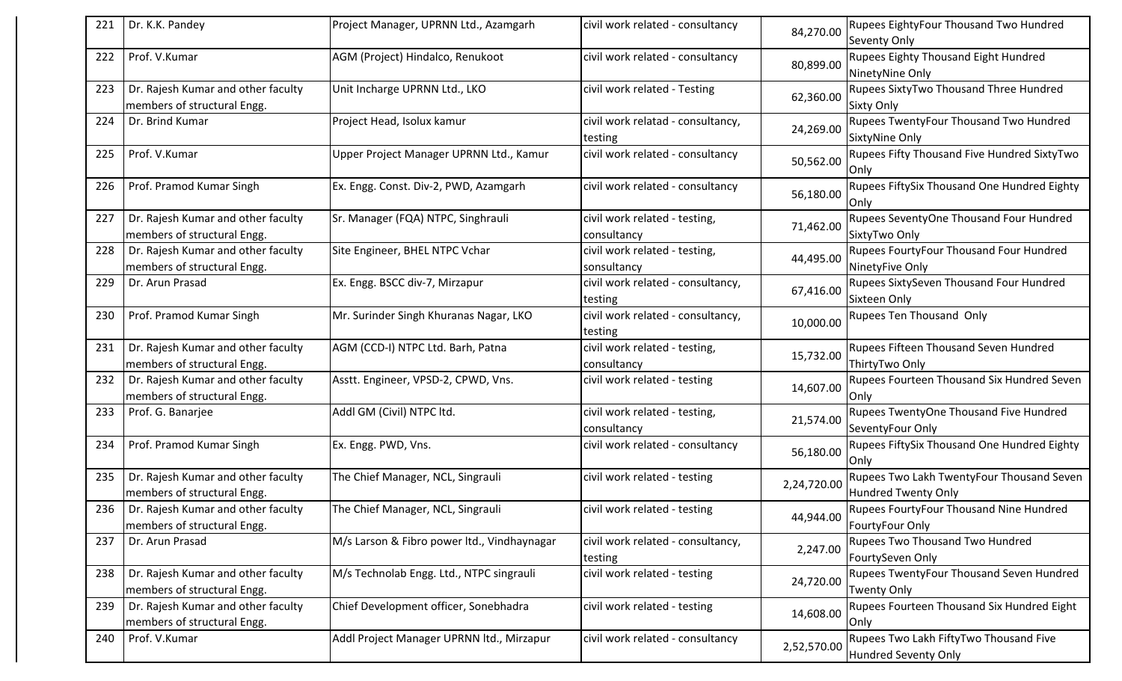| 221 | Dr. K.K. Pandey                                                   | Project Manager, UPRNN Ltd., Azamgarh       | civil work related - consultancy             | 84,270.00   | <b>Rupees EightyFour Thousand Two Hundred</b><br>Seventy Only    |
|-----|-------------------------------------------------------------------|---------------------------------------------|----------------------------------------------|-------------|------------------------------------------------------------------|
| 222 | Prof. V.Kumar                                                     | AGM (Project) Hindalco, Renukoot            | civil work related - consultancy             | 80,899.00   | Rupees Eighty Thousand Eight Hundred<br>NinetyNine Only          |
| 223 | Dr. Rajesh Kumar and other faculty<br>members of structural Engg. | Unit Incharge UPRNN Ltd., LKO               | civil work related - Testing                 | 62,360.00   | Rupees SixtyTwo Thousand Three Hundred<br><b>Sixty Only</b>      |
| 224 | Dr. Brind Kumar                                                   | Project Head, Isolux kamur                  | civil work relatad - consultancy,<br>testing | 24,269.00   | Rupees TwentyFour Thousand Two Hundred<br>SixtyNine Only         |
| 225 | Prof. V.Kumar                                                     | Upper Project Manager UPRNN Ltd., Kamur     | civil work related - consultancy             | 50,562.00   | Rupees Fifty Thousand Five Hundred SixtyTwo<br><b>Only</b>       |
| 226 | Prof. Pramod Kumar Singh                                          | Ex. Engg. Const. Div-2, PWD, Azamgarh       | civil work related - consultancy             | 56,180.00   | Rupees FiftySix Thousand One Hundred Eighty<br>lOnly             |
| 227 | Dr. Rajesh Kumar and other faculty<br>members of structural Engg. | Sr. Manager (FQA) NTPC, Singhrauli          | civil work related - testing,<br>consultancy | 71,462.00   | Rupees SeventyOne Thousand Four Hundred<br>SixtyTwo Only         |
| 228 | Dr. Rajesh Kumar and other faculty<br>members of structural Engg. | Site Engineer, BHEL NTPC Vchar              | civil work related - testing,<br>sonsultancy | 44,495.00   | Rupees FourtyFour Thousand Four Hundred<br>NinetyFive Only       |
| 229 | Dr. Arun Prasad                                                   | Ex. Engg. BSCC div-7, Mirzapur              | civil work related - consultancy,<br>testing | 67,416.00   | Rupees SixtySeven Thousand Four Hundred<br>Sixteen Only          |
| 230 | Prof. Pramod Kumar Singh                                          | Mr. Surinder Singh Khuranas Nagar, LKO      | civil work related - consultancy,<br>testing | 10,000.00   | Rupees Ten Thousand Only                                         |
| 231 | Dr. Rajesh Kumar and other faculty<br>members of structural Engg. | AGM (CCD-I) NTPC Ltd. Barh, Patna           | civil work related - testing,<br>consultancy | 15,732.00   | Rupees Fifteen Thousand Seven Hundred<br>ThirtyTwo Only          |
| 232 | Dr. Rajesh Kumar and other faculty<br>members of structural Engg. | Asstt. Engineer, VPSD-2, CPWD, Vns.         | civil work related - testing                 | 14,607.00   | Rupees Fourteen Thousand Six Hundred Seven<br>Only               |
| 233 | Prof. G. Banarjee                                                 | Addl GM (Civil) NTPC ltd.                   | civil work related - testing,<br>consultancy | 21,574.00   | Rupees TwentyOne Thousand Five Hundred<br>SeventyFour Only       |
| 234 | Prof. Pramod Kumar Singh                                          | Ex. Engg. PWD, Vns.                         | civil work related - consultancy             | 56,180.00   | Rupees FiftySix Thousand One Hundred Eighty<br>Only              |
| 235 | Dr. Rajesh Kumar and other faculty<br>members of structural Engg. | The Chief Manager, NCL, Singrauli           | civil work related - testing                 | 2,24,720.00 | Rupees Two Lakh TwentyFour Thousand Seven<br>Hundred Twenty Only |
| 236 | Dr. Rajesh Kumar and other faculty<br>members of structural Engg. | The Chief Manager, NCL, Singrauli           | civil work related - testing                 | 44,944.00   | Rupees FourtyFour Thousand Nine Hundred<br>FourtyFour Only       |
| 237 | Dr. Arun Prasad                                                   | M/s Larson & Fibro power ltd., Vindhaynagar | civil work related - consultancy,            | 2,247.00    | <b>Rupees Two Thousand Two Hundred</b>                           |
|     |                                                                   |                                             | testing                                      |             | FourtySeven Only                                                 |
| 238 | Dr. Rajesh Kumar and other faculty<br>members of structural Engg. | M/s Technolab Engg. Ltd., NTPC singrauli    | civil work related - testing                 | 24,720.00   | Rupees TwentyFour Thousand Seven Hundred<br><b>Twenty Only</b>   |
| 239 | Dr. Rajesh Kumar and other faculty<br>members of structural Engg. | Chief Development officer, Sonebhadra       | civil work related - testing                 | 14,608.00   | Rupees Fourteen Thousand Six Hundred Eight<br>Only               |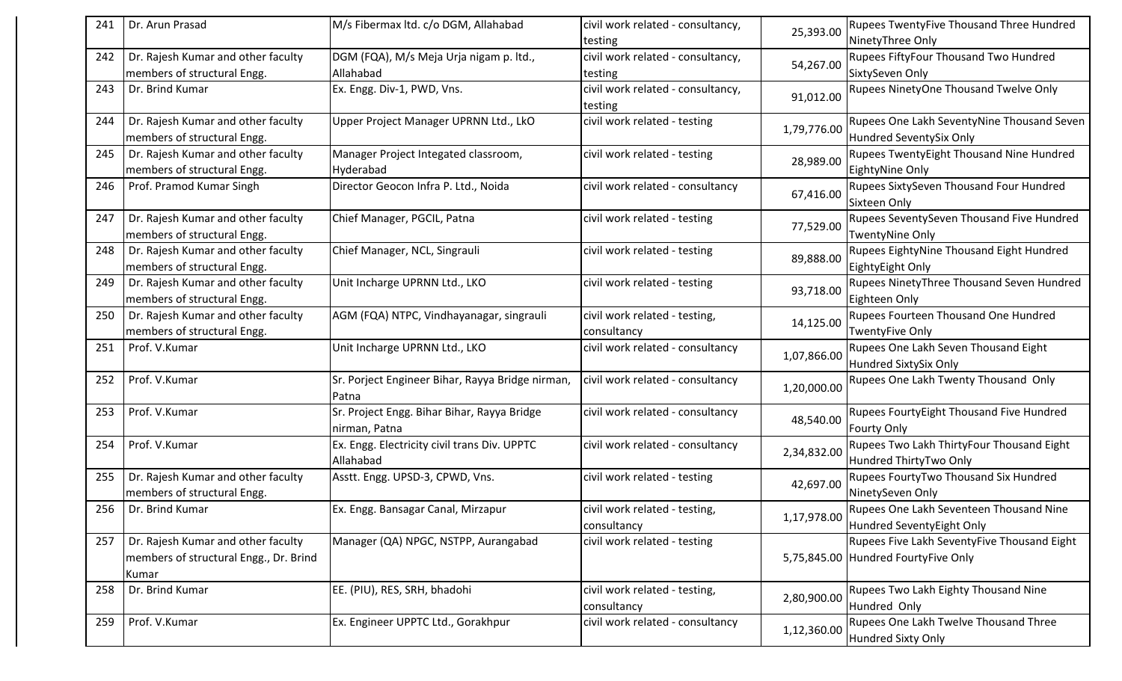| 241 | Dr. Arun Prasad                        | M/s Fibermax ltd. c/o DGM, Allahabad                          | civil work related - consultancy,            | 25,393.00   | <b>Rupees TwentyFive Thousand Three Hundred</b><br>NinetyThree Only |
|-----|----------------------------------------|---------------------------------------------------------------|----------------------------------------------|-------------|---------------------------------------------------------------------|
| 242 | Dr. Rajesh Kumar and other faculty     | DGM (FQA), M/s Meja Urja nigam p. ltd.,                       | testing<br>civil work related - consultancy, |             | Rupees FiftyFour Thousand Two Hundred                               |
|     | members of structural Engg.            | Allahabad                                                     | testing                                      | 54,267.00   | SixtySeven Only                                                     |
| 243 | Dr. Brind Kumar                        | Ex. Engg. Div-1, PWD, Vns.                                    | civil work related - consultancy,            |             | Rupees NinetyOne Thousand Twelve Only                               |
|     |                                        |                                                               | testing                                      | 91,012.00   |                                                                     |
| 244 | Dr. Rajesh Kumar and other faculty     | Upper Project Manager UPRNN Ltd., LkO                         | civil work related - testing                 |             | Rupees One Lakh SeventyNine Thousand Seven                          |
|     | members of structural Engg.            |                                                               |                                              | 1,79,776.00 | Hundred SeventySix Only                                             |
| 245 | Dr. Rajesh Kumar and other faculty     | Manager Project Integated classroom,                          | civil work related - testing                 | 28,989.00   | Rupees TwentyEight Thousand Nine Hundred                            |
|     | members of structural Engg.            | Hyderabad                                                     |                                              |             | EightyNine Only                                                     |
| 246 | Prof. Pramod Kumar Singh               | Director Geocon Infra P. Ltd., Noida                          | civil work related - consultancy             | 67,416.00   | Rupees SixtySeven Thousand Four Hundred                             |
|     |                                        |                                                               |                                              |             | Sixteen Only                                                        |
| 247 | Dr. Rajesh Kumar and other faculty     | Chief Manager, PGCIL, Patna                                   | civil work related - testing                 | 77,529.00   | Rupees SeventySeven Thousand Five Hundred                           |
|     | members of structural Engg.            |                                                               |                                              |             | <b>TwentyNine Only</b>                                              |
| 248 | Dr. Rajesh Kumar and other faculty     | Chief Manager, NCL, Singrauli                                 | civil work related - testing                 | 89,888.00   | Rupees EightyNine Thousand Eight Hundred                            |
|     | members of structural Engg.            |                                                               |                                              |             | EightyEight Only                                                    |
| 249 | Dr. Rajesh Kumar and other faculty     | Unit Incharge UPRNN Ltd., LKO                                 | civil work related - testing                 | 93,718.00   | Rupees NinetyThree Thousand Seven Hundred                           |
|     | members of structural Engg.            |                                                               |                                              |             | Eighteen Only                                                       |
| 250 | Dr. Rajesh Kumar and other faculty     | AGM (FQA) NTPC, Vindhayanagar, singrauli                      | civil work related - testing,                | 14,125.00   | Rupees Fourteen Thousand One Hundred                                |
|     | members of structural Engg.            |                                                               | consultancy                                  |             | <b>TwentyFive Only</b>                                              |
| 251 | Prof. V.Kumar                          | Unit Incharge UPRNN Ltd., LKO                                 | civil work related - consultancy             | 1,07,866.00 | Rupees One Lakh Seven Thousand Eight                                |
|     |                                        |                                                               |                                              |             | <b>Hundred SixtySix Only</b>                                        |
| 252 | Prof. V.Kumar                          | Sr. Porject Engineer Bihar, Rayya Bridge nirman,              | civil work related - consultancy             | 1,20,000.00 | Rupees One Lakh Twenty Thousand Only                                |
|     |                                        | Patna                                                         |                                              |             |                                                                     |
| 253 | Prof. V.Kumar                          | Sr. Project Engg. Bihar Bihar, Rayya Bridge                   | civil work related - consultancy             | 48,540.00   | Rupees FourtyEight Thousand Five Hundred                            |
| 254 | Prof. V.Kumar                          | nirman, Patna<br>Ex. Engg. Electricity civil trans Div. UPPTC | civil work related - consultancy             |             | <b>Fourty Only</b><br>Rupees Two Lakh ThirtyFour Thousand Eight     |
|     |                                        | Allahabad                                                     |                                              | 2,34,832.00 | Hundred ThirtyTwo Only                                              |
| 255 | Dr. Rajesh Kumar and other faculty     | Asstt. Engg. UPSD-3, CPWD, Vns.                               | civil work related - testing                 |             | Rupees FourtyTwo Thousand Six Hundred                               |
|     | members of structural Engg.            |                                                               |                                              | 42,697.00   | NinetySeven Only                                                    |
| 256 | Dr. Brind Kumar                        | Ex. Engg. Bansagar Canal, Mirzapur                            | civil work related - testing,                |             | Rupees One Lakh Seventeen Thousand Nine                             |
|     |                                        |                                                               | consultancy                                  | 1,17,978.00 | Hundred SeventyEight Only                                           |
| 257 | Dr. Rajesh Kumar and other faculty     | Manager (QA) NPGC, NSTPP, Aurangabad                          | civil work related - testing                 |             | Rupees Five Lakh SeventyFive Thousand Eight                         |
|     | members of structural Engg., Dr. Brind |                                                               |                                              |             | 5,75,845.00 Hundred FourtyFive Only                                 |
|     | Kumar                                  |                                                               |                                              |             |                                                                     |
| 258 | Dr. Brind Kumar                        | EE. (PIU), RES, SRH, bhadohi                                  | civil work related - testing,                |             | Rupees Two Lakh Eighty Thousand Nine                                |
|     |                                        |                                                               | consultancy                                  | 2,80,900.00 | Hundred Only                                                        |
| 259 | Prof. V.Kumar                          | Ex. Engineer UPPTC Ltd., Gorakhpur                            | civil work related - consultancy             |             | Rupees One Lakh Twelve Thousand Three                               |
|     |                                        |                                                               |                                              | 1,12,360.00 | <b>Hundred Sixty Only</b>                                           |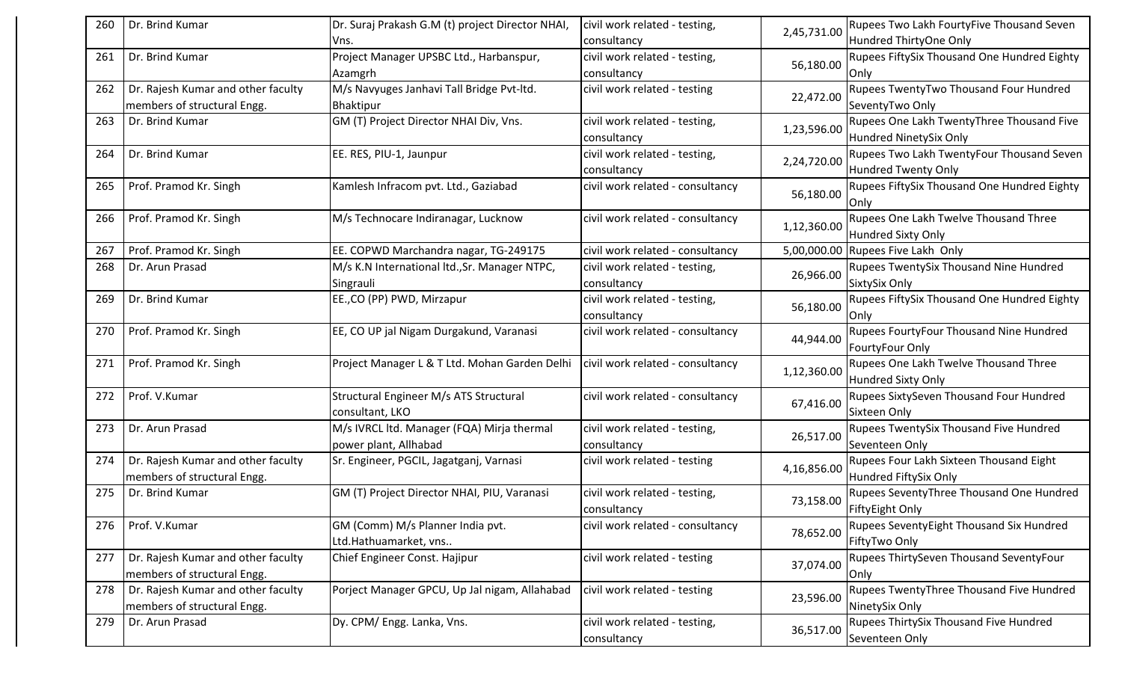| 260 | Dr. Brind Kumar                                                   | Dr. Suraj Prakash G.M (t) project Director NHAI                     | civil work related - testing,                | 2,45,731.00 | Rupees Two Lakh FourtyFive Thousand Seven                           |
|-----|-------------------------------------------------------------------|---------------------------------------------------------------------|----------------------------------------------|-------------|---------------------------------------------------------------------|
|     |                                                                   | Vns.                                                                | consultancy                                  |             | Hundred ThirtyOne Only                                              |
| 261 | Dr. Brind Kumar                                                   | Project Manager UPSBC Ltd., Harbanspur,<br>Azamgrh                  | civil work related - testing,<br>consultancy | 56,180.00   | Rupees FiftySix Thousand One Hundred Eighty<br>Only                 |
| 262 | Dr. Rajesh Kumar and other faculty<br>members of structural Engg. | M/s Navyuges Janhavi Tall Bridge Pvt-ltd.<br>Bhaktipur              | civil work related - testing                 | 22,472.00   | Rupees TwentyTwo Thousand Four Hundred<br>SeventyTwo Only           |
| 263 | Dr. Brind Kumar                                                   | GM (T) Project Director NHAI Div, Vns.                              | civil work related - testing,<br>consultancy | 1,23,596.00 | Rupees One Lakh TwentyThree Thousand Five<br>Hundred NinetySix Only |
| 264 | Dr. Brind Kumar                                                   | EE. RES, PIU-1, Jaunpur                                             | civil work related - testing,<br>consultancy | 2,24,720.00 | Rupees Two Lakh TwentyFour Thousand Seven<br>Hundred Twenty Only    |
| 265 | Prof. Pramod Kr. Singh                                            | Kamlesh Infracom pvt. Ltd., Gaziabad                                | civil work related - consultancy             | 56,180.00   | Rupees FiftySix Thousand One Hundred Eighty<br>Only                 |
| 266 | Prof. Pramod Kr. Singh                                            | M/s Technocare Indiranagar, Lucknow                                 | civil work related - consultancy             | 1,12,360.00 | Rupees One Lakh Twelve Thousand Three<br>Hundred Sixty Only         |
| 267 | Prof. Pramod Kr. Singh                                            | EE. COPWD Marchandra nagar, TG-249175                               | civil work related - consultancy             |             | 5,00,000.00 Rupees Five Lakh Only                                   |
| 268 | Dr. Arun Prasad                                                   | M/s K.N International ltd., Sr. Manager NTPC,<br>Singrauli          | civil work related - testing,<br>consultancy | 26,966.00   | Rupees TwentySix Thousand Nine Hundred<br>SixtySix Only             |
| 269 | Dr. Brind Kumar                                                   | EE., CO (PP) PWD, Mirzapur                                          | civil work related - testing,<br>consultancy | 56,180.00   | <b>Rupees FiftySix Thousand One Hundred Eighty</b><br><b>Only</b>   |
| 270 | Prof. Pramod Kr. Singh                                            | EE, CO UP jal Nigam Durgakund, Varanasi                             | civil work related - consultancy             | 44,944.00   | Rupees FourtyFour Thousand Nine Hundred<br>FourtyFour Only          |
| 271 | Prof. Pramod Kr. Singh                                            | Project Manager L & T Ltd. Mohan Garden Delhi                       | civil work related - consultancy             | 1,12,360.00 | Rupees One Lakh Twelve Thousand Three<br>Hundred Sixty Only         |
| 272 | Prof. V.Kumar                                                     | Structural Engineer M/s ATS Structural<br>consultant, LKO           | civil work related - consultancy             | 67,416.00   | Rupees SixtySeven Thousand Four Hundred<br>Sixteen Only             |
| 273 | Dr. Arun Prasad                                                   | M/s IVRCL ltd. Manager (FQA) Mirja thermal<br>power plant, Allhabad | civil work related - testing,<br>consultancy | 26,517.00   | <b>Rupees TwentySix Thousand Five Hundred</b><br>Seventeen Only     |
| 274 | Dr. Rajesh Kumar and other faculty<br>members of structural Engg. | Sr. Engineer, PGCIL, Jagatganj, Varnasi                             | civil work related - testing                 | 4,16,856.00 | Rupees Four Lakh Sixteen Thousand Eight<br>Hundred FiftySix Only    |
| 275 | Dr. Brind Kumar                                                   | GM (T) Project Director NHAI, PIU, Varanasi                         | civil work related - testing,<br>consultancy | 73,158.00   | Rupees SeventyThree Thousand One Hundred<br>FiftyEight Only         |
| 276 | Prof. V.Kumar                                                     | GM (Comm) M/s Planner India pvt.<br>Ltd.Hathuamarket, vns           | civil work related - consultancy             | 78,652.00   | Rupees SeventyEight Thousand Six Hundred<br>FiftyTwo Only           |
| 277 | Dr. Rajesh Kumar and other faculty<br>members of structural Engg. | Chief Engineer Const. Hajipur                                       | civil work related - testing                 | 37,074.00   | Rupees ThirtySeven Thousand SeventyFour<br>Only                     |
| 278 | Dr. Rajesh Kumar and other faculty<br>members of structural Engg. | Porject Manager GPCU, Up Jal nigam, Allahabad                       | civil work related - testing                 | 23,596.00   | Rupees TwentyThree Thousand Five Hundred<br>NinetySix Only          |
| 279 | Dr. Arun Prasad                                                   | Dy. CPM/ Engg. Lanka, Vns.                                          | civil work related - testing,<br>consultancy | 36,517.00   | Rupees ThirtySix Thousand Five Hundred<br>Seventeen Only            |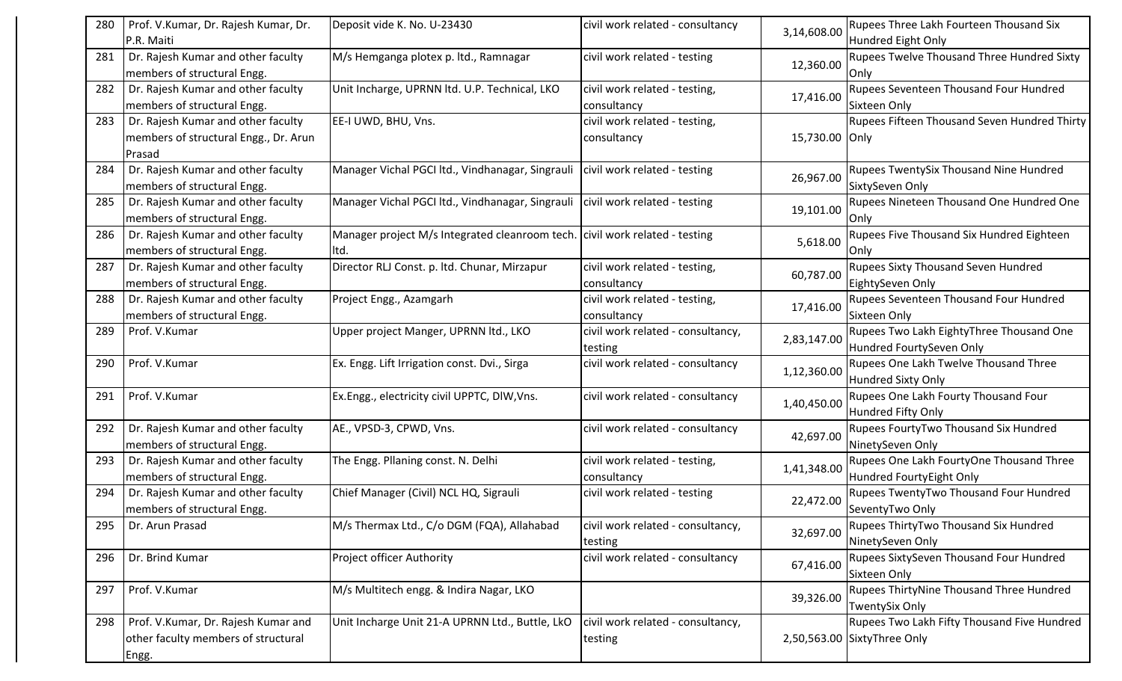| 280 | Prof. V.Kumar, Dr. Rajesh Kumar, Dr.                              | Deposit vide K. No. U-23430                                                     | civil work related - consultancy  | 3,14,608.00    | Rupees Three Lakh Fourteen Thousand Six             |
|-----|-------------------------------------------------------------------|---------------------------------------------------------------------------------|-----------------------------------|----------------|-----------------------------------------------------|
|     | P.R. Maiti                                                        |                                                                                 |                                   |                | Hundred Eight Only                                  |
| 281 | Dr. Rajesh Kumar and other faculty<br>members of structural Engg. | M/s Hemganga plotex p. ltd., Ramnagar                                           | civil work related - testing      | 12,360.00      | Rupees Twelve Thousand Three Hundred Sixty<br>Only  |
| 282 | Dr. Rajesh Kumar and other faculty                                | Unit Incharge, UPRNN ltd. U.P. Technical, LKO                                   | civil work related - testing,     |                | Rupees Seventeen Thousand Four Hundred              |
|     | members of structural Engg.                                       |                                                                                 | consultancy                       | 17,416.00      | Sixteen Only                                        |
| 283 | Dr. Rajesh Kumar and other faculty                                | EE-I UWD, BHU, Vns.                                                             | civil work related - testing,     |                | <b>Rupees Fifteen Thousand Seven Hundred Thirty</b> |
|     | members of structural Engg., Dr. Arun                             |                                                                                 | consultancy                       | 15,730.00 Only |                                                     |
|     | Prasad                                                            |                                                                                 |                                   |                |                                                     |
| 284 | Dr. Rajesh Kumar and other faculty                                | Manager Vichal PGCI Itd., Vindhanagar, Singrauli   civil work related - testing |                                   |                | Rupees TwentySix Thousand Nine Hundred              |
|     | members of structural Engg.                                       |                                                                                 |                                   | 26,967.00      | SixtySeven Only                                     |
| 285 | Dr. Rajesh Kumar and other faculty                                | Manager Vichal PGCI Itd., Vindhanagar, Singrauli   civil work related - testing |                                   |                | Rupees Nineteen Thousand One Hundred One            |
|     | members of structural Engg.                                       |                                                                                 |                                   | 19,101.00      | Only                                                |
| 286 | Dr. Rajesh Kumar and other faculty                                | Manager project M/s Integrated cleanroom tech. civil work related - testing     |                                   |                | Rupees Five Thousand Six Hundred Eighteen           |
|     | members of structural Engg.                                       | lltd.                                                                           |                                   | 5,618.00       | Onlv                                                |
| 287 | Dr. Rajesh Kumar and other faculty                                | Director RLJ Const. p. ltd. Chunar, Mirzapur                                    | civil work related - testing,     |                | Rupees Sixty Thousand Seven Hundred                 |
|     | members of structural Engg.                                       |                                                                                 | consultancy                       | 60,787.00      | EightySeven Only                                    |
| 288 | Dr. Rajesh Kumar and other faculty                                | Project Engg., Azamgarh                                                         | civil work related - testing,     |                | Rupees Seventeen Thousand Four Hundred              |
|     | members of structural Engg.                                       |                                                                                 | consultancy                       | 17,416.00      | Sixteen Only                                        |
| 289 | Prof. V.Kumar                                                     | Upper project Manger, UPRNN ltd., LKO                                           | civil work related - consultancy, |                | Rupees Two Lakh EightyThree Thousand One            |
|     |                                                                   |                                                                                 | testing                           | 2,83,147.00    | Hundred FourtySeven Only                            |
| 290 | Prof. V.Kumar                                                     | Ex. Engg. Lift Irrigation const. Dvi., Sirga                                    | civil work related - consultancy  |                | Rupees One Lakh Twelve Thousand Three               |
|     |                                                                   |                                                                                 |                                   | 1,12,360.00    | Hundred Sixty Only                                  |
| 291 | Prof. V.Kumar                                                     | Ex.Engg., electricity civil UPPTC, DIW, Vns.                                    | civil work related - consultancy  |                | Rupees One Lakh Fourty Thousand Four                |
|     |                                                                   |                                                                                 |                                   | 1,40,450.00    | Hundred Fifty Only                                  |
| 292 | Dr. Rajesh Kumar and other faculty                                | AE., VPSD-3, CPWD, Vns.                                                         | civil work related - consultancy  |                | Rupees FourtyTwo Thousand Six Hundred               |
|     | members of structural Engg.                                       |                                                                                 |                                   | 42,697.00      | NinetySeven Only                                    |
| 293 | Dr. Rajesh Kumar and other faculty                                | The Engg. Pllaning const. N. Delhi                                              | civil work related - testing,     |                | Rupees One Lakh FourtyOne Thousand Three            |
|     | members of structural Engg.                                       |                                                                                 | consultancy                       | 1,41,348.00    | Hundred FourtyEight Only                            |
| 294 | Dr. Rajesh Kumar and other faculty                                | Chief Manager (Civil) NCL HQ, Sigrauli                                          | civil work related - testing      |                | Rupees TwentyTwo Thousand Four Hundred              |
|     | members of structural Engg.                                       |                                                                                 |                                   | 22,472.00      | SeventyTwo Only                                     |
| 295 | Dr. Arun Prasad                                                   | M/s Thermax Ltd., C/o DGM (FQA), Allahabad                                      | civil work related - consultancy, |                | Rupees ThirtyTwo Thousand Six Hundred               |
|     |                                                                   |                                                                                 | testing                           | 32,697.00      | NinetySeven Only                                    |
| 296 | Dr. Brind Kumar                                                   | Project officer Authority                                                       | civil work related - consultancy  |                | Rupees SixtySeven Thousand Four Hundred             |
|     |                                                                   |                                                                                 |                                   | 67,416.00      | Sixteen Only                                        |
| 297 | Prof. V.Kumar                                                     | M/s Multitech engg. & Indira Nagar, LKO                                         |                                   |                | Rupees ThirtyNine Thousand Three Hundred            |
|     |                                                                   |                                                                                 |                                   | 39,326.00      | <b>TwentySix Only</b>                               |
| 298 | Prof. V.Kumar, Dr. Rajesh Kumar and                               | Unit Incharge Unit 21-A UPRNN Ltd., Buttle, LkO                                 | civil work related - consultancy, |                | Rupees Two Lakh Fifty Thousand Five Hundred         |
|     | other faculty members of structural                               |                                                                                 | testing                           |                | 2,50,563.00 SixtyThree Only                         |
|     | Engg.                                                             |                                                                                 |                                   |                |                                                     |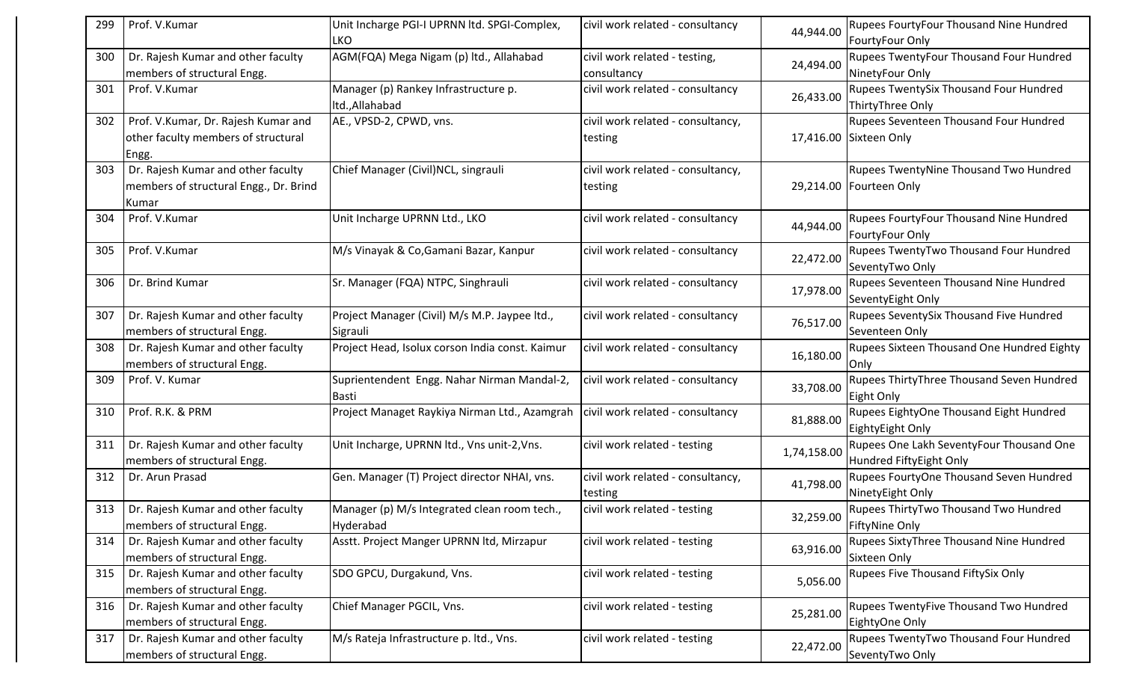| 299 | Prof. V.Kumar                                                                         | Unit Incharge PGI-I UPRNN ltd. SPGI-Complex,<br><b>LKO</b> | civil work related - consultancy             | 44,944.00   | <b>Rupees FourtyFour Thousand Nine Hundred</b><br>FourtyFour Only        |
|-----|---------------------------------------------------------------------------------------|------------------------------------------------------------|----------------------------------------------|-------------|--------------------------------------------------------------------------|
| 300 | Dr. Rajesh Kumar and other faculty<br>members of structural Engg.                     | AGM(FQA) Mega Nigam (p) ltd., Allahabad                    | civil work related - testing,<br>consultancy | 24,494.00   | <b>Rupees TwentyFour Thousand Four Hundred</b><br>NinetyFour Only        |
| 301 | Prof. V.Kumar                                                                         | Manager (p) Rankey Infrastructure p.<br>ltd., Allahabad    | civil work related - consultancy             | 26,433.00   | <b>Rupees TwentySix Thousand Four Hundred</b><br>ThirtyThree Only        |
| 302 | Prof. V.Kumar, Dr. Rajesh Kumar and<br>other faculty members of structural<br>Engg.   | AE., VPSD-2, CPWD, vns.                                    | civil work related - consultancy,<br>testing |             | <b>Rupees Seventeen Thousand Four Hundred</b><br>17,416.00 Sixteen Only  |
| 303 | Dr. Rajesh Kumar and other faculty<br>members of structural Engg., Dr. Brind<br>Kumar | Chief Manager (Civil)NCL, singrauli                        | civil work related - consultancy,<br>testing |             | <b>Rupees TwentyNine Thousand Two Hundred</b><br>29,214.00 Fourteen Only |
| 304 | Prof. V.Kumar                                                                         | Unit Incharge UPRNN Ltd., LKO                              | civil work related - consultancy             | 44,944.00   | <b>Rupees FourtyFour Thousand Nine Hundred</b><br>FourtyFour Only        |
| 305 | Prof. V.Kumar                                                                         | M/s Vinayak & Co, Gamani Bazar, Kanpur                     | civil work related - consultancy             | 22,472.00   | <b>Rupees TwentyTwo Thousand Four Hundred</b><br>SeventyTwo Only         |
| 306 | Dr. Brind Kumar                                                                       | Sr. Manager (FQA) NTPC, Singhrauli                         | civil work related - consultancy             | 17,978.00   | <b>Rupees Seventeen Thousand Nine Hundred</b><br>SeventyEight Only       |
| 307 | Dr. Rajesh Kumar and other faculty<br>members of structural Engg.                     | Project Manager (Civil) M/s M.P. Jaypee ltd.,<br>Sigrauli  | civil work related - consultancy             | 76,517.00   | Rupees SeventySix Thousand Five Hundred<br>Seventeen Only                |
| 308 | Dr. Rajesh Kumar and other faculty<br>members of structural Engg.                     | Project Head, Isolux corson India const. Kaimur            | civil work related - consultancy             | 16,180.00   | Rupees Sixteen Thousand One Hundred Eighty<br> Only                      |
| 309 | Prof. V. Kumar                                                                        | Suprientendent Engg. Nahar Nirman Mandal-2,<br>Basti       | civil work related - consultancy             | 33,708.00   | Rupees ThirtyThree Thousand Seven Hundred<br>Eight Only                  |
| 310 | Prof. R.K. & PRM                                                                      | Project Managet Raykiya Nirman Ltd., Azamgrah              | civil work related - consultancy             | 81,888.00   | Rupees EightyOne Thousand Eight Hundred<br>EightyEight Only              |
| 311 | Dr. Rajesh Kumar and other faculty<br>members of structural Engg.                     | Unit Incharge, UPRNN ltd., Vns unit-2, Vns.                | civil work related - testing                 | 1,74,158.00 | Rupees One Lakh SeventyFour Thousand One<br>Hundred FiftyEight Only      |
| 312 | Dr. Arun Prasad                                                                       | Gen. Manager (T) Project director NHAI, vns.               | civil work related - consultancy,<br>testing | 41,798.00   | Rupees FourtyOne Thousand Seven Hundred<br>NinetyEight Only              |
| 313 | Dr. Rajesh Kumar and other faculty<br>members of structural Engg.                     | Manager (p) M/s Integrated clean room tech.,<br>Hyderabad  | civil work related - testing                 | 32,259.00   | Rupees ThirtyTwo Thousand Two Hundred<br>FiftyNine Only                  |
| 314 | Dr. Rajesh Kumar and other faculty<br>members of structural Engg.                     | Asstt. Project Manger UPRNN ltd, Mirzapur                  | civil work related - testing                 | 63,916.00   | <b>Rupees SixtyThree Thousand Nine Hundred</b><br>Sixteen Only           |
| 315 | Dr. Rajesh Kumar and other faculty<br>members of structural Engg.                     | SDO GPCU, Durgakund, Vns.                                  | civil work related - testing                 | 5,056.00    | <b>Rupees Five Thousand FiftySix Only</b>                                |
| 316 | Dr. Rajesh Kumar and other faculty<br>members of structural Engg.                     | Chief Manager PGCIL, Vns.                                  | civil work related - testing                 | 25,281.00   | <b>Rupees TwentyFive Thousand Two Hundred</b><br>EightyOne Only          |
| 317 | Dr. Rajesh Kumar and other faculty<br>members of structural Engg.                     | M/s Rateja Infrastructure p. ltd., Vns.                    | civil work related - testing                 | 22,472.00   | <b>Rupees TwentyTwo Thousand Four Hundred</b><br>SeventyTwo Only         |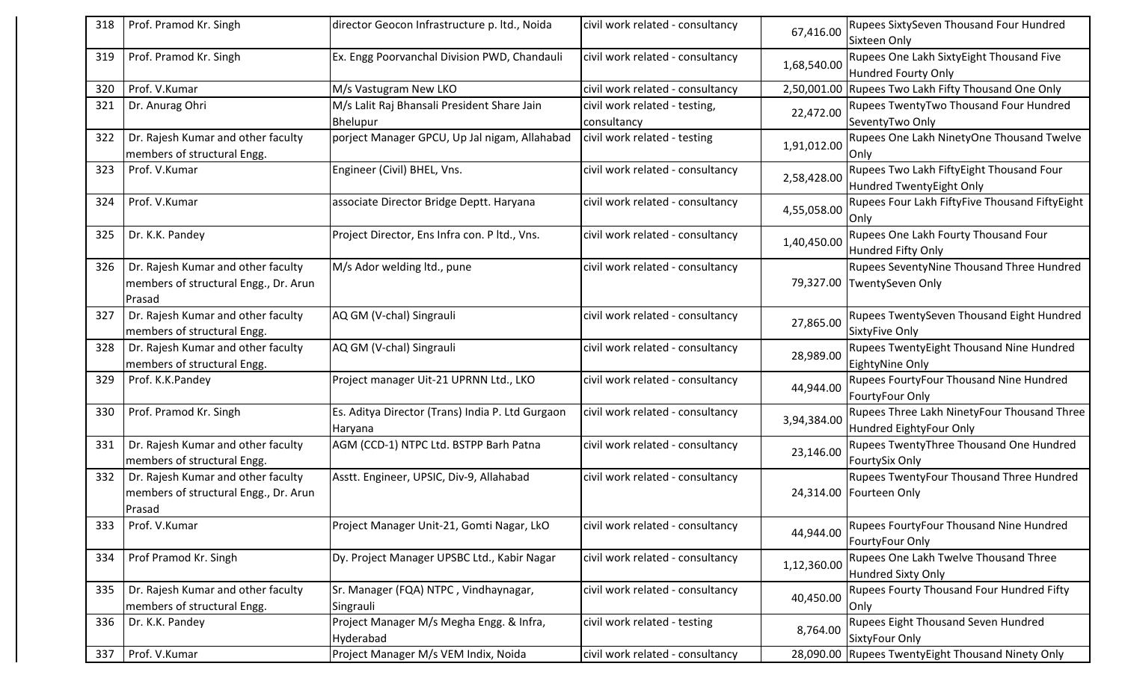| 318 | Prof. Pramod Kr. Singh                                                                | director Geocon Infrastructure p. ltd., Noida               | civil work related - consultancy             | 67,416.00   | <b>Rupees SixtySeven Thousand Four Hundred</b><br><b>Sixteen Only</b>          |
|-----|---------------------------------------------------------------------------------------|-------------------------------------------------------------|----------------------------------------------|-------------|--------------------------------------------------------------------------------|
| 319 | Prof. Pramod Kr. Singh                                                                | Ex. Engg Poorvanchal Division PWD, Chandauli                | civil work related - consultancy             | 1,68,540.00 | Rupees One Lakh SixtyEight Thousand Five<br>Hundred Fourty Only                |
| 320 | Prof. V.Kumar                                                                         | M/s Vastugram New LKO                                       | civil work related - consultancy             | 2,50,001.00 | Rupees Two Lakh Fifty Thousand One Only                                        |
| 321 | Dr. Anurag Ohri                                                                       | M/s Lalit Raj Bhansali President Share Jain<br>Bhelupur     | civil work related - testing,<br>consultancy | 22,472.00   | Rupees TwentyTwo Thousand Four Hundred<br>SeventyTwo Only                      |
| 322 | Dr. Rajesh Kumar and other faculty<br>members of structural Engg.                     | porject Manager GPCU, Up Jal nigam, Allahabad               | civil work related - testing                 | 1,91,012.00 | Rupees One Lakh NinetyOne Thousand Twelve<br> Only                             |
| 323 | Prof. V.Kumar                                                                         | Engineer (Civil) BHEL, Vns.                                 | civil work related - consultancy             | 2,58,428.00 | Rupees Two Lakh FiftyEight Thousand Four<br>Hundred TwentyEight Only           |
| 324 | Prof. V.Kumar                                                                         | associate Director Bridge Deptt. Haryana                    | civil work related - consultancy             | 4,55,058.00 | Rupees Four Lakh FiftyFive Thousand FiftyEight<br>Only                         |
| 325 | Dr. K.K. Pandey                                                                       | Project Director, Ens Infra con. P ltd., Vns.               | civil work related - consultancy             | 1,40,450.00 | Rupees One Lakh Fourty Thousand Four<br>Hundred Fifty Only                     |
| 326 | Dr. Rajesh Kumar and other faculty<br>members of structural Engg., Dr. Arun<br>Prasad | M/s Ador welding ltd., pune                                 | civil work related - consultancy             |             | <b>Rupees SeventyNine Thousand Three Hundred</b><br>79,327.00 TwentySeven Only |
| 327 | Dr. Rajesh Kumar and other faculty<br>members of structural Engg.                     | AQ GM (V-chal) Singrauli                                    | civil work related - consultancy             | 27,865.00   | Rupees TwentySeven Thousand Eight Hundred<br>SixtyFive Only                    |
| 328 | Dr. Rajesh Kumar and other faculty<br>members of structural Engg.                     | AQ GM (V-chal) Singrauli                                    | civil work related - consultancy             | 28,989.00   | <b>Rupees TwentyEight Thousand Nine Hundred</b><br>EightyNine Only             |
| 329 | Prof. K.K.Pandey                                                                      | Project manager Uit-21 UPRNN Ltd., LKO                      | civil work related - consultancy             | 44,944.00   | Rupees FourtyFour Thousand Nine Hundred<br>FourtyFour Only                     |
| 330 | Prof. Pramod Kr. Singh                                                                | Es. Aditya Director (Trans) India P. Ltd Gurgaon<br>Haryana | civil work related - consultancy             | 3,94,384.00 | Rupees Three Lakh NinetyFour Thousand Three<br>Hundred EightyFour Only         |
| 331 | Dr. Rajesh Kumar and other faculty<br>members of structural Engg.                     | AGM (CCD-1) NTPC Ltd. BSTPP Barh Patna                      | civil work related - consultancy             | 23,146.00   | Rupees TwentyThree Thousand One Hundred<br>FourtySix Only                      |
| 332 | Dr. Rajesh Kumar and other faculty<br>members of structural Engg., Dr. Arun<br>Prasad | Asstt. Engineer, UPSIC, Div-9, Allahabad                    | civil work related - consultancy             |             | Rupees TwentyFour Thousand Three Hundred<br>24,314.00   Fourteen Only          |
| 333 | Prof. V.Kumar                                                                         | Project Manager Unit-21, Gomti Nagar, LkO                   | civil work related - consultancy             | 44,944.00   | Rupees FourtyFour Thousand Nine Hundred<br>FourtyFour Only                     |
| 334 | Prof Pramod Kr. Singh                                                                 | Dy. Project Manager UPSBC Ltd., Kabir Nagar                 | civil work related - consultancy             | 1,12,360.00 | Rupees One Lakh Twelve Thousand Three<br>Hundred Sixty Only                    |
| 335 | Dr. Rajesh Kumar and other faculty<br>members of structural Engg.                     | Sr. Manager (FQA) NTPC, Vindhaynagar,<br>Singrauli          | civil work related - consultancy             | 40,450.00   | Rupees Fourty Thousand Four Hundred Fifty<br> Only                             |
| 336 | Dr. K.K. Pandey                                                                       | Project Manager M/s Megha Engg. & Infra,<br>Hyderabad       | civil work related - testing                 | 8,764.00    | Rupees Eight Thousand Seven Hundred<br>SixtyFour Only                          |
| 337 | Prof. V.Kumar                                                                         | Project Manager M/s VEM Indix, Noida                        | civil work related - consultancy             |             | 28,090.00 Rupees TwentyEight Thousand Ninety Only                              |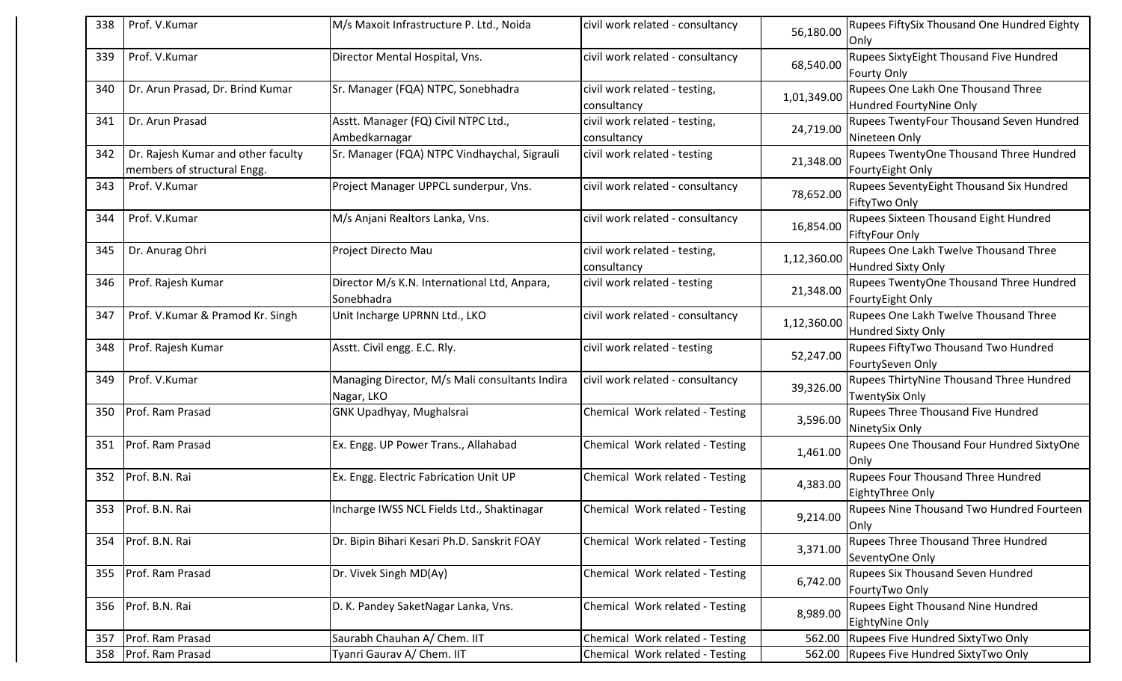| Prof. V.Kumar<br>M/s Maxoit Infrastructure P. Ltd., Noida<br>338<br>civil work related - consultancy<br>56,180.00<br>Only<br>339<br>Prof. V.Kumar<br>Director Mental Hospital, Vns.<br>civil work related - consultancy<br>68,540.00<br><b>Fourty Only</b><br>Dr. Arun Prasad, Dr. Brind Kumar<br>Sr. Manager (FQA) NTPC, Sonebhadra<br>civil work related - testing,<br>340<br>1,01,349.00<br>consultancy<br>Dr. Arun Prasad<br>Asstt. Manager (FQ) Civil NTPC Ltd.,<br>civil work related - testing,<br>341<br>24,719.00<br>Ambedkarnagar<br>Nineteen Only<br>consultancy<br>Sr. Manager (FQA) NTPC Vindhaychal, Sigrauli<br>Dr. Rajesh Kumar and other faculty<br>civil work related - testing<br>342<br>21,348.00<br>members of structural Engg.<br>Project Manager UPPCL sunderpur, Vns.<br>Prof. V.Kumar<br>civil work related - consultancy<br>343<br>78,652.00<br>FiftyTwo Only<br>M/s Anjani Realtors Lanka, Vns.<br>civil work related - consultancy<br>344<br>Prof. V.Kumar<br>16,854.00<br><b>FiftyFour Only</b><br>Dr. Anurag Ohri<br>Project Directo Mau<br>civil work related - testing,<br>345<br>1,12,360.00<br>consultancy<br>Prof. Rajesh Kumar<br>Director M/s K.N. International Ltd, Anpara,<br>346<br>civil work related - testing<br>21,348.00<br>Sonebhadra<br>Prof. V.Kumar & Pramod Kr. Singh<br>Unit Incharge UPRNN Ltd., LKO<br>civil work related - consultancy<br>347<br>1,12,360.00<br>Prof. Rajesh Kumar<br>Asstt. Civil engg. E.C. Rly.<br>civil work related - testing<br>348<br>52,247.00<br>Prof. V.Kumar<br>Managing Director, M/s Mali consultants Indira<br>civil work related - consultancy<br>349<br>39,326.00<br>Nagar, LKO<br>Prof. Ram Prasad<br><b>GNK Upadhyay, Mughalsrai</b><br>Chemical Work related - Testing<br>350<br>3,596.00<br>NinetySix Only<br>Prof. Ram Prasad<br>Ex. Engg. UP Power Trans., Allahabad<br>Chemical Work related - Testing<br>351<br>1,461.00<br><b>Only</b><br>Prof. B.N. Rai<br>Ex. Engg. Electric Fabrication Unit UP<br>Chemical Work related - Testing<br>352<br>4,383.00<br>353 Prof. B.N. Rai<br>Chemical Work related - Testing<br>Incharge IWSS NCL Fields Ltd., Shaktinagar<br>9,214.00<br>Only<br>Prof. B.N. Rai<br>Dr. Bipin Bihari Kesari Ph.D. Sanskrit FOAY<br>Chemical Work related - Testing<br>354<br>3,371.00 |                                                                   |
|------------------------------------------------------------------------------------------------------------------------------------------------------------------------------------------------------------------------------------------------------------------------------------------------------------------------------------------------------------------------------------------------------------------------------------------------------------------------------------------------------------------------------------------------------------------------------------------------------------------------------------------------------------------------------------------------------------------------------------------------------------------------------------------------------------------------------------------------------------------------------------------------------------------------------------------------------------------------------------------------------------------------------------------------------------------------------------------------------------------------------------------------------------------------------------------------------------------------------------------------------------------------------------------------------------------------------------------------------------------------------------------------------------------------------------------------------------------------------------------------------------------------------------------------------------------------------------------------------------------------------------------------------------------------------------------------------------------------------------------------------------------------------------------------------------------------------------------------------------------------------------------------------------------------------------------------------------------------------------------------------------------------------------------------------------------------------------------------------------------------------------------------------------------------------------------------------------------------------------------------------------------------------------------------------------|-------------------------------------------------------------------|
|                                                                                                                                                                                                                                                                                                                                                                                                                                                                                                                                                                                                                                                                                                                                                                                                                                                                                                                                                                                                                                                                                                                                                                                                                                                                                                                                                                                                                                                                                                                                                                                                                                                                                                                                                                                                                                                                                                                                                                                                                                                                                                                                                                                                                                                                                                            | Rupees FiftySix Thousand One Hundred Eighty                       |
|                                                                                                                                                                                                                                                                                                                                                                                                                                                                                                                                                                                                                                                                                                                                                                                                                                                                                                                                                                                                                                                                                                                                                                                                                                                                                                                                                                                                                                                                                                                                                                                                                                                                                                                                                                                                                                                                                                                                                                                                                                                                                                                                                                                                                                                                                                            | <b>Rupees SixtyEight Thousand Five Hundred</b>                    |
|                                                                                                                                                                                                                                                                                                                                                                                                                                                                                                                                                                                                                                                                                                                                                                                                                                                                                                                                                                                                                                                                                                                                                                                                                                                                                                                                                                                                                                                                                                                                                                                                                                                                                                                                                                                                                                                                                                                                                                                                                                                                                                                                                                                                                                                                                                            | Rupees One Lakh One Thousand Three<br>Hundred FourtyNine Only     |
|                                                                                                                                                                                                                                                                                                                                                                                                                                                                                                                                                                                                                                                                                                                                                                                                                                                                                                                                                                                                                                                                                                                                                                                                                                                                                                                                                                                                                                                                                                                                                                                                                                                                                                                                                                                                                                                                                                                                                                                                                                                                                                                                                                                                                                                                                                            | Rupees TwentyFour Thousand Seven Hundred                          |
|                                                                                                                                                                                                                                                                                                                                                                                                                                                                                                                                                                                                                                                                                                                                                                                                                                                                                                                                                                                                                                                                                                                                                                                                                                                                                                                                                                                                                                                                                                                                                                                                                                                                                                                                                                                                                                                                                                                                                                                                                                                                                                                                                                                                                                                                                                            | Rupees TwentyOne Thousand Three Hundred<br>FourtyEight Only       |
|                                                                                                                                                                                                                                                                                                                                                                                                                                                                                                                                                                                                                                                                                                                                                                                                                                                                                                                                                                                                                                                                                                                                                                                                                                                                                                                                                                                                                                                                                                                                                                                                                                                                                                                                                                                                                                                                                                                                                                                                                                                                                                                                                                                                                                                                                                            | Rupees SeventyEight Thousand Six Hundred                          |
|                                                                                                                                                                                                                                                                                                                                                                                                                                                                                                                                                                                                                                                                                                                                                                                                                                                                                                                                                                                                                                                                                                                                                                                                                                                                                                                                                                                                                                                                                                                                                                                                                                                                                                                                                                                                                                                                                                                                                                                                                                                                                                                                                                                                                                                                                                            | Rupees Sixteen Thousand Eight Hundred                             |
|                                                                                                                                                                                                                                                                                                                                                                                                                                                                                                                                                                                                                                                                                                                                                                                                                                                                                                                                                                                                                                                                                                                                                                                                                                                                                                                                                                                                                                                                                                                                                                                                                                                                                                                                                                                                                                                                                                                                                                                                                                                                                                                                                                                                                                                                                                            | Rupees One Lakh Twelve Thousand Three<br>Hundred Sixty Only       |
|                                                                                                                                                                                                                                                                                                                                                                                                                                                                                                                                                                                                                                                                                                                                                                                                                                                                                                                                                                                                                                                                                                                                                                                                                                                                                                                                                                                                                                                                                                                                                                                                                                                                                                                                                                                                                                                                                                                                                                                                                                                                                                                                                                                                                                                                                                            | Rupees TwentyOne Thousand Three Hundred<br>FourtyEight Only       |
|                                                                                                                                                                                                                                                                                                                                                                                                                                                                                                                                                                                                                                                                                                                                                                                                                                                                                                                                                                                                                                                                                                                                                                                                                                                                                                                                                                                                                                                                                                                                                                                                                                                                                                                                                                                                                                                                                                                                                                                                                                                                                                                                                                                                                                                                                                            | Rupees One Lakh Twelve Thousand Three<br>Hundred Sixty Only       |
|                                                                                                                                                                                                                                                                                                                                                                                                                                                                                                                                                                                                                                                                                                                                                                                                                                                                                                                                                                                                                                                                                                                                                                                                                                                                                                                                                                                                                                                                                                                                                                                                                                                                                                                                                                                                                                                                                                                                                                                                                                                                                                                                                                                                                                                                                                            | Rupees FiftyTwo Thousand Two Hundred<br>FourtySeven Only          |
|                                                                                                                                                                                                                                                                                                                                                                                                                                                                                                                                                                                                                                                                                                                                                                                                                                                                                                                                                                                                                                                                                                                                                                                                                                                                                                                                                                                                                                                                                                                                                                                                                                                                                                                                                                                                                                                                                                                                                                                                                                                                                                                                                                                                                                                                                                            | Rupees ThirtyNine Thousand Three Hundred<br><b>TwentySix Only</b> |
|                                                                                                                                                                                                                                                                                                                                                                                                                                                                                                                                                                                                                                                                                                                                                                                                                                                                                                                                                                                                                                                                                                                                                                                                                                                                                                                                                                                                                                                                                                                                                                                                                                                                                                                                                                                                                                                                                                                                                                                                                                                                                                                                                                                                                                                                                                            | Rupees Three Thousand Five Hundred                                |
|                                                                                                                                                                                                                                                                                                                                                                                                                                                                                                                                                                                                                                                                                                                                                                                                                                                                                                                                                                                                                                                                                                                                                                                                                                                                                                                                                                                                                                                                                                                                                                                                                                                                                                                                                                                                                                                                                                                                                                                                                                                                                                                                                                                                                                                                                                            | Rupees One Thousand Four Hundred SixtyOne                         |
|                                                                                                                                                                                                                                                                                                                                                                                                                                                                                                                                                                                                                                                                                                                                                                                                                                                                                                                                                                                                                                                                                                                                                                                                                                                                                                                                                                                                                                                                                                                                                                                                                                                                                                                                                                                                                                                                                                                                                                                                                                                                                                                                                                                                                                                                                                            | Rupees Four Thousand Three Hundred<br>EightyThree Only            |
|                                                                                                                                                                                                                                                                                                                                                                                                                                                                                                                                                                                                                                                                                                                                                                                                                                                                                                                                                                                                                                                                                                                                                                                                                                                                                                                                                                                                                                                                                                                                                                                                                                                                                                                                                                                                                                                                                                                                                                                                                                                                                                                                                                                                                                                                                                            | <b>Rupees Nine Thousand Two Hundred Fourteen</b>                  |
|                                                                                                                                                                                                                                                                                                                                                                                                                                                                                                                                                                                                                                                                                                                                                                                                                                                                                                                                                                                                                                                                                                                                                                                                                                                                                                                                                                                                                                                                                                                                                                                                                                                                                                                                                                                                                                                                                                                                                                                                                                                                                                                                                                                                                                                                                                            | <b>Rupees Three Thousand Three Hundred</b><br>SeventyOne Only     |
| Prof. Ram Prasad<br>Dr. Vivek Singh MD(Ay)<br>Chemical Work related - Testing<br>355<br>6,742.00                                                                                                                                                                                                                                                                                                                                                                                                                                                                                                                                                                                                                                                                                                                                                                                                                                                                                                                                                                                                                                                                                                                                                                                                                                                                                                                                                                                                                                                                                                                                                                                                                                                                                                                                                                                                                                                                                                                                                                                                                                                                                                                                                                                                           | Rupees Six Thousand Seven Hundred<br>FourtyTwo Only               |
| Prof. B.N. Rai<br>D. K. Pandey SaketNagar Lanka, Vns.<br>Chemical Work related - Testing<br>356<br>8,989.00                                                                                                                                                                                                                                                                                                                                                                                                                                                                                                                                                                                                                                                                                                                                                                                                                                                                                                                                                                                                                                                                                                                                                                                                                                                                                                                                                                                                                                                                                                                                                                                                                                                                                                                                                                                                                                                                                                                                                                                                                                                                                                                                                                                                | Rupees Eight Thousand Nine Hundred<br>EightyNine Only             |
| Saurabh Chauhan A/ Chem. IIT<br>Prof. Ram Prasad<br>Chemical Work related - Testing<br>357<br>562.00                                                                                                                                                                                                                                                                                                                                                                                                                                                                                                                                                                                                                                                                                                                                                                                                                                                                                                                                                                                                                                                                                                                                                                                                                                                                                                                                                                                                                                                                                                                                                                                                                                                                                                                                                                                                                                                                                                                                                                                                                                                                                                                                                                                                       | Rupees Five Hundred SixtyTwo Only                                 |
| Tyanri Gaurav A/ Chem. IIT<br>Prof. Ram Prasad<br>Chemical Work related - Testing<br>562.00<br>358                                                                                                                                                                                                                                                                                                                                                                                                                                                                                                                                                                                                                                                                                                                                                                                                                                                                                                                                                                                                                                                                                                                                                                                                                                                                                                                                                                                                                                                                                                                                                                                                                                                                                                                                                                                                                                                                                                                                                                                                                                                                                                                                                                                                         | Rupees Five Hundred SixtyTwo Only                                 |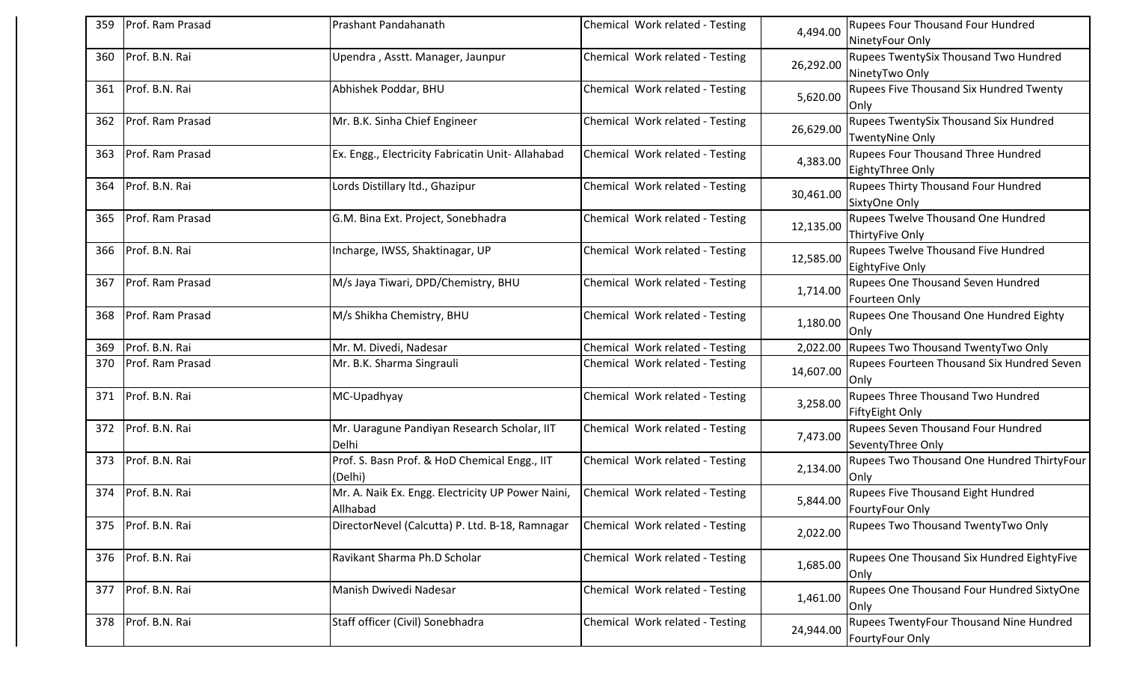| 359 | Prof. Ram Prasad | Prashant Pandahanath                                          | Chemical Work related - Testing | 4,494.00  | <b>Rupees Four Thousand Four Hundred</b><br>NinetyFour Only     |
|-----|------------------|---------------------------------------------------------------|---------------------------------|-----------|-----------------------------------------------------------------|
| 360 | Prof. B.N. Rai   | Upendra, Asstt. Manager, Jaunpur                              | Chemical Work related - Testing | 26,292.00 | Rupees TwentySix Thousand Two Hundred<br>NinetyTwo Only         |
| 361 | Prof. B.N. Rai   | Abhishek Poddar, BHU                                          | Chemical Work related - Testing | 5,620.00  | <b>Rupees Five Thousand Six Hundred Twenty</b><br><b>Onlv</b>   |
| 362 | Prof. Ram Prasad | Mr. B.K. Sinha Chief Engineer                                 | Chemical Work related - Testing | 26,629.00 | Rupees TwentySix Thousand Six Hundred<br><b>TwentyNine Only</b> |
| 363 | Prof. Ram Prasad | Ex. Engg., Electricity Fabricatin Unit-Allahabad              | Chemical Work related - Testing | 4,383.00  | <b>Rupees Four Thousand Three Hundred</b><br>EightyThree Only   |
| 364 | Prof. B.N. Rai   | Lords Distillary Itd., Ghazipur                               | Chemical Work related - Testing | 30,461.00 | <b>Rupees Thirty Thousand Four Hundred</b><br>SixtyOne Only     |
| 365 | Prof. Ram Prasad | G.M. Bina Ext. Project, Sonebhadra                            | Chemical Work related - Testing | 12,135.00 | <b>Rupees Twelve Thousand One Hundred</b><br>ThirtyFive Only    |
| 366 | Prof. B.N. Rai   | Incharge, IWSS, Shaktinagar, UP                               | Chemical Work related - Testing | 12,585.00 | <b>Rupees Twelve Thousand Five Hundred</b><br>EightyFive Only   |
| 367 | Prof. Ram Prasad | M/s Jaya Tiwari, DPD/Chemistry, BHU                           | Chemical Work related - Testing | 1,714.00  | <b>Rupees One Thousand Seven Hundred</b><br>Fourteen Only       |
| 368 | Prof. Ram Prasad | M/s Shikha Chemistry, BHU                                     | Chemical Work related - Testing | 1,180.00  | Rupees One Thousand One Hundred Eighty<br><b>Only</b>           |
| 369 | Prof. B.N. Rai   | Mr. M. Divedi, Nadesar                                        | Chemical Work related - Testing | 2,022.00  | Rupees Two Thousand TwentyTwo Only                              |
| 370 | Prof. Ram Prasad | Mr. B.K. Sharma Singrauli                                     | Chemical Work related - Testing | 14,607.00 | Rupees Fourteen Thousand Six Hundred Seven<br>Only              |
| 371 | Prof. B.N. Rai   | MC-Upadhyay                                                   | Chemical Work related - Testing | 3,258.00  | Rupees Three Thousand Two Hundred<br>FiftyEight Only            |
| 372 | Prof. B.N. Rai   | Mr. Uaragune Pandiyan Research Scholar, IIT<br>Delhi          | Chemical Work related - Testing | 7,473.00  | Rupees Seven Thousand Four Hundred<br>SeventyThree Only         |
| 373 | Prof. B.N. Rai   | Prof. S. Basn Prof. & HoD Chemical Engg., IIT<br>(Delhi)      | Chemical Work related - Testing | 2,134.00  | <b>Rupees Two Thousand One Hundred ThirtyFour</b><br>Only       |
| 374 | Prof. B.N. Rai   | Mr. A. Naik Ex. Engg. Electricity UP Power Naini,<br>Allhabad | Chemical Work related - Testing | 5,844.00  | Rupees Five Thousand Eight Hundred<br>FourtyFour Only           |
| 375 | Prof. B.N. Rai   | DirectorNevel (Calcutta) P. Ltd. B-18, Ramnagar               | Chemical Work related - Testing | 2,022.00  | <b>Rupees Two Thousand TwentyTwo Only</b>                       |
| 376 | Prof. B.N. Rai   | Ravikant Sharma Ph.D Scholar                                  | Chemical Work related - Testing | 1,685.00  | <b>Rupees One Thousand Six Hundred EightyFive</b><br>Only       |
| 377 | Prof. B.N. Rai   | Manish Dwivedi Nadesar                                        | Chemical Work related - Testing | 1,461.00  | Rupees One Thousand Four Hundred SixtyOne<br>Only               |
| 378 | Prof. B.N. Rai   | Staff officer (Civil) Sonebhadra                              | Chemical Work related - Testing | 24,944.00 | Rupees TwentyFour Thousand Nine Hundred<br>FourtyFour Only      |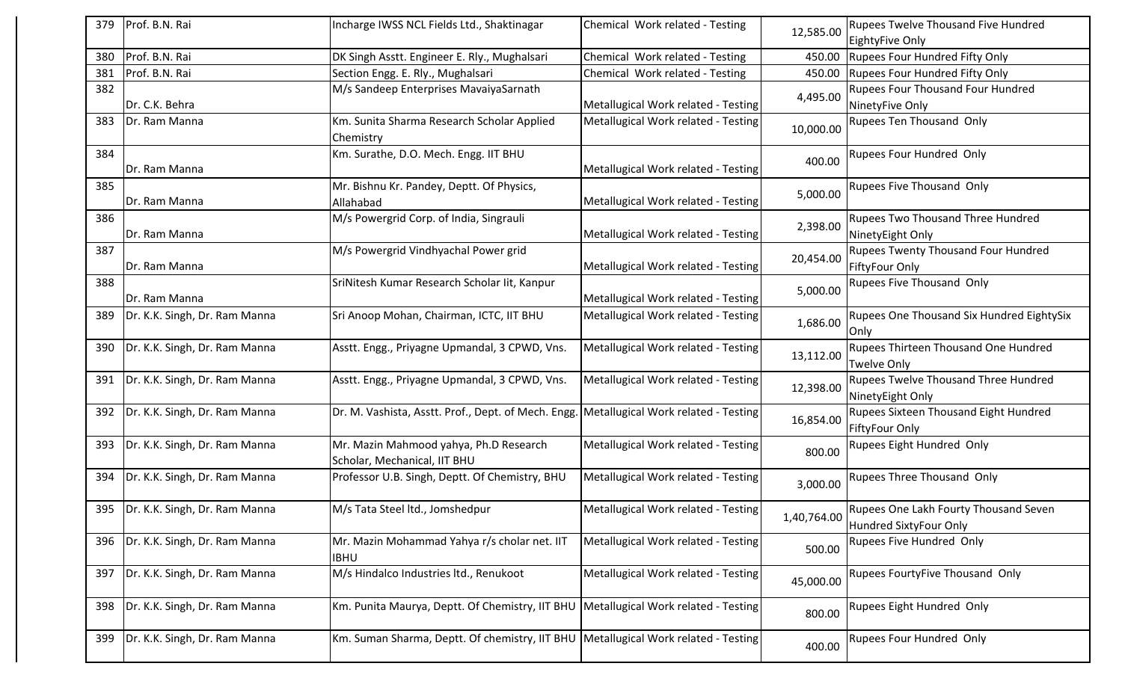| 379 | Prof. B.N. Rai                | Incharge IWSS NCL Fields Ltd., Shaktinagar                                              | Chemical Work related - Testing     | 12,585.00   | <b>Rupees Twelve Thousand Five Hundred</b>   |
|-----|-------------------------------|-----------------------------------------------------------------------------------------|-------------------------------------|-------------|----------------------------------------------|
|     |                               |                                                                                         |                                     |             | EightyFive Only                              |
| 380 | Prof. B.N. Rai                | DK Singh Asstt. Engineer E. Rly., Mughalsari                                            | Chemical Work related - Testing     | 450.00      | <b>Rupees Four Hundred Fifty Only</b>        |
| 381 | Prof. B.N. Rai                | Section Engg. E. Rly., Mughalsari                                                       | Chemical Work related - Testing     | 450.00      | Rupees Four Hundred Fifty Only               |
| 382 |                               | M/s Sandeep Enterprises MavaiyaSarnath                                                  |                                     | 4,495.00    | <b>Rupees Four Thousand Four Hundred</b>     |
|     | Dr. C.K. Behra                |                                                                                         | Metallugical Work related - Testing |             | NinetyFive Only                              |
| 383 | Dr. Ram Manna                 | Km. Sunita Sharma Research Scholar Applied                                              | Metallugical Work related - Testing | 10,000.00   | Rupees Ten Thousand Only                     |
|     |                               | Chemistry                                                                               |                                     |             |                                              |
| 384 |                               | Km. Surathe, D.O. Mech. Engg. IIT BHU                                                   |                                     |             | <b>Rupees Four Hundred Only</b>              |
|     | Dr. Ram Manna                 |                                                                                         | Metallugical Work related - Testing | 400.00      |                                              |
| 385 |                               | Mr. Bishnu Kr. Pandey, Deptt. Of Physics,                                               |                                     |             | <b>Rupees Five Thousand Only</b>             |
|     | Dr. Ram Manna                 | Allahabad                                                                               | Metallugical Work related - Testing | 5,000.00    |                                              |
| 386 |                               | M/s Powergrid Corp. of India, Singrauli                                                 |                                     |             | <b>Rupees Two Thousand Three Hundred</b>     |
|     | Dr. Ram Manna                 |                                                                                         | Metallugical Work related - Testing | 2,398.00    | NinetyEight Only                             |
|     |                               |                                                                                         |                                     |             |                                              |
| 387 |                               | M/s Powergrid Vindhyachal Power grid                                                    |                                     | 20,454.00   | <b>Rupees Twenty Thousand Four Hundred</b>   |
|     | Dr. Ram Manna                 |                                                                                         | Metallugical Work related - Testing |             | FiftyFour Only                               |
| 388 |                               | SriNitesh Kumar Research Scholar lit, Kanpur                                            |                                     | 5,000.00    | Rupees Five Thousand Only                    |
|     | Dr. Ram Manna                 |                                                                                         | Metallugical Work related - Testing |             |                                              |
| 389 | Dr. K.K. Singh, Dr. Ram Manna | Sri Anoop Mohan, Chairman, ICTC, IIT BHU                                                | Metallugical Work related - Testing | 1,686.00    | Rupees One Thousand Six Hundred EightySix    |
|     |                               |                                                                                         |                                     |             | <b>Only</b>                                  |
| 390 | Dr. K.K. Singh, Dr. Ram Manna | Asstt. Engg., Priyagne Upmandal, 3 CPWD, Vns.                                           | Metallugical Work related - Testing |             | Rupees Thirteen Thousand One Hundred         |
|     |                               |                                                                                         |                                     | 13,112.00   | <b>Twelve Only</b>                           |
| 391 | Dr. K.K. Singh, Dr. Ram Manna | Asstt. Engg., Priyagne Upmandal, 3 CPWD, Vns.                                           | Metallugical Work related - Testing |             | Rupees Twelve Thousand Three Hundred         |
|     |                               |                                                                                         |                                     | 12,398.00   | NinetyEight Only                             |
| 392 | Dr. K.K. Singh, Dr. Ram Manna | Dr. M. Vashista, Asstt. Prof., Dept. of Mech. Engg. Metallugical Work related - Testing |                                     |             | <b>Rupees Sixteen Thousand Eight Hundred</b> |
|     |                               |                                                                                         |                                     | 16,854.00   | <b>FiftyFour Only</b>                        |
|     |                               |                                                                                         |                                     |             |                                              |
| 393 | Dr. K.K. Singh, Dr. Ram Manna | Mr. Mazin Mahmood yahya, Ph.D Research                                                  | Metallugical Work related - Testing | 800.00      | Rupees Eight Hundred Only                    |
|     |                               | Scholar, Mechanical, IIT BHU                                                            |                                     |             |                                              |
| 394 | Dr. K.K. Singh, Dr. Ram Manna | Professor U.B. Singh, Deptt. Of Chemistry, BHU                                          | Metallugical Work related - Testing | 3,000.00    | Rupees Three Thousand Only                   |
|     |                               |                                                                                         |                                     |             |                                              |
| 395 | Dr. K.K. Singh, Dr. Ram Manna | M/s Tata Steel ltd., Jomshedpur                                                         | Metallugical Work related - Testing | 1,40,764.00 | Rupees One Lakh Fourty Thousand Seven        |
|     |                               |                                                                                         |                                     |             | Hundred SixtyFour Only                       |
| 396 | Dr. K.K. Singh, Dr. Ram Manna | Mr. Mazin Mohammad Yahya r/s cholar net. IIT                                            | Metallugical Work related - Testing |             | Rupees Five Hundred Only                     |
|     |                               | <b>IBHU</b>                                                                             |                                     | 500.00      |                                              |
| 397 | Dr. K.K. Singh, Dr. Ram Manna | M/s Hindalco Industries ltd., Renukoot                                                  | Metallugical Work related - Testing |             | Rupees FourtyFive Thousand Only              |
|     |                               |                                                                                         |                                     | 45,000.00   |                                              |
| 398 | Dr. K.K. Singh, Dr. Ram Manna | Km. Punita Maurya, Deptt. Of Chemistry, IIT BHU   Metallugical Work related - Testing   |                                     |             | Rupees Eight Hundred Only                    |
|     |                               |                                                                                         |                                     | 800.00      |                                              |
|     |                               |                                                                                         |                                     |             |                                              |
| 399 | Dr. K.K. Singh, Dr. Ram Manna | Km. Suman Sharma, Deptt. Of chemistry, IIT BHU   Metallugical Work related - Testing    |                                     | 400.00      | Rupees Four Hundred Only                     |
|     |                               |                                                                                         |                                     |             |                                              |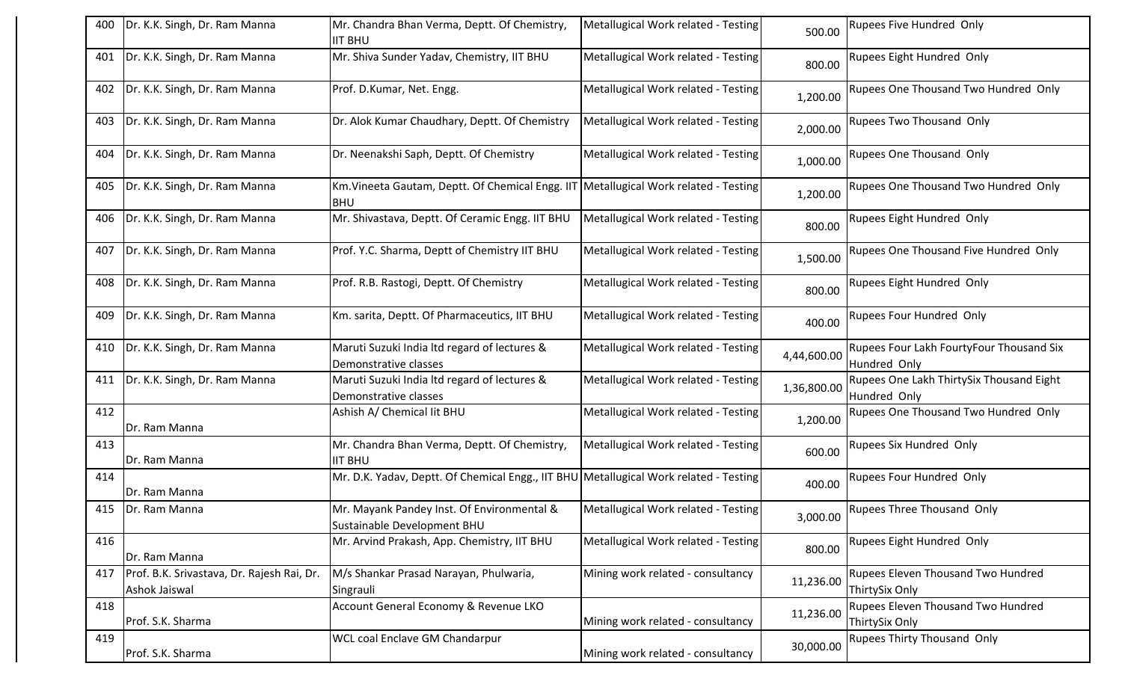| 400 | Dr. K.K. Singh, Dr. Ram Manna                               | Mr. Chandra Bhan Verma, Deptt. Of Chemistry,<br><b>IIT BHU</b>                        | Metallugical Work related - Testing | 500.00      | Rupees Five Hundred Only                                    |
|-----|-------------------------------------------------------------|---------------------------------------------------------------------------------------|-------------------------------------|-------------|-------------------------------------------------------------|
| 401 | Dr. K.K. Singh, Dr. Ram Manna                               | Mr. Shiva Sunder Yadav, Chemistry, IIT BHU                                            | Metallugical Work related - Testing | 800.00      | Rupees Eight Hundred Only                                   |
| 402 | Dr. K.K. Singh, Dr. Ram Manna                               | Prof. D.Kumar, Net. Engg.                                                             | Metallugical Work related - Testing | 1,200.00    | Rupees One Thousand Two Hundred Only                        |
| 403 | Dr. K.K. Singh, Dr. Ram Manna                               | Dr. Alok Kumar Chaudhary, Deptt. Of Chemistry                                         | Metallugical Work related - Testing | 2,000.00    | Rupees Two Thousand Only                                    |
| 404 | Dr. K.K. Singh, Dr. Ram Manna                               | Dr. Neenakshi Saph, Deptt. Of Chemistry                                               | Metallugical Work related - Testing | 1,000.00    | Rupees One Thousand Only                                    |
| 405 | Dr. K.K. Singh, Dr. Ram Manna                               | Km. Vineeta Gautam, Deptt. Of Chemical Engg. IIT<br><b>BHU</b>                        | Metallugical Work related - Testing | 1,200.00    | Rupees One Thousand Two Hundred Only                        |
| 406 | Dr. K.K. Singh, Dr. Ram Manna                               | Mr. Shivastava, Deptt. Of Ceramic Engg. IIT BHU                                       | Metallugical Work related - Testing | 800.00      | Rupees Eight Hundred Only                                   |
| 407 | Dr. K.K. Singh, Dr. Ram Manna                               | Prof. Y.C. Sharma, Deptt of Chemistry IIT BHU                                         | Metallugical Work related - Testing | 1,500.00    | Rupees One Thousand Five Hundred Only                       |
| 408 | Dr. K.K. Singh, Dr. Ram Manna                               | Prof. R.B. Rastogi, Deptt. Of Chemistry                                               | Metallugical Work related - Testing | 800.00      | Rupees Eight Hundred Only                                   |
| 409 | Dr. K.K. Singh, Dr. Ram Manna                               | Km. sarita, Deptt. Of Pharmaceutics, IIT BHU                                          | Metallugical Work related - Testing | 400.00      | Rupees Four Hundred Only                                    |
| 410 | Dr. K.K. Singh, Dr. Ram Manna                               | Maruti Suzuki India Itd regard of lectures &<br>Demonstrative classes                 | Metallugical Work related - Testing | 4,44,600.00 | Rupees Four Lakh FourtyFour Thousand Six<br>Hundred Only    |
| 411 | Dr. K.K. Singh, Dr. Ram Manna                               | Maruti Suzuki India Itd regard of lectures &<br>Demonstrative classes                 | Metallugical Work related - Testing | 1,36,800.00 | Rupees One Lakh ThirtySix Thousand Eight<br>Hundred Only    |
| 412 | Dr. Ram Manna                                               | Ashish A/ Chemical lit BHU                                                            | Metallugical Work related - Testing | 1,200.00    | Rupees One Thousand Two Hundred Only                        |
| 413 | Dr. Ram Manna                                               | Mr. Chandra Bhan Verma, Deptt. Of Chemistry,<br><b>IIT BHU</b>                        | Metallugical Work related - Testing | 600.00      | Rupees Six Hundred Only                                     |
| 414 | Dr. Ram Manna                                               | Mr. D.K. Yadav, Deptt. Of Chemical Engg., IIT BHU Metallugical Work related - Testing |                                     | 400.00      | Rupees Four Hundred Only                                    |
|     | 415   Dr. Ram Manna                                         | Mr. Mayank Pandey Inst. Of Environmental &<br>Sustainable Development BHU             | Metallugical Work related - Testing | 3,000.00    | <b>Rupees Three Thousand Only</b>                           |
| 416 | Dr. Ram Manna                                               | Mr. Arvind Prakash, App. Chemistry, IIT BHU                                           | Metallugical Work related - Testing | 800.00      | Rupees Eight Hundred Only                                   |
| 417 | Prof. B.K. Srivastava, Dr. Rajesh Rai, Dr.<br>Ashok Jaiswal | M/s Shankar Prasad Narayan, Phulwaria,<br>Singrauli                                   | Mining work related - consultancy   | 11,236.00   | Rupees Eleven Thousand Two Hundred<br>ThirtySix Only        |
| 418 | Prof. S.K. Sharma                                           | Account General Economy & Revenue LKO                                                 | Mining work related - consultancy   | 11,236.00   | <b>Rupees Eleven Thousand Two Hundred</b><br>ThirtySix Only |
| 419 | Prof. S.K. Sharma                                           | <b>WCL coal Enclave GM Chandarpur</b>                                                 | Mining work related - consultancy   | 30,000.00   | Rupees Thirty Thousand Only                                 |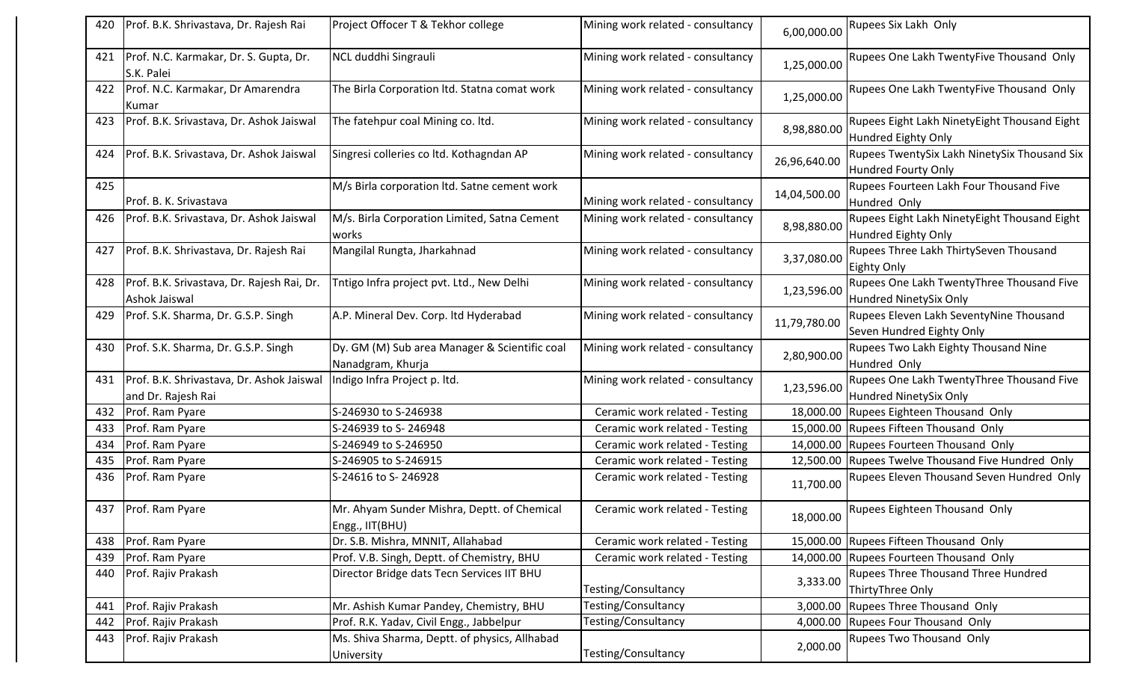| 420 | Prof. B.K. Shrivastava, Dr. Rajesh Rai                          | Project Offocer T & Tekhor college                                 | Mining work related - consultancy | 6,00,000.00  | Rupees Six Lakh Only                                                 |
|-----|-----------------------------------------------------------------|--------------------------------------------------------------------|-----------------------------------|--------------|----------------------------------------------------------------------|
| 421 | Prof. N.C. Karmakar, Dr. S. Gupta, Dr.<br>S.K. Palei            | NCL duddhi Singrauli                                               | Mining work related - consultancy | 1,25,000.00  | Rupees One Lakh TwentyFive Thousand Only                             |
| 422 | Prof. N.C. Karmakar, Dr Amarendra<br>Kumar                      | The Birla Corporation Itd. Statna comat work                       | Mining work related - consultancy | 1,25,000.00  | Rupees One Lakh TwentyFive Thousand Only                             |
| 423 | Prof. B.K. Srivastava, Dr. Ashok Jaiswal                        | The fatehpur coal Mining co. Itd.                                  | Mining work related - consultancy | 8,98,880.00  | Rupees Eight Lakh NinetyEight Thousand Eight<br>Hundred Eighty Only  |
| 424 | Prof. B.K. Srivastava, Dr. Ashok Jaiswal                        | Singresi colleries co ltd. Kothagndan AP                           | Mining work related - consultancy | 26,96,640.00 | Rupees TwentySix Lakh NinetySix Thousand Six<br>Hundred Fourty Only  |
| 425 | Prof. B. K. Srivastava                                          | M/s Birla corporation ltd. Satne cement work                       | Mining work related - consultancy | 14,04,500.00 | Rupees Fourteen Lakh Four Thousand Five<br>Hundred Only              |
| 426 | Prof. B.K. Srivastava, Dr. Ashok Jaiswal                        | M/s. Birla Corporation Limited, Satna Cement<br>works              | Mining work related - consultancy | 8,98,880.00  | Rupees Eight Lakh NinetyEight Thousand Eight<br>Hundred Eighty Only  |
| 427 | Prof. B.K. Shrivastava, Dr. Rajesh Rai                          | Mangilal Rungta, Jharkahnad                                        | Mining work related - consultancy | 3,37,080.00  | Rupees Three Lakh ThirtySeven Thousand<br><b>Eighty Only</b>         |
| 428 | Prof. B.K. Srivastava, Dr. Rajesh Rai, Dr.<br>Ashok Jaiswal     | Tntigo Infra project pvt. Ltd., New Delhi                          | Mining work related - consultancy | 1,23,596.00  | Rupees One Lakh TwentyThree Thousand Five<br>Hundred NinetySix Only  |
| 429 | Prof. S.K. Sharma, Dr. G.S.P. Singh                             | A.P. Mineral Dev. Corp. Itd Hyderabad                              | Mining work related - consultancy | 11,79,780.00 | Rupees Eleven Lakh SeventyNine Thousand<br>Seven Hundred Eighty Only |
| 430 | Prof. S.K. Sharma, Dr. G.S.P. Singh                             | Dy. GM (M) Sub area Manager & Scientific coal<br>Nanadgram, Khurja | Mining work related - consultancy | 2,80,900.00  | Rupees Two Lakh Eighty Thousand Nine<br>Hundred Only                 |
| 431 | Prof. B.K. Shrivastava, Dr. Ashok Jaiswal<br>and Dr. Rajesh Rai | Indigo Infra Project p. ltd.                                       | Mining work related - consultancy | 1,23,596.00  | Rupees One Lakh TwentyThree Thousand Five<br>Hundred NinetySix Only  |
| 432 | Prof. Ram Pyare                                                 | S-246930 to S-246938                                               | Ceramic work related - Testing    | 18,000.00    | Rupees Eighteen Thousand Only                                        |
| 433 | Prof. Ram Pyare                                                 | S-246939 to S-246948                                               | Ceramic work related - Testing    |              | 15,000.00 Rupees Fifteen Thousand Only                               |
| 434 | Prof. Ram Pyare                                                 | S-246949 to S-246950                                               | Ceramic work related - Testing    | 14,000.00    | Rupees Fourteen Thousand Only                                        |
| 435 | Prof. Ram Pyare                                                 | S-246905 to S-246915                                               | Ceramic work related - Testing    |              | 12,500.00 Rupees Twelve Thousand Five Hundred Only                   |
| 436 | Prof. Ram Pyare                                                 | S-24616 to S-246928                                                | Ceramic work related - Testing    | 11,700.00    | Rupees Eleven Thousand Seven Hundred Only                            |
| 437 | Prof. Ram Pyare                                                 | Mr. Ahyam Sunder Mishra, Deptt. of Chemical<br>Engg., IIT(BHU)     | Ceramic work related - Testing    |              | 18,000.00 Rupees Eighteen Thousand Only                              |
| 438 | Prof. Ram Pyare                                                 | Dr. S.B. Mishra, MNNIT, Allahabad                                  | Ceramic work related - Testing    |              | 15,000.00 Rupees Fifteen Thousand Only                               |
| 439 | Prof. Ram Pyare                                                 | Prof. V.B. Singh, Deptt. of Chemistry, BHU                         | Ceramic work related - Testing    |              | 14,000.00 Rupees Fourteen Thousand Only                              |
| 440 | Prof. Rajiv Prakash                                             | Director Bridge dats Tecn Services IIT BHU                         | Testing/Consultancy               | 3,333.00     | <b>Rupees Three Thousand Three Hundred</b><br>ThirtyThree Only       |
| 441 | Prof. Rajiv Prakash                                             | Mr. Ashish Kumar Pandey, Chemistry, BHU                            | Testing/Consultancy               | 3,000.00     | Rupees Three Thousand Only                                           |
| 442 |                                                                 |                                                                    |                                   |              |                                                                      |
|     | Prof. Rajiv Prakash                                             | Prof. R.K. Yadav, Civil Engg., Jabbelpur                           | Testing/Consultancy               |              | 4,000.00 Rupees Four Thousand Only                                   |